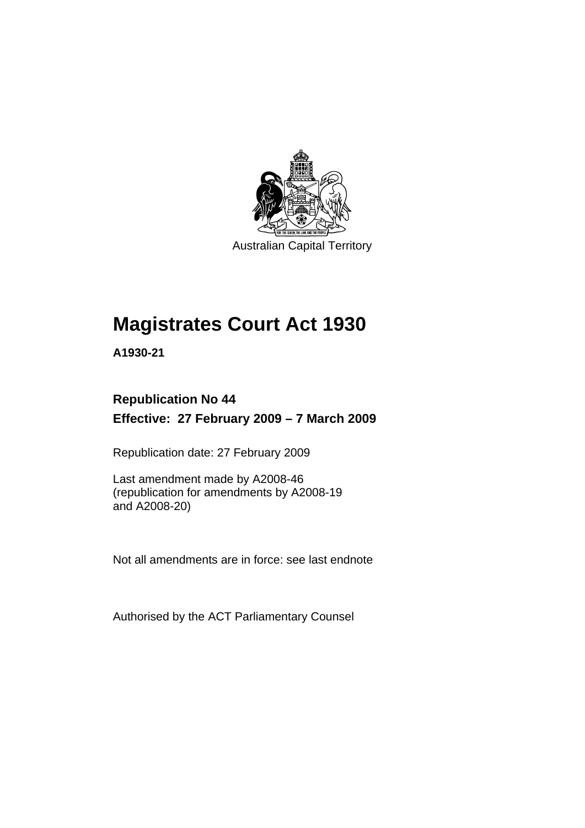

Australian Capital Territory

# **[Magistrates Court Act 1930](#page-16-0)**

**A1930-21** 

### **Republication No 44 Effective: 27 February 2009 – 7 March 2009**

Republication date: 27 February 2009

Last amendment made by A2008-46 (republication for amendments by A2008-19 and A2008-20)

Not all amendments are in force: see last endnote

Authorised by the ACT Parliamentary Counsel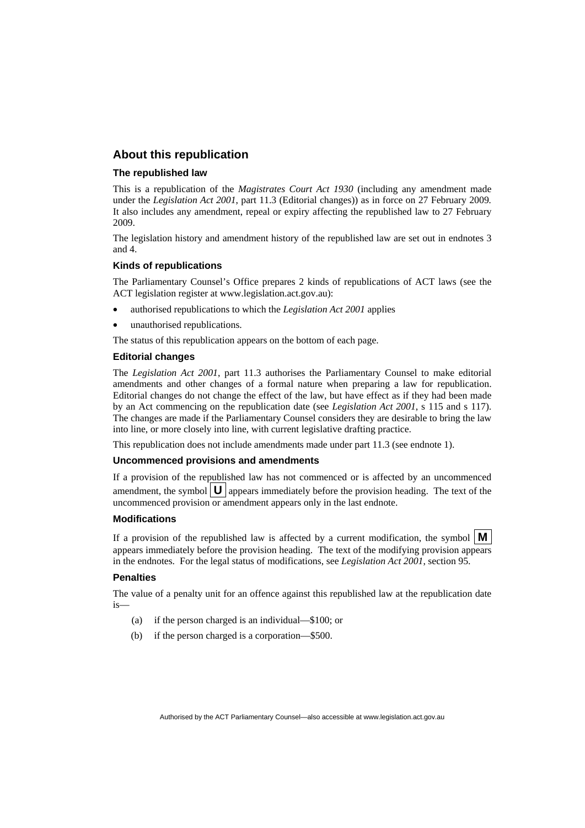#### **About this republication**

#### **The republished law**

This is a republication of the *Magistrates Court Act 1930* (including any amendment made under the *Legislation Act 2001*, part 11.3 (Editorial changes)) as in force on 27 February 2009*.*  It also includes any amendment, repeal or expiry affecting the republished law to 27 February 2009.

The legislation history and amendment history of the republished law are set out in endnotes 3 and 4.

#### **Kinds of republications**

The Parliamentary Counsel's Office prepares 2 kinds of republications of ACT laws (see the ACT legislation register at www.legislation.act.gov.au):

- authorised republications to which the *Legislation Act 2001* applies
- unauthorised republications.

The status of this republication appears on the bottom of each page.

#### **Editorial changes**

The *Legislation Act 2001*, part 11.3 authorises the Parliamentary Counsel to make editorial amendments and other changes of a formal nature when preparing a law for republication. Editorial changes do not change the effect of the law, but have effect as if they had been made by an Act commencing on the republication date (see *Legislation Act 2001*, s 115 and s 117). The changes are made if the Parliamentary Counsel considers they are desirable to bring the law into line, or more closely into line, with current legislative drafting practice.

This republication does not include amendments made under part 11.3 (see endnote 1).

#### **Uncommenced provisions and amendments**

If a provision of the republished law has not commenced or is affected by an uncommenced amendment, the symbol  $\mathbf{U}$  appears immediately before the provision heading. The text of the uncommenced provision  $\overline{or}$  amendment appears only in the last endnote.

#### **Modifications**

If a provision of the republished law is affected by a current modification, the symbol  $\mathbf{M}$ appears immediately before the provision heading. The text of the modifying provision appears in the endnotes. For the legal status of modifications, see *Legislation Act 2001*, section 95.

#### **Penalties**

The value of a penalty unit for an offence against this republished law at the republication date is—

- (a) if the person charged is an individual—\$100; or
- (b) if the person charged is a corporation—\$500.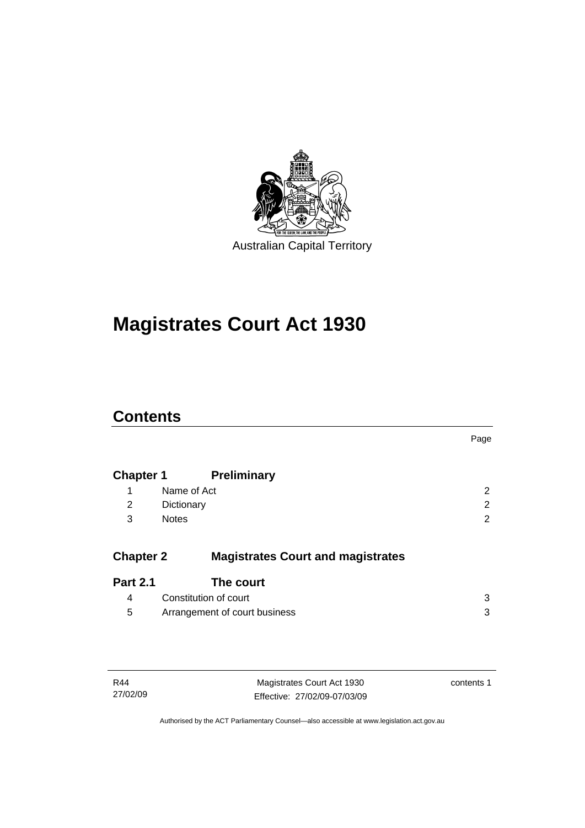

# **[Magistrates Court Act 1930](#page-16-0)**

### **Contents**

|                  |                                          | Page |
|------------------|------------------------------------------|------|
| <b>Chapter 1</b> | <b>Preliminary</b>                       |      |
| 1                | Name of Act                              | 2    |
| 2                | Dictionary                               | 2    |
| 3                | <b>Notes</b>                             | 2    |
| <b>Chapter 2</b> | <b>Magistrates Court and magistrates</b> |      |
| <b>Part 2.1</b>  | The court                                |      |
| 4                | Constitution of court                    | 3    |
| 5                | Arrangement of court business            | 3    |

| R44      |  |
|----------|--|
| 27/02/09 |  |

Magistrates Court Act 1930 Effective: 27/02/09-07/03/09 contents 1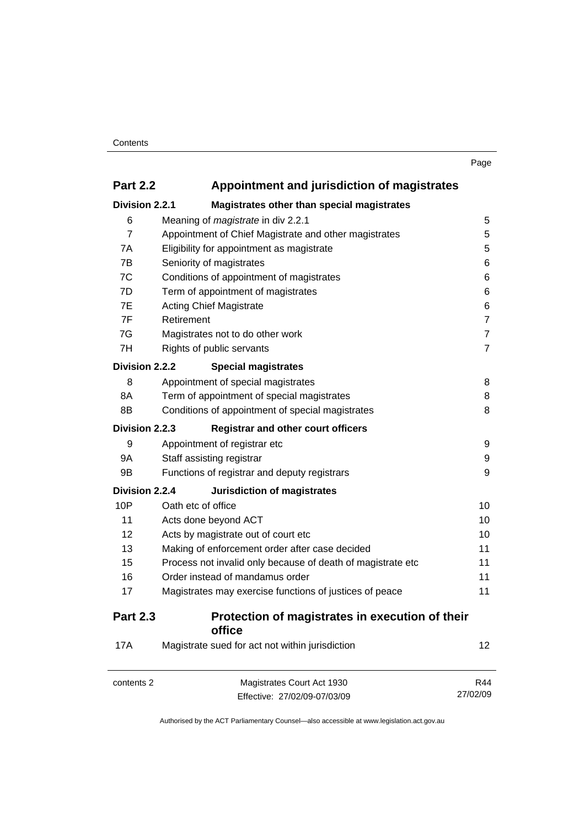| I<br>. .<br>٧ |
|---------------|
|---------------|

| <b>Part 2.2</b> | Appointment and jurisdiction of magistrates |
|-----------------|---------------------------------------------|
| Division 2.2.1  | Magistrates other than special magistrates  |

| Division 2.2.1  | Magistrates other than special magistrates                  |                |  |
|-----------------|-------------------------------------------------------------|----------------|--|
| 6               | Meaning of magistrate in div 2.2.1                          | 5              |  |
| 7               | Appointment of Chief Magistrate and other magistrates       | 5              |  |
| 7A              | Eligibility for appointment as magistrate                   | 5              |  |
| 7В              | Seniority of magistrates                                    |                |  |
| 7C              | Conditions of appointment of magistrates                    | 6              |  |
| 7D              | Term of appointment of magistrates                          | 6              |  |
| 7E              | <b>Acting Chief Magistrate</b>                              | 6              |  |
| 7F              | Retirement                                                  | $\overline{7}$ |  |
| 7G              | Magistrates not to do other work                            | $\overline{7}$ |  |
| 7H              | Rights of public servants                                   |                |  |
| Division 2.2.2  | <b>Special magistrates</b>                                  |                |  |
| 8               | Appointment of special magistrates                          | 8              |  |
| 8A              | Term of appointment of special magistrates                  | 8              |  |
| 8B              | Conditions of appointment of special magistrates            | 8              |  |
| Division 2.2.3  | <b>Registrar and other court officers</b>                   |                |  |
| 9               | Appointment of registrar etc                                | 9              |  |
| <b>9A</b>       | Staff assisting registrar                                   | 9              |  |
| 9Β              | Functions of registrar and deputy registrars                | 9              |  |
| Division 2.2.4  | <b>Jurisdiction of magistrates</b>                          |                |  |
| 10P             | Oath etc of office                                          | 10             |  |
| 11              | Acts done beyond ACT                                        | 10             |  |
| 12              | Acts by magistrate out of court etc                         | 10             |  |
| 13              | Making of enforcement order after case decided              | 11             |  |
| 15              | Process not invalid only because of death of magistrate etc | 11             |  |
| 16              | Order instead of mandamus order                             | 11<br>11       |  |
| 17              | Magistrates may exercise functions of justices of peace     |                |  |
| <b>Part 2.3</b> | Protection of magistrates in execution of their<br>office   |                |  |
| <b>17A</b>      | Magistrate sued for act not within jurisdiction             | 12             |  |
| contents 2      | Magistrates Court Act 1930                                  | R44            |  |
|                 | Fffective: 27/02/09-07/03/09                                | 27/02/09       |  |

Effective: 27/02/09-07/03/09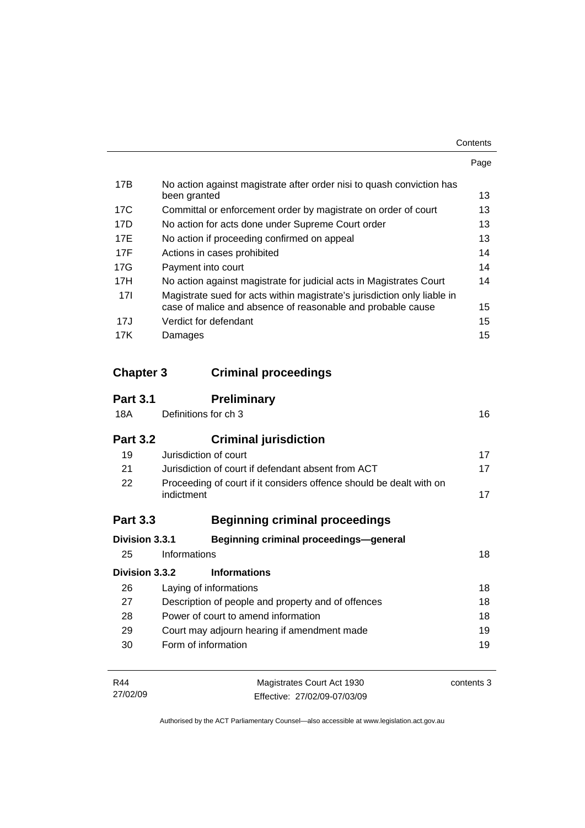| Contents |
|----------|
|----------|

|     |                                                                                                                                         | Page |
|-----|-----------------------------------------------------------------------------------------------------------------------------------------|------|
| 17B | No action against magistrate after order nisi to quash conviction has<br>been granted                                                   | 13   |
| 17C | Committal or enforcement order by magistrate on order of court                                                                          | 13   |
| 17D | No action for acts done under Supreme Court order                                                                                       | 13   |
| 17E | No action if proceeding confirmed on appeal                                                                                             | 13   |
| 17F | Actions in cases prohibited                                                                                                             | 14   |
| 17G | Payment into court                                                                                                                      | 14   |
| 17H | No action against magistrate for judicial acts in Magistrates Court                                                                     | 14   |
| 17I | Magistrate sued for acts within magistrate's jurisdiction only liable in<br>case of malice and absence of reasonable and probable cause | 15   |
| 17J | Verdict for defendant                                                                                                                   | 15   |
| 17K | Damages                                                                                                                                 | 15   |

### **Chapter 3 Criminal proceedings**

27/02/09

| <b>Part 3.1</b> | <b>Preliminary</b>                                                                |            |
|-----------------|-----------------------------------------------------------------------------------|------------|
| 18A             | Definitions for ch 3                                                              | 16         |
| <b>Part 3.2</b> | <b>Criminal jurisdiction</b>                                                      |            |
| 19              | Jurisdiction of court                                                             | 17         |
| 21              | Jurisdiction of court if defendant absent from ACT<br>17                          |            |
| 22              | Proceeding of court if it considers offence should be dealt with on<br>indictment |            |
| <b>Part 3.3</b> | <b>Beginning criminal proceedings</b>                                             |            |
| Division 3.3.1  | <b>Beginning criminal proceedings-general</b>                                     |            |
| 25              | Informations                                                                      | 18         |
| Division 3.3.2  | <b>Informations</b>                                                               |            |
| 26              | Laying of informations                                                            | 18         |
| 27              | Description of people and property and of offences                                | 18         |
| 28              | Power of court to amend information                                               |            |
| 29              | Court may adjourn hearing if amendment made                                       |            |
| 30              | Form of information                                                               | 19         |
| R44             | Magistrates Court Act 1930                                                        | contents 3 |

| Authorised by the ACT Parliamentary Counsel—also accessible at www.legislation.act.gov.au |  |
|-------------------------------------------------------------------------------------------|--|

Effective: 27/02/09-07/03/09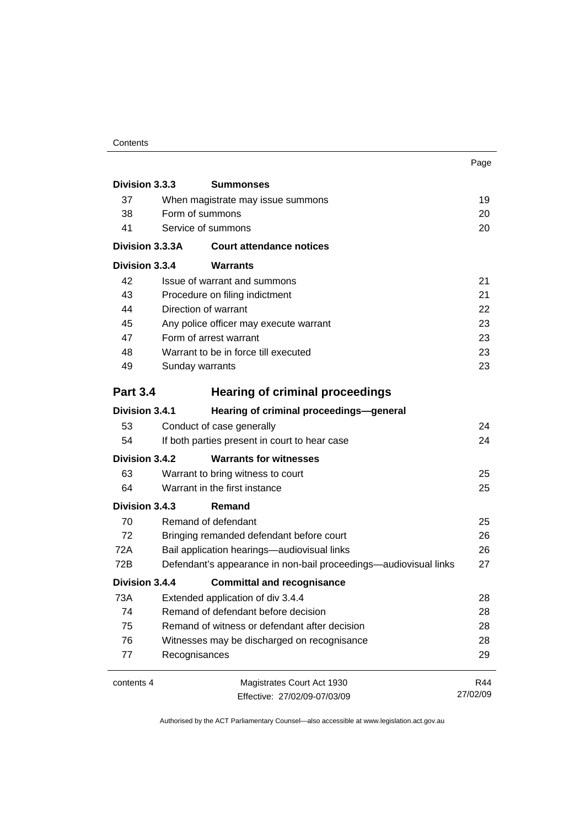#### **Contents**

|                          |                                               |                                                                  | Page     |
|--------------------------|-----------------------------------------------|------------------------------------------------------------------|----------|
| Division 3.3.3           |                                               | <b>Summonses</b>                                                 |          |
| 37                       |                                               | When magistrate may issue summons                                | 19       |
| 38                       | Form of summons                               |                                                                  |          |
| Service of summons<br>41 |                                               | 20                                                               |          |
| Division 3.3.3A          |                                               | <b>Court attendance notices</b>                                  |          |
| Division 3.3.4           |                                               | Warrants                                                         |          |
| 42                       |                                               | Issue of warrant and summons                                     | 21       |
| 43                       |                                               | Procedure on filing indictment                                   | 21       |
| 44                       |                                               | Direction of warrant                                             | 22       |
| 45                       |                                               | Any police officer may execute warrant                           | 23       |
| 47                       |                                               | Form of arrest warrant                                           | 23       |
| 48                       |                                               | Warrant to be in force till executed                             | 23       |
| 49                       | Sunday warrants                               |                                                                  | 23       |
| <b>Part 3.4</b>          |                                               | <b>Hearing of criminal proceedings</b>                           |          |
| Division 3.4.1           |                                               | Hearing of criminal proceedings-general                          |          |
| 53                       |                                               | Conduct of case generally                                        | 24       |
| 54                       |                                               | If both parties present in court to hear case                    | 24       |
| Division 3.4.2           |                                               | <b>Warrants for witnesses</b>                                    |          |
| 63                       |                                               | Warrant to bring witness to court                                | 25       |
| 64                       | Warrant in the first instance                 |                                                                  | 25       |
| Division 3.4.3           |                                               | Remand                                                           |          |
| 70                       |                                               | Remand of defendant                                              | 25       |
| 72                       | Bringing remanded defendant before court      |                                                                  | 26       |
| 72A                      | Bail application hearings-audiovisual links   |                                                                  | 26       |
| 72B                      |                                               | Defendant's appearance in non-bail proceedings—audiovisual links | 27       |
| Division 3.4.4           |                                               | <b>Committal and recognisance</b>                                |          |
| 73A                      |                                               | Extended application of div 3.4.4                                | 28       |
| 74                       | Remand of defendant before decision           |                                                                  | 28       |
| 75                       | Remand of witness or defendant after decision |                                                                  | 28       |
| 76                       |                                               | Witnesses may be discharged on recognisance                      | 28       |
| 77                       | Recognisances                                 |                                                                  | 29       |
| contents 4               |                                               | Magistrates Court Act 1930                                       | R44      |
|                          |                                               | Effective: 27/02/09-07/03/09                                     | 27/02/09 |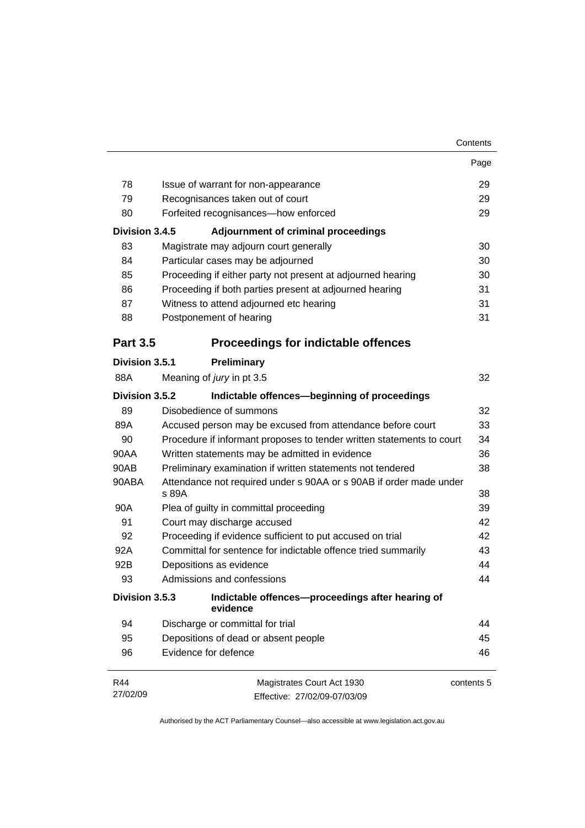|                 |                                                                             | Page       |
|-----------------|-----------------------------------------------------------------------------|------------|
| 78              | Issue of warrant for non-appearance                                         | 29         |
| 79              | Recognisances taken out of court                                            |            |
| 80              | Forfeited recognisances-how enforced                                        |            |
| Division 3.4.5  | <b>Adjournment of criminal proceedings</b>                                  |            |
| 83              | Magistrate may adjourn court generally                                      | 30         |
| 84              | Particular cases may be adjourned                                           | 30         |
| 85              | Proceeding if either party not present at adjourned hearing                 | 30         |
| 86              | Proceeding if both parties present at adjourned hearing                     | 31         |
| 87              | Witness to attend adjourned etc hearing                                     | 31         |
| 88              | Postponement of hearing                                                     | 31         |
| <b>Part 3.5</b> | <b>Proceedings for indictable offences</b>                                  |            |
| Division 3.5.1  | Preliminary                                                                 |            |
| 88A             | Meaning of jury in pt 3.5                                                   | 32         |
| Division 3.5.2  | Indictable offences-beginning of proceedings                                |            |
| 89              | Disobedience of summons                                                     | 32         |
| 89A             | Accused person may be excused from attendance before court                  | 33         |
| 90              | Procedure if informant proposes to tender written statements to court       | 34         |
| 90AA            | Written statements may be admitted in evidence                              | 36         |
| 90AB            | Preliminary examination if written statements not tendered                  | 38         |
| 90ABA           | Attendance not required under s 90AA or s 90AB if order made under<br>s 89A | 38         |
| 90A             | Plea of guilty in committal proceeding                                      | 39         |
| 91              | Court may discharge accused                                                 | 42         |
| 92              | Proceeding if evidence sufficient to put accused on trial                   | 42         |
| 92A             | Committal for sentence for indictable offence tried summarily               | 43         |
| 92B             | Depositions as evidence                                                     | 44         |
| 93              | Admissions and confessions                                                  | 44         |
| Division 3.5.3  | Indictable offences--proceedings after hearing of<br>evidence               |            |
| 94              | Discharge or committal for trial                                            | 44         |
| 95              | Depositions of dead or absent people                                        | 45         |
| 96              | Evidence for defence                                                        | 46         |
| R44             | Magistrates Court Act 1930                                                  | contents 5 |
| 27/02/09        | Effective: 27/02/09-07/03/09                                                |            |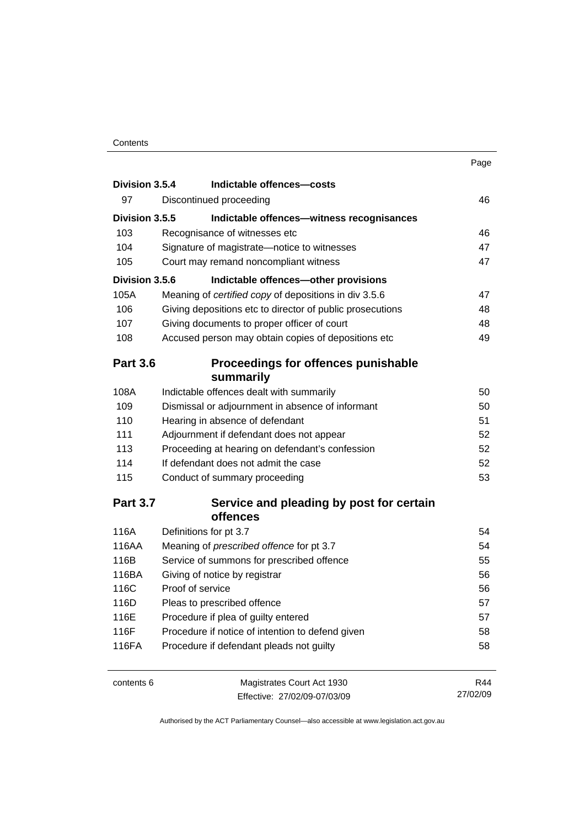|                 |                                                           | Page |
|-----------------|-----------------------------------------------------------|------|
| Division 3.5.4  | Indictable offences-costs                                 |      |
| 97              | Discontinued proceeding                                   | 46   |
| Division 3.5.5  | Indictable offences-witness recognisances                 |      |
| 103             | Recognisance of witnesses etc                             | 46   |
| 104             | Signature of magistrate-notice to witnesses               | 47   |
| 105             | Court may remand noncompliant witness                     | 47   |
| Division 3.5.6  | Indictable offences-other provisions                      |      |
| 105A            | Meaning of certified copy of depositions in div 3.5.6     | 47   |
| 106             | Giving depositions etc to director of public prosecutions | 48   |
| 107             | Giving documents to proper officer of court               | 48   |
| 108             | Accused person may obtain copies of depositions etc       | 49   |
| <b>Part 3.6</b> | <b>Proceedings for offences punishable</b>                |      |
|                 | summarily                                                 |      |
| 108A            | Indictable offences dealt with summarily                  | 50   |
| 109             | Dismissal or adjournment in absence of informant          | 50   |
| 110             | Hearing in absence of defendant                           | 51   |
| 111             | Adjournment if defendant does not appear                  | 52   |
| 113             | Proceeding at hearing on defendant's confession           | 52   |
| 114             | If defendant does not admit the case                      | 52   |
| 115             | Conduct of summary proceeding                             | 53   |
| <b>Part ? 7</b> | Service and pleading by nost for certain                  |      |

#### **Part 3.7 Service and pleading by post for certain offences**

| 116A  | Definitions for pt 3.7                           | 54 |
|-------|--------------------------------------------------|----|
| 116AA | Meaning of <i>prescribed</i> offence for pt 3.7  | 54 |
| 116B  | Service of summons for prescribed offence        | 55 |
| 116BA | Giving of notice by registrar                    | 56 |
| 116C  | Proof of service                                 | 56 |
| 116D  | Pleas to prescribed offence                      | 57 |
| 116E  | Procedure if plea of guilty entered              | 57 |
| 116F  | Procedure if notice of intention to defend given | 58 |
| 116FA | Procedure if defendant pleads not guilty         | 58 |
|       |                                                  |    |

| contents 6 | Magistrates Court Act 1930   | R44      |
|------------|------------------------------|----------|
|            | Effective: 27/02/09-07/03/09 | 27/02/09 |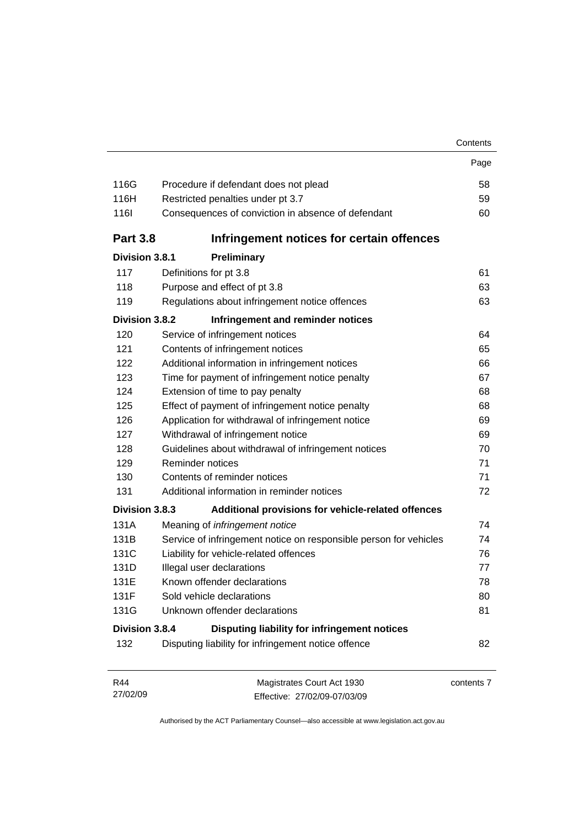|                 |                                                                   | Contents |  |
|-----------------|-------------------------------------------------------------------|----------|--|
|                 |                                                                   | Page     |  |
| 116G            | Procedure if defendant does not plead                             | 58       |  |
| 116H            | Restricted penalties under pt 3.7<br>59                           |          |  |
| <b>116l</b>     | Consequences of conviction in absence of defendant                | 60       |  |
| <b>Part 3.8</b> | Infringement notices for certain offences                         |          |  |
| Division 3.8.1  | Preliminary                                                       |          |  |
| 117             | Definitions for pt 3.8                                            | 61       |  |
| 118             | Purpose and effect of pt 3.8                                      | 63       |  |
| 119             | Regulations about infringement notice offences                    | 63       |  |
| Division 3.8.2  | Infringement and reminder notices                                 |          |  |
| 120             | Service of infringement notices                                   | 64       |  |
| 121             | Contents of infringement notices                                  | 65       |  |
| 122             | Additional information in infringement notices                    | 66       |  |
| 123             | Time for payment of infringement notice penalty                   | 67       |  |
| 124             | Extension of time to pay penalty                                  | 68       |  |
| 125             | Effect of payment of infringement notice penalty                  | 68       |  |
| 126             | Application for withdrawal of infringement notice                 |          |  |
| 127             | Withdrawal of infringement notice                                 | 69       |  |
| 128             | Guidelines about withdrawal of infringement notices               | 70       |  |
| 129             | Reminder notices                                                  | 71       |  |
| 130             | Contents of reminder notices                                      | 71       |  |
| 131             | Additional information in reminder notices                        | 72       |  |
| Division 3.8.3  | Additional provisions for vehicle-related offences                |          |  |
| 131A            | Meaning of infringement notice                                    | 74       |  |
| 131B            | Service of infringement notice on responsible person for vehicles | 74       |  |
| 131C            | Liability for vehicle-related offences                            | 76       |  |
| 131D            | Illegal user declarations                                         | 77       |  |
| 131E            | Known offender declarations                                       | 78       |  |
| 131F            | Sold vehicle declarations                                         | 80       |  |
| 131G            | Unknown offender declarations                                     | 81       |  |
| Division 3.8.4  | Disputing liability for infringement notices                      |          |  |
| 132             | Disputing liability for infringement notice offence               | 82       |  |

| R44      | Magistrates Court Act 1930   | contents 7 |
|----------|------------------------------|------------|
| 27/02/09 | Effective: 27/02/09-07/03/09 |            |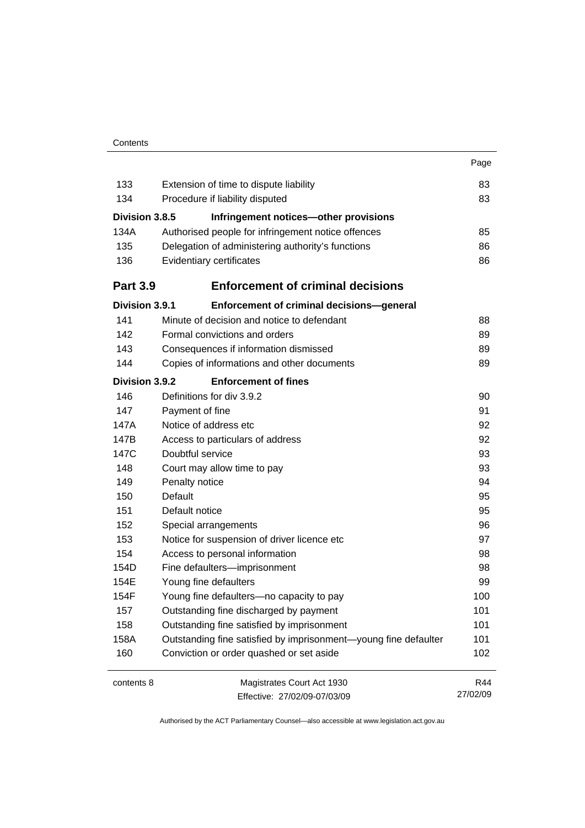|                 |                                                                 | Page     |
|-----------------|-----------------------------------------------------------------|----------|
| 133             | Extension of time to dispute liability                          | 83       |
| 134             | Procedure if liability disputed                                 | 83       |
| Division 3.8.5  | Infringement notices-other provisions                           |          |
| 134A            | Authorised people for infringement notice offences              | 85       |
| 135             | Delegation of administering authority's functions               |          |
| 136             | Evidentiary certificates                                        | 86       |
| <b>Part 3.9</b> | <b>Enforcement of criminal decisions</b>                        |          |
| Division 3.9.1  | Enforcement of criminal decisions-general                       |          |
| 141             | Minute of decision and notice to defendant                      | 88       |
| 142             | Formal convictions and orders                                   | 89       |
| 143             | Consequences if information dismissed                           | 89       |
| 144             | Copies of informations and other documents                      | 89       |
| Division 3.9.2  | <b>Enforcement of fines</b>                                     |          |
| 146             | Definitions for div 3.9.2                                       | 90       |
| 147             | Payment of fine                                                 | 91       |
| 147A            | Notice of address etc                                           |          |
| 147B            | Access to particulars of address                                |          |
| 147C            | Doubtful service                                                | 93       |
| 148             | Court may allow time to pay                                     | 93       |
| 149             | Penalty notice                                                  | 94       |
| 150             | Default                                                         | 95       |
| 151             | Default notice                                                  | 95       |
| 152             | Special arrangements                                            | 96       |
| 153             | Notice for suspension of driver licence etc                     | 97       |
| 154             | Access to personal information                                  | 98       |
| 154D            | Fine defaulters-imprisonment                                    | 98       |
| 154E            | Young fine defaulters                                           | 99       |
| 154F            | Young fine defaulters—no capacity to pay                        | 100      |
| 157             | Outstanding fine discharged by payment                          | 101      |
| 158             | Outstanding fine satisfied by imprisonment                      | 101      |
| 158A            | Outstanding fine satisfied by imprisonment-young fine defaulter | 101      |
| 160             | Conviction or order quashed or set aside                        | 102      |
| contents 8      | Magistrates Court Act 1930                                      | R44      |
|                 | Effective: 27/02/09-07/03/09                                    | 27/02/09 |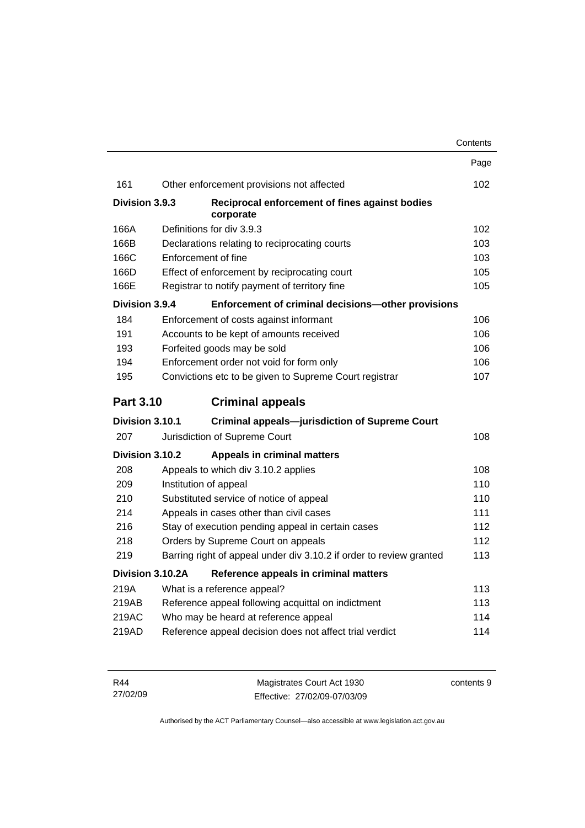|                  |                  |                                                                     | Contents |
|------------------|------------------|---------------------------------------------------------------------|----------|
|                  |                  |                                                                     | Page     |
| 161              |                  | Other enforcement provisions not affected                           | 102      |
| Division 3.9.3   |                  | Reciprocal enforcement of fines against bodies<br>corporate         |          |
| 166A             |                  | Definitions for div 3.9.3                                           | 102      |
| 166B             |                  | Declarations relating to reciprocating courts                       | 103      |
| 166C             |                  | Enforcement of fine                                                 | 103      |
| 166D             |                  | Effect of enforcement by reciprocating court                        | 105      |
| 166E             |                  | Registrar to notify payment of territory fine                       | 105      |
| Division 3.9.4   |                  | Enforcement of criminal decisions-other provisions                  |          |
| 184              |                  | Enforcement of costs against informant                              | 106      |
| 191              |                  | Accounts to be kept of amounts received                             | 106      |
| 193              |                  | Forfeited goods may be sold                                         | 106      |
| 194              |                  | Enforcement order not void for form only                            | 106      |
| 195              |                  | Convictions etc to be given to Supreme Court registrar              | 107      |
| <b>Part 3.10</b> |                  | <b>Criminal appeals</b>                                             |          |
| Division 3.10.1  |                  | <b>Criminal appeals-jurisdiction of Supreme Court</b>               |          |
| 207              |                  | Jurisdiction of Supreme Court                                       | 108      |
| Division 3.10.2  |                  | <b>Appeals in criminal matters</b>                                  |          |
| 208              |                  | Appeals to which div 3.10.2 applies                                 | 108      |
| 209              |                  | Institution of appeal                                               | 110      |
| 210              |                  | Substituted service of notice of appeal                             | 110      |
| 214              |                  | Appeals in cases other than civil cases                             | 111      |
| 216              |                  | Stay of execution pending appeal in certain cases                   | 112      |
| 218              |                  | Orders by Supreme Court on appeals                                  | 112      |
| 219              |                  | Barring right of appeal under div 3.10.2 if order to review granted | 113      |
|                  | Division 3.10.2A | Reference appeals in criminal matters                               |          |
| 219A             |                  | What is a reference appeal?                                         | 113      |
| 219AB            |                  | Reference appeal following acquittal on indictment                  | 113      |
| 219AC            |                  | Who may be heard at reference appeal                                | 114      |
| 219AD            |                  | Reference appeal decision does not affect trial verdict             | 114      |

| R44      | Magistrates Court Act 1930   | contents 9 |
|----------|------------------------------|------------|
| 27/02/09 | Effective: 27/02/09-07/03/09 |            |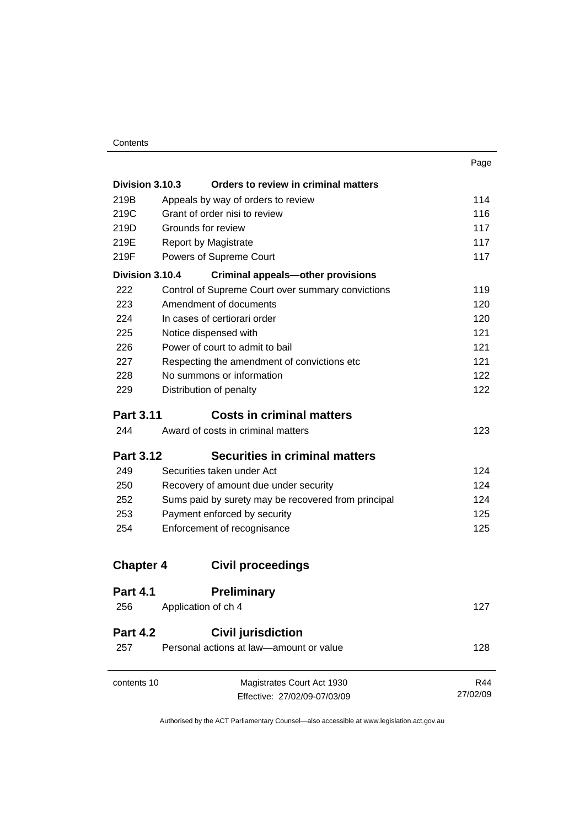| . .<br>٧<br>۰.<br>w |
|---------------------|
|---------------------|

| Division 3.10.3  | Orders to review in criminal matters                |          |
|------------------|-----------------------------------------------------|----------|
| 219B             | Appeals by way of orders to review                  | 114      |
| 219C             | Grant of order nisi to review                       | 116      |
| 219D             | Grounds for review                                  | 117      |
| 219E             | <b>Report by Magistrate</b>                         | 117      |
| 219F             | Powers of Supreme Court                             | 117      |
| Division 3.10.4  | <b>Criminal appeals-other provisions</b>            |          |
| 222              | Control of Supreme Court over summary convictions   | 119      |
| 223              | Amendment of documents                              | 120      |
| 224              | In cases of certiorari order                        | 120      |
| 225              | Notice dispensed with                               | 121      |
| 226              | Power of court to admit to bail                     | 121      |
| 227              | Respecting the amendment of convictions etc         | 121      |
| 228              | No summons or information                           | 122      |
| 229              | Distribution of penalty                             | 122      |
| <b>Part 3.11</b> | <b>Costs in criminal matters</b>                    |          |
| 244              | Award of costs in criminal matters                  | 123      |
| <b>Part 3.12</b> | <b>Securities in criminal matters</b>               |          |
| 249              | Securities taken under Act                          | 124      |
| 250              | Recovery of amount due under security               | 124      |
| 252              | Sums paid by surety may be recovered from principal | 124      |
| 253              | Payment enforced by security                        | 125      |
| 254              | Enforcement of recognisance                         | 125      |
| <b>Chapter 4</b> | <b>Civil proceedings</b>                            |          |
| <b>Part 4.1</b>  | <b>Preliminary</b>                                  |          |
| 256              | Application of ch 4                                 | 127      |
| <b>Part 4.2</b>  | <b>Civil jurisdiction</b>                           |          |
| 257              | Personal actions at law-amount or value             | 128      |
| contents 10      | Magistrates Court Act 1930                          | R44      |
|                  | Effective: 27/02/09-07/03/09                        | 27/02/09 |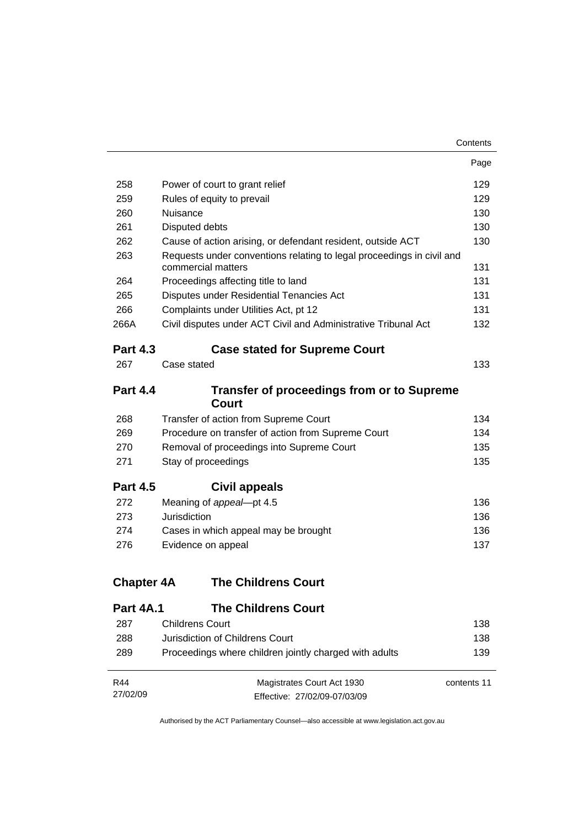|                   |                                                                                             | Contents    |
|-------------------|---------------------------------------------------------------------------------------------|-------------|
|                   |                                                                                             | Page        |
| 258               | Power of court to grant relief                                                              | 129         |
| 259               | Rules of equity to prevail                                                                  |             |
| 260               | Nuisance                                                                                    | 130         |
| 261               | Disputed debts                                                                              | 130         |
| 262               | Cause of action arising, or defendant resident, outside ACT                                 | 130         |
| 263               | Requests under conventions relating to legal proceedings in civil and<br>commercial matters |             |
| 264               | Proceedings affecting title to land                                                         | 131         |
| 265               | Disputes under Residential Tenancies Act                                                    | 131         |
| 266               | Complaints under Utilities Act, pt 12                                                       | 131         |
| 266A              | Civil disputes under ACT Civil and Administrative Tribunal Act                              | 132         |
| <b>Part 4.3</b>   | <b>Case stated for Supreme Court</b>                                                        |             |
| 267               | Case stated                                                                                 | 133         |
| <b>Part 4.4</b>   | <b>Transfer of proceedings from or to Supreme</b><br>Court                                  |             |
| 268               | Transfer of action from Supreme Court                                                       | 134         |
| 269               | Procedure on transfer of action from Supreme Court                                          | 134         |
| 270               | Removal of proceedings into Supreme Court                                                   | 135         |
| 271               | Stay of proceedings                                                                         | 135         |
| <b>Part 4.5</b>   | Civil appeals                                                                               |             |
| 272               | Meaning of appeal-pt 4.5                                                                    | 136         |
| 273               | Jurisdiction                                                                                | 136         |
| 274               | Cases in which appeal may be brought                                                        | 136         |
| 276               | Evidence on appeal                                                                          | 137         |
| <b>Chapter 4A</b> | <b>The Childrens Court</b>                                                                  |             |
| Part 4A.1         | <b>The Childrens Court</b>                                                                  |             |
| 287               | <b>Childrens Court</b>                                                                      | 138         |
| 288               | Jurisdiction of Childrens Court                                                             | 138         |
| 289               | Proceedings where children jointly charged with adults                                      | 139         |
| R44               | Magistrates Court Act 1930                                                                  | contents 11 |
| 27/02/09          | Effective: 27/02/09-07/03/09                                                                |             |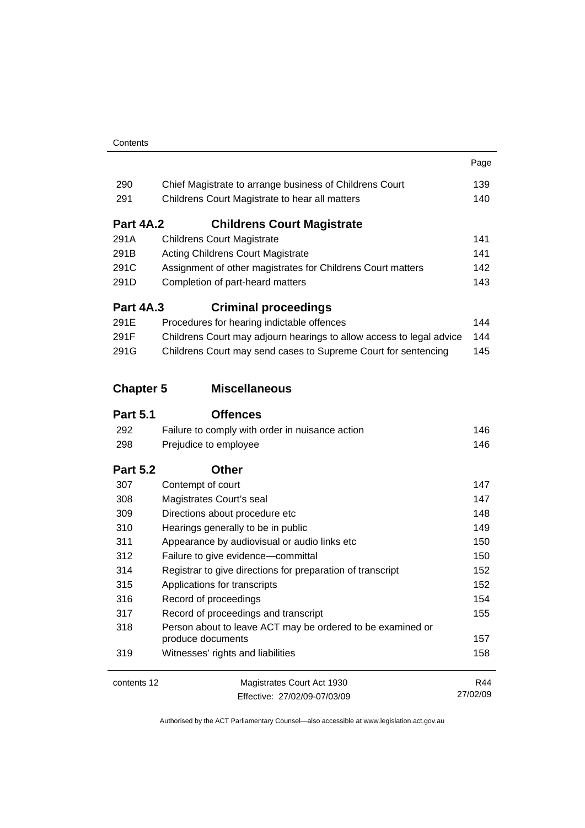| Contents |
|----------|
|          |

|                  |                                                                                 | Page     |
|------------------|---------------------------------------------------------------------------------|----------|
| 290              | Chief Magistrate to arrange business of Childrens Court                         | 139      |
| 291              | Childrens Court Magistrate to hear all matters                                  | 140      |
| <b>Part 4A.2</b> | <b>Childrens Court Magistrate</b>                                               |          |
| 291A             | <b>Childrens Court Magistrate</b>                                               | 141      |
| 291B             | <b>Acting Childrens Court Magistrate</b>                                        |          |
| 291C             | Assignment of other magistrates for Childrens Court matters                     |          |
| 291D             | Completion of part-heard matters                                                |          |
| <b>Part 4A.3</b> | <b>Criminal proceedings</b>                                                     |          |
| 291E             | Procedures for hearing indictable offences                                      | 144      |
| 291F             | Childrens Court may adjourn hearings to allow access to legal advice            | 144      |
| 291G             | Childrens Court may send cases to Supreme Court for sentencing                  | 145      |
| <b>Chapter 5</b> | <b>Miscellaneous</b>                                                            |          |
| <b>Part 5.1</b>  | <b>Offences</b>                                                                 |          |
| 292              | Failure to comply with order in nuisance action                                 | 146      |
| 298              | Prejudice to employee                                                           | 146      |
| <b>Part 5.2</b>  | <b>Other</b>                                                                    |          |
| 307              | Contempt of court                                                               | 147      |
| 308              | Magistrates Court's seal                                                        | 147      |
| 309              | Directions about procedure etc                                                  | 148      |
| 310              | Hearings generally to be in public                                              | 149      |
| 311              | Appearance by audiovisual or audio links etc                                    | 150      |
| 312              | Failure to give evidence-committal                                              | 150      |
| 314              | Registrar to give directions for preparation of transcript                      | 152      |
| 315              | Applications for transcripts                                                    | 152      |
| 316              | Record of proceedings                                                           | 154      |
| 317              | Record of proceedings and transcript                                            | 155      |
| 318              | Person about to leave ACT may be ordered to be examined or<br>produce documents | 157      |
| 319              | Witnesses' rights and liabilities                                               | 158      |
| contents 12      | Magistrates Court Act 1930                                                      | R44      |
|                  | Effective: 27/02/09-07/03/09                                                    | 27/02/09 |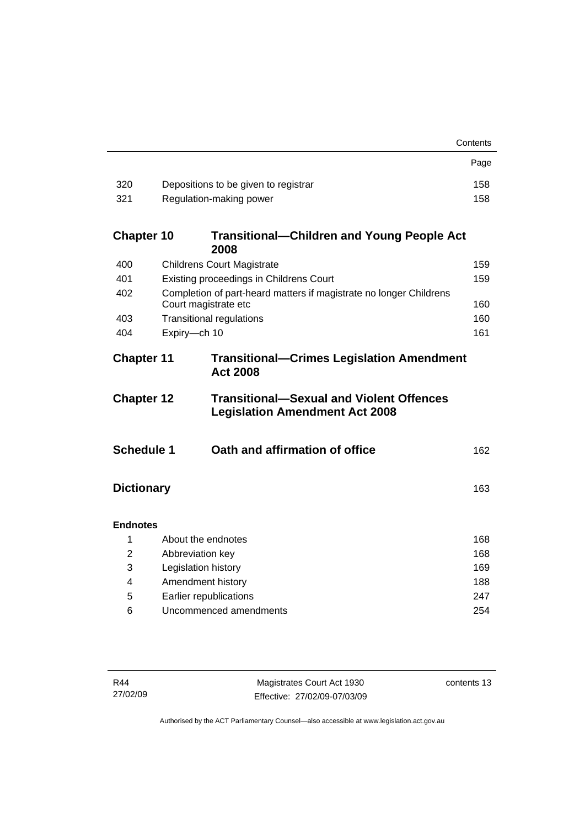|                                                                                          |                                                                                            | Contents                                          |  |  |
|------------------------------------------------------------------------------------------|--------------------------------------------------------------------------------------------|---------------------------------------------------|--|--|
|                                                                                          |                                                                                            | Page                                              |  |  |
| 320                                                                                      | Depositions to be given to registrar                                                       | 158                                               |  |  |
| 321                                                                                      | Regulation-making power                                                                    | 158                                               |  |  |
| <b>Chapter 10</b>                                                                        | 2008                                                                                       | <b>Transitional-Children and Young People Act</b> |  |  |
| 400                                                                                      | <b>Childrens Court Magistrate</b>                                                          | 159                                               |  |  |
| 401                                                                                      | Existing proceedings in Childrens Court                                                    | 159                                               |  |  |
| 402                                                                                      | Completion of part-heard matters if magistrate no longer Childrens<br>Court magistrate etc | 160                                               |  |  |
| 403                                                                                      | <b>Transitional regulations</b>                                                            | 160                                               |  |  |
| 404                                                                                      | Expiry-ch 10                                                                               | 161                                               |  |  |
| <b>Chapter 11</b><br><b>Transitional-Crimes Legislation Amendment</b><br><b>Act 2008</b> |                                                                                            |                                                   |  |  |
| <b>Chapter 12</b>                                                                        | <b>Legislation Amendment Act 2008</b>                                                      | <b>Transitional-Sexual and Violent Offences</b>   |  |  |
| <b>Schedule 1</b>                                                                        | Oath and affirmation of office                                                             | 162                                               |  |  |
| <b>Dictionary</b><br>163                                                                 |                                                                                            |                                                   |  |  |
| <b>Endnotes</b>                                                                          |                                                                                            |                                                   |  |  |
| 1                                                                                        | About the endnotes                                                                         | 168                                               |  |  |
| $\overline{2}$                                                                           | Abbreviation key                                                                           | 168                                               |  |  |
| 3                                                                                        | Legislation history                                                                        | 169                                               |  |  |
| 4                                                                                        | Amendment history<br>188                                                                   |                                                   |  |  |
| 5                                                                                        | Earlier republications<br>247                                                              |                                                   |  |  |
| 6                                                                                        | Uncommenced amendments<br>254                                                              |                                                   |  |  |

contents 13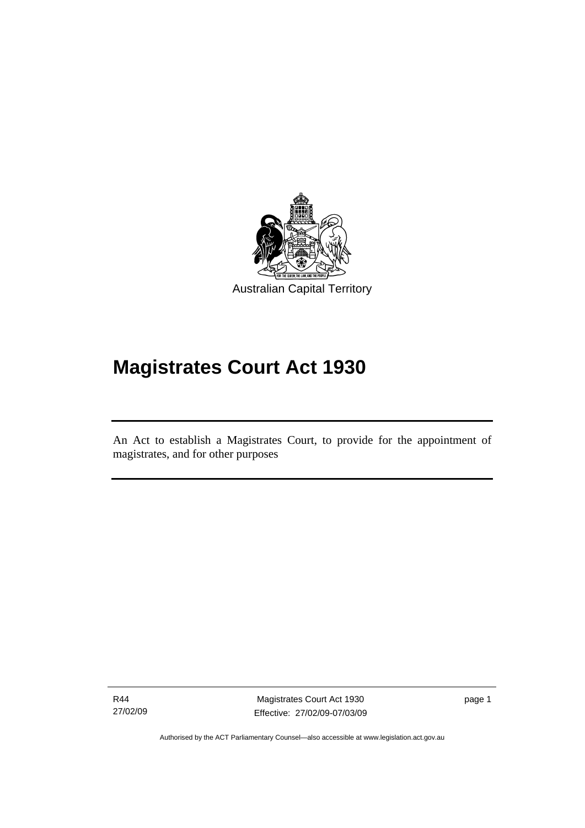<span id="page-16-0"></span>

# **Magistrates Court Act 1930**

An Act to establish a Magistrates Court, to provide for the appointment of magistrates, and for other purposes

R44 27/02/09

l

Magistrates Court Act 1930 Effective: 27/02/09-07/03/09 page 1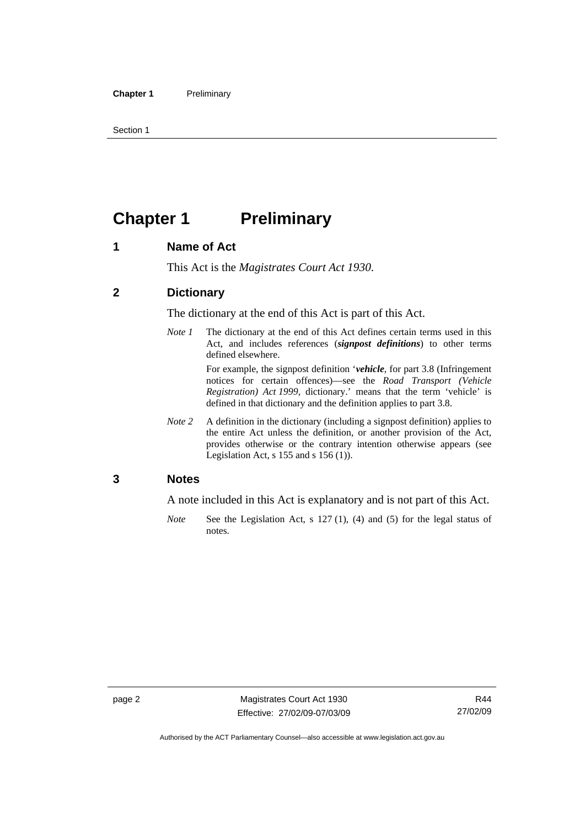<span id="page-17-0"></span>Section 1

# **Chapter 1** Preliminary

#### **1 Name of Act**

This Act is the *Magistrates Court Act 1930*.

#### **2 Dictionary**

The dictionary at the end of this Act is part of this Act.

*Note 1* The dictionary at the end of this Act defines certain terms used in this Act, and includes references (*signpost definitions*) to other terms defined elsewhere.

> For example, the signpost definition '*vehicle*, for part 3.8 (Infringement notices for certain offences)—see the *Road Transport (Vehicle Registration) Act 1999*, dictionary.' means that the term 'vehicle' is defined in that dictionary and the definition applies to part 3.8.

*Note 2* A definition in the dictionary (including a signpost definition) applies to the entire Act unless the definition, or another provision of the Act, provides otherwise or the contrary intention otherwise appears (see Legislation Act, s 155 and s 156 (1)).

#### **3 Notes**

A note included in this Act is explanatory and is not part of this Act.

*Note* See the Legislation Act, s 127 (1), (4) and (5) for the legal status of notes.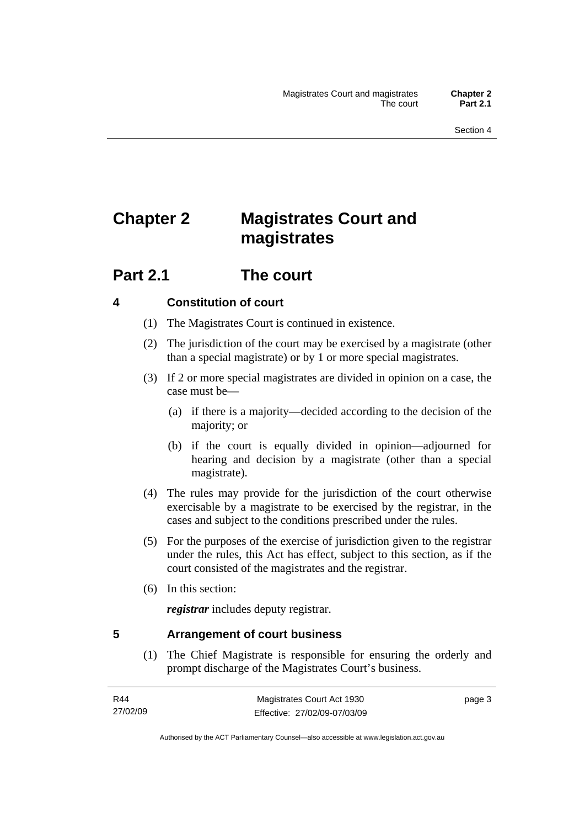# <span id="page-18-0"></span>**Chapter 2 Magistrates Court and magistrates**

### **Part 2.1 The court**

#### **4 Constitution of court**

- (1) The Magistrates Court is continued in existence.
- (2) The jurisdiction of the court may be exercised by a magistrate (other than a special magistrate) or by 1 or more special magistrates.
- (3) If 2 or more special magistrates are divided in opinion on a case, the case must be—
	- (a) if there is a majority—decided according to the decision of the majority; or
	- (b) if the court is equally divided in opinion—adjourned for hearing and decision by a magistrate (other than a special magistrate).
- (4) The rules may provide for the jurisdiction of the court otherwise exercisable by a magistrate to be exercised by the registrar, in the cases and subject to the conditions prescribed under the rules.
- (5) For the purposes of the exercise of jurisdiction given to the registrar under the rules, this Act has effect, subject to this section, as if the court consisted of the magistrates and the registrar.
- (6) In this section:

*registrar* includes deputy registrar.

#### **5 Arrangement of court business**

 (1) The Chief Magistrate is responsible for ensuring the orderly and prompt discharge of the Magistrates Court's business.

page 3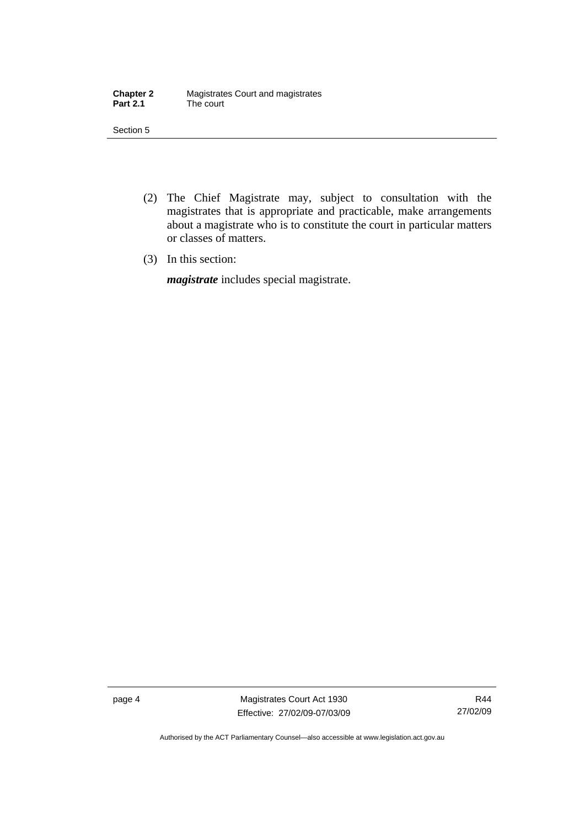| <b>Chapter 2</b> | Magistrates Court and magistrates |
|------------------|-----------------------------------|
| <b>Part 2.1</b>  | The court                         |

Section 5

- (2) The Chief Magistrate may, subject to consultation with the magistrates that is appropriate and practicable, make arrangements about a magistrate who is to constitute the court in particular matters or classes of matters.
- (3) In this section:

*magistrate* includes special magistrate.

page 4 Magistrates Court Act 1930 Effective: 27/02/09-07/03/09

R44 27/02/09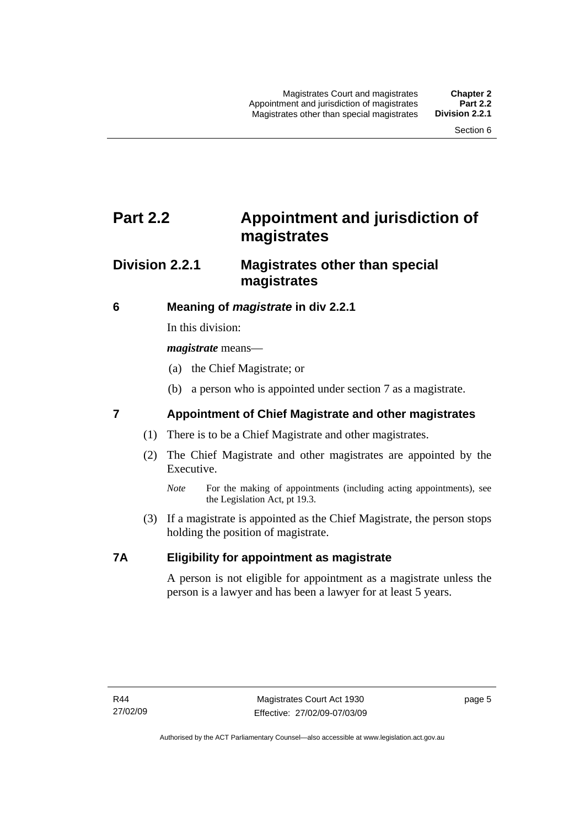## <span id="page-20-0"></span>**Part 2.2 Appointment and jurisdiction of magistrates**

### **Division 2.2.1 Magistrates other than special magistrates**

#### **6 Meaning of** *magistrate* **in div 2.2.1**

In this division:

*magistrate* means—

- (a) the Chief Magistrate; or
- (b) a person who is appointed under section 7 as a magistrate.

#### **7 Appointment of Chief Magistrate and other magistrates**

- (1) There is to be a Chief Magistrate and other magistrates.
- (2) The Chief Magistrate and other magistrates are appointed by the Executive.
	- *Note* For the making of appointments (including acting appointments), see the Legislation Act, pt 19.3.
- (3) If a magistrate is appointed as the Chief Magistrate, the person stops holding the position of magistrate.

#### **7A Eligibility for appointment as magistrate**

A person is not eligible for appointment as a magistrate unless the person is a lawyer and has been a lawyer for at least 5 years.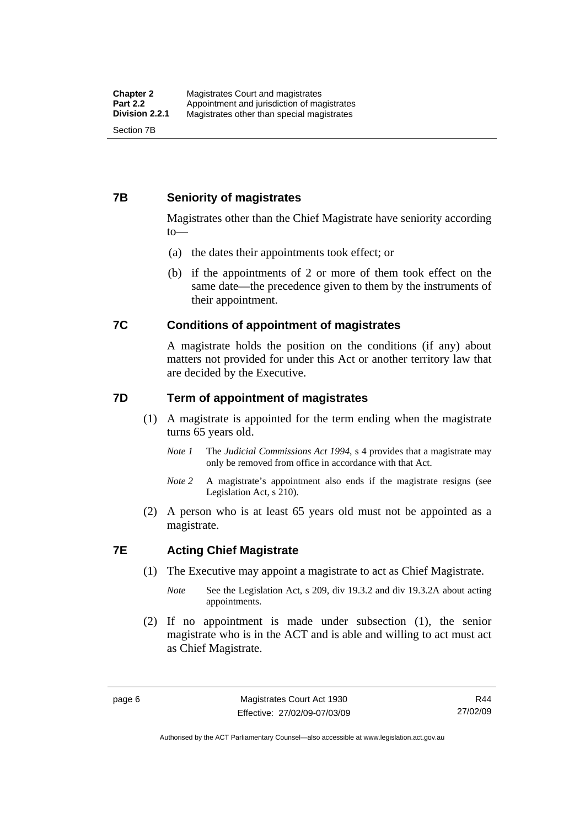#### <span id="page-21-0"></span>**7B Seniority of magistrates**

Magistrates other than the Chief Magistrate have seniority according to—

- (a) the dates their appointments took effect; or
- (b) if the appointments of 2 or more of them took effect on the same date—the precedence given to them by the instruments of their appointment.

#### **7C Conditions of appointment of magistrates**

A magistrate holds the position on the conditions (if any) about matters not provided for under this Act or another territory law that are decided by the Executive.

#### **7D Term of appointment of magistrates**

- (1) A magistrate is appointed for the term ending when the magistrate turns 65 years old.
	- *Note 1* The *Judicial Commissions Act 1994*, s 4 provides that a magistrate may only be removed from office in accordance with that Act.
	- *Note 2* A magistrate's appointment also ends if the magistrate resigns (see Legislation Act, s 210).
- (2) A person who is at least 65 years old must not be appointed as a magistrate.

#### **7E Acting Chief Magistrate**

- (1) The Executive may appoint a magistrate to act as Chief Magistrate.
	- *Note* See the Legislation Act, s 209, div 19.3.2 and div 19.3.2A about acting appointments.
- (2) If no appointment is made under subsection (1), the senior magistrate who is in the ACT and is able and willing to act must act as Chief Magistrate.

Authorised by the ACT Parliamentary Counsel—also accessible at www.legislation.act.gov.au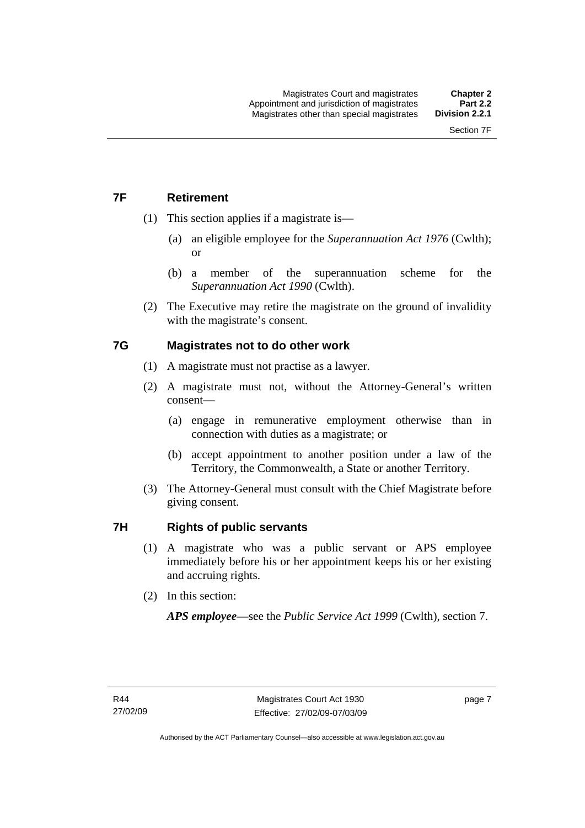### <span id="page-22-0"></span>**7F Retirement**

- (1) This section applies if a magistrate is—
	- (a) an eligible employee for the *Superannuation Act 1976* (Cwlth); or
	- (b) a member of the superannuation scheme for the *Superannuation Act 1990* (Cwlth).
- (2) The Executive may retire the magistrate on the ground of invalidity with the magistrate's consent.

#### **7G Magistrates not to do other work**

- (1) A magistrate must not practise as a lawyer.
- (2) A magistrate must not, without the Attorney-General's written consent—
	- (a) engage in remunerative employment otherwise than in connection with duties as a magistrate; or
	- (b) accept appointment to another position under a law of the Territory, the Commonwealth, a State or another Territory.
- (3) The Attorney-General must consult with the Chief Magistrate before giving consent.

#### **7H Rights of public servants**

- (1) A magistrate who was a public servant or APS employee immediately before his or her appointment keeps his or her existing and accruing rights.
- (2) In this section:

*APS employee*—see the *Public Service Act 1999* (Cwlth), section 7.

page 7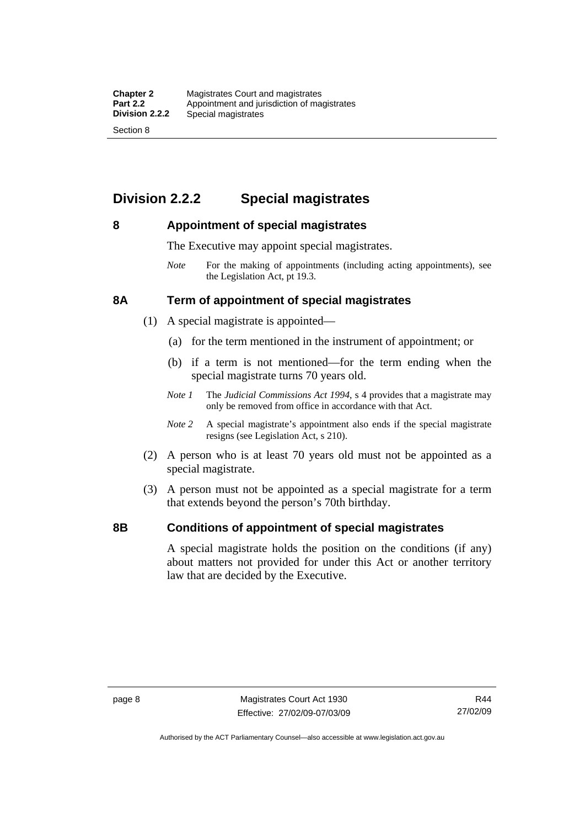### <span id="page-23-0"></span>**Division 2.2.2 Special magistrates**

#### **8 Appointment of special magistrates**

The Executive may appoint special magistrates.

*Note* For the making of appointments (including acting appointments), see the Legislation Act, pt 19.3.

#### **8A Term of appointment of special magistrates**

- (1) A special magistrate is appointed—
	- (a) for the term mentioned in the instrument of appointment; or
	- (b) if a term is not mentioned—for the term ending when the special magistrate turns 70 years old.
	- *Note 1* The *Judicial Commissions Act 1994*, s 4 provides that a magistrate may only be removed from office in accordance with that Act.
	- *Note 2* A special magistrate's appointment also ends if the special magistrate resigns (see Legislation Act, s 210).
- (2) A person who is at least 70 years old must not be appointed as a special magistrate.
- (3) A person must not be appointed as a special magistrate for a term that extends beyond the person's 70th birthday.

#### **8B Conditions of appointment of special magistrates**

A special magistrate holds the position on the conditions (if any) about matters not provided for under this Act or another territory law that are decided by the Executive.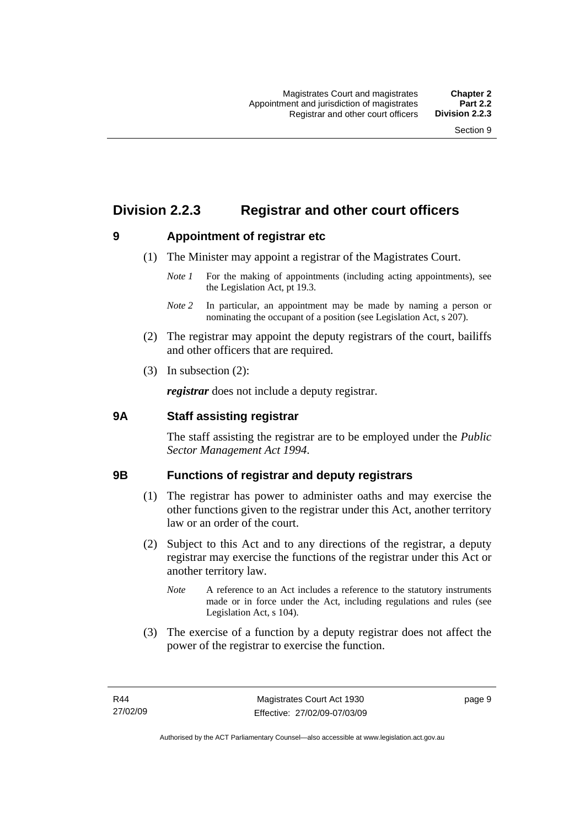### <span id="page-24-0"></span>**Division 2.2.3 Registrar and other court officers**

#### **9 Appointment of registrar etc**

- (1) The Minister may appoint a registrar of the Magistrates Court.
	- *Note 1* For the making of appointments (including acting appointments), see the Legislation Act, pt 19.3.
	- *Note 2* In particular, an appointment may be made by naming a person or nominating the occupant of a position (see Legislation Act, s 207).
- (2) The registrar may appoint the deputy registrars of the court, bailiffs and other officers that are required.
- (3) In subsection (2):

*registrar* does not include a deputy registrar.

#### **9A Staff assisting registrar**

The staff assisting the registrar are to be employed under the *Public Sector Management Act 1994*.

#### **9B Functions of registrar and deputy registrars**

- (1) The registrar has power to administer oaths and may exercise the other functions given to the registrar under this Act, another territory law or an order of the court.
- (2) Subject to this Act and to any directions of the registrar, a deputy registrar may exercise the functions of the registrar under this Act or another territory law.
	- *Note* A reference to an Act includes a reference to the statutory instruments made or in force under the Act, including regulations and rules (see Legislation Act, s 104).
- (3) The exercise of a function by a deputy registrar does not affect the power of the registrar to exercise the function.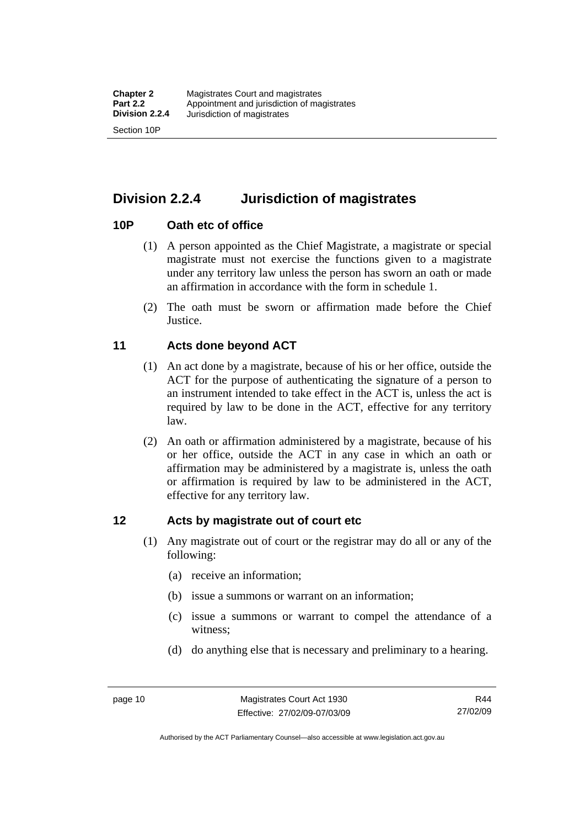<span id="page-25-0"></span>**Division 2.2.4 Jurisdiction of magistrates** 

#### **10P Oath etc of office**

- (1) A person appointed as the Chief Magistrate, a magistrate or special magistrate must not exercise the functions given to a magistrate under any territory law unless the person has sworn an oath or made an affirmation in accordance with the form in schedule 1.
- (2) The oath must be sworn or affirmation made before the Chief **Justice**.

#### **11 Acts done beyond ACT**

- (1) An act done by a magistrate, because of his or her office, outside the ACT for the purpose of authenticating the signature of a person to an instrument intended to take effect in the ACT is, unless the act is required by law to be done in the ACT, effective for any territory law.
- (2) An oath or affirmation administered by a magistrate, because of his or her office, outside the ACT in any case in which an oath or affirmation may be administered by a magistrate is, unless the oath or affirmation is required by law to be administered in the ACT, effective for any territory law.

#### **12 Acts by magistrate out of court etc**

- (1) Any magistrate out of court or the registrar may do all or any of the following:
	- (a) receive an information;
	- (b) issue a summons or warrant on an information;
	- (c) issue a summons or warrant to compel the attendance of a witness;
	- (d) do anything else that is necessary and preliminary to a hearing.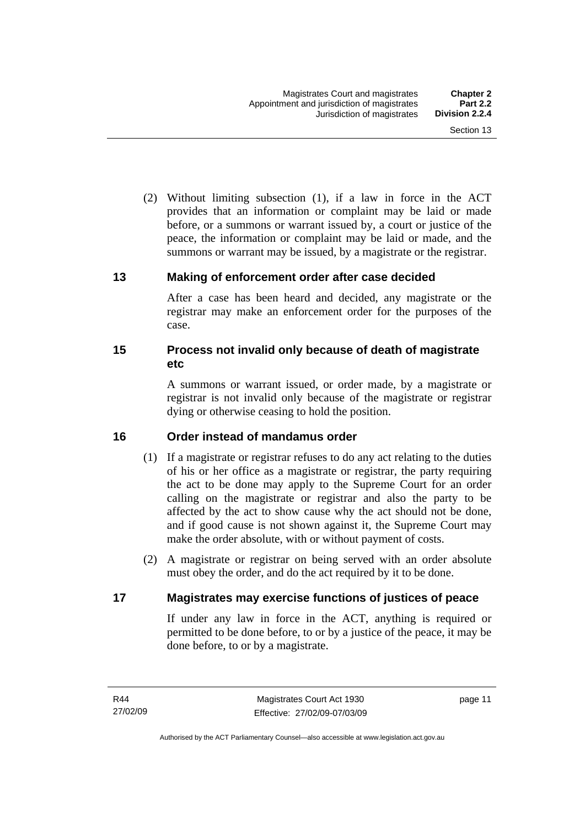<span id="page-26-0"></span> (2) Without limiting subsection (1), if a law in force in the ACT provides that an information or complaint may be laid or made before, or a summons or warrant issued by, a court or justice of the peace, the information or complaint may be laid or made, and the summons or warrant may be issued, by a magistrate or the registrar.

#### **13 Making of enforcement order after case decided**

After a case has been heard and decided, any magistrate or the registrar may make an enforcement order for the purposes of the case.

#### **15 Process not invalid only because of death of magistrate etc**

A summons or warrant issued, or order made, by a magistrate or registrar is not invalid only because of the magistrate or registrar dying or otherwise ceasing to hold the position.

#### **16 Order instead of mandamus order**

- (1) If a magistrate or registrar refuses to do any act relating to the duties of his or her office as a magistrate or registrar, the party requiring the act to be done may apply to the Supreme Court for an order calling on the magistrate or registrar and also the party to be affected by the act to show cause why the act should not be done, and if good cause is not shown against it, the Supreme Court may make the order absolute, with or without payment of costs.
- (2) A magistrate or registrar on being served with an order absolute must obey the order, and do the act required by it to be done.

#### **17 Magistrates may exercise functions of justices of peace**

If under any law in force in the ACT, anything is required or permitted to be done before, to or by a justice of the peace, it may be done before, to or by a magistrate.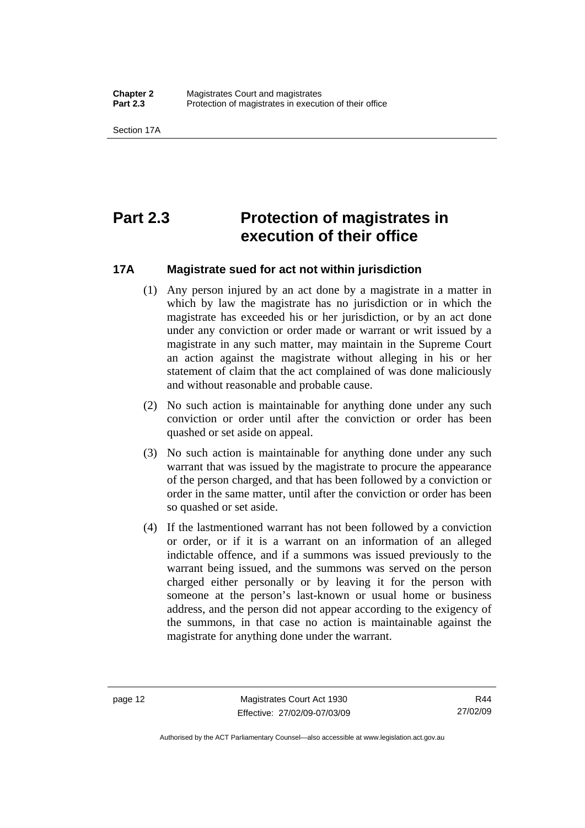<span id="page-27-0"></span>Section 17A

## **Part 2.3 Protection of magistrates in execution of their office**

#### **17A Magistrate sued for act not within jurisdiction**

- (1) Any person injured by an act done by a magistrate in a matter in which by law the magistrate has no jurisdiction or in which the magistrate has exceeded his or her jurisdiction, or by an act done under any conviction or order made or warrant or writ issued by a magistrate in any such matter, may maintain in the Supreme Court an action against the magistrate without alleging in his or her statement of claim that the act complained of was done maliciously and without reasonable and probable cause.
- (2) No such action is maintainable for anything done under any such conviction or order until after the conviction or order has been quashed or set aside on appeal.
- (3) No such action is maintainable for anything done under any such warrant that was issued by the magistrate to procure the appearance of the person charged, and that has been followed by a conviction or order in the same matter, until after the conviction or order has been so quashed or set aside.
- (4) If the lastmentioned warrant has not been followed by a conviction or order, or if it is a warrant on an information of an alleged indictable offence, and if a summons was issued previously to the warrant being issued, and the summons was served on the person charged either personally or by leaving it for the person with someone at the person's last-known or usual home or business address, and the person did not appear according to the exigency of the summons, in that case no action is maintainable against the magistrate for anything done under the warrant.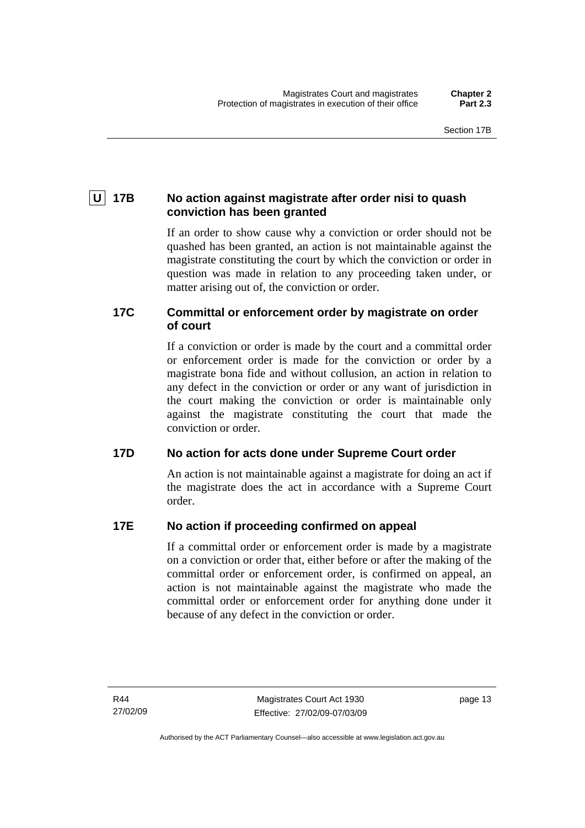### <span id="page-28-0"></span> **U 17B No action against magistrate after order nisi to quash conviction has been granted**

If an order to show cause why a conviction or order should not be quashed has been granted, an action is not maintainable against the magistrate constituting the court by which the conviction or order in question was made in relation to any proceeding taken under, or matter arising out of, the conviction or order.

#### **17C Committal or enforcement order by magistrate on order of court**

If a conviction or order is made by the court and a committal order or enforcement order is made for the conviction or order by a magistrate bona fide and without collusion, an action in relation to any defect in the conviction or order or any want of jurisdiction in the court making the conviction or order is maintainable only against the magistrate constituting the court that made the conviction or order.

#### **17D No action for acts done under Supreme Court order**

An action is not maintainable against a magistrate for doing an act if the magistrate does the act in accordance with a Supreme Court order.

#### **17E No action if proceeding confirmed on appeal**

If a committal order or enforcement order is made by a magistrate on a conviction or order that, either before or after the making of the committal order or enforcement order, is confirmed on appeal, an action is not maintainable against the magistrate who made the committal order or enforcement order for anything done under it because of any defect in the conviction or order.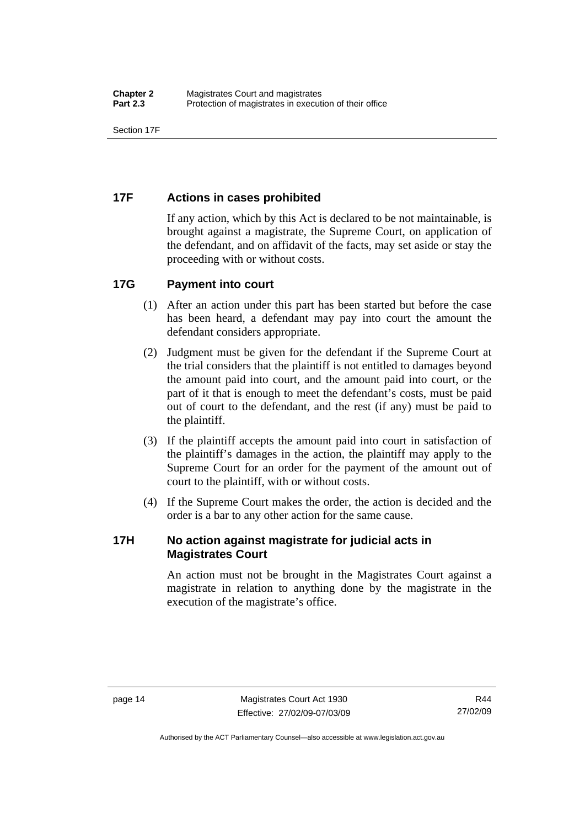<span id="page-29-0"></span>Section 17F

#### **17F Actions in cases prohibited**

If any action, which by this Act is declared to be not maintainable, is brought against a magistrate, the Supreme Court, on application of the defendant, and on affidavit of the facts, may set aside or stay the proceeding with or without costs.

#### **17G Payment into court**

- (1) After an action under this part has been started but before the case has been heard, a defendant may pay into court the amount the defendant considers appropriate.
- (2) Judgment must be given for the defendant if the Supreme Court at the trial considers that the plaintiff is not entitled to damages beyond the amount paid into court, and the amount paid into court, or the part of it that is enough to meet the defendant's costs, must be paid out of court to the defendant, and the rest (if any) must be paid to the plaintiff.
- (3) If the plaintiff accepts the amount paid into court in satisfaction of the plaintiff's damages in the action, the plaintiff may apply to the Supreme Court for an order for the payment of the amount out of court to the plaintiff, with or without costs.
- (4) If the Supreme Court makes the order, the action is decided and the order is a bar to any other action for the same cause.

#### **17H No action against magistrate for judicial acts in Magistrates Court**

An action must not be brought in the Magistrates Court against a magistrate in relation to anything done by the magistrate in the execution of the magistrate's office.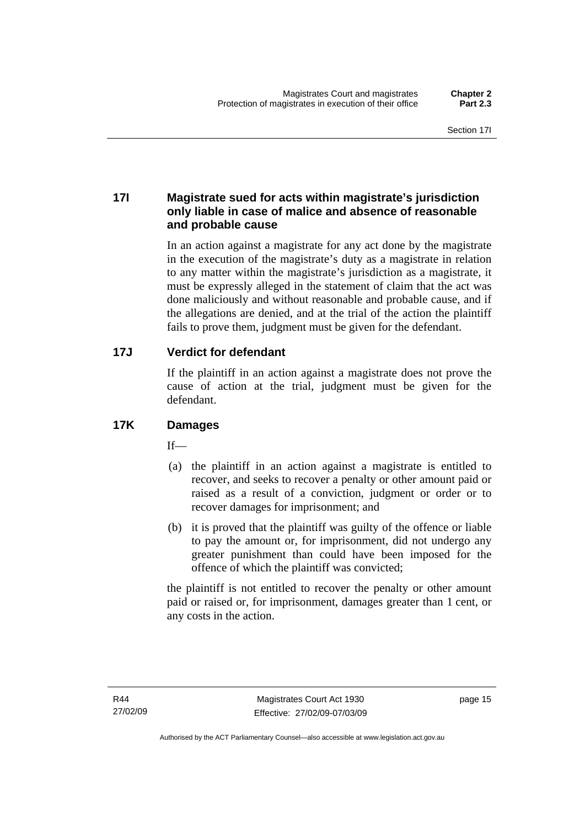#### <span id="page-30-0"></span>**17I Magistrate sued for acts within magistrate's jurisdiction only liable in case of malice and absence of reasonable and probable cause**

In an action against a magistrate for any act done by the magistrate in the execution of the magistrate's duty as a magistrate in relation to any matter within the magistrate's jurisdiction as a magistrate, it must be expressly alleged in the statement of claim that the act was done maliciously and without reasonable and probable cause, and if the allegations are denied, and at the trial of the action the plaintiff fails to prove them, judgment must be given for the defendant.

#### **17J Verdict for defendant**

If the plaintiff in an action against a magistrate does not prove the cause of action at the trial, judgment must be given for the defendant.

#### **17K Damages**

 $If$ —

- (a) the plaintiff in an action against a magistrate is entitled to recover, and seeks to recover a penalty or other amount paid or raised as a result of a conviction, judgment or order or to recover damages for imprisonment; and
- (b) it is proved that the plaintiff was guilty of the offence or liable to pay the amount or, for imprisonment, did not undergo any greater punishment than could have been imposed for the offence of which the plaintiff was convicted;

the plaintiff is not entitled to recover the penalty or other amount paid or raised or, for imprisonment, damages greater than 1 cent, or any costs in the action.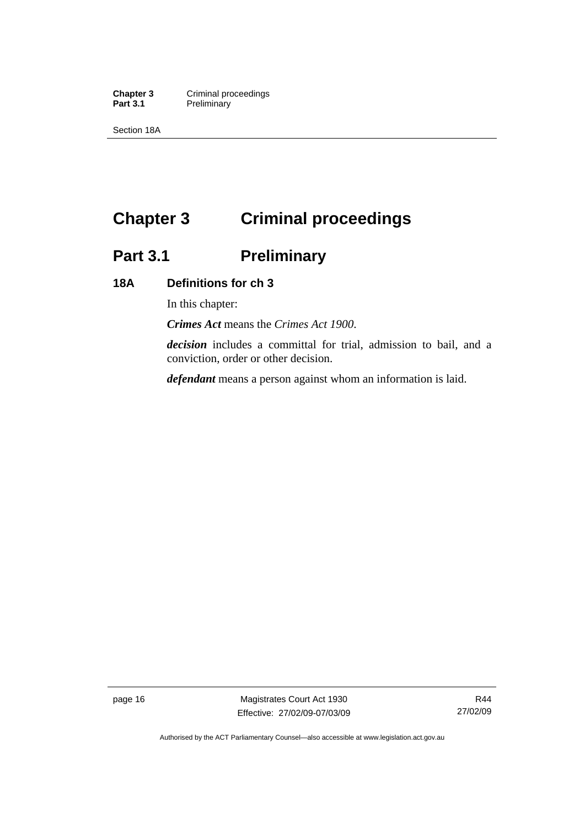<span id="page-31-0"></span>**Chapter 3 Criminal proceedings**<br> **Part 3.1 Preliminary Preliminary** 

Section 18A

# **Chapter 3 Criminal proceedings**

# **Part 3.1 Preliminary**

#### **18A Definitions for ch 3**

In this chapter:

*Crimes Act* means the *Crimes Act 1900*.

*decision* includes a committal for trial, admission to bail, and a conviction, order or other decision.

*defendant* means a person against whom an information is laid.

page 16 Magistrates Court Act 1930 Effective: 27/02/09-07/03/09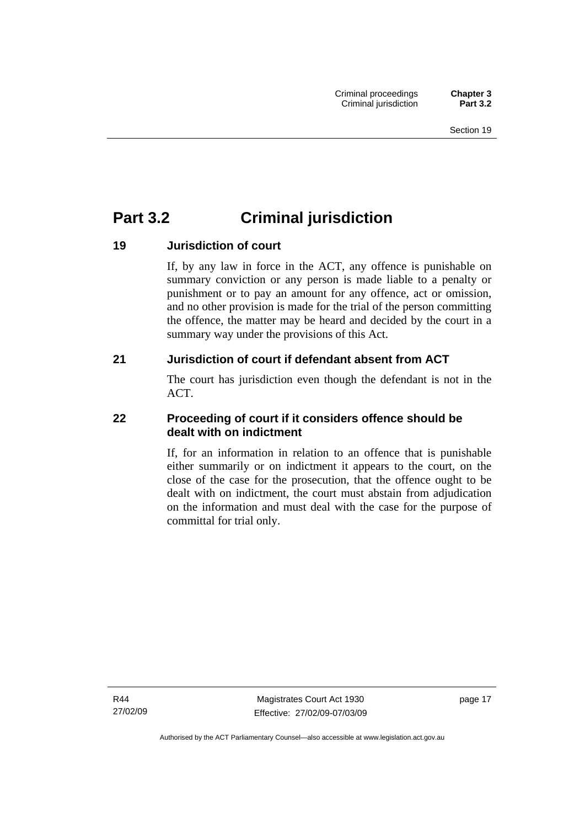### <span id="page-32-0"></span>**Part 3.2 Criminal jurisdiction**

#### **19 Jurisdiction of court**

If, by any law in force in the ACT, any offence is punishable on summary conviction or any person is made liable to a penalty or punishment or to pay an amount for any offence, act or omission, and no other provision is made for the trial of the person committing the offence, the matter may be heard and decided by the court in a summary way under the provisions of this Act.

#### **21 Jurisdiction of court if defendant absent from ACT**

The court has jurisdiction even though the defendant is not in the ACT.

#### **22 Proceeding of court if it considers offence should be dealt with on indictment**

If, for an information in relation to an offence that is punishable either summarily or on indictment it appears to the court, on the close of the case for the prosecution, that the offence ought to be dealt with on indictment, the court must abstain from adjudication on the information and must deal with the case for the purpose of committal for trial only.

R44 27/02/09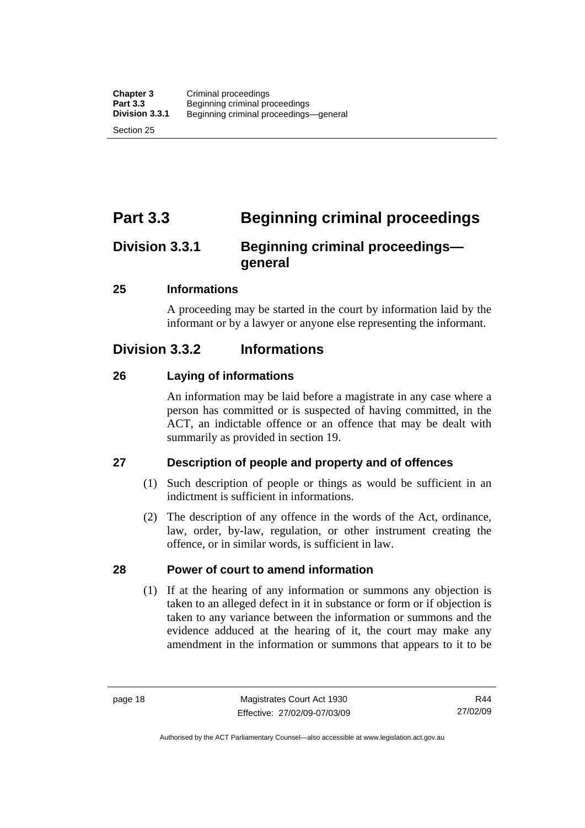<span id="page-33-0"></span>Section 25

### **Part 3.3 Beginning criminal proceedings**

### **Division 3.3.1 Beginning criminal proceedings general**

#### **25 Informations**

A proceeding may be started in the court by information laid by the informant or by a lawyer or anyone else representing the informant.

### **Division 3.3.2 Informations**

#### **26 Laying of informations**

An information may be laid before a magistrate in any case where a person has committed or is suspected of having committed, in the ACT, an indictable offence or an offence that may be dealt with summarily as provided in section 19.

#### **27 Description of people and property and of offences**

- (1) Such description of people or things as would be sufficient in an indictment is sufficient in informations.
- (2) The description of any offence in the words of the Act, ordinance, law, order, by-law, regulation, or other instrument creating the offence, or in similar words, is sufficient in law.

#### **28 Power of court to amend information**

 (1) If at the hearing of any information or summons any objection is taken to an alleged defect in it in substance or form or if objection is taken to any variance between the information or summons and the evidence adduced at the hearing of it, the court may make any amendment in the information or summons that appears to it to be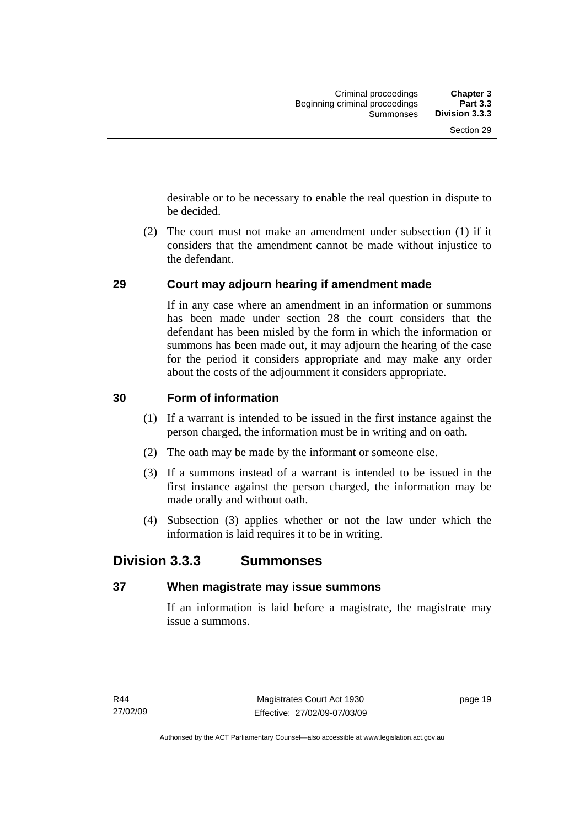<span id="page-34-0"></span>desirable or to be necessary to enable the real question in dispute to be decided.

 (2) The court must not make an amendment under subsection (1) if it considers that the amendment cannot be made without injustice to the defendant.

#### **29 Court may adjourn hearing if amendment made**

If in any case where an amendment in an information or summons has been made under section 28 the court considers that the defendant has been misled by the form in which the information or summons has been made out, it may adjourn the hearing of the case for the period it considers appropriate and may make any order about the costs of the adjournment it considers appropriate.

#### **30 Form of information**

- (1) If a warrant is intended to be issued in the first instance against the person charged, the information must be in writing and on oath.
- (2) The oath may be made by the informant or someone else.
- (3) If a summons instead of a warrant is intended to be issued in the first instance against the person charged, the information may be made orally and without oath.
- (4) Subsection (3) applies whether or not the law under which the information is laid requires it to be in writing.

### **Division 3.3.3 Summonses**

#### **37 When magistrate may issue summons**

If an information is laid before a magistrate, the magistrate may issue a summons.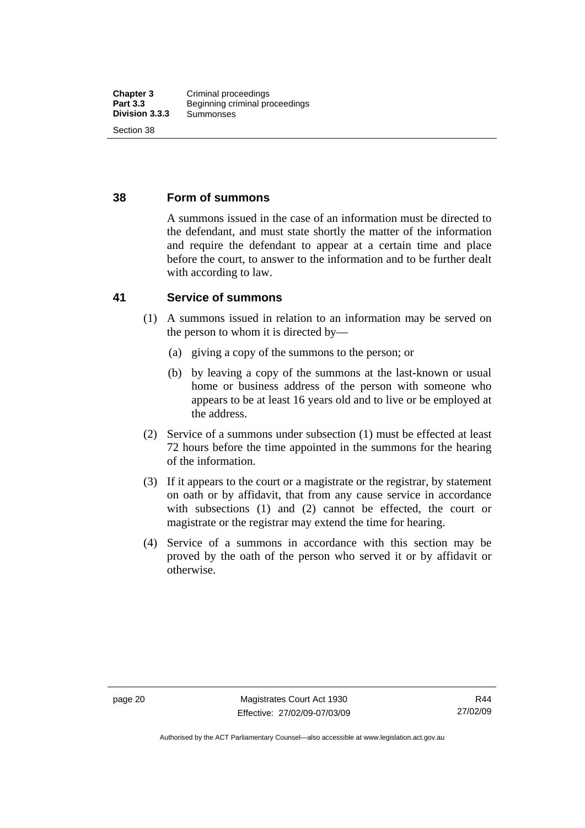#### <span id="page-35-0"></span>**38 Form of summons**

A summons issued in the case of an information must be directed to the defendant, and must state shortly the matter of the information and require the defendant to appear at a certain time and place before the court, to answer to the information and to be further dealt with according to law.

#### **41 Service of summons**

- (1) A summons issued in relation to an information may be served on the person to whom it is directed by—
	- (a) giving a copy of the summons to the person; or
	- (b) by leaving a copy of the summons at the last-known or usual home or business address of the person with someone who appears to be at least 16 years old and to live or be employed at the address.
- (2) Service of a summons under subsection (1) must be effected at least 72 hours before the time appointed in the summons for the hearing of the information.
- (3) If it appears to the court or a magistrate or the registrar, by statement on oath or by affidavit, that from any cause service in accordance with subsections (1) and (2) cannot be effected, the court or magistrate or the registrar may extend the time for hearing.
- (4) Service of a summons in accordance with this section may be proved by the oath of the person who served it or by affidavit or otherwise.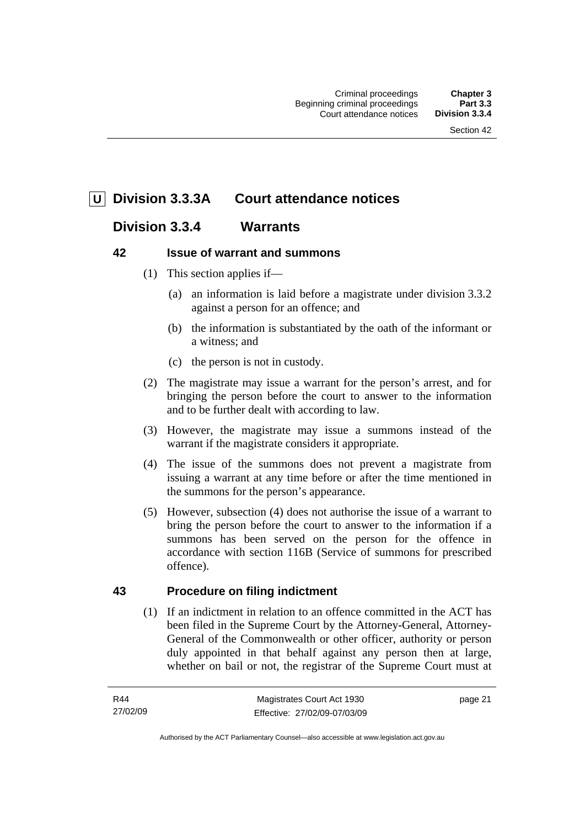# **U Division 3.3.3A Court attendance notices**

# **Division 3.3.4 Warrants**

# **42 Issue of warrant and summons**

- (1) This section applies if—
	- (a) an information is laid before a magistrate under division 3.3.2 against a person for an offence; and
	- (b) the information is substantiated by the oath of the informant or a witness; and
	- (c) the person is not in custody.
- (2) The magistrate may issue a warrant for the person's arrest, and for bringing the person before the court to answer to the information and to be further dealt with according to law.
- (3) However, the magistrate may issue a summons instead of the warrant if the magistrate considers it appropriate.
- (4) The issue of the summons does not prevent a magistrate from issuing a warrant at any time before or after the time mentioned in the summons for the person's appearance.
- (5) However, subsection (4) does not authorise the issue of a warrant to bring the person before the court to answer to the information if a summons has been served on the person for the offence in accordance with section 116B (Service of summons for prescribed offence).

# **43 Procedure on filing indictment**

 (1) If an indictment in relation to an offence committed in the ACT has been filed in the Supreme Court by the Attorney-General, Attorney-General of the Commonwealth or other officer, authority or person duly appointed in that behalf against any person then at large, whether on bail or not, the registrar of the Supreme Court must at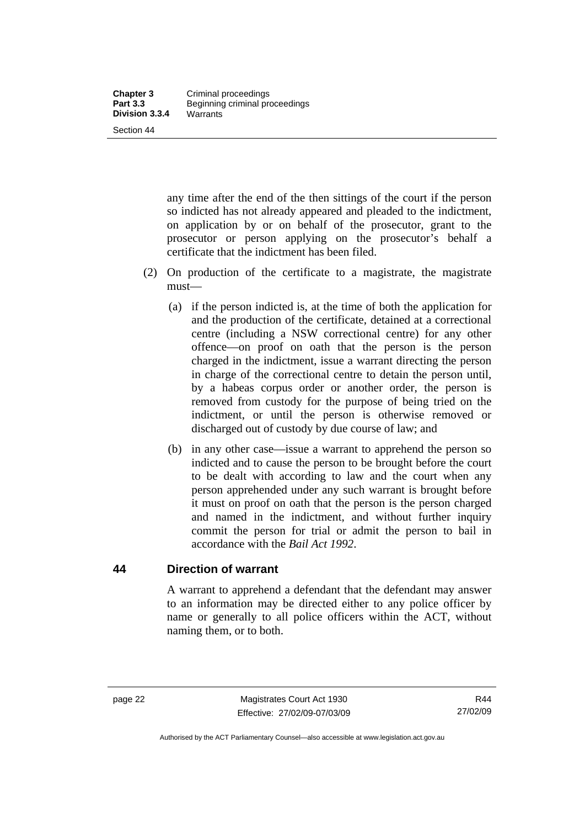any time after the end of the then sittings of the court if the person so indicted has not already appeared and pleaded to the indictment, on application by or on behalf of the prosecutor, grant to the prosecutor or person applying on the prosecutor's behalf a certificate that the indictment has been filed.

- (2) On production of the certificate to a magistrate, the magistrate must—
	- (a) if the person indicted is, at the time of both the application for and the production of the certificate, detained at a correctional centre (including a NSW correctional centre) for any other offence—on proof on oath that the person is the person charged in the indictment, issue a warrant directing the person in charge of the correctional centre to detain the person until, by a habeas corpus order or another order, the person is removed from custody for the purpose of being tried on the indictment, or until the person is otherwise removed or discharged out of custody by due course of law; and
	- (b) in any other case—issue a warrant to apprehend the person so indicted and to cause the person to be brought before the court to be dealt with according to law and the court when any person apprehended under any such warrant is brought before it must on proof on oath that the person is the person charged and named in the indictment, and without further inquiry commit the person for trial or admit the person to bail in accordance with the *Bail Act 1992*.

# **44 Direction of warrant**

A warrant to apprehend a defendant that the defendant may answer to an information may be directed either to any police officer by name or generally to all police officers within the ACT, without naming them, or to both.

Authorised by the ACT Parliamentary Counsel—also accessible at www.legislation.act.gov.au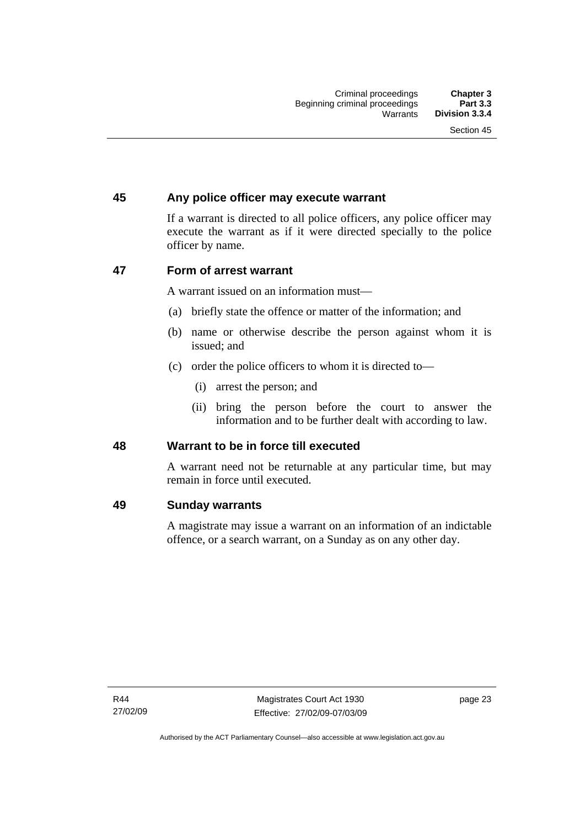# **45 Any police officer may execute warrant**

If a warrant is directed to all police officers, any police officer may execute the warrant as if it were directed specially to the police officer by name.

# **47 Form of arrest warrant**

A warrant issued on an information must—

- (a) briefly state the offence or matter of the information; and
- (b) name or otherwise describe the person against whom it is issued; and
- (c) order the police officers to whom it is directed to—
	- (i) arrest the person; and
	- (ii) bring the person before the court to answer the information and to be further dealt with according to law.

# **48 Warrant to be in force till executed**

A warrant need not be returnable at any particular time, but may remain in force until executed.

#### **49 Sunday warrants**

A magistrate may issue a warrant on an information of an indictable offence, or a search warrant, on a Sunday as on any other day.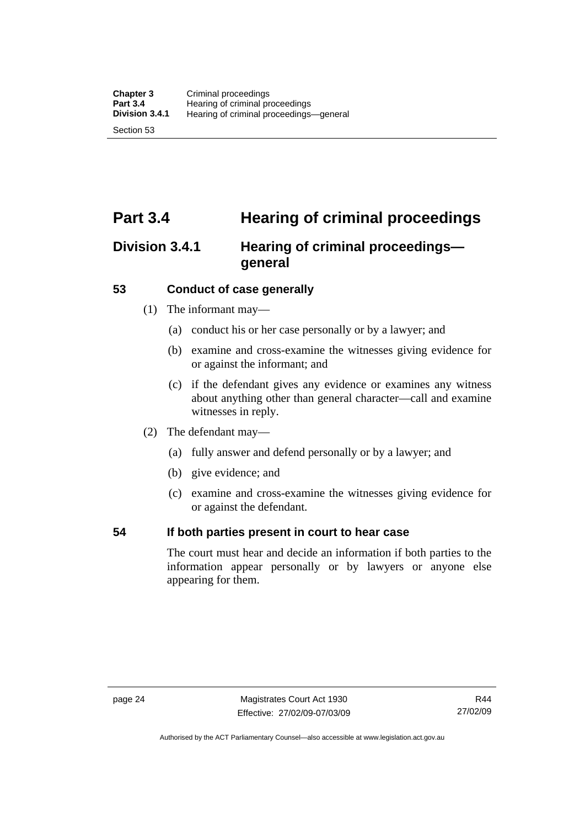# **Part 3.4 Hearing of criminal proceedings**

# **Division 3.4.1 Hearing of criminal proceedings general**

# **53 Conduct of case generally**

- (1) The informant may—
	- (a) conduct his or her case personally or by a lawyer; and
	- (b) examine and cross-examine the witnesses giving evidence for or against the informant; and
	- (c) if the defendant gives any evidence or examines any witness about anything other than general character—call and examine witnesses in reply.
- (2) The defendant may—
	- (a) fully answer and defend personally or by a lawyer; and
	- (b) give evidence; and
	- (c) examine and cross-examine the witnesses giving evidence for or against the defendant.

# **54 If both parties present in court to hear case**

The court must hear and decide an information if both parties to the information appear personally or by lawyers or anyone else appearing for them.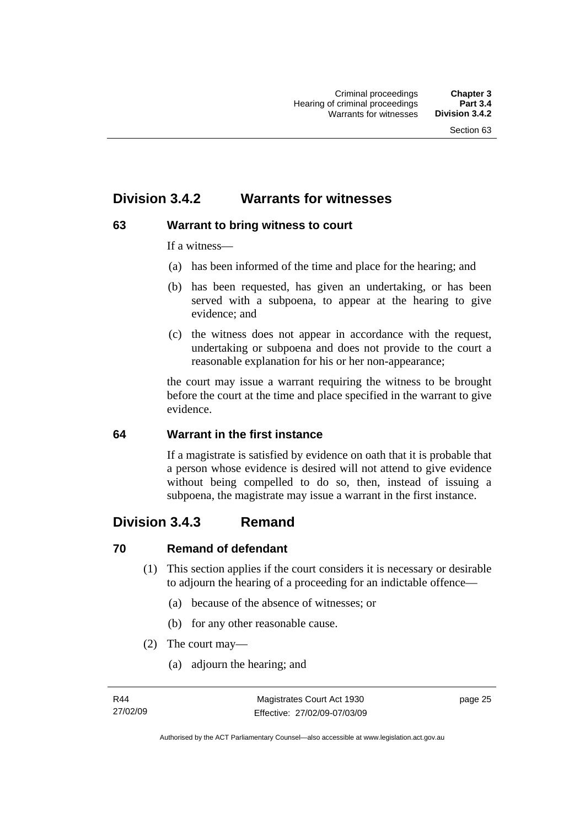# **Division 3.4.2 Warrants for witnesses**

# **63 Warrant to bring witness to court**

If a witness—

- (a) has been informed of the time and place for the hearing; and
- (b) has been requested, has given an undertaking, or has been served with a subpoena, to appear at the hearing to give evidence; and
- (c) the witness does not appear in accordance with the request, undertaking or subpoena and does not provide to the court a reasonable explanation for his or her non-appearance;

the court may issue a warrant requiring the witness to be brought before the court at the time and place specified in the warrant to give evidence.

# **64 Warrant in the first instance**

If a magistrate is satisfied by evidence on oath that it is probable that a person whose evidence is desired will not attend to give evidence without being compelled to do so, then, instead of issuing a subpoena, the magistrate may issue a warrant in the first instance.

# **Division 3.4.3 Remand**

# **70 Remand of defendant**

- (1) This section applies if the court considers it is necessary or desirable to adjourn the hearing of a proceeding for an indictable offence—
	- (a) because of the absence of witnesses; or
	- (b) for any other reasonable cause.
- (2) The court may—
	- (a) adjourn the hearing; and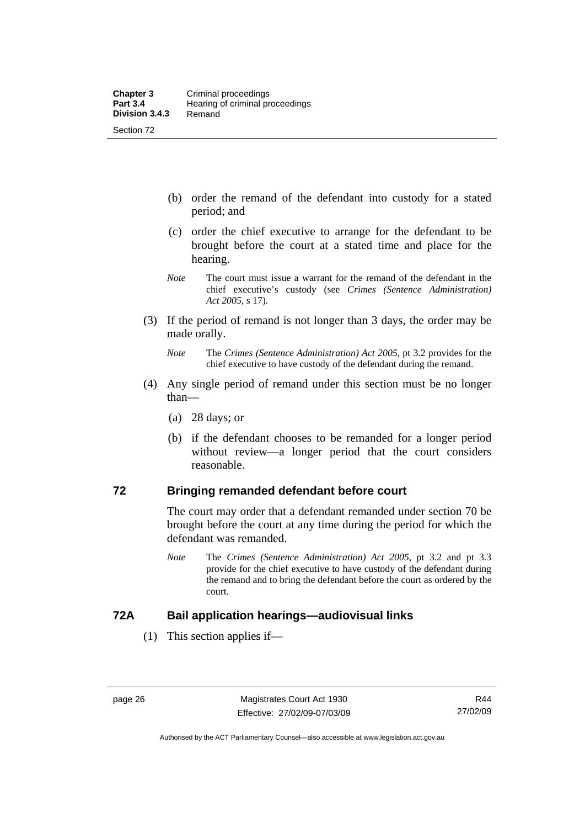- (b) order the remand of the defendant into custody for a stated period; and
- (c) order the chief executive to arrange for the defendant to be brought before the court at a stated time and place for the hearing.
- *Note* The court must issue a warrant for the remand of the defendant in the chief executive's custody (see *Crimes (Sentence Administration) Act 2005*, s 17).
- (3) If the period of remand is not longer than 3 days, the order may be made orally.
	- *Note* The *Crimes (Sentence Administration) Act 2005*, pt 3.2 provides for the chief executive to have custody of the defendant during the remand.
- (4) Any single period of remand under this section must be no longer than—
	- (a) 28 days; or
	- (b) if the defendant chooses to be remanded for a longer period without review—a longer period that the court considers reasonable.

# **72 Bringing remanded defendant before court**

The court may order that a defendant remanded under section 70 be brought before the court at any time during the period for which the defendant was remanded.

*Note* The *Crimes (Sentence Administration) Act 2005*, pt 3.2 and pt 3.3 provide for the chief executive to have custody of the defendant during the remand and to bring the defendant before the court as ordered by the court.

# **72A Bail application hearings—audiovisual links**

(1) This section applies if—

Authorised by the ACT Parliamentary Counsel—also accessible at www.legislation.act.gov.au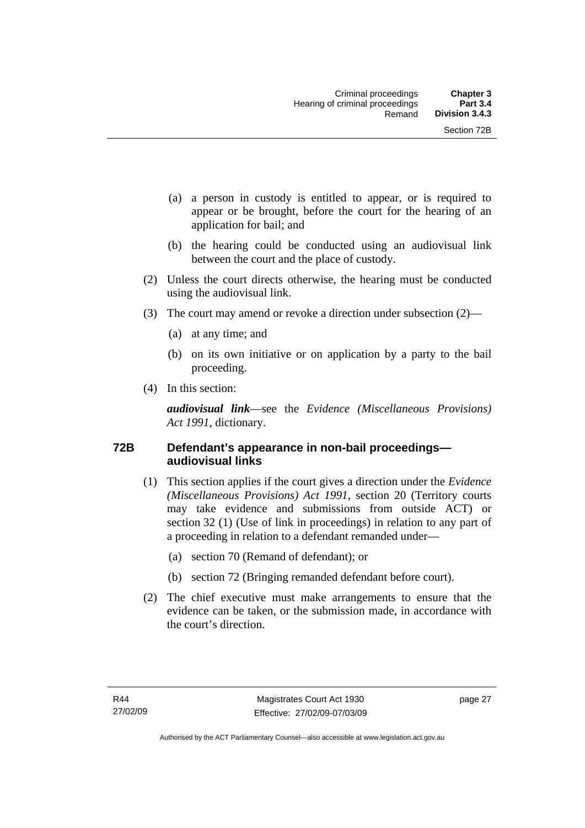- (a) a person in custody is entitled to appear, or is required to appear or be brought, before the court for the hearing of an application for bail; and
- (b) the hearing could be conducted using an audiovisual link between the court and the place of custody.
- (2) Unless the court directs otherwise, the hearing must be conducted using the audiovisual link.
- (3) The court may amend or revoke a direction under subsection (2)—
	- (a) at any time; and
	- (b) on its own initiative or on application by a party to the bail proceeding.
- (4) In this section:

*audiovisual link*—see the *Evidence (Miscellaneous Provisions) Act 1991*, dictionary.

# **72B Defendant's appearance in non-bail proceedings audiovisual links**

- (1) This section applies if the court gives a direction under the *Evidence (Miscellaneous Provisions) Act 1991*, section 20 (Territory courts may take evidence and submissions from outside ACT) or section 32 (1) (Use of link in proceedings) in relation to any part of a proceeding in relation to a defendant remanded under—
	- (a) section 70 (Remand of defendant); or
	- (b) section 72 (Bringing remanded defendant before court).
- (2) The chief executive must make arrangements to ensure that the evidence can be taken, or the submission made, in accordance with the court's direction.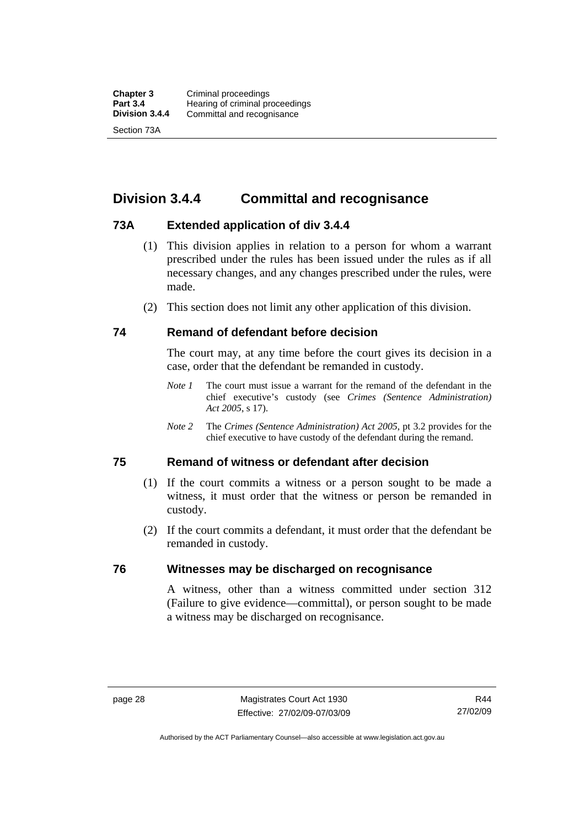# **Division 3.4.4 Committal and recognisance**

# **73A Extended application of div 3.4.4**

- (1) This division applies in relation to a person for whom a warrant prescribed under the rules has been issued under the rules as if all necessary changes, and any changes prescribed under the rules, were made.
- (2) This section does not limit any other application of this division.

# **74 Remand of defendant before decision**

The court may, at any time before the court gives its decision in a case, order that the defendant be remanded in custody.

- *Note 1* The court must issue a warrant for the remand of the defendant in the chief executive's custody (see *Crimes (Sentence Administration) Act 2005*, s 17).
- *Note 2* The *Crimes (Sentence Administration) Act 2005*, pt 3.2 provides for the chief executive to have custody of the defendant during the remand.

# **75 Remand of witness or defendant after decision**

- (1) If the court commits a witness or a person sought to be made a witness, it must order that the witness or person be remanded in custody.
- (2) If the court commits a defendant, it must order that the defendant be remanded in custody.

# **76 Witnesses may be discharged on recognisance**

A witness, other than a witness committed under section 312 (Failure to give evidence—committal), or person sought to be made a witness may be discharged on recognisance.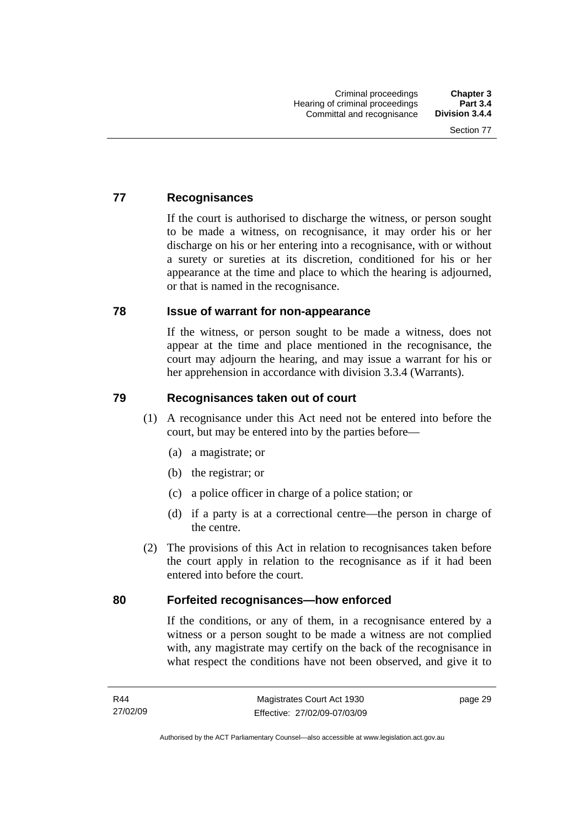# **77 Recognisances**

If the court is authorised to discharge the witness, or person sought to be made a witness, on recognisance, it may order his or her discharge on his or her entering into a recognisance, with or without a surety or sureties at its discretion, conditioned for his or her appearance at the time and place to which the hearing is adjourned, or that is named in the recognisance.

#### **78 Issue of warrant for non-appearance**

If the witness, or person sought to be made a witness, does not appear at the time and place mentioned in the recognisance, the court may adjourn the hearing, and may issue a warrant for his or her apprehension in accordance with division 3.3.4 (Warrants).

# **79 Recognisances taken out of court**

- (1) A recognisance under this Act need not be entered into before the court, but may be entered into by the parties before—
	- (a) a magistrate; or
	- (b) the registrar; or
	- (c) a police officer in charge of a police station; or
	- (d) if a party is at a correctional centre—the person in charge of the centre.
- (2) The provisions of this Act in relation to recognisances taken before the court apply in relation to the recognisance as if it had been entered into before the court.

# **80 Forfeited recognisances—how enforced**

If the conditions, or any of them, in a recognisance entered by a witness or a person sought to be made a witness are not complied with, any magistrate may certify on the back of the recognisance in what respect the conditions have not been observed, and give it to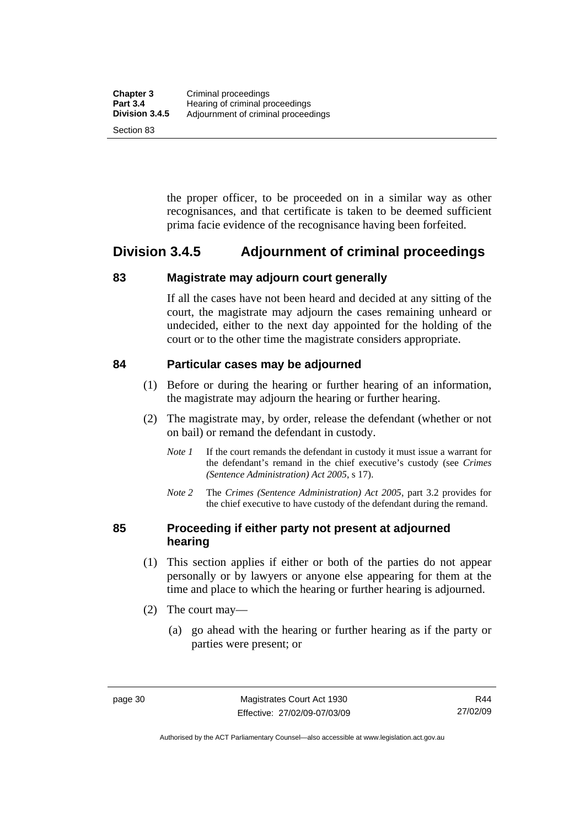the proper officer, to be proceeded on in a similar way as other recognisances, and that certificate is taken to be deemed sufficient prima facie evidence of the recognisance having been forfeited.

# **Division 3.4.5 Adjournment of criminal proceedings**

# **83 Magistrate may adjourn court generally**

If all the cases have not been heard and decided at any sitting of the court, the magistrate may adjourn the cases remaining unheard or undecided, either to the next day appointed for the holding of the court or to the other time the magistrate considers appropriate.

# **84 Particular cases may be adjourned**

- (1) Before or during the hearing or further hearing of an information, the magistrate may adjourn the hearing or further hearing.
- (2) The magistrate may, by order, release the defendant (whether or not on bail) or remand the defendant in custody.
	- *Note 1* If the court remands the defendant in custody it must issue a warrant for the defendant's remand in the chief executive's custody (see *Crimes (Sentence Administration) Act 2005*, s 17).
	- *Note 2* The *Crimes (Sentence Administration) Act 2005*, part 3.2 provides for the chief executive to have custody of the defendant during the remand.

# **85 Proceeding if either party not present at adjourned hearing**

- (1) This section applies if either or both of the parties do not appear personally or by lawyers or anyone else appearing for them at the time and place to which the hearing or further hearing is adjourned.
- (2) The court may—
	- (a) go ahead with the hearing or further hearing as if the party or parties were present; or

Authorised by the ACT Parliamentary Counsel—also accessible at www.legislation.act.gov.au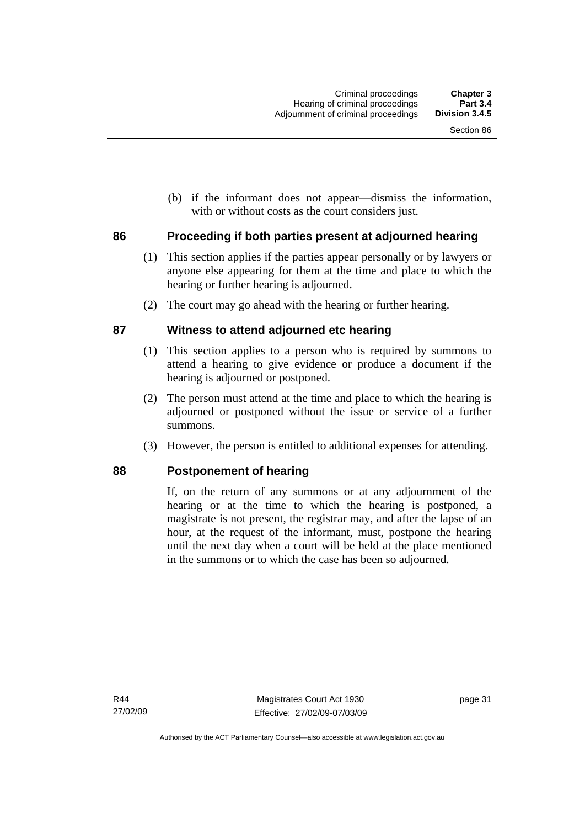(b) if the informant does not appear—dismiss the information, with or without costs as the court considers just.

# **86 Proceeding if both parties present at adjourned hearing**

- (1) This section applies if the parties appear personally or by lawyers or anyone else appearing for them at the time and place to which the hearing or further hearing is adjourned.
- (2) The court may go ahead with the hearing or further hearing.

# **87 Witness to attend adjourned etc hearing**

- (1) This section applies to a person who is required by summons to attend a hearing to give evidence or produce a document if the hearing is adjourned or postponed.
- (2) The person must attend at the time and place to which the hearing is adjourned or postponed without the issue or service of a further summons.
- (3) However, the person is entitled to additional expenses for attending.

# **88 Postponement of hearing**

If, on the return of any summons or at any adjournment of the hearing or at the time to which the hearing is postponed, a magistrate is not present, the registrar may, and after the lapse of an hour, at the request of the informant, must, postpone the hearing until the next day when a court will be held at the place mentioned in the summons or to which the case has been so adjourned.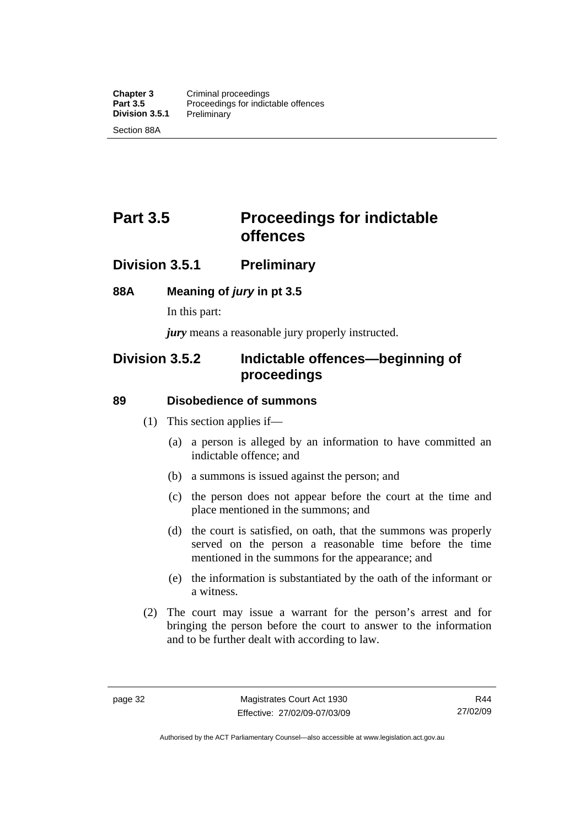# **Part 3.5** Proceedings for indictable **offences**

# **Division 3.5.1 Preliminary**

# **88A Meaning of** *jury* **in pt 3.5**

In this part:

*jury* means a reasonable jury properly instructed.

# **Division 3.5.2 Indictable offences—beginning of proceedings**

# **89 Disobedience of summons**

- (1) This section applies if—
	- (a) a person is alleged by an information to have committed an indictable offence; and
	- (b) a summons is issued against the person; and
	- (c) the person does not appear before the court at the time and place mentioned in the summons; and
	- (d) the court is satisfied, on oath, that the summons was properly served on the person a reasonable time before the time mentioned in the summons for the appearance; and
	- (e) the information is substantiated by the oath of the informant or a witness.
- (2) The court may issue a warrant for the person's arrest and for bringing the person before the court to answer to the information and to be further dealt with according to law.

Authorised by the ACT Parliamentary Counsel—also accessible at www.legislation.act.gov.au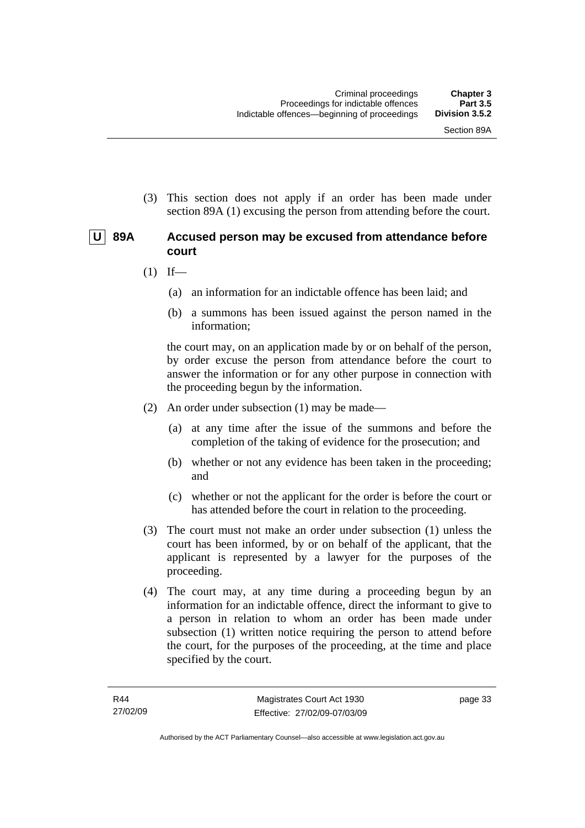(3) This section does not apply if an order has been made under section 89A (1) excusing the person from attending before the court.

# **U 89A Accused person may be excused from attendance before court**

- $(1)$  If—
	- (a) an information for an indictable offence has been laid; and
	- (b) a summons has been issued against the person named in the information;

the court may, on an application made by or on behalf of the person, by order excuse the person from attendance before the court to answer the information or for any other purpose in connection with the proceeding begun by the information.

- (2) An order under subsection (1) may be made—
	- (a) at any time after the issue of the summons and before the completion of the taking of evidence for the prosecution; and
	- (b) whether or not any evidence has been taken in the proceeding; and
	- (c) whether or not the applicant for the order is before the court or has attended before the court in relation to the proceeding.
- (3) The court must not make an order under subsection (1) unless the court has been informed, by or on behalf of the applicant, that the applicant is represented by a lawyer for the purposes of the proceeding.
- (4) The court may, at any time during a proceeding begun by an information for an indictable offence, direct the informant to give to a person in relation to whom an order has been made under subsection (1) written notice requiring the person to attend before the court, for the purposes of the proceeding, at the time and place specified by the court.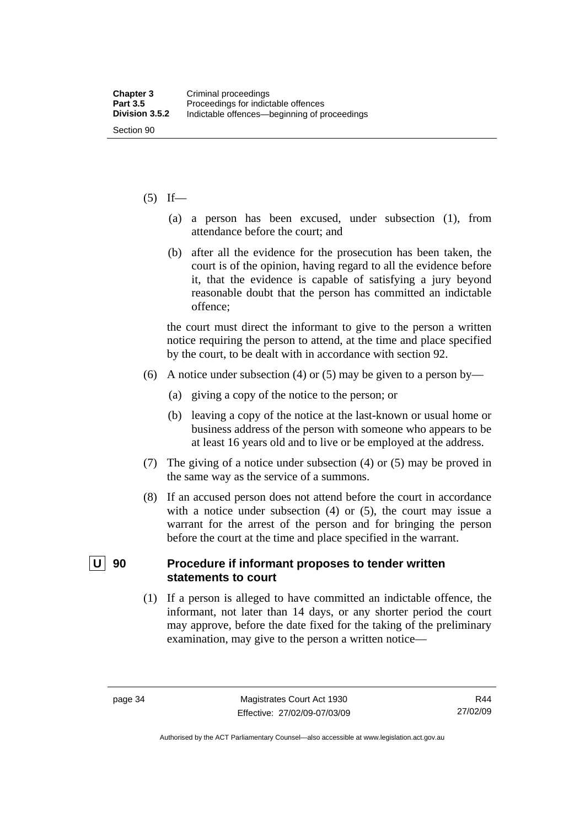#### $(5)$  If—

- (a) a person has been excused, under subsection (1), from attendance before the court; and
- (b) after all the evidence for the prosecution has been taken, the court is of the opinion, having regard to all the evidence before it, that the evidence is capable of satisfying a jury beyond reasonable doubt that the person has committed an indictable offence;

the court must direct the informant to give to the person a written notice requiring the person to attend, at the time and place specified by the court, to be dealt with in accordance with section 92.

- (6) A notice under subsection (4) or (5) may be given to a person by—
	- (a) giving a copy of the notice to the person; or
	- (b) leaving a copy of the notice at the last-known or usual home or business address of the person with someone who appears to be at least 16 years old and to live or be employed at the address.
- (7) The giving of a notice under subsection (4) or (5) may be proved in the same way as the service of a summons.
- (8) If an accused person does not attend before the court in accordance with a notice under subsection (4) or (5), the court may issue a warrant for the arrest of the person and for bringing the person before the court at the time and place specified in the warrant.

# **U** 90 Procedure if informant proposes to tender written **statements to court**

 (1) If a person is alleged to have committed an indictable offence, the informant, not later than 14 days, or any shorter period the court may approve, before the date fixed for the taking of the preliminary examination, may give to the person a written notice—

Authorised by the ACT Parliamentary Counsel—also accessible at www.legislation.act.gov.au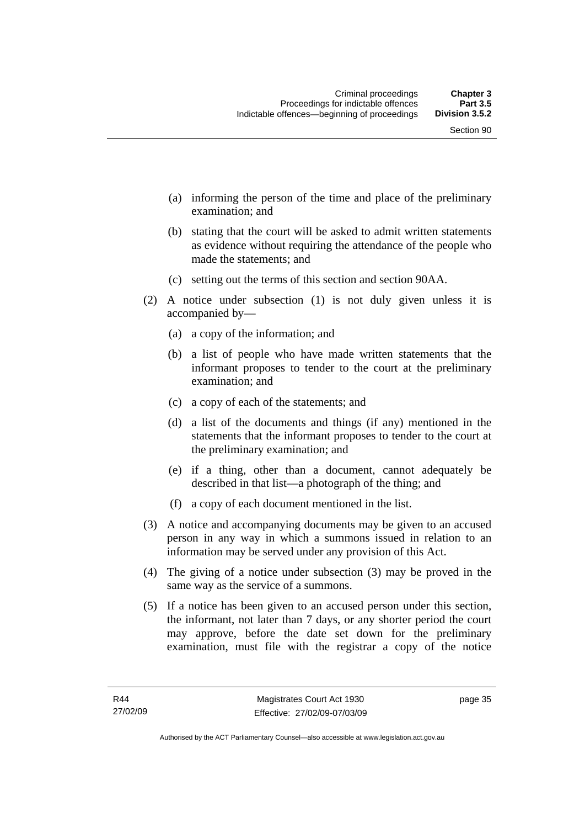- (a) informing the person of the time and place of the preliminary examination; and
- (b) stating that the court will be asked to admit written statements as evidence without requiring the attendance of the people who made the statements; and
- (c) setting out the terms of this section and section 90AA.
- (2) A notice under subsection (1) is not duly given unless it is accompanied by—
	- (a) a copy of the information; and
	- (b) a list of people who have made written statements that the informant proposes to tender to the court at the preliminary examination; and
	- (c) a copy of each of the statements; and
	- (d) a list of the documents and things (if any) mentioned in the statements that the informant proposes to tender to the court at the preliminary examination; and
	- (e) if a thing, other than a document, cannot adequately be described in that list—a photograph of the thing; and
	- (f) a copy of each document mentioned in the list.
- (3) A notice and accompanying documents may be given to an accused person in any way in which a summons issued in relation to an information may be served under any provision of this Act.
- (4) The giving of a notice under subsection (3) may be proved in the same way as the service of a summons.
- (5) If a notice has been given to an accused person under this section, the informant, not later than 7 days, or any shorter period the court may approve, before the date set down for the preliminary examination, must file with the registrar a copy of the notice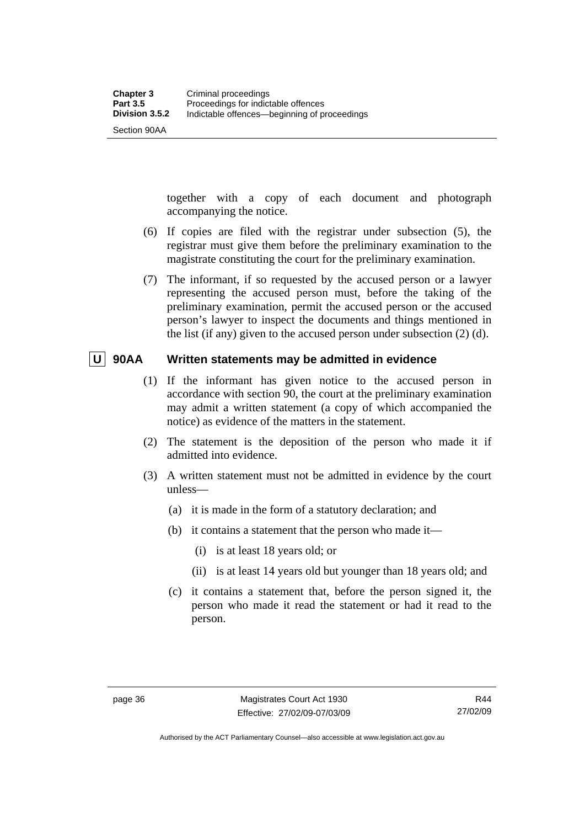Section 90AA

together with a copy of each document and photograph accompanying the notice.

- (6) If copies are filed with the registrar under subsection (5), the registrar must give them before the preliminary examination to the magistrate constituting the court for the preliminary examination.
- (7) The informant, if so requested by the accused person or a lawyer representing the accused person must, before the taking of the preliminary examination, permit the accused person or the accused person's lawyer to inspect the documents and things mentioned in the list (if any) given to the accused person under subsection (2) (d).

# **U 90AA Written statements may be admitted in evidence**

- (1) If the informant has given notice to the accused person in accordance with section 90, the court at the preliminary examination may admit a written statement (a copy of which accompanied the notice) as evidence of the matters in the statement.
- (2) The statement is the deposition of the person who made it if admitted into evidence.
- (3) A written statement must not be admitted in evidence by the court unless—
	- (a) it is made in the form of a statutory declaration; and
	- (b) it contains a statement that the person who made it—
		- (i) is at least 18 years old; or
		- (ii) is at least 14 years old but younger than 18 years old; and
	- (c) it contains a statement that, before the person signed it, the person who made it read the statement or had it read to the person.

Authorised by the ACT Parliamentary Counsel—also accessible at www.legislation.act.gov.au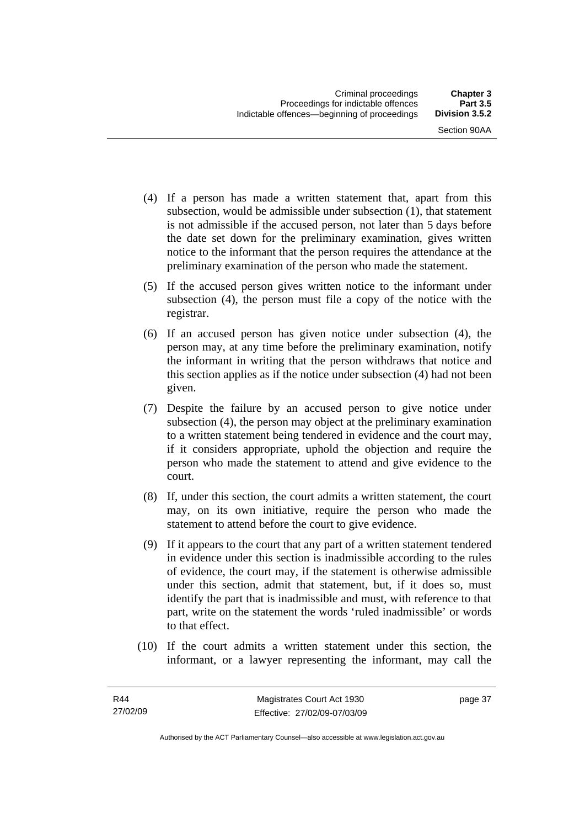- (4) If a person has made a written statement that, apart from this subsection, would be admissible under subsection (1), that statement is not admissible if the accused person, not later than 5 days before the date set down for the preliminary examination, gives written notice to the informant that the person requires the attendance at the preliminary examination of the person who made the statement.
- (5) If the accused person gives written notice to the informant under subsection (4), the person must file a copy of the notice with the registrar.
- (6) If an accused person has given notice under subsection (4), the person may, at any time before the preliminary examination, notify the informant in writing that the person withdraws that notice and this section applies as if the notice under subsection (4) had not been given.
- (7) Despite the failure by an accused person to give notice under subsection (4), the person may object at the preliminary examination to a written statement being tendered in evidence and the court may, if it considers appropriate, uphold the objection and require the person who made the statement to attend and give evidence to the court.
- (8) If, under this section, the court admits a written statement, the court may, on its own initiative, require the person who made the statement to attend before the court to give evidence.
- (9) If it appears to the court that any part of a written statement tendered in evidence under this section is inadmissible according to the rules of evidence, the court may, if the statement is otherwise admissible under this section, admit that statement, but, if it does so, must identify the part that is inadmissible and must, with reference to that part, write on the statement the words 'ruled inadmissible' or words to that effect.
- (10) If the court admits a written statement under this section, the informant, or a lawyer representing the informant, may call the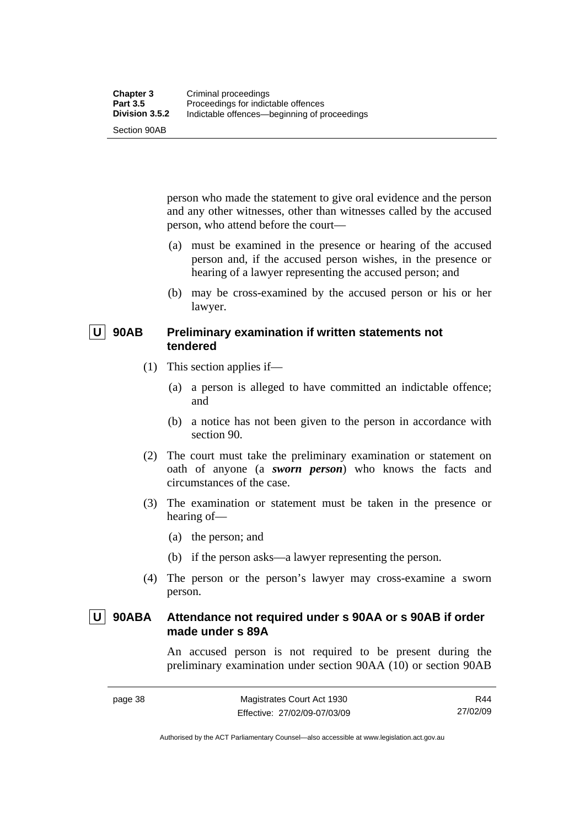Section 90AB

person who made the statement to give oral evidence and the person and any other witnesses, other than witnesses called by the accused person, who attend before the court—

- (a) must be examined in the presence or hearing of the accused person and, if the accused person wishes, in the presence or hearing of a lawyer representing the accused person; and
- (b) may be cross-examined by the accused person or his or her lawyer.

# **U** 90AB Preliminary examination if written statements not **tendered**

- (1) This section applies if—
	- (a) a person is alleged to have committed an indictable offence; and
	- (b) a notice has not been given to the person in accordance with section 90.
- (2) The court must take the preliminary examination or statement on oath of anyone (a *sworn person*) who knows the facts and circumstances of the case.
- (3) The examination or statement must be taken in the presence or hearing of—
	- (a) the person; and
	- (b) if the person asks—a lawyer representing the person.
- (4) The person or the person's lawyer may cross-examine a sworn person.

# **U 90ABA Attendance not required under s 90AA or s 90AB if order made under s 89A**

An accused person is not required to be present during the preliminary examination under section 90AA (10) or section 90AB

R44 27/02/09

Authorised by the ACT Parliamentary Counsel—also accessible at www.legislation.act.gov.au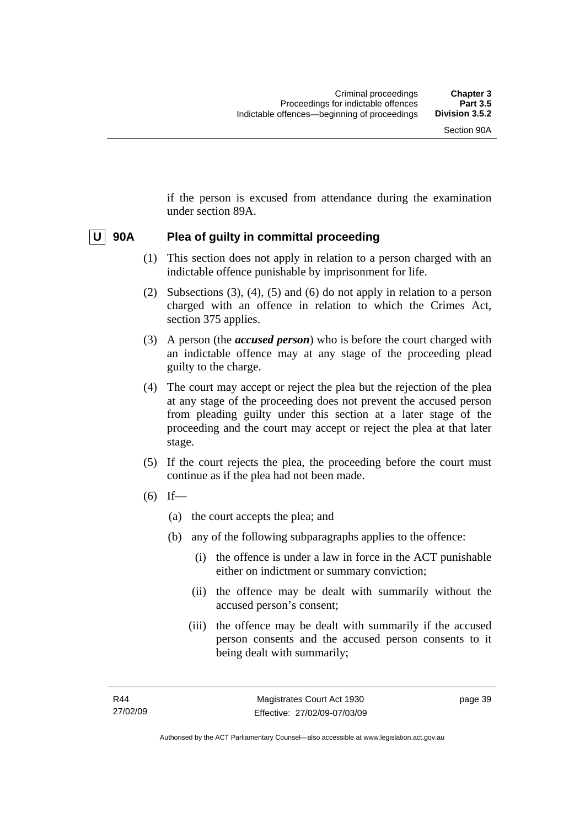if the person is excused from attendance during the examination under section 89A.

# **U 90A Plea of guilty in committal proceeding**

- (1) This section does not apply in relation to a person charged with an indictable offence punishable by imprisonment for life.
- (2) Subsections (3), (4), (5) and (6) do not apply in relation to a person charged with an offence in relation to which the Crimes Act, section 375 applies.
- (3) A person (the *accused person*) who is before the court charged with an indictable offence may at any stage of the proceeding plead guilty to the charge.
- (4) The court may accept or reject the plea but the rejection of the plea at any stage of the proceeding does not prevent the accused person from pleading guilty under this section at a later stage of the proceeding and the court may accept or reject the plea at that later stage.
- (5) If the court rejects the plea, the proceeding before the court must continue as if the plea had not been made.
- $(6)$  If—
	- (a) the court accepts the plea; and
	- (b) any of the following subparagraphs applies to the offence:
		- (i) the offence is under a law in force in the ACT punishable either on indictment or summary conviction;
		- (ii) the offence may be dealt with summarily without the accused person's consent;
		- (iii) the offence may be dealt with summarily if the accused person consents and the accused person consents to it being dealt with summarily;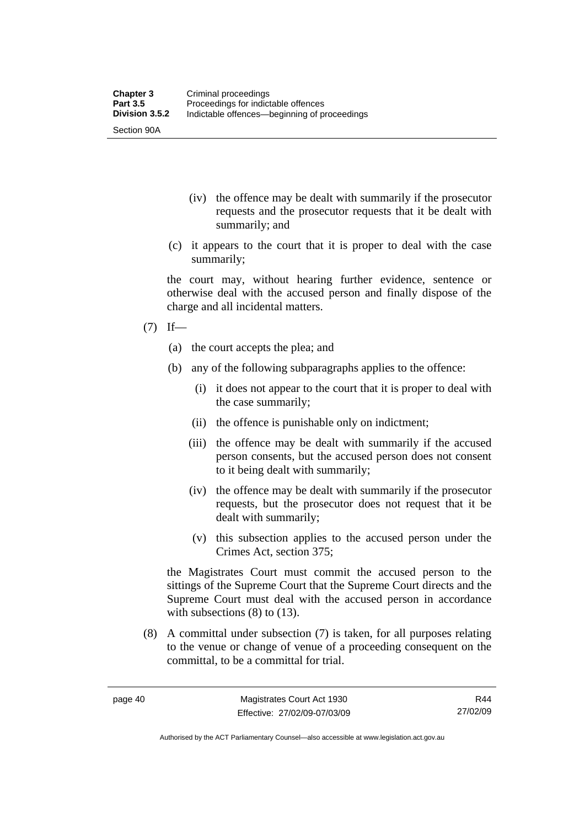- (iv) the offence may be dealt with summarily if the prosecutor requests and the prosecutor requests that it be dealt with summarily; and
- (c) it appears to the court that it is proper to deal with the case summarily;

the court may, without hearing further evidence, sentence or otherwise deal with the accused person and finally dispose of the charge and all incidental matters.

 $(7)$  If—

Section 90A

- (a) the court accepts the plea; and
- (b) any of the following subparagraphs applies to the offence:
	- (i) it does not appear to the court that it is proper to deal with the case summarily;
	- (ii) the offence is punishable only on indictment;
	- (iii) the offence may be dealt with summarily if the accused person consents, but the accused person does not consent to it being dealt with summarily;
	- (iv) the offence may be dealt with summarily if the prosecutor requests, but the prosecutor does not request that it be dealt with summarily;
	- (v) this subsection applies to the accused person under the Crimes Act, section 375;

the Magistrates Court must commit the accused person to the sittings of the Supreme Court that the Supreme Court directs and the Supreme Court must deal with the accused person in accordance with subsections (8) to (13).

 (8) A committal under subsection (7) is taken, for all purposes relating to the venue or change of venue of a proceeding consequent on the committal, to be a committal for trial.

R44 27/02/09

Authorised by the ACT Parliamentary Counsel—also accessible at www.legislation.act.gov.au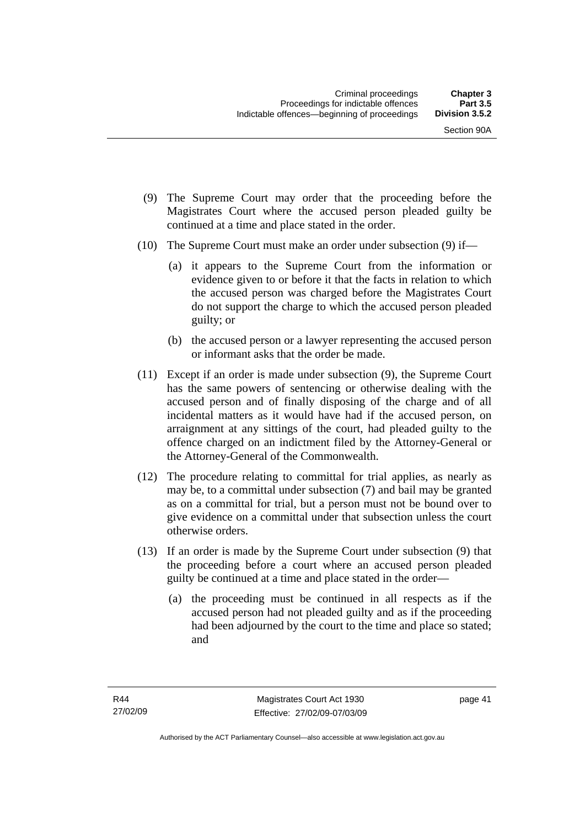- (9) The Supreme Court may order that the proceeding before the Magistrates Court where the accused person pleaded guilty be continued at a time and place stated in the order.
- (10) The Supreme Court must make an order under subsection (9) if—
	- (a) it appears to the Supreme Court from the information or evidence given to or before it that the facts in relation to which the accused person was charged before the Magistrates Court do not support the charge to which the accused person pleaded guilty; or
	- (b) the accused person or a lawyer representing the accused person or informant asks that the order be made.
- (11) Except if an order is made under subsection (9), the Supreme Court has the same powers of sentencing or otherwise dealing with the accused person and of finally disposing of the charge and of all incidental matters as it would have had if the accused person, on arraignment at any sittings of the court, had pleaded guilty to the offence charged on an indictment filed by the Attorney-General or the Attorney-General of the Commonwealth.
- (12) The procedure relating to committal for trial applies, as nearly as may be, to a committal under subsection (7) and bail may be granted as on a committal for trial, but a person must not be bound over to give evidence on a committal under that subsection unless the court otherwise orders.
- (13) If an order is made by the Supreme Court under subsection (9) that the proceeding before a court where an accused person pleaded guilty be continued at a time and place stated in the order—
	- (a) the proceeding must be continued in all respects as if the accused person had not pleaded guilty and as if the proceeding had been adjourned by the court to the time and place so stated; and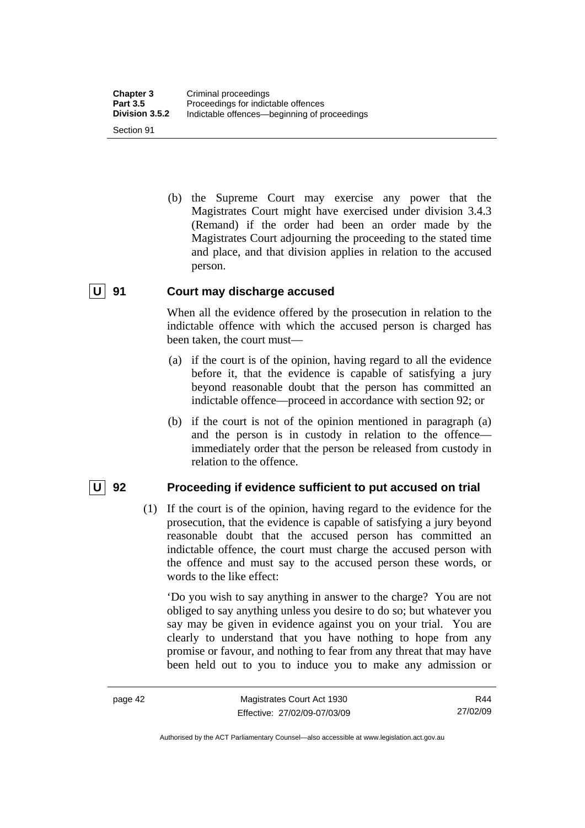(b) the Supreme Court may exercise any power that the Magistrates Court might have exercised under division 3.4.3 (Remand) if the order had been an order made by the Magistrates Court adjourning the proceeding to the stated time and place, and that division applies in relation to the accused person.

# **U 91 Court may discharge accused**

When all the evidence offered by the prosecution in relation to the indictable offence with which the accused person is charged has been taken, the court must—

- (a) if the court is of the opinion, having regard to all the evidence before it, that the evidence is capable of satisfying a jury beyond reasonable doubt that the person has committed an indictable offence—proceed in accordance with section 92; or
- (b) if the court is not of the opinion mentioned in paragraph (a) and the person is in custody in relation to the offence immediately order that the person be released from custody in relation to the offence.

# **U** 92 Proceeding if evidence sufficient to put accused on trial

 (1) If the court is of the opinion, having regard to the evidence for the prosecution, that the evidence is capable of satisfying a jury beyond reasonable doubt that the accused person has committed an indictable offence, the court must charge the accused person with the offence and must say to the accused person these words, or words to the like effect:

'Do you wish to say anything in answer to the charge? You are not obliged to say anything unless you desire to do so; but whatever you say may be given in evidence against you on your trial. You are clearly to understand that you have nothing to hope from any promise or favour, and nothing to fear from any threat that may have been held out to you to induce you to make any admission or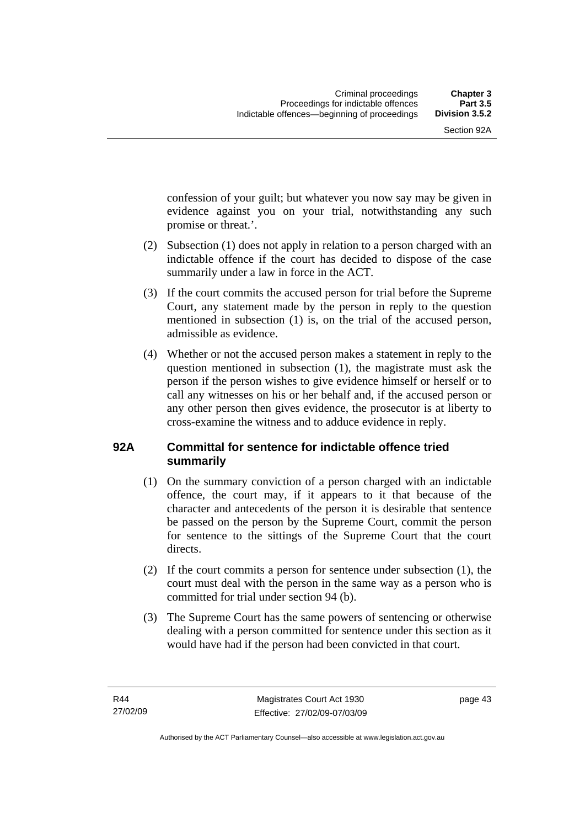confession of your guilt; but whatever you now say may be given in evidence against you on your trial, notwithstanding any such promise or threat.'.

- (2) Subsection (1) does not apply in relation to a person charged with an indictable offence if the court has decided to dispose of the case summarily under a law in force in the ACT.
- (3) If the court commits the accused person for trial before the Supreme Court, any statement made by the person in reply to the question mentioned in subsection (1) is, on the trial of the accused person, admissible as evidence.
- (4) Whether or not the accused person makes a statement in reply to the question mentioned in subsection (1), the magistrate must ask the person if the person wishes to give evidence himself or herself or to call any witnesses on his or her behalf and, if the accused person or any other person then gives evidence, the prosecutor is at liberty to cross-examine the witness and to adduce evidence in reply.

# **92A Committal for sentence for indictable offence tried summarily**

- (1) On the summary conviction of a person charged with an indictable offence, the court may, if it appears to it that because of the character and antecedents of the person it is desirable that sentence be passed on the person by the Supreme Court, commit the person for sentence to the sittings of the Supreme Court that the court directs.
- (2) If the court commits a person for sentence under subsection (1), the court must deal with the person in the same way as a person who is committed for trial under section 94 (b).
- (3) The Supreme Court has the same powers of sentencing or otherwise dealing with a person committed for sentence under this section as it would have had if the person had been convicted in that court.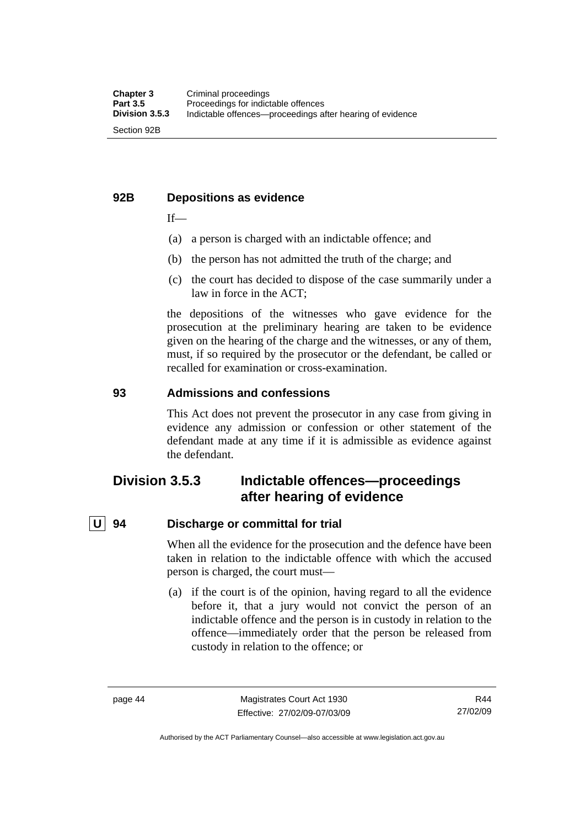# **92B Depositions as evidence**

 $If$ —

- (a) a person is charged with an indictable offence; and
- (b) the person has not admitted the truth of the charge; and
- (c) the court has decided to dispose of the case summarily under a law in force in the ACT;

the depositions of the witnesses who gave evidence for the prosecution at the preliminary hearing are taken to be evidence given on the hearing of the charge and the witnesses, or any of them, must, if so required by the prosecutor or the defendant, be called or recalled for examination or cross-examination.

# **93 Admissions and confessions**

This Act does not prevent the prosecutor in any case from giving in evidence any admission or confession or other statement of the defendant made at any time if it is admissible as evidence against the defendant.

# **Division 3.5.3 Indictable offences—proceedings after hearing of evidence**

# **U 94 Discharge or committal for trial**

When all the evidence for the prosecution and the defence have been taken in relation to the indictable offence with which the accused person is charged, the court must—

 (a) if the court is of the opinion, having regard to all the evidence before it, that a jury would not convict the person of an indictable offence and the person is in custody in relation to the offence—immediately order that the person be released from custody in relation to the offence; or

Authorised by the ACT Parliamentary Counsel—also accessible at www.legislation.act.gov.au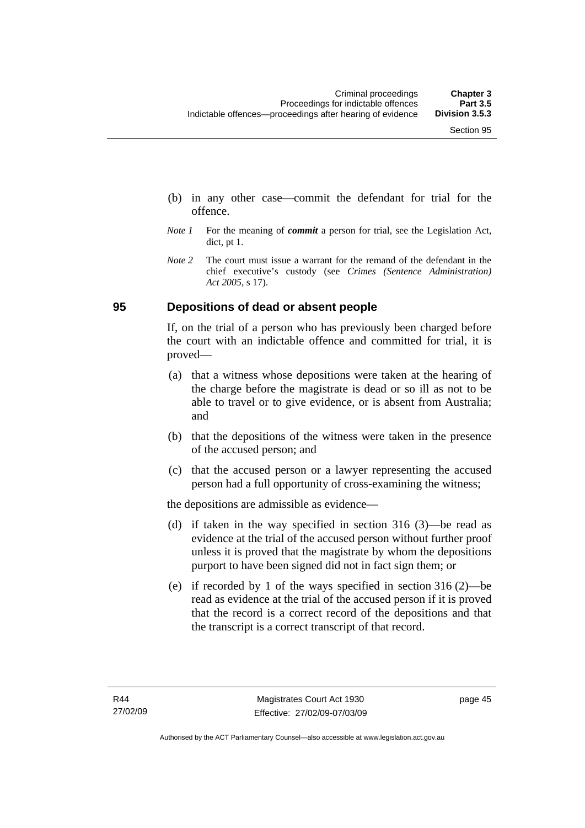- (b) in any other case—commit the defendant for trial for the offence.
- *Note 1* For the meaning of *commit* a person for trial, see the Legislation Act, dict, pt 1.
- *Note* 2 The court must issue a warrant for the remand of the defendant in the chief executive's custody (see *Crimes (Sentence Administration) Act 2005*, s 17).

# **95 Depositions of dead or absent people**

If, on the trial of a person who has previously been charged before the court with an indictable offence and committed for trial, it is proved—

- (a) that a witness whose depositions were taken at the hearing of the charge before the magistrate is dead or so ill as not to be able to travel or to give evidence, or is absent from Australia; and
- (b) that the depositions of the witness were taken in the presence of the accused person; and
- (c) that the accused person or a lawyer representing the accused person had a full opportunity of cross-examining the witness;

the depositions are admissible as evidence—

- (d) if taken in the way specified in section 316 (3)—be read as evidence at the trial of the accused person without further proof unless it is proved that the magistrate by whom the depositions purport to have been signed did not in fact sign them; or
- (e) if recorded by 1 of the ways specified in section 316 (2)—be read as evidence at the trial of the accused person if it is proved that the record is a correct record of the depositions and that the transcript is a correct transcript of that record.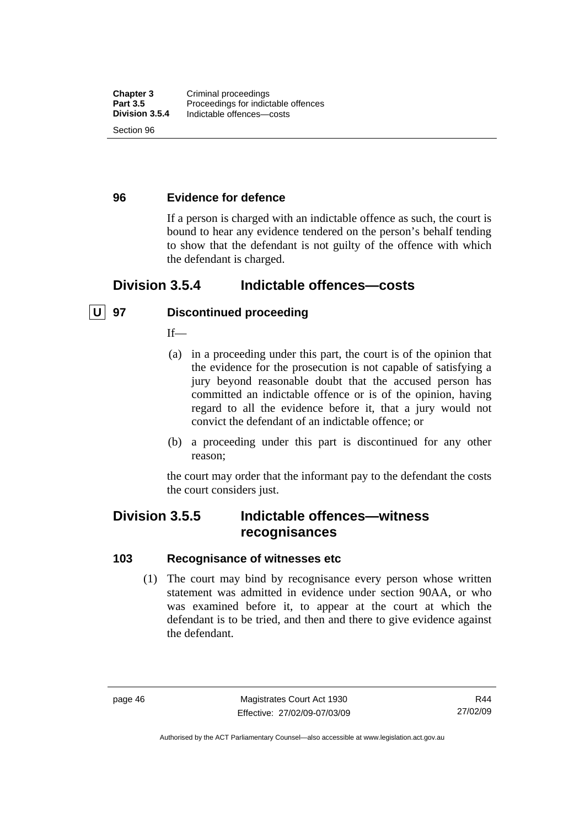# **96 Evidence for defence**

If a person is charged with an indictable offence as such, the court is bound to hear any evidence tendered on the person's behalf tending to show that the defendant is not guilty of the offence with which the defendant is charged.

# **Division 3.5.4 Indictable offences—costs**

# **U 97 Discontinued proceeding**

 $If$ <sub>—</sub>

- (a) in a proceeding under this part, the court is of the opinion that the evidence for the prosecution is not capable of satisfying a jury beyond reasonable doubt that the accused person has committed an indictable offence or is of the opinion, having regard to all the evidence before it, that a jury would not convict the defendant of an indictable offence; or
- (b) a proceeding under this part is discontinued for any other reason;

the court may order that the informant pay to the defendant the costs the court considers just.

# **Division 3.5.5 Indictable offences—witness recognisances**

# **103 Recognisance of witnesses etc**

 (1) The court may bind by recognisance every person whose written statement was admitted in evidence under section 90AA, or who was examined before it, to appear at the court at which the defendant is to be tried, and then and there to give evidence against the defendant.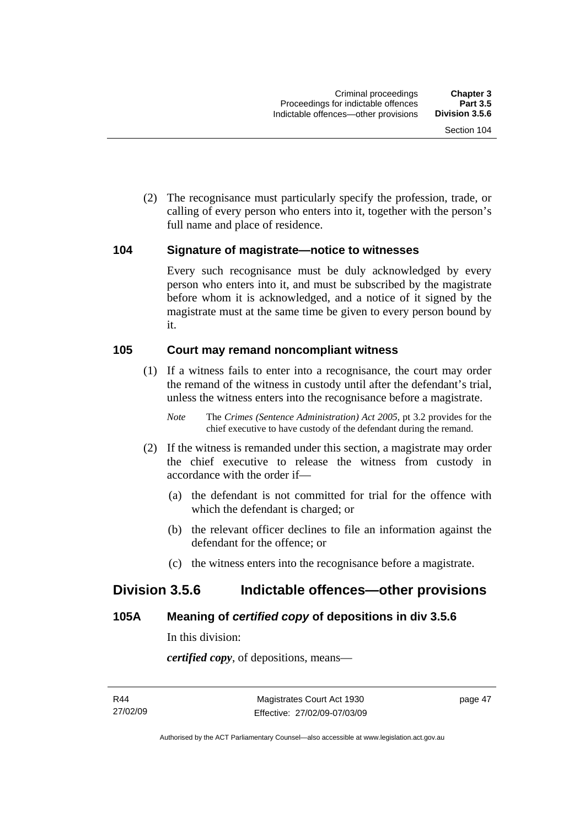(2) The recognisance must particularly specify the profession, trade, or calling of every person who enters into it, together with the person's full name and place of residence.

# **104 Signature of magistrate—notice to witnesses**

Every such recognisance must be duly acknowledged by every person who enters into it, and must be subscribed by the magistrate before whom it is acknowledged, and a notice of it signed by the magistrate must at the same time be given to every person bound by it.

# **105 Court may remand noncompliant witness**

 (1) If a witness fails to enter into a recognisance, the court may order the remand of the witness in custody until after the defendant's trial, unless the witness enters into the recognisance before a magistrate.

*Note* The *Crimes (Sentence Administration) Act 2005*, pt 3.2 provides for the chief executive to have custody of the defendant during the remand.

- (2) If the witness is remanded under this section, a magistrate may order the chief executive to release the witness from custody in accordance with the order if—
	- (a) the defendant is not committed for trial for the offence with which the defendant is charged; or
	- (b) the relevant officer declines to file an information against the defendant for the offence; or
	- (c) the witness enters into the recognisance before a magistrate.

# **Division 3.5.6 Indictable offences—other provisions**

# **105A Meaning of** *certified copy* **of depositions in div 3.5.6**

In this division:

*certified copy*, of depositions, means—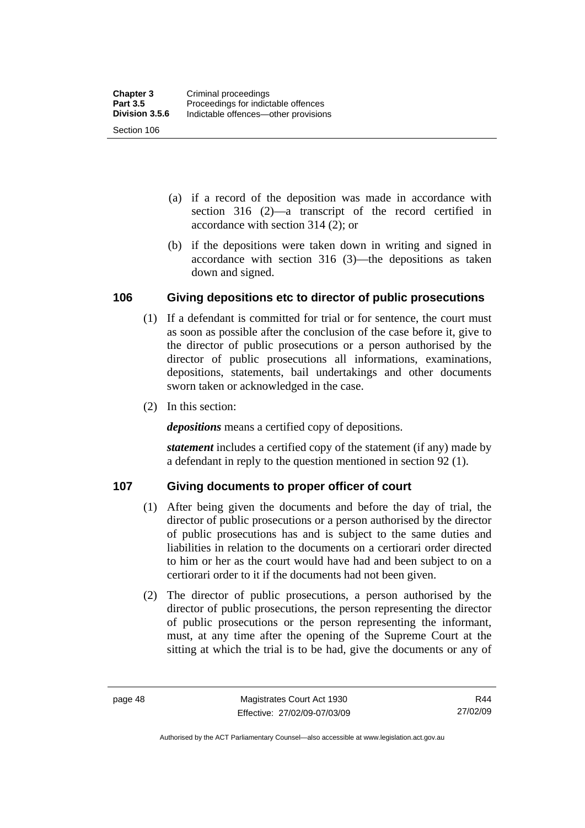- (a) if a record of the deposition was made in accordance with section 316 (2)—a transcript of the record certified in accordance with section 314 (2); or
- (b) if the depositions were taken down in writing and signed in accordance with section 316 (3)—the depositions as taken down and signed.

# **106 Giving depositions etc to director of public prosecutions**

- (1) If a defendant is committed for trial or for sentence, the court must as soon as possible after the conclusion of the case before it, give to the director of public prosecutions or a person authorised by the director of public prosecutions all informations, examinations, depositions, statements, bail undertakings and other documents sworn taken or acknowledged in the case.
- (2) In this section:

*depositions* means a certified copy of depositions.

*statement* includes a certified copy of the statement (if any) made by a defendant in reply to the question mentioned in section 92 (1).

# **107 Giving documents to proper officer of court**

- (1) After being given the documents and before the day of trial, the director of public prosecutions or a person authorised by the director of public prosecutions has and is subject to the same duties and liabilities in relation to the documents on a certiorari order directed to him or her as the court would have had and been subject to on a certiorari order to it if the documents had not been given.
- (2) The director of public prosecutions, a person authorised by the director of public prosecutions, the person representing the director of public prosecutions or the person representing the informant, must, at any time after the opening of the Supreme Court at the sitting at which the trial is to be had, give the documents or any of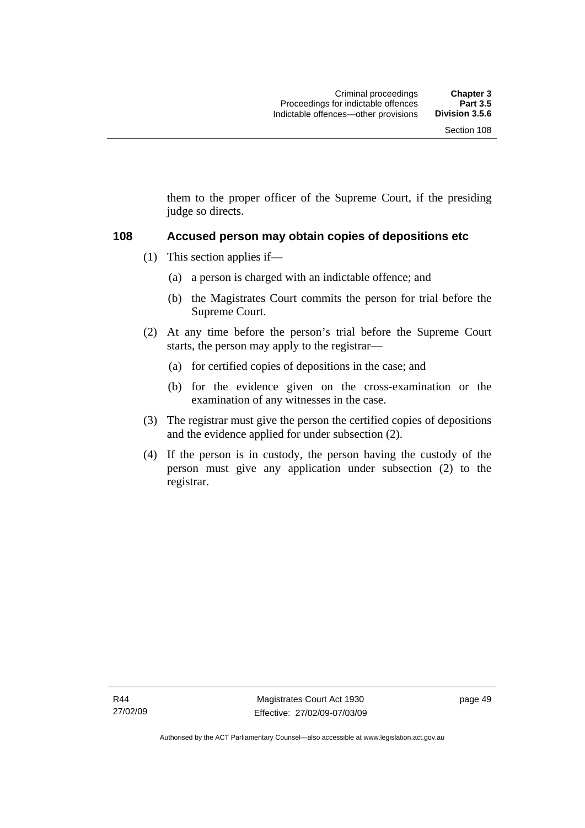them to the proper officer of the Supreme Court, if the presiding judge so directs.

#### **108 Accused person may obtain copies of depositions etc**

- (1) This section applies if—
	- (a) a person is charged with an indictable offence; and
	- (b) the Magistrates Court commits the person for trial before the Supreme Court.
- (2) At any time before the person's trial before the Supreme Court starts, the person may apply to the registrar—
	- (a) for certified copies of depositions in the case; and
	- (b) for the evidence given on the cross-examination or the examination of any witnesses in the case.
- (3) The registrar must give the person the certified copies of depositions and the evidence applied for under subsection (2).
- (4) If the person is in custody, the person having the custody of the person must give any application under subsection (2) to the registrar.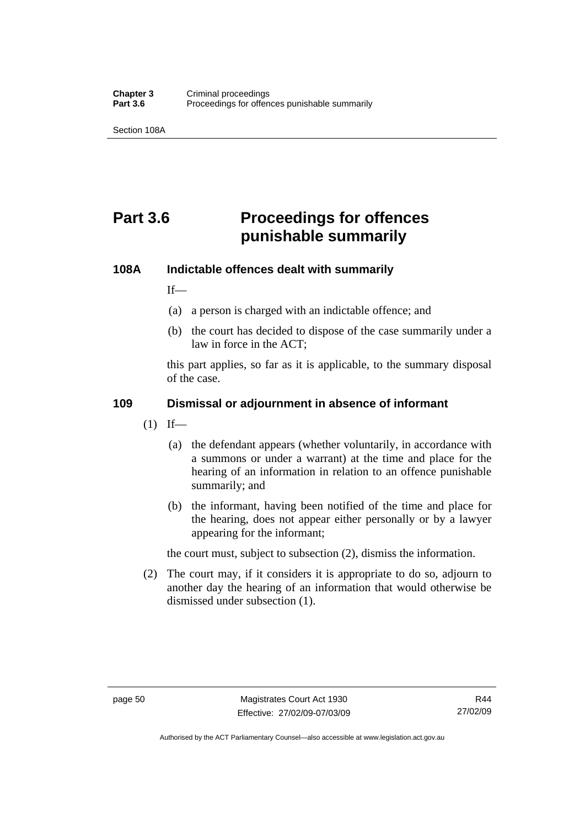Section 108A

# **Part 3.6 Proceedings for offences punishable summarily**

# **108A Indictable offences dealt with summarily**

 $If$ <sub>—</sub>

- (a) a person is charged with an indictable offence; and
- (b) the court has decided to dispose of the case summarily under a law in force in the ACT;

this part applies, so far as it is applicable, to the summary disposal of the case.

# **109 Dismissal or adjournment in absence of informant**

- $(1)$  If—
	- (a) the defendant appears (whether voluntarily, in accordance with a summons or under a warrant) at the time and place for the hearing of an information in relation to an offence punishable summarily; and
	- (b) the informant, having been notified of the time and place for the hearing, does not appear either personally or by a lawyer appearing for the informant;

the court must, subject to subsection (2), dismiss the information.

 (2) The court may, if it considers it is appropriate to do so, adjourn to another day the hearing of an information that would otherwise be dismissed under subsection (1).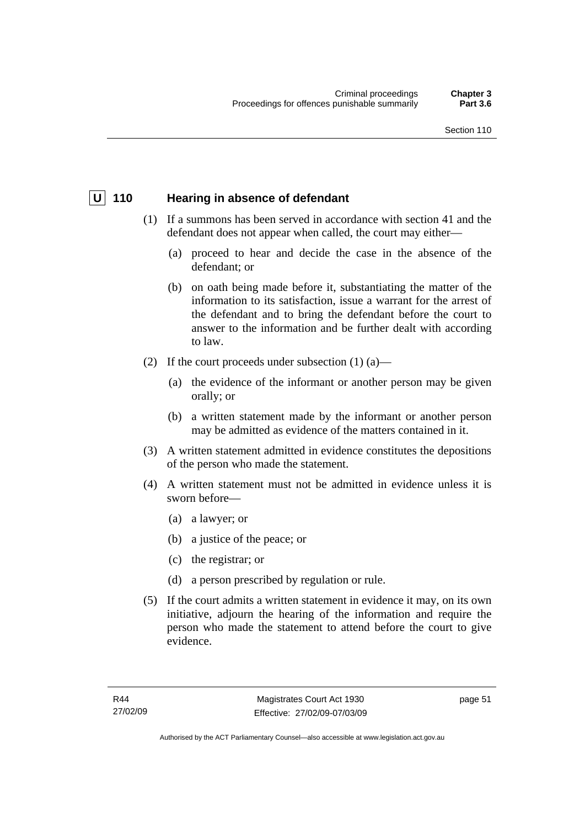# **U** 110 Hearing in absence of defendant

- (1) If a summons has been served in accordance with section 41 and the defendant does not appear when called, the court may either—
	- (a) proceed to hear and decide the case in the absence of the defendant; or
	- (b) on oath being made before it, substantiating the matter of the information to its satisfaction, issue a warrant for the arrest of the defendant and to bring the defendant before the court to answer to the information and be further dealt with according to law.
- (2) If the court proceeds under subsection  $(1)$   $(a)$ 
	- (a) the evidence of the informant or another person may be given orally; or
	- (b) a written statement made by the informant or another person may be admitted as evidence of the matters contained in it.
- (3) A written statement admitted in evidence constitutes the depositions of the person who made the statement.
- (4) A written statement must not be admitted in evidence unless it is sworn before—
	- (a) a lawyer; or
	- (b) a justice of the peace; or
	- (c) the registrar; or
	- (d) a person prescribed by regulation or rule.
- (5) If the court admits a written statement in evidence it may, on its own initiative, adjourn the hearing of the information and require the person who made the statement to attend before the court to give evidence.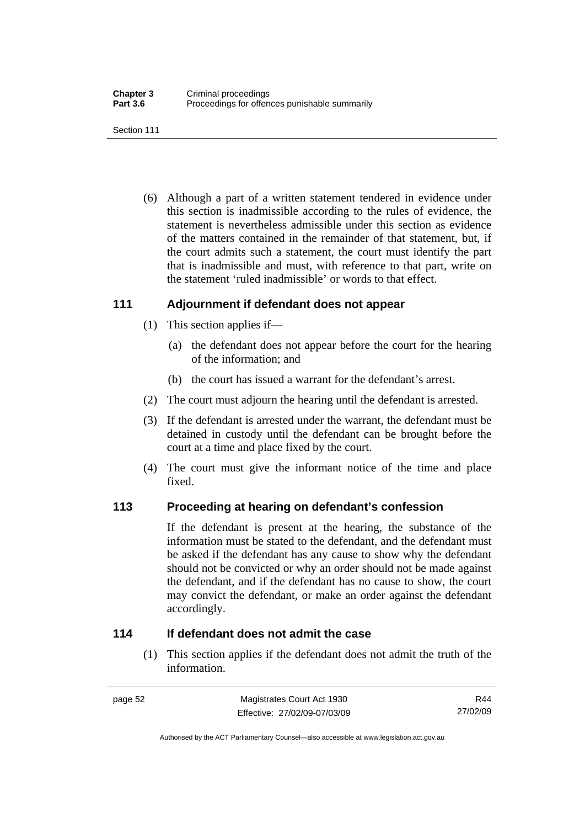Section 111

 (6) Although a part of a written statement tendered in evidence under this section is inadmissible according to the rules of evidence, the statement is nevertheless admissible under this section as evidence of the matters contained in the remainder of that statement, but, if the court admits such a statement, the court must identify the part that is inadmissible and must, with reference to that part, write on the statement 'ruled inadmissible' or words to that effect.

# **111 Adjournment if defendant does not appear**

- (1) This section applies if—
	- (a) the defendant does not appear before the court for the hearing of the information; and
	- (b) the court has issued a warrant for the defendant's arrest.
- (2) The court must adjourn the hearing until the defendant is arrested.
- (3) If the defendant is arrested under the warrant, the defendant must be detained in custody until the defendant can be brought before the court at a time and place fixed by the court.
- (4) The court must give the informant notice of the time and place fixed.

# **113 Proceeding at hearing on defendant's confession**

If the defendant is present at the hearing, the substance of the information must be stated to the defendant, and the defendant must be asked if the defendant has any cause to show why the defendant should not be convicted or why an order should not be made against the defendant, and if the defendant has no cause to show, the court may convict the defendant, or make an order against the defendant accordingly.

# **114 If defendant does not admit the case**

 (1) This section applies if the defendant does not admit the truth of the information.

Authorised by the ACT Parliamentary Counsel—also accessible at www.legislation.act.gov.au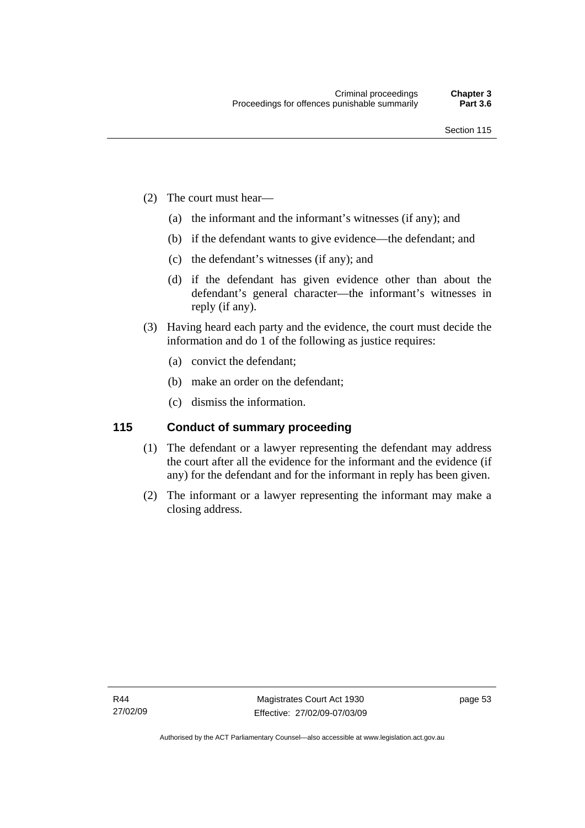- (2) The court must hear—
	- (a) the informant and the informant's witnesses (if any); and
	- (b) if the defendant wants to give evidence—the defendant; and
	- (c) the defendant's witnesses (if any); and
	- (d) if the defendant has given evidence other than about the defendant's general character—the informant's witnesses in reply (if any).
- (3) Having heard each party and the evidence, the court must decide the information and do 1 of the following as justice requires:
	- (a) convict the defendant;
	- (b) make an order on the defendant;
	- (c) dismiss the information.

# **115 Conduct of summary proceeding**

- (1) The defendant or a lawyer representing the defendant may address the court after all the evidence for the informant and the evidence (if any) for the defendant and for the informant in reply has been given.
- (2) The informant or a lawyer representing the informant may make a closing address.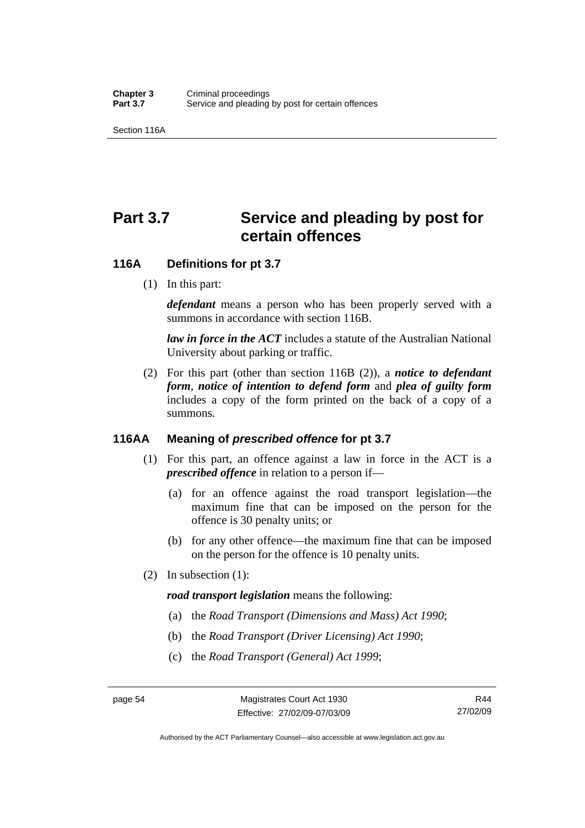Section 116A

# Part 3.7 Service and pleading by post for **certain offences**

# **116A Definitions for pt 3.7**

(1) In this part:

*defendant* means a person who has been properly served with a summons in accordance with section 116B.

*law in force in the ACT* includes a statute of the Australian National University about parking or traffic.

 (2) For this part (other than section 116B (2)), a *notice to defendant form*, *notice of intention to defend form* and *plea of guilty form* includes a copy of the form printed on the back of a copy of a summons.

# **116AA Meaning of** *prescribed offence* **for pt 3.7**

- (1) For this part, an offence against a law in force in the ACT is a *prescribed offence* in relation to a person if—
	- (a) for an offence against the road transport legislation—the maximum fine that can be imposed on the person for the offence is 30 penalty units; or
	- (b) for any other offence—the maximum fine that can be imposed on the person for the offence is 10 penalty units.
- (2) In subsection (1):

#### *road transport legislation* means the following:

- (a) the *Road Transport (Dimensions and Mass) Act 1990*;
- (b) the *Road Transport (Driver Licensing) Act 1990*;
- (c) the *Road Transport (General) Act 1999*;

Authorised by the ACT Parliamentary Counsel—also accessible at www.legislation.act.gov.au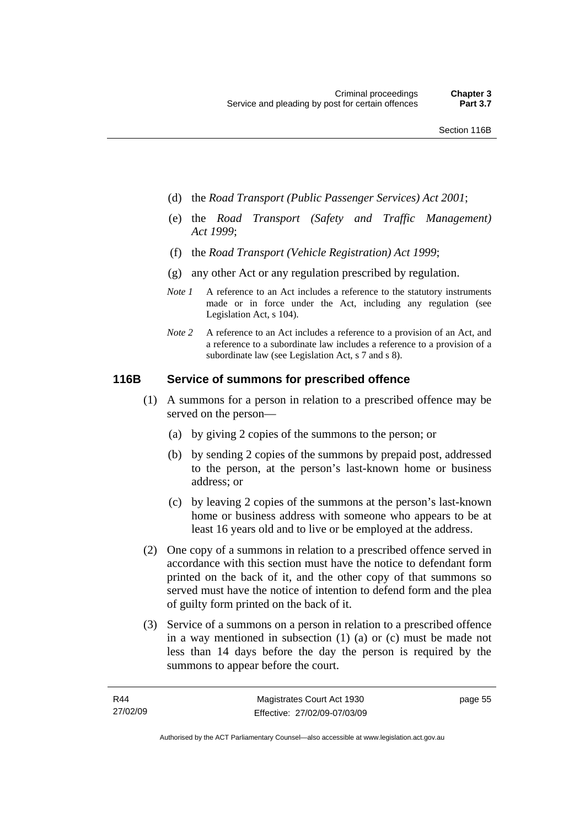- (d) the *Road Transport (Public Passenger Services) Act 2001*;
- (e) the *Road Transport (Safety and Traffic Management) Act 1999*;
- (f) the *Road Transport (Vehicle Registration) Act 1999*;
- (g) any other Act or any regulation prescribed by regulation.
- *Note 1* A reference to an Act includes a reference to the statutory instruments made or in force under the Act, including any regulation (see Legislation Act, s 104).
- *Note 2* A reference to an Act includes a reference to a provision of an Act, and a reference to a subordinate law includes a reference to a provision of a subordinate law (see Legislation Act, s 7 and s 8).

# **116B Service of summons for prescribed offence**

- (1) A summons for a person in relation to a prescribed offence may be served on the person—
	- (a) by giving 2 copies of the summons to the person; or
	- (b) by sending 2 copies of the summons by prepaid post, addressed to the person, at the person's last-known home or business address; or
	- (c) by leaving 2 copies of the summons at the person's last-known home or business address with someone who appears to be at least 16 years old and to live or be employed at the address.
- (2) One copy of a summons in relation to a prescribed offence served in accordance with this section must have the notice to defendant form printed on the back of it, and the other copy of that summons so served must have the notice of intention to defend form and the plea of guilty form printed on the back of it.
- (3) Service of a summons on a person in relation to a prescribed offence in a way mentioned in subsection (1) (a) or (c) must be made not less than 14 days before the day the person is required by the summons to appear before the court.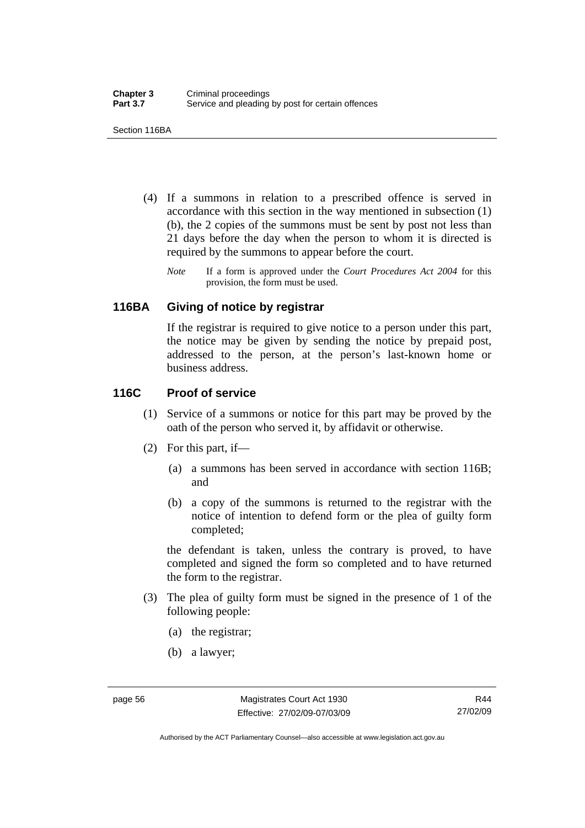Section 116BA

- (4) If a summons in relation to a prescribed offence is served in accordance with this section in the way mentioned in subsection (1) (b), the 2 copies of the summons must be sent by post not less than 21 days before the day when the person to whom it is directed is required by the summons to appear before the court.
	- *Note* If a form is approved under the *Court Procedures Act 2004* for this provision, the form must be used.

#### **116BA Giving of notice by registrar**

If the registrar is required to give notice to a person under this part, the notice may be given by sending the notice by prepaid post, addressed to the person, at the person's last-known home or business address.

# **116C Proof of service**

- (1) Service of a summons or notice for this part may be proved by the oath of the person who served it, by affidavit or otherwise.
- (2) For this part, if—
	- (a) a summons has been served in accordance with section 116B; and
	- (b) a copy of the summons is returned to the registrar with the notice of intention to defend form or the plea of guilty form completed;

the defendant is taken, unless the contrary is proved, to have completed and signed the form so completed and to have returned the form to the registrar.

- (3) The plea of guilty form must be signed in the presence of 1 of the following people:
	- (a) the registrar;
	- (b) a lawyer;

Authorised by the ACT Parliamentary Counsel—also accessible at www.legislation.act.gov.au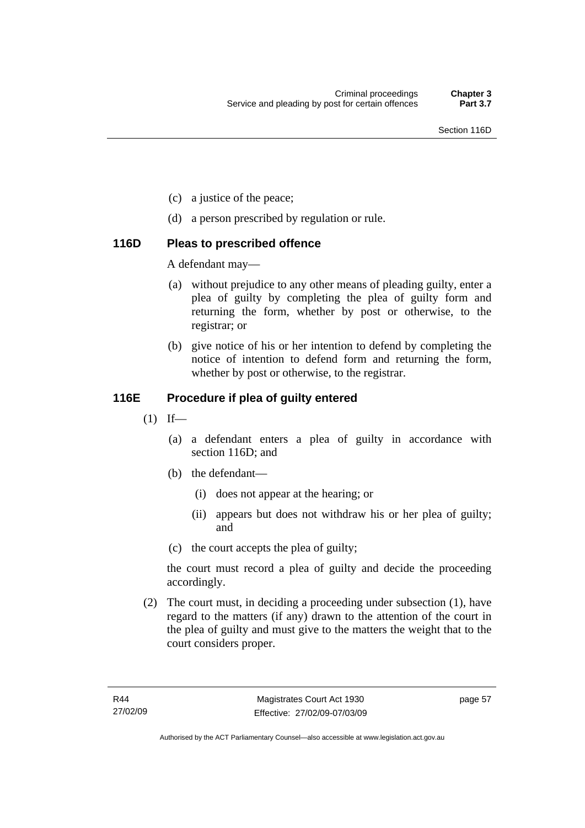- (c) a justice of the peace;
- (d) a person prescribed by regulation or rule.

#### **116D Pleas to prescribed offence**

A defendant may—

- (a) without prejudice to any other means of pleading guilty, enter a plea of guilty by completing the plea of guilty form and returning the form, whether by post or otherwise, to the registrar; or
- (b) give notice of his or her intention to defend by completing the notice of intention to defend form and returning the form, whether by post or otherwise, to the registrar.

#### **116E Procedure if plea of guilty entered**

- $(1)$  If—
	- (a) a defendant enters a plea of guilty in accordance with section 116D; and
	- (b) the defendant—
		- (i) does not appear at the hearing; or
		- (ii) appears but does not withdraw his or her plea of guilty; and
	- (c) the court accepts the plea of guilty;

the court must record a plea of guilty and decide the proceeding accordingly.

 (2) The court must, in deciding a proceeding under subsection (1), have regard to the matters (if any) drawn to the attention of the court in the plea of guilty and must give to the matters the weight that to the court considers proper.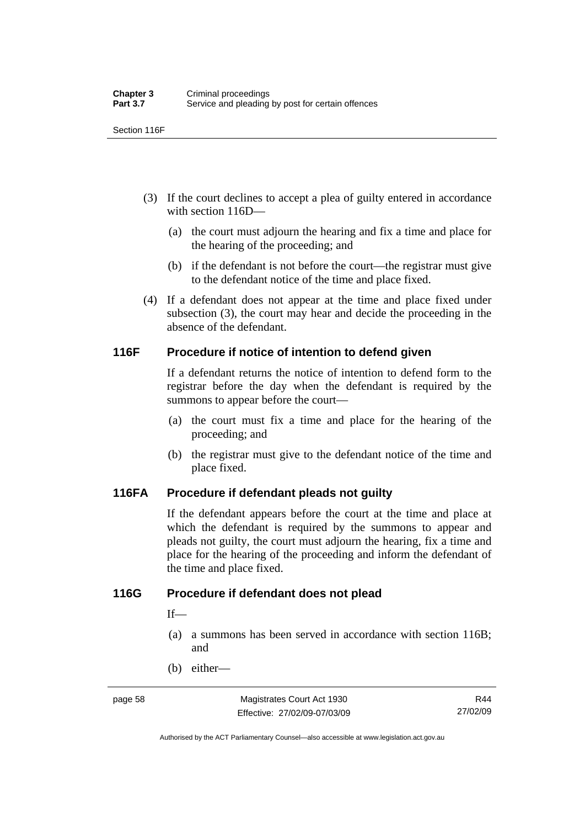Section 116F

- (3) If the court declines to accept a plea of guilty entered in accordance with section 116D—
	- (a) the court must adjourn the hearing and fix a time and place for the hearing of the proceeding; and
	- (b) if the defendant is not before the court—the registrar must give to the defendant notice of the time and place fixed.
- (4) If a defendant does not appear at the time and place fixed under subsection (3), the court may hear and decide the proceeding in the absence of the defendant.

#### **116F Procedure if notice of intention to defend given**

If a defendant returns the notice of intention to defend form to the registrar before the day when the defendant is required by the summons to appear before the court—

- (a) the court must fix a time and place for the hearing of the proceeding; and
- (b) the registrar must give to the defendant notice of the time and place fixed.

#### **116FA Procedure if defendant pleads not guilty**

If the defendant appears before the court at the time and place at which the defendant is required by the summons to appear and pleads not guilty, the court must adjourn the hearing, fix a time and place for the hearing of the proceeding and inform the defendant of the time and place fixed.

#### **116G Procedure if defendant does not plead**

If—

- (a) a summons has been served in accordance with section 116B; and
- (b) either—

Authorised by the ACT Parliamentary Counsel—also accessible at www.legislation.act.gov.au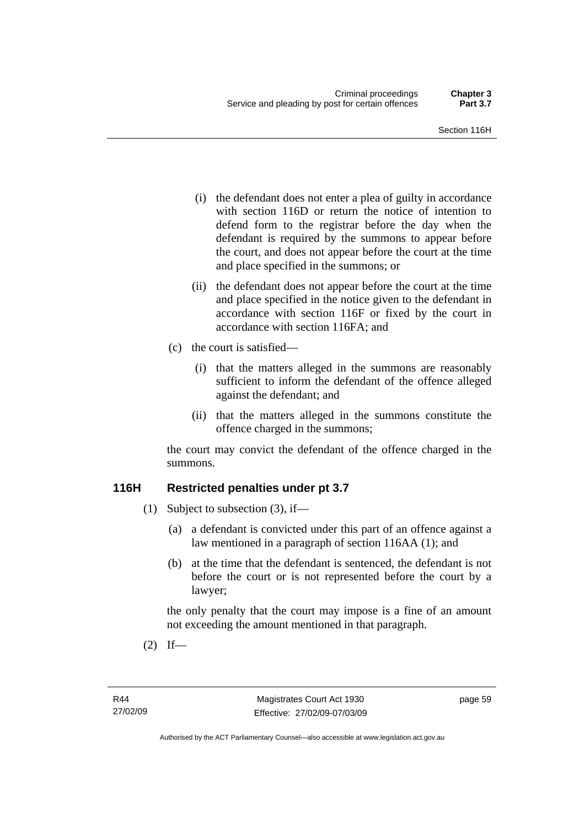- (i) the defendant does not enter a plea of guilty in accordance with section 116D or return the notice of intention to defend form to the registrar before the day when the defendant is required by the summons to appear before the court, and does not appear before the court at the time and place specified in the summons; or
- (ii) the defendant does not appear before the court at the time and place specified in the notice given to the defendant in accordance with section 116F or fixed by the court in accordance with section 116FA; and
- (c) the court is satisfied—
	- (i) that the matters alleged in the summons are reasonably sufficient to inform the defendant of the offence alleged against the defendant; and
	- (ii) that the matters alleged in the summons constitute the offence charged in the summons;

the court may convict the defendant of the offence charged in the summons.

#### **116H Restricted penalties under pt 3.7**

- (1) Subject to subsection (3), if—
	- (a) a defendant is convicted under this part of an offence against a law mentioned in a paragraph of section 116AA (1); and
	- (b) at the time that the defendant is sentenced, the defendant is not before the court or is not represented before the court by a lawyer;

the only penalty that the court may impose is a fine of an amount not exceeding the amount mentioned in that paragraph.

 $(2)$  If—

page 59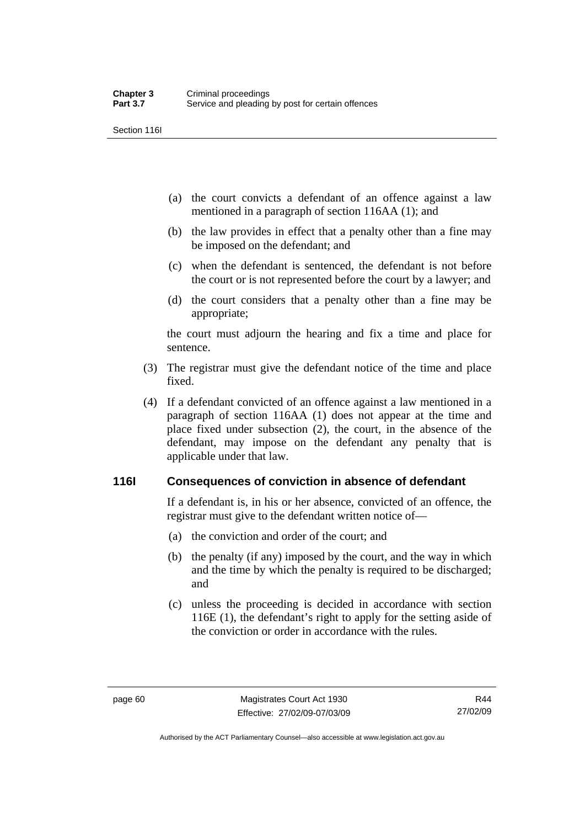Section 116I

- (a) the court convicts a defendant of an offence against a law mentioned in a paragraph of section 116AA (1); and
- (b) the law provides in effect that a penalty other than a fine may be imposed on the defendant; and
- (c) when the defendant is sentenced, the defendant is not before the court or is not represented before the court by a lawyer; and
- (d) the court considers that a penalty other than a fine may be appropriate;

the court must adjourn the hearing and fix a time and place for sentence.

- (3) The registrar must give the defendant notice of the time and place fixed.
- (4) If a defendant convicted of an offence against a law mentioned in a paragraph of section 116AA (1) does not appear at the time and place fixed under subsection (2), the court, in the absence of the defendant, may impose on the defendant any penalty that is applicable under that law.

#### **116I Consequences of conviction in absence of defendant**

If a defendant is, in his or her absence, convicted of an offence, the registrar must give to the defendant written notice of—

- (a) the conviction and order of the court; and
- (b) the penalty (if any) imposed by the court, and the way in which and the time by which the penalty is required to be discharged; and
- (c) unless the proceeding is decided in accordance with section 116E (1), the defendant's right to apply for the setting aside of the conviction or order in accordance with the rules.

Authorised by the ACT Parliamentary Counsel—also accessible at www.legislation.act.gov.au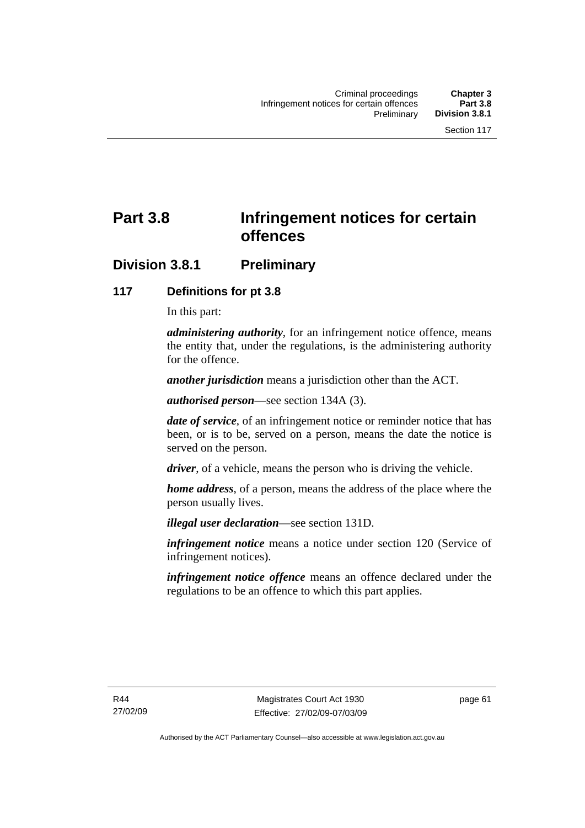# **Part 3.8 Infringement notices for certain offences**

# **Division 3.8.1 Preliminary**

#### **117 Definitions for pt 3.8**

In this part:

*administering authority*, for an infringement notice offence, means the entity that, under the regulations, is the administering authority for the offence.

*another jurisdiction* means a jurisdiction other than the ACT.

*authorised person*—see section 134A (3).

*date of service*, of an infringement notice or reminder notice that has been, or is to be, served on a person, means the date the notice is served on the person.

*driver*, of a vehicle, means the person who is driving the vehicle.

*home address*, of a person, means the address of the place where the person usually lives.

*illegal user declaration*—see section 131D.

*infringement notice* means a notice under section 120 (Service of infringement notices).

*infringement notice offence* means an offence declared under the regulations to be an offence to which this part applies.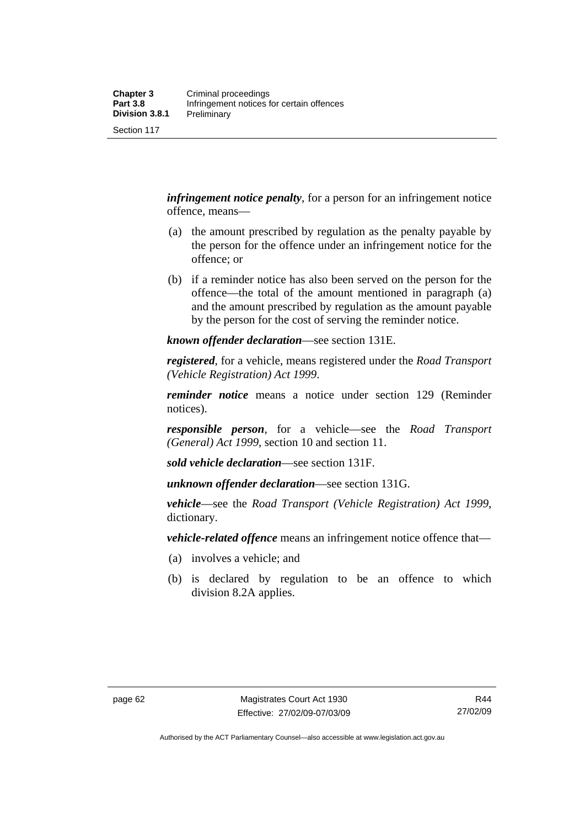Section 117

*infringement notice penalty*, for a person for an infringement notice offence, means—

- (a) the amount prescribed by regulation as the penalty payable by the person for the offence under an infringement notice for the offence; or
- (b) if a reminder notice has also been served on the person for the offence—the total of the amount mentioned in paragraph (a) and the amount prescribed by regulation as the amount payable by the person for the cost of serving the reminder notice.

*known offender declaration*—see section 131E.

*registered*, for a vehicle, means registered under the *Road Transport (Vehicle Registration) Act 1999*.

*reminder notice* means a notice under section 129 (Reminder notices).

*responsible person*, for a vehicle—see the *Road Transport (General) Act 1999*, section 10 and section 11.

*sold vehicle declaration*—see section 131F.

*unknown offender declaration*—see section 131G.

*vehicle*—see the *Road Transport (Vehicle Registration) Act 1999*, dictionary.

*vehicle-related offence* means an infringement notice offence that—

- (a) involves a vehicle; and
- (b) is declared by regulation to be an offence to which division 8.2A applies.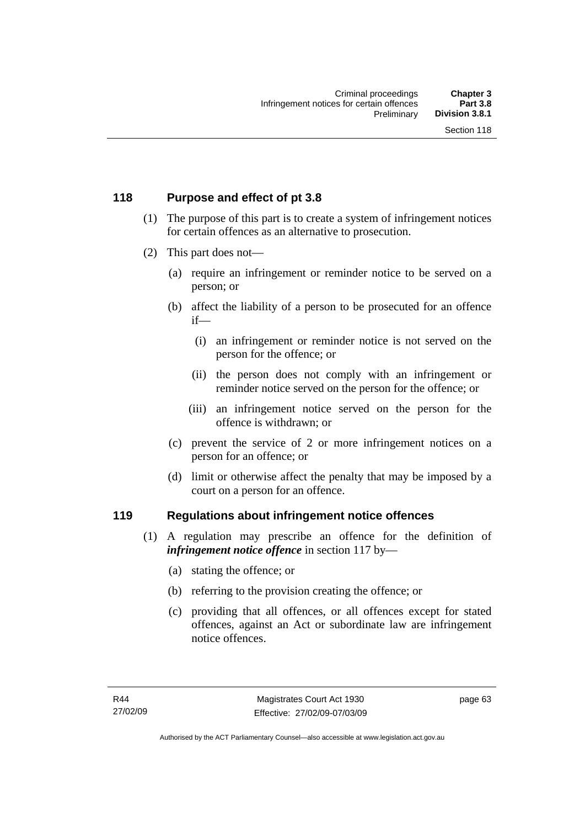### **118 Purpose and effect of pt 3.8**

- (1) The purpose of this part is to create a system of infringement notices for certain offences as an alternative to prosecution.
- (2) This part does not—
	- (a) require an infringement or reminder notice to be served on a person; or
	- (b) affect the liability of a person to be prosecuted for an offence if—
		- (i) an infringement or reminder notice is not served on the person for the offence; or
		- (ii) the person does not comply with an infringement or reminder notice served on the person for the offence; or
		- (iii) an infringement notice served on the person for the offence is withdrawn; or
	- (c) prevent the service of 2 or more infringement notices on a person for an offence; or
	- (d) limit or otherwise affect the penalty that may be imposed by a court on a person for an offence.

#### **119 Regulations about infringement notice offences**

- (1) A regulation may prescribe an offence for the definition of *infringement notice offence* in section 117 by—
	- (a) stating the offence; or
	- (b) referring to the provision creating the offence; or
	- (c) providing that all offences, or all offences except for stated offences, against an Act or subordinate law are infringement notice offences.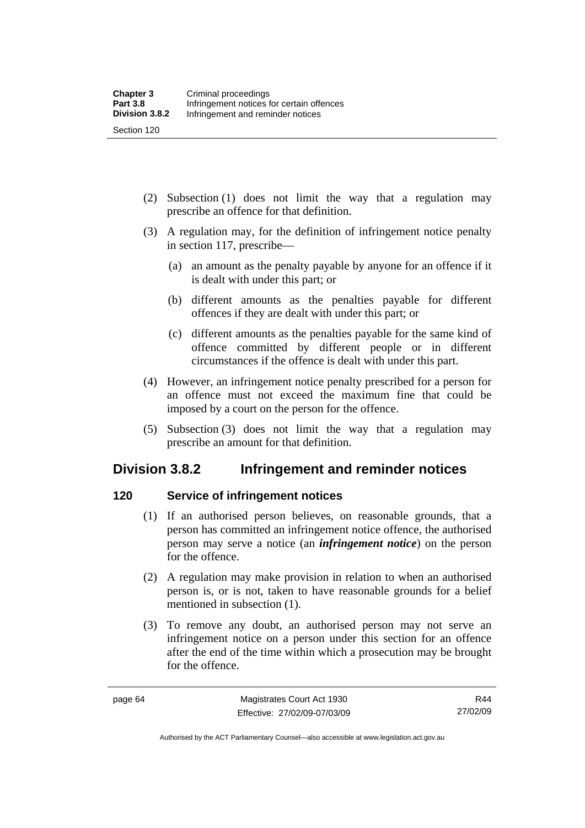Section 120

- (2) Subsection (1) does not limit the way that a regulation may prescribe an offence for that definition.
- (3) A regulation may, for the definition of infringement notice penalty in section 117, prescribe—
	- (a) an amount as the penalty payable by anyone for an offence if it is dealt with under this part; or
	- (b) different amounts as the penalties payable for different offences if they are dealt with under this part; or
	- (c) different amounts as the penalties payable for the same kind of offence committed by different people or in different circumstances if the offence is dealt with under this part.
- (4) However, an infringement notice penalty prescribed for a person for an offence must not exceed the maximum fine that could be imposed by a court on the person for the offence.
- (5) Subsection (3) does not limit the way that a regulation may prescribe an amount for that definition.

# **Division 3.8.2 Infringement and reminder notices**

# **120 Service of infringement notices**

- (1) If an authorised person believes, on reasonable grounds, that a person has committed an infringement notice offence, the authorised person may serve a notice (an *infringement notice*) on the person for the offence.
- (2) A regulation may make provision in relation to when an authorised person is, or is not, taken to have reasonable grounds for a belief mentioned in subsection (1).
- (3) To remove any doubt, an authorised person may not serve an infringement notice on a person under this section for an offence after the end of the time within which a prosecution may be brought for the offence.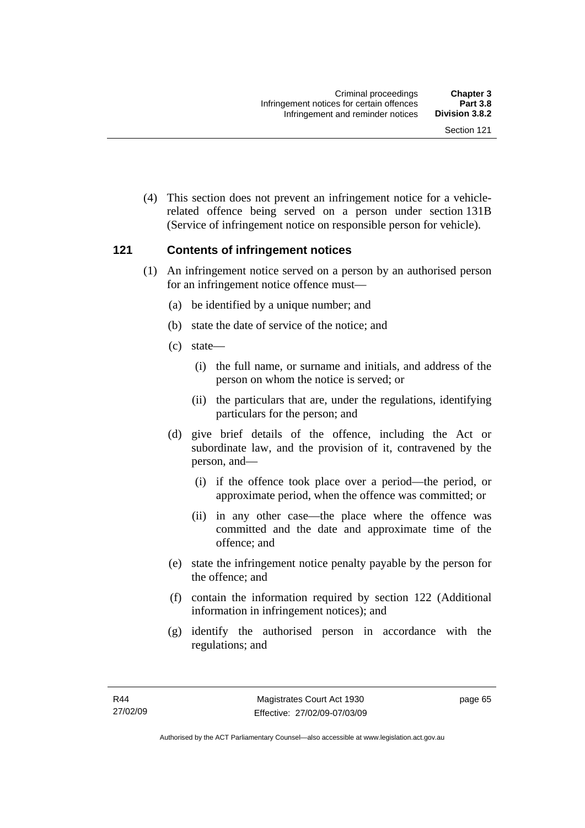(4) This section does not prevent an infringement notice for a vehiclerelated offence being served on a person under section 131B (Service of infringement notice on responsible person for vehicle).

#### **121 Contents of infringement notices**

- (1) An infringement notice served on a person by an authorised person for an infringement notice offence must—
	- (a) be identified by a unique number; and
	- (b) state the date of service of the notice; and
	- (c) state—
		- (i) the full name, or surname and initials, and address of the person on whom the notice is served; or
		- (ii) the particulars that are, under the regulations, identifying particulars for the person; and
	- (d) give brief details of the offence, including the Act or subordinate law, and the provision of it, contravened by the person, and—
		- (i) if the offence took place over a period—the period, or approximate period, when the offence was committed; or
		- (ii) in any other case—the place where the offence was committed and the date and approximate time of the offence; and
	- (e) state the infringement notice penalty payable by the person for the offence; and
	- (f) contain the information required by section 122 (Additional information in infringement notices); and
	- (g) identify the authorised person in accordance with the regulations; and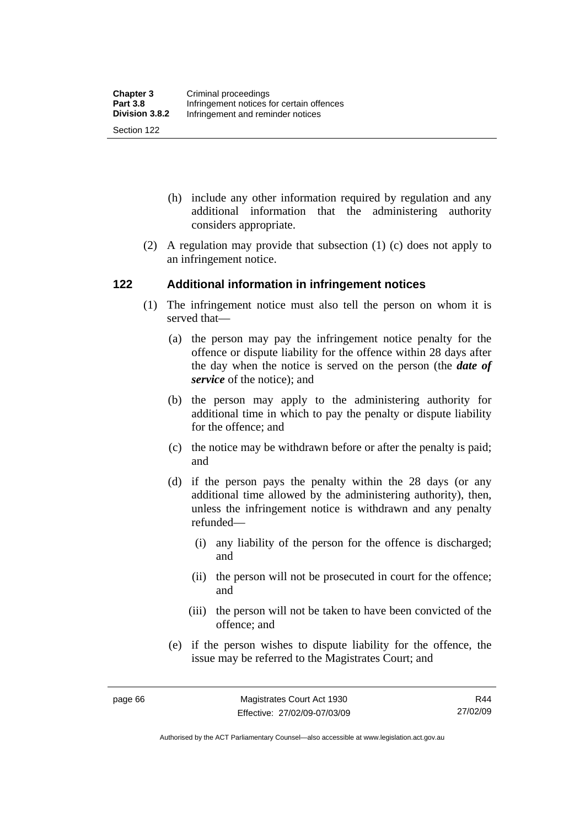- (h) include any other information required by regulation and any additional information that the administering authority considers appropriate.
- (2) A regulation may provide that subsection (1) (c) does not apply to an infringement notice.

#### **122 Additional information in infringement notices**

- (1) The infringement notice must also tell the person on whom it is served that—
	- (a) the person may pay the infringement notice penalty for the offence or dispute liability for the offence within 28 days after the day when the notice is served on the person (the *date of service* of the notice); and
	- (b) the person may apply to the administering authority for additional time in which to pay the penalty or dispute liability for the offence; and
	- (c) the notice may be withdrawn before or after the penalty is paid; and
	- (d) if the person pays the penalty within the 28 days (or any additional time allowed by the administering authority), then, unless the infringement notice is withdrawn and any penalty refunded—
		- (i) any liability of the person for the offence is discharged; and
		- (ii) the person will not be prosecuted in court for the offence; and
		- (iii) the person will not be taken to have been convicted of the offence; and
	- (e) if the person wishes to dispute liability for the offence, the issue may be referred to the Magistrates Court; and

Authorised by the ACT Parliamentary Counsel—also accessible at www.legislation.act.gov.au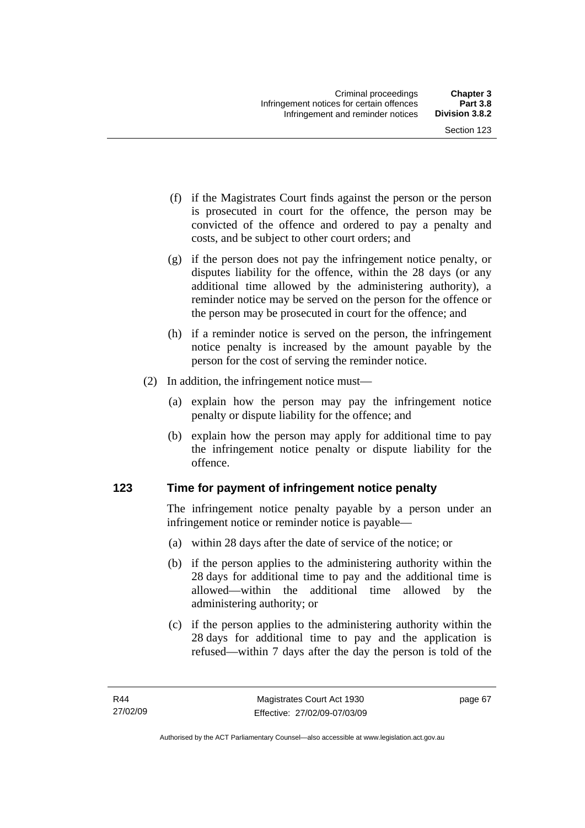- (f) if the Magistrates Court finds against the person or the person is prosecuted in court for the offence, the person may be convicted of the offence and ordered to pay a penalty and costs, and be subject to other court orders; and
- (g) if the person does not pay the infringement notice penalty, or disputes liability for the offence, within the 28 days (or any additional time allowed by the administering authority), a reminder notice may be served on the person for the offence or the person may be prosecuted in court for the offence; and
- (h) if a reminder notice is served on the person, the infringement notice penalty is increased by the amount payable by the person for the cost of serving the reminder notice.
- (2) In addition, the infringement notice must—
	- (a) explain how the person may pay the infringement notice penalty or dispute liability for the offence; and
	- (b) explain how the person may apply for additional time to pay the infringement notice penalty or dispute liability for the offence.

# **123 Time for payment of infringement notice penalty**

The infringement notice penalty payable by a person under an infringement notice or reminder notice is payable—

- (a) within 28 days after the date of service of the notice; or
- (b) if the person applies to the administering authority within the 28 days for additional time to pay and the additional time is allowed—within the additional time allowed by the administering authority; or
- (c) if the person applies to the administering authority within the 28 days for additional time to pay and the application is refused—within 7 days after the day the person is told of the

page 67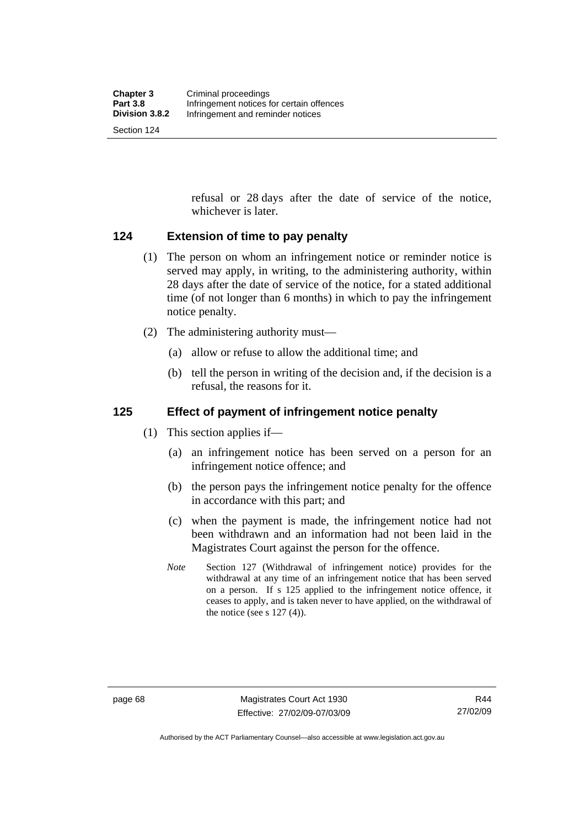Section 124

refusal or 28 days after the date of service of the notice, whichever is later.

#### **124 Extension of time to pay penalty**

- (1) The person on whom an infringement notice or reminder notice is served may apply, in writing, to the administering authority, within 28 days after the date of service of the notice, for a stated additional time (of not longer than 6 months) in which to pay the infringement notice penalty.
- (2) The administering authority must—
	- (a) allow or refuse to allow the additional time; and
	- (b) tell the person in writing of the decision and, if the decision is a refusal, the reasons for it.

### **125 Effect of payment of infringement notice penalty**

- (1) This section applies if—
	- (a) an infringement notice has been served on a person for an infringement notice offence; and
	- (b) the person pays the infringement notice penalty for the offence in accordance with this part; and
	- (c) when the payment is made, the infringement notice had not been withdrawn and an information had not been laid in the Magistrates Court against the person for the offence.
	- *Note* Section 127 (Withdrawal of infringement notice) provides for the withdrawal at any time of an infringement notice that has been served on a person. If s 125 applied to the infringement notice offence, it ceases to apply, and is taken never to have applied, on the withdrawal of the notice (see s  $127(4)$ ).

R44 27/02/09

Authorised by the ACT Parliamentary Counsel—also accessible at www.legislation.act.gov.au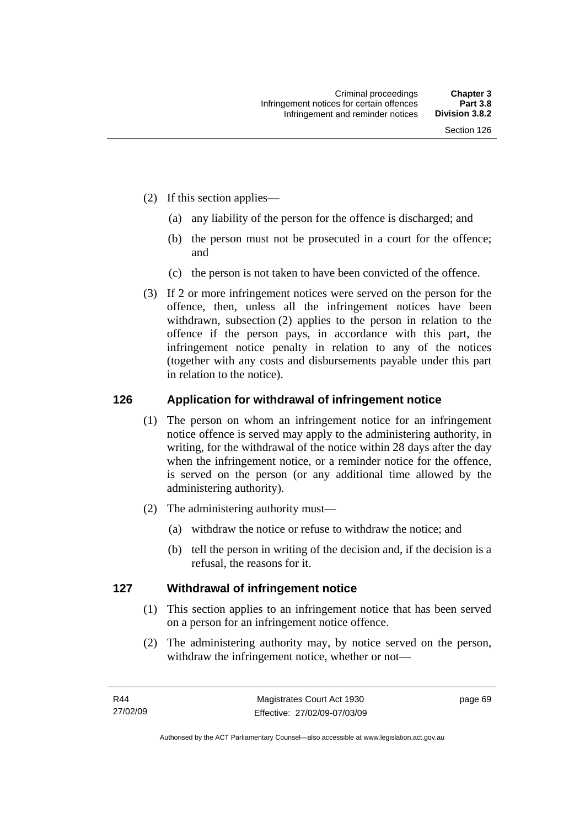- (2) If this section applies—
	- (a) any liability of the person for the offence is discharged; and
	- (b) the person must not be prosecuted in a court for the offence; and
	- (c) the person is not taken to have been convicted of the offence.
- (3) If 2 or more infringement notices were served on the person for the offence, then, unless all the infringement notices have been withdrawn, subsection (2) applies to the person in relation to the offence if the person pays, in accordance with this part, the infringement notice penalty in relation to any of the notices (together with any costs and disbursements payable under this part in relation to the notice).

#### **126 Application for withdrawal of infringement notice**

- (1) The person on whom an infringement notice for an infringement notice offence is served may apply to the administering authority, in writing, for the withdrawal of the notice within 28 days after the day when the infringement notice, or a reminder notice for the offence, is served on the person (or any additional time allowed by the administering authority).
- (2) The administering authority must—
	- (a) withdraw the notice or refuse to withdraw the notice; and
	- (b) tell the person in writing of the decision and, if the decision is a refusal, the reasons for it.

#### **127 Withdrawal of infringement notice**

- (1) This section applies to an infringement notice that has been served on a person for an infringement notice offence.
- (2) The administering authority may, by notice served on the person, withdraw the infringement notice, whether or not—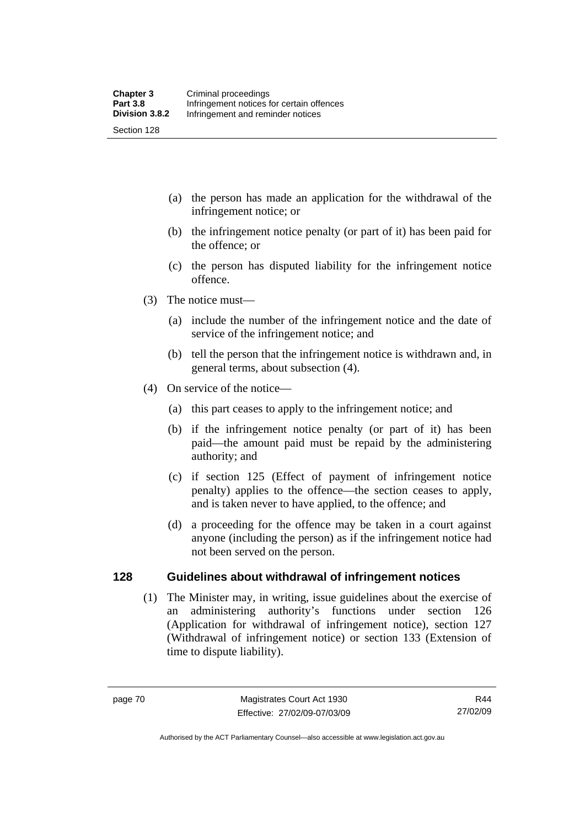- (a) the person has made an application for the withdrawal of the infringement notice; or
- (b) the infringement notice penalty (or part of it) has been paid for the offence; or
- (c) the person has disputed liability for the infringement notice offence.
- (3) The notice must—
	- (a) include the number of the infringement notice and the date of service of the infringement notice; and
	- (b) tell the person that the infringement notice is withdrawn and, in general terms, about subsection (4).
- (4) On service of the notice—
	- (a) this part ceases to apply to the infringement notice; and
	- (b) if the infringement notice penalty (or part of it) has been paid—the amount paid must be repaid by the administering authority; and
	- (c) if section 125 (Effect of payment of infringement notice penalty) applies to the offence—the section ceases to apply, and is taken never to have applied, to the offence; and
	- (d) a proceeding for the offence may be taken in a court against anyone (including the person) as if the infringement notice had not been served on the person.

#### **128 Guidelines about withdrawal of infringement notices**

 (1) The Minister may, in writing, issue guidelines about the exercise of an administering authority's functions under section 126 (Application for withdrawal of infringement notice), section 127 (Withdrawal of infringement notice) or section 133 (Extension of time to dispute liability).

Authorised by the ACT Parliamentary Counsel—also accessible at www.legislation.act.gov.au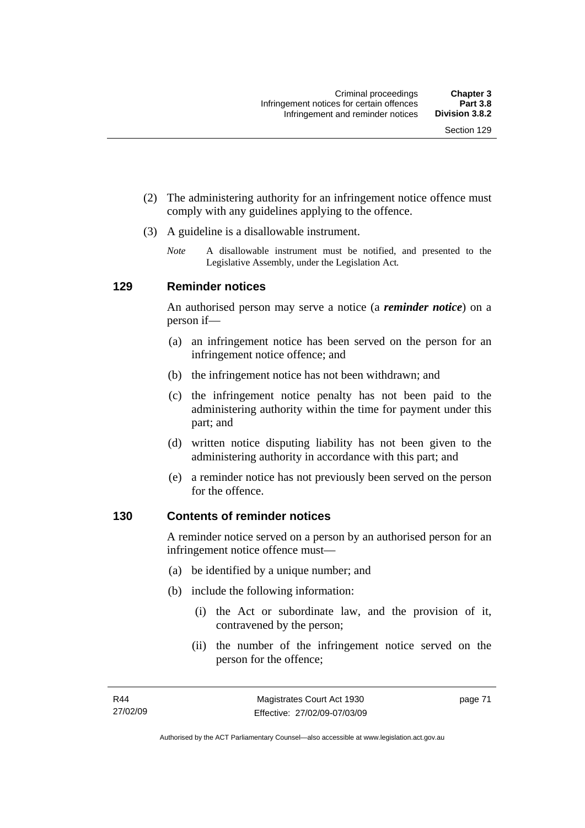- (2) The administering authority for an infringement notice offence must comply with any guidelines applying to the offence.
- (3) A guideline is a disallowable instrument.
	- *Note* A disallowable instrument must be notified, and presented to the Legislative Assembly, under the Legislation Act*.*

#### **129 Reminder notices**

An authorised person may serve a notice (a *reminder notice*) on a person if—

- (a) an infringement notice has been served on the person for an infringement notice offence; and
- (b) the infringement notice has not been withdrawn; and
- (c) the infringement notice penalty has not been paid to the administering authority within the time for payment under this part; and
- (d) written notice disputing liability has not been given to the administering authority in accordance with this part; and
- (e) a reminder notice has not previously been served on the person for the offence.

#### **130 Contents of reminder notices**

A reminder notice served on a person by an authorised person for an infringement notice offence must—

- (a) be identified by a unique number; and
- (b) include the following information:
	- (i) the Act or subordinate law, and the provision of it, contravened by the person;
	- (ii) the number of the infringement notice served on the person for the offence;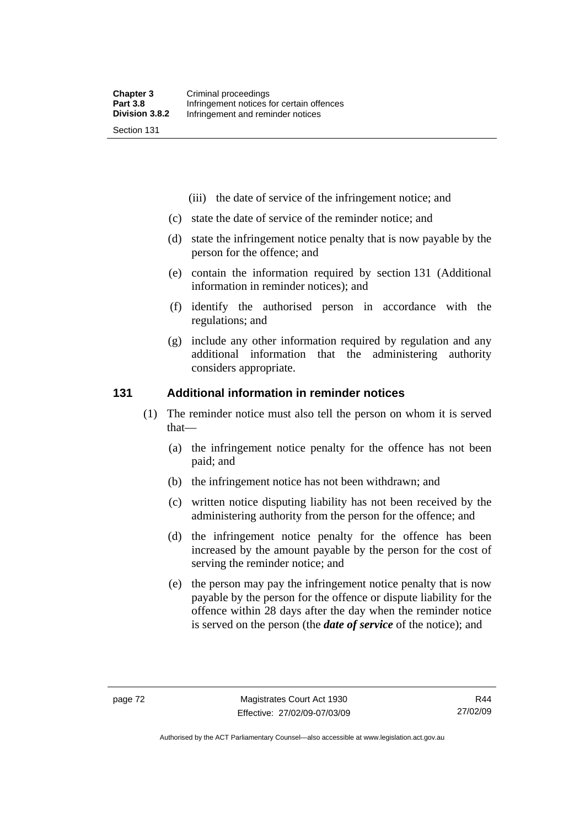- (iii) the date of service of the infringement notice; and
- (c) state the date of service of the reminder notice; and
- (d) state the infringement notice penalty that is now payable by the person for the offence; and
- (e) contain the information required by section 131 (Additional information in reminder notices); and
- (f) identify the authorised person in accordance with the regulations; and
- (g) include any other information required by regulation and any additional information that the administering authority considers appropriate.

#### **131 Additional information in reminder notices**

- (1) The reminder notice must also tell the person on whom it is served that—
	- (a) the infringement notice penalty for the offence has not been paid; and
	- (b) the infringement notice has not been withdrawn; and
	- (c) written notice disputing liability has not been received by the administering authority from the person for the offence; and
	- (d) the infringement notice penalty for the offence has been increased by the amount payable by the person for the cost of serving the reminder notice; and
	- (e) the person may pay the infringement notice penalty that is now payable by the person for the offence or dispute liability for the offence within 28 days after the day when the reminder notice is served on the person (the *date of service* of the notice); and

Authorised by the ACT Parliamentary Counsel—also accessible at www.legislation.act.gov.au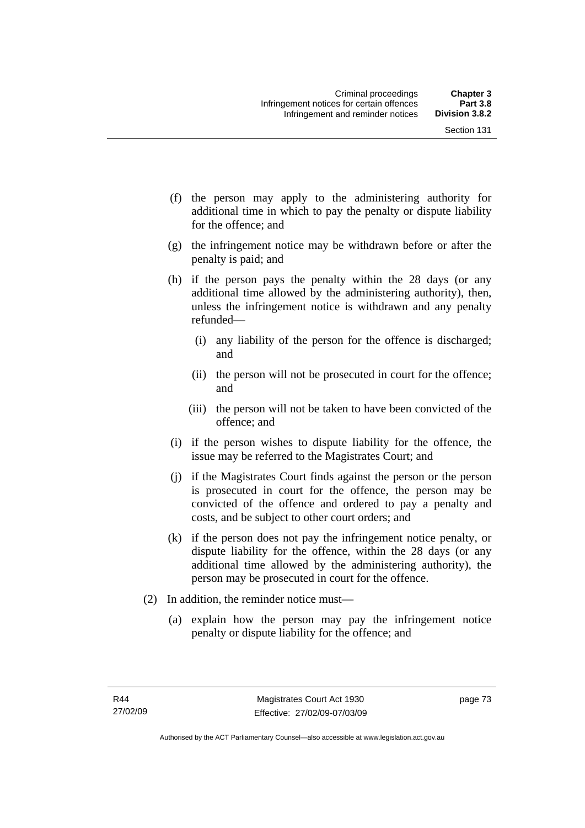Section 131

- (f) the person may apply to the administering authority for additional time in which to pay the penalty or dispute liability for the offence; and
- (g) the infringement notice may be withdrawn before or after the penalty is paid; and
- (h) if the person pays the penalty within the 28 days (or any additional time allowed by the administering authority), then, unless the infringement notice is withdrawn and any penalty refunded—
	- (i) any liability of the person for the offence is discharged; and
	- (ii) the person will not be prosecuted in court for the offence; and
	- (iii) the person will not be taken to have been convicted of the offence; and
- (i) if the person wishes to dispute liability for the offence, the issue may be referred to the Magistrates Court; and
- (j) if the Magistrates Court finds against the person or the person is prosecuted in court for the offence, the person may be convicted of the offence and ordered to pay a penalty and costs, and be subject to other court orders; and
- (k) if the person does not pay the infringement notice penalty, or dispute liability for the offence, within the 28 days (or any additional time allowed by the administering authority), the person may be prosecuted in court for the offence.
- (2) In addition, the reminder notice must—
	- (a) explain how the person may pay the infringement notice penalty or dispute liability for the offence; and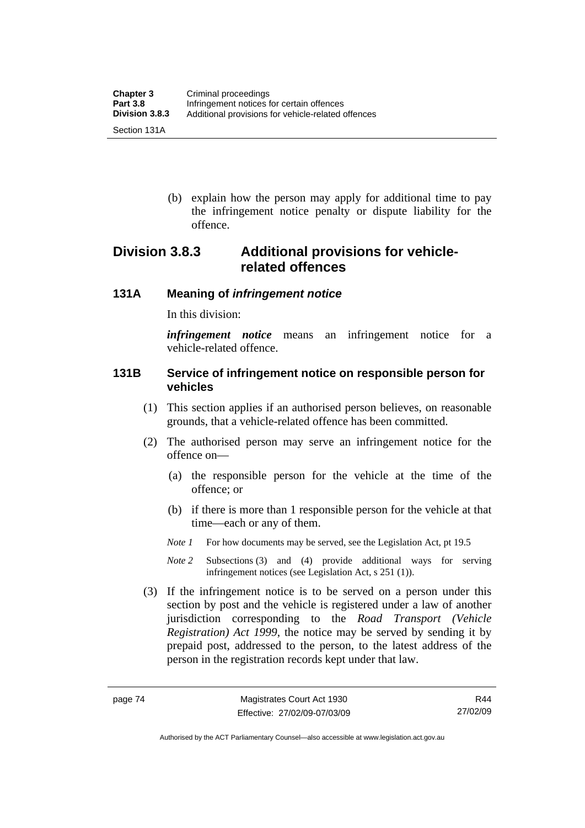(b) explain how the person may apply for additional time to pay the infringement notice penalty or dispute liability for the offence.

# **Division 3.8.3 Additional provisions for vehiclerelated offences**

#### **131A Meaning of** *infringement notice*

In this division:

*infringement notice* means an infringement notice for a vehicle-related offence.

#### **131B Service of infringement notice on responsible person for vehicles**

- (1) This section applies if an authorised person believes, on reasonable grounds, that a vehicle-related offence has been committed.
- (2) The authorised person may serve an infringement notice for the offence on—
	- (a) the responsible person for the vehicle at the time of the offence; or
	- (b) if there is more than 1 responsible person for the vehicle at that time—each or any of them.
	- *Note 1* For how documents may be served, see the Legislation Act, pt 19.5
	- *Note 2* Subsections (3) and (4) provide additional ways for serving infringement notices (see Legislation Act, s 251 (1)).
- (3) If the infringement notice is to be served on a person under this section by post and the vehicle is registered under a law of another jurisdiction corresponding to the *Road Transport (Vehicle Registration) Act 1999*, the notice may be served by sending it by prepaid post, addressed to the person, to the latest address of the person in the registration records kept under that law.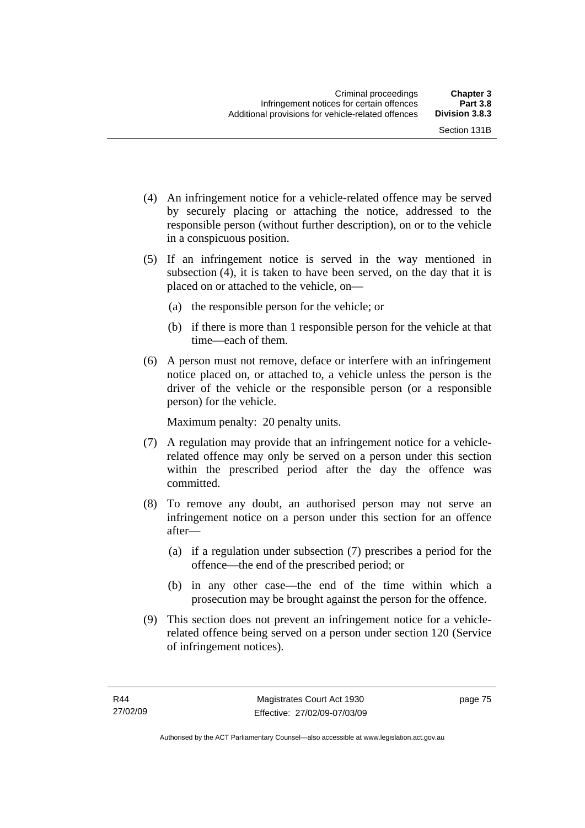- (4) An infringement notice for a vehicle-related offence may be served by securely placing or attaching the notice, addressed to the responsible person (without further description), on or to the vehicle in a conspicuous position.
- (5) If an infringement notice is served in the way mentioned in subsection (4), it is taken to have been served, on the day that it is placed on or attached to the vehicle, on—
	- (a) the responsible person for the vehicle; or
	- (b) if there is more than 1 responsible person for the vehicle at that time—each of them.
- (6) A person must not remove, deface or interfere with an infringement notice placed on, or attached to, a vehicle unless the person is the driver of the vehicle or the responsible person (or a responsible person) for the vehicle.

Maximum penalty: 20 penalty units.

- (7) A regulation may provide that an infringement notice for a vehiclerelated offence may only be served on a person under this section within the prescribed period after the day the offence was committed.
- (8) To remove any doubt, an authorised person may not serve an infringement notice on a person under this section for an offence after—
	- (a) if a regulation under subsection (7) prescribes a period for the offence—the end of the prescribed period; or
	- (b) in any other case—the end of the time within which a prosecution may be brought against the person for the offence.
- (9) This section does not prevent an infringement notice for a vehiclerelated offence being served on a person under section 120 (Service of infringement notices).

page 75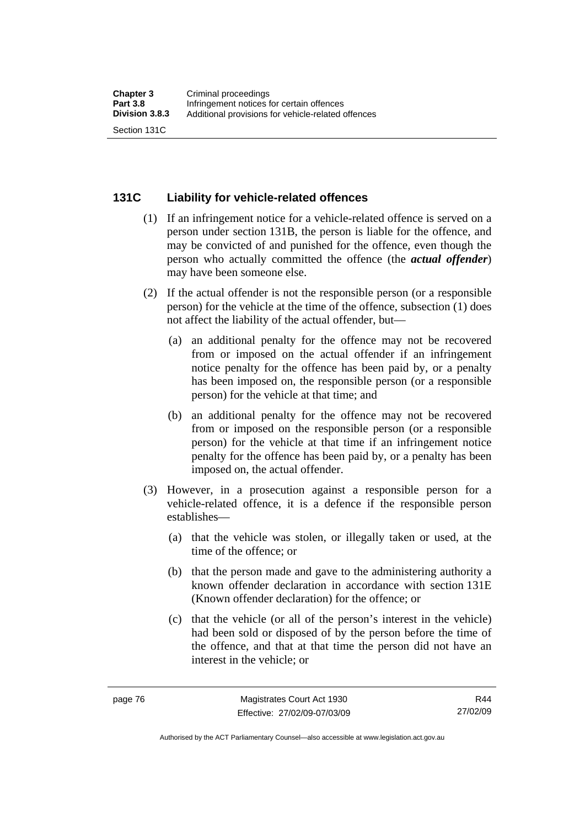#### **131C Liability for vehicle-related offences**

- (1) If an infringement notice for a vehicle-related offence is served on a person under section 131B, the person is liable for the offence, and may be convicted of and punished for the offence, even though the person who actually committed the offence (the *actual offender*) may have been someone else.
- (2) If the actual offender is not the responsible person (or a responsible person) for the vehicle at the time of the offence, subsection (1) does not affect the liability of the actual offender, but—
	- (a) an additional penalty for the offence may not be recovered from or imposed on the actual offender if an infringement notice penalty for the offence has been paid by, or a penalty has been imposed on, the responsible person (or a responsible person) for the vehicle at that time; and
	- (b) an additional penalty for the offence may not be recovered from or imposed on the responsible person (or a responsible person) for the vehicle at that time if an infringement notice penalty for the offence has been paid by, or a penalty has been imposed on, the actual offender.
- (3) However, in a prosecution against a responsible person for a vehicle-related offence, it is a defence if the responsible person establishes—
	- (a) that the vehicle was stolen, or illegally taken or used, at the time of the offence; or
	- (b) that the person made and gave to the administering authority a known offender declaration in accordance with section 131E (Known offender declaration) for the offence; or
	- (c) that the vehicle (or all of the person's interest in the vehicle) had been sold or disposed of by the person before the time of the offence, and that at that time the person did not have an interest in the vehicle; or

Authorised by the ACT Parliamentary Counsel—also accessible at www.legislation.act.gov.au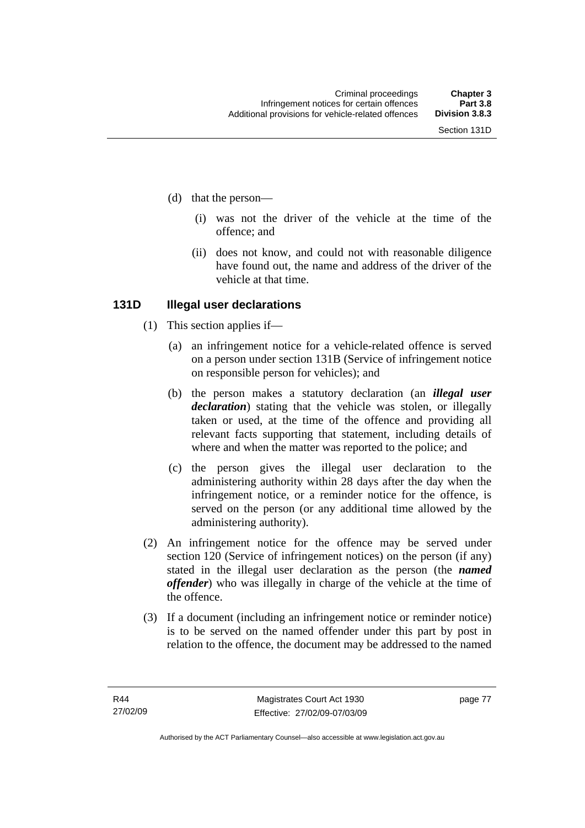- (d) that the person—
	- (i) was not the driver of the vehicle at the time of the offence; and
	- (ii) does not know, and could not with reasonable diligence have found out, the name and address of the driver of the vehicle at that time.

#### **131D Illegal user declarations**

- (1) This section applies if—
	- (a) an infringement notice for a vehicle-related offence is served on a person under section 131B (Service of infringement notice on responsible person for vehicles); and
	- (b) the person makes a statutory declaration (an *illegal user declaration*) stating that the vehicle was stolen, or illegally taken or used, at the time of the offence and providing all relevant facts supporting that statement, including details of where and when the matter was reported to the police; and
	- (c) the person gives the illegal user declaration to the administering authority within 28 days after the day when the infringement notice, or a reminder notice for the offence, is served on the person (or any additional time allowed by the administering authority).
- (2) An infringement notice for the offence may be served under section 120 (Service of infringement notices) on the person (if any) stated in the illegal user declaration as the person (the *named offender*) who was illegally in charge of the vehicle at the time of the offence.
- (3) If a document (including an infringement notice or reminder notice) is to be served on the named offender under this part by post in relation to the offence, the document may be addressed to the named

page 77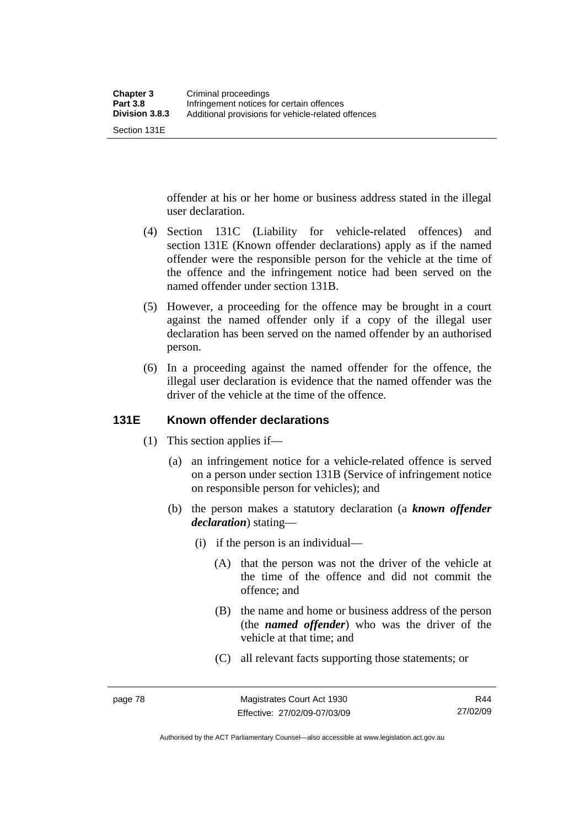Section 131E

offender at his or her home or business address stated in the illegal user declaration.

- (4) Section 131C (Liability for vehicle-related offences) and section 131E (Known offender declarations) apply as if the named offender were the responsible person for the vehicle at the time of the offence and the infringement notice had been served on the named offender under section 131B.
- (5) However, a proceeding for the offence may be brought in a court against the named offender only if a copy of the illegal user declaration has been served on the named offender by an authorised person.
- (6) In a proceeding against the named offender for the offence, the illegal user declaration is evidence that the named offender was the driver of the vehicle at the time of the offence.

#### **131E Known offender declarations**

- (1) This section applies if—
	- (a) an infringement notice for a vehicle-related offence is served on a person under section 131B (Service of infringement notice on responsible person for vehicles); and
	- (b) the person makes a statutory declaration (a *known offender declaration*) stating—
		- (i) if the person is an individual—
			- (A) that the person was not the driver of the vehicle at the time of the offence and did not commit the offence; and
			- (B) the name and home or business address of the person (the *named offender*) who was the driver of the vehicle at that time; and
			- (C) all relevant facts supporting those statements; or

Authorised by the ACT Parliamentary Counsel—also accessible at www.legislation.act.gov.au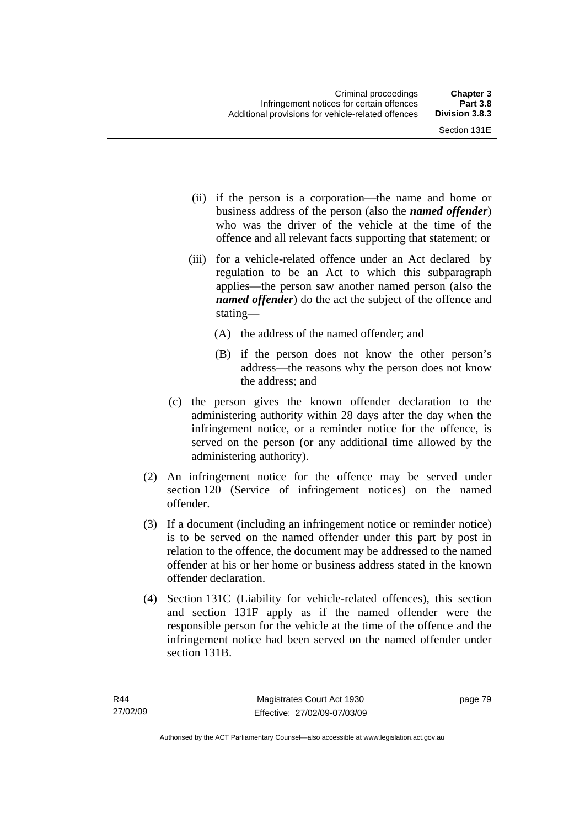- (ii) if the person is a corporation—the name and home or business address of the person (also the *named offender*) who was the driver of the vehicle at the time of the offence and all relevant facts supporting that statement; or
- (iii) for a vehicle-related offence under an Act declared by regulation to be an Act to which this subparagraph applies—the person saw another named person (also the *named offender*) do the act the subject of the offence and stating—
	- (A) the address of the named offender; and
	- (B) if the person does not know the other person's address—the reasons why the person does not know the address; and
- (c) the person gives the known offender declaration to the administering authority within 28 days after the day when the infringement notice, or a reminder notice for the offence, is served on the person (or any additional time allowed by the administering authority).
- (2) An infringement notice for the offence may be served under section 120 (Service of infringement notices) on the named offender.
- (3) If a document (including an infringement notice or reminder notice) is to be served on the named offender under this part by post in relation to the offence, the document may be addressed to the named offender at his or her home or business address stated in the known offender declaration.
- (4) Section 131C (Liability for vehicle-related offences), this section and section 131F apply as if the named offender were the responsible person for the vehicle at the time of the offence and the infringement notice had been served on the named offender under section 131B.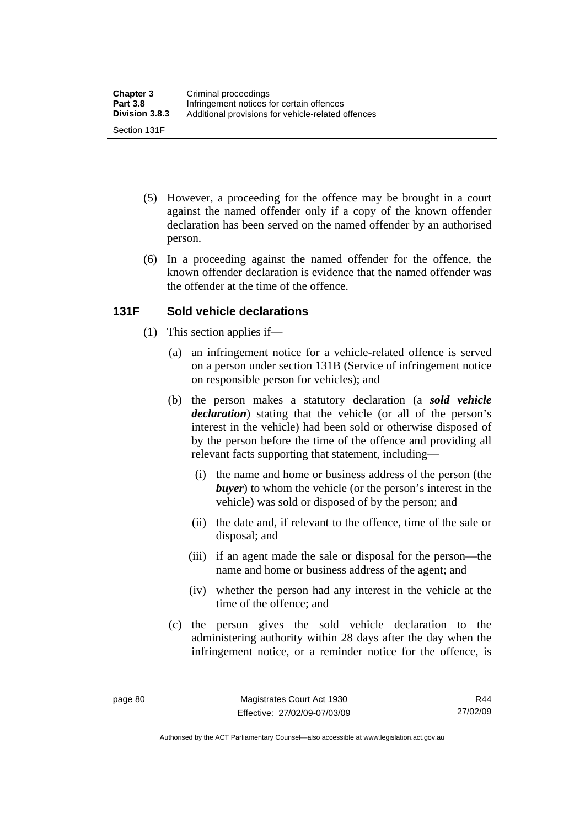- (5) However, a proceeding for the offence may be brought in a court against the named offender only if a copy of the known offender declaration has been served on the named offender by an authorised person.
- (6) In a proceeding against the named offender for the offence, the known offender declaration is evidence that the named offender was the offender at the time of the offence.

### **131F Sold vehicle declarations**

- (1) This section applies if—
	- (a) an infringement notice for a vehicle-related offence is served on a person under section 131B (Service of infringement notice on responsible person for vehicles); and
	- (b) the person makes a statutory declaration (a *sold vehicle declaration*) stating that the vehicle (or all of the person's interest in the vehicle) had been sold or otherwise disposed of by the person before the time of the offence and providing all relevant facts supporting that statement, including—
		- (i) the name and home or business address of the person (the *buyer*) to whom the vehicle (or the person's interest in the vehicle) was sold or disposed of by the person; and
		- (ii) the date and, if relevant to the offence, time of the sale or disposal; and
		- (iii) if an agent made the sale or disposal for the person—the name and home or business address of the agent; and
		- (iv) whether the person had any interest in the vehicle at the time of the offence; and
	- (c) the person gives the sold vehicle declaration to the administering authority within 28 days after the day when the infringement notice, or a reminder notice for the offence, is

Authorised by the ACT Parliamentary Counsel—also accessible at www.legislation.act.gov.au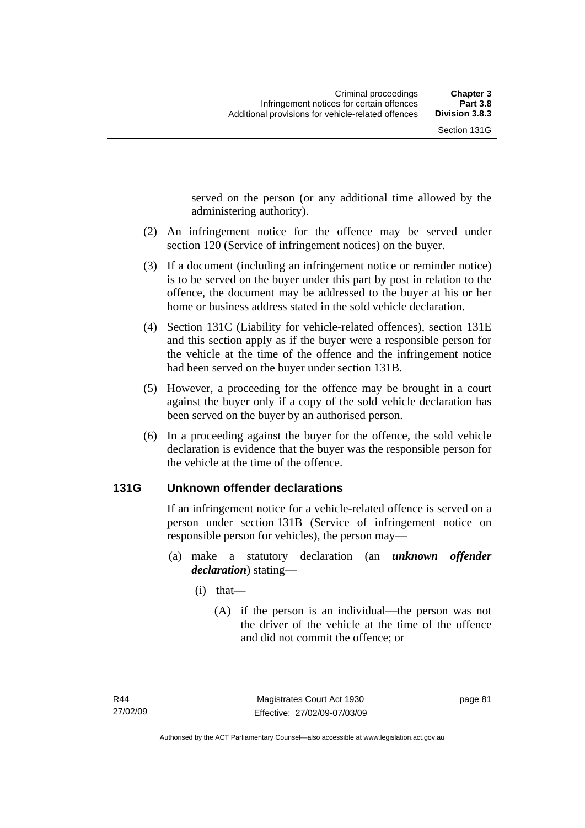served on the person (or any additional time allowed by the administering authority).

- (2) An infringement notice for the offence may be served under section 120 (Service of infringement notices) on the buyer.
- (3) If a document (including an infringement notice or reminder notice) is to be served on the buyer under this part by post in relation to the offence, the document may be addressed to the buyer at his or her home or business address stated in the sold vehicle declaration.
- (4) Section 131C (Liability for vehicle-related offences), section 131E and this section apply as if the buyer were a responsible person for the vehicle at the time of the offence and the infringement notice had been served on the buyer under section 131B.
- (5) However, a proceeding for the offence may be brought in a court against the buyer only if a copy of the sold vehicle declaration has been served on the buyer by an authorised person.
- (6) In a proceeding against the buyer for the offence, the sold vehicle declaration is evidence that the buyer was the responsible person for the vehicle at the time of the offence.

#### **131G Unknown offender declarations**

If an infringement notice for a vehicle-related offence is served on a person under section 131B (Service of infringement notice on responsible person for vehicles), the person may—

- (a) make a statutory declaration (an *unknown offender declaration*) stating—
	- (i) that—
		- (A) if the person is an individual—the person was not the driver of the vehicle at the time of the offence and did not commit the offence; or

page 81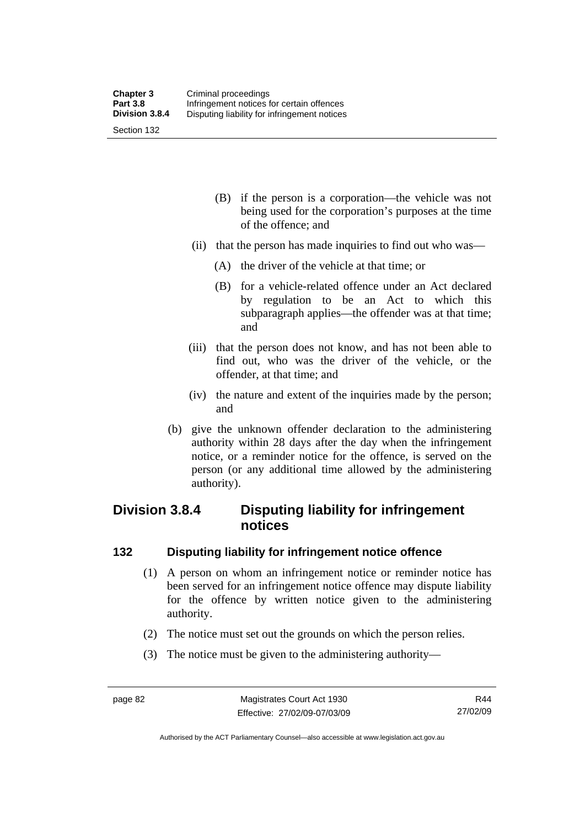- (B) if the person is a corporation—the vehicle was not being used for the corporation's purposes at the time of the offence; and
- (ii) that the person has made inquiries to find out who was—
	- (A) the driver of the vehicle at that time; or
	- (B) for a vehicle-related offence under an Act declared by regulation to be an Act to which this subparagraph applies—the offender was at that time; and
- (iii) that the person does not know, and has not been able to find out, who was the driver of the vehicle, or the offender, at that time; and
- (iv) the nature and extent of the inquiries made by the person; and
- (b) give the unknown offender declaration to the administering authority within 28 days after the day when the infringement notice, or a reminder notice for the offence, is served on the person (or any additional time allowed by the administering authority).

# **Division 3.8.4 Disputing liability for infringement notices**

#### **132 Disputing liability for infringement notice offence**

- (1) A person on whom an infringement notice or reminder notice has been served for an infringement notice offence may dispute liability for the offence by written notice given to the administering authority.
- (2) The notice must set out the grounds on which the person relies.
- (3) The notice must be given to the administering authority—

Authorised by the ACT Parliamentary Counsel—also accessible at www.legislation.act.gov.au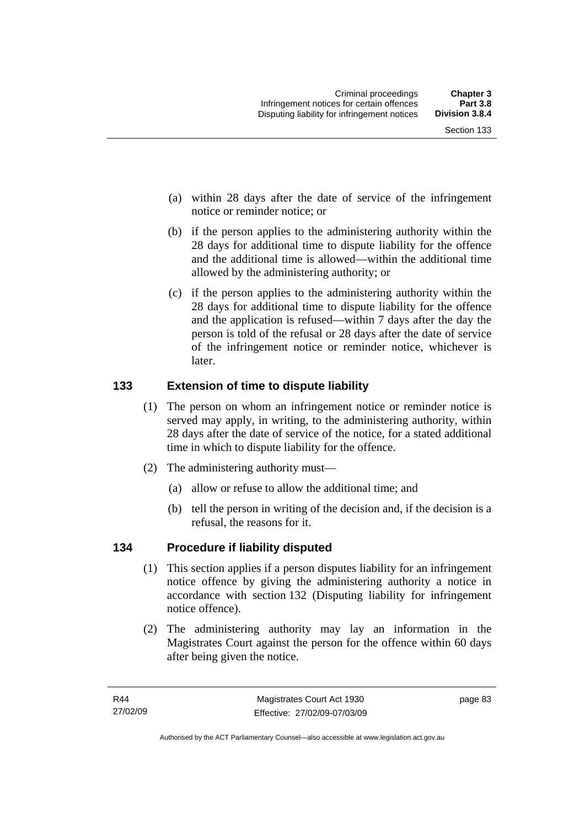- (a) within 28 days after the date of service of the infringement notice or reminder notice; or
- (b) if the person applies to the administering authority within the 28 days for additional time to dispute liability for the offence and the additional time is allowed—within the additional time allowed by the administering authority; or
- (c) if the person applies to the administering authority within the 28 days for additional time to dispute liability for the offence and the application is refused—within 7 days after the day the person is told of the refusal or 28 days after the date of service of the infringement notice or reminder notice, whichever is later.

# **133 Extension of time to dispute liability**

- (1) The person on whom an infringement notice or reminder notice is served may apply, in writing, to the administering authority, within 28 days after the date of service of the notice, for a stated additional time in which to dispute liability for the offence.
- (2) The administering authority must—
	- (a) allow or refuse to allow the additional time; and
	- (b) tell the person in writing of the decision and, if the decision is a refusal, the reasons for it.

# **134 Procedure if liability disputed**

- (1) This section applies if a person disputes liability for an infringement notice offence by giving the administering authority a notice in accordance with section 132 (Disputing liability for infringement notice offence).
- (2) The administering authority may lay an information in the Magistrates Court against the person for the offence within 60 days after being given the notice.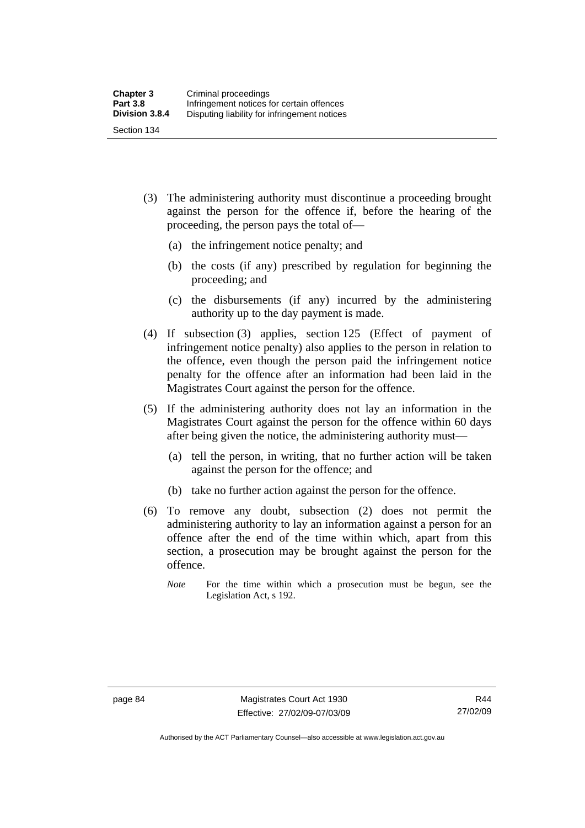- (3) The administering authority must discontinue a proceeding brought against the person for the offence if, before the hearing of the proceeding, the person pays the total of—
	- (a) the infringement notice penalty; and
	- (b) the costs (if any) prescribed by regulation for beginning the proceeding; and
	- (c) the disbursements (if any) incurred by the administering authority up to the day payment is made.
- (4) If subsection (3) applies, section 125 (Effect of payment of infringement notice penalty) also applies to the person in relation to the offence, even though the person paid the infringement notice penalty for the offence after an information had been laid in the Magistrates Court against the person for the offence.
- (5) If the administering authority does not lay an information in the Magistrates Court against the person for the offence within 60 days after being given the notice, the administering authority must—
	- (a) tell the person, in writing, that no further action will be taken against the person for the offence; and
	- (b) take no further action against the person for the offence.
- (6) To remove any doubt, subsection (2) does not permit the administering authority to lay an information against a person for an offence after the end of the time within which, apart from this section, a prosecution may be brought against the person for the offence.
	- *Note* For the time within which a prosecution must be begun, see the Legislation Act, s 192.

Authorised by the ACT Parliamentary Counsel—also accessible at www.legislation.act.gov.au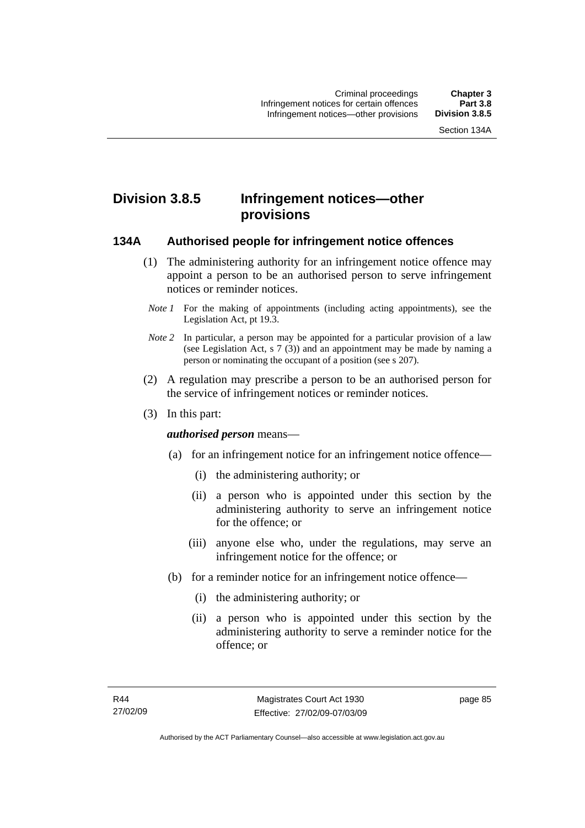# **Division 3.8.5 Infringement notices—other provisions**

#### **134A Authorised people for infringement notice offences**

- (1) The administering authority for an infringement notice offence may appoint a person to be an authorised person to serve infringement notices or reminder notices.
- *Note 1* For the making of appointments (including acting appointments), see the Legislation Act, pt 19.3.
- *Note 2* In particular, a person may be appointed for a particular provision of a law (see Legislation Act, s 7 (3)) and an appointment may be made by naming a person or nominating the occupant of a position (see s 207).
- (2) A regulation may prescribe a person to be an authorised person for the service of infringement notices or reminder notices.
- (3) In this part:

#### *authorised person* means—

- (a) for an infringement notice for an infringement notice offence—
	- (i) the administering authority; or
	- (ii) a person who is appointed under this section by the administering authority to serve an infringement notice for the offence; or
	- (iii) anyone else who, under the regulations, may serve an infringement notice for the offence; or
- (b) for a reminder notice for an infringement notice offence—
	- (i) the administering authority; or
	- (ii) a person who is appointed under this section by the administering authority to serve a reminder notice for the offence; or

page 85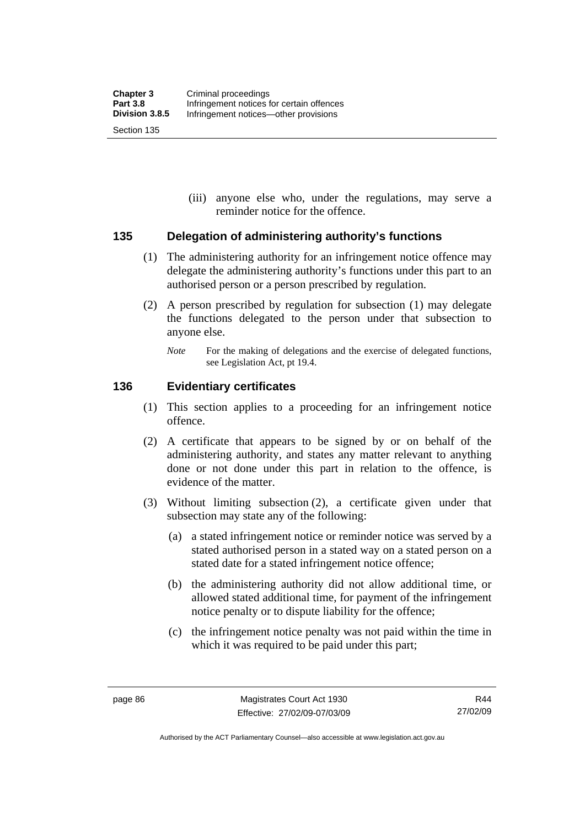(iii) anyone else who, under the regulations, may serve a reminder notice for the offence.

#### **135 Delegation of administering authority's functions**

- (1) The administering authority for an infringement notice offence may delegate the administering authority's functions under this part to an authorised person or a person prescribed by regulation.
- (2) A person prescribed by regulation for subsection (1) may delegate the functions delegated to the person under that subsection to anyone else.
	- *Note* For the making of delegations and the exercise of delegated functions, see Legislation Act, pt 19.4.

#### **136 Evidentiary certificates**

- (1) This section applies to a proceeding for an infringement notice offence.
- (2) A certificate that appears to be signed by or on behalf of the administering authority, and states any matter relevant to anything done or not done under this part in relation to the offence, is evidence of the matter.
- (3) Without limiting subsection (2), a certificate given under that subsection may state any of the following:
	- (a) a stated infringement notice or reminder notice was served by a stated authorised person in a stated way on a stated person on a stated date for a stated infringement notice offence;
	- (b) the administering authority did not allow additional time, or allowed stated additional time, for payment of the infringement notice penalty or to dispute liability for the offence;
	- (c) the infringement notice penalty was not paid within the time in which it was required to be paid under this part;

Authorised by the ACT Parliamentary Counsel—also accessible at www.legislation.act.gov.au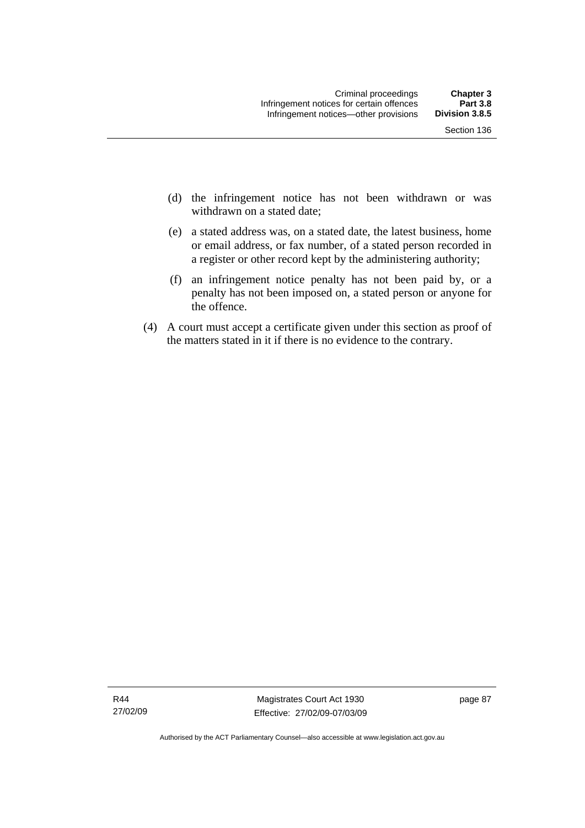- (d) the infringement notice has not been withdrawn or was withdrawn on a stated date:
- (e) a stated address was, on a stated date, the latest business, home or email address, or fax number, of a stated person recorded in a register or other record kept by the administering authority;
- (f) an infringement notice penalty has not been paid by, or a penalty has not been imposed on, a stated person or anyone for the offence.
- (4) A court must accept a certificate given under this section as proof of the matters stated in it if there is no evidence to the contrary.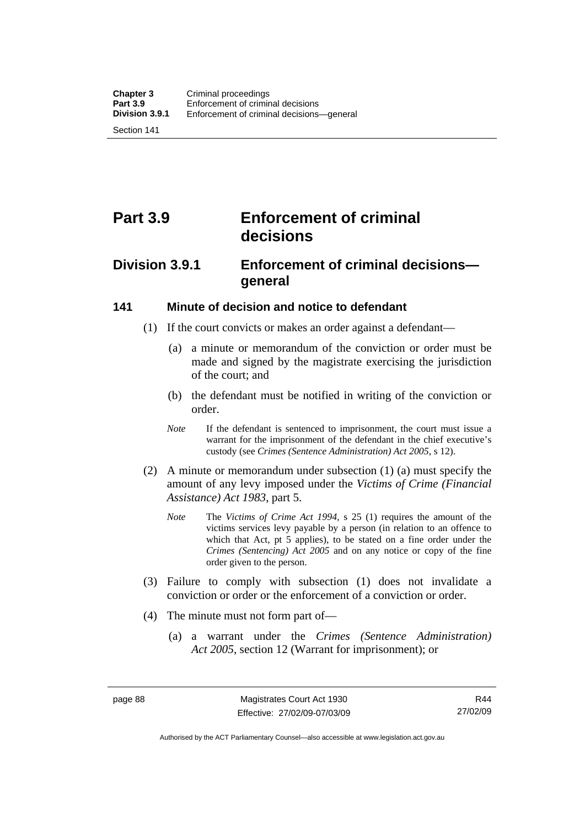Section 141

# **Part 3.9 Enforcement of criminal decisions**

# **Division 3.9.1 Enforcement of criminal decisions general**

#### **141 Minute of decision and notice to defendant**

- (1) If the court convicts or makes an order against a defendant—
	- (a) a minute or memorandum of the conviction or order must be made and signed by the magistrate exercising the jurisdiction of the court; and
	- (b) the defendant must be notified in writing of the conviction or order.
	- *Note* If the defendant is sentenced to imprisonment, the court must issue a warrant for the imprisonment of the defendant in the chief executive's custody (see *Crimes (Sentence Administration) Act 2005*, s 12).
- (2) A minute or memorandum under subsection (1) (a) must specify the amount of any levy imposed under the *Victims of Crime (Financial Assistance) Act 1983*, part 5.
	- *Note* The *Victims of Crime Act 1994*, s 25 (1) requires the amount of the victims services levy payable by a person (in relation to an offence to which that Act, pt 5 applies), to be stated on a fine order under the *Crimes (Sentencing) Act 2005* and on any notice or copy of the fine order given to the person.
- (3) Failure to comply with subsection (1) does not invalidate a conviction or order or the enforcement of a conviction or order.
- (4) The minute must not form part of—
	- (a) a warrant under the *Crimes (Sentence Administration) Act 2005*, section 12 (Warrant for imprisonment); or

Authorised by the ACT Parliamentary Counsel—also accessible at www.legislation.act.gov.au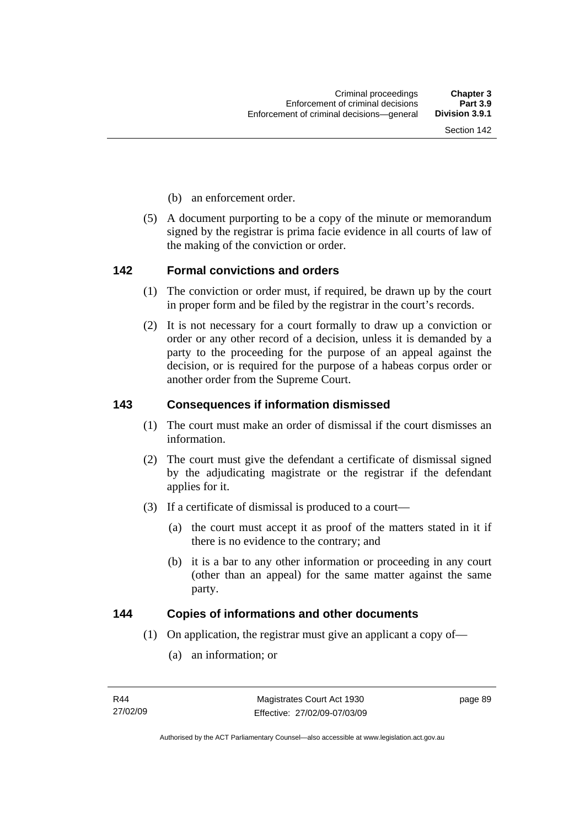- (b) an enforcement order.
- (5) A document purporting to be a copy of the minute or memorandum signed by the registrar is prima facie evidence in all courts of law of the making of the conviction or order.

#### **142 Formal convictions and orders**

- (1) The conviction or order must, if required, be drawn up by the court in proper form and be filed by the registrar in the court's records.
- (2) It is not necessary for a court formally to draw up a conviction or order or any other record of a decision, unless it is demanded by a party to the proceeding for the purpose of an appeal against the decision, or is required for the purpose of a habeas corpus order or another order from the Supreme Court.

#### **143 Consequences if information dismissed**

- (1) The court must make an order of dismissal if the court dismisses an information.
- (2) The court must give the defendant a certificate of dismissal signed by the adjudicating magistrate or the registrar if the defendant applies for it.
- (3) If a certificate of dismissal is produced to a court—
	- (a) the court must accept it as proof of the matters stated in it if there is no evidence to the contrary; and
	- (b) it is a bar to any other information or proceeding in any court (other than an appeal) for the same matter against the same party.

#### **144 Copies of informations and other documents**

- (1) On application, the registrar must give an applicant a copy of—
	- (a) an information; or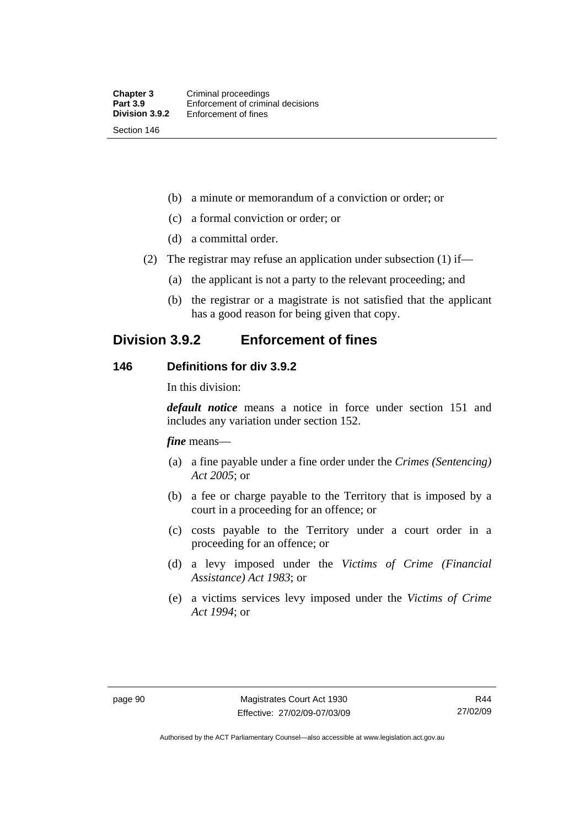(b) a minute or memorandum of a conviction or order; or

- (c) a formal conviction or order; or
- (d) a committal order.
- (2) The registrar may refuse an application under subsection (1) if—
	- (a) the applicant is not a party to the relevant proceeding; and
	- (b) the registrar or a magistrate is not satisfied that the applicant has a good reason for being given that copy.

# **Division 3.9.2 Enforcement of fines**

#### **146 Definitions for div 3.9.2**

In this division:

*default notice* means a notice in force under section 151 and includes any variation under section 152.

*fine* means—

- (a) a fine payable under a fine order under the *Crimes (Sentencing) Act 2005*; or
- (b) a fee or charge payable to the Territory that is imposed by a court in a proceeding for an offence; or
- (c) costs payable to the Territory under a court order in a proceeding for an offence; or
- (d) a levy imposed under the *Victims of Crime (Financial Assistance) Act 1983*; or
- (e) a victims services levy imposed under the *Victims of Crime Act 1994*; or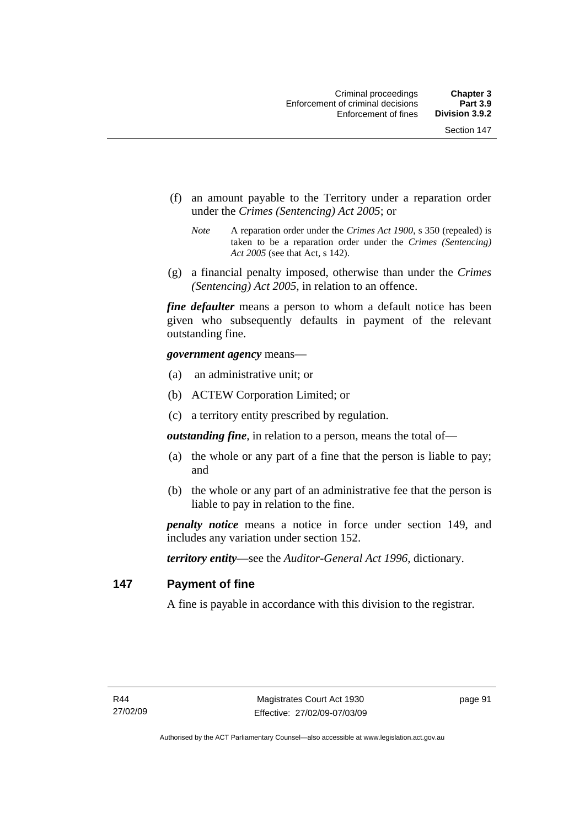- (f) an amount payable to the Territory under a reparation order under the *Crimes (Sentencing) Act 2005*; or
	- *Note* A reparation order under the *Crimes Act 1900*, s 350 (repealed) is taken to be a reparation order under the *Crimes (Sentencing) Act 2005* (see that Act, s 142).
- (g) a financial penalty imposed, otherwise than under the *Crimes (Sentencing) Act 2005*, in relation to an offence.

*fine defaulter* means a person to whom a default notice has been given who subsequently defaults in payment of the relevant outstanding fine.

*government agency* means—

- (a) an administrative unit; or
- (b) ACTEW Corporation Limited; or
- (c) a territory entity prescribed by regulation.

*outstanding fine*, in relation to a person, means the total of—

- (a) the whole or any part of a fine that the person is liable to pay; and
- (b) the whole or any part of an administrative fee that the person is liable to pay in relation to the fine.

*penalty notice* means a notice in force under section 149, and includes any variation under section 152.

*territory entity*—see the *Auditor-General Act 1996*, dictionary.

#### **147 Payment of fine**

A fine is payable in accordance with this division to the registrar.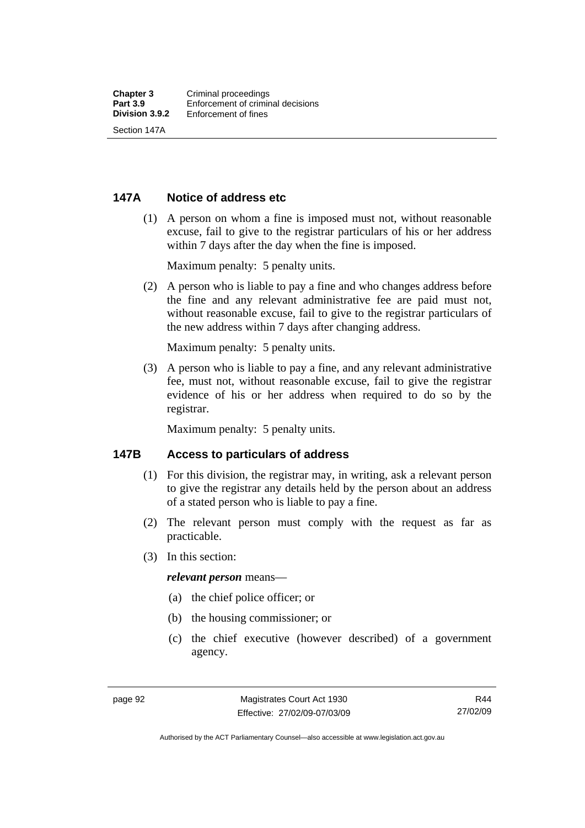#### **147A Notice of address etc**

 (1) A person on whom a fine is imposed must not, without reasonable excuse, fail to give to the registrar particulars of his or her address within 7 days after the day when the fine is imposed.

Maximum penalty: 5 penalty units.

 (2) A person who is liable to pay a fine and who changes address before the fine and any relevant administrative fee are paid must not, without reasonable excuse, fail to give to the registrar particulars of the new address within 7 days after changing address.

Maximum penalty: 5 penalty units.

 (3) A person who is liable to pay a fine, and any relevant administrative fee, must not, without reasonable excuse, fail to give the registrar evidence of his or her address when required to do so by the registrar.

Maximum penalty: 5 penalty units.

#### **147B Access to particulars of address**

- (1) For this division, the registrar may, in writing, ask a relevant person to give the registrar any details held by the person about an address of a stated person who is liable to pay a fine.
- (2) The relevant person must comply with the request as far as practicable.
- (3) In this section:

#### *relevant person* means—

- (a) the chief police officer; or
- (b) the housing commissioner; or
- (c) the chief executive (however described) of a government agency.

Authorised by the ACT Parliamentary Counsel—also accessible at www.legislation.act.gov.au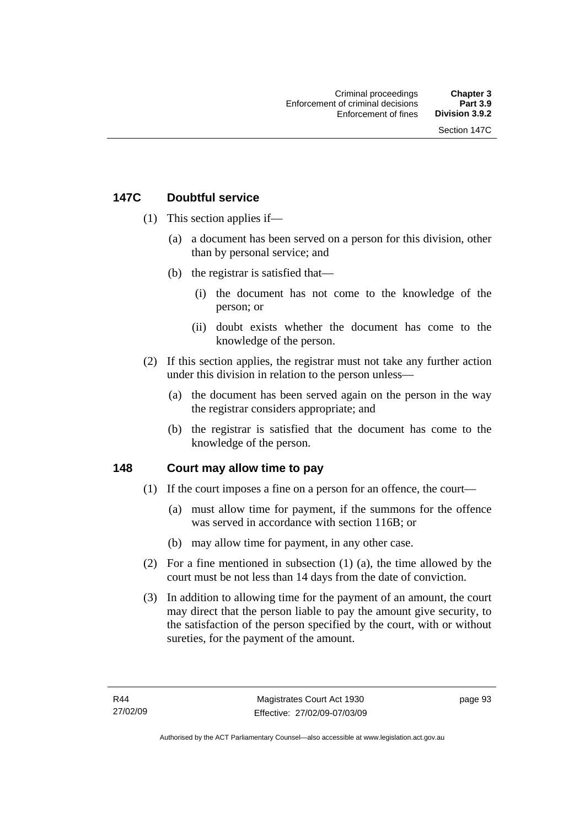## **147C Doubtful service**

- (1) This section applies if—
	- (a) a document has been served on a person for this division, other than by personal service; and
	- (b) the registrar is satisfied that—
		- (i) the document has not come to the knowledge of the person; or
		- (ii) doubt exists whether the document has come to the knowledge of the person.
- (2) If this section applies, the registrar must not take any further action under this division in relation to the person unless—
	- (a) the document has been served again on the person in the way the registrar considers appropriate; and
	- (b) the registrar is satisfied that the document has come to the knowledge of the person.

## **148 Court may allow time to pay**

- (1) If the court imposes a fine on a person for an offence, the court—
	- (a) must allow time for payment, if the summons for the offence was served in accordance with section 116B; or
	- (b) may allow time for payment, in any other case.
- (2) For a fine mentioned in subsection (1) (a), the time allowed by the court must be not less than 14 days from the date of conviction.
- (3) In addition to allowing time for the payment of an amount, the court may direct that the person liable to pay the amount give security, to the satisfaction of the person specified by the court, with or without sureties, for the payment of the amount.

page 93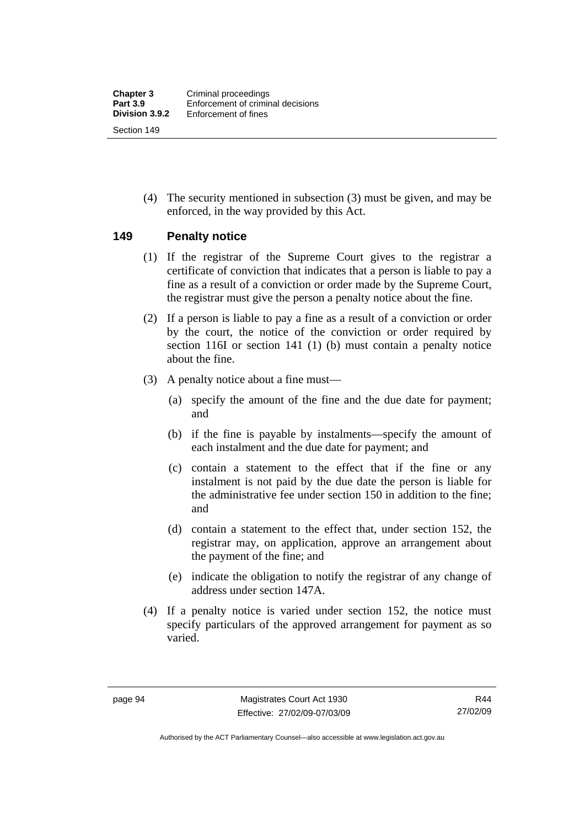(4) The security mentioned in subsection (3) must be given, and may be enforced, in the way provided by this Act.

#### **149 Penalty notice**

- (1) If the registrar of the Supreme Court gives to the registrar a certificate of conviction that indicates that a person is liable to pay a fine as a result of a conviction or order made by the Supreme Court, the registrar must give the person a penalty notice about the fine.
- (2) If a person is liable to pay a fine as a result of a conviction or order by the court, the notice of the conviction or order required by section 116I or section 141 (1) (b) must contain a penalty notice about the fine.
- (3) A penalty notice about a fine must—
	- (a) specify the amount of the fine and the due date for payment; and
	- (b) if the fine is payable by instalments—specify the amount of each instalment and the due date for payment; and
	- (c) contain a statement to the effect that if the fine or any instalment is not paid by the due date the person is liable for the administrative fee under section 150 in addition to the fine; and
	- (d) contain a statement to the effect that, under section 152, the registrar may, on application, approve an arrangement about the payment of the fine; and
	- (e) indicate the obligation to notify the registrar of any change of address under section 147A.
- (4) If a penalty notice is varied under section 152, the notice must specify particulars of the approved arrangement for payment as so varied.

Authorised by the ACT Parliamentary Counsel—also accessible at www.legislation.act.gov.au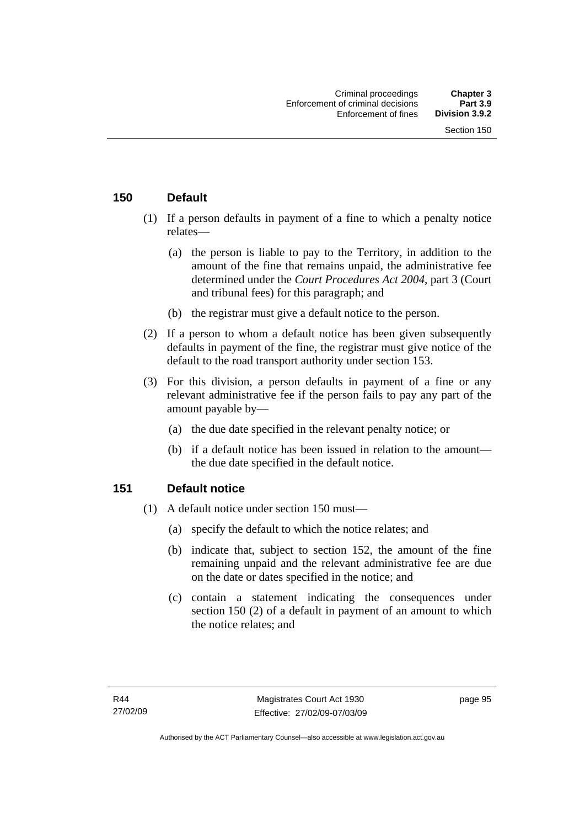## **150 Default**

- (1) If a person defaults in payment of a fine to which a penalty notice relates—
	- (a) the person is liable to pay to the Territory, in addition to the amount of the fine that remains unpaid, the administrative fee determined under the *Court Procedures Act 2004*, part 3 (Court and tribunal fees) for this paragraph; and
	- (b) the registrar must give a default notice to the person.
- (2) If a person to whom a default notice has been given subsequently defaults in payment of the fine, the registrar must give notice of the default to the road transport authority under section 153.
- (3) For this division, a person defaults in payment of a fine or any relevant administrative fee if the person fails to pay any part of the amount payable by—
	- (a) the due date specified in the relevant penalty notice; or
	- (b) if a default notice has been issued in relation to the amount the due date specified in the default notice.

## **151 Default notice**

- (1) A default notice under section 150 must—
	- (a) specify the default to which the notice relates; and
	- (b) indicate that, subject to section 152, the amount of the fine remaining unpaid and the relevant administrative fee are due on the date or dates specified in the notice; and
	- (c) contain a statement indicating the consequences under section 150 (2) of a default in payment of an amount to which the notice relates; and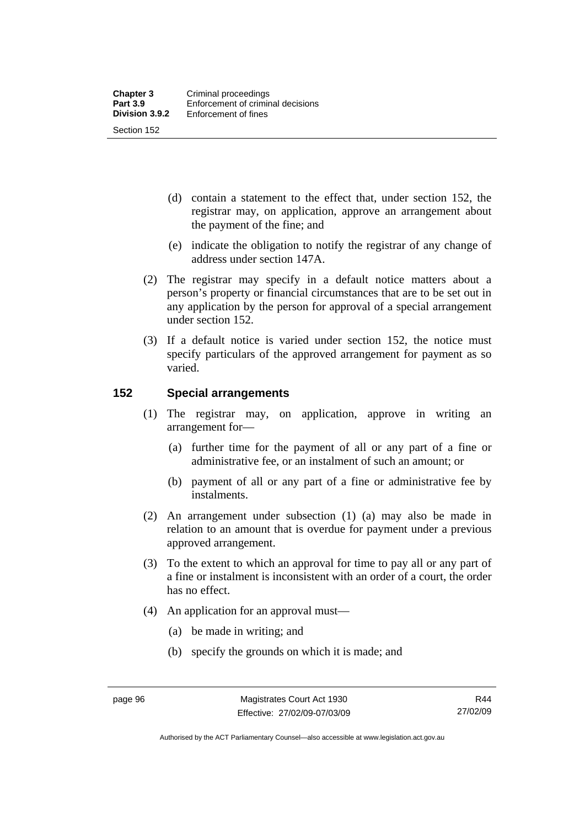- (d) contain a statement to the effect that, under section 152, the registrar may, on application, approve an arrangement about the payment of the fine; and
- (e) indicate the obligation to notify the registrar of any change of address under section 147A.
- (2) The registrar may specify in a default notice matters about a person's property or financial circumstances that are to be set out in any application by the person for approval of a special arrangement under section 152.
- (3) If a default notice is varied under section 152, the notice must specify particulars of the approved arrangement for payment as so varied.

#### **152 Special arrangements**

- (1) The registrar may, on application, approve in writing an arrangement for—
	- (a) further time for the payment of all or any part of a fine or administrative fee, or an instalment of such an amount; or
	- (b) payment of all or any part of a fine or administrative fee by instalments.
- (2) An arrangement under subsection (1) (a) may also be made in relation to an amount that is overdue for payment under a previous approved arrangement.
- (3) To the extent to which an approval for time to pay all or any part of a fine or instalment is inconsistent with an order of a court, the order has no effect.
- (4) An application for an approval must—
	- (a) be made in writing; and
	- (b) specify the grounds on which it is made; and

R44 27/02/09

Authorised by the ACT Parliamentary Counsel—also accessible at www.legislation.act.gov.au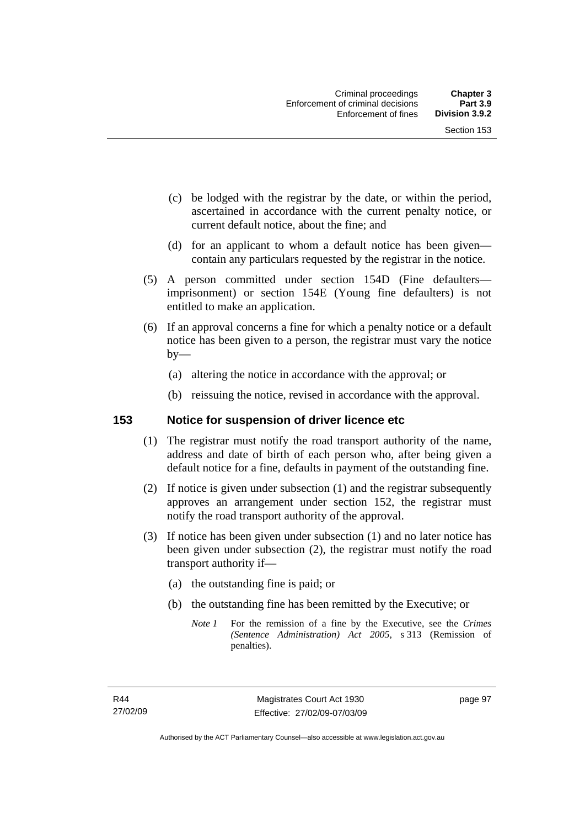- (c) be lodged with the registrar by the date, or within the period, ascertained in accordance with the current penalty notice, or current default notice, about the fine; and
- (d) for an applicant to whom a default notice has been given contain any particulars requested by the registrar in the notice.
- (5) A person committed under section 154D (Fine defaulters imprisonment) or section 154E (Young fine defaulters) is not entitled to make an application.
- (6) If an approval concerns a fine for which a penalty notice or a default notice has been given to a person, the registrar must vary the notice  $by-$ 
	- (a) altering the notice in accordance with the approval; or
	- (b) reissuing the notice, revised in accordance with the approval.

### **153 Notice for suspension of driver licence etc**

- (1) The registrar must notify the road transport authority of the name, address and date of birth of each person who, after being given a default notice for a fine, defaults in payment of the outstanding fine.
- (2) If notice is given under subsection (1) and the registrar subsequently approves an arrangement under section 152, the registrar must notify the road transport authority of the approval.
- (3) If notice has been given under subsection (1) and no later notice has been given under subsection (2), the registrar must notify the road transport authority if—
	- (a) the outstanding fine is paid; or
	- (b) the outstanding fine has been remitted by the Executive; or
		- *Note 1* For the remission of a fine by the Executive, see the *Crimes (Sentence Administration) Act 2005*, s 313 (Remission of penalties).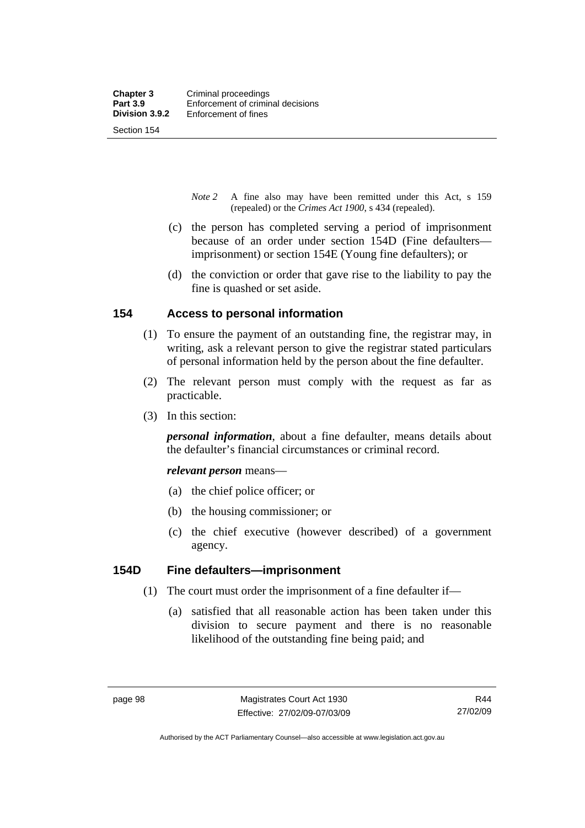Section 154

- *Note 2* A fine also may have been remitted under this Act, s 159 (repealed) or the *Crimes Act 1900*, s 434 (repealed).
- (c) the person has completed serving a period of imprisonment because of an order under section 154D (Fine defaulters imprisonment) or section 154E (Young fine defaulters); or
- (d) the conviction or order that gave rise to the liability to pay the fine is quashed or set aside.

## **154 Access to personal information**

- (1) To ensure the payment of an outstanding fine, the registrar may, in writing, ask a relevant person to give the registrar stated particulars of personal information held by the person about the fine defaulter.
- (2) The relevant person must comply with the request as far as practicable.
- (3) In this section:

*personal information*, about a fine defaulter, means details about the defaulter's financial circumstances or criminal record.

*relevant person* means—

- (a) the chief police officer; or
- (b) the housing commissioner; or
- (c) the chief executive (however described) of a government agency.

#### **154D Fine defaulters—imprisonment**

- (1) The court must order the imprisonment of a fine defaulter if—
	- (a) satisfied that all reasonable action has been taken under this division to secure payment and there is no reasonable likelihood of the outstanding fine being paid; and

Authorised by the ACT Parliamentary Counsel—also accessible at www.legislation.act.gov.au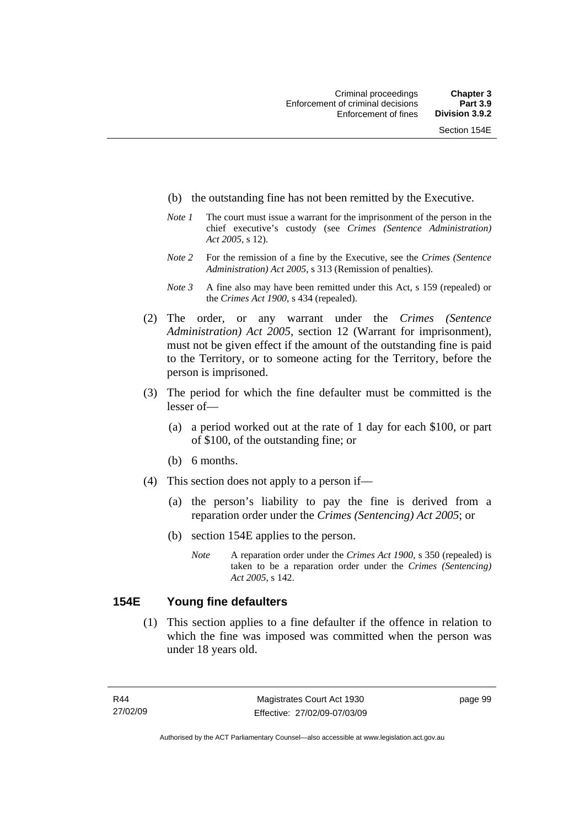- (b) the outstanding fine has not been remitted by the Executive.
- *Note 1* The court must issue a warrant for the imprisonment of the person in the chief executive's custody (see *Crimes (Sentence Administration) Act 2005*, s 12).
- *Note 2* For the remission of a fine by the Executive, see the *Crimes (Sentence Administration) Act 2005*, s 313 (Remission of penalties).
- *Note 3* A fine also may have been remitted under this Act, s 159 (repealed) or the *Crimes Act 1900*, s 434 (repealed).
- (2) The order, or any warrant under the *Crimes (Sentence Administration) Act 2005*, section 12 (Warrant for imprisonment), must not be given effect if the amount of the outstanding fine is paid to the Territory, or to someone acting for the Territory, before the person is imprisoned.
- (3) The period for which the fine defaulter must be committed is the lesser of—
	- (a) a period worked out at the rate of 1 day for each \$100, or part of \$100, of the outstanding fine; or
	- (b) 6 months.
- (4) This section does not apply to a person if—
	- (a) the person's liability to pay the fine is derived from a reparation order under the *Crimes (Sentencing) Act 2005*; or
	- (b) section 154E applies to the person.
		- *Note* A reparation order under the *Crimes Act 1900,* s 350 (repealed) is taken to be a reparation order under the *Crimes (Sentencing) Act 2005*, s 142.

### **154E Young fine defaulters**

 (1) This section applies to a fine defaulter if the offence in relation to which the fine was imposed was committed when the person was under 18 years old.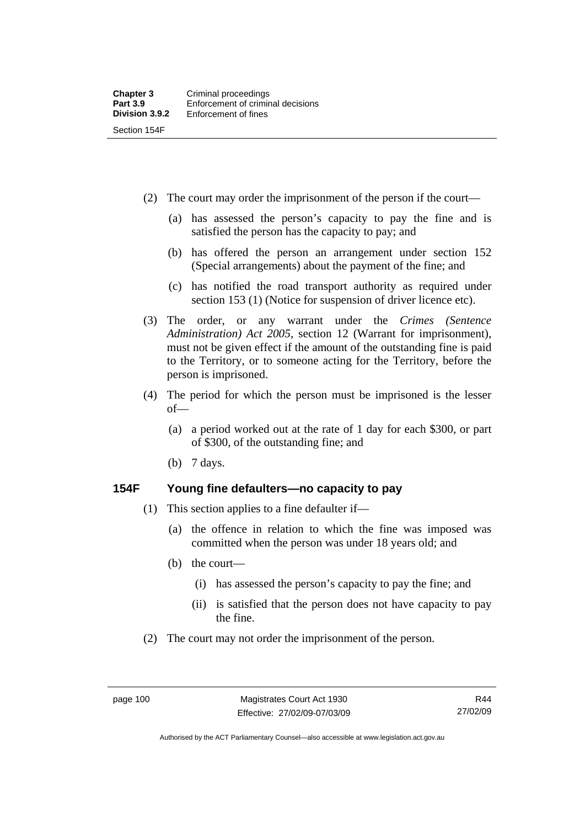(2) The court may order the imprisonment of the person if the court—

- (a) has assessed the person's capacity to pay the fine and is satisfied the person has the capacity to pay; and
- (b) has offered the person an arrangement under section 152 (Special arrangements) about the payment of the fine; and
- (c) has notified the road transport authority as required under section 153 (1) (Notice for suspension of driver licence etc).
- (3) The order, or any warrant under the *Crimes (Sentence Administration) Act 2005*, section 12 (Warrant for imprisonment), must not be given effect if the amount of the outstanding fine is paid to the Territory, or to someone acting for the Territory, before the person is imprisoned.
- (4) The period for which the person must be imprisoned is the lesser of—
	- (a) a period worked out at the rate of 1 day for each \$300, or part of \$300, of the outstanding fine; and
	- (b) 7 days.

#### **154F Young fine defaulters—no capacity to pay**

- (1) This section applies to a fine defaulter if—
	- (a) the offence in relation to which the fine was imposed was committed when the person was under 18 years old; and
	- (b) the court—
		- (i) has assessed the person's capacity to pay the fine; and
		- (ii) is satisfied that the person does not have capacity to pay the fine.
- (2) The court may not order the imprisonment of the person.

Authorised by the ACT Parliamentary Counsel—also accessible at www.legislation.act.gov.au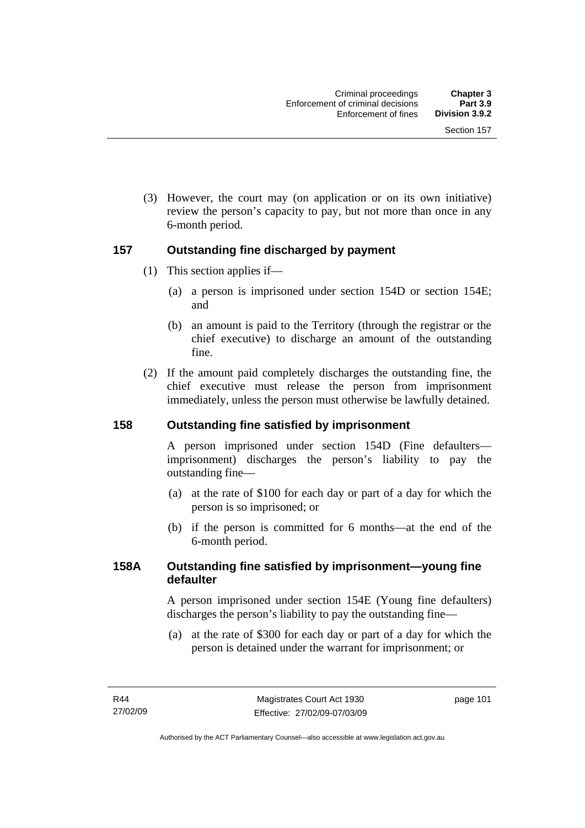(3) However, the court may (on application or on its own initiative) review the person's capacity to pay, but not more than once in any 6-month period.

## **157 Outstanding fine discharged by payment**

- (1) This section applies if—
	- (a) a person is imprisoned under section 154D or section 154E; and
	- (b) an amount is paid to the Territory (through the registrar or the chief executive) to discharge an amount of the outstanding fine.
- (2) If the amount paid completely discharges the outstanding fine, the chief executive must release the person from imprisonment immediately, unless the person must otherwise be lawfully detained.

## **158 Outstanding fine satisfied by imprisonment**

A person imprisoned under section 154D (Fine defaulters imprisonment) discharges the person's liability to pay the outstanding fine—

- (a) at the rate of \$100 for each day or part of a day for which the person is so imprisoned; or
- (b) if the person is committed for 6 months—at the end of the 6-month period.

#### **158A Outstanding fine satisfied by imprisonment—young fine defaulter**

A person imprisoned under section 154E (Young fine defaulters) discharges the person's liability to pay the outstanding fine—

 (a) at the rate of \$300 for each day or part of a day for which the person is detained under the warrant for imprisonment; or

page 101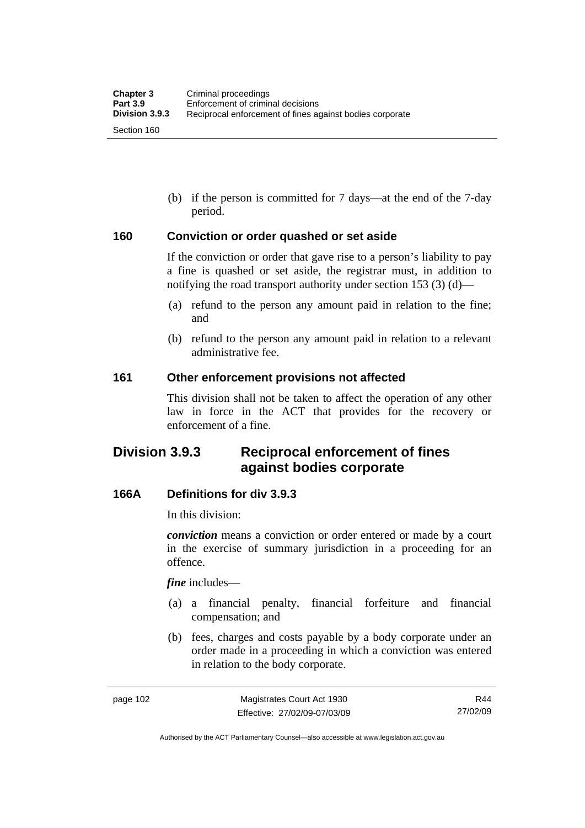(b) if the person is committed for 7 days—at the end of the 7-day period.

#### **160 Conviction or order quashed or set aside**

If the conviction or order that gave rise to a person's liability to pay a fine is quashed or set aside, the registrar must, in addition to notifying the road transport authority under section 153 (3) (d)—

- (a) refund to the person any amount paid in relation to the fine; and
- (b) refund to the person any amount paid in relation to a relevant administrative fee.

#### **161 Other enforcement provisions not affected**

This division shall not be taken to affect the operation of any other law in force in the ACT that provides for the recovery or enforcement of a fine.

# **Division 3.9.3 Reciprocal enforcement of fines against bodies corporate**

#### **166A Definitions for div 3.9.3**

In this division:

*conviction* means a conviction or order entered or made by a court in the exercise of summary jurisdiction in a proceeding for an offence.

*fine* includes—

- (a) a financial penalty, financial forfeiture and financial compensation; and
- (b) fees, charges and costs payable by a body corporate under an order made in a proceeding in which a conviction was entered in relation to the body corporate.

Authorised by the ACT Parliamentary Counsel—also accessible at www.legislation.act.gov.au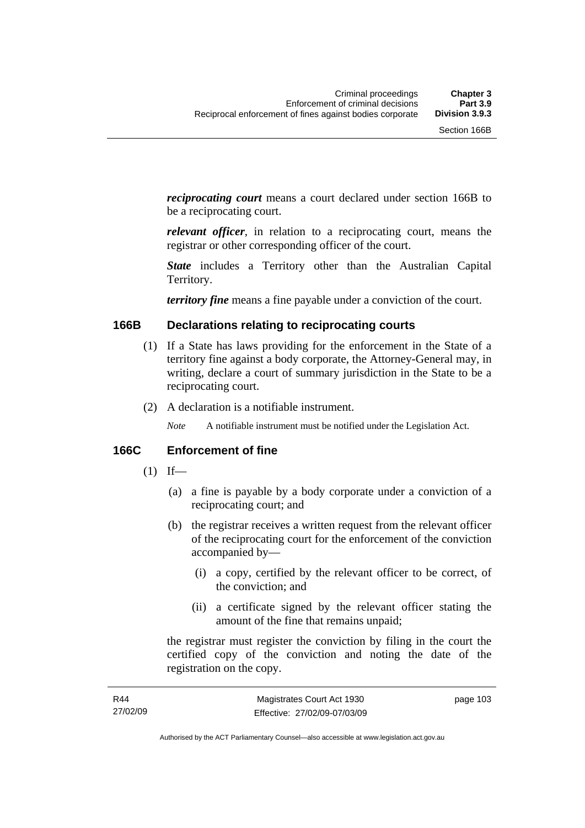*reciprocating court* means a court declared under section 166B to be a reciprocating court.

*relevant officer*, in relation to a reciprocating court, means the registrar or other corresponding officer of the court.

*State* includes a Territory other than the Australian Capital Territory.

*territory fine* means a fine payable under a conviction of the court.

#### **166B Declarations relating to reciprocating courts**

- (1) If a State has laws providing for the enforcement in the State of a territory fine against a body corporate, the Attorney-General may, in writing, declare a court of summary jurisdiction in the State to be a reciprocating court.
- (2) A declaration is a notifiable instrument.

*Note* A notifiable instrument must be notified under the Legislation Act.

#### **166C Enforcement of fine**

- $(1)$  If—
	- (a) a fine is payable by a body corporate under a conviction of a reciprocating court; and
	- (b) the registrar receives a written request from the relevant officer of the reciprocating court for the enforcement of the conviction accompanied by—
		- (i) a copy, certified by the relevant officer to be correct, of the conviction; and
		- (ii) a certificate signed by the relevant officer stating the amount of the fine that remains unpaid;

the registrar must register the conviction by filing in the court the certified copy of the conviction and noting the date of the registration on the copy.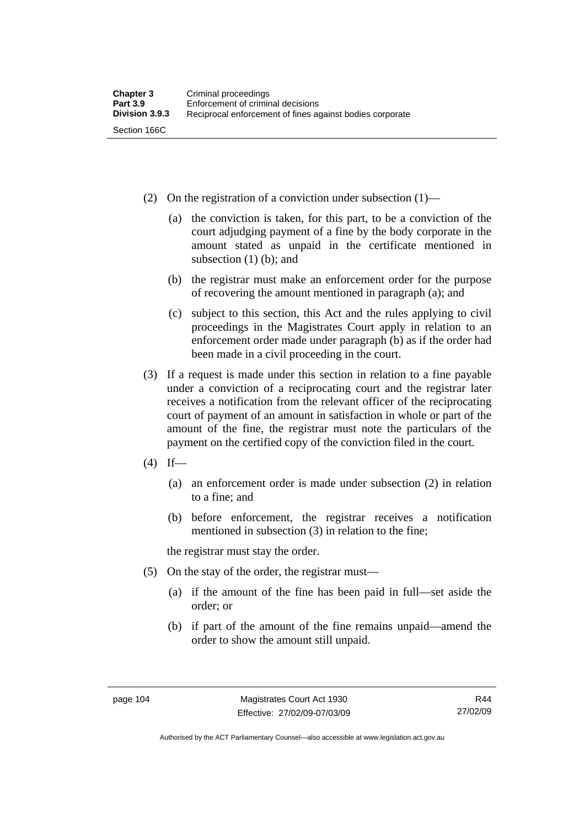- (2) On the registration of a conviction under subsection (1)—
	- (a) the conviction is taken, for this part, to be a conviction of the court adjudging payment of a fine by the body corporate in the amount stated as unpaid in the certificate mentioned in subsection  $(1)$  (b); and
	- (b) the registrar must make an enforcement order for the purpose of recovering the amount mentioned in paragraph (a); and
	- (c) subject to this section, this Act and the rules applying to civil proceedings in the Magistrates Court apply in relation to an enforcement order made under paragraph (b) as if the order had been made in a civil proceeding in the court.
- (3) If a request is made under this section in relation to a fine payable under a conviction of a reciprocating court and the registrar later receives a notification from the relevant officer of the reciprocating court of payment of an amount in satisfaction in whole or part of the amount of the fine, the registrar must note the particulars of the payment on the certified copy of the conviction filed in the court.
- $(4)$  If—
	- (a) an enforcement order is made under subsection (2) in relation to a fine; and
	- (b) before enforcement, the registrar receives a notification mentioned in subsection (3) in relation to the fine;

the registrar must stay the order.

- (5) On the stay of the order, the registrar must—
	- (a) if the amount of the fine has been paid in full—set aside the order; or
	- (b) if part of the amount of the fine remains unpaid—amend the order to show the amount still unpaid.

Authorised by the ACT Parliamentary Counsel—also accessible at www.legislation.act.gov.au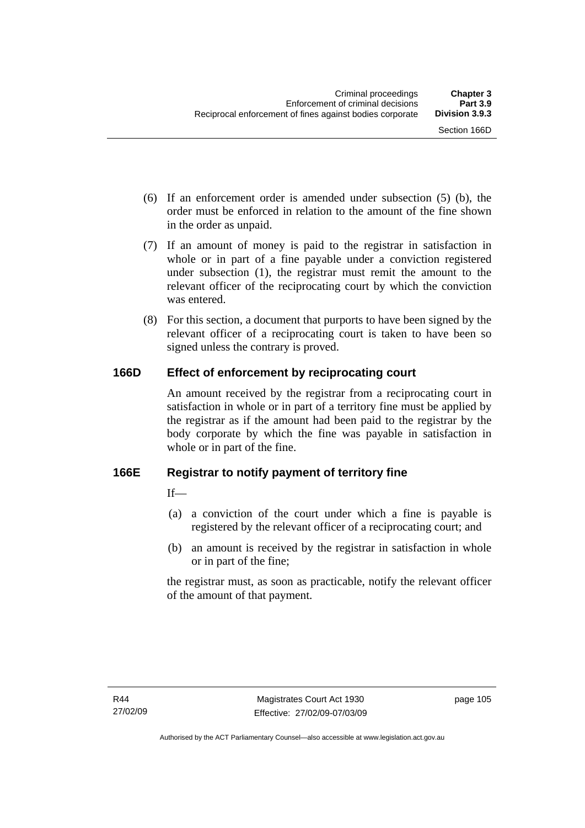- (6) If an enforcement order is amended under subsection (5) (b), the order must be enforced in relation to the amount of the fine shown in the order as unpaid.
- (7) If an amount of money is paid to the registrar in satisfaction in whole or in part of a fine payable under a conviction registered under subsection (1), the registrar must remit the amount to the relevant officer of the reciprocating court by which the conviction was entered.
- (8) For this section, a document that purports to have been signed by the relevant officer of a reciprocating court is taken to have been so signed unless the contrary is proved.

## **166D Effect of enforcement by reciprocating court**

An amount received by the registrar from a reciprocating court in satisfaction in whole or in part of a territory fine must be applied by the registrar as if the amount had been paid to the registrar by the body corporate by which the fine was payable in satisfaction in whole or in part of the fine.

## **166E Registrar to notify payment of territory fine**

 $If$ <sub>—</sub>

- (a) a conviction of the court under which a fine is payable is registered by the relevant officer of a reciprocating court; and
- (b) an amount is received by the registrar in satisfaction in whole or in part of the fine;

the registrar must, as soon as practicable, notify the relevant officer of the amount of that payment.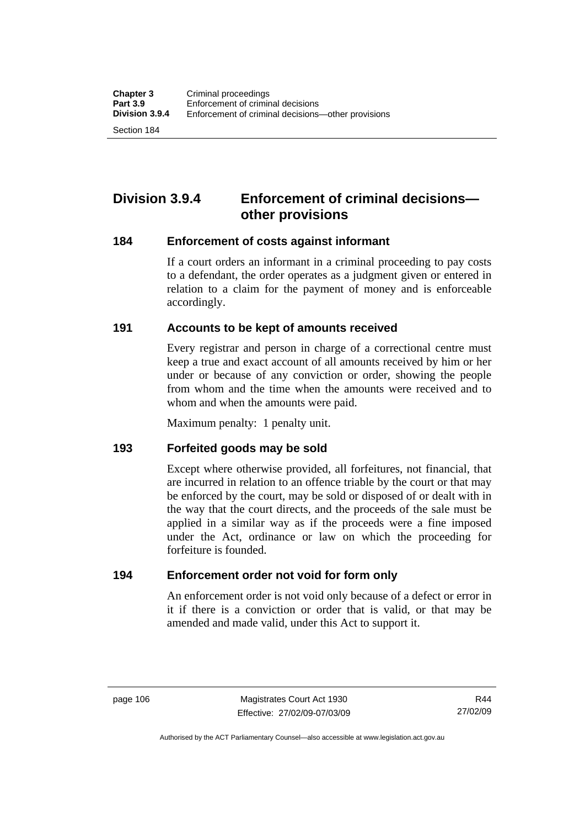Section 184

# **Division 3.9.4 Enforcement of criminal decisions other provisions**

#### **184 Enforcement of costs against informant**

If a court orders an informant in a criminal proceeding to pay costs to a defendant, the order operates as a judgment given or entered in relation to a claim for the payment of money and is enforceable accordingly.

#### **191 Accounts to be kept of amounts received**

Every registrar and person in charge of a correctional centre must keep a true and exact account of all amounts received by him or her under or because of any conviction or order, showing the people from whom and the time when the amounts were received and to whom and when the amounts were paid.

Maximum penalty: 1 penalty unit.

#### **193 Forfeited goods may be sold**

Except where otherwise provided, all forfeitures, not financial, that are incurred in relation to an offence triable by the court or that may be enforced by the court, may be sold or disposed of or dealt with in the way that the court directs, and the proceeds of the sale must be applied in a similar way as if the proceeds were a fine imposed under the Act, ordinance or law on which the proceeding for forfeiture is founded.

#### **194 Enforcement order not void for form only**

An enforcement order is not void only because of a defect or error in it if there is a conviction or order that is valid, or that may be amended and made valid, under this Act to support it.

Authorised by the ACT Parliamentary Counsel—also accessible at www.legislation.act.gov.au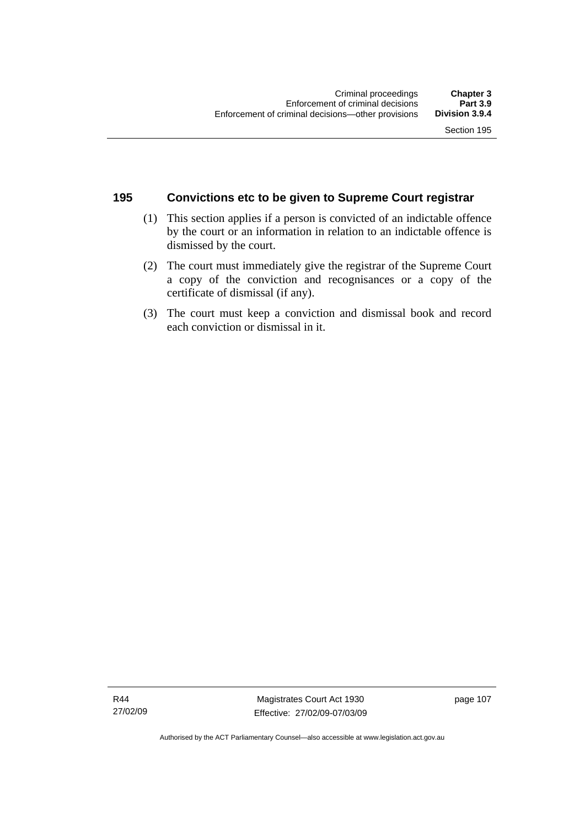### **195 Convictions etc to be given to Supreme Court registrar**

- (1) This section applies if a person is convicted of an indictable offence by the court or an information in relation to an indictable offence is dismissed by the court.
- (2) The court must immediately give the registrar of the Supreme Court a copy of the conviction and recognisances or a copy of the certificate of dismissal (if any).
- (3) The court must keep a conviction and dismissal book and record each conviction or dismissal in it.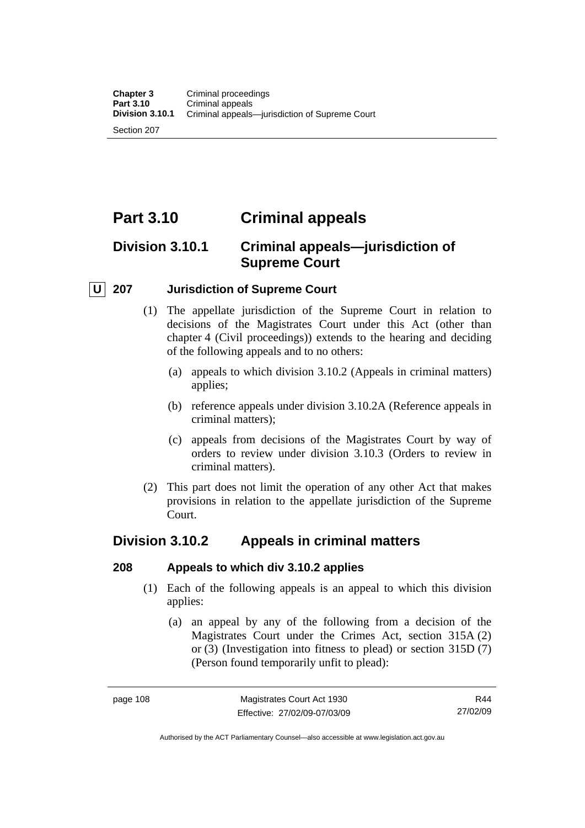# **Part 3.10 Criminal appeals**

# **Division 3.10.1 Criminal appeals—jurisdiction of Supreme Court**

## **U 207 Jurisdiction of Supreme Court**

- (1) The appellate jurisdiction of the Supreme Court in relation to decisions of the Magistrates Court under this Act (other than chapter 4 (Civil proceedings)) extends to the hearing and deciding of the following appeals and to no others:
	- (a) appeals to which division 3.10.2 (Appeals in criminal matters) applies;
	- (b) reference appeals under division 3.10.2A (Reference appeals in criminal matters);
	- (c) appeals from decisions of the Magistrates Court by way of orders to review under division 3.10.3 (Orders to review in criminal matters).
- (2) This part does not limit the operation of any other Act that makes provisions in relation to the appellate jurisdiction of the Supreme Court.

## **Division 3.10.2 Appeals in criminal matters**

## **208 Appeals to which div 3.10.2 applies**

- (1) Each of the following appeals is an appeal to which this division applies:
	- (a) an appeal by any of the following from a decision of the Magistrates Court under the Crimes Act, section 315A (2) or (3) (Investigation into fitness to plead) or section 315D (7) (Person found temporarily unfit to plead):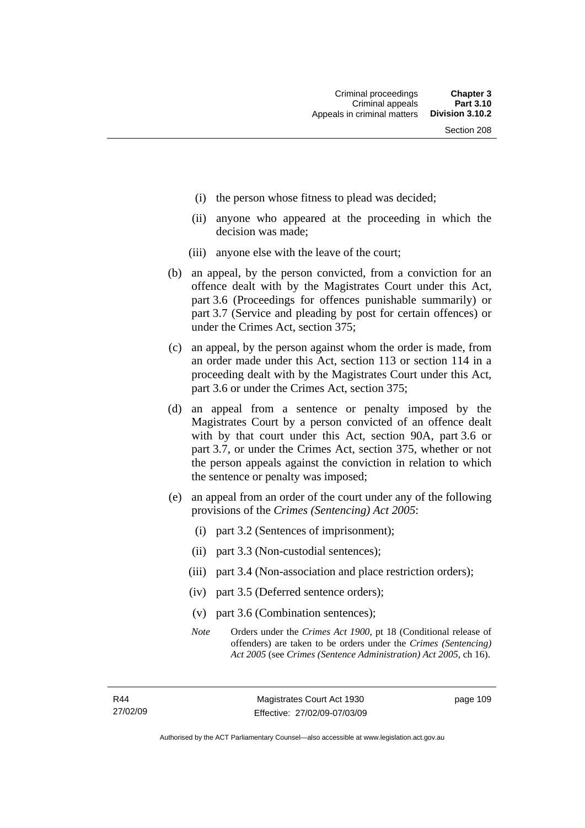- (i) the person whose fitness to plead was decided;
- (ii) anyone who appeared at the proceeding in which the decision was made;
- (iii) anyone else with the leave of the court;
- (b) an appeal, by the person convicted, from a conviction for an offence dealt with by the Magistrates Court under this Act, part 3.6 (Proceedings for offences punishable summarily) or part 3.7 (Service and pleading by post for certain offences) or under the Crimes Act, section 375;
- (c) an appeal, by the person against whom the order is made, from an order made under this Act, section 113 or section 114 in a proceeding dealt with by the Magistrates Court under this Act, part 3.6 or under the Crimes Act, section 375;
- (d) an appeal from a sentence or penalty imposed by the Magistrates Court by a person convicted of an offence dealt with by that court under this Act, section 90A, part 3.6 or part 3.7, or under the Crimes Act, section 375, whether or not the person appeals against the conviction in relation to which the sentence or penalty was imposed;
- (e) an appeal from an order of the court under any of the following provisions of the *Crimes (Sentencing) Act 2005*:
	- (i) part 3.2 (Sentences of imprisonment);
	- (ii) part 3.3 (Non-custodial sentences);
	- (iii) part 3.4 (Non-association and place restriction orders);
	- (iv) part 3.5 (Deferred sentence orders);
	- (v) part 3.6 (Combination sentences);
	- *Note* Orders under the *Crimes Act 1900*, pt 18 (Conditional release of offenders) are taken to be orders under the *Crimes (Sentencing) Act 2005* (see *Crimes (Sentence Administration) Act 2005*, ch 16).

page 109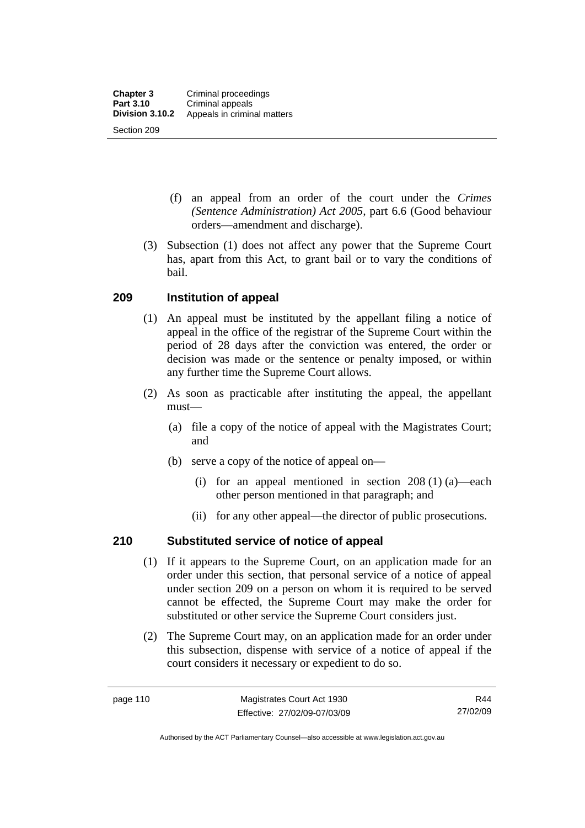- (f) an appeal from an order of the court under the *Crimes (Sentence Administration) Act 2005,* part 6.6 (Good behaviour orders—amendment and discharge).
- (3) Subsection (1) does not affect any power that the Supreme Court has, apart from this Act, to grant bail or to vary the conditions of bail.

## **209 Institution of appeal**

- (1) An appeal must be instituted by the appellant filing a notice of appeal in the office of the registrar of the Supreme Court within the period of 28 days after the conviction was entered, the order or decision was made or the sentence or penalty imposed, or within any further time the Supreme Court allows.
- (2) As soon as practicable after instituting the appeal, the appellant must—
	- (a) file a copy of the notice of appeal with the Magistrates Court; and
	- (b) serve a copy of the notice of appeal on—
		- (i) for an appeal mentioned in section 208 (1) (a)—each other person mentioned in that paragraph; and
		- (ii) for any other appeal—the director of public prosecutions.

## **210 Substituted service of notice of appeal**

- (1) If it appears to the Supreme Court, on an application made for an order under this section, that personal service of a notice of appeal under section 209 on a person on whom it is required to be served cannot be effected, the Supreme Court may make the order for substituted or other service the Supreme Court considers just.
- (2) The Supreme Court may, on an application made for an order under this subsection, dispense with service of a notice of appeal if the court considers it necessary or expedient to do so.

R44 27/02/09

Authorised by the ACT Parliamentary Counsel—also accessible at www.legislation.act.gov.au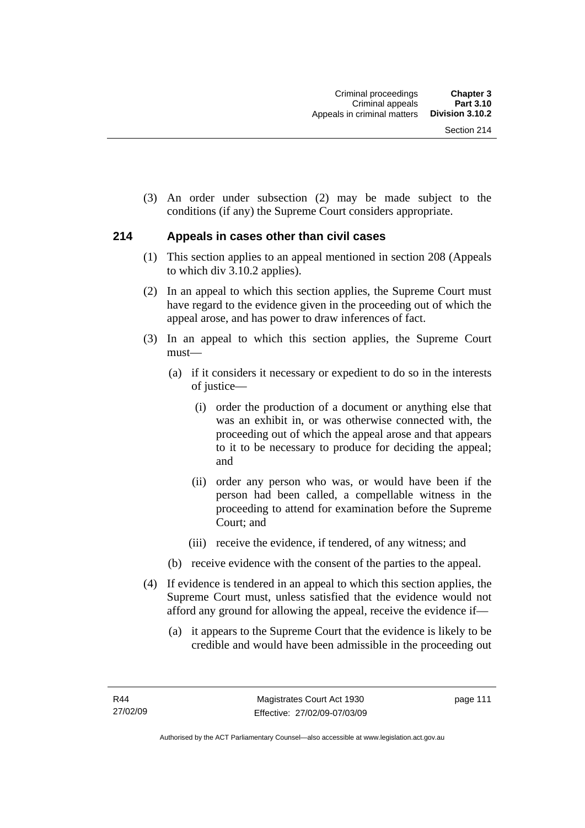(3) An order under subsection (2) may be made subject to the conditions (if any) the Supreme Court considers appropriate.

#### **214 Appeals in cases other than civil cases**

- (1) This section applies to an appeal mentioned in section 208 (Appeals to which div 3.10.2 applies).
- (2) In an appeal to which this section applies, the Supreme Court must have regard to the evidence given in the proceeding out of which the appeal arose, and has power to draw inferences of fact.
- (3) In an appeal to which this section applies, the Supreme Court must—
	- (a) if it considers it necessary or expedient to do so in the interests of justice—
		- (i) order the production of a document or anything else that was an exhibit in, or was otherwise connected with, the proceeding out of which the appeal arose and that appears to it to be necessary to produce for deciding the appeal; and
		- (ii) order any person who was, or would have been if the person had been called, a compellable witness in the proceeding to attend for examination before the Supreme Court; and
		- (iii) receive the evidence, if tendered, of any witness; and
	- (b) receive evidence with the consent of the parties to the appeal.
- (4) If evidence is tendered in an appeal to which this section applies, the Supreme Court must, unless satisfied that the evidence would not afford any ground for allowing the appeal, receive the evidence if—
	- (a) it appears to the Supreme Court that the evidence is likely to be credible and would have been admissible in the proceeding out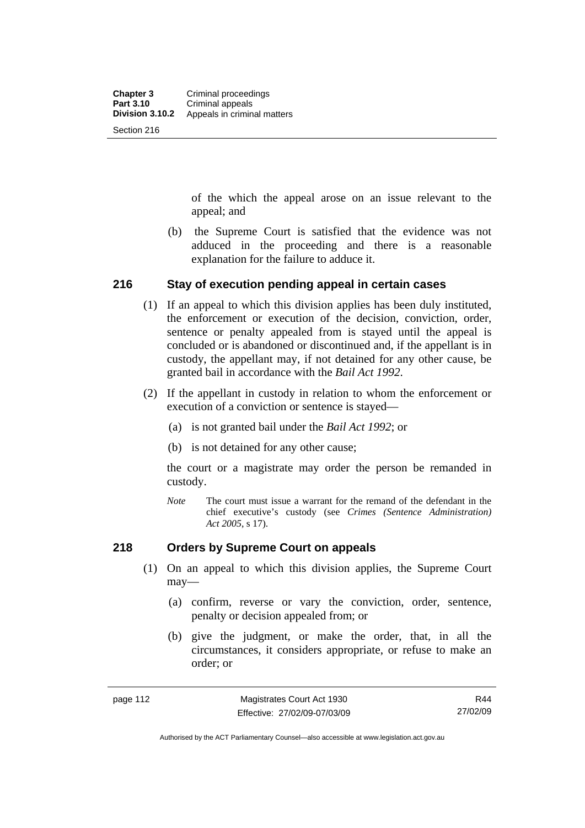of the which the appeal arose on an issue relevant to the appeal; and

 (b) the Supreme Court is satisfied that the evidence was not adduced in the proceeding and there is a reasonable explanation for the failure to adduce it.

#### **216 Stay of execution pending appeal in certain cases**

- (1) If an appeal to which this division applies has been duly instituted, the enforcement or execution of the decision, conviction, order, sentence or penalty appealed from is stayed until the appeal is concluded or is abandoned or discontinued and, if the appellant is in custody, the appellant may, if not detained for any other cause, be granted bail in accordance with the *Bail Act 1992*.
- (2) If the appellant in custody in relation to whom the enforcement or execution of a conviction or sentence is stayed—
	- (a) is not granted bail under the *Bail Act 1992*; or
	- (b) is not detained for any other cause;

the court or a magistrate may order the person be remanded in custody.

*Note* The court must issue a warrant for the remand of the defendant in the chief executive's custody (see *Crimes (Sentence Administration) Act 2005*, s 17).

#### **218 Orders by Supreme Court on appeals**

- (1) On an appeal to which this division applies, the Supreme Court may—
	- (a) confirm, reverse or vary the conviction, order, sentence, penalty or decision appealed from; or
	- (b) give the judgment, or make the order, that, in all the circumstances, it considers appropriate, or refuse to make an order; or

Authorised by the ACT Parliamentary Counsel—also accessible at www.legislation.act.gov.au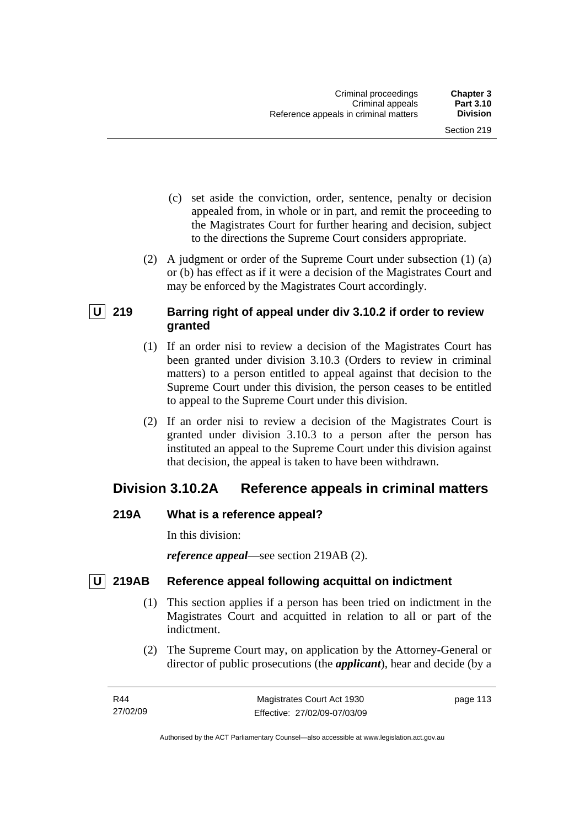- (c) set aside the conviction, order, sentence, penalty or decision appealed from, in whole or in part, and remit the proceeding to the Magistrates Court for further hearing and decision, subject to the directions the Supreme Court considers appropriate.
- (2) A judgment or order of the Supreme Court under subsection (1) (a) or (b) has effect as if it were a decision of the Magistrates Court and may be enforced by the Magistrates Court accordingly.

## **U 219 Barring right of appeal under div 3.10.2 if order to review granted**

- (1) If an order nisi to review a decision of the Magistrates Court has been granted under division 3.10.3 (Orders to review in criminal matters) to a person entitled to appeal against that decision to the Supreme Court under this division, the person ceases to be entitled to appeal to the Supreme Court under this division.
- (2) If an order nisi to review a decision of the Magistrates Court is granted under division 3.10.3 to a person after the person has instituted an appeal to the Supreme Court under this division against that decision, the appeal is taken to have been withdrawn.

# **Division 3.10.2A Reference appeals in criminal matters**

## **219A What is a reference appeal?**

In this division:

*reference appeal*—see section 219AB (2).

## **U** 219AB Reference appeal following acquittal on indictment

- (1) This section applies if a person has been tried on indictment in the Magistrates Court and acquitted in relation to all or part of the indictment.
- (2) The Supreme Court may, on application by the Attorney-General or director of public prosecutions (the *applicant*), hear and decide (by a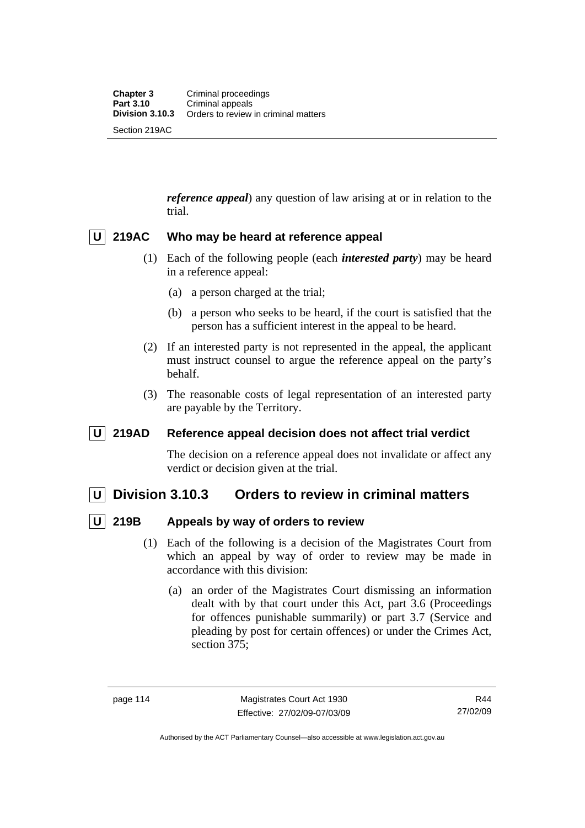*reference appeal*) any question of law arising at or in relation to the trial.

## **U 219AC Who may be heard at reference appeal**

- (1) Each of the following people (each *interested party*) may be heard in a reference appeal:
	- (a) a person charged at the trial;
	- (b) a person who seeks to be heard, if the court is satisfied that the person has a sufficient interest in the appeal to be heard.
- (2) If an interested party is not represented in the appeal, the applicant must instruct counsel to argue the reference appeal on the party's behalf.
- (3) The reasonable costs of legal representation of an interested party are payable by the Territory.

## **U 219AD Reference appeal decision does not affect trial verdict**

The decision on a reference appeal does not invalidate or affect any verdict or decision given at the trial.

## **U Division 3.10.3 Orders to review in criminal matters**

## **U 219B Appeals by way of orders to review**

- (1) Each of the following is a decision of the Magistrates Court from which an appeal by way of order to review may be made in accordance with this division:
	- (a) an order of the Magistrates Court dismissing an information dealt with by that court under this Act, part 3.6 (Proceedings for offences punishable summarily) or part 3.7 (Service and pleading by post for certain offences) or under the Crimes Act, section 375;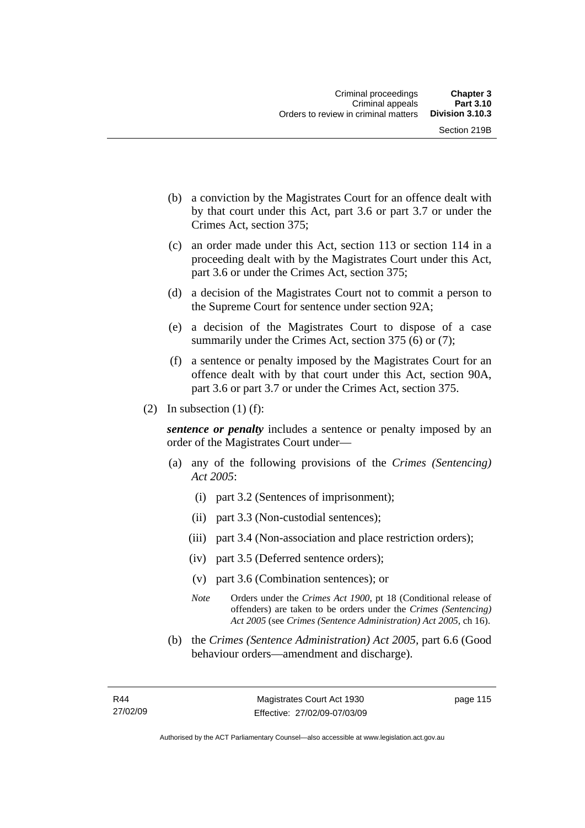- (b) a conviction by the Magistrates Court for an offence dealt with by that court under this Act, part 3.6 or part 3.7 or under the Crimes Act, section 375;
- (c) an order made under this Act, section 113 or section 114 in a proceeding dealt with by the Magistrates Court under this Act, part 3.6 or under the Crimes Act, section 375;
- (d) a decision of the Magistrates Court not to commit a person to the Supreme Court for sentence under section 92A;
- (e) a decision of the Magistrates Court to dispose of a case summarily under the Crimes Act, section 375 (6) or (7);
- (f) a sentence or penalty imposed by the Magistrates Court for an offence dealt with by that court under this Act, section 90A, part 3.6 or part 3.7 or under the Crimes Act, section 375.
- (2) In subsection (1) (f):

*sentence or penalty* includes a sentence or penalty imposed by an order of the Magistrates Court under—

- (a) any of the following provisions of the *Crimes (Sentencing) Act 2005*:
	- (i) part 3.2 (Sentences of imprisonment);
	- (ii) part 3.3 (Non-custodial sentences);
	- (iii) part 3.4 (Non-association and place restriction orders);
	- (iv) part 3.5 (Deferred sentence orders);
	- (v) part 3.6 (Combination sentences); or
	- *Note* Orders under the *Crimes Act 1900*, pt 18 (Conditional release of offenders) are taken to be orders under the *Crimes (Sentencing) Act 2005* (see *Crimes (Sentence Administration) Act 2005*, ch 16).
- (b) the *Crimes (Sentence Administration) Act 2005,* part 6.6 (Good behaviour orders—amendment and discharge).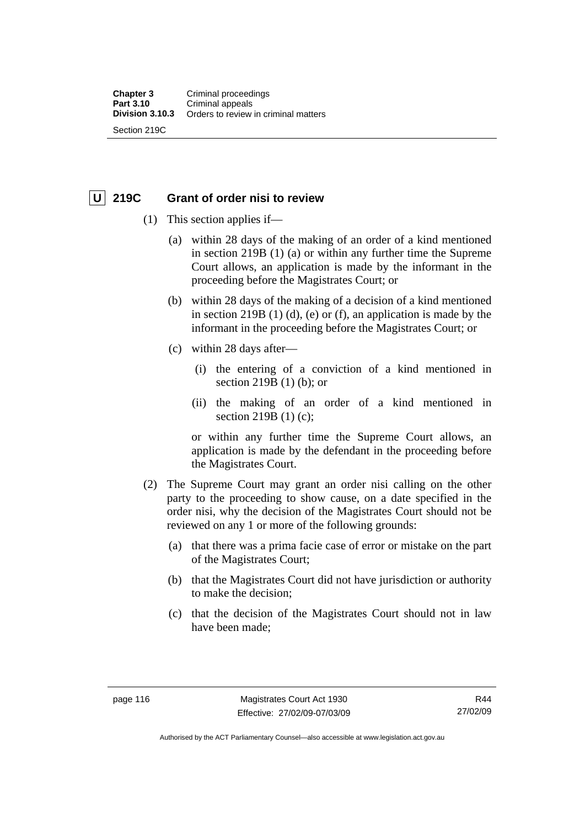Section 219C

## **U 219C Grant of order nisi to review**

- (1) This section applies if—
	- (a) within 28 days of the making of an order of a kind mentioned in section 219B (1) (a) or within any further time the Supreme Court allows, an application is made by the informant in the proceeding before the Magistrates Court; or
	- (b) within 28 days of the making of a decision of a kind mentioned in section 219B (1) (d), (e) or (f), an application is made by the informant in the proceeding before the Magistrates Court; or
	- (c) within 28 days after—
		- (i) the entering of a conviction of a kind mentioned in section 219B (1) (b); or
		- (ii) the making of an order of a kind mentioned in section 219B (1) (c);

or within any further time the Supreme Court allows, an application is made by the defendant in the proceeding before the Magistrates Court.

- (2) The Supreme Court may grant an order nisi calling on the other party to the proceeding to show cause, on a date specified in the order nisi, why the decision of the Magistrates Court should not be reviewed on any 1 or more of the following grounds:
	- (a) that there was a prima facie case of error or mistake on the part of the Magistrates Court;
	- (b) that the Magistrates Court did not have jurisdiction or authority to make the decision;
	- (c) that the decision of the Magistrates Court should not in law have been made;

R44 27/02/09

Authorised by the ACT Parliamentary Counsel—also accessible at www.legislation.act.gov.au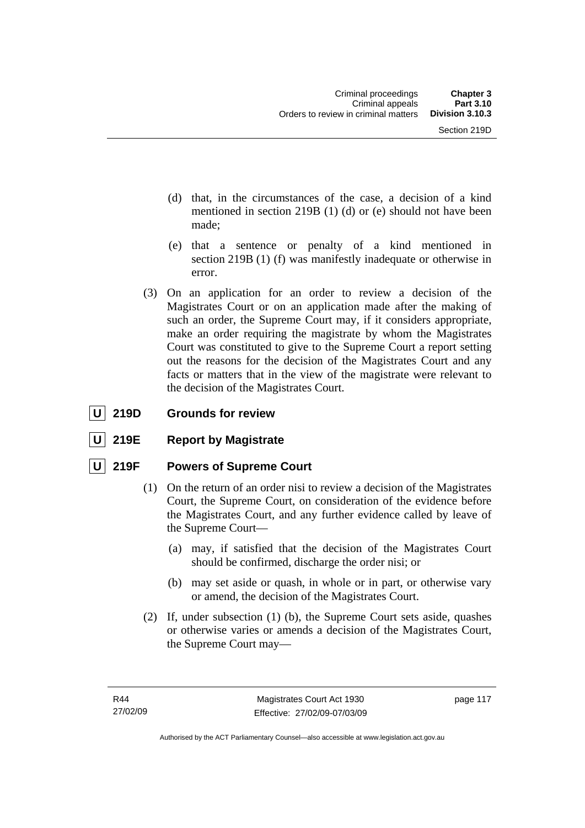- (d) that, in the circumstances of the case, a decision of a kind mentioned in section 219B (1) (d) or (e) should not have been made;
- (e) that a sentence or penalty of a kind mentioned in section 219B (1) (f) was manifestly inadequate or otherwise in error.
- (3) On an application for an order to review a decision of the Magistrates Court or on an application made after the making of such an order, the Supreme Court may, if it considers appropriate, make an order requiring the magistrate by whom the Magistrates Court was constituted to give to the Supreme Court a report setting out the reasons for the decision of the Magistrates Court and any facts or matters that in the view of the magistrate were relevant to the decision of the Magistrates Court.

## **U** 219D Grounds for review

**219E** Report by Magistrate

## **U 219F Powers of Supreme Court**

- (1) On the return of an order nisi to review a decision of the Magistrates Court, the Supreme Court, on consideration of the evidence before the Magistrates Court, and any further evidence called by leave of the Supreme Court—
	- (a) may, if satisfied that the decision of the Magistrates Court should be confirmed, discharge the order nisi; or
	- (b) may set aside or quash, in whole or in part, or otherwise vary or amend, the decision of the Magistrates Court.
- (2) If, under subsection (1) (b), the Supreme Court sets aside, quashes or otherwise varies or amends a decision of the Magistrates Court, the Supreme Court may—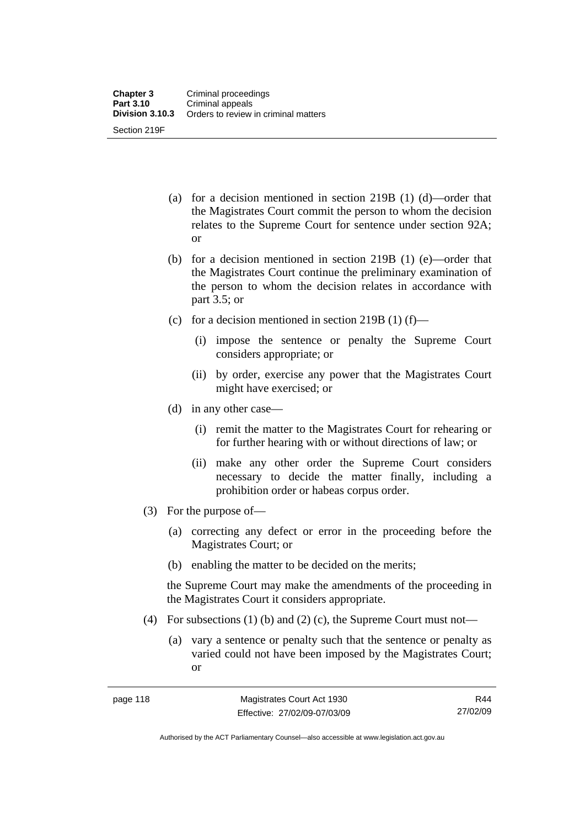- (a) for a decision mentioned in section 219B (1) (d)—order that the Magistrates Court commit the person to whom the decision relates to the Supreme Court for sentence under section 92A; or
- (b) for a decision mentioned in section 219B (1) (e)—order that the Magistrates Court continue the preliminary examination of the person to whom the decision relates in accordance with part 3.5; or
- (c) for a decision mentioned in section 219B  $(1)$  (f)—
	- (i) impose the sentence or penalty the Supreme Court considers appropriate; or
	- (ii) by order, exercise any power that the Magistrates Court might have exercised; or
- (d) in any other case—
	- (i) remit the matter to the Magistrates Court for rehearing or for further hearing with or without directions of law; or
	- (ii) make any other order the Supreme Court considers necessary to decide the matter finally, including a prohibition order or habeas corpus order.
- (3) For the purpose of—
	- (a) correcting any defect or error in the proceeding before the Magistrates Court; or
	- (b) enabling the matter to be decided on the merits;

the Supreme Court may make the amendments of the proceeding in the Magistrates Court it considers appropriate.

- (4) For subsections (1) (b) and (2) (c), the Supreme Court must not—
	- (a) vary a sentence or penalty such that the sentence or penalty as varied could not have been imposed by the Magistrates Court; or

R44 27/02/09

Authorised by the ACT Parliamentary Counsel—also accessible at www.legislation.act.gov.au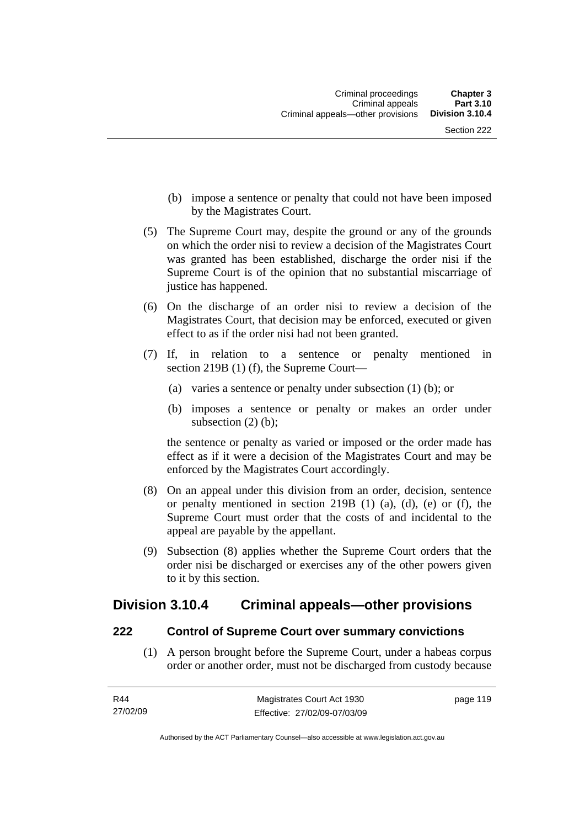- (b) impose a sentence or penalty that could not have been imposed by the Magistrates Court.
- (5) The Supreme Court may, despite the ground or any of the grounds on which the order nisi to review a decision of the Magistrates Court was granted has been established, discharge the order nisi if the Supreme Court is of the opinion that no substantial miscarriage of justice has happened.
- (6) On the discharge of an order nisi to review a decision of the Magistrates Court, that decision may be enforced, executed or given effect to as if the order nisi had not been granted.
- (7) If, in relation to a sentence or penalty mentioned in section 219B (1) (f), the Supreme Court—
	- (a) varies a sentence or penalty under subsection (1) (b); or
	- (b) imposes a sentence or penalty or makes an order under subsection (2) (b);

the sentence or penalty as varied or imposed or the order made has effect as if it were a decision of the Magistrates Court and may be enforced by the Magistrates Court accordingly.

- (8) On an appeal under this division from an order, decision, sentence or penalty mentioned in section 219B (1) (a), (d), (e) or (f), the Supreme Court must order that the costs of and incidental to the appeal are payable by the appellant.
- (9) Subsection (8) applies whether the Supreme Court orders that the order nisi be discharged or exercises any of the other powers given to it by this section.

## **Division 3.10.4 Criminal appeals—other provisions**

## **222 Control of Supreme Court over summary convictions**

 (1) A person brought before the Supreme Court, under a habeas corpus order or another order, must not be discharged from custody because

page 119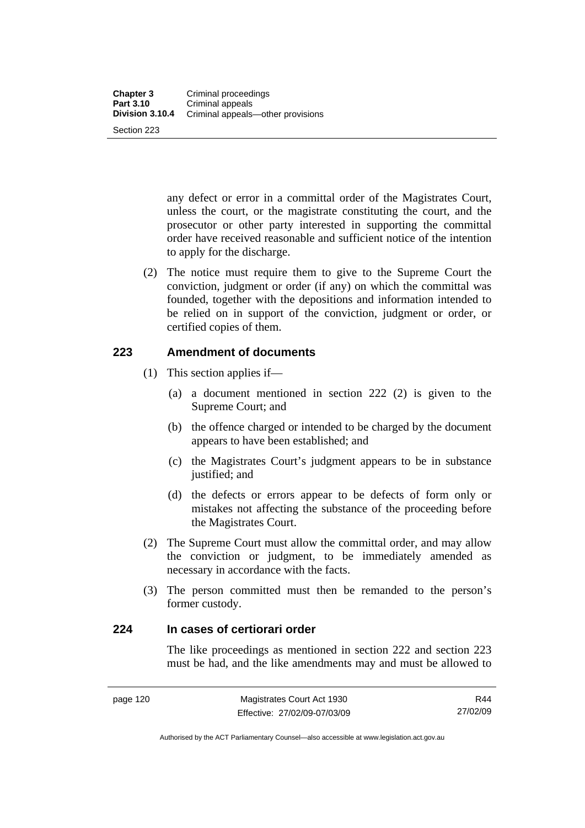any defect or error in a committal order of the Magistrates Court, unless the court, or the magistrate constituting the court, and the prosecutor or other party interested in supporting the committal order have received reasonable and sufficient notice of the intention to apply for the discharge.

 (2) The notice must require them to give to the Supreme Court the conviction, judgment or order (if any) on which the committal was founded, together with the depositions and information intended to be relied on in support of the conviction, judgment or order, or certified copies of them.

## **223 Amendment of documents**

- (1) This section applies if—
	- (a) a document mentioned in section 222 (2) is given to the Supreme Court; and
	- (b) the offence charged or intended to be charged by the document appears to have been established; and
	- (c) the Magistrates Court's judgment appears to be in substance justified; and
	- (d) the defects or errors appear to be defects of form only or mistakes not affecting the substance of the proceeding before the Magistrates Court.
- (2) The Supreme Court must allow the committal order, and may allow the conviction or judgment, to be immediately amended as necessary in accordance with the facts.
- (3) The person committed must then be remanded to the person's former custody.

## **224 In cases of certiorari order**

The like proceedings as mentioned in section 222 and section 223 must be had, and the like amendments may and must be allowed to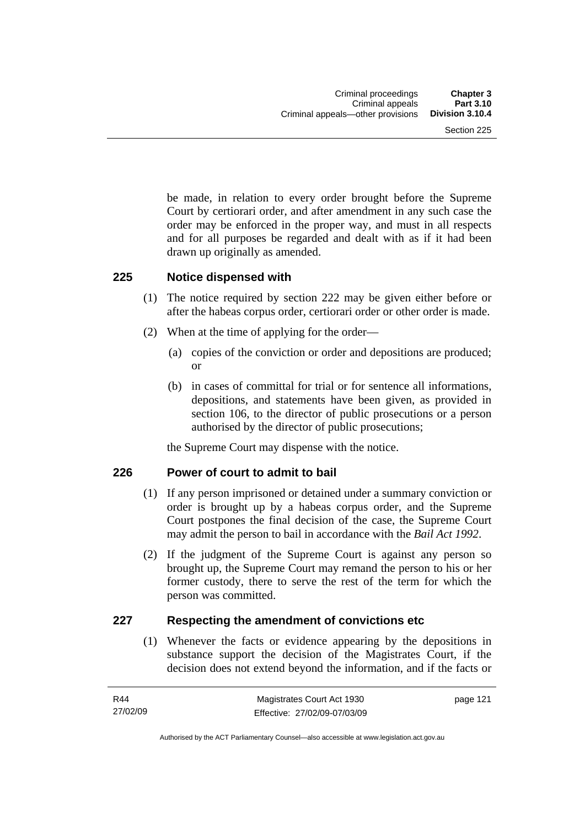be made, in relation to every order brought before the Supreme Court by certiorari order, and after amendment in any such case the order may be enforced in the proper way, and must in all respects and for all purposes be regarded and dealt with as if it had been drawn up originally as amended.

#### **225 Notice dispensed with**

- (1) The notice required by section 222 may be given either before or after the habeas corpus order, certiorari order or other order is made.
- (2) When at the time of applying for the order—
	- (a) copies of the conviction or order and depositions are produced; or
	- (b) in cases of committal for trial or for sentence all informations, depositions, and statements have been given, as provided in section 106, to the director of public prosecutions or a person authorised by the director of public prosecutions;

the Supreme Court may dispense with the notice.

## **226 Power of court to admit to bail**

- (1) If any person imprisoned or detained under a summary conviction or order is brought up by a habeas corpus order, and the Supreme Court postpones the final decision of the case, the Supreme Court may admit the person to bail in accordance with the *Bail Act 1992*.
- (2) If the judgment of the Supreme Court is against any person so brought up, the Supreme Court may remand the person to his or her former custody, there to serve the rest of the term for which the person was committed.

## **227 Respecting the amendment of convictions etc**

 (1) Whenever the facts or evidence appearing by the depositions in substance support the decision of the Magistrates Court, if the decision does not extend beyond the information, and if the facts or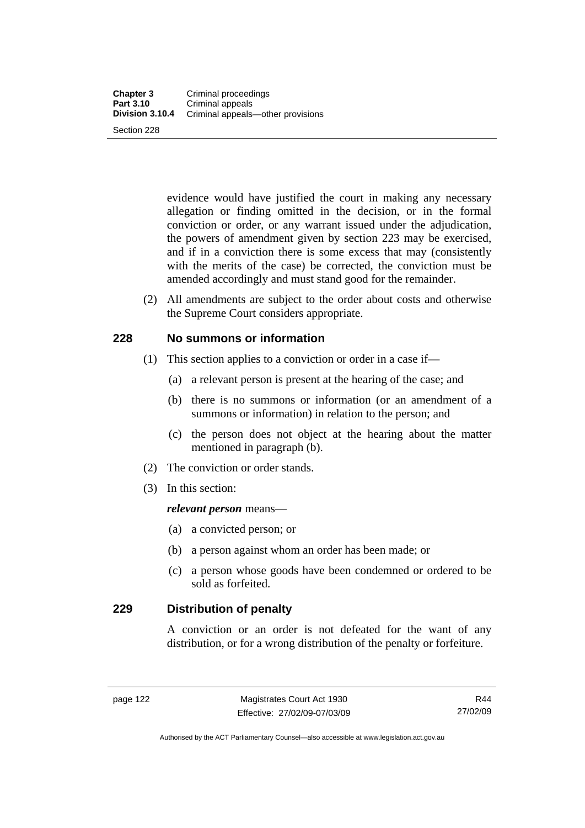evidence would have justified the court in making any necessary allegation or finding omitted in the decision, or in the formal conviction or order, or any warrant issued under the adjudication, the powers of amendment given by section 223 may be exercised, and if in a conviction there is some excess that may (consistently with the merits of the case) be corrected, the conviction must be amended accordingly and must stand good for the remainder.

 (2) All amendments are subject to the order about costs and otherwise the Supreme Court considers appropriate.

#### **228 No summons or information**

- (1) This section applies to a conviction or order in a case if—
	- (a) a relevant person is present at the hearing of the case; and
	- (b) there is no summons or information (or an amendment of a summons or information) in relation to the person; and
	- (c) the person does not object at the hearing about the matter mentioned in paragraph (b).
- (2) The conviction or order stands.
- (3) In this section:

#### *relevant person* means—

- (a) a convicted person; or
- (b) a person against whom an order has been made; or
- (c) a person whose goods have been condemned or ordered to be sold as forfeited.

### **229 Distribution of penalty**

A conviction or an order is not defeated for the want of any distribution, or for a wrong distribution of the penalty or forfeiture.

Authorised by the ACT Parliamentary Counsel—also accessible at www.legislation.act.gov.au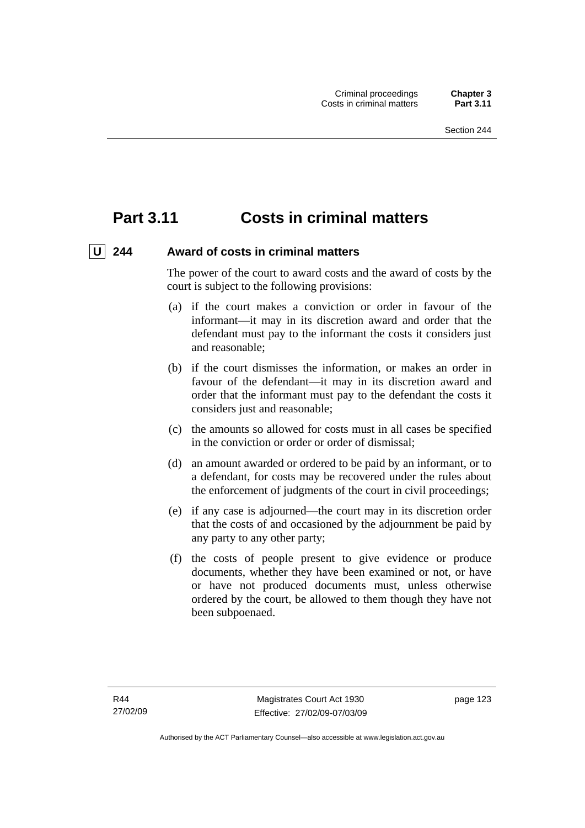# **Part 3.11 Costs in criminal matters**

## U 244 Award of costs in criminal matters

The power of the court to award costs and the award of costs by the court is subject to the following provisions:

- (a) if the court makes a conviction or order in favour of the informant—it may in its discretion award and order that the defendant must pay to the informant the costs it considers just and reasonable;
- (b) if the court dismisses the information, or makes an order in favour of the defendant—it may in its discretion award and order that the informant must pay to the defendant the costs it considers just and reasonable;
- (c) the amounts so allowed for costs must in all cases be specified in the conviction or order or order of dismissal;
- (d) an amount awarded or ordered to be paid by an informant, or to a defendant, for costs may be recovered under the rules about the enforcement of judgments of the court in civil proceedings;
- (e) if any case is adjourned—the court may in its discretion order that the costs of and occasioned by the adjournment be paid by any party to any other party;
- (f) the costs of people present to give evidence or produce documents, whether they have been examined or not, or have or have not produced documents must, unless otherwise ordered by the court, be allowed to them though they have not been subpoenaed.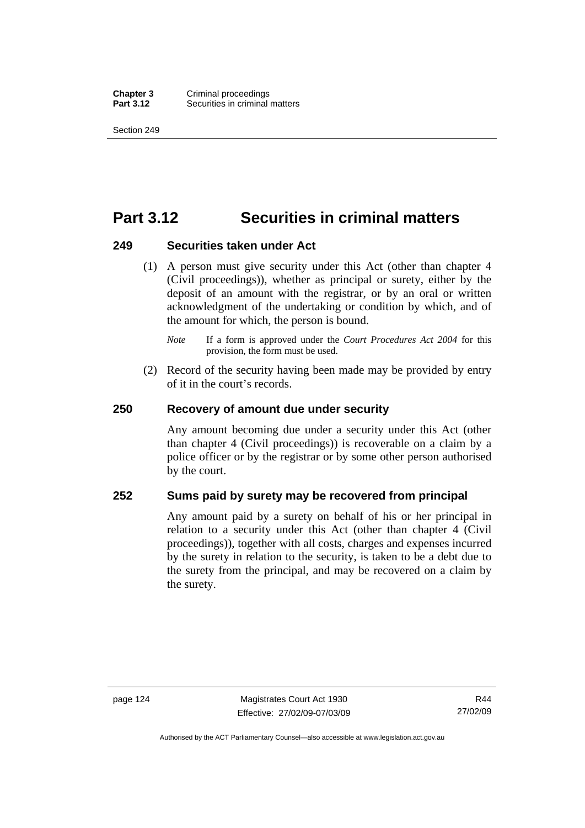**Chapter 3** Criminal proceedings<br>**Part 3.12** Securities in criminal **Securities in criminal matters** 

Section 249

# **Part 3.12 Securities in criminal matters**

#### **249 Securities taken under Act**

 (1) A person must give security under this Act (other than chapter 4 (Civil proceedings)), whether as principal or surety, either by the deposit of an amount with the registrar, or by an oral or written acknowledgment of the undertaking or condition by which, and of the amount for which, the person is bound.

 (2) Record of the security having been made may be provided by entry of it in the court's records.

#### **250 Recovery of amount due under security**

Any amount becoming due under a security under this Act (other than chapter 4 (Civil proceedings)) is recoverable on a claim by a police officer or by the registrar or by some other person authorised by the court.

#### **252 Sums paid by surety may be recovered from principal**

Any amount paid by a surety on behalf of his or her principal in relation to a security under this Act (other than chapter 4 (Civil proceedings)), together with all costs, charges and expenses incurred by the surety in relation to the security, is taken to be a debt due to the surety from the principal, and may be recovered on a claim by the surety.

*Note* If a form is approved under the *Court Procedures Act 2004* for this provision, the form must be used.

R44 27/02/09

Authorised by the ACT Parliamentary Counsel—also accessible at www.legislation.act.gov.au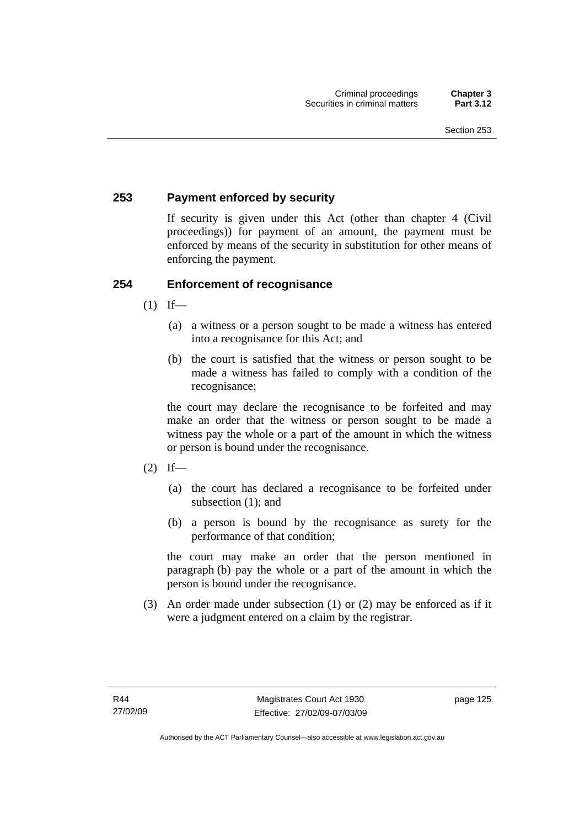## **253 Payment enforced by security**

If security is given under this Act (other than chapter 4 (Civil proceedings)) for payment of an amount, the payment must be enforced by means of the security in substitution for other means of enforcing the payment.

## **254 Enforcement of recognisance**

- $(1)$  If—
	- (a) a witness or a person sought to be made a witness has entered into a recognisance for this Act; and
	- (b) the court is satisfied that the witness or person sought to be made a witness has failed to comply with a condition of the recognisance;

the court may declare the recognisance to be forfeited and may make an order that the witness or person sought to be made a witness pay the whole or a part of the amount in which the witness or person is bound under the recognisance.

- $(2)$  If—
	- (a) the court has declared a recognisance to be forfeited under subsection (1); and
	- (b) a person is bound by the recognisance as surety for the performance of that condition;

the court may make an order that the person mentioned in paragraph (b) pay the whole or a part of the amount in which the person is bound under the recognisance.

 (3) An order made under subsection (1) or (2) may be enforced as if it were a judgment entered on a claim by the registrar.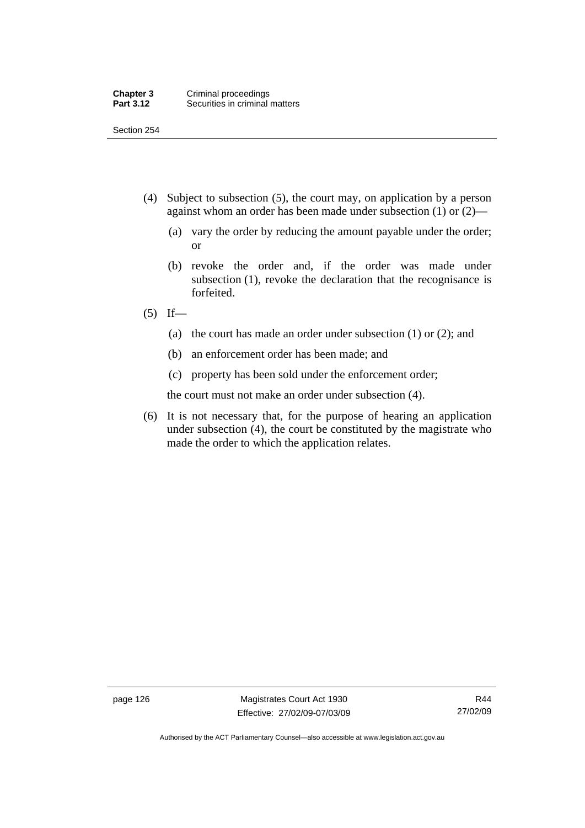Section 254

- (4) Subject to subsection (5), the court may, on application by a person against whom an order has been made under subsection (1) or (2)—
	- (a) vary the order by reducing the amount payable under the order; or
	- (b) revoke the order and, if the order was made under subsection (1), revoke the declaration that the recognisance is forfeited.
- $(5)$  If—
	- (a) the court has made an order under subsection (1) or (2); and
	- (b) an enforcement order has been made; and
	- (c) property has been sold under the enforcement order;

the court must not make an order under subsection (4).

 (6) It is not necessary that, for the purpose of hearing an application under subsection (4), the court be constituted by the magistrate who made the order to which the application relates.

page 126 Magistrates Court Act 1930 Effective: 27/02/09-07/03/09

Authorised by the ACT Parliamentary Counsel—also accessible at www.legislation.act.gov.au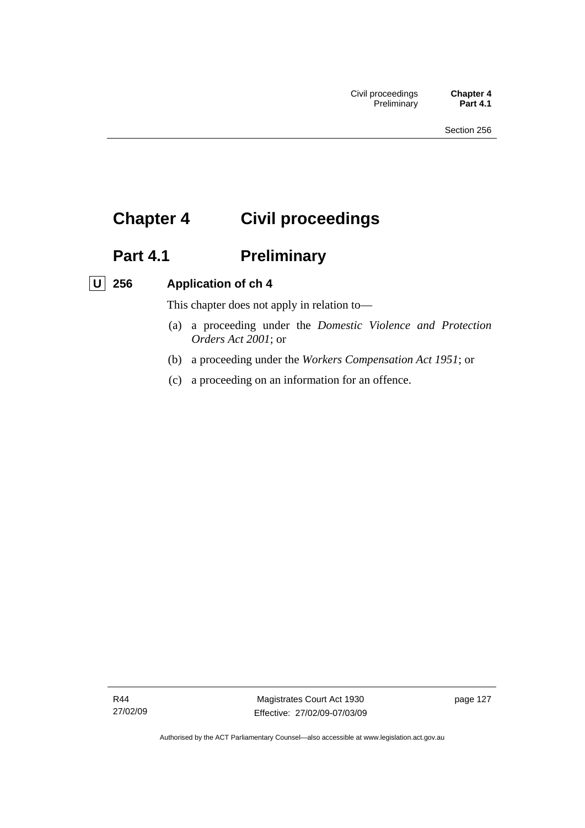# **Chapter 4 Civil proceedings**

# Part 4.1 **Preliminary**

## **U 256 Application of ch 4**

This chapter does not apply in relation to—

- (a) a proceeding under the *Domestic Violence and Protection Orders Act 2001*; or
- (b) a proceeding under the *Workers Compensation Act 1951*; or
- (c) a proceeding on an information for an offence.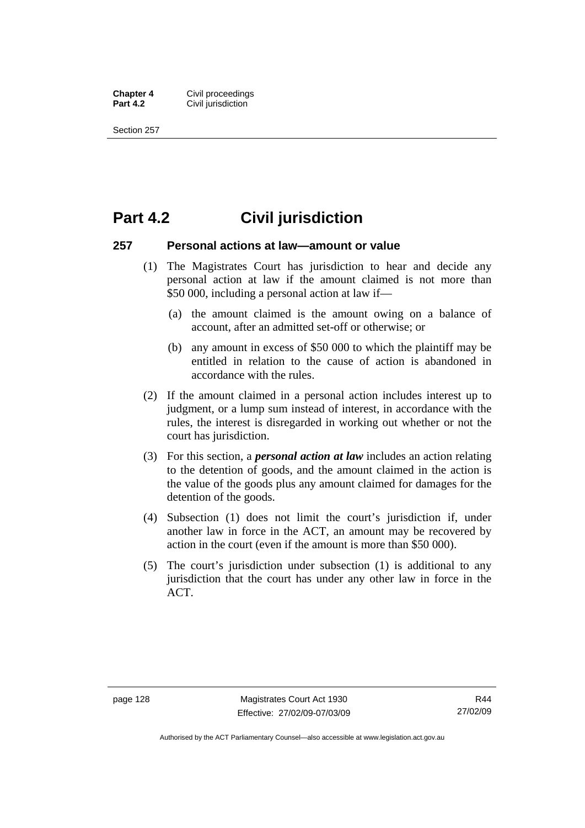**Chapter 4 Civil proceedings**<br>**Part 4.2 Civil iurisdiction Civil jurisdiction** 

Section 257

# **Part 4.2 Civil jurisdiction**

#### **257 Personal actions at law—amount or value**

- (1) The Magistrates Court has jurisdiction to hear and decide any personal action at law if the amount claimed is not more than \$50 000, including a personal action at law if—
	- (a) the amount claimed is the amount owing on a balance of account, after an admitted set-off or otherwise; or
	- (b) any amount in excess of \$50 000 to which the plaintiff may be entitled in relation to the cause of action is abandoned in accordance with the rules.
- (2) If the amount claimed in a personal action includes interest up to judgment, or a lump sum instead of interest, in accordance with the rules, the interest is disregarded in working out whether or not the court has jurisdiction.
- (3) For this section, a *personal action at law* includes an action relating to the detention of goods, and the amount claimed in the action is the value of the goods plus any amount claimed for damages for the detention of the goods.
- (4) Subsection (1) does not limit the court's jurisdiction if, under another law in force in the ACT, an amount may be recovered by action in the court (even if the amount is more than \$50 000).
- (5) The court's jurisdiction under subsection (1) is additional to any jurisdiction that the court has under any other law in force in the ACT.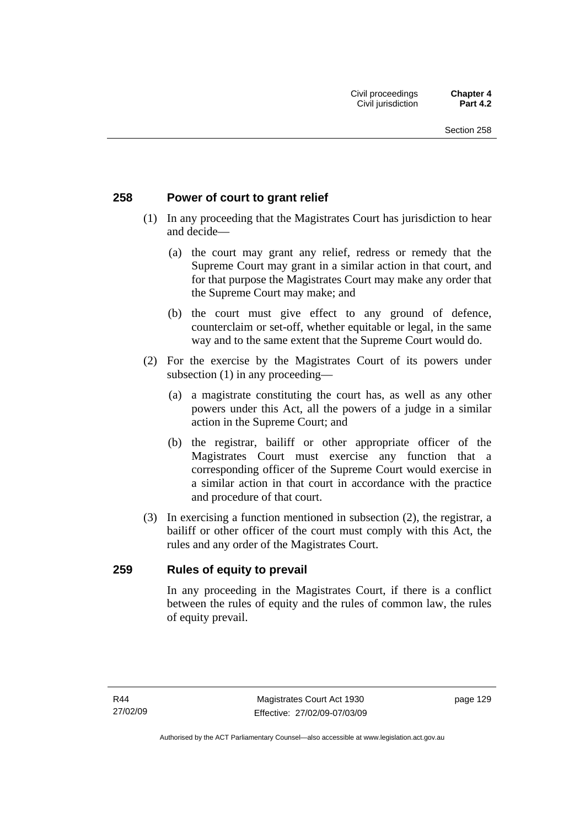#### **258 Power of court to grant relief**

- (1) In any proceeding that the Magistrates Court has jurisdiction to hear and decide—
	- (a) the court may grant any relief, redress or remedy that the Supreme Court may grant in a similar action in that court, and for that purpose the Magistrates Court may make any order that the Supreme Court may make; and
	- (b) the court must give effect to any ground of defence, counterclaim or set-off, whether equitable or legal, in the same way and to the same extent that the Supreme Court would do.
- (2) For the exercise by the Magistrates Court of its powers under subsection (1) in any proceeding—
	- (a) a magistrate constituting the court has, as well as any other powers under this Act, all the powers of a judge in a similar action in the Supreme Court; and
	- (b) the registrar, bailiff or other appropriate officer of the Magistrates Court must exercise any function that a corresponding officer of the Supreme Court would exercise in a similar action in that court in accordance with the practice and procedure of that court.
- (3) In exercising a function mentioned in subsection (2), the registrar, a bailiff or other officer of the court must comply with this Act, the rules and any order of the Magistrates Court.

#### **259 Rules of equity to prevail**

In any proceeding in the Magistrates Court, if there is a conflict between the rules of equity and the rules of common law, the rules of equity prevail.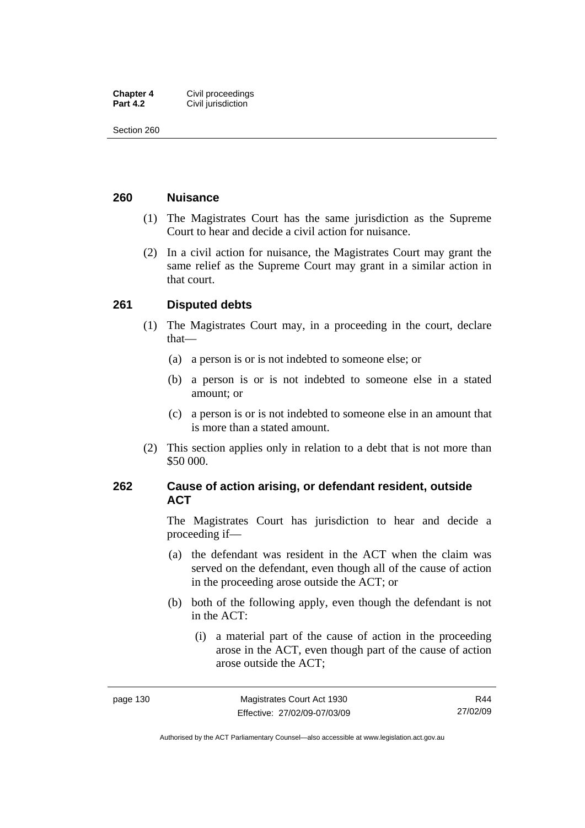| <b>Chapter 4</b> | Civil proceedings  |
|------------------|--------------------|
| <b>Part 4.2</b>  | Civil jurisdiction |

Section 260

#### **260 Nuisance**

- (1) The Magistrates Court has the same jurisdiction as the Supreme Court to hear and decide a civil action for nuisance.
- (2) In a civil action for nuisance, the Magistrates Court may grant the same relief as the Supreme Court may grant in a similar action in that court.

#### **261 Disputed debts**

- (1) The Magistrates Court may, in a proceeding in the court, declare that—
	- (a) a person is or is not indebted to someone else; or
	- (b) a person is or is not indebted to someone else in a stated amount; or
	- (c) a person is or is not indebted to someone else in an amount that is more than a stated amount.
- (2) This section applies only in relation to a debt that is not more than \$50 000.

### **262 Cause of action arising, or defendant resident, outside ACT**

The Magistrates Court has jurisdiction to hear and decide a proceeding if—

- (a) the defendant was resident in the ACT when the claim was served on the defendant, even though all of the cause of action in the proceeding arose outside the ACT; or
- (b) both of the following apply, even though the defendant is not in the ACT:
	- (i) a material part of the cause of action in the proceeding arose in the ACT, even though part of the cause of action arose outside the ACT;

R44 27/02/09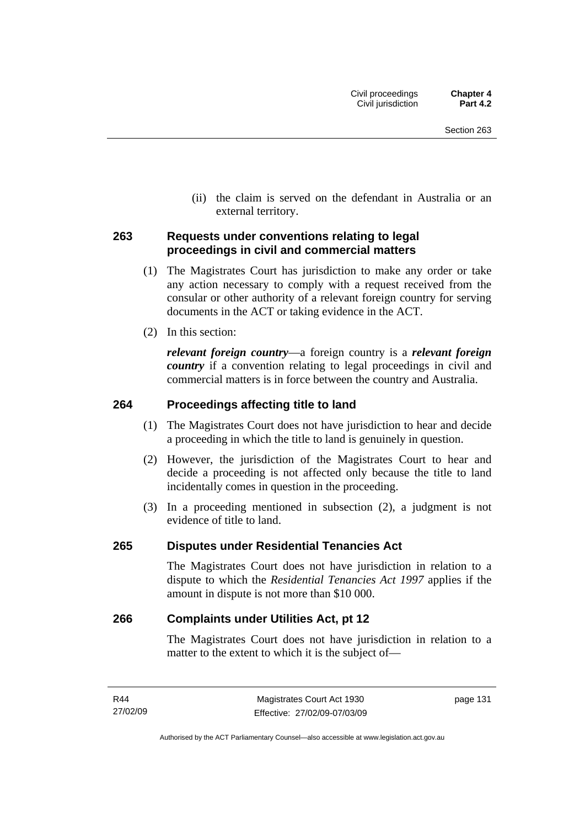(ii) the claim is served on the defendant in Australia or an external territory.

#### **263 Requests under conventions relating to legal proceedings in civil and commercial matters**

- (1) The Magistrates Court has jurisdiction to make any order or take any action necessary to comply with a request received from the consular or other authority of a relevant foreign country for serving documents in the ACT or taking evidence in the ACT.
- (2) In this section:

*relevant foreign country*—a foreign country is a *relevant foreign country* if a convention relating to legal proceedings in civil and commercial matters is in force between the country and Australia.

#### **264 Proceedings affecting title to land**

- (1) The Magistrates Court does not have jurisdiction to hear and decide a proceeding in which the title to land is genuinely in question.
- (2) However, the jurisdiction of the Magistrates Court to hear and decide a proceeding is not affected only because the title to land incidentally comes in question in the proceeding.
- (3) In a proceeding mentioned in subsection (2), a judgment is not evidence of title to land.

#### **265 Disputes under Residential Tenancies Act**

The Magistrates Court does not have jurisdiction in relation to a dispute to which the *Residential Tenancies Act 1997* applies if the amount in dispute is not more than \$10 000.

#### **266 Complaints under Utilities Act, pt 12**

The Magistrates Court does not have jurisdiction in relation to a matter to the extent to which it is the subject of—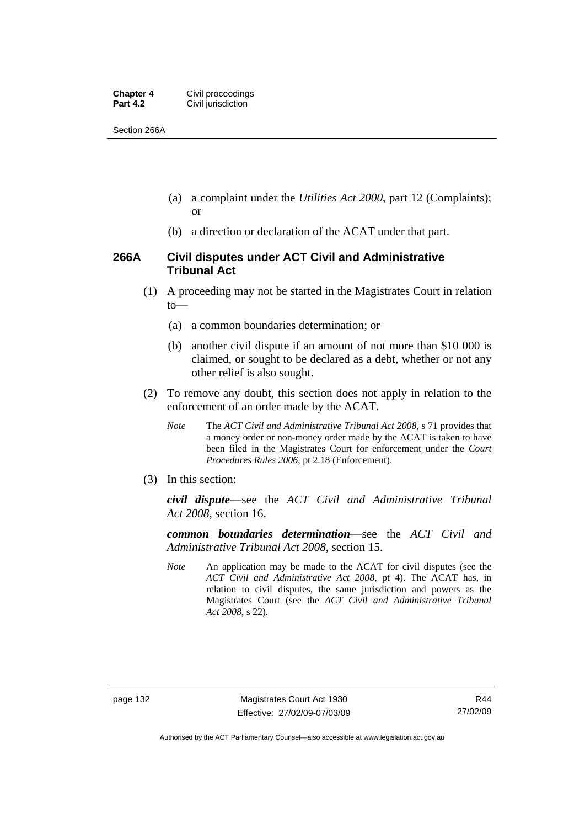| <b>Chapter 4</b> | Civil proceedings  |
|------------------|--------------------|
| <b>Part 4.2</b>  | Civil jurisdiction |

Section 266A

- (a) a complaint under the *Utilities Act 2000*, part 12 (Complaints); or
- (b) a direction or declaration of the ACAT under that part.

#### **266A Civil disputes under ACT Civil and Administrative Tribunal Act**

- (1) A proceeding may not be started in the Magistrates Court in relation to—
	- (a) a common boundaries determination; or
	- (b) another civil dispute if an amount of not more than \$10 000 is claimed, or sought to be declared as a debt, whether or not any other relief is also sought.
- (2) To remove any doubt, this section does not apply in relation to the enforcement of an order made by the ACAT.
	- *Note* The *ACT Civil and Administrative Tribunal Act 2008*, s 71 provides that a money order or non-money order made by the ACAT is taken to have been filed in the Magistrates Court for enforcement under the *Court Procedures Rules 2006*, pt 2.18 (Enforcement).
- (3) In this section:

*civil dispute*—see the *ACT Civil and Administrative Tribunal Act 2008*, section 16.

*common boundaries determination*—see the *ACT Civil and Administrative Tribunal Act 2008*, section 15.

*Note* An application may be made to the ACAT for civil disputes (see the *ACT Civil and Administrative Act 2008*, pt 4). The ACAT has, in relation to civil disputes, the same jurisdiction and powers as the Magistrates Court (see the *ACT Civil and Administrative Tribunal Act 2008*, s 22).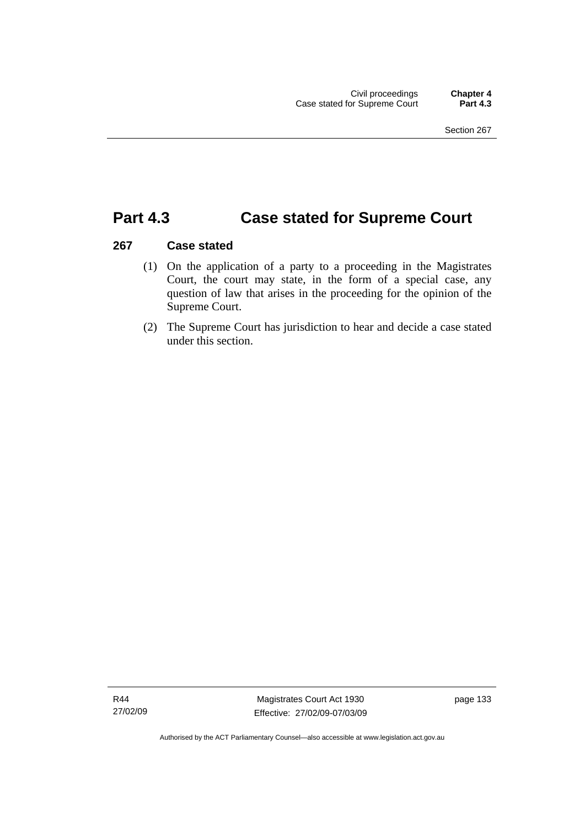## **Part 4.3 Case stated for Supreme Court**

#### **267 Case stated**

- (1) On the application of a party to a proceeding in the Magistrates Court, the court may state, in the form of a special case, any question of law that arises in the proceeding for the opinion of the Supreme Court.
- (2) The Supreme Court has jurisdiction to hear and decide a case stated under this section.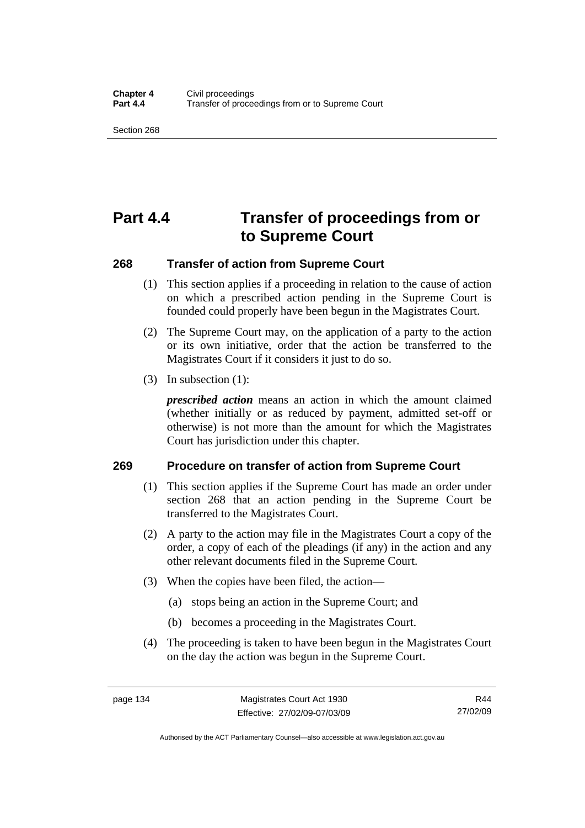Section 268

# **Part 4.4 Transfer of proceedings from or to Supreme Court**

#### **268 Transfer of action from Supreme Court**

- (1) This section applies if a proceeding in relation to the cause of action on which a prescribed action pending in the Supreme Court is founded could properly have been begun in the Magistrates Court.
- (2) The Supreme Court may, on the application of a party to the action or its own initiative, order that the action be transferred to the Magistrates Court if it considers it just to do so.
- (3) In subsection (1):

*prescribed action* means an action in which the amount claimed (whether initially or as reduced by payment, admitted set-off or otherwise) is not more than the amount for which the Magistrates Court has jurisdiction under this chapter.

#### **269 Procedure on transfer of action from Supreme Court**

- (1) This section applies if the Supreme Court has made an order under section 268 that an action pending in the Supreme Court be transferred to the Magistrates Court.
- (2) A party to the action may file in the Magistrates Court a copy of the order, a copy of each of the pleadings (if any) in the action and any other relevant documents filed in the Supreme Court.
- (3) When the copies have been filed, the action—
	- (a) stops being an action in the Supreme Court; and
	- (b) becomes a proceeding in the Magistrates Court.
- (4) The proceeding is taken to have been begun in the Magistrates Court on the day the action was begun in the Supreme Court.

R44 27/02/09

Authorised by the ACT Parliamentary Counsel—also accessible at www.legislation.act.gov.au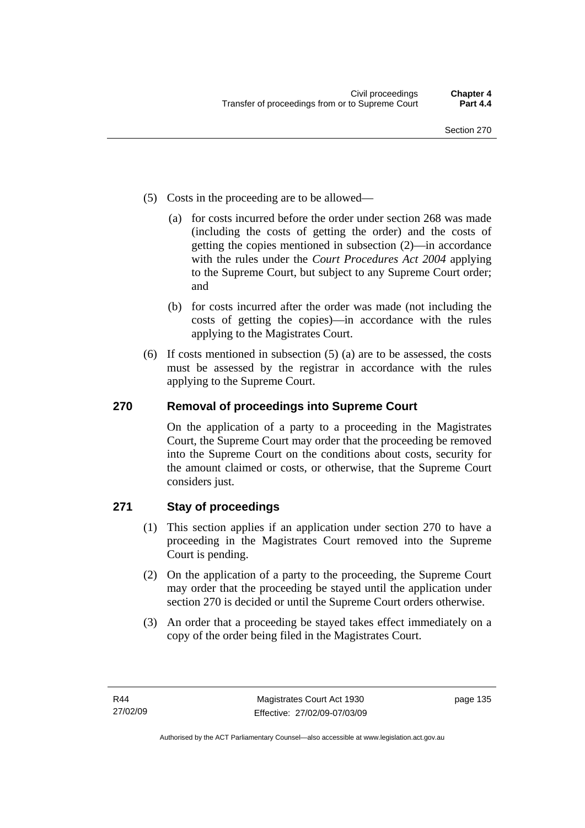- (5) Costs in the proceeding are to be allowed—
	- (a) for costs incurred before the order under section 268 was made (including the costs of getting the order) and the costs of getting the copies mentioned in subsection (2)—in accordance with the rules under the *Court Procedures Act 2004* applying to the Supreme Court, but subject to any Supreme Court order; and
	- (b) for costs incurred after the order was made (not including the costs of getting the copies)—in accordance with the rules applying to the Magistrates Court.
- (6) If costs mentioned in subsection (5) (a) are to be assessed, the costs must be assessed by the registrar in accordance with the rules applying to the Supreme Court.

## **270 Removal of proceedings into Supreme Court**

On the application of a party to a proceeding in the Magistrates Court, the Supreme Court may order that the proceeding be removed into the Supreme Court on the conditions about costs, security for the amount claimed or costs, or otherwise, that the Supreme Court considers just.

### **271 Stay of proceedings**

- (1) This section applies if an application under section 270 to have a proceeding in the Magistrates Court removed into the Supreme Court is pending.
- (2) On the application of a party to the proceeding, the Supreme Court may order that the proceeding be stayed until the application under section 270 is decided or until the Supreme Court orders otherwise.
- (3) An order that a proceeding be stayed takes effect immediately on a copy of the order being filed in the Magistrates Court.

page 135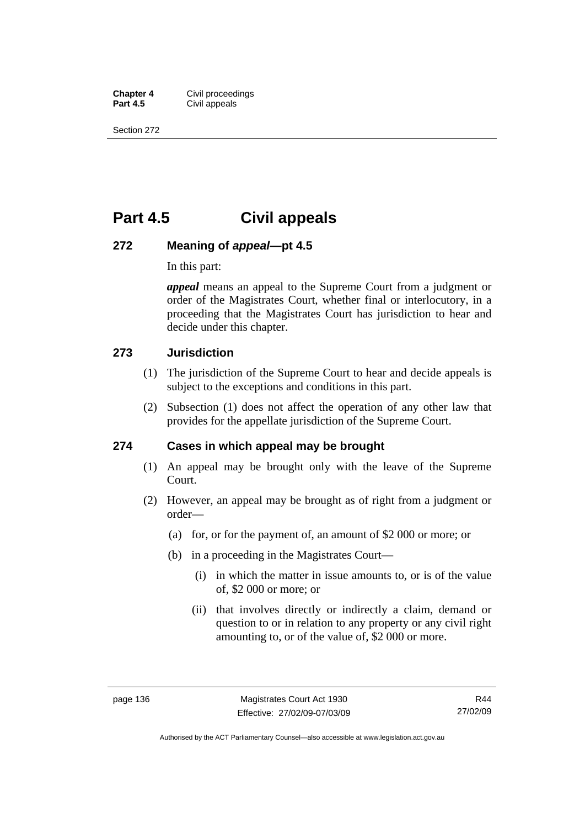**Chapter 4 Civil proceedings**<br>**Part 4.5 Civil appeals Civil appeals** 

Section 272

## **Part 4.5 Civil appeals**

#### **272 Meaning of** *appeal***—pt 4.5**

In this part:

*appeal* means an appeal to the Supreme Court from a judgment or order of the Magistrates Court, whether final or interlocutory, in a proceeding that the Magistrates Court has jurisdiction to hear and decide under this chapter.

#### **273 Jurisdiction**

- (1) The jurisdiction of the Supreme Court to hear and decide appeals is subject to the exceptions and conditions in this part.
- (2) Subsection (1) does not affect the operation of any other law that provides for the appellate jurisdiction of the Supreme Court.

#### **274 Cases in which appeal may be brought**

- (1) An appeal may be brought only with the leave of the Supreme Court.
- (2) However, an appeal may be brought as of right from a judgment or order—
	- (a) for, or for the payment of, an amount of \$2 000 or more; or
	- (b) in a proceeding in the Magistrates Court—
		- (i) in which the matter in issue amounts to, or is of the value of, \$2 000 or more; or
		- (ii) that involves directly or indirectly a claim, demand or question to or in relation to any property or any civil right amounting to, or of the value of, \$2 000 or more.

Authorised by the ACT Parliamentary Counsel—also accessible at www.legislation.act.gov.au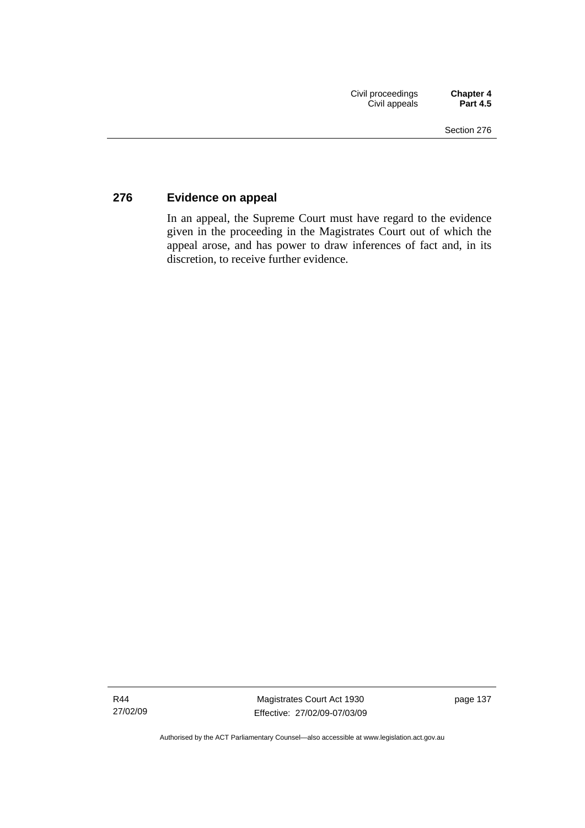## **276 Evidence on appeal**

In an appeal, the Supreme Court must have regard to the evidence given in the proceeding in the Magistrates Court out of which the appeal arose, and has power to draw inferences of fact and, in its discretion, to receive further evidence.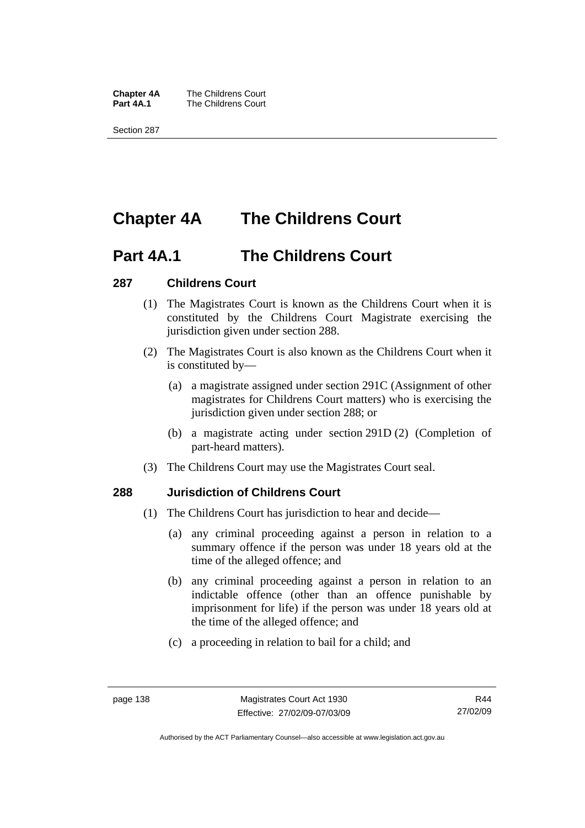**Chapter 4A** The Childrens Court<br>**Part 4A.1** The Childrens Court **The Childrens Court** 

Section 287

# **Chapter 4A The Childrens Court**

## **Part 4A.1 The Childrens Court**

### **287 Childrens Court**

- (1) The Magistrates Court is known as the Childrens Court when it is constituted by the Childrens Court Magistrate exercising the jurisdiction given under section 288.
- (2) The Magistrates Court is also known as the Childrens Court when it is constituted by—
	- (a) a magistrate assigned under section 291C (Assignment of other magistrates for Childrens Court matters) who is exercising the jurisdiction given under section 288; or
	- (b) a magistrate acting under section 291D (2) (Completion of part-heard matters).
- (3) The Childrens Court may use the Magistrates Court seal.

### **288 Jurisdiction of Childrens Court**

- (1) The Childrens Court has jurisdiction to hear and decide—
	- (a) any criminal proceeding against a person in relation to a summary offence if the person was under 18 years old at the time of the alleged offence; and
	- (b) any criminal proceeding against a person in relation to an indictable offence (other than an offence punishable by imprisonment for life) if the person was under 18 years old at the time of the alleged offence; and
	- (c) a proceeding in relation to bail for a child; and

Authorised by the ACT Parliamentary Counsel—also accessible at www.legislation.act.gov.au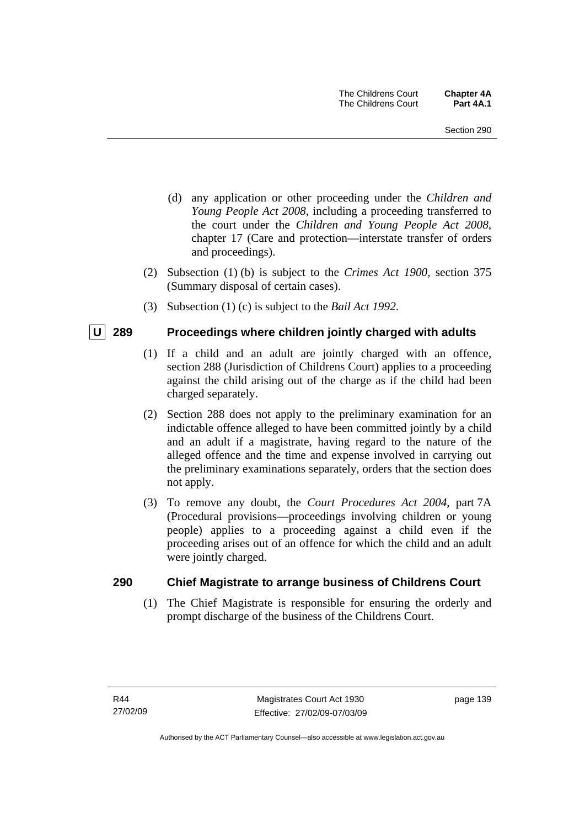- (d) any application or other proceeding under the *Children and Young People Act 2008*, including a proceeding transferred to the court under the *Children and Young People Act 2008*, chapter 17 (Care and protection—interstate transfer of orders and proceedings).
- (2) Subsection (1) (b) is subject to the *Crimes Act 1900*, section 375 (Summary disposal of certain cases).
- (3) Subsection (1) (c) is subject to the *Bail Act 1992*.

#### **U** 289 Proceedings where children jointly charged with adults

- (1) If a child and an adult are jointly charged with an offence, section 288 (Jurisdiction of Childrens Court) applies to a proceeding against the child arising out of the charge as if the child had been charged separately.
- (2) Section 288 does not apply to the preliminary examination for an indictable offence alleged to have been committed jointly by a child and an adult if a magistrate, having regard to the nature of the alleged offence and the time and expense involved in carrying out the preliminary examinations separately, orders that the section does not apply.
- (3) To remove any doubt, the *Court Procedures Act 2004*, part 7A (Procedural provisions—proceedings involving children or young people) applies to a proceeding against a child even if the proceeding arises out of an offence for which the child and an adult were jointly charged.

#### **290 Chief Magistrate to arrange business of Childrens Court**

 (1) The Chief Magistrate is responsible for ensuring the orderly and prompt discharge of the business of the Childrens Court.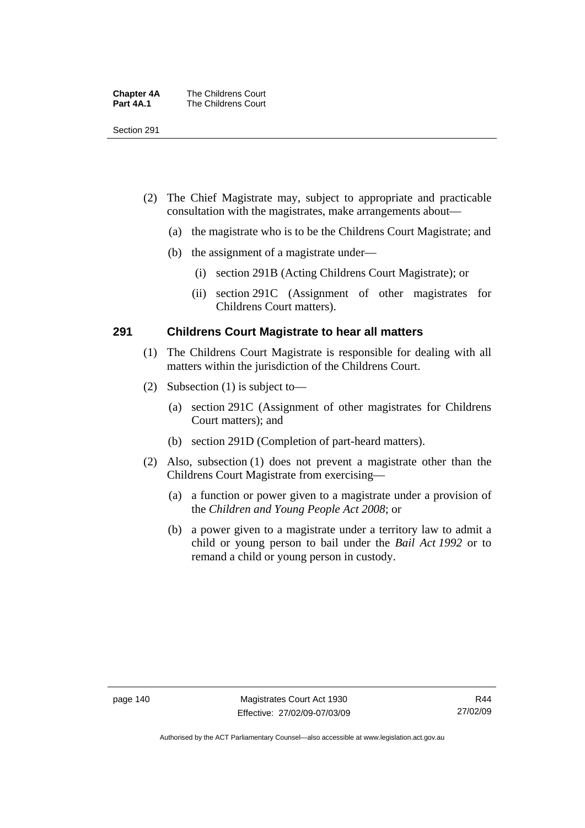| <b>Chapter 4A</b> | The Childrens Court |
|-------------------|---------------------|
| Part 4A.1         | The Childrens Court |

Section 291

- (2) The Chief Magistrate may, subject to appropriate and practicable consultation with the magistrates, make arrangements about—
	- (a) the magistrate who is to be the Childrens Court Magistrate; and
	- (b) the assignment of a magistrate under—
		- (i) section 291B (Acting Childrens Court Magistrate); or
		- (ii) section 291C (Assignment of other magistrates for Childrens Court matters).

#### **291 Childrens Court Magistrate to hear all matters**

- (1) The Childrens Court Magistrate is responsible for dealing with all matters within the jurisdiction of the Childrens Court.
- (2) Subsection (1) is subject to—
	- (a) section 291C (Assignment of other magistrates for Childrens Court matters); and
	- (b) section 291D (Completion of part-heard matters).
- (2) Also, subsection (1) does not prevent a magistrate other than the Childrens Court Magistrate from exercising—
	- (a) a function or power given to a magistrate under a provision of the *Children and Young People Act 2008*; or
	- (b) a power given to a magistrate under a territory law to admit a child or young person to bail under the *Bail Act 1992* or to remand a child or young person in custody.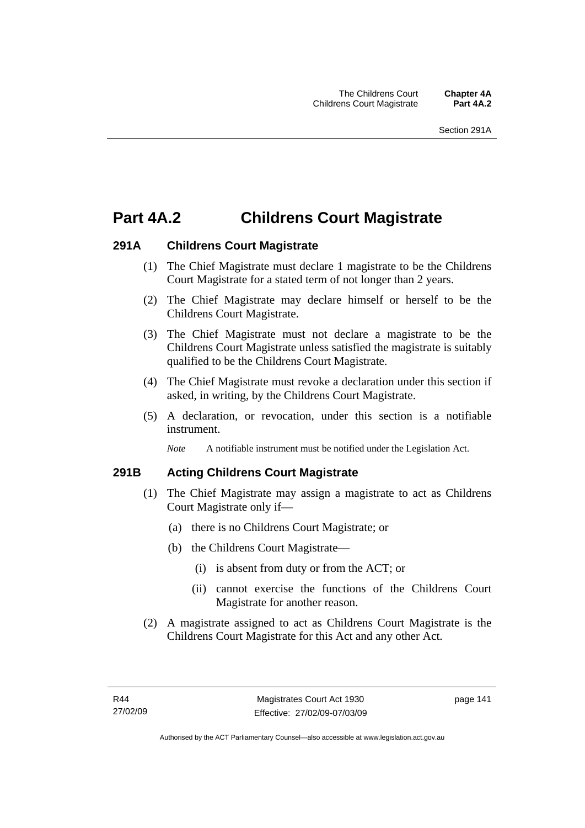## **Part 4A.2 Childrens Court Magistrate**

### **291A Childrens Court Magistrate**

- (1) The Chief Magistrate must declare 1 magistrate to be the Childrens Court Magistrate for a stated term of not longer than 2 years.
- (2) The Chief Magistrate may declare himself or herself to be the Childrens Court Magistrate.
- (3) The Chief Magistrate must not declare a magistrate to be the Childrens Court Magistrate unless satisfied the magistrate is suitably qualified to be the Childrens Court Magistrate.
- (4) The Chief Magistrate must revoke a declaration under this section if asked, in writing, by the Childrens Court Magistrate.
- (5) A declaration, or revocation, under this section is a notifiable instrument.

*Note* A notifiable instrument must be notified under the Legislation Act.

### **291B Acting Childrens Court Magistrate**

- (1) The Chief Magistrate may assign a magistrate to act as Childrens Court Magistrate only if—
	- (a) there is no Childrens Court Magistrate; or
	- (b) the Childrens Court Magistrate—
		- (i) is absent from duty or from the ACT; or
		- (ii) cannot exercise the functions of the Childrens Court Magistrate for another reason.
- (2) A magistrate assigned to act as Childrens Court Magistrate is the Childrens Court Magistrate for this Act and any other Act.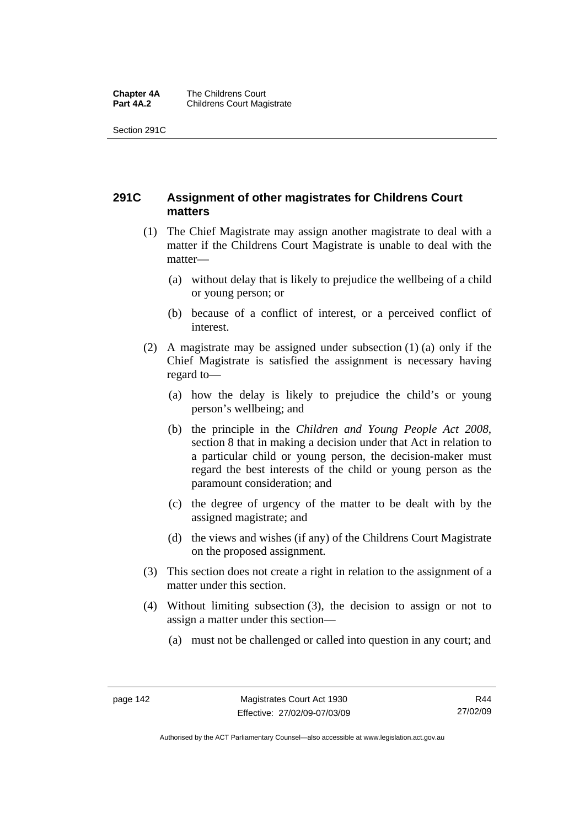#### **Chapter 4A** The Childrens Court<br>**Part 4A.2** Childrens Court Mag **Childrens Court Magistrate**

Section 291C

## **291C Assignment of other magistrates for Childrens Court matters**

- (1) The Chief Magistrate may assign another magistrate to deal with a matter if the Childrens Court Magistrate is unable to deal with the matter—
	- (a) without delay that is likely to prejudice the wellbeing of a child or young person; or
	- (b) because of a conflict of interest, or a perceived conflict of interest.
- (2) A magistrate may be assigned under subsection (1) (a) only if the Chief Magistrate is satisfied the assignment is necessary having regard to—
	- (a) how the delay is likely to prejudice the child's or young person's wellbeing; and
	- (b) the principle in the *Children and Young People Act 2008*, section 8 that in making a decision under that Act in relation to a particular child or young person, the decision-maker must regard the best interests of the child or young person as the paramount consideration; and
	- (c) the degree of urgency of the matter to be dealt with by the assigned magistrate; and
	- (d) the views and wishes (if any) of the Childrens Court Magistrate on the proposed assignment.
- (3) This section does not create a right in relation to the assignment of a matter under this section.
- (4) Without limiting subsection (3), the decision to assign or not to assign a matter under this section—
	- (a) must not be challenged or called into question in any court; and

R44 27/02/09

Authorised by the ACT Parliamentary Counsel—also accessible at www.legislation.act.gov.au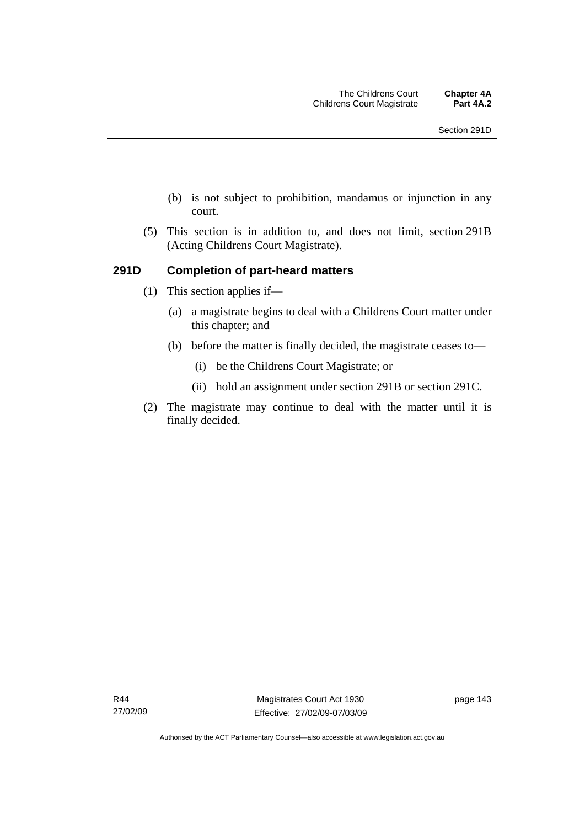- (b) is not subject to prohibition, mandamus or injunction in any court.
- (5) This section is in addition to, and does not limit, section 291B (Acting Childrens Court Magistrate).

#### **291D Completion of part-heard matters**

- (1) This section applies if—
	- (a) a magistrate begins to deal with a Childrens Court matter under this chapter; and
	- (b) before the matter is finally decided, the magistrate ceases to—
		- (i) be the Childrens Court Magistrate; or
		- (ii) hold an assignment under section 291B or section 291C.
- (2) The magistrate may continue to deal with the matter until it is finally decided.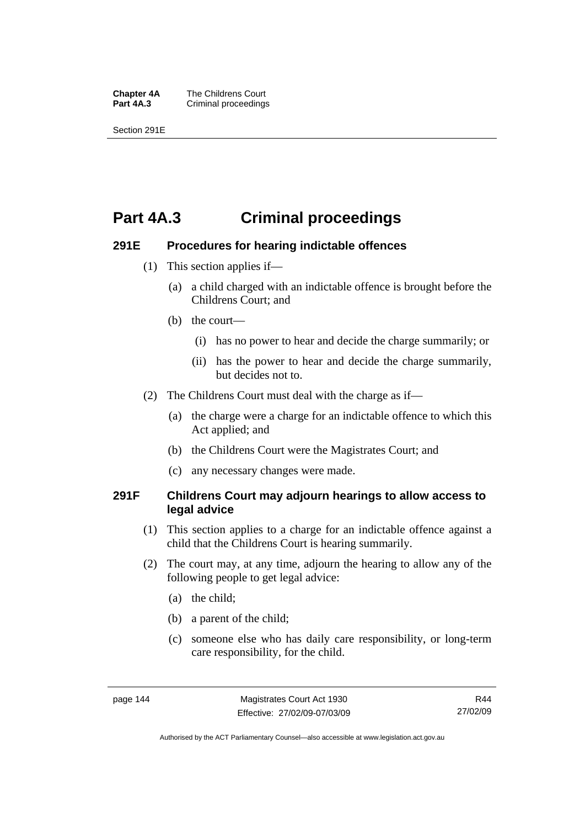**Chapter 4A** The Childrens Court<br>**Part 4A.3** Criminal proceedings **Criminal proceedings** 

Section 291E

## **Part 4A.3 Criminal proceedings**

#### **291E Procedures for hearing indictable offences**

- (1) This section applies if—
	- (a) a child charged with an indictable offence is brought before the Childrens Court; and
	- (b) the court—
		- (i) has no power to hear and decide the charge summarily; or
		- (ii) has the power to hear and decide the charge summarily, but decides not to.
- (2) The Childrens Court must deal with the charge as if—
	- (a) the charge were a charge for an indictable offence to which this Act applied; and
	- (b) the Childrens Court were the Magistrates Court; and
	- (c) any necessary changes were made.

#### **291F Childrens Court may adjourn hearings to allow access to legal advice**

- (1) This section applies to a charge for an indictable offence against a child that the Childrens Court is hearing summarily.
- (2) The court may, at any time, adjourn the hearing to allow any of the following people to get legal advice:
	- (a) the child;
	- (b) a parent of the child;
	- (c) someone else who has daily care responsibility, or long-term care responsibility, for the child.

Authorised by the ACT Parliamentary Counsel—also accessible at www.legislation.act.gov.au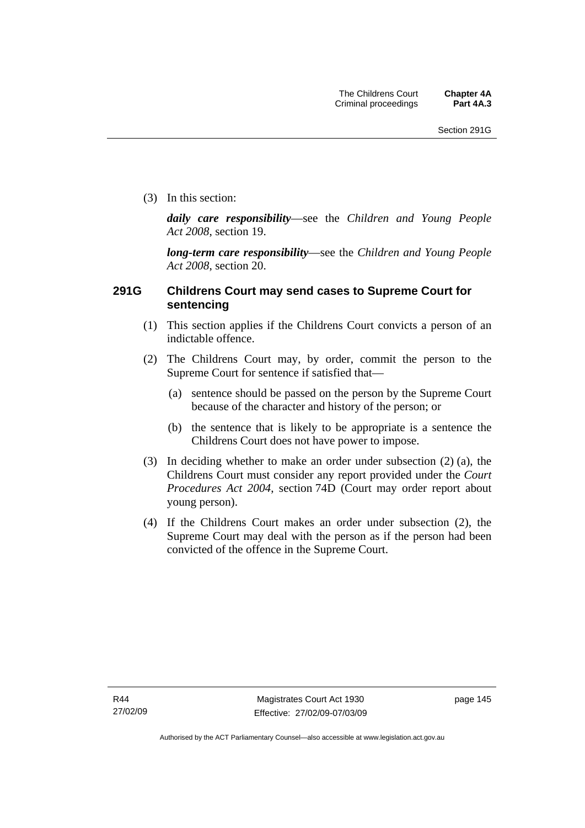(3) In this section:

*daily care responsibility*—see the *Children and Young People Act 2008*, section 19.

*long-term care responsibility*—see the *Children and Young People Act 2008*, section 20.

#### **291G Childrens Court may send cases to Supreme Court for sentencing**

- (1) This section applies if the Childrens Court convicts a person of an indictable offence.
- (2) The Childrens Court may, by order, commit the person to the Supreme Court for sentence if satisfied that—
	- (a) sentence should be passed on the person by the Supreme Court because of the character and history of the person; or
	- (b) the sentence that is likely to be appropriate is a sentence the Childrens Court does not have power to impose.
- (3) In deciding whether to make an order under subsection (2) (a), the Childrens Court must consider any report provided under the *Court Procedures Act 2004*, section 74D (Court may order report about young person).
- (4) If the Childrens Court makes an order under subsection (2), the Supreme Court may deal with the person as if the person had been convicted of the offence in the Supreme Court.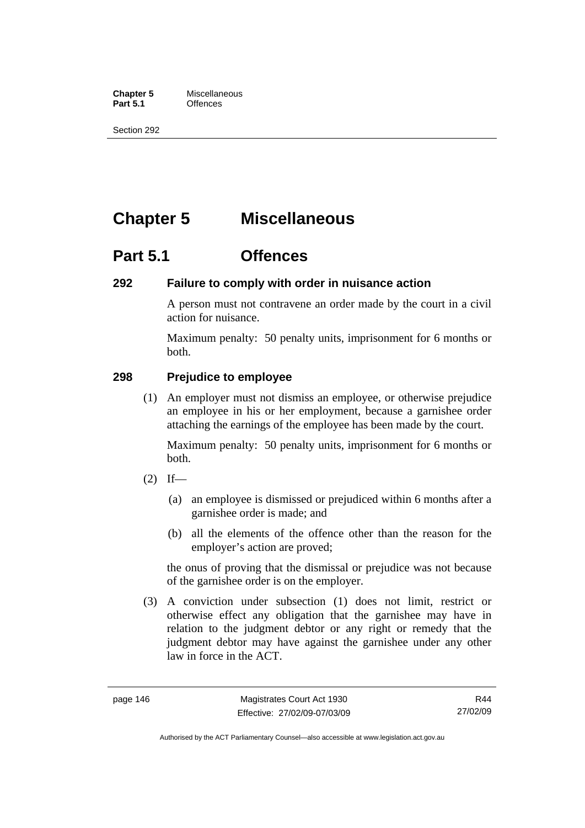**Chapter 5** Miscellaneous<br>**Part 5.1** Offences **Part 5.1** 

Section 292

# **Chapter 5 Miscellaneous**

## **Part 5.1 Offences**

#### **292 Failure to comply with order in nuisance action**

A person must not contravene an order made by the court in a civil action for nuisance.

Maximum penalty: 50 penalty units, imprisonment for 6 months or both.

### **298 Prejudice to employee**

 (1) An employer must not dismiss an employee, or otherwise prejudice an employee in his or her employment, because a garnishee order attaching the earnings of the employee has been made by the court.

Maximum penalty: 50 penalty units, imprisonment for 6 months or both.

- $(2)$  If—
	- (a) an employee is dismissed or prejudiced within 6 months after a garnishee order is made; and
	- (b) all the elements of the offence other than the reason for the employer's action are proved;

the onus of proving that the dismissal or prejudice was not because of the garnishee order is on the employer.

 (3) A conviction under subsection (1) does not limit, restrict or otherwise effect any obligation that the garnishee may have in relation to the judgment debtor or any right or remedy that the judgment debtor may have against the garnishee under any other law in force in the ACT.

R44 27/02/09

Authorised by the ACT Parliamentary Counsel—also accessible at www.legislation.act.gov.au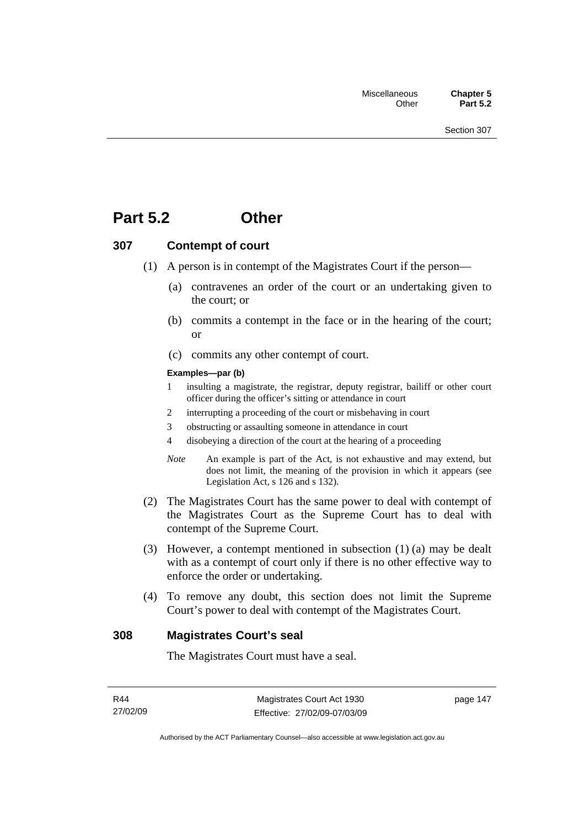## **Part 5.2 Other**

#### **307 Contempt of court**

- (1) A person is in contempt of the Magistrates Court if the person—
	- (a) contravenes an order of the court or an undertaking given to the court; or
	- (b) commits a contempt in the face or in the hearing of the court; or
	- (c) commits any other contempt of court.

#### **Examples—par (b)**

- 1 insulting a magistrate, the registrar, deputy registrar, bailiff or other court officer during the officer's sitting or attendance in court
- 2 interrupting a proceeding of the court or misbehaving in court
- 3 obstructing or assaulting someone in attendance in court
- 4 disobeying a direction of the court at the hearing of a proceeding
- *Note* An example is part of the Act, is not exhaustive and may extend, but does not limit, the meaning of the provision in which it appears (see Legislation Act, s 126 and s 132).
- (2) The Magistrates Court has the same power to deal with contempt of the Magistrates Court as the Supreme Court has to deal with contempt of the Supreme Court.
- (3) However, a contempt mentioned in subsection (1) (a) may be dealt with as a contempt of court only if there is no other effective way to enforce the order or undertaking.
- (4) To remove any doubt, this section does not limit the Supreme Court's power to deal with contempt of the Magistrates Court.

#### **308 Magistrates Court's seal**

The Magistrates Court must have a seal.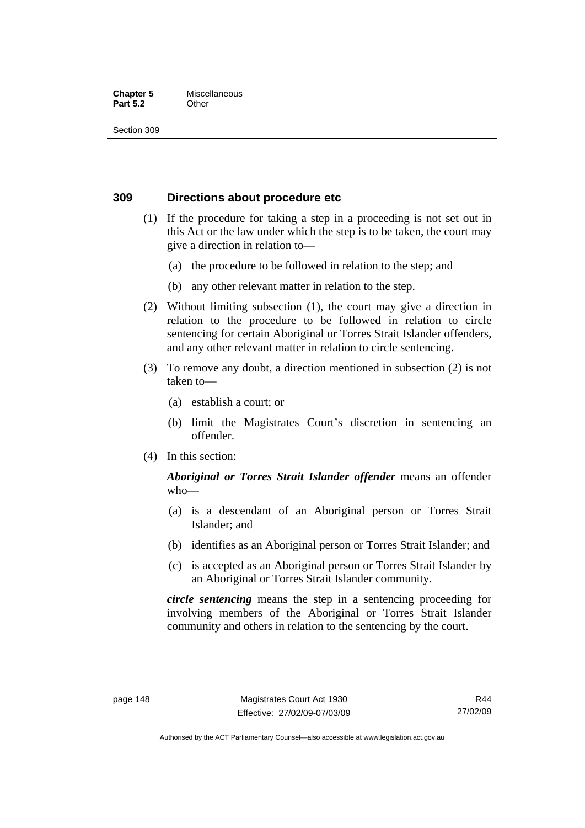#### **Chapter 5** Miscellaneous **Part 5.2** Other

Section 309

#### **309 Directions about procedure etc**

- (1) If the procedure for taking a step in a proceeding is not set out in this Act or the law under which the step is to be taken, the court may give a direction in relation to—
	- (a) the procedure to be followed in relation to the step; and
	- (b) any other relevant matter in relation to the step.
- (2) Without limiting subsection (1), the court may give a direction in relation to the procedure to be followed in relation to circle sentencing for certain Aboriginal or Torres Strait Islander offenders, and any other relevant matter in relation to circle sentencing.
- (3) To remove any doubt, a direction mentioned in subsection (2) is not taken to—
	- (a) establish a court; or
	- (b) limit the Magistrates Court's discretion in sentencing an offender.
- (4) In this section:

#### *Aboriginal or Torres Strait Islander offender* means an offender who—

- (a) is a descendant of an Aboriginal person or Torres Strait Islander; and
- (b) identifies as an Aboriginal person or Torres Strait Islander; and
- (c) is accepted as an Aboriginal person or Torres Strait Islander by an Aboriginal or Torres Strait Islander community.

*circle sentencing* means the step in a sentencing proceeding for involving members of the Aboriginal or Torres Strait Islander community and others in relation to the sentencing by the court.

Authorised by the ACT Parliamentary Counsel—also accessible at www.legislation.act.gov.au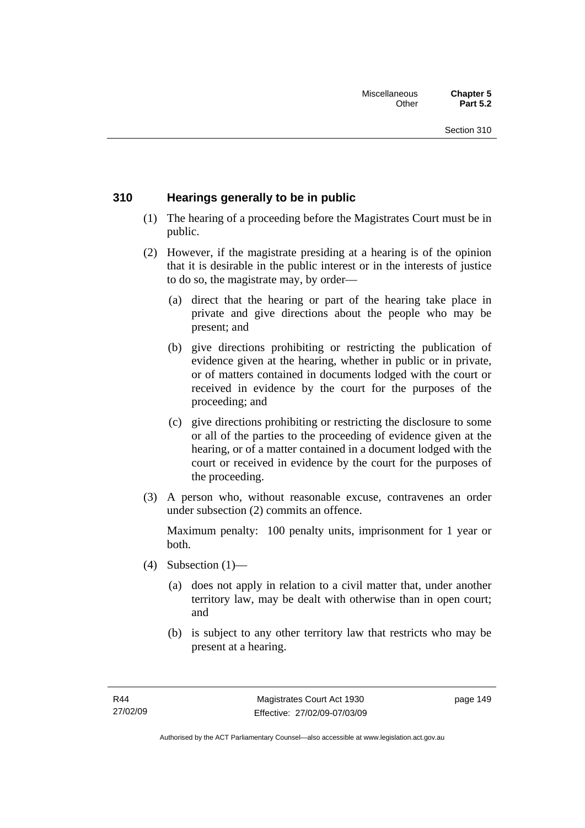### **310 Hearings generally to be in public**

- (1) The hearing of a proceeding before the Magistrates Court must be in public.
- (2) However, if the magistrate presiding at a hearing is of the opinion that it is desirable in the public interest or in the interests of justice to do so, the magistrate may, by order—
	- (a) direct that the hearing or part of the hearing take place in private and give directions about the people who may be present; and
	- (b) give directions prohibiting or restricting the publication of evidence given at the hearing, whether in public or in private, or of matters contained in documents lodged with the court or received in evidence by the court for the purposes of the proceeding; and
	- (c) give directions prohibiting or restricting the disclosure to some or all of the parties to the proceeding of evidence given at the hearing, or of a matter contained in a document lodged with the court or received in evidence by the court for the purposes of the proceeding.
- (3) A person who, without reasonable excuse, contravenes an order under subsection (2) commits an offence.

Maximum penalty: 100 penalty units, imprisonment for 1 year or both.

- (4) Subsection  $(1)$ 
	- (a) does not apply in relation to a civil matter that, under another territory law, may be dealt with otherwise than in open court; and
	- (b) is subject to any other territory law that restricts who may be present at a hearing.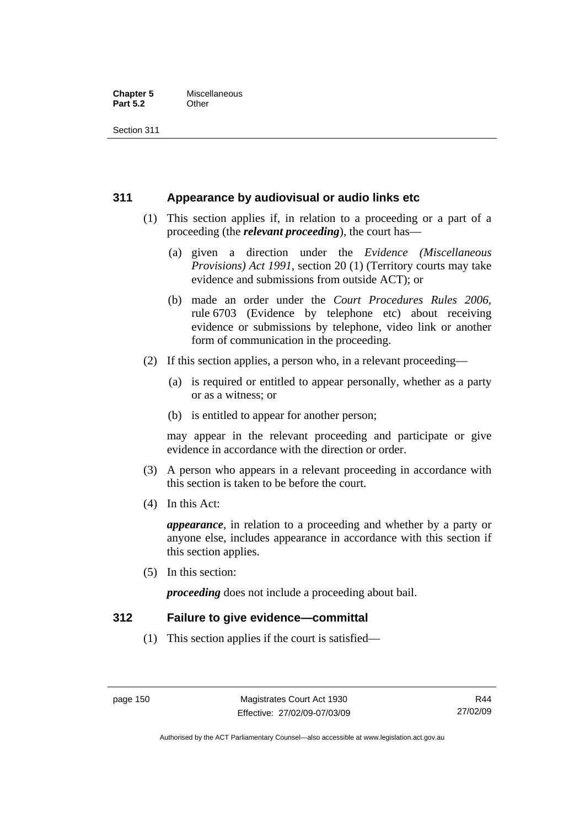#### **Chapter 5** Miscellaneous<br>**Part 5.2** Other **Part 5.2**

Section 311

#### **311 Appearance by audiovisual or audio links etc**

- (1) This section applies if, in relation to a proceeding or a part of a proceeding (the *relevant proceeding*), the court has—
	- (a) given a direction under the *Evidence (Miscellaneous Provisions) Act 1991*, section 20 (1) (Territory courts may take evidence and submissions from outside ACT); or
	- (b) made an order under the *Court Procedures Rules 2006*, rule 6703 (Evidence by telephone etc) about receiving evidence or submissions by telephone, video link or another form of communication in the proceeding.
- (2) If this section applies, a person who, in a relevant proceeding—
	- (a) is required or entitled to appear personally, whether as a party or as a witness; or
	- (b) is entitled to appear for another person;

may appear in the relevant proceeding and participate or give evidence in accordance with the direction or order.

- (3) A person who appears in a relevant proceeding in accordance with this section is taken to be before the court.
- (4) In this Act:

*appearance*, in relation to a proceeding and whether by a party or anyone else, includes appearance in accordance with this section if this section applies.

(5) In this section:

*proceeding* does not include a proceeding about bail.

#### **312 Failure to give evidence—committal**

(1) This section applies if the court is satisfied—

Authorised by the ACT Parliamentary Counsel—also accessible at www.legislation.act.gov.au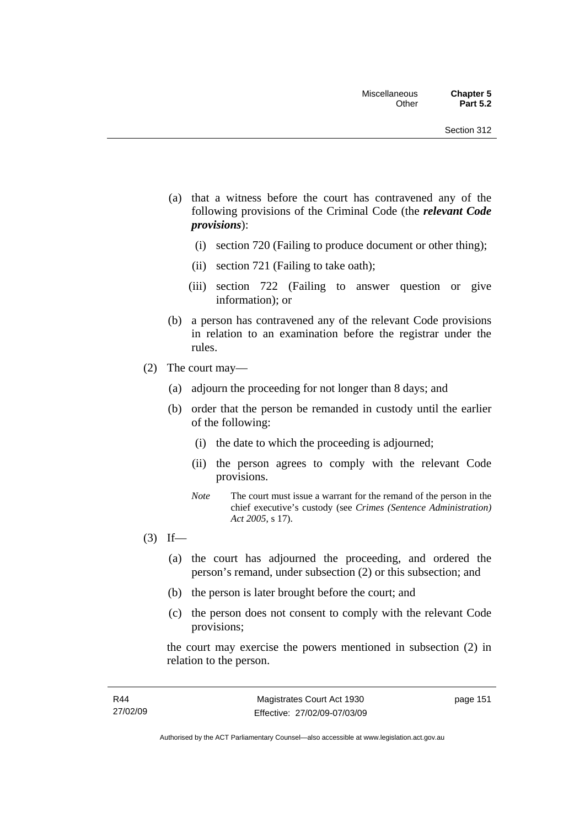- (a) that a witness before the court has contravened any of the following provisions of the Criminal Code (the *relevant Code provisions*):
	- (i) section 720 (Failing to produce document or other thing);
	- (ii) section 721 (Failing to take oath);
	- (iii) section 722 (Failing to answer question or give information); or
- (b) a person has contravened any of the relevant Code provisions in relation to an examination before the registrar under the rules.
- (2) The court may—
	- (a) adjourn the proceeding for not longer than 8 days; and
	- (b) order that the person be remanded in custody until the earlier of the following:
		- (i) the date to which the proceeding is adjourned;
		- (ii) the person agrees to comply with the relevant Code provisions.
		- *Note* The court must issue a warrant for the remand of the person in the chief executive's custody (see *Crimes (Sentence Administration) Act 2005*, s 17).
- $(3)$  If—
	- (a) the court has adjourned the proceeding, and ordered the person's remand, under subsection (2) or this subsection; and
	- (b) the person is later brought before the court; and
	- (c) the person does not consent to comply with the relevant Code provisions;

the court may exercise the powers mentioned in subsection (2) in relation to the person.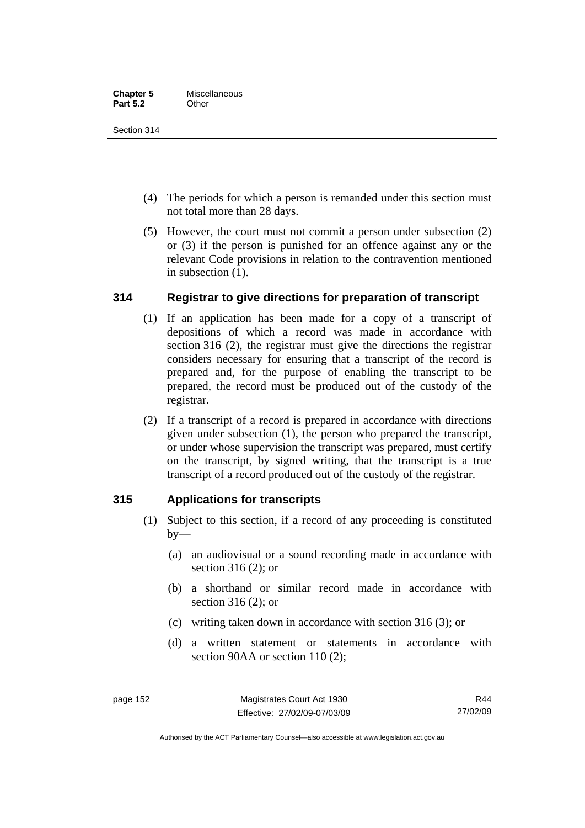Section 314

- (4) The periods for which a person is remanded under this section must not total more than 28 days.
- (5) However, the court must not commit a person under subsection (2) or (3) if the person is punished for an offence against any or the relevant Code provisions in relation to the contravention mentioned in subsection (1).

## **314 Registrar to give directions for preparation of transcript**

- (1) If an application has been made for a copy of a transcript of depositions of which a record was made in accordance with section 316 (2), the registrar must give the directions the registrar considers necessary for ensuring that a transcript of the record is prepared and, for the purpose of enabling the transcript to be prepared, the record must be produced out of the custody of the registrar.
- (2) If a transcript of a record is prepared in accordance with directions given under subsection (1), the person who prepared the transcript, or under whose supervision the transcript was prepared, must certify on the transcript, by signed writing, that the transcript is a true transcript of a record produced out of the custody of the registrar.

## **315 Applications for transcripts**

- (1) Subject to this section, if a record of any proceeding is constituted  $by-$ 
	- (a) an audiovisual or a sound recording made in accordance with section 316 (2); or
	- (b) a shorthand or similar record made in accordance with section 316 (2); or
	- (c) writing taken down in accordance with section 316 (3); or
	- (d) a written statement or statements in accordance with section 90AA or section 110 (2):

Authorised by the ACT Parliamentary Counsel—also accessible at www.legislation.act.gov.au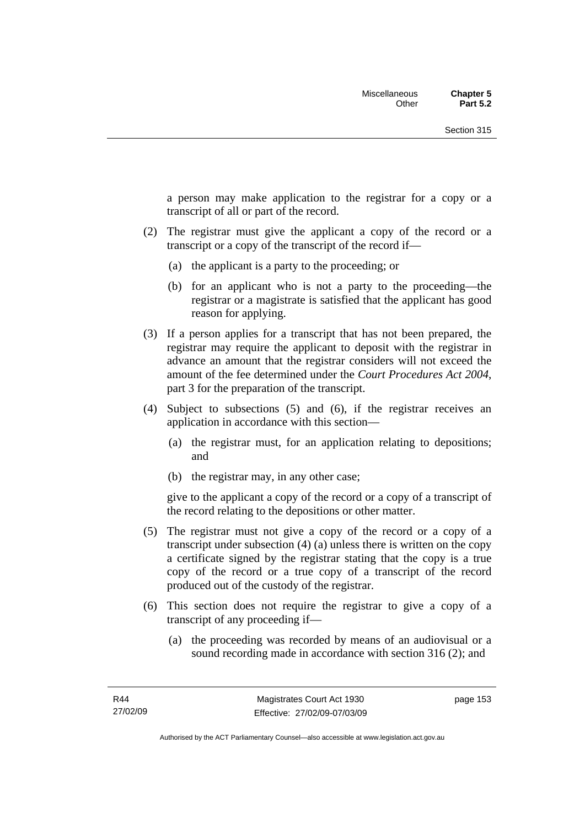a person may make application to the registrar for a copy or a transcript of all or part of the record.

- (2) The registrar must give the applicant a copy of the record or a transcript or a copy of the transcript of the record if—
	- (a) the applicant is a party to the proceeding; or
	- (b) for an applicant who is not a party to the proceeding—the registrar or a magistrate is satisfied that the applicant has good reason for applying.
- (3) If a person applies for a transcript that has not been prepared, the registrar may require the applicant to deposit with the registrar in advance an amount that the registrar considers will not exceed the amount of the fee determined under the *Court Procedures Act 2004*, part 3 for the preparation of the transcript.
- (4) Subject to subsections (5) and (6), if the registrar receives an application in accordance with this section—
	- (a) the registrar must, for an application relating to depositions; and
	- (b) the registrar may, in any other case;

give to the applicant a copy of the record or a copy of a transcript of the record relating to the depositions or other matter.

- (5) The registrar must not give a copy of the record or a copy of a transcript under subsection (4) (a) unless there is written on the copy a certificate signed by the registrar stating that the copy is a true copy of the record or a true copy of a transcript of the record produced out of the custody of the registrar.
- (6) This section does not require the registrar to give a copy of a transcript of any proceeding if—
	- (a) the proceeding was recorded by means of an audiovisual or a sound recording made in accordance with section 316 (2); and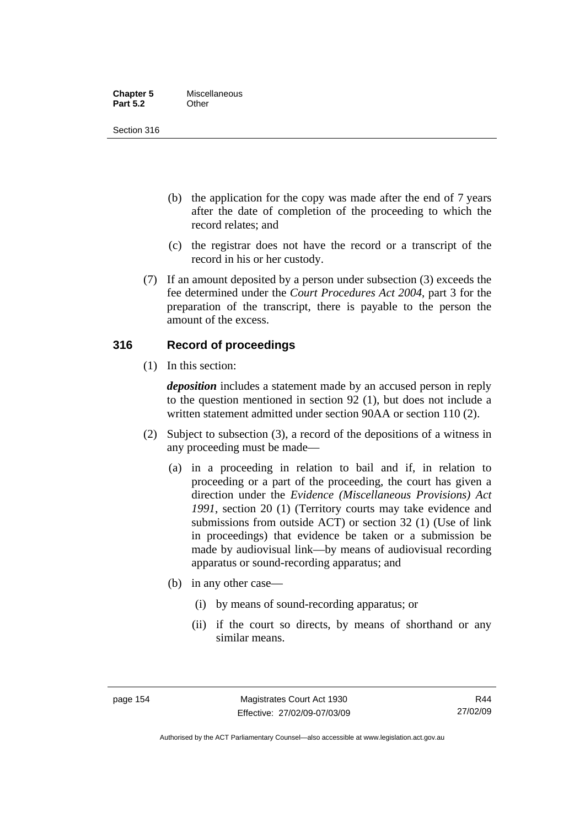| <b>Chapter 5</b> | Miscellaneous |
|------------------|---------------|
| <b>Part 5.2</b>  | Other         |

Section 316

- (b) the application for the copy was made after the end of 7 years after the date of completion of the proceeding to which the record relates; and
- (c) the registrar does not have the record or a transcript of the record in his or her custody.
- (7) If an amount deposited by a person under subsection (3) exceeds the fee determined under the *Court Procedures Act 2004*, part 3 for the preparation of the transcript, there is payable to the person the amount of the excess.

#### **316 Record of proceedings**

(1) In this section:

*deposition* includes a statement made by an accused person in reply to the question mentioned in section 92 (1), but does not include a written statement admitted under section 90AA or section 110 (2).

- (2) Subject to subsection (3), a record of the depositions of a witness in any proceeding must be made—
	- (a) in a proceeding in relation to bail and if, in relation to proceeding or a part of the proceeding, the court has given a direction under the *Evidence (Miscellaneous Provisions) Act 1991*, section 20 (1) (Territory courts may take evidence and submissions from outside ACT) or section 32 (1) (Use of link in proceedings) that evidence be taken or a submission be made by audiovisual link—by means of audiovisual recording apparatus or sound-recording apparatus; and
	- (b) in any other case—
		- (i) by means of sound-recording apparatus; or
		- (ii) if the court so directs, by means of shorthand or any similar means.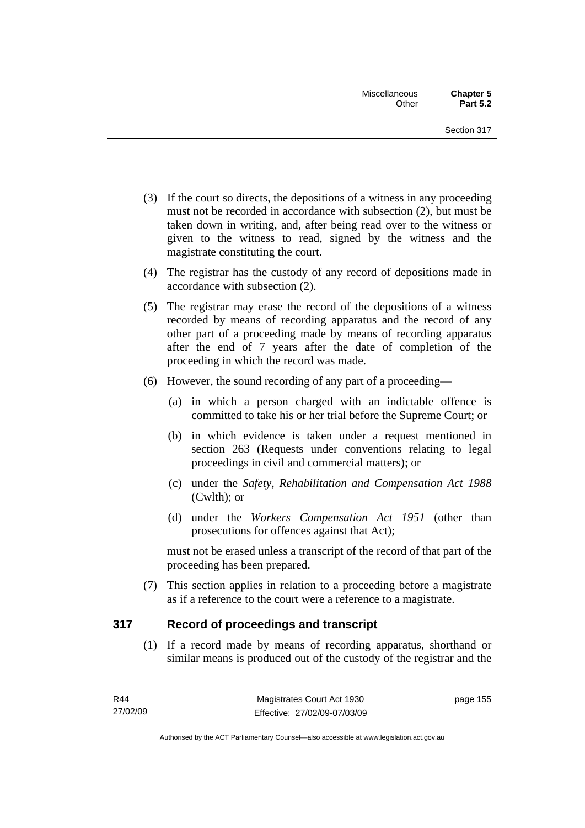- (3) If the court so directs, the depositions of a witness in any proceeding must not be recorded in accordance with subsection (2), but must be taken down in writing, and, after being read over to the witness or given to the witness to read, signed by the witness and the magistrate constituting the court.
- (4) The registrar has the custody of any record of depositions made in accordance with subsection (2).
- (5) The registrar may erase the record of the depositions of a witness recorded by means of recording apparatus and the record of any other part of a proceeding made by means of recording apparatus after the end of 7 years after the date of completion of the proceeding in which the record was made.
- (6) However, the sound recording of any part of a proceeding—
	- (a) in which a person charged with an indictable offence is committed to take his or her trial before the Supreme Court; or
	- (b) in which evidence is taken under a request mentioned in section 263 (Requests under conventions relating to legal proceedings in civil and commercial matters); or
	- (c) under the *Safety, Rehabilitation and Compensation Act 1988* (Cwlth); or
	- (d) under the *Workers Compensation Act 1951* (other than prosecutions for offences against that Act);

must not be erased unless a transcript of the record of that part of the proceeding has been prepared.

 (7) This section applies in relation to a proceeding before a magistrate as if a reference to the court were a reference to a magistrate.

#### **317 Record of proceedings and transcript**

 (1) If a record made by means of recording apparatus, shorthand or similar means is produced out of the custody of the registrar and the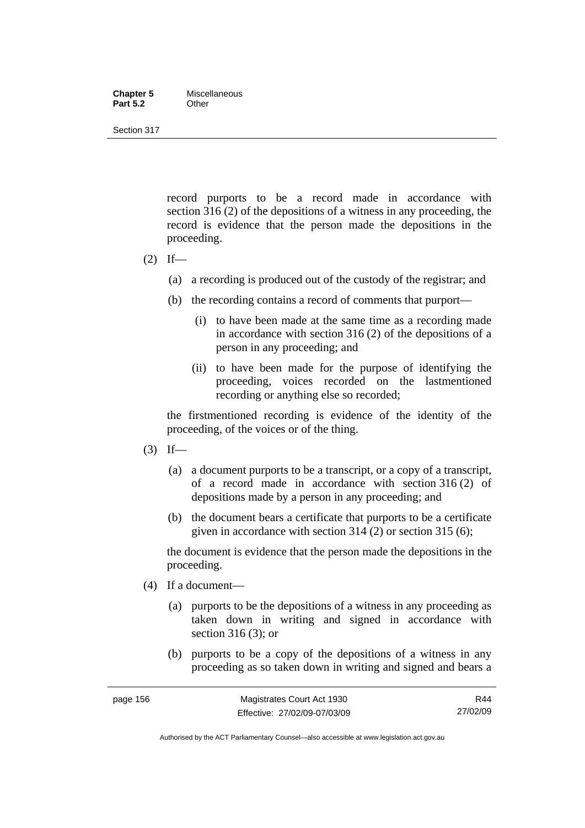#### **Chapter 5** Miscellaneous<br>**Part 5.2** Other **Part 5.2**

Section 317

record purports to be a record made in accordance with section 316 (2) of the depositions of a witness in any proceeding, the record is evidence that the person made the depositions in the proceeding.

- $(2)$  If—
	- (a) a recording is produced out of the custody of the registrar; and
	- (b) the recording contains a record of comments that purport—
		- (i) to have been made at the same time as a recording made in accordance with section 316 (2) of the depositions of a person in any proceeding; and
		- (ii) to have been made for the purpose of identifying the proceeding, voices recorded on the lastmentioned recording or anything else so recorded;

the firstmentioned recording is evidence of the identity of the proceeding, of the voices or of the thing.

- $(3)$  If—
	- (a) a document purports to be a transcript, or a copy of a transcript, of a record made in accordance with section 316 (2) of depositions made by a person in any proceeding; and
	- (b) the document bears a certificate that purports to be a certificate given in accordance with section 314 (2) or section 315 (6);

the document is evidence that the person made the depositions in the proceeding.

- (4) If a document—
	- (a) purports to be the depositions of a witness in any proceeding as taken down in writing and signed in accordance with section 316 (3); or
	- (b) purports to be a copy of the depositions of a witness in any proceeding as so taken down in writing and signed and bears a

Authorised by the ACT Parliamentary Counsel—also accessible at www.legislation.act.gov.au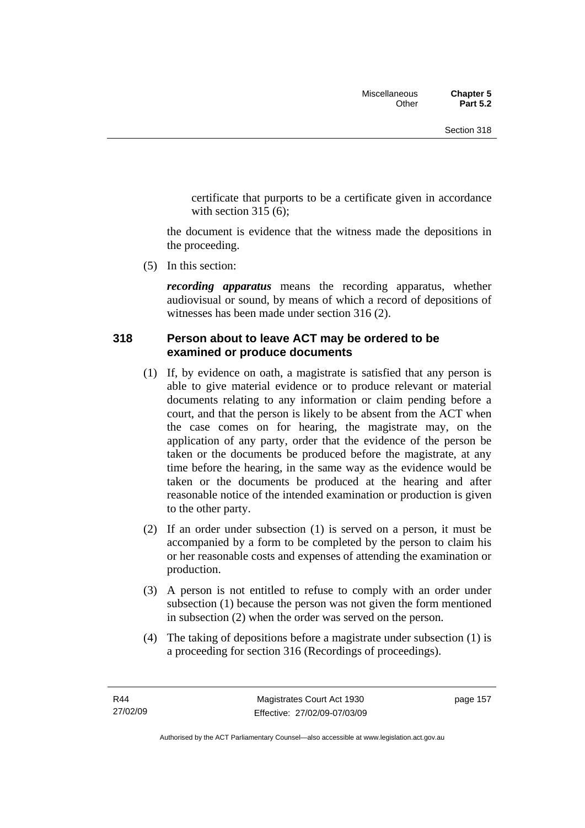certificate that purports to be a certificate given in accordance with section  $315(6)$ :

the document is evidence that the witness made the depositions in the proceeding.

(5) In this section:

*recording apparatus* means the recording apparatus, whether audiovisual or sound, by means of which a record of depositions of witnesses has been made under section 316 (2).

#### **318 Person about to leave ACT may be ordered to be examined or produce documents**

- (1) If, by evidence on oath, a magistrate is satisfied that any person is able to give material evidence or to produce relevant or material documents relating to any information or claim pending before a court, and that the person is likely to be absent from the ACT when the case comes on for hearing, the magistrate may, on the application of any party, order that the evidence of the person be taken or the documents be produced before the magistrate, at any time before the hearing, in the same way as the evidence would be taken or the documents be produced at the hearing and after reasonable notice of the intended examination or production is given to the other party.
- (2) If an order under subsection (1) is served on a person, it must be accompanied by a form to be completed by the person to claim his or her reasonable costs and expenses of attending the examination or production.
- (3) A person is not entitled to refuse to comply with an order under subsection (1) because the person was not given the form mentioned in subsection (2) when the order was served on the person.
- (4) The taking of depositions before a magistrate under subsection (1) is a proceeding for section 316 (Recordings of proceedings).

page 157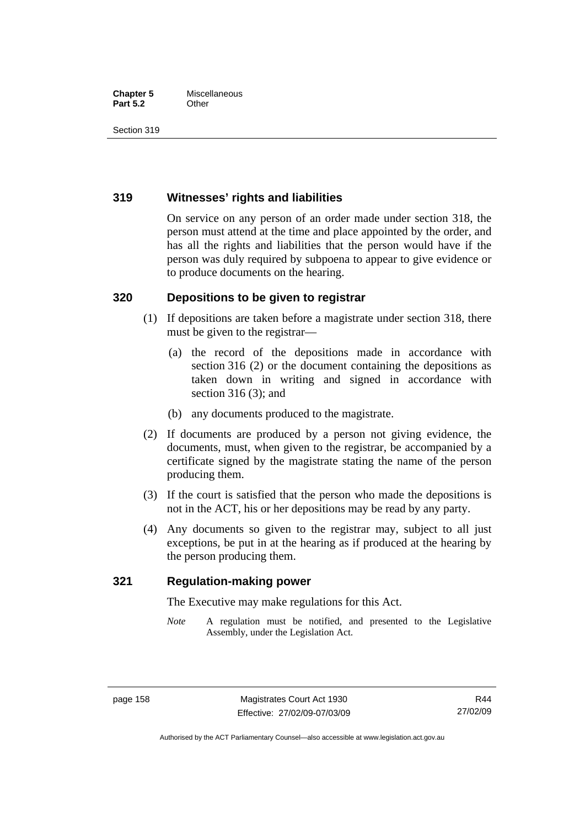#### **Chapter 5** Miscellaneous **Part 5.2** Other

Section 319

#### **319 Witnesses' rights and liabilities**

On service on any person of an order made under section 318, the person must attend at the time and place appointed by the order, and has all the rights and liabilities that the person would have if the person was duly required by subpoena to appear to give evidence or to produce documents on the hearing.

### **320 Depositions to be given to registrar**

- (1) If depositions are taken before a magistrate under section 318, there must be given to the registrar—
	- (a) the record of the depositions made in accordance with section 316 (2) or the document containing the depositions as taken down in writing and signed in accordance with section 316 (3); and
	- (b) any documents produced to the magistrate.
- (2) If documents are produced by a person not giving evidence, the documents, must, when given to the registrar, be accompanied by a certificate signed by the magistrate stating the name of the person producing them.
- (3) If the court is satisfied that the person who made the depositions is not in the ACT, his or her depositions may be read by any party.
- (4) Any documents so given to the registrar may, subject to all just exceptions, be put in at the hearing as if produced at the hearing by the person producing them.

#### **321 Regulation-making power**

The Executive may make regulations for this Act.

*Note* A regulation must be notified, and presented to the Legislative Assembly, under the Legislation Act.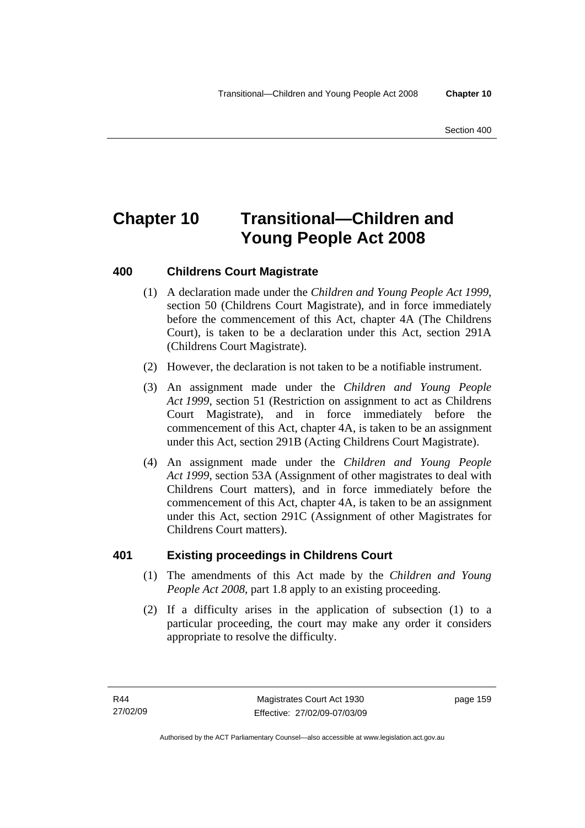# **Chapter 10 Transitional—Children and Young People Act 2008**

## **400 Childrens Court Magistrate**

- (1) A declaration made under the *Children and Young People Act 1999*, section 50 (Childrens Court Magistrate), and in force immediately before the commencement of this Act, chapter 4A (The Childrens Court), is taken to be a declaration under this Act, section 291A (Childrens Court Magistrate).
- (2) However, the declaration is not taken to be a notifiable instrument.
- (3) An assignment made under the *Children and Young People Act 1999*, section 51 (Restriction on assignment to act as Childrens Court Magistrate), and in force immediately before the commencement of this Act, chapter 4A, is taken to be an assignment under this Act, section 291B (Acting Childrens Court Magistrate).
- (4) An assignment made under the *Children and Young People Act 1999*, section 53A (Assignment of other magistrates to deal with Childrens Court matters), and in force immediately before the commencement of this Act, chapter 4A, is taken to be an assignment under this Act, section 291C (Assignment of other Magistrates for Childrens Court matters).

### **401 Existing proceedings in Childrens Court**

- (1) The amendments of this Act made by the *Children and Young People Act 2008*, part 1.8 apply to an existing proceeding.
- (2) If a difficulty arises in the application of subsection (1) to a particular proceeding, the court may make any order it considers appropriate to resolve the difficulty.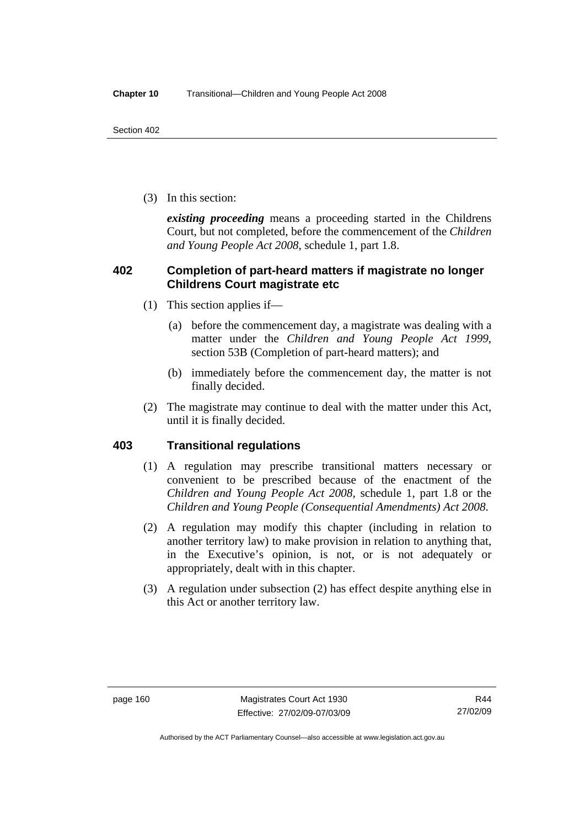(3) In this section:

*existing proceeding* means a proceeding started in the Childrens Court, but not completed, before the commencement of the *Children and Young People Act 2008*, schedule 1, part 1.8.

#### **402 Completion of part-heard matters if magistrate no longer Childrens Court magistrate etc**

- (1) This section applies if—
	- (a) before the commencement day, a magistrate was dealing with a matter under the *Children and Young People Act 1999*, section 53B (Completion of part-heard matters); and
	- (b) immediately before the commencement day, the matter is not finally decided.
- (2) The magistrate may continue to deal with the matter under this Act, until it is finally decided.

#### **403 Transitional regulations**

- (1) A regulation may prescribe transitional matters necessary or convenient to be prescribed because of the enactment of the *Children and Young People Act 2008*, schedule 1, part 1.8 or the *Children and Young People (Consequential Amendments) Act 2008*.
- (2) A regulation may modify this chapter (including in relation to another territory law) to make provision in relation to anything that, in the Executive's opinion, is not, or is not adequately or appropriately, dealt with in this chapter.
- (3) A regulation under subsection (2) has effect despite anything else in this Act or another territory law.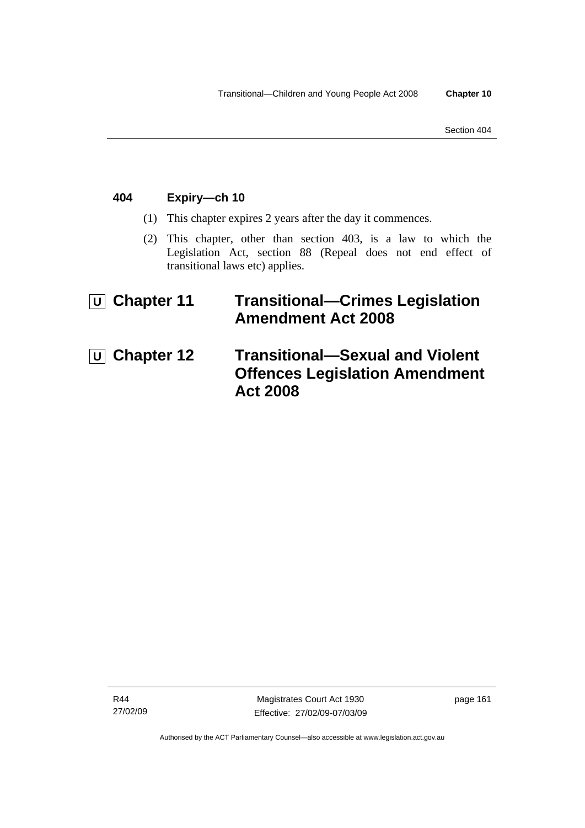### **404 Expiry—ch 10**

- (1) This chapter expires 2 years after the day it commences.
- (2) This chapter, other than section 403, is a law to which the Legislation Act, section 88 (Repeal does not end effect of transitional laws etc) applies.

# **U** Chapter 11 Transitional-Crimes Legislation **Amendment Act 2008**

*U* Chapter 12 Transitional-Sexual and Violent **Offences Legislation Amendment Act 2008**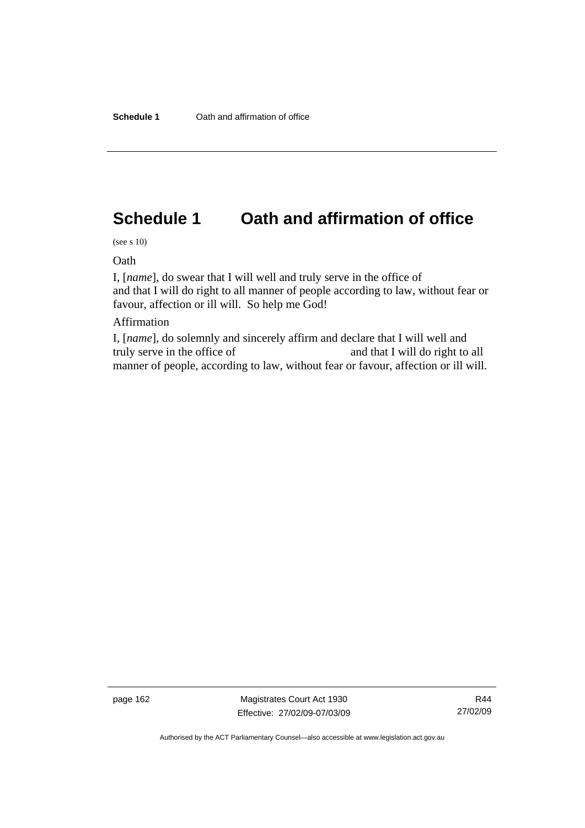# **Schedule 1 Oath and affirmation of office**

(see s 10)

Oath

I, [*name*], do swear that I will well and truly serve in the office of and that I will do right to all manner of people according to law, without fear or favour, affection or ill will. So help me God!

#### Affirmation

I, [*name*], do solemnly and sincerely affirm and declare that I will well and truly serve in the office of and that I will do right to all manner of people, according to law, without fear or favour, affection or ill will.

page 162 Magistrates Court Act 1930 Effective: 27/02/09-07/03/09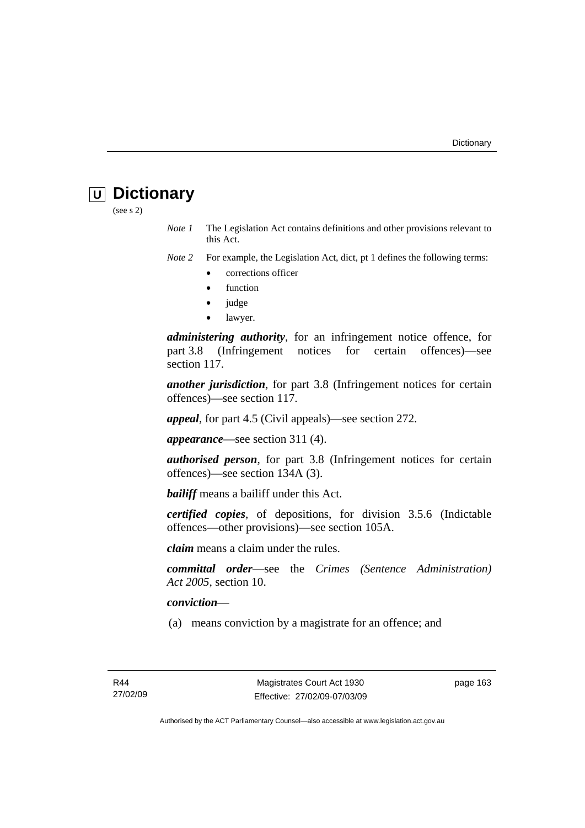# **U Dictionary**

(see s 2)

*Note 1* The Legislation Act contains definitions and other provisions relevant to this Act.

*Note 2* For example, the Legislation Act, dict, pt 1 defines the following terms:

- corrections officer
- **function**
- judge
- lawyer.

*administering authority*, for an infringement notice offence, for part 3.8 (Infringement notices for certain offences)—see section 117.

*another jurisdiction*, for part 3.8 (Infringement notices for certain offences)—see section 117.

*appeal*, for part 4.5 (Civil appeals)—see section 272.

*appearance*—see section 311 (4).

*authorised person*, for part 3.8 (Infringement notices for certain offences)—see section 134A (3).

*bailiff* means a bailiff under this Act.

*certified copies*, of depositions, for division 3.5.6 (Indictable offences—other provisions)—see section 105A.

*claim* means a claim under the rules.

*committal order*—see the *Crimes (Sentence Administration) Act 2005*, section 10.

#### *conviction*—

(a) means conviction by a magistrate for an offence; and

page 163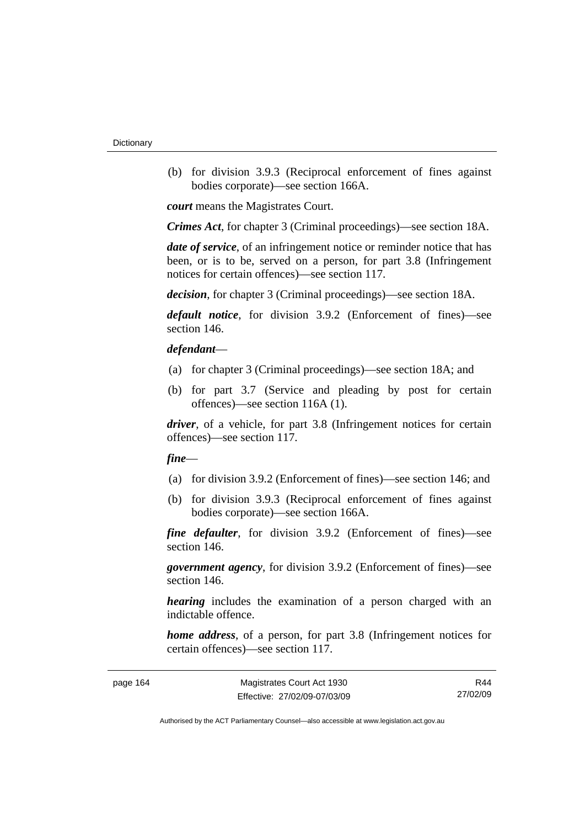(b) for division 3.9.3 (Reciprocal enforcement of fines against bodies corporate)—see section 166A.

*court* means the Magistrates Court.

*Crimes Act*, for chapter 3 (Criminal proceedings)—see section 18A.

*date of service*, of an infringement notice or reminder notice that has been, or is to be, served on a person, for part 3.8 (Infringement notices for certain offences)—see section 117.

*decision*, for chapter 3 (Criminal proceedings)—see section 18A.

*default notice*, for division 3.9.2 (Enforcement of fines)—see section 146.

#### *defendant*—

- (a) for chapter 3 (Criminal proceedings)—see section 18A; and
- (b) for part 3.7 (Service and pleading by post for certain offences)—see section 116A (1).

*driver*, of a vehicle, for part 3.8 (Infringement notices for certain offences)—see section 117.

#### *fine*—

- (a) for division 3.9.2 (Enforcement of fines)—see section 146; and
- (b) for division 3.9.3 (Reciprocal enforcement of fines against bodies corporate)—see section 166A.

*fine defaulter*, for division 3.9.2 (Enforcement of fines)—see section 146.

*government agency*, for division 3.9.2 (Enforcement of fines)—see section 146.

*hearing* includes the examination of a person charged with an indictable offence.

*home address*, of a person, for part 3.8 (Infringement notices for certain offences)—see section 117.

| page 164 |  |
|----------|--|
|----------|--|

R44 27/02/09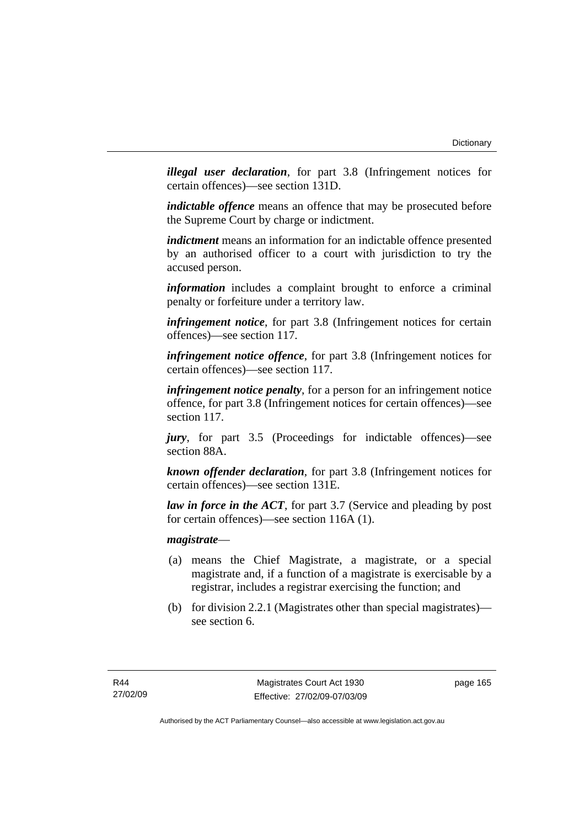*illegal user declaration*, for part 3.8 (Infringement notices for certain offences)—see section 131D.

*indictable offence* means an offence that may be prosecuted before the Supreme Court by charge or indictment.

*indictment* means an information for an indictable offence presented by an authorised officer to a court with jurisdiction to try the accused person.

*information* includes a complaint brought to enforce a criminal penalty or forfeiture under a territory law.

*infringement notice*, for part 3.8 (Infringement notices for certain offences)—see section 117.

*infringement notice offence*, for part 3.8 (Infringement notices for certain offences)—see section 117.

*infringement notice penalty*, for a person for an infringement notice offence, for part 3.8 (Infringement notices for certain offences)—see section 117.

*jury*, for part 3.5 (Proceedings for indictable offences)—see section 88A.

*known offender declaration*, for part 3.8 (Infringement notices for certain offences)—see section 131E.

*law in force in the ACT*, for part 3.7 (Service and pleading by post for certain offences)—see section 116A (1).

*magistrate*—

- (a) means the Chief Magistrate, a magistrate, or a special magistrate and, if a function of a magistrate is exercisable by a registrar, includes a registrar exercising the function; and
- (b) for division 2.2.1 (Magistrates other than special magistrates) see section 6.

page 165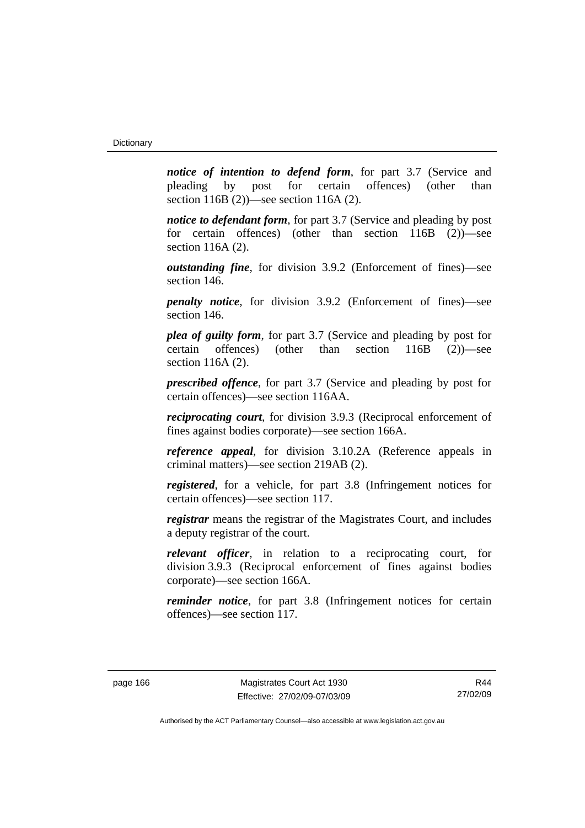*notice of intention to defend form*, for part 3.7 (Service and pleading by post for certain offences) (other than section 116B (2))—see section 116A (2).

*notice to defendant form*, for part 3.7 (Service and pleading by post) for certain offences) (other than section 116B (2))—see section 116A (2).

*outstanding fine*, for division 3.9.2 (Enforcement of fines)—see section 146.

*penalty notice*, for division 3.9.2 (Enforcement of fines)—see section 146.

*plea of guilty form*, for part 3.7 (Service and pleading by post for certain offences) (other than section 116B (2))—see section 116A (2).

*prescribed offence*, for part 3.7 (Service and pleading by post for certain offences)—see section 116AA.

*reciprocating court*, for division 3.9.3 (Reciprocal enforcement of fines against bodies corporate)—see section 166A.

*reference appeal*, for division 3.10.2A (Reference appeals in criminal matters)—see section 219AB (2).

*registered*, for a vehicle, for part 3.8 (Infringement notices for certain offences)—see section 117.

*registrar* means the registrar of the Magistrates Court, and includes a deputy registrar of the court.

*relevant officer*, in relation to a reciprocating court, for division 3.9.3 (Reciprocal enforcement of fines against bodies corporate)—see section 166A.

*reminder notice*, for part 3.8 (Infringement notices for certain offences)—see section 117.

R44 27/02/09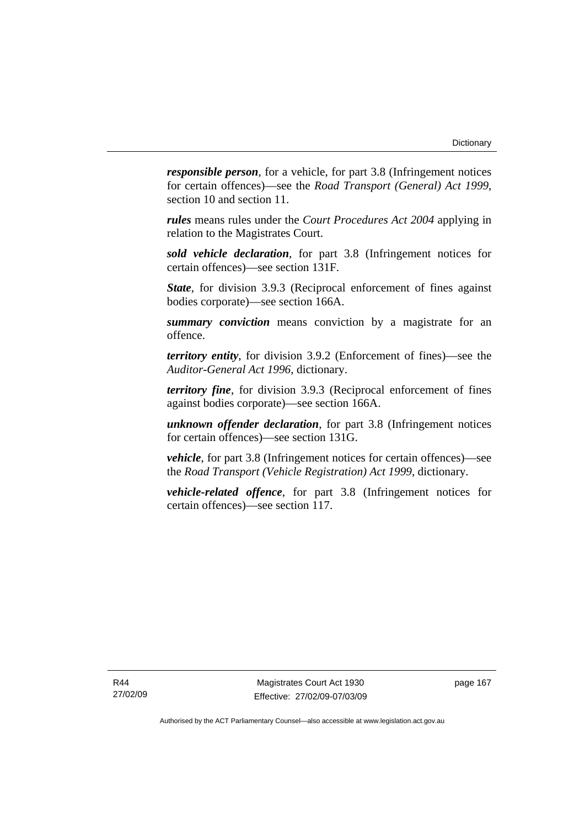*responsible person*, for a vehicle, for part 3.8 (Infringement notices for certain offences)—see the *Road Transport (General) Act 1999*, section 10 and section 11.

*rules* means rules under the *Court Procedures Act 2004* applying in relation to the Magistrates Court.

*sold vehicle declaration*, for part 3.8 (Infringement notices for certain offences)—see section 131F.

*State*, for division 3.9.3 (Reciprocal enforcement of fines against bodies corporate)—see section 166A.

*summary conviction* means conviction by a magistrate for an offence.

*territory entity*, for division 3.9.2 (Enforcement of fines)—see the *Auditor-General Act 1996*, dictionary.

*territory fine*, for division 3.9.3 (Reciprocal enforcement of fines against bodies corporate)—see section 166A.

*unknown offender declaration*, for part 3.8 (Infringement notices for certain offences)—see section 131G.

*vehicle*, for part 3.8 (Infringement notices for certain offences)—see the *Road Transport (Vehicle Registration) Act 1999*, dictionary.

*vehicle-related offence*, for part 3.8 (Infringement notices for certain offences)—see section 117.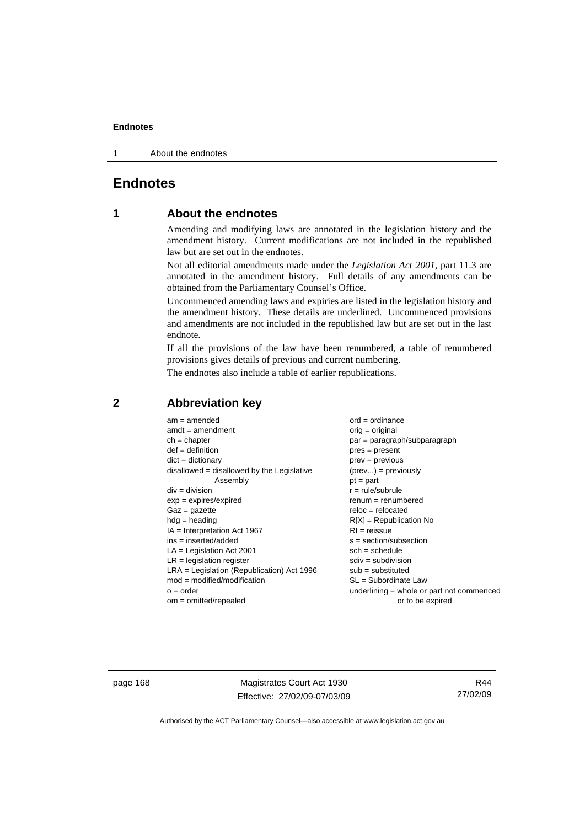1 About the endnotes

# **Endnotes**

# **1 About the endnotes**

Amending and modifying laws are annotated in the legislation history and the amendment history. Current modifications are not included in the republished law but are set out in the endnotes.

Not all editorial amendments made under the *Legislation Act 2001*, part 11.3 are annotated in the amendment history. Full details of any amendments can be obtained from the Parliamentary Counsel's Office.

Uncommenced amending laws and expiries are listed in the legislation history and the amendment history. These details are underlined. Uncommenced provisions and amendments are not included in the republished law but are set out in the last endnote.

If all the provisions of the law have been renumbered, a table of renumbered provisions gives details of previous and current numbering.

The endnotes also include a table of earlier republications.

| $am = amended$                               | $ord = ordinance$                         |
|----------------------------------------------|-------------------------------------------|
|                                              |                                           |
| $amdt = amendment$                           | $orig = original$                         |
| $ch = chapter$                               | par = paragraph/subparagraph              |
| $def = definition$                           | $pres = present$                          |
| $dict = dictionary$                          | $prev = previous$                         |
| $disallowed = disallowed by the Legislative$ | $(\text{prev}) = \text{previously}$       |
| Assembly                                     | $pt = part$                               |
| $div = division$                             | $r = rule/subrule$                        |
| $exp = expires/expired$                      | $remum = renumbered$                      |
| $Gaz = gazette$                              | $reloc = relocated$                       |
| $hdg =$ heading                              | $R[X]$ = Republication No                 |
| $IA = Interpretation Act 1967$               | $RI = reissue$                            |
| $ins = inserted/added$                       | $s = section/subsection$                  |
| $LA =$ Legislation Act 2001                  | $sch = schedule$                          |
| $LR =$ legislation register                  | $sdiv = subdivision$                      |
| $LRA =$ Legislation (Republication) Act 1996 | $sub =$ substituted                       |
| $mod = modified/modification$                | SL = Subordinate Law                      |
| $o = order$                                  | underlining = whole or part not commenced |
| $om = omitted/repealed$                      | or to be expired                          |

# **2 Abbreviation key**

page 168 Magistrates Court Act 1930 Effective: 27/02/09-07/03/09

R44 27/02/09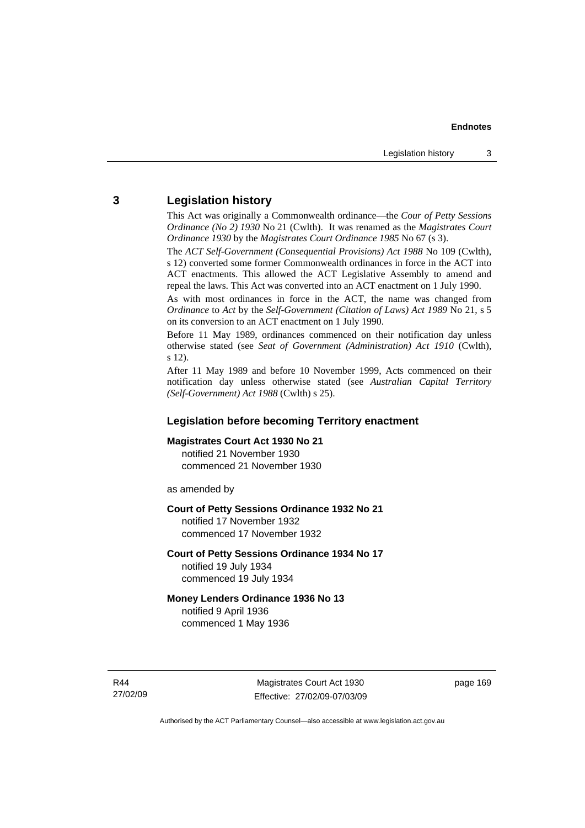# **3 Legislation history**

This Act was originally a Commonwealth ordinance—the *Cour of Petty Sessions Ordinance (No 2) 1930* No 21 (Cwlth). It was renamed as the *Magistrates Court Ordinance 1930* by the *Magistrates Court Ordinance 1985* No 67 (s 3).

The *ACT Self-Government (Consequential Provisions) Act 1988* No 109 (Cwlth), s 12) converted some former Commonwealth ordinances in force in the ACT into ACT enactments. This allowed the ACT Legislative Assembly to amend and repeal the laws. This Act was converted into an ACT enactment on 1 July 1990.

As with most ordinances in force in the ACT, the name was changed from *Ordinance* to *Act* by the *Self-Government (Citation of Laws) Act 1989* No 21, s 5 on its conversion to an ACT enactment on 1 July 1990.

Before 11 May 1989, ordinances commenced on their notification day unless otherwise stated (see *Seat of Government (Administration) Act 1910* (Cwlth), s 12).

After 11 May 1989 and before 10 November 1999, Acts commenced on their notification day unless otherwise stated (see *Australian Capital Territory (Self-Government) Act 1988* (Cwlth) s 25).

# **Legislation before becoming Territory enactment**

#### **Magistrates Court Act 1930 No 21**

notified 21 November 1930 commenced 21 November 1930

as amended by

#### **Court of Petty Sessions Ordinance 1932 No 21**

notified 17 November 1932 commenced 17 November 1932

#### **Court of Petty Sessions Ordinance 1934 No 17**

notified 19 July 1934 commenced 19 July 1934

# **Money Lenders Ordinance 1936 No 13**  notified 9 April 1936

commenced 1 May 1936

R44 27/02/09 page 169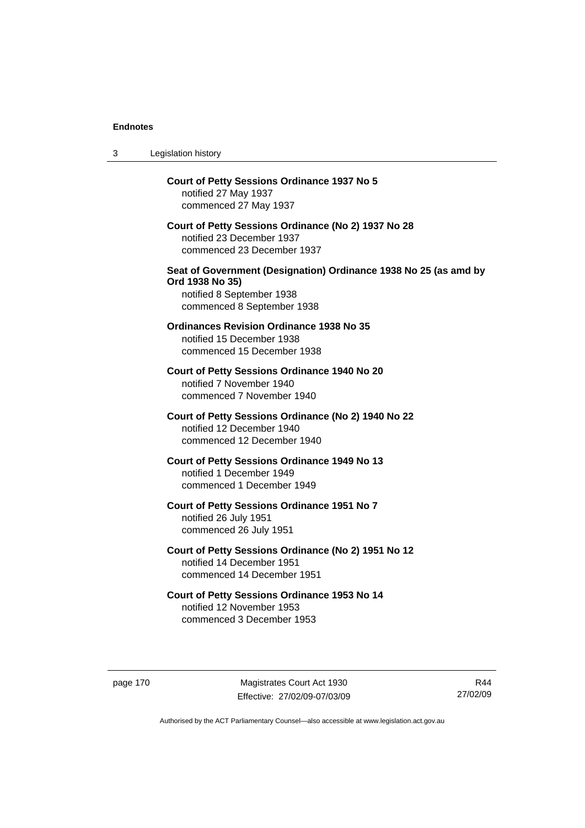| 3 | Legislation history                                                                                                                            |
|---|------------------------------------------------------------------------------------------------------------------------------------------------|
|   | <b>Court of Petty Sessions Ordinance 1937 No 5</b><br>notified 27 May 1937<br>commenced 27 May 1937                                            |
|   | Court of Petty Sessions Ordinance (No 2) 1937 No 28<br>notified 23 December 1937<br>commenced 23 December 1937                                 |
|   | Seat of Government (Designation) Ordinance 1938 No 25 (as amd by<br>Ord 1938 No 35)<br>notified 8 September 1938<br>commenced 8 September 1938 |
|   | <b>Ordinances Revision Ordinance 1938 No 35</b><br>notified 15 December 1938<br>commenced 15 December 1938                                     |
|   | Court of Petty Sessions Ordinance 1940 No 20<br>notified 7 November 1940<br>commenced 7 November 1940                                          |
|   | Court of Petty Sessions Ordinance (No 2) 1940 No 22<br>notified 12 December 1940<br>commenced 12 December 1940                                 |
|   | Court of Petty Sessions Ordinance 1949 No 13<br>notified 1 December 1949<br>commenced 1 December 1949                                          |
|   | Court of Petty Sessions Ordinance 1951 No 7<br>notified 26 July 1951<br>commenced 26 July 1951                                                 |
|   | Court of Petty Sessions Ordinance (No 2) 1951 No 12<br>notified 14 December 1951<br>commenced 14 December 1951                                 |
|   | Court of Petty Sessions Ordinance 1953 No 14<br>notified 12 November 1953<br>commenced 3 December 1953                                         |

page 170 Magistrates Court Act 1930 Effective: 27/02/09-07/03/09

R44 27/02/09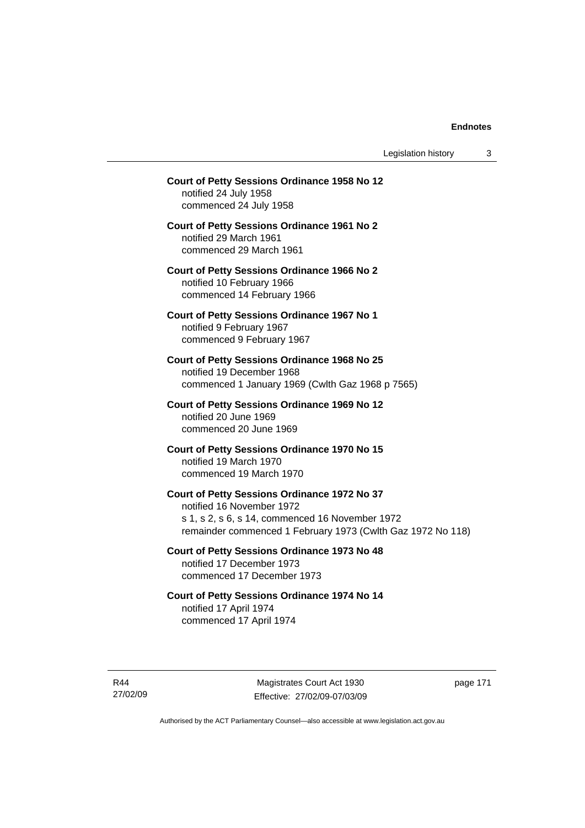Legislation history 3

# **Court of Petty Sessions Ordinance 1958 No 12**  notified 24 July 1958 commenced 24 July 1958 **Court of Petty Sessions Ordinance 1961 No 2**  notified 29 March 1961 commenced 29 March 1961 **Court of Petty Sessions Ordinance 1966 No 2**  notified 10 February 1966 commenced 14 February 1966 **Court of Petty Sessions Ordinance 1967 No 1**  notified 9 February 1967 commenced 9 February 1967 **Court of Petty Sessions Ordinance 1968 No 25**  notified 19 December 1968 commenced 1 January 1969 (Cwlth Gaz 1968 p 7565) **Court of Petty Sessions Ordinance 1969 No 12**  notified 20 June 1969 commenced 20 June 1969 **Court of Petty Sessions Ordinance 1970 No 15**  notified 19 March 1970 commenced 19 March 1970 **Court of Petty Sessions Ordinance 1972 No 37**  notified 16 November 1972 s 1, s 2, s 6, s 14, commenced 16 November 1972 remainder commenced 1 February 1973 (Cwlth Gaz 1972 No 118) **Court of Petty Sessions Ordinance 1973 No 48**  notified 17 December 1973 commenced 17 December 1973 **Court of Petty Sessions Ordinance 1974 No 14**

notified 17 April 1974 commenced 17 April 1974

R44 27/02/09

Magistrates Court Act 1930 Effective: 27/02/09-07/03/09 page 171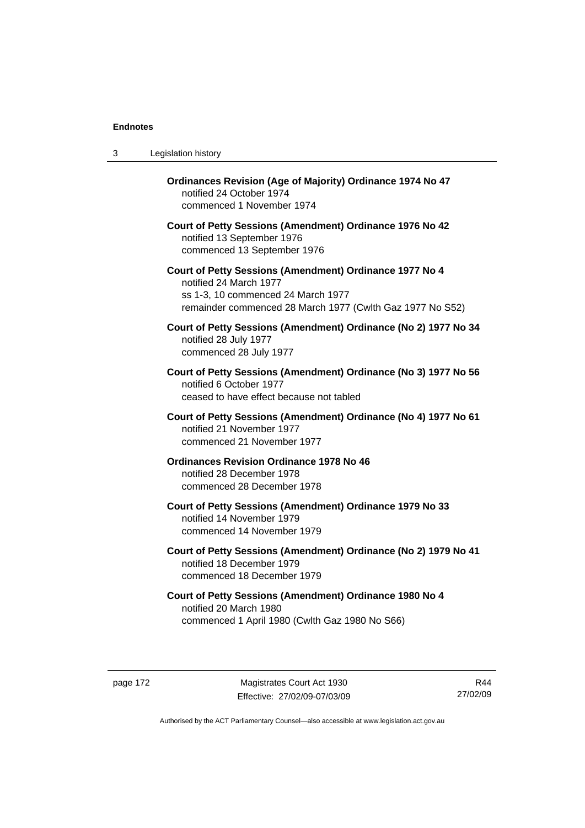| 3 | Legislation history                                                                                                                                                                  |
|---|--------------------------------------------------------------------------------------------------------------------------------------------------------------------------------------|
|   | <b>Ordinances Revision (Age of Majority) Ordinance 1974 No 47</b><br>notified 24 October 1974<br>commenced 1 November 1974                                                           |
|   | Court of Petty Sessions (Amendment) Ordinance 1976 No 42<br>notified 13 September 1976<br>commenced 13 September 1976                                                                |
|   | Court of Petty Sessions (Amendment) Ordinance 1977 No 4<br>notified 24 March 1977<br>ss 1-3, 10 commenced 24 March 1977<br>remainder commenced 28 March 1977 (Cwlth Gaz 1977 No S52) |
|   | Court of Petty Sessions (Amendment) Ordinance (No 2) 1977 No 34<br>notified 28 July 1977<br>commenced 28 July 1977                                                                   |
|   | Court of Petty Sessions (Amendment) Ordinance (No 3) 1977 No 56<br>notified 6 October 1977<br>ceased to have effect because not tabled                                               |
|   | Court of Petty Sessions (Amendment) Ordinance (No 4) 1977 No 61<br>notified 21 November 1977<br>commenced 21 November 1977                                                           |
|   | <b>Ordinances Revision Ordinance 1978 No 46</b><br>notified 28 December 1978<br>commenced 28 December 1978                                                                           |
|   | Court of Petty Sessions (Amendment) Ordinance 1979 No 33<br>notified 14 November 1979<br>commenced 14 November 1979                                                                  |
|   | Court of Petty Sessions (Amendment) Ordinance (No 2) 1979 No 41<br>notified 18 December 1979<br>commenced 18 December 1979                                                           |
|   | Court of Petty Sessions (Amendment) Ordinance 1980 No 4<br>notified 20 March 1980<br>commenced 1 April 1980 (Cwlth Gaz 1980 No S66)                                                  |

page 172 Magistrates Court Act 1930 Effective: 27/02/09-07/03/09

R44 27/02/09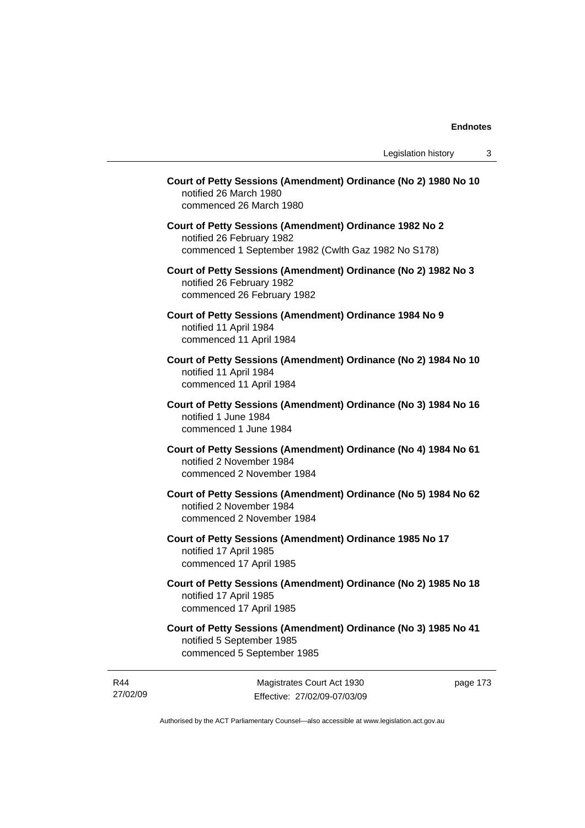| Court of Petty Sessions (Amendment) Ordinance (No 2) 1980 No 10<br>notified 26 March 1980<br>commenced 26 March 1980                        |         |
|---------------------------------------------------------------------------------------------------------------------------------------------|---------|
| Court of Petty Sessions (Amendment) Ordinance 1982 No 2<br>notified 26 February 1982<br>commenced 1 September 1982 (Cwlth Gaz 1982 No S178) |         |
| Court of Petty Sessions (Amendment) Ordinance (No 2) 1982 No 3<br>notified 26 February 1982<br>commenced 26 February 1982                   |         |
| Court of Petty Sessions (Amendment) Ordinance 1984 No 9<br>notified 11 April 1984<br>commenced 11 April 1984                                |         |
| Court of Petty Sessions (Amendment) Ordinance (No 2) 1984 No 10<br>notified 11 April 1984<br>commenced 11 April 1984                        |         |
| Court of Petty Sessions (Amendment) Ordinance (No 3) 1984 No 16<br>notified 1 June 1984<br>commenced 1 June 1984                            |         |
| Court of Petty Sessions (Amendment) Ordinance (No 4) 1984 No 61<br>notified 2 November 1984<br>commenced 2 November 1984                    |         |
| Court of Petty Sessions (Amendment) Ordinance (No 5) 1984 No 62<br>notified 2 November 1984<br>commenced 2 November 1984                    |         |
| Court of Petty Sessions (Amendment) Ordinance 1985 No 17<br>notified 17 April 1985<br>commenced 17 April 1985                               |         |
| Court of Petty Sessions (Amendment) Ordinance (No 2) 1985 No 18<br>notified 17 April 1985<br>commenced 17 April 1985                        |         |
| Court of Petty Sessions (Amendment) Ordinance (No 3) 1985 No 41<br>notified 5 September 1985<br>commenced 5 September 1985                  |         |
| Magistrates Court Act 1930                                                                                                                  | page 17 |

Effective: 27/02/09-07/03/09

Authorised by the ACT Parliamentary Counsel—also accessible at www.legislation.act.gov.au

R44 27/02/09 page 173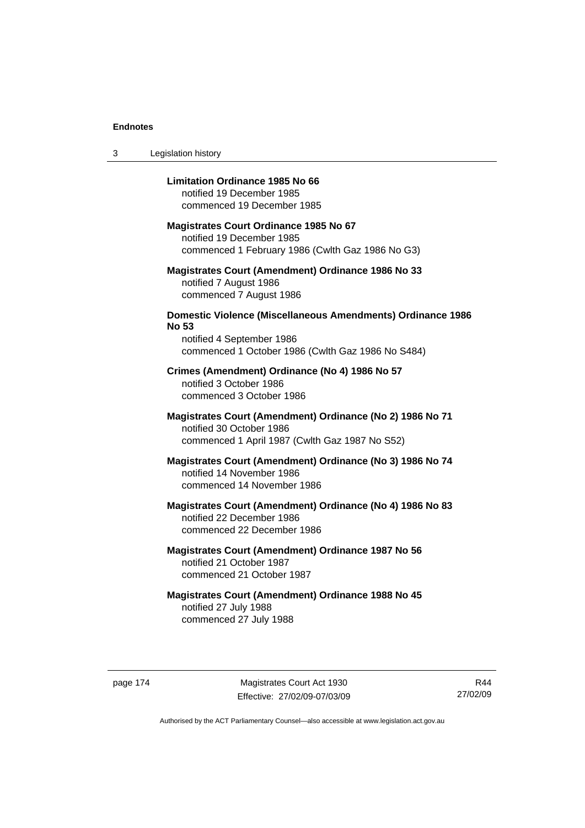3 Legislation history

# **Limitation Ordinance 1985 No 66**

notified 19 December 1985 commenced 19 December 1985

#### **Magistrates Court Ordinance 1985 No 67**

notified 19 December 1985 commenced 1 February 1986 (Cwlth Gaz 1986 No G3)

# **Magistrates Court (Amendment) Ordinance 1986 No 33**  notified 7 August 1986 commenced 7 August 1986

# **Domestic Violence (Miscellaneous Amendments) Ordinance 1986 No 53**

notified 4 September 1986 commenced 1 October 1986 (Cwlth Gaz 1986 No S484)

# **Crimes (Amendment) Ordinance (No 4) 1986 No 57**  notified 3 October 1986 commenced 3 October 1986

# **Magistrates Court (Amendment) Ordinance (No 2) 1986 No 71**  notified 30 October 1986 commenced 1 April 1987 (Cwlth Gaz 1987 No S52)

# **Magistrates Court (Amendment) Ordinance (No 3) 1986 No 74**  notified 14 November 1986 commenced 14 November 1986

# **Magistrates Court (Amendment) Ordinance (No 4) 1986 No 83**  notified 22 December 1986 commenced 22 December 1986

# **Magistrates Court (Amendment) Ordinance 1987 No 56**  notified 21 October 1987 commenced 21 October 1987

# **Magistrates Court (Amendment) Ordinance 1988 No 45**  notified 27 July 1988 commenced 27 July 1988

page 174 Magistrates Court Act 1930 Effective: 27/02/09-07/03/09

R44 27/02/09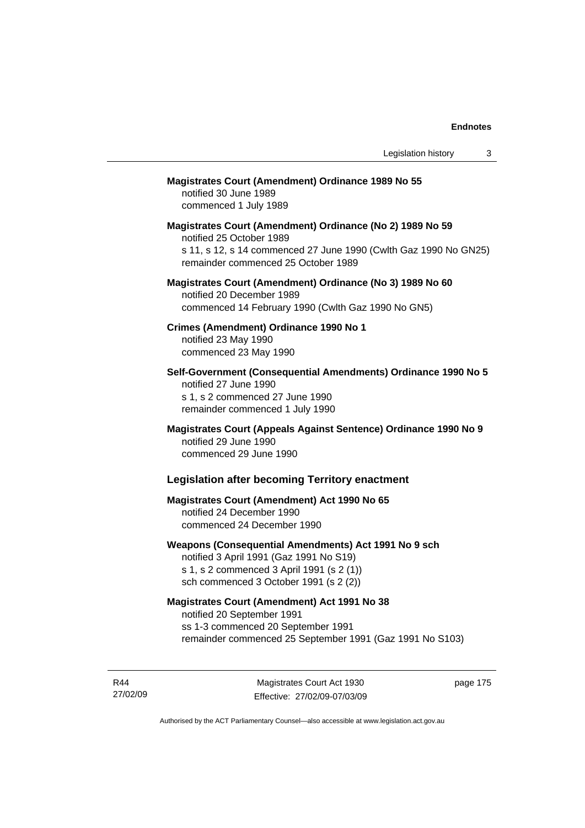# **Magistrates Court (Amendment) Ordinance 1989 No 55**

notified 30 June 1989 commenced 1 July 1989

**Magistrates Court (Amendment) Ordinance (No 2) 1989 No 59**  notified 25 October 1989 s 11, s 12, s 14 commenced 27 June 1990 (Cwlth Gaz 1990 No GN25) remainder commenced 25 October 1989

# **Magistrates Court (Amendment) Ordinance (No 3) 1989 No 60**  notified 20 December 1989 commenced 14 February 1990 (Cwlth Gaz 1990 No GN5)

**Crimes (Amendment) Ordinance 1990 No 1**  notified 23 May 1990

commenced 23 May 1990

**Self-Government (Consequential Amendments) Ordinance 1990 No 5**  notified 27 June 1990 s 1, s 2 commenced 27 June 1990 remainder commenced 1 July 1990

**Magistrates Court (Appeals Against Sentence) Ordinance 1990 No 9**  notified 29 June 1990 commenced 29 June 1990

# **Legislation after becoming Territory enactment**

# **Magistrates Court (Amendment) Act 1990 No 65**  notified 24 December 1990 commenced 24 December 1990

# **Weapons (Consequential Amendments) Act 1991 No 9 sch**

notified 3 April 1991 (Gaz 1991 No S19) s 1, s 2 commenced 3 April 1991 (s 2 (1)) sch commenced 3 October 1991 (s 2 (2))

# **Magistrates Court (Amendment) Act 1991 No 38**

notified 20 September 1991 ss 1-3 commenced 20 September 1991 remainder commenced 25 September 1991 (Gaz 1991 No S103)

R44 27/02/09

Magistrates Court Act 1930 Effective: 27/02/09-07/03/09 page 175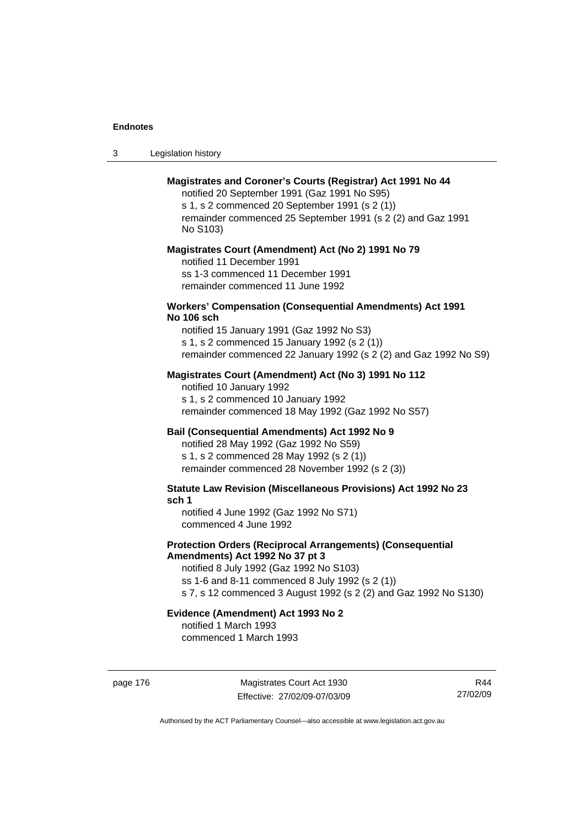| -3 | Legislation history |  |
|----|---------------------|--|
|----|---------------------|--|

# **Magistrates and Coroner's Courts (Registrar) Act 1991 No 44**

notified 20 September 1991 (Gaz 1991 No S95) s 1, s 2 commenced 20 September 1991 (s 2 (1)) remainder commenced 25 September 1991 (s 2 (2) and Gaz 1991 No S103)

#### **Magistrates Court (Amendment) Act (No 2) 1991 No 79**

notified 11 December 1991 ss 1-3 commenced 11 December 1991 remainder commenced 11 June 1992

#### **Workers' Compensation (Consequential Amendments) Act 1991 No 106 sch**

notified 15 January 1991 (Gaz 1992 No S3) s 1, s 2 commenced 15 January 1992 (s 2 (1)) remainder commenced 22 January 1992 (s 2 (2) and Gaz 1992 No S9)

# **Magistrates Court (Amendment) Act (No 3) 1991 No 112**

notified 10 January 1992 s 1, s 2 commenced 10 January 1992 remainder commenced 18 May 1992 (Gaz 1992 No S57)

# **Bail (Consequential Amendments) Act 1992 No 9**

notified 28 May 1992 (Gaz 1992 No S59) s 1, s 2 commenced 28 May 1992 (s 2 (1)) remainder commenced 28 November 1992 (s 2 (3))

**Statute Law Revision (Miscellaneous Provisions) Act 1992 No 23 sch 1** 

notified 4 June 1992 (Gaz 1992 No S71) commenced 4 June 1992

# **Protection Orders (Reciprocal Arrangements) (Consequential Amendments) Act 1992 No 37 pt 3**

notified 8 July 1992 (Gaz 1992 No S103) ss 1-6 and 8-11 commenced 8 July 1992 (s 2 (1)) s 7, s 12 commenced 3 August 1992 (s 2 (2) and Gaz 1992 No S130)

# **Evidence (Amendment) Act 1993 No 2**

notified 1 March 1993 commenced 1 March 1993

page 176 Magistrates Court Act 1930 Effective: 27/02/09-07/03/09

R44 27/02/09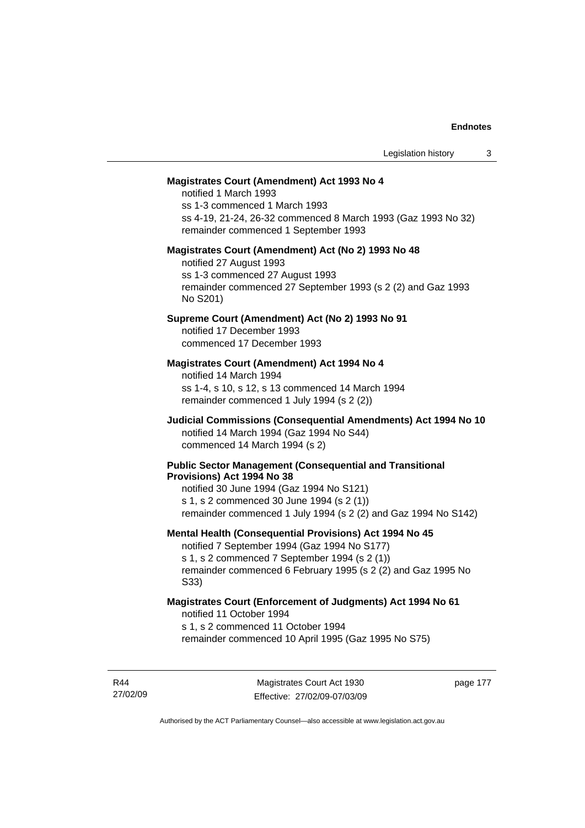#### **Magistrates Court (Amendment) Act 1993 No 4**

notified 1 March 1993 ss 1-3 commenced 1 March 1993 ss 4-19, 21-24, 26-32 commenced 8 March 1993 (Gaz 1993 No 32) remainder commenced 1 September 1993

#### **Magistrates Court (Amendment) Act (No 2) 1993 No 48**

notified 27 August 1993 ss 1-3 commenced 27 August 1993 remainder commenced 27 September 1993 (s 2 (2) and Gaz 1993 No S201)

#### **Supreme Court (Amendment) Act (No 2) 1993 No 91**

notified 17 December 1993 commenced 17 December 1993

#### **Magistrates Court (Amendment) Act 1994 No 4**

notified 14 March 1994 ss 1-4, s 10, s 12, s 13 commenced 14 March 1994 remainder commenced 1 July 1994 (s 2 (2))

# **Judicial Commissions (Consequential Amendments) Act 1994 No 10**  notified 14 March 1994 (Gaz 1994 No S44) commenced 14 March 1994 (s 2)

#### **Public Sector Management (Consequential and Transitional Provisions) Act 1994 No 38**

notified 30 June 1994 (Gaz 1994 No S121) s 1, s 2 commenced 30 June 1994 (s 2 (1)) remainder commenced 1 July 1994 (s 2 (2) and Gaz 1994 No S142)

#### **Mental Health (Consequential Provisions) Act 1994 No 45**

notified 7 September 1994 (Gaz 1994 No S177) s 1, s 2 commenced 7 September 1994 (s 2 (1)) remainder commenced 6 February 1995 (s 2 (2) and Gaz 1995 No S33)

#### **Magistrates Court (Enforcement of Judgments) Act 1994 No 61**  notified 11 October 1994

s 1, s 2 commenced 11 October 1994

remainder commenced 10 April 1995 (Gaz 1995 No S75)

R44 27/02/09 page 177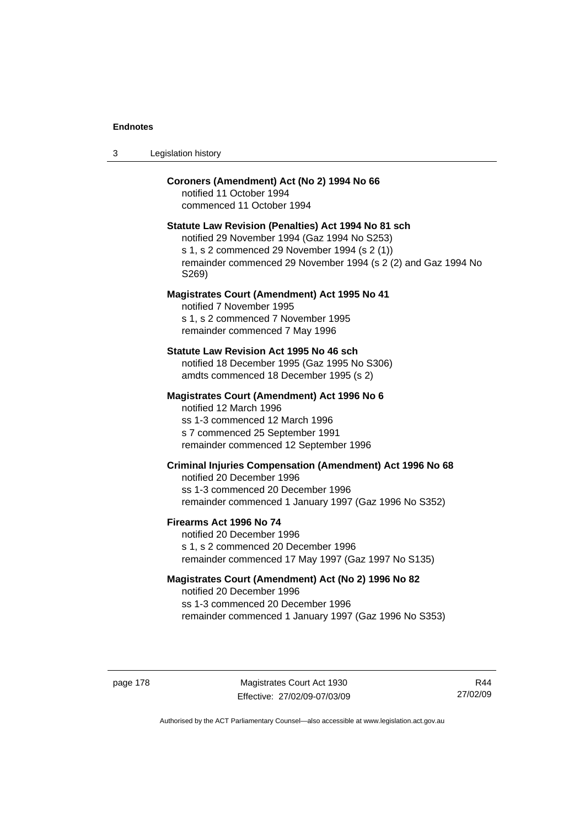# **Coroners (Amendment) Act (No 2) 1994 No 66**

notified 11 October 1994 commenced 11 October 1994

#### **Statute Law Revision (Penalties) Act 1994 No 81 sch**

notified 29 November 1994 (Gaz 1994 No S253) s 1, s 2 commenced 29 November 1994 (s 2 (1)) remainder commenced 29 November 1994 (s 2 (2) and Gaz 1994 No S269)

#### **Magistrates Court (Amendment) Act 1995 No 41**

notified 7 November 1995 s 1, s 2 commenced 7 November 1995 remainder commenced 7 May 1996

#### **Statute Law Revision Act 1995 No 46 sch**

notified 18 December 1995 (Gaz 1995 No S306) amdts commenced 18 December 1995 (s 2)

#### **Magistrates Court (Amendment) Act 1996 No 6**

notified 12 March 1996 ss 1-3 commenced 12 March 1996 s 7 commenced 25 September 1991 remainder commenced 12 September 1996

# **Criminal Injuries Compensation (Amendment) Act 1996 No 68**

notified 20 December 1996 ss 1-3 commenced 20 December 1996 remainder commenced 1 January 1997 (Gaz 1996 No S352)

#### **Firearms Act 1996 No 74**

notified 20 December 1996 s 1, s 2 commenced 20 December 1996 remainder commenced 17 May 1997 (Gaz 1997 No S135)

# **Magistrates Court (Amendment) Act (No 2) 1996 No 82**

notified 20 December 1996 ss 1-3 commenced 20 December 1996 remainder commenced 1 January 1997 (Gaz 1996 No S353)

page 178 Magistrates Court Act 1930 Effective: 27/02/09-07/03/09

R44 27/02/09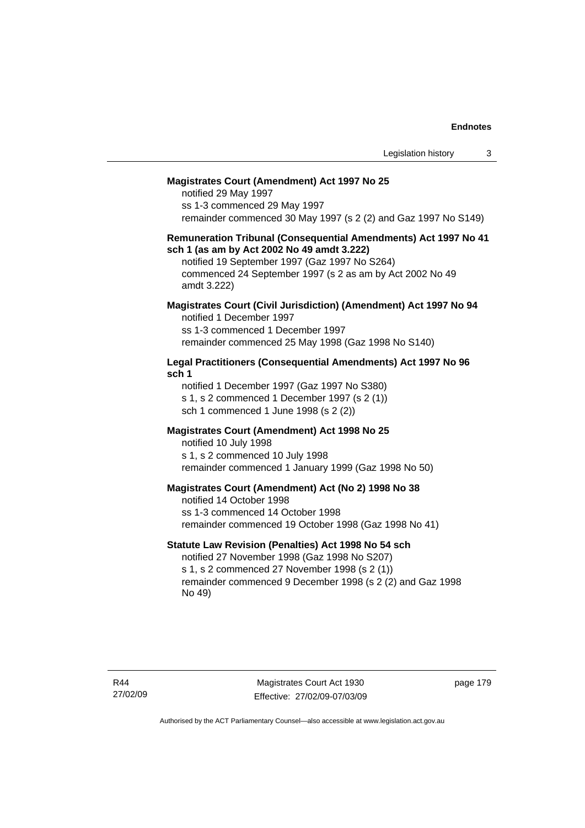#### **Magistrates Court (Amendment) Act 1997 No 25**

notified 29 May 1997 ss 1-3 commenced 29 May 1997 remainder commenced 30 May 1997 (s 2 (2) and Gaz 1997 No S149)

#### **Remuneration Tribunal (Consequential Amendments) Act 1997 No 41 sch 1 (as am by Act 2002 No 49 amdt 3.222)**

notified 19 September 1997 (Gaz 1997 No S264) commenced 24 September 1997 (s 2 as am by Act 2002 No 49 amdt 3.222)

# **Magistrates Court (Civil Jurisdiction) (Amendment) Act 1997 No 94**

notified 1 December 1997 ss 1-3 commenced 1 December 1997 remainder commenced 25 May 1998 (Gaz 1998 No S140)

# **Legal Practitioners (Consequential Amendments) Act 1997 No 96 sch 1**

notified 1 December 1997 (Gaz 1997 No S380) s 1, s 2 commenced 1 December 1997 (s 2 (1)) sch 1 commenced 1 June 1998 (s 2 (2))

# **Magistrates Court (Amendment) Act 1998 No 25**

notified 10 July 1998 s 1, s 2 commenced 10 July 1998 remainder commenced 1 January 1999 (Gaz 1998 No 50)

#### **Magistrates Court (Amendment) Act (No 2) 1998 No 38**

notified 14 October 1998 ss 1-3 commenced 14 October 1998 remainder commenced 19 October 1998 (Gaz 1998 No 41)

# **Statute Law Revision (Penalties) Act 1998 No 54 sch**

notified 27 November 1998 (Gaz 1998 No S207) s 1, s 2 commenced 27 November 1998 (s 2 (1)) remainder commenced 9 December 1998 (s 2 (2) and Gaz 1998 No 49)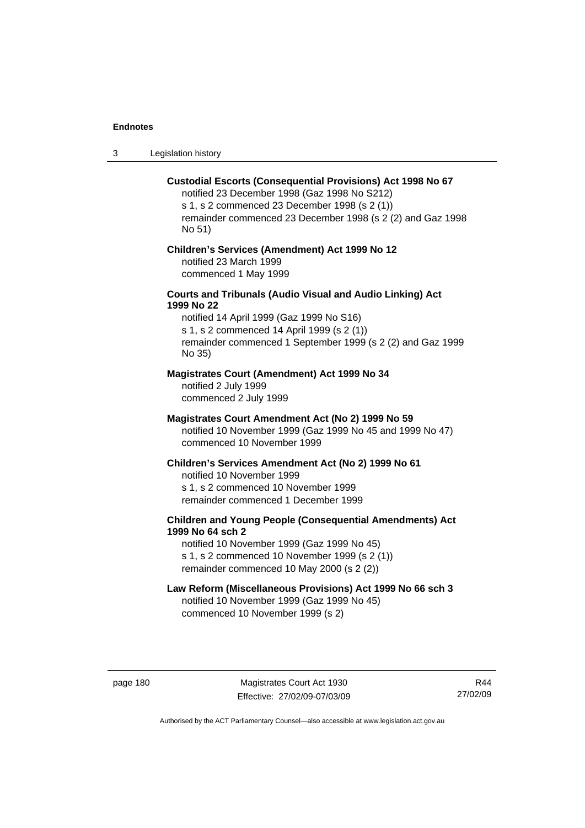3 Legislation history

#### **Custodial Escorts (Consequential Provisions) Act 1998 No 67**

notified 23 December 1998 (Gaz 1998 No S212) s 1, s 2 commenced 23 December 1998 (s 2 (1)) remainder commenced 23 December 1998 (s 2 (2) and Gaz 1998 No 51)

# **Children's Services (Amendment) Act 1999 No 12**  notified 23 March 1999

commenced 1 May 1999

# **Courts and Tribunals (Audio Visual and Audio Linking) Act 1999 No 22**

notified 14 April 1999 (Gaz 1999 No S16) s 1, s 2 commenced 14 April 1999 (s 2 (1)) remainder commenced 1 September 1999 (s 2 (2) and Gaz 1999 No 35)

# **Magistrates Court (Amendment) Act 1999 No 34**

notified 2 July 1999 commenced 2 July 1999

#### **Magistrates Court Amendment Act (No 2) 1999 No 59**

notified 10 November 1999 (Gaz 1999 No 45 and 1999 No 47) commenced 10 November 1999

#### **Children's Services Amendment Act (No 2) 1999 No 61**

notified 10 November 1999 s 1, s 2 commenced 10 November 1999 remainder commenced 1 December 1999

# **Children and Young People (Consequential Amendments) Act 1999 No 64 sch 2**

notified 10 November 1999 (Gaz 1999 No 45) s 1, s 2 commenced 10 November 1999 (s 2 (1)) remainder commenced 10 May 2000 (s 2 (2))

# **Law Reform (Miscellaneous Provisions) Act 1999 No 66 sch 3**

notified 10 November 1999 (Gaz 1999 No 45) commenced 10 November 1999 (s 2)

page 180 Magistrates Court Act 1930 Effective: 27/02/09-07/03/09

R44 27/02/09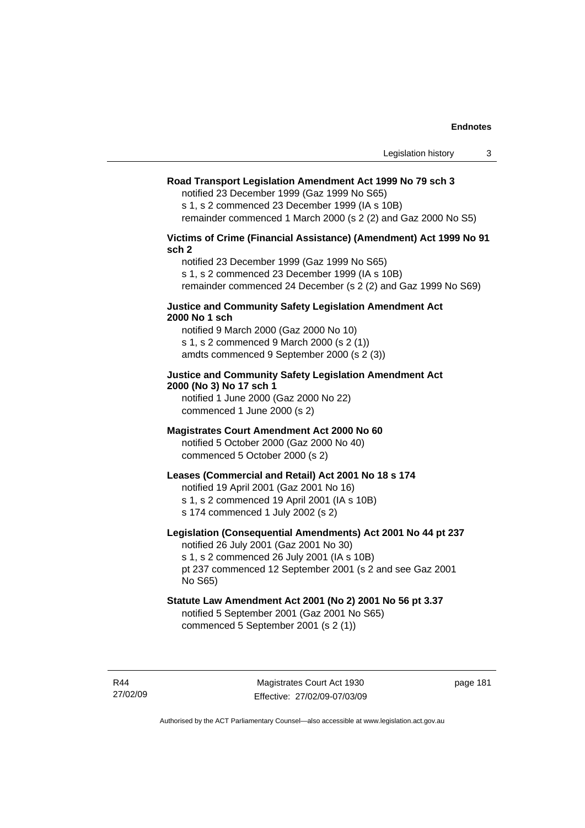# **Road Transport Legislation Amendment Act 1999 No 79 sch 3**

notified 23 December 1999 (Gaz 1999 No S65)

s 1, s 2 commenced 23 December 1999 (IA s 10B) remainder commenced 1 March 2000 (s 2 (2) and Gaz 2000 No S5)

**Victims of Crime (Financial Assistance) (Amendment) Act 1999 No 91 sch 2** 

notified 23 December 1999 (Gaz 1999 No S65) s 1, s 2 commenced 23 December 1999 (IA s 10B) remainder commenced 24 December (s 2 (2) and Gaz 1999 No S69)

#### **Justice and Community Safety Legislation Amendment Act 2000 No 1 sch**

notified 9 March 2000 (Gaz 2000 No 10) s 1, s 2 commenced 9 March 2000 (s 2 (1)) amdts commenced 9 September 2000 (s 2 (3))

# **Justice and Community Safety Legislation Amendment Act 2000 (No 3) No 17 sch 1**

notified 1 June 2000 (Gaz 2000 No 22) commenced 1 June 2000 (s 2)

# **Magistrates Court Amendment Act 2000 No 60**

notified 5 October 2000 (Gaz 2000 No 40) commenced 5 October 2000 (s 2)

# **Leases (Commercial and Retail) Act 2001 No 18 s 174**

notified 19 April 2001 (Gaz 2001 No 16)

s 1, s 2 commenced 19 April 2001 (IA s 10B)

s 174 commenced 1 July 2002 (s 2)

# **Legislation (Consequential Amendments) Act 2001 No 44 pt 237**

notified 26 July 2001 (Gaz 2001 No 30) s 1, s 2 commenced 26 July 2001 (IA s 10B) pt 237 commenced 12 September 2001 (s 2 and see Gaz 2001

No S65) **Statute Law Amendment Act 2001 (No 2) 2001 No 56 pt 3.37** 

notified 5 September 2001 (Gaz 2001 No S65) commenced 5 September 2001 (s 2 (1))

R44 27/02/09

Magistrates Court Act 1930 Effective: 27/02/09-07/03/09 page 181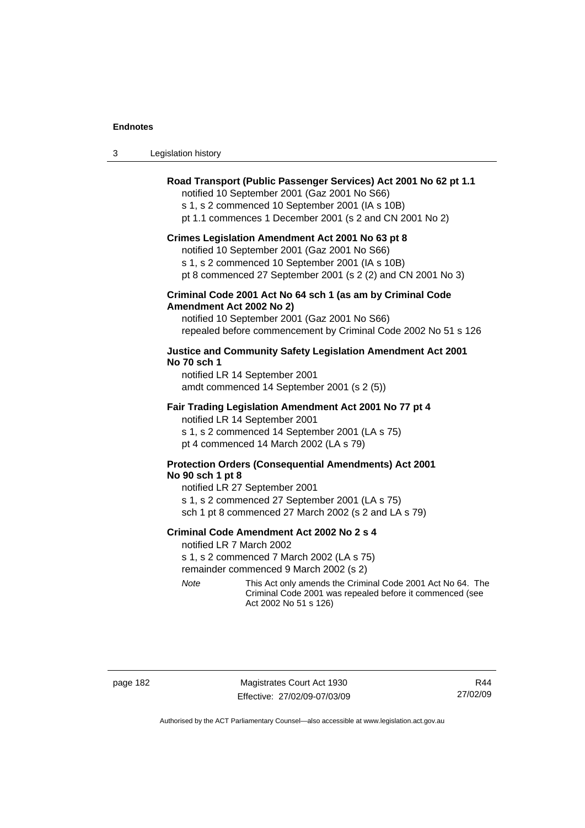| Legislation history<br>3 |
|--------------------------|
|--------------------------|

# **Road Transport (Public Passenger Services) Act 2001 No 62 pt 1.1**

notified 10 September 2001 (Gaz 2001 No S66)

s 1, s 2 commenced 10 September 2001 (IA s 10B)

pt 1.1 commences 1 December 2001 (s 2 and CN 2001 No 2)

#### **Crimes Legislation Amendment Act 2001 No 63 pt 8**

notified 10 September 2001 (Gaz 2001 No S66)

s 1, s 2 commenced 10 September 2001 (IA s 10B)

pt 8 commenced 27 September 2001 (s 2 (2) and CN 2001 No 3)

# **Criminal Code 2001 Act No 64 sch 1 (as am by Criminal Code Amendment Act 2002 No 2)**

notified 10 September 2001 (Gaz 2001 No S66) repealed before commencement by Criminal Code 2002 No 51 s 126

### **Justice and Community Safety Legislation Amendment Act 2001 No 70 sch 1**

notified LR 14 September 2001 amdt commenced 14 September 2001 (s 2 (5))

#### **Fair Trading Legislation Amendment Act 2001 No 77 pt 4**

notified LR 14 September 2001 s 1, s 2 commenced 14 September 2001 (LA s 75) pt 4 commenced 14 March 2002 (LA s 79)

# **Protection Orders (Consequential Amendments) Act 2001 No 90 sch 1 pt 8**

notified LR 27 September 2001 s 1, s 2 commenced 27 September 2001 (LA s 75) sch 1 pt 8 commenced 27 March 2002 (s 2 and LA s 79)

#### **Criminal Code Amendment Act 2002 No 2 s 4**

notified LR 7 March 2002

s 1, s 2 commenced 7 March 2002 (LA s 75)

remainder commenced 9 March 2002 (s 2)

*Note* This Act only amends the Criminal Code 2001 Act No 64. The Criminal Code 2001 was repealed before it commenced (see Act 2002 No 51 s 126)

page 182 Magistrates Court Act 1930 Effective: 27/02/09-07/03/09

R44 27/02/09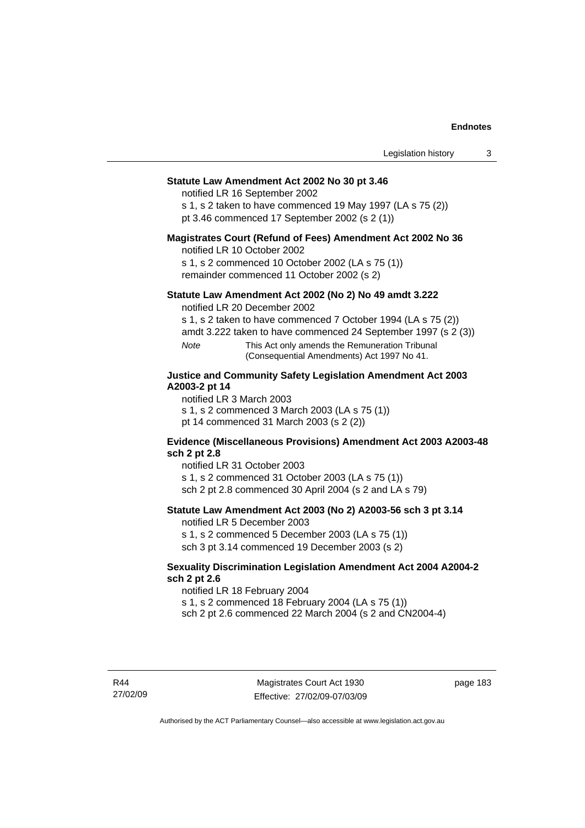#### **Statute Law Amendment Act 2002 No 30 pt 3.46**

notified LR 16 September 2002

s 1, s 2 taken to have commenced 19 May 1997 (LA s 75 (2)) pt 3.46 commenced 17 September 2002 (s 2 (1))

#### **Magistrates Court (Refund of Fees) Amendment Act 2002 No 36**

notified LR 10 October 2002

s 1, s 2 commenced 10 October 2002 (LA s 75 (1)) remainder commenced 11 October 2002 (s 2)

### **Statute Law Amendment Act 2002 (No 2) No 49 amdt 3.222**

notified LR 20 December 2002

s 1, s 2 taken to have commenced 7 October 1994 (LA s 75 (2))

amdt 3.222 taken to have commenced 24 September 1997 (s 2 (3))

*Note* This Act only amends the Remuneration Tribunal (Consequential Amendments) Act 1997 No 41.

# **Justice and Community Safety Legislation Amendment Act 2003 A2003-2 pt 14**

notified LR 3 March 2003

s 1, s 2 commenced 3 March 2003 (LA s 75 (1))

pt 14 commenced 31 March 2003 (s 2 (2))

#### **Evidence (Miscellaneous Provisions) Amendment Act 2003 A2003-48 sch 2 pt 2.8**

notified LR 31 October 2003

s 1, s 2 commenced 31 October 2003 (LA s 75 (1))

sch 2 pt 2.8 commenced 30 April 2004 (s 2 and LA s 79)

# **Statute Law Amendment Act 2003 (No 2) A2003-56 sch 3 pt 3.14**

notified LR 5 December 2003

s 1, s 2 commenced 5 December 2003 (LA s 75 (1)) sch 3 pt 3.14 commenced 19 December 2003 (s 2)

#### **Sexuality Discrimination Legislation Amendment Act 2004 A2004-2 sch 2 pt 2.6**

notified LR 18 February 2004

s 1, s 2 commenced 18 February 2004 (LA s 75 (1))

sch 2 pt 2.6 commenced 22 March 2004 (s 2 and CN2004-4)

R44 27/02/09 page 183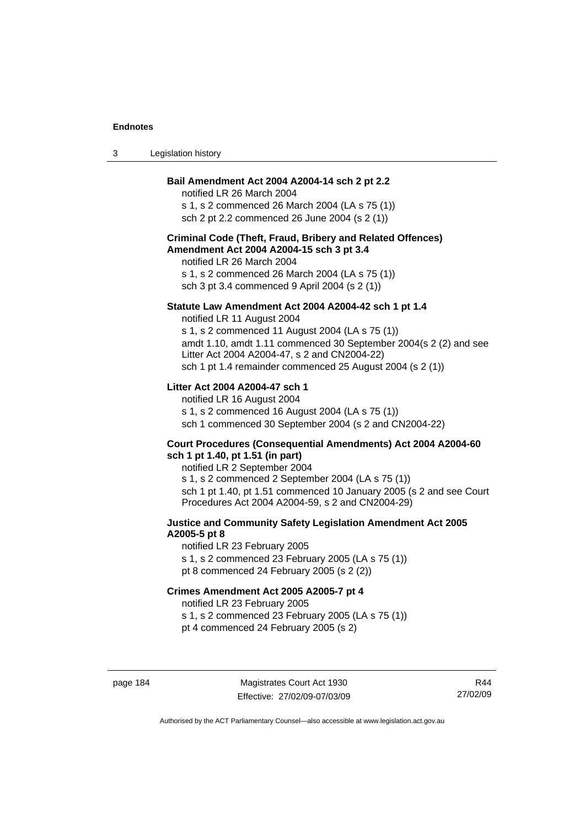| Legislation history<br>-3 |  |
|---------------------------|--|
|---------------------------|--|

# **Bail Amendment Act 2004 A2004-14 sch 2 pt 2.2**

notified LR 26 March 2004 s 1, s 2 commenced 26 March 2004 (LA s 75 (1)) sch 2 pt 2.2 commenced 26 June 2004 (s 2 (1))

# **Criminal Code (Theft, Fraud, Bribery and Related Offences) Amendment Act 2004 A2004-15 sch 3 pt 3.4**

notified LR 26 March 2004 s 1, s 2 commenced 26 March 2004 (LA s 75 (1)) sch 3 pt 3.4 commenced 9 April 2004 (s 2 (1))

#### **Statute Law Amendment Act 2004 A2004-42 sch 1 pt 1.4**

notified LR 11 August 2004 s 1, s 2 commenced 11 August 2004 (LA s 75 (1)) amdt 1.10, amdt 1.11 commenced 30 September 2004(s 2 (2) and see Litter Act 2004 A2004-47, s 2 and CN2004-22) sch 1 pt 1.4 remainder commenced 25 August 2004 (s 2 (1))

# **Litter Act 2004 A2004-47 sch 1**

notified LR 16 August 2004 s 1, s 2 commenced 16 August 2004 (LA s 75 (1)) sch 1 commenced 30 September 2004 (s 2 and CN2004-22)

#### **Court Procedures (Consequential Amendments) Act 2004 A2004-60 sch 1 pt 1.40, pt 1.51 (in part)**

notified LR 2 September 2004 s 1, s 2 commenced 2 September 2004 (LA s 75 (1)) sch 1 pt 1.40, pt 1.51 commenced 10 January 2005 (s 2 and see Court Procedures Act 2004 A2004-59, s 2 and CN2004-29)

# **Justice and Community Safety Legislation Amendment Act 2005 A2005-5 pt 8**

notified LR 23 February 2005 s 1, s 2 commenced 23 February 2005 (LA s 75 (1)) pt 8 commenced 24 February 2005 (s 2 (2))

# **Crimes Amendment Act 2005 A2005-7 pt 4**

notified LR 23 February 2005

s 1, s 2 commenced 23 February 2005 (LA s 75 (1))

pt 4 commenced 24 February 2005 (s 2)

page 184 Magistrates Court Act 1930 Effective: 27/02/09-07/03/09

R44 27/02/09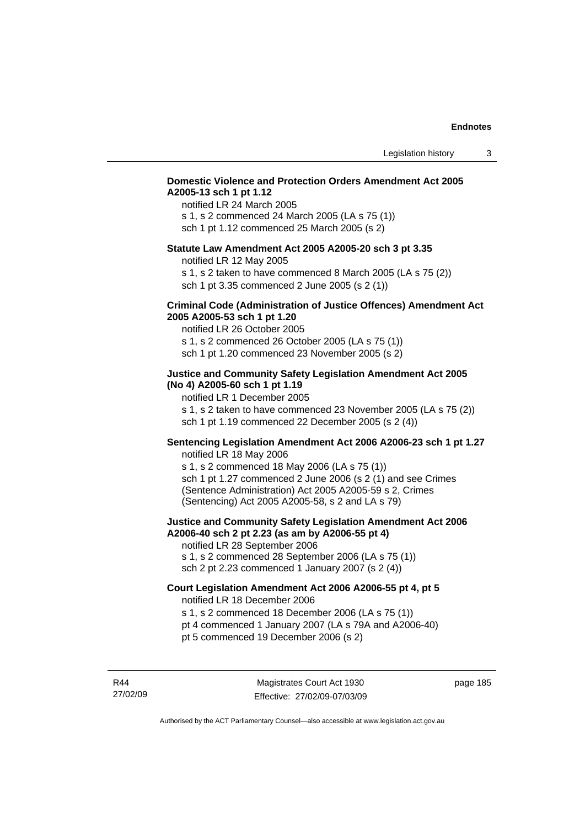# **Domestic Violence and Protection Orders Amendment Act 2005 A2005-13 sch 1 pt 1.12**

notified LR 24 March 2005 s 1, s 2 commenced 24 March 2005 (LA s 75 (1)) sch 1 pt 1.12 commenced 25 March 2005 (s 2)

#### **Statute Law Amendment Act 2005 A2005-20 sch 3 pt 3.35**

notified LR 12 May 2005

s 1, s 2 taken to have commenced 8 March 2005 (LA s 75 (2)) sch 1 pt 3.35 commenced 2 June 2005 (s 2 (1))

#### **Criminal Code (Administration of Justice Offences) Amendment Act 2005 A2005-53 sch 1 pt 1.20**

notified LR 26 October 2005 s 1, s 2 commenced 26 October 2005 (LA s 75 (1)) sch 1 pt 1.20 commenced 23 November 2005 (s 2)

# **Justice and Community Safety Legislation Amendment Act 2005 (No 4) A2005-60 sch 1 pt 1.19**

notified LR 1 December 2005

s 1, s 2 taken to have commenced 23 November 2005 (LA s 75 (2)) sch 1 pt 1.19 commenced 22 December 2005 (s 2 (4))

# **Sentencing Legislation Amendment Act 2006 A2006-23 sch 1 pt 1.27**  notified LR 18 May 2006

s 1, s 2 commenced 18 May 2006 (LA s 75 (1)) sch 1 pt 1.27 commenced 2 June 2006 (s 2 (1) and see Crimes (Sentence Administration) Act 2005 A2005-59 s 2, Crimes (Sentencing) Act 2005 A2005-58, s 2 and LA s 79)

#### **Justice and Community Safety Legislation Amendment Act 2006 A2006-40 sch 2 pt 2.23 (as am by A2006-55 pt 4)**  notified LR 28 September 2006

s 1, s 2 commenced 28 September 2006 (LA s 75 (1)) sch 2 pt 2.23 commenced 1 January 2007 (s 2 (4))

# **Court Legislation Amendment Act 2006 A2006-55 pt 4, pt 5**  notified LR 18 December 2006

s 1, s 2 commenced 18 December 2006 (LA s 75 (1))

- pt 4 commenced 1 January 2007 (LA s 79A and A2006-40)
- pt 5 commenced 19 December 2006 (s 2)

R44 27/02/09 page 185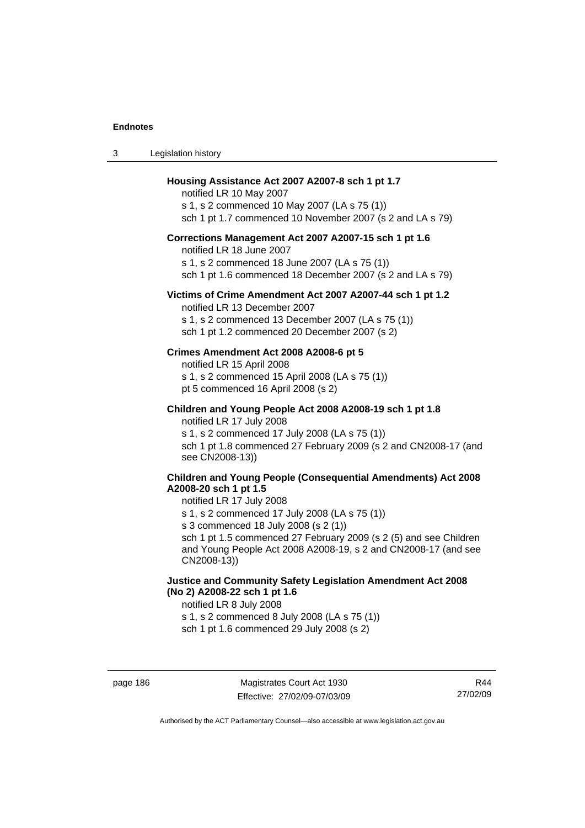#### **Housing Assistance Act 2007 A2007-8 sch 1 pt 1.7**

notified LR 10 May 2007 s 1, s 2 commenced 10 May 2007 (LA s 75 (1)) sch 1 pt 1.7 commenced 10 November 2007 (s 2 and LA s 79)

# **Corrections Management Act 2007 A2007-15 sch 1 pt 1.6**

notified LR 18 June 2007

s 1, s 2 commenced 18 June 2007 (LA s 75 (1))

sch 1 pt 1.6 commenced 18 December 2007 (s 2 and LA s 79)

#### **Victims of Crime Amendment Act 2007 A2007-44 sch 1 pt 1.2**

notified LR 13 December 2007 s 1, s 2 commenced 13 December 2007 (LA s 75 (1)) sch 1 pt 1.2 commenced 20 December 2007 (s 2)

#### **Crimes Amendment Act 2008 A2008-6 pt 5**

notified LR 15 April 2008 s 1, s 2 commenced 15 April 2008 (LA s 75 (1)) pt 5 commenced 16 April 2008 (s 2)

**Children and Young People Act 2008 A2008-19 sch 1 pt 1.8**  notified LR 17 July 2008

s 1, s 2 commenced 17 July 2008 (LA s 75 (1)) sch 1 pt 1.8 commenced 27 February 2009 (s 2 and CN2008-17 (and see CN2008-13))

# **Children and Young People (Consequential Amendments) Act 2008 A2008-20 sch 1 pt 1.5**

#### notified LR 17 July 2008

s 1, s 2 commenced 17 July 2008 (LA s 75 (1))

s 3 commenced 18 July 2008 (s 2 (1))

sch 1 pt 1.5 commenced 27 February 2009 (s 2 (5) and see Children and Young People Act 2008 A2008-19, s 2 and CN2008-17 (and see CN2008-13))

# **Justice and Community Safety Legislation Amendment Act 2008 (No 2) A2008-22 sch 1 pt 1.6**

notified LR 8 July 2008

s 1, s 2 commenced 8 July 2008 (LA s 75 (1))

sch 1 pt 1.6 commenced 29 July 2008 (s 2)

R44 27/02/09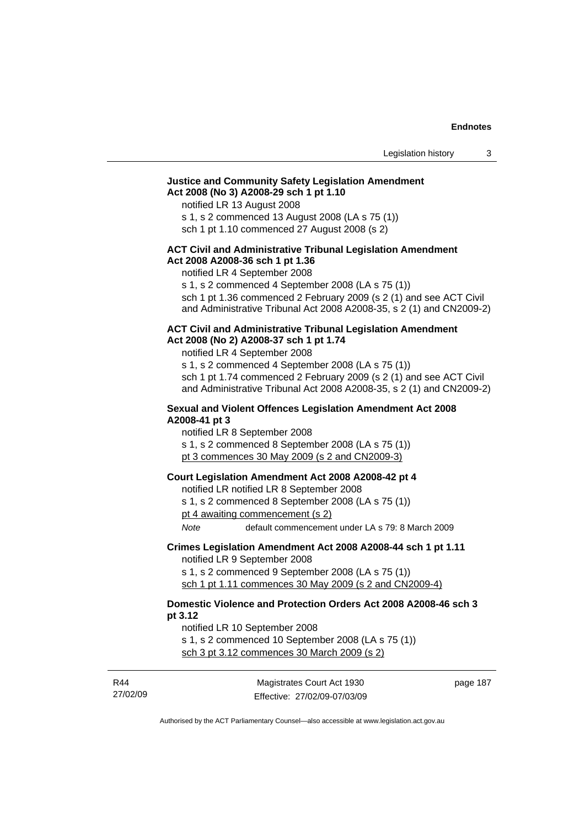# **Justice and Community Safety Legislation Amendment Act 2008 (No 3) A2008-29 sch 1 pt 1.10**

notified LR 13 August 2008

s 1, s 2 commenced 13 August 2008 (LA s 75 (1))

sch 1 pt 1.10 commenced 27 August 2008 (s 2)

# **ACT Civil and Administrative Tribunal Legislation Amendment Act 2008 A2008-36 sch 1 pt 1.36**

notified LR 4 September 2008

s 1, s 2 commenced 4 September 2008 (LA s 75 (1))

sch 1 pt 1.36 commenced 2 February 2009 (s 2 (1) and see ACT Civil and Administrative Tribunal Act 2008 A2008-35, s 2 (1) and CN2009-2)

#### **ACT Civil and Administrative Tribunal Legislation Amendment Act 2008 (No 2) A2008-37 sch 1 pt 1.74**

notified LR 4 September 2008

s 1, s 2 commenced 4 September 2008 (LA s 75 (1)) sch 1 pt 1.74 commenced 2 February 2009 (s 2 (1) and see ACT Civil and Administrative Tribunal Act 2008 A2008-35, s 2 (1) and CN2009-2)

#### **Sexual and Violent Offences Legislation Amendment Act 2008 A2008-41 pt 3**

notified LR 8 September 2008

s 1, s 2 commenced 8 September 2008 (LA s 75 (1))

pt 3 commences 30 May 2009 (s 2 and CN2009-3)

### **Court Legislation Amendment Act 2008 A2008-42 pt 4**

notified LR notified LR 8 September 2008

s 1, s 2 commenced 8 September 2008 (LA s 75 (1))

pt 4 awaiting commencement (s 2)

*Note* default commencement under LA s 79: 8 March 2009

#### **Crimes Legislation Amendment Act 2008 A2008-44 sch 1 pt 1.11**  notified LR 9 September 2008

s 1, s 2 commenced 9 September 2008 (LA s 75 (1)) sch 1 pt 1.11 commences 30 May 2009 (s 2 and CN2009-4)

# **Domestic Violence and Protection Orders Act 2008 A2008-46 sch 3 pt 3.12**

notified LR 10 September 2008

s 1, s 2 commenced 10 September 2008 (LA s 75 (1)) sch 3 pt 3.12 commences 30 March 2009 (s 2)

| R44      |
|----------|
| 27/02/09 |

Magistrates Court Act 1930 Effective: 27/02/09-07/03/09 page 187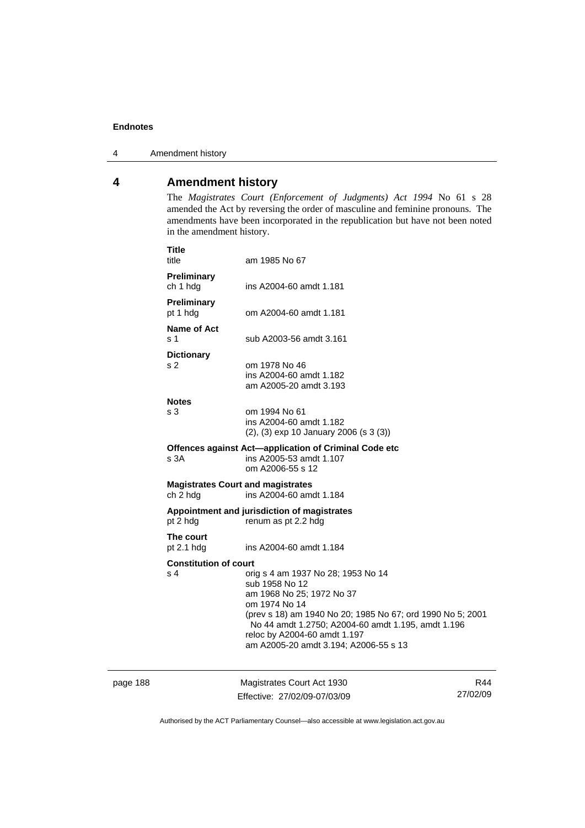4 Amendment history

# **4 Amendment history**

The *Magistrates Court (Enforcement of Judgments) Act 1994* No 61 s 28 amended the Act by reversing the order of masculine and feminine pronouns. The amendments have been incorporated in the republication but have not been noted in the amendment history.

|          | <b>Title</b><br>title                                                           | am 1985 No 67                                                                                                                                                                                                                                                                                   |     |
|----------|---------------------------------------------------------------------------------|-------------------------------------------------------------------------------------------------------------------------------------------------------------------------------------------------------------------------------------------------------------------------------------------------|-----|
|          | Preliminary<br>ch 1 hdg                                                         | ins A2004-60 amdt 1.181                                                                                                                                                                                                                                                                         |     |
|          | Preliminary<br>pt 1 hdg                                                         | om A2004-60 amdt 1.181                                                                                                                                                                                                                                                                          |     |
|          | Name of Act<br>s 1                                                              | sub A2003-56 amdt 3.161                                                                                                                                                                                                                                                                         |     |
|          | <b>Dictionary</b><br>s 2                                                        | om 1978 No 46<br>ins A2004-60 amdt 1.182<br>am A2005-20 amdt 3.193                                                                                                                                                                                                                              |     |
|          | <b>Notes</b><br>s 3                                                             | om 1994 No 61<br>ins A2004-60 amdt 1.182<br>$(2)$ , $(3)$ exp 10 January 2006 (s 3 $(3)$ )                                                                                                                                                                                                      |     |
|          | s 3A                                                                            | Offences against Act-application of Criminal Code etc<br>ins A2005-53 amdt 1.107<br>om A2006-55 s 12                                                                                                                                                                                            |     |
|          | <b>Magistrates Court and magistrates</b><br>ins A2004-60 amdt 1.184<br>ch 2 hdg |                                                                                                                                                                                                                                                                                                 |     |
|          | pt 2 hdg                                                                        | Appointment and jurisdiction of magistrates<br>renum as pt 2.2 hdg                                                                                                                                                                                                                              |     |
|          | The court<br>pt 2.1 hdg                                                         | ins A2004-60 amdt 1.184                                                                                                                                                                                                                                                                         |     |
|          | <b>Constitution of court</b><br>s 4                                             | orig s 4 am 1937 No 28; 1953 No 14<br>sub 1958 No 12<br>am 1968 No 25; 1972 No 37<br>om 1974 No 14<br>(prev s 18) am 1940 No 20; 1985 No 67; ord 1990 No 5; 2001<br>No 44 amdt 1.2750; A2004-60 amdt 1.195, amdt 1.196<br>reloc by A2004-60 amdt 1.197<br>am A2005-20 amdt 3.194; A2006-55 s 13 |     |
| page 188 |                                                                                 | Magistrates Court Act 1930                                                                                                                                                                                                                                                                      | R44 |

Authorised by the ACT Parliamentary Counsel—also accessible at www.legislation.act.gov.au

Effective: 27/02/09-07/03/09

27/02/09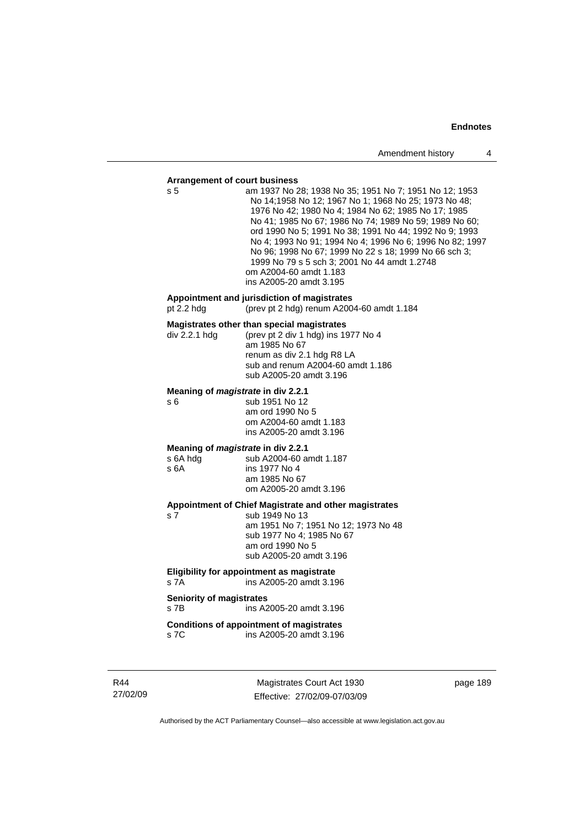#### **Arrangement of court business**

| Arrangement or court business                          |                                                                                                                                                                                                                                                                                                                                                                                                                                                                                                                     |
|--------------------------------------------------------|---------------------------------------------------------------------------------------------------------------------------------------------------------------------------------------------------------------------------------------------------------------------------------------------------------------------------------------------------------------------------------------------------------------------------------------------------------------------------------------------------------------------|
| s 5                                                    | am 1937 No 28; 1938 No 35; 1951 No 7; 1951 No 12; 1953<br>No 14;1958 No 12; 1967 No 1; 1968 No 25; 1973 No 48;<br>1976 No 42; 1980 No 4; 1984 No 62; 1985 No 17; 1985<br>No 41; 1985 No 67; 1986 No 74; 1989 No 59; 1989 No 60;<br>ord 1990 No 5; 1991 No 38; 1991 No 44; 1992 No 9; 1993<br>No 4; 1993 No 91; 1994 No 4; 1996 No 6; 1996 No 82; 1997<br>No 96; 1998 No 67; 1999 No 22 s 18; 1999 No 66 sch 3;<br>1999 No 79 s 5 sch 3; 2001 No 44 amdt 1.2748<br>om A2004-60 amdt 1.183<br>ins A2005-20 amdt 3.195 |
| pt $2.2$ hdg                                           | Appointment and jurisdiction of magistrates<br>(prev pt 2 hdg) renum A2004-60 amdt 1.184                                                                                                                                                                                                                                                                                                                                                                                                                            |
| div 2.2.1 hda                                          | Magistrates other than special magistrates<br>(prev pt 2 div 1 hdg) ins 1977 No 4<br>am 1985 No 67<br>renum as div 2.1 hdg R8 LA<br>sub and renum A2004-60 amdt 1.186<br>sub A2005-20 amdt 3.196                                                                                                                                                                                                                                                                                                                    |
| Meaning of <i>magistrate</i> in div 2.2.1<br>s 6       | sub 1951 No 12<br>am ord 1990 No 5<br>om A2004-60 amdt 1.183<br>ins A2005-20 amdt 3.196                                                                                                                                                                                                                                                                                                                                                                                                                             |
| Meaning of magistrate in div 2.2.1<br>s 6A hdg<br>s 6A | sub A2004-60 amdt 1.187<br>ins 1977 No 4<br>am 1985 No 67<br>om A2005-20 amdt 3.196                                                                                                                                                                                                                                                                                                                                                                                                                                 |
| s 7                                                    | Appointment of Chief Magistrate and other magistrates<br>sub 1949 No 13<br>am 1951 No 7; 1951 No 12; 1973 No 48<br>sub 1977 No 4; 1985 No 67<br>am ord 1990 No 5<br>sub A2005-20 amdt 3.196                                                                                                                                                                                                                                                                                                                         |
| s 7A                                                   | Eligibility for appointment as magistrate<br>ins A2005-20 amdt 3.196                                                                                                                                                                                                                                                                                                                                                                                                                                                |
| <b>Seniority of magistrates</b><br>s 7B                | ins A2005-20 amdt 3.196                                                                                                                                                                                                                                                                                                                                                                                                                                                                                             |
| s 7C                                                   | <b>Conditions of appointment of magistrates</b><br>ins A2005-20 amdt 3.196                                                                                                                                                                                                                                                                                                                                                                                                                                          |

R44 27/02/09

Magistrates Court Act 1930 Effective: 27/02/09-07/03/09 page 189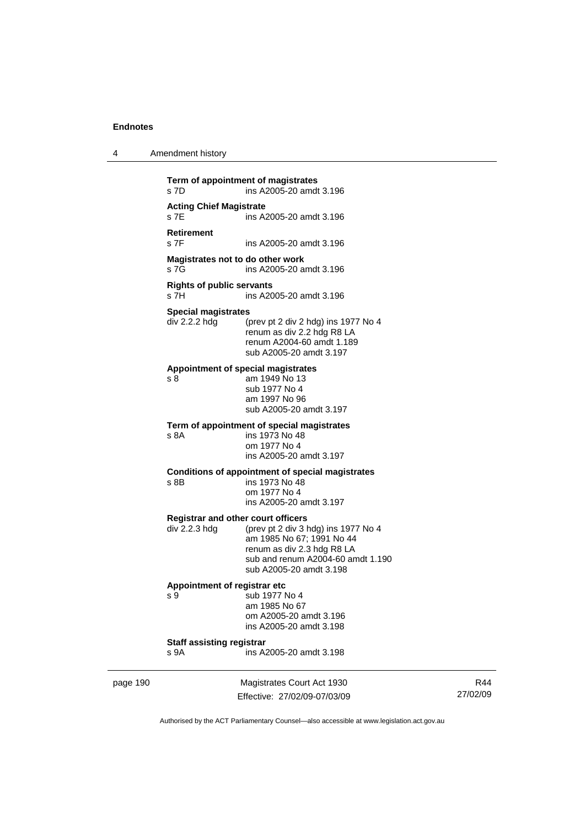| Amendment history<br>4 |  |
|------------------------|--|
|------------------------|--|

**Term of appointment of magistrates**  s 7D ins A2005-20 amdt 3.196 **Acting Chief Magistrate**  s 7E ins A2005-20 amdt 3.196 **Retirement**  ins A2005-20 amdt 3.196 **Magistrates not to do other work**  s 7G ins A2005-20 amdt 3.196 **Rights of public servants**  ins A2005-20 amdt 3.196 **Special magistrates**  div 2.2.2 hdg (prev pt 2 div 2 hdg) ins 1977 No 4 renum as div 2.2 hdg R8 LA renum A2004-60 amdt 1.189 sub A2005-20 amdt 3.197 **Appointment of special magistrates**  s 8 am 1949 No 13 sub 1977 No 4 am 1997 No 96 sub A2005-20 amdt 3.197 **Term of appointment of special magistrates**  s 8A ins 1973 No 48 om 1977 No 4 ins A2005-20 amdt 3.197 **Conditions of appointment of special magistrates**  s 8B ins 1973 No 48 om 1977 No 4 ins A2005-20 amdt 3.197 **Registrar and other court officers**  div 2.2.3 hdg (prev pt 2 div 3 hdg) ins 1977 No 4 am 1985 No 67; 1991 No 44 renum as div 2.3 hdg R8 LA sub and renum A2004-60 amdt 1.190 sub A2005-20 amdt 3.198 **Appointment of registrar etc**  s 9 sub 1977 No 4 am 1985 No 67 om A2005-20 amdt 3.196 ins A2005-20 amdt 3.198 **Staff assisting registrar**  s 9A ins A2005-20 amdt 3.198

page 190 Magistrates Court Act 1930 Effective: 27/02/09-07/03/09

R44 27/02/09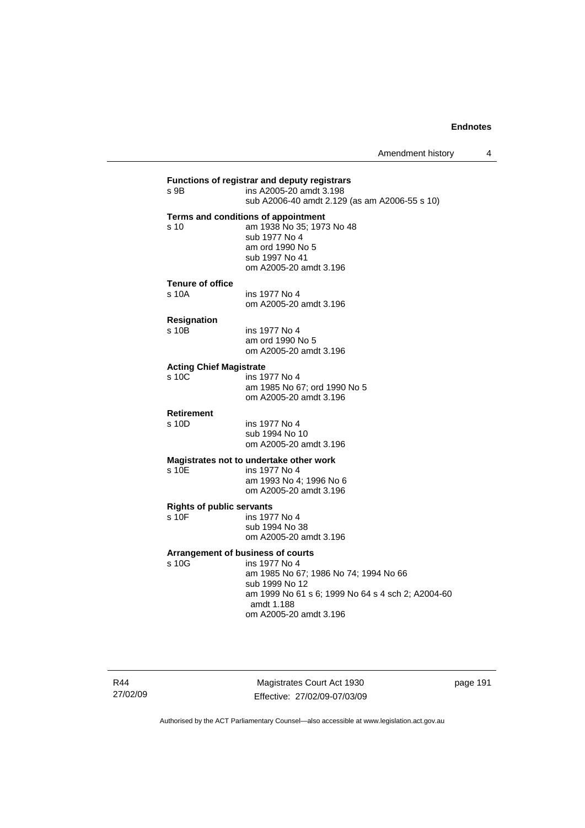# **Functions of registrar and deputy registrars**  ins A2005-20 amdt 3.198 sub A2006-40 amdt 2.129 (as am A2006-55 s 10) **Terms and conditions of appointment**  s 10 am 1938 No 35; 1973 No 48 sub 1977 No 4 am ord 1990 No 5 sub 1997 No 41 om A2005-20 amdt 3.196 **Tenure of office**  s 10A ins 1977 No 4 om A2005-20 amdt 3.196 **Resignation**  s 10B ins 1977 No 4 am ord 1990 No 5 om A2005-20 amdt 3.196 **Acting Chief Magistrate**  s 10C ins 1977 No 4 am 1985 No 67; ord 1990 No 5 om A2005-20 amdt 3.196 **Retirement**  ins 1977 No 4 sub 1994 No 10 om A2005-20 amdt 3.196 **Magistrates not to undertake other work**  ins 1977 No 4 am 1993 No 4; 1996 No 6 om A2005-20 amdt 3.196 **Rights of public servants**  s 10F ins 1977 No 4 sub 1994 No 38 om A2005-20 amdt 3.196 **Arrangement of business of courts**  s 10G ins 1977 No 4 am 1985 No 67; 1986 No 74; 1994 No 66 sub 1999 No 12 am 1999 No 61 s 6; 1999 No 64 s 4 sch 2; A2004-60 amdt 1.188 om A2005-20 amdt 3.196

R44 27/02/09

Magistrates Court Act 1930 Effective: 27/02/09-07/03/09 page 191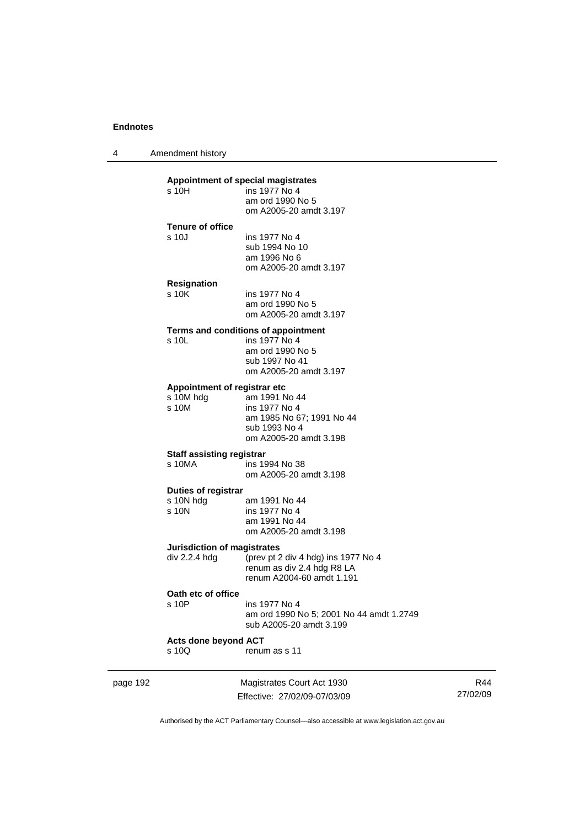4 Amendment history

# **Appointment of special magistrates**

| s 10H                   | ins 1977 No 4<br>am ord 1990 No 5 |
|-------------------------|-----------------------------------|
|                         | om A2005-20 amdt 3.197            |
| <b>Tenure of office</b> |                                   |
| s 10J                   | ins 1977 No 4                     |
|                         | sub 1994 No 10                    |
|                         | am 1996 No 6                      |
|                         | om A2005-20 amdt 3.197            |
| Resignation             |                                   |
| s 10K                   | ins 1977 No 4                     |

#### am ord 1990 No 5 om A2005-20 amdt 3.197

#### **Terms and conditions of appointment**

| s 10L | ins 1977 No 4          |
|-------|------------------------|
|       | am ord 1990 No 5       |
|       | sub 1997 No 41         |
|       | om A2005-20 amdt 3.197 |
|       |                        |

#### **Appointment of registrar etc**

| s 10M hdg | am 1991 No 44             |
|-----------|---------------------------|
| s 10M     | ins 1977 No 4             |
|           | am 1985 No 67; 1991 No 44 |
|           | sub 1993 No 4             |
|           | om A2005-20 amdt 3.198    |
|           |                           |

#### **Staff assisting registrar**

| s 10MA | ins 1994 No 38         |
|--------|------------------------|
|        | om A2005-20 amdt 3.198 |

# **Duties of registrar**

| s 10N hdg | am 1991 No 44          |
|-----------|------------------------|
| s 10N     | ins 1977 No 4          |
|           | am 1991 No 44          |
|           | om A2005-20 amdt 3.198 |
|           |                        |

# **Jurisdiction of magistrates**

| div 2.2.4 hda | (prev pt 2 div 4 hdg) ins 1977 No 4 |
|---------------|-------------------------------------|
|               | renum as div 2.4 hdg R8 LA          |
|               | renum A2004-60 amdt 1.191           |

#### **Oath etc of office**

| s 10P | ins 1977 No 4                            |
|-------|------------------------------------------|
|       | am ord 1990 No 5; 2001 No 44 amdt 1.2749 |
|       | sub A2005-20 amdt 3.199                  |
|       |                                          |

# **Acts done beyond ACT**

renum as s 11

| page 192 |  |
|----------|--|
|----------|--|

page 192 Magistrates Court Act 1930 Effective: 27/02/09-07/03/09

R44 27/02/09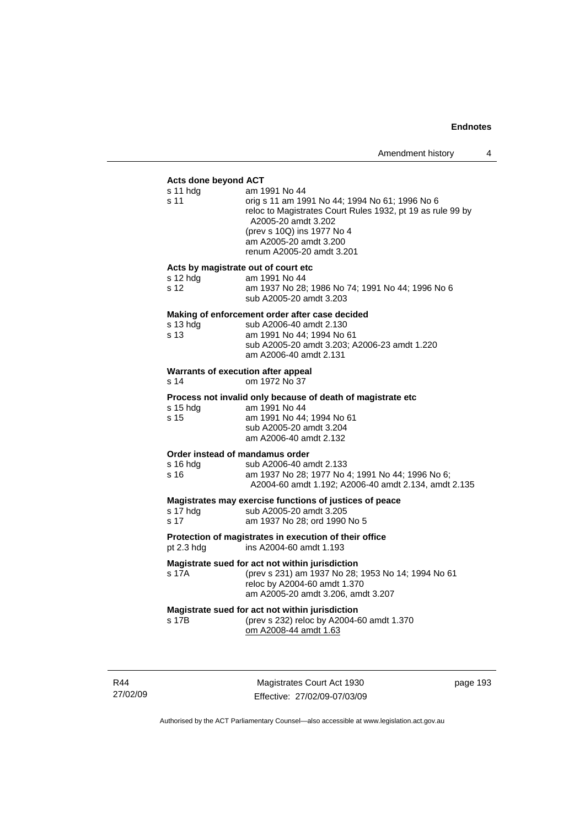#### **Acts done beyond ACT**

| MON AVIIV DUJUNU MU<br>s 11 hdg<br>s 11                 | am 1991 No 44<br>orig s 11 am 1991 No 44; 1994 No 61; 1996 No 6<br>reloc to Magistrates Court Rules 1932, pt 19 as rule 99 by<br>A2005-20 amdt 3.202<br>(prev s 10Q) ins 1977 No 4<br>am A2005-20 amdt 3.200<br>renum A2005-20 amdt 3.201 |
|---------------------------------------------------------|-------------------------------------------------------------------------------------------------------------------------------------------------------------------------------------------------------------------------------------------|
| Acts by magistrate out of court etc<br>s 12 hdg<br>s 12 | am 1991 No 44<br>am 1937 No 28; 1986 No 74; 1991 No 44; 1996 No 6<br>sub A2005-20 amdt 3.203                                                                                                                                              |
| s 13 hdg<br>s 13                                        | Making of enforcement order after case decided<br>sub A2006-40 amdt 2.130<br>am 1991 No 44; 1994 No 61<br>sub A2005-20 amdt 3.203; A2006-23 amdt 1.220<br>am A2006-40 amdt 2.131                                                          |
| Warrants of execution after appeal<br>s 14              | om 1972 No 37                                                                                                                                                                                                                             |
| s 15 hdg<br>s 15                                        | Process not invalid only because of death of magistrate etc<br>am 1991 No 44<br>am 1991 No 44; 1994 No 61<br>sub A2005-20 amdt 3.204<br>am A2006-40 amdt 2.132                                                                            |
| Order instead of mandamus order<br>s 16 hdg.<br>s 16    | sub A2006-40 amdt 2.133<br>am 1937 No 28; 1977 No 4; 1991 No 44; 1996 No 6;<br>A2004-60 amdt 1.192; A2006-40 amdt 2.134, amdt 2.135                                                                                                       |
| s 17 hda<br>s 17                                        | Magistrates may exercise functions of justices of peace<br>sub A2005-20 amdt 3.205<br>am 1937 No 28; ord 1990 No 5                                                                                                                        |
| pt 2.3 hdg                                              | Protection of magistrates in execution of their office<br>ins A2004-60 amdt 1.193                                                                                                                                                         |
| s 17A                                                   | Magistrate sued for act not within jurisdiction<br>(prev s 231) am 1937 No 28; 1953 No 14; 1994 No 61<br>reloc by A2004-60 amdt 1.370<br>am A2005-20 amdt 3.206, amdt 3.207                                                               |
| s 17B                                                   | Magistrate sued for act not within jurisdiction<br>(prev s 232) reloc by A2004-60 amdt 1.370<br>om A2008-44 amdt 1.63                                                                                                                     |
|                                                         |                                                                                                                                                                                                                                           |

R44 27/02/09

Magistrates Court Act 1930 Effective: 27/02/09-07/03/09 page 193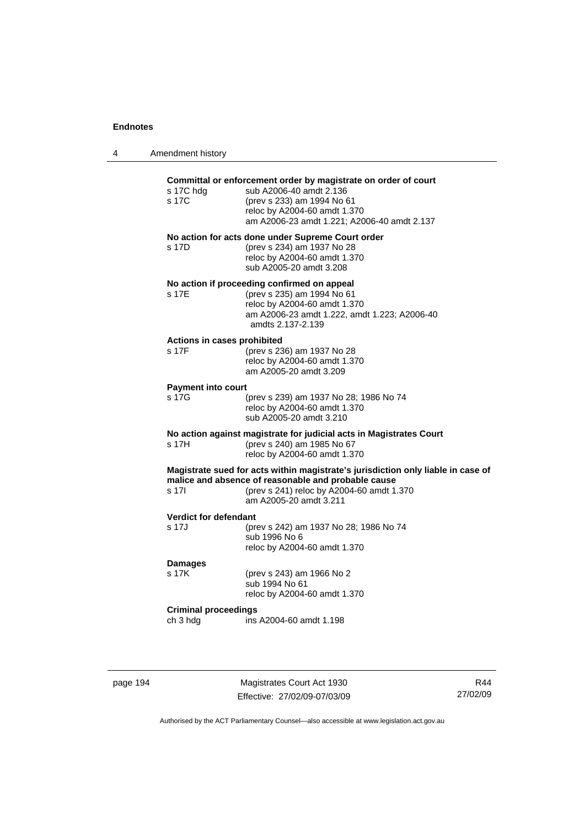| 4 | Amendment history                       |                                                                                                                                                                                                                |
|---|-----------------------------------------|----------------------------------------------------------------------------------------------------------------------------------------------------------------------------------------------------------------|
|   | s 17C hdg<br>s 17C                      | Committal or enforcement order by magistrate on order of court<br>sub A2006-40 amdt 2.136<br>(prev s 233) am 1994 No 61<br>reloc by A2004-60 amdt 1.370<br>am A2006-23 amdt 1.221; A2006-40 amdt 2.137         |
|   | s 17D                                   | No action for acts done under Supreme Court order<br>(prev s 234) am 1937 No 28<br>reloc by A2004-60 amdt 1.370<br>sub A2005-20 amdt 3.208                                                                     |
|   | s 17E                                   | No action if proceeding confirmed on appeal<br>(prev s 235) am 1994 No 61<br>reloc by A2004-60 amdt 1.370<br>am A2006-23 amdt 1.222, amdt 1.223; A2006-40<br>amdts 2.137-2.139                                 |
|   | Actions in cases prohibited<br>s 17F    | (prev s 236) am 1937 No 28<br>reloc by A2004-60 amdt 1.370<br>am A2005-20 amdt 3.209                                                                                                                           |
|   | <b>Payment into court</b><br>s 17G      | (prev s 239) am 1937 No 28; 1986 No 74<br>reloc by A2004-60 amdt 1.370<br>sub A2005-20 amdt 3.210                                                                                                              |
|   | s 17H                                   | No action against magistrate for judicial acts in Magistrates Court<br>(prev s 240) am 1985 No 67<br>reloc by A2004-60 amdt 1.370                                                                              |
|   | s 17l                                   | Magistrate sued for acts within magistrate's jurisdiction only liable in case of<br>malice and absence of reasonable and probable cause<br>(prev s 241) reloc by A2004-60 amdt 1.370<br>am A2005-20 amdt 3.211 |
|   | <b>Verdict for defendant</b><br>s 17J   | (prev s 242) am 1937 No 28; 1986 No 74<br>sub 1996 No 6<br>reloc by A2004-60 amdt 1.370                                                                                                                        |
|   | <b>Damages</b><br>s 17K                 | (prev s 243) am 1966 No 2<br>sub 1994 No 61<br>reloc by A2004-60 amdt 1.370                                                                                                                                    |
|   | <b>Criminal proceedings</b><br>ch 3 hdg | ins A2004-60 amdt 1.198                                                                                                                                                                                        |

page 194 Magistrates Court Act 1930 Effective: 27/02/09-07/03/09

R44 27/02/09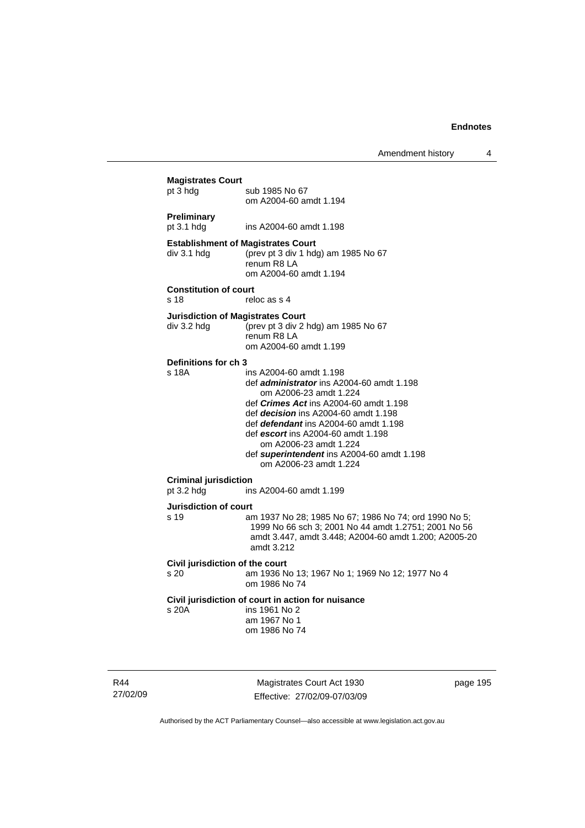Amendment history 4

| <b>Magistrates Court</b><br>pt 3 hdg         | sub 1985 No 67<br>om A2004-60 amdt 1.194                                                                                                                                                                                                                                                                                                                                               |
|----------------------------------------------|----------------------------------------------------------------------------------------------------------------------------------------------------------------------------------------------------------------------------------------------------------------------------------------------------------------------------------------------------------------------------------------|
| Preliminary<br>pt 3.1 hdg                    | ins A2004-60 amdt 1.198                                                                                                                                                                                                                                                                                                                                                                |
| div 3.1 hdg                                  | <b>Establishment of Magistrates Court</b><br>(prev pt 3 div 1 hdg) am 1985 No 67<br>renum R8 LA<br>om A2004-60 amdt 1.194                                                                                                                                                                                                                                                              |
| <b>Constitution of court</b><br>s 18         | reloc as s 4                                                                                                                                                                                                                                                                                                                                                                           |
| div 3.2 hdg                                  | <b>Jurisdiction of Magistrates Court</b><br>(prev pt 3 div 2 hdg) am 1985 No 67<br>renum R8 LA<br>om A2004-60 amdt 1.199                                                                                                                                                                                                                                                               |
| Definitions for ch 3<br>s 18A                | ins A2004-60 amdt 1.198<br>def <i>administrator</i> ins A2004-60 amdt 1.198<br>om A2006-23 amdt 1.224<br>def <i>Crimes Act</i> ins A2004-60 amdt 1.198<br>def <i>decision</i> ins A2004-60 amdt 1.198<br>def defendant ins A2004-60 amdt 1.198<br>def escort ins A2004-60 amdt 1.198<br>om A2006-23 amdt 1.224<br>def superintendent ins A2004-60 amdt 1.198<br>om A2006-23 amdt 1.224 |
| <b>Criminal jurisdiction</b><br>pt $3.2$ hdg | ins A2004-60 amdt 1.199                                                                                                                                                                                                                                                                                                                                                                |
| <b>Jurisdiction of court</b><br>s 19         | am 1937 No 28; 1985 No 67; 1986 No 74; ord 1990 No 5;<br>1999 No 66 sch 3; 2001 No 44 amdt 1.2751; 2001 No 56<br>amdt 3.447, amdt 3.448; A2004-60 amdt 1.200; A2005-20<br>amdt 3.212                                                                                                                                                                                                   |
| Civil jurisdiction of the court<br>s 20      | am 1936 No 13; 1967 No 1; 1969 No 12; 1977 No 4<br>om 1986 No 74                                                                                                                                                                                                                                                                                                                       |
| s 20A                                        | Civil jurisdiction of court in action for nuisance<br>ins 1961 No 2<br>am 1967 No 1<br>om 1986 No 74                                                                                                                                                                                                                                                                                   |

R44 27/02/09

Magistrates Court Act 1930 Effective: 27/02/09-07/03/09 page 195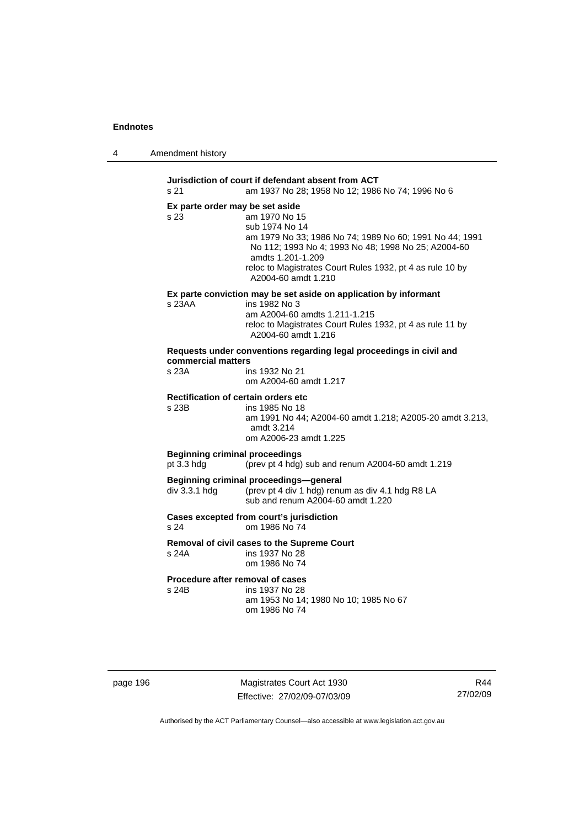| 4 | Amendment history |
|---|-------------------|
|---|-------------------|

**Jurisdiction of court if defendant absent from ACT**  s 21 am 1937 No 28; 1958 No 12; 1986 No 74; 1996 No 6 **Ex parte order may be set aside**  s 23 am 1970 No 15 sub 1974 No 14 am 1979 No 33; 1986 No 74; 1989 No 60; 1991 No 44; 1991 No 112; 1993 No 4; 1993 No 48; 1998 No 25; A2004-60 amdts 1.201-1.209 reloc to Magistrates Court Rules 1932, pt 4 as rule 10 by A2004-60 amdt 1.210 **Ex parte conviction may be set aside on application by informant**  s 23AA ins 1982 No 3 am A2004-60 amdts 1.211-1.215 reloc to Magistrates Court Rules 1932, pt 4 as rule 11 by A2004-60 amdt 1.216 **Requests under conventions regarding legal proceedings in civil and commercial matters**  s 23A ins 1932 No 21 om A2004-60 amdt 1.217 **Rectification of certain orders etc**  s 23B ins 1985 No 18 am 1991 No 44; A2004-60 amdt 1.218; A2005-20 amdt 3.213, amdt 3.214 om A2006-23 amdt 1.225 **Beginning criminal proceedings**  pt 3.3 hdg (prev pt 4 hdg) sub and renum A2004-60 amdt 1.219 **Beginning criminal proceedings—general**  div 3.3.1 hdg (prev pt 4 div 1 hdg) renum as div 4.1 hdg R8 LA sub and renum A2004-60 amdt 1.220 **Cases excepted from court's jurisdiction**  s 24 om 1986 No 74 **Removal of civil cases to the Supreme Court**  s 24A ins 1937 No 28 om 1986 No 74 **Procedure after removal of cases**  s 24B ins 1937 No 28 am 1953 No 14; 1980 No 10; 1985 No 67 om 1986 No 74

page 196 Magistrates Court Act 1930 Effective: 27/02/09-07/03/09

R44 27/02/09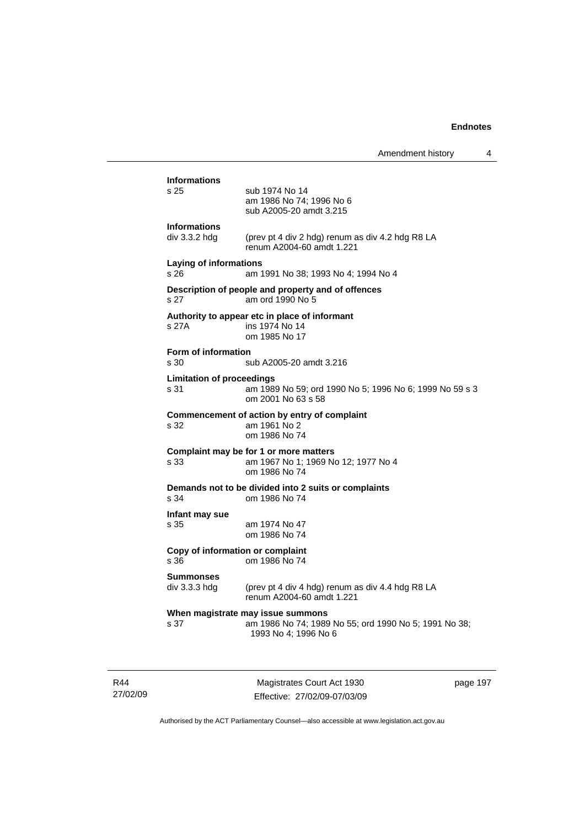|                                                                               | Amendment history                                                                                                  | 4 |  |  |
|-------------------------------------------------------------------------------|--------------------------------------------------------------------------------------------------------------------|---|--|--|
| <b>Informations</b><br>s 25                                                   | sub 1974 No 14<br>am 1986 No 74; 1996 No 6<br>sub A2005-20 amdt 3.215                                              |   |  |  |
| <b>Informations</b><br>$div$ 3.3.2 hdg                                        | (prev pt 4 div 2 hdg) renum as div 4.2 hdg R8 LA<br>renum A2004-60 amdt 1.221                                      |   |  |  |
| <b>Laying of informations</b><br>s 26                                         | am 1991 No 38; 1993 No 4; 1994 No 4                                                                                |   |  |  |
| s 27                                                                          | Description of people and property and of offences<br>am ord 1990 No 5                                             |   |  |  |
| s 27A                                                                         | Authority to appear etc in place of informant<br>ins 1974 No 14<br>om 1985 No 17                                   |   |  |  |
| <b>Form of information</b><br>s 30                                            | sub A2005-20 amdt 3.216                                                                                            |   |  |  |
| <b>Limitation of proceedings</b><br>s 31                                      | am 1989 No 59; ord 1990 No 5; 1996 No 6; 1999 No 59 s 3<br>om 2001 No 63 s 58                                      |   |  |  |
| s 32                                                                          | Commencement of action by entry of complaint<br>am 1961 No 2<br>om 1986 No 74                                      |   |  |  |
| s 33                                                                          | Complaint may be for 1 or more matters<br>am 1967 No 1; 1969 No 12; 1977 No 4<br>om 1986 No 74                     |   |  |  |
| Demands not to be divided into 2 suits or complaints<br>s 34<br>om 1986 No 74 |                                                                                                                    |   |  |  |
| Infant may sue<br>s 35                                                        | am 1974 No 47<br>om 1986 No 74                                                                                     |   |  |  |
| Copy of information or complaint<br>s 36                                      | om 1986 No 74                                                                                                      |   |  |  |
| <b>Summonses</b><br>$div$ 3.3.3 hdg                                           | (prev pt 4 div 4 hdg) renum as div 4.4 hdg R8 LA<br>renum A2004-60 amdt 1.221                                      |   |  |  |
| s 37                                                                          | When magistrate may issue summons<br>am 1986 No 74; 1989 No 55; ord 1990 No 5; 1991 No 38;<br>1993 No 4; 1996 No 6 |   |  |  |

R44 27/02/09

Magistrates Court Act 1930 Effective: 27/02/09-07/03/09 page 197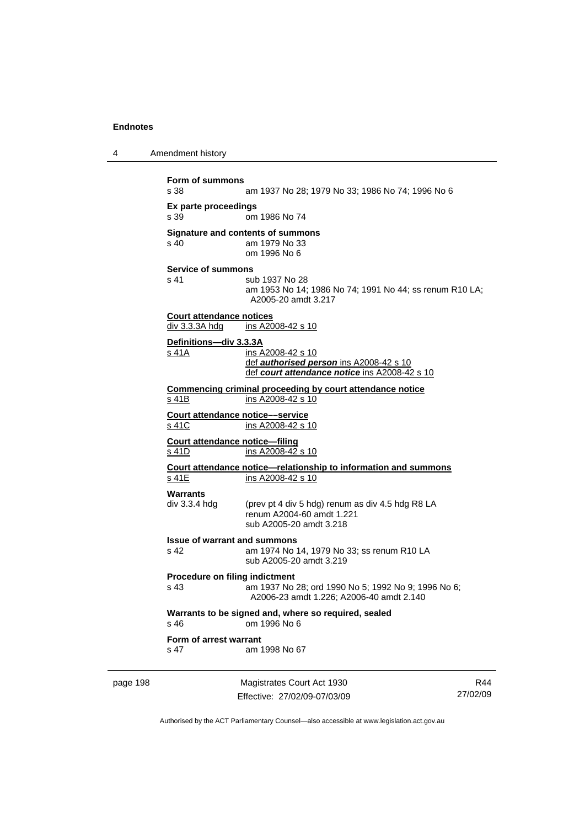4 Amendment history page 198 Magistrates Court Act 1930 Effective: 27/02/09-07/03/09 27/02/09 **Form of summons**  am 1937 No 28; 1979 No 33; 1986 No 74; 1996 No 6 **Ex parte proceedings**  om 1986 No 74 **Signature and contents of summons**<br>s 40 am 1979 No 33 am 1979 No 33 om 1996 No 6 **Service of summons**  s 41 sub 1937 No 28 am 1953 No 14; 1986 No 74; 1991 No 44; ss renum R10 LA; A2005-20 amdt 3.217 **Court attendance notices** div 3.3.3A hdg ins A2008-42 s 10 **Definitions—div 3.3.3A** s 41A ins A2008-42 s 10 def *authorised person* ins A2008-42 s 10 def *court attendance notice* ins A2008-42 s 10 **Commencing criminal proceeding by court attendance notice** s 41B ins A2008-42 s 10 **Court attendance notice––service** s 41C ins A2008-42 s 10 **Court attendance notice—filing** s 41D ins A2008-42 s 10 **Court attendance notice—relationship to information and summons** ins A2008-42 s 10 **Warrants**  div 3.3.4 hdg (prev pt 4 div 5 hdg) renum as div 4.5 hdg R8 LA renum A2004-60 amdt 1.221 sub A2005-20 amdt 3.218 **Issue of warrant and summons**  s 42 am 1974 No 14, 1979 No 33; ss renum R10 LA sub A2005-20 amdt 3.219 **Procedure on filing indictment**  s 43 am 1937 No 28; ord 1990 No 5; 1992 No 9; 1996 No 6; A2006-23 amdt 1.226; A2006-40 amdt 2.140 **Warrants to be signed and, where so required, sealed**  s 46 om 1996 No 6 **Form of arrest warrant**  s 47 am 1998 No 67

Authorised by the ACT Parliamentary Counsel—also accessible at www.legislation.act.gov.au

R44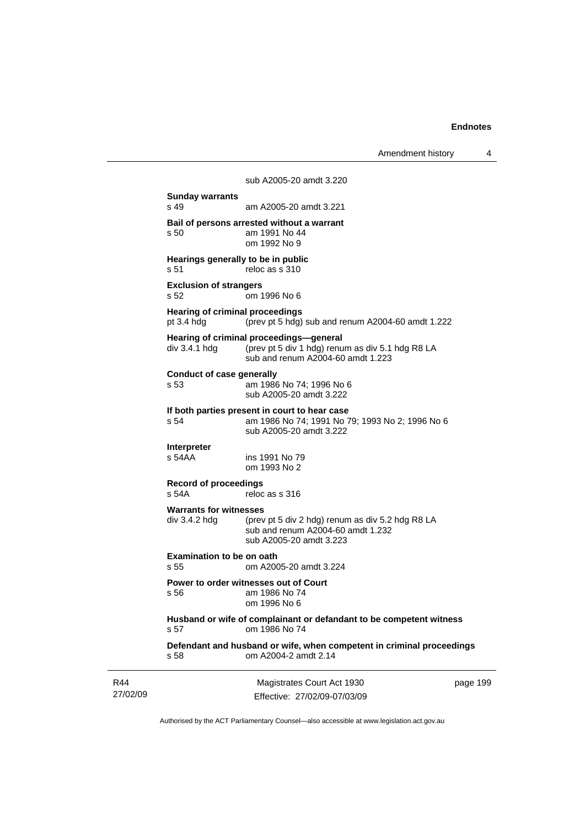Amendment history 4

Magistrates Court Act 1930 sub A2005-20 amdt 3.220 **Sunday warrants**  s 49 am A2005-20 amdt 3.221 **Bail of persons arrested without a warrant**  s 50 am 1991 No 44 om 1992 No 9 **Hearings generally to be in public**  s 51 reloc as s 310 **Exclusion of strangers**  s 52 om 1996 No 6 **Hearing of criminal proceedings**  pt 3.4 hdg (prev pt 5 hdg) sub and renum A2004-60 amdt 1.222 **Hearing of criminal proceedings—general**  div 3.4.1 hdg (prev pt 5 div 1 hdg) renum as div 5.1 hdg R8 LA sub and renum A2004-60 amdt 1.223 **Conduct of case generally**  s 53 am 1986 No 74; 1996 No 6 sub A2005-20 amdt 3.222 **If both parties present in court to hear case**  s 54 am 1986 No 74; 1991 No 79; 1993 No 2; 1996 No 6 sub A2005-20 amdt 3.222 **Interpreter**  s 54AA ins 1991 No 79 om 1993 No 2 **Record of proceedings**  s 54A reloc as s 316 **Warrants for witnesses**  div 3.4.2 hdg (prev pt 5 div 2 hdg) renum as div 5.2 hdg R8 LA sub and renum A2004-60 amdt 1.232 sub A2005-20 amdt 3.223 **Examination to be on oath**<br>
s 55 cm A200 s 55 om A2005-20 amdt 3.224 **Power to order witnesses out of Court**  s 56 am 1986 No 74 om 1996 No 6 **Husband or wife of complainant or defandant to be competent witness**  s 57 om 1986 No 74 **Defendant and husband or wife, when competent in criminal proceedings**  s 58 om A2004-2 amdt 2.14

27/02/09 Effective: 27/02/09-07/03/09 page 199

Authorised by the ACT Parliamentary Counsel—also accessible at www.legislation.act.gov.au

R44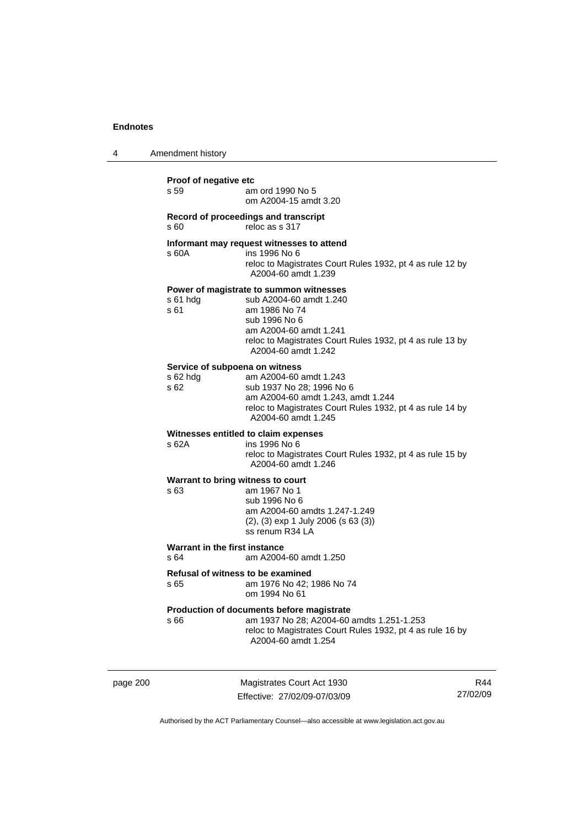| 4 | Amendment history                                               |                                                                                                                                                                                                                    |  |
|---|-----------------------------------------------------------------|--------------------------------------------------------------------------------------------------------------------------------------------------------------------------------------------------------------------|--|
|   | Proof of negative etc<br>s 59                                   | am ord 1990 No 5<br>om A2004-15 amdt 3.20                                                                                                                                                                          |  |
|   | Record of proceedings and transcript<br>reloc as s 317<br>s 60  |                                                                                                                                                                                                                    |  |
|   | s 60A                                                           | Informant may request witnesses to attend<br>ins 1996 No 6<br>reloc to Magistrates Court Rules 1932, pt 4 as rule 12 by<br>A2004-60 amdt 1.239                                                                     |  |
|   | $s61$ hdg<br>s 61                                               | Power of magistrate to summon witnesses<br>sub A2004-60 amdt 1.240<br>am 1986 No 74<br>sub 1996 No 6<br>am A2004-60 amdt 1.241<br>reloc to Magistrates Court Rules 1932, pt 4 as rule 13 by<br>A2004-60 amdt 1.242 |  |
|   | Service of subpoena on witness<br>$s$ 62 hdg<br>s <sub>62</sub> | am A2004-60 amdt 1.243<br>sub 1937 No 28; 1996 No 6<br>am A2004-60 amdt 1.243, amdt 1.244<br>reloc to Magistrates Court Rules 1932, pt 4 as rule 14 by<br>A2004-60 amdt 1.245                                      |  |
|   | Witnesses entitled to claim expenses<br>s 62A                   | ins 1996 No 6<br>reloc to Magistrates Court Rules 1932, pt 4 as rule 15 by<br>A2004-60 amdt 1.246                                                                                                                  |  |
|   | Warrant to bring witness to court<br>s 63                       | am 1967 No 1<br>sub 1996 No 6<br>am A2004-60 amdts 1.247-1.249<br>$(2)$ , $(3)$ exp 1 July 2006 (s 63 $(3)$ )<br>ss renum R34 LA                                                                                   |  |
|   | Warrant in the first instance<br>s 64<br>am A2004-60 amdt 1.250 |                                                                                                                                                                                                                    |  |
|   | <b>Refusal of witness to be examined</b><br>s 65                | am 1976 No 42; 1986 No 74<br>om 1994 No 61                                                                                                                                                                         |  |
|   | s 66                                                            | Production of documents before magistrate<br>am 1937 No 28; A2004-60 amdts 1.251-1.253<br>reloc to Magistrates Court Rules 1932, pt 4 as rule 16 by<br>A2004-60 amdt 1.254                                         |  |

page 200 Magistrates Court Act 1930 Effective: 27/02/09-07/03/09

R44 27/02/09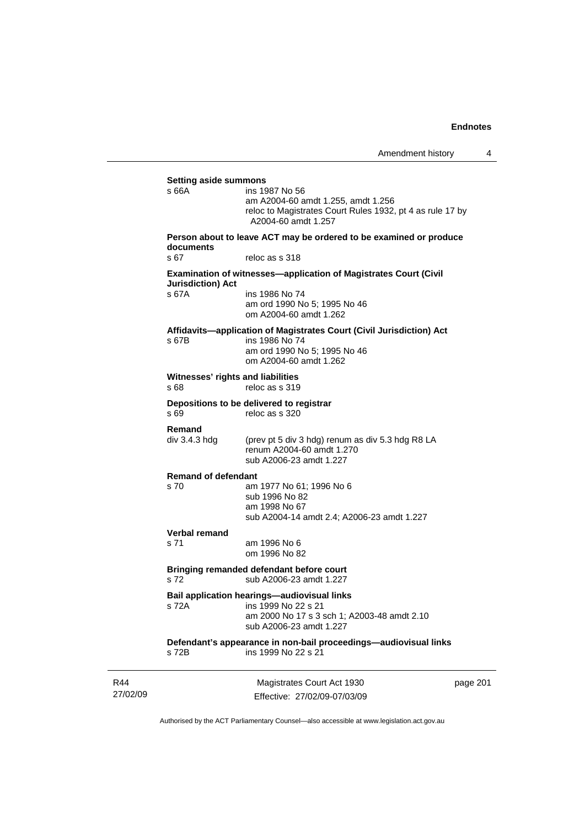| <b>Setting aside summons</b>              |                                                                                                                                                  |          |
|-------------------------------------------|--------------------------------------------------------------------------------------------------------------------------------------------------|----------|
| s 66A                                     | ins 1987 No 56<br>am A2004-60 amdt 1.255, amdt 1.256<br>reloc to Magistrates Court Rules 1932, pt 4 as rule 17 by<br>A2004-60 amdt 1.257         |          |
| documents                                 | Person about to leave ACT may be ordered to be examined or produce                                                                               |          |
| s 67                                      | reloc as s 318                                                                                                                                   |          |
| <b>Jurisdiction) Act</b>                  | <b>Examination of witnesses-application of Magistrates Court (Civil</b>                                                                          |          |
| s 67A                                     | ins 1986 No 74<br>am ord 1990 No 5; 1995 No 46<br>om A2004-60 amdt 1.262                                                                         |          |
| s 67B                                     | Affidavits-application of Magistrates Court (Civil Jurisdiction) Act<br>ins 1986 No 74<br>am ord 1990 No 5; 1995 No 46<br>om A2004-60 amdt 1.262 |          |
| Witnesses' rights and liabilities<br>s 68 | reloc as s 319                                                                                                                                   |          |
| s 69                                      | Depositions to be delivered to registrar<br>reloc as s 320                                                                                       |          |
| Remand<br>div 3.4.3 hdg                   | (prev pt 5 div 3 hdg) renum as div 5.3 hdg R8 LA<br>renum A2004-60 amdt 1.270<br>sub A2006-23 amdt 1.227                                         |          |
| <b>Remand of defendant</b>                |                                                                                                                                                  |          |
| s 70                                      | am 1977 No 61; 1996 No 6<br>sub 1996 No 82<br>am 1998 No 67<br>sub A2004-14 amdt 2.4; A2006-23 amdt 1.227                                        |          |
| Verbal remand                             |                                                                                                                                                  |          |
| s 71                                      | am 1996 No 6<br>om 1996 No 82                                                                                                                    |          |
| s 72                                      | Bringing remanded defendant before court<br>sub A2006-23 amdt 1.227                                                                              |          |
| s 72A                                     | Bail application hearings-audiovisual links<br>ins 1999 No 22 s 21<br>am 2000 No 17 s 3 sch 1; A2003-48 amdt 2.10<br>sub A2006-23 amdt 1.227     |          |
| s 72B                                     | Defendant's appearance in non-bail proceedings-audiovisual links<br>ins 1999 No 22 s 21                                                          |          |
|                                           | Magistrates Court Act 1930                                                                                                                       | page 201 |

27/02/09

R44

Effective: 27/02/09-07/03/09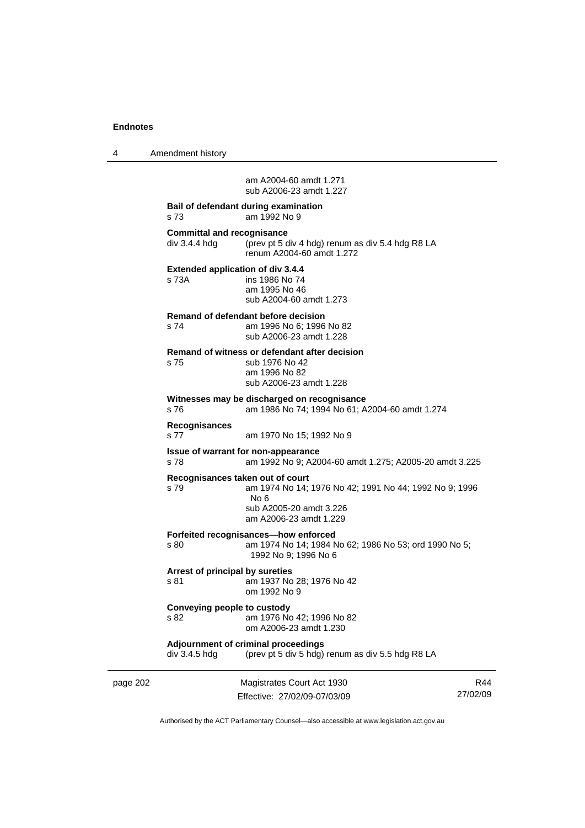4 Amendment history

 am A2004-60 amdt 1.271 sub A2006-23 amdt 1.227

### **Bail of defendant during examination**  s 73 am 1992 No 9

**Committal and recognisance**<br>div 3.4.4 hdg (prev pt 5 d) (prev pt 5 div 4 hdg) renum as div 5.4 hdg R8 LA renum A2004-60 amdt 1.272 **Extended application of div 3.4.4**  s 73A ins 1986 No 74 am 1995 No 46 sub A2004-60 amdt 1.273 **Remand of defendant before decision**  s 74 am 1996 No 6; 1996 No 82 sub A2006-23 amdt 1.228 **Remand of witness or defendant after decision**  s 75 sub 1976 No 42 am 1996 No 82 sub A2006-23 amdt 1.228 **Witnesses may be discharged on recognisance**  s 76 am 1986 No 74; 1994 No 61; A2004-60 amdt 1.274 **Recognisances**  s 77 am 1970 No 15; 1992 No 9 **Issue of warrant for non-appearance**  s 78 am 1992 No 9; A2004-60 amdt 1.275; A2005-20 amdt 3.225 **Recognisances taken out of court**  s 79 am 1974 No 14; 1976 No 42; 1991 No 44; 1992 No 9; 1996 No 6 sub A2005-20 amdt 3.226 am A2006-23 amdt 1.229 **Forfeited recognisances—how enforced**  s 80 am 1974 No 14; 1984 No 62; 1986 No 53; ord 1990 No 5; 1992 No 9; 1996 No 6 **Arrest of principal by sureties**  s 81 am 1937 No 28; 1976 No 42 om 1992 No 9 **Conveying people to custody**  s 82 am 1976 No 42; 1996 No 82 om A2006-23 amdt 1.230 **Adjournment of criminal proceedings**  div 3.4.5 hdg (prev pt 5 div 5 hdg) renum as div 5.5 hdg R8 LA

page 202 Magistrates Court Act 1930 Effective: 27/02/09-07/03/09

R44 27/02/09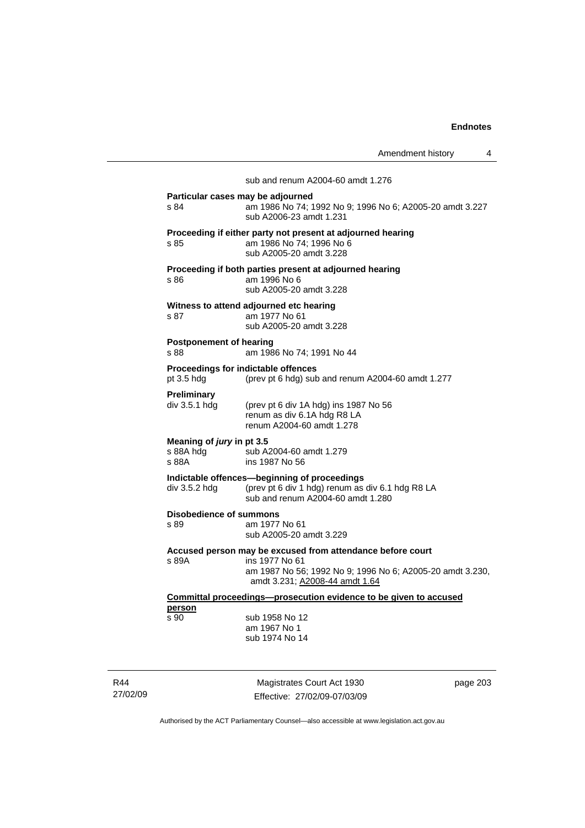sub and renum A2004-60 amdt 1.276 **Particular cases may be adjourned**  s 84 am 1986 No 74; 1992 No 9; 1996 No 6; A2005-20 amdt 3.227 sub A2006-23 amdt 1.231 **Proceeding if either party not present at adjourned hearing**  s 85 am 1986 No 74; 1996 No 6 sub A2005-20 amdt 3.228 **Proceeding if both parties present at adjourned hearing**  s 86 am 1996 No 6 sub A2005-20 amdt 3.228 **Witness to attend adjourned etc hearing**  s 87 am 1977 No 61 sub A2005-20 amdt 3.228 **Postponement of hearing**  s 88 am 1986 No 74; 1991 No 44 **Proceedings for indictable offences**  pt 3.5 hdg (prev pt 6 hdg) sub and renum A2004-60 amdt 1.277 **Preliminary**  div 3.5.1 hdg (prev pt 6 div 1A hdg) ins 1987 No 56 renum as div 6.1A hdg R8 LA renum A2004-60 amdt 1.278 **Meaning of** *jury* **in pt 3.5<br>s 88A hdg sub A** s 88A hdg sub A2004-60 amdt 1.279<br>s 88A sins 1987 No 56 ins 1987 No 56 **Indictable offences—beginning of proceedings**  div 3.5.2 hdg (prev pt 6 div 1 hdg) renum as div 6.1 hdg R8 LA sub and renum A2004-60 amdt 1.280 **Disobedience of summons**  s 89 am 1977 No 61 sub A2005-20 amdt 3.229 **Accused person may be excused from attendance before court**  s 89A ins 1977 No 61 am 1987 No 56; 1992 No 9; 1996 No 6; A2005-20 amdt 3.230, amdt 3.231; A2008-44 amdt 1.64 **Committal proceedings—prosecution evidence to be given to accused person** s 90 sub 1958 No 12 am 1967 No 1 sub 1974 No 14

R44 27/02/09

Magistrates Court Act 1930 Effective: 27/02/09-07/03/09 page 203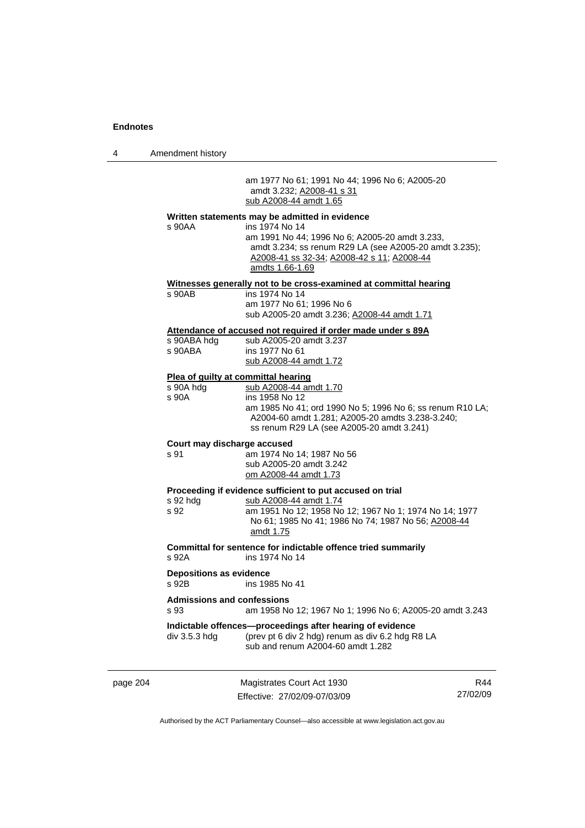4 Amendment history

 am 1977 No 61; 1991 No 44; 1996 No 6; A2005-20 amdt 3.232; A2008-41 s 31 sub A2008-44 amdt 1.65

# **Written statements may be admitted in evidence**

| page 204 |                                           | Magistrates Court Act 1930                                                                                                                                                                                                                                       | R44 |
|----------|-------------------------------------------|------------------------------------------------------------------------------------------------------------------------------------------------------------------------------------------------------------------------------------------------------------------|-----|
|          | $div$ 3.5.3 $hdg$                         | Indictable offences-proceedings after hearing of evidence<br>(prev pt 6 div 2 hdg) renum as div 6.2 hdg R8 LA<br>sub and renum A2004-60 amdt 1.282                                                                                                               |     |
|          | <b>Admissions and confessions</b><br>s 93 | am 1958 No 12; 1967 No 1; 1996 No 6; A2005-20 amdt 3.243                                                                                                                                                                                                         |     |
|          | <b>Depositions as evidence</b><br>s 92B   | ins 1985 No 41                                                                                                                                                                                                                                                   |     |
|          | s 92A                                     | Committal for sentence for indictable offence tried summarily<br>ins 1974 No 14                                                                                                                                                                                  |     |
|          | s 92 hda<br>s 92                          | Proceeding if evidence sufficient to put accused on trial<br>sub A2008-44 amdt 1.74<br>am 1951 No 12; 1958 No 12; 1967 No 1; 1974 No 14; 1977<br>No 61; 1985 No 41; 1986 No 74; 1987 No 56; A2008-44<br>amdt 1.75                                                |     |
|          | Court may discharge accused<br>s 91       | am 1974 No 14; 1987 No 56<br>sub A2005-20 amdt 3.242<br>om A2008-44 amdt 1.73                                                                                                                                                                                    |     |
|          | s 90A hdg<br>s 90A                        | sub A2008-44 amdt 1.70<br>ins 1958 No 12<br>am 1985 No 41; ord 1990 No 5; 1996 No 6; ss renum R10 LA;<br>A2004-60 amdt 1.281; A2005-20 amdts 3.238-3.240;<br>ss renum R29 LA (see A2005-20 amdt 3.241)                                                           |     |
|          | s 90ABA hdg<br>s 90ABA                    | sub A2005-20 amdt 3.237<br>ins 1977 No 61<br>sub A2008-44 amdt 1.72<br>Plea of guilty at committal hearing                                                                                                                                                       |     |
|          | s 90AB                                    | ins 1974 No 14<br>am 1977 No 61; 1996 No 6<br>sub A2005-20 amdt 3.236; A2008-44 amdt 1.71<br>Attendance of accused not required if order made under s 89A                                                                                                        |     |
|          | s 90AA                                    | ins 1974 No 14<br>am 1991 No 44; 1996 No 6; A2005-20 amdt 3.233,<br>amdt 3.234; ss renum R29 LA (see A2005-20 amdt 3.235);<br>A2008-41 ss 32-34; A2008-42 s 11; A2008-44<br>amdts 1.66-1.69<br>Witnesses generally not to be cross-examined at committal hearing |     |
|          |                                           | <u>written statements may be admitted in evidence</u>                                                                                                                                                                                                            |     |

Effective: 27/02/09-07/03/09

R44 27/02/09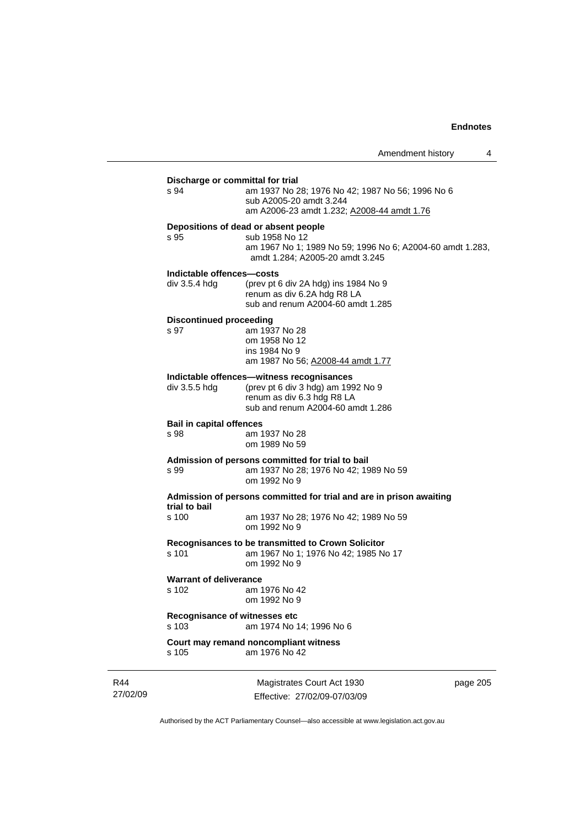|                                                | Amendment history                                                                                                                                      | 4        |
|------------------------------------------------|--------------------------------------------------------------------------------------------------------------------------------------------------------|----------|
| Discharge or committal for trial<br>s 94       | am 1937 No 28; 1976 No 42; 1987 No 56; 1996 No 6<br>sub A2005-20 amdt 3.244<br>am A2006-23 amdt 1.232; A2008-44 amdt 1.76                              |          |
| s 95                                           | Depositions of dead or absent people<br>sub 1958 No 12<br>am 1967 No 1; 1989 No 59; 1996 No 6; A2004-60 amdt 1.283,<br>amdt 1.284; A2005-20 amdt 3.245 |          |
| Indictable offences-costs<br>$div$ 3.5.4 $hdg$ | (prev pt 6 div 2A hdg) ins 1984 No 9<br>renum as div 6.2A hdg R8 LA<br>sub and renum A2004-60 amdt 1.285                                               |          |
| <b>Discontinued proceeding</b><br>s 97         | am 1937 No 28<br>om 1958 No 12<br>ins 1984 No 9<br>am 1987 No 56; A2008-44 amdt 1.77                                                                   |          |
| div 3.5.5 hdg                                  | Indictable offences—witness recognisances<br>(prev pt 6 div 3 hdg) am 1992 No 9<br>renum as div 6.3 hdg R8 LA<br>sub and renum A2004-60 amdt 1.286     |          |
| <b>Bail in capital offences</b><br>s 98        | am 1937 No 28<br>om 1989 No 59                                                                                                                         |          |
| s 99                                           | Admission of persons committed for trial to bail<br>am 1937 No 28; 1976 No 42; 1989 No 59<br>om 1992 No 9                                              |          |
|                                                | Admission of persons committed for trial and are in prison awaiting                                                                                    |          |
| trial to bail<br>s 100                         | am 1937 No 28; 1976 No 42; 1989 No 59<br>om 1992 No 9                                                                                                  |          |
| s 101                                          | Recognisances to be transmitted to Crown Solicitor<br>am 1967 No 1; 1976 No 42; 1985 No 17<br>om 1992 No 9                                             |          |
| <b>Warrant of deliverance</b><br>s 102         | am 1976 No 42<br>om 1992 No 9                                                                                                                          |          |
| Recognisance of witnesses etc<br>s 103         | am 1974 No 14; 1996 No 6                                                                                                                               |          |
| s 105                                          | Court may remand noncompliant witness<br>am 1976 No 42                                                                                                 |          |
|                                                | Magistrates Court Act 1930<br>Effective: 27/02/09-07/03/09                                                                                             | page 205 |

Authorised by the ACT Parliamentary Counsel—also accessible at www.legislation.act.gov.au

R44 27/02/09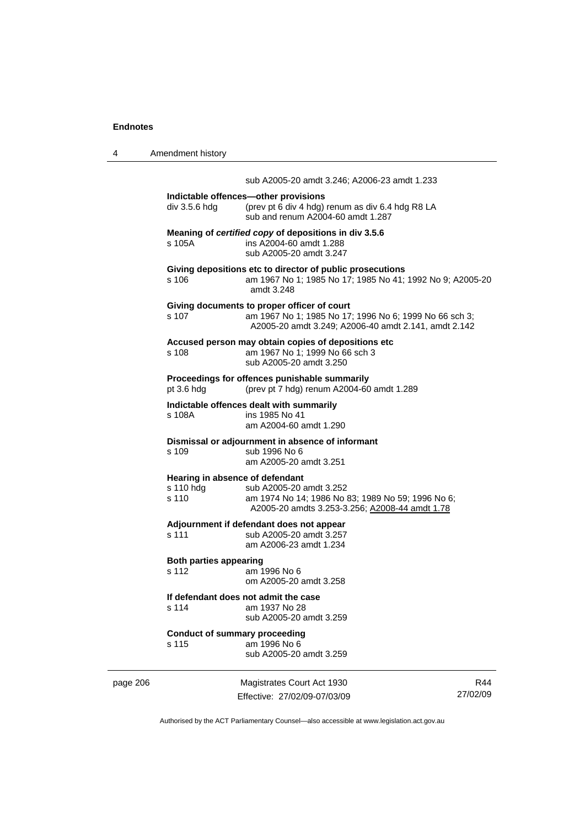| 4 | Amendment history                                     |                                                                                                                                                               |
|---|-------------------------------------------------------|---------------------------------------------------------------------------------------------------------------------------------------------------------------|
|   |                                                       | sub A2005-20 amdt 3.246; A2006-23 amdt 1.233                                                                                                                  |
|   | div 3.5.6 hdg                                         | Indictable offences-other provisions<br>(prev pt 6 div 4 hdg) renum as div 6.4 hdg R8 LA<br>sub and renum A2004-60 amdt 1.287                                 |
|   | s 105A                                                | Meaning of certified copy of depositions in div 3.5.6<br>ins A2004-60 amdt 1.288<br>sub A2005-20 amdt 3.247                                                   |
|   | s 106                                                 | Giving depositions etc to director of public prosecutions<br>am 1967 No 1; 1985 No 17; 1985 No 41; 1992 No 9; A2005-20<br>amdt 3.248                          |
|   | s 107                                                 | Giving documents to proper officer of court<br>am 1967 No 1; 1985 No 17; 1996 No 6; 1999 No 66 sch 3;<br>A2005-20 amdt 3.249; A2006-40 amdt 2.141, amdt 2.142 |
|   | s 108                                                 | Accused person may obtain copies of depositions etc<br>am 1967 No 1; 1999 No 66 sch 3<br>sub A2005-20 amdt 3.250                                              |
|   | pt 3.6 hdg                                            | Proceedings for offences punishable summarily<br>(prev pt 7 hdg) renum A2004-60 amdt 1.289                                                                    |
|   | s 108A                                                | Indictable offences dealt with summarily<br>ins 1985 No 41<br>am A2004-60 amdt 1.290                                                                          |
|   | s 109                                                 | Dismissal or adjournment in absence of informant<br>sub 1996 No 6<br>am A2005-20 amdt 3.251                                                                   |
|   | Hearing in absence of defendant<br>s 110 hdg<br>s 110 | sub A2005-20 amdt 3.252<br>am 1974 No 14; 1986 No 83; 1989 No 59; 1996 No 6;<br>A2005-20 amdts 3.253-3.256; A2008-44 amdt 1.78                                |
|   | s 111                                                 | Adjournment if defendant does not appear<br>sub A2005-20 amdt 3.257<br>am A2006-23 amdt 1.234                                                                 |
|   | <b>Both parties appearing</b><br>s 112                | am 1996 No 6<br>om A2005-20 amdt 3.258                                                                                                                        |
|   | s 114                                                 | If defendant does not admit the case<br>am 1937 No 28<br>sub A2005-20 amdt 3.259                                                                              |
|   | <b>Conduct of summary proceeding</b><br>s 115         | am 1996 No 6<br>sub A2005-20 amdt 3.259                                                                                                                       |

page 206 Magistrates Court Act 1930 Effective: 27/02/09-07/03/09

R44 27/02/09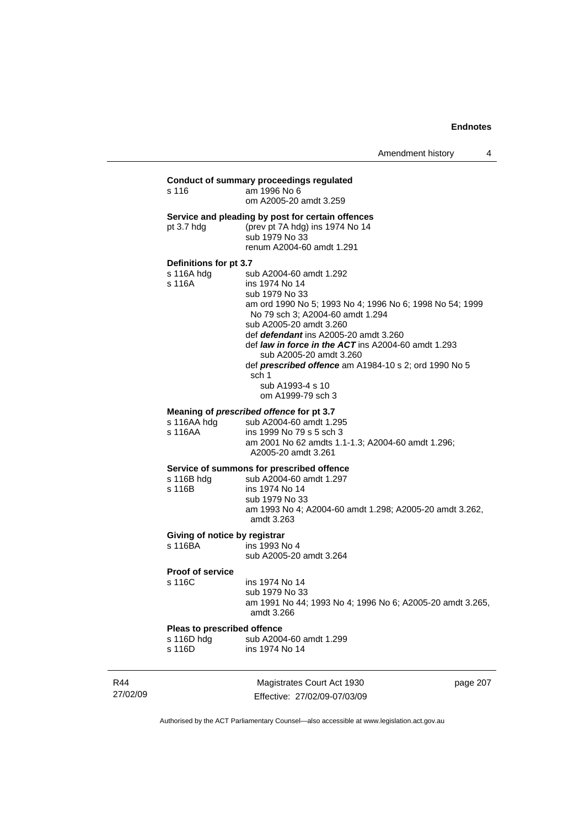# **Conduct of summary proceedings regulated**  s 116 am 1996 No 6 om A2005-20 amdt 3.259 **Service and pleading by post for certain offences**  pt 3.7 hdg (prev pt 7A hdg) ins 1974 No 14 sub 1979 No 33 renum A2004-60 amdt 1.291 **Definitions for pt 3.7**  sub A2004-60 amdt 1.292 s 116A ins 1974 No 14 sub 1979 No 33 am ord 1990 No 5; 1993 No 4; 1996 No 6; 1998 No 54; 1999 No 79 sch 3; A2004-60 amdt 1.294 sub A2005-20 amdt 3.260 def *defendant* ins A2005-20 amdt 3.260 def *law in force in the ACT* ins A2004-60 amdt 1.293 sub A2005-20 amdt 3.260 def *prescribed offence* am A1984-10 s 2; ord 1990 No 5 sch 1 sub A1993-4 s 10 om A1999-79 sch 3 **Meaning of** *prescribed offence* **for pt 3.7 s** 116AA hdg sub A2004-60 amdt 1.2 s 116AA hdg sub A2004-60 amdt 1.295<br>s 116AA ins 1999 No 79 s 5 sch 3 ins 1999 No 79 s 5 sch 3 am 2001 No 62 amdts 1.1-1.3; A2004-60 amdt 1.296; A2005-20 amdt 3.261 **Service of summons for prescribed offence**

|  |  | Service of summons for prescribed offence |  |
|--|--|-------------------------------------------|--|
|--|--|-------------------------------------------|--|

| s 116B hdg | sub A2004-60 amdt 1.297                                 |
|------------|---------------------------------------------------------|
| s 116B     | ins 1974 No 14                                          |
|            | sub 1979 No 33                                          |
|            | am 1993 No 4; A2004-60 amdt 1.298; A2005-20 amdt 3.262, |
|            | amdt 3.263                                              |

# **Giving of notice by registrar**

s 116BA ins 1993 No 4 sub A2005-20 amdt 3.264

#### **Proof of service**

s 116C ins 1974 No 14 sub 1979 No 33 am 1991 No 44; 1993 No 4; 1996 No 6; A2005-20 amdt 3.265, amdt 3.266

**Pleas to prescribed offence**<br>s 116D hdg sub A200 sub A2004-60 amdt 1.299 s 116D ins 1974 No 14

R44 27/02/09

Magistrates Court Act 1930 Effective: 27/02/09-07/03/09 page 207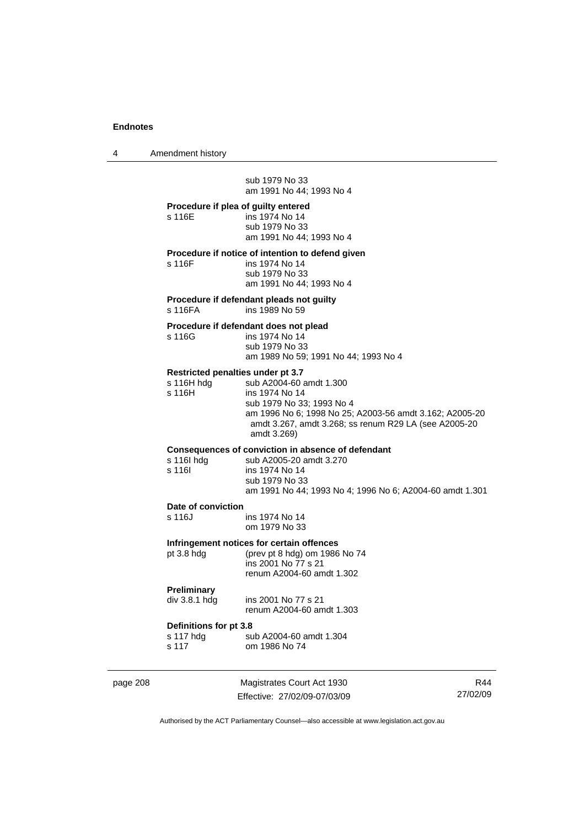4 Amendment history

 sub 1979 No 33 am 1991 No 44; 1993 No 4 **Procedure if plea of guilty entered**  s 116E ins 1974 No 14 sub 1979 No 33 am 1991 No 44; 1993 No 4 **Procedure if notice of intention to defend given**  s 116F ins 1974 No 14 sub 1979 No 33 am 1991 No 44; 1993 No 4 **Procedure if defendant pleads not guilty**  s 116FA ins 1989 No 59 **Procedure if defendant does not plead**  s 116G ins 1974 No 14 sub 1979 No 33 am 1989 No 59; 1991 No 44; 1993 No 4 **Restricted penalties under pt 3.7**  s 116H hdg sub A2004-60 amdt 1.300<br>s 116H ins 1974 No 14 ins 1974 No 14 sub 1979 No 33; 1993 No 4 am 1996 No 6; 1998 No 25; A2003-56 amdt 3.162; A2005-20 amdt 3.267, amdt 3.268; ss renum R29 LA (see A2005-20 amdt 3.269) **Consequences of conviction in absence of defendant**  s 116I hdg sub A2005-20 amdt 3.270<br>s 116I ins 1974 No 14 ins 1974 No 14 sub 1979 No 33 am 1991 No 44; 1993 No 4; 1996 No 6; A2004-60 amdt 1.301 **Date of conviction**  s 116J ins 1974 No 14 om 1979 No 33 **Infringement notices for certain offences**  pt 3.8 hdg (prev pt 8 hdg) om 1986 No 74 ins 2001 No 77 s 21 renum A2004-60 amdt 1.302 **Preliminary**  ins 2001 No 77 s 21 renum A2004-60 amdt 1.303 **Definitions for pt 3.8**  s 117 hdg sub A2004-60 amdt 1.304<br>s 117 om 1986 No 74 om 1986 No 74

page 208 Magistrates Court Act 1930 Effective: 27/02/09-07/03/09

R44 27/02/09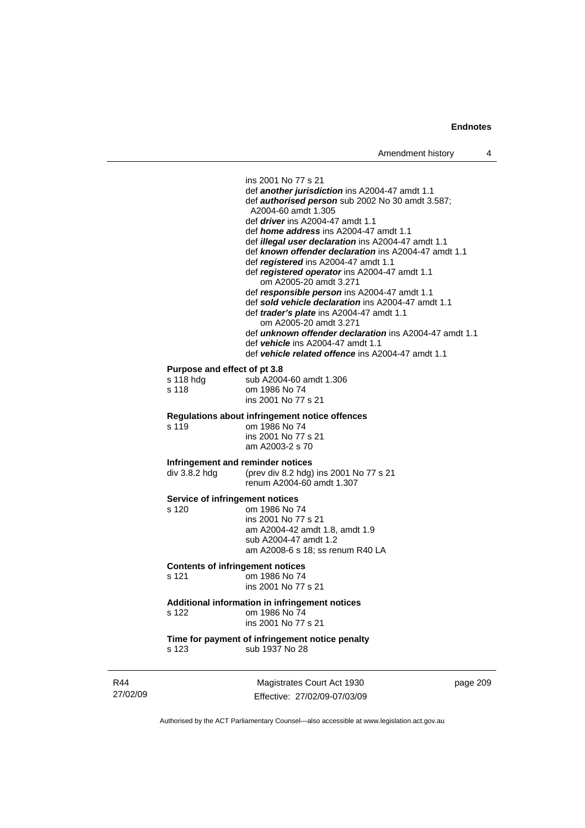ins 2001 No 77 s 21 def *another jurisdiction* ins A2004-47 amdt 1.1 def *authorised person* sub 2002 No 30 amdt 3.587; A2004-60 amdt 1.305 def *driver* ins A2004-47 amdt 1.1 def *home address* ins A2004-47 amdt 1.1 def *illegal user declaration* ins A2004-47 amdt 1.1 def *known offender declaration* ins A2004-47 amdt 1.1 def *registered* ins A2004-47 amdt 1.1 def *registered operator* ins A2004-47 amdt 1.1 om A2005-20 amdt 3.271 def *responsible person* ins A2004-47 amdt 1.1 def *sold vehicle declaration* ins A2004-47 amdt 1.1 def *trader's plate* ins A2004-47 amdt 1.1 om A2005-20 amdt 3.271 def *unknown offender declaration* ins A2004-47 amdt 1.1 def *vehicle* ins A2004-47 amdt 1.1 def *vehicle related offence* ins A2004-47 amdt 1.1 **Purpose and effect of pt 3.8**  sub A2004-60 amdt 1.306 s 118 om 1986 No 74 ins 2001 No 77 s 21 **Regulations about infringement notice offences**  s 119 om 1986 No 74 ins 2001 No 77 s 21 am A2003-2 s 70 **Infringement and reminder notices**  div 3.8.2 hdg (prev div 8.2 hdg) ins 2001 No 77 s 21 renum A2004-60 amdt 1.307 **Service of infringement notices**  s 120 om 1986 No 74 ins 2001 No 77 s 21 am A2004-42 amdt 1.8, amdt 1.9 sub A2004-47 amdt 1.2 am A2008-6 s 18; ss renum R40 LA **Contents of infringement notices**  s 121 om 1986 No 74 ins 2001 No 77 s 21 **Additional information in infringement notices**  s 122 om 1986 No 74 ins 2001 No 77 s 21 **Time for payment of infringement notice penalty**  s 123 sub 1937 No 28

R44 27/02/09

Magistrates Court Act 1930 Effective: 27/02/09-07/03/09 page 209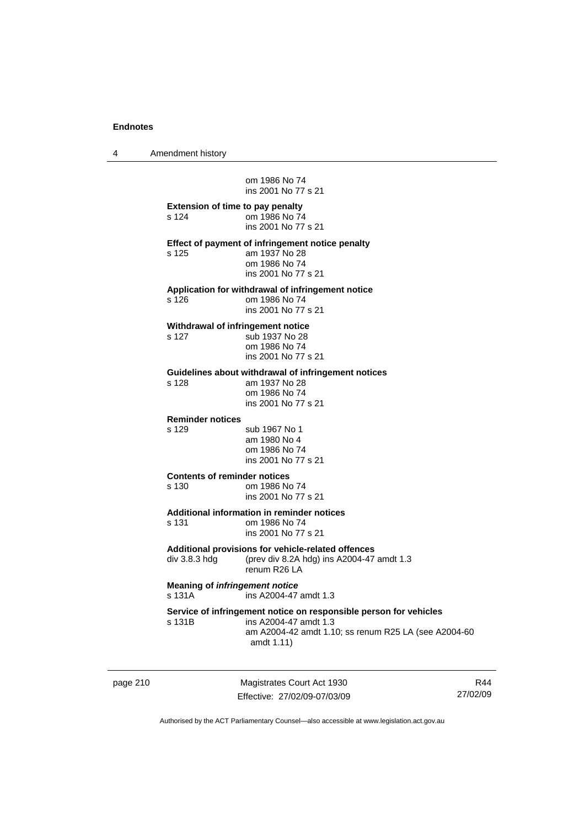4 Amendment history

 om 1986 No 74 ins 2001 No 77 s 21 **Extension of time to pay penalty**  s 124 om 1986 No 74 ins 2001 No 77 s 21 **Effect of payment of infringement notice penalty**  s 125 am 1937 No 28 om 1986 No 74 ins 2001 No 77 s 21 **Application for withdrawal of infringement notice**  s 126 om 1986 No 74 ins 2001 No 77 s 21 **Withdrawal of infringement notice**  s 127 sub 1937 No 28 om 1986 No 74 ins 2001 No 77 s 21 **Guidelines about withdrawal of infringement notices**  s 128 am 1937 No 28 om 1986 No 74 ins 2001 No 77 s 21 **Reminder notices**  s 129 sub 1967 No 1 am 1980 No 4 om 1986 No 74 ins 2001 No 77 s 21 **Contents of reminder notices**  s 130 om 1986 No 74 ins 2001 No 77 s 21 **Additional information in reminder notices**  om 1986 No 74 ins 2001 No 77 s 21 **Additional provisions for vehicle-related offences**  div 3.8.3 hdg (prev div 8.2A hdg) ins A2004-47 amdt 1.3 renum R26 LA **Meaning of** *infringement notice* s 131A ins A2004-47 amdt 1.3 **Service of infringement notice on responsible person for vehicles**  ins A2004-47 amdt 1.3 am A2004-42 amdt 1.10; ss renum R25 LA (see A2004-60 amdt 1.11)

page 210 Magistrates Court Act 1930 Effective: 27/02/09-07/03/09

R44 27/02/09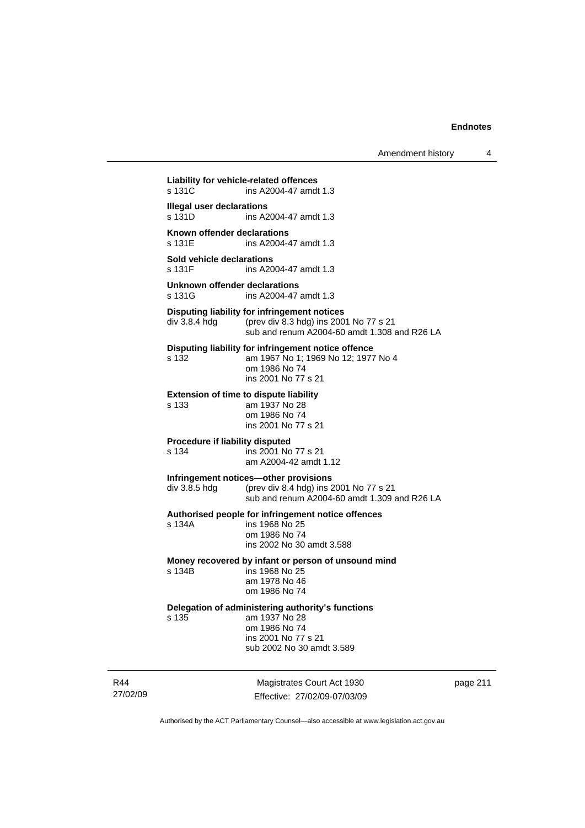Amendment history 4

27/02/09 Magistrates Court Act 1930 **Liability for vehicle-related offences**  s 131C ins A2004-47 amdt 1.3 **Illegal user declarations**<br>s 131D **ins A** ins A2004-47 amdt 1.3 **Known offender declarations**  s 131E ins A2004-47 amdt 1.3 **Sold vehicle declarations**  s 131F ins A2004-47 amdt 1.3 **Unknown offender declarations**  ins A2004-47 amdt 1.3 **Disputing liability for infringement notices**  div 3.8.4 hdg (prev div 8.3 hdg) ins 2001 No 77 s 21 sub and renum A2004-60 amdt 1.308 and R26 LA **Disputing liability for infringement notice offence**  s 132 am 1967 No 1; 1969 No 12; 1977 No 4 om 1986 No 74 ins 2001 No 77 s 21 **Extension of time to dispute liability**  s 133 am 1937 No 28 om 1986 No 74 ins 2001 No 77 s 21 **Procedure if liability disputed**  s 134 ins 2001 No 77 s 21 am A2004-42 amdt 1.12 **Infringement notices—other provisions**  div 3.8.5 hdg (prev div 8.4 hdg) ins 2001 No 77 s 21 sub and renum A2004-60 amdt 1.309 and R26 LA **Authorised people for infringement notice offences**  s 134A ins 1968 No 25 om 1986 No 74 ins 2002 No 30 amdt 3.588 **Money recovered by infant or person of unsound mind**  s 134B ins 1968 No 25 am 1978 No 46 om 1986 No 74 **Delegation of administering authority's functions**  s 135 am 1937 No 28 om 1986 No 74 ins 2001 No 77 s 21 sub 2002 No 30 amdt 3.589

page 211

Authorised by the ACT Parliamentary Counsel—also accessible at www.legislation.act.gov.au

Effective: 27/02/09-07/03/09

R44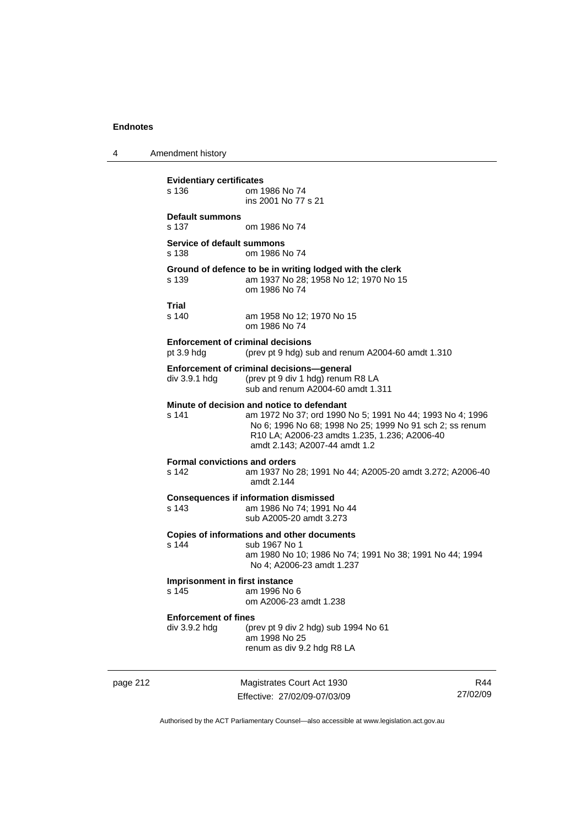4 Amendment history

page 212 Magistrates Court Act 1930 Effective: 27/02/09-07/03/09 R44 27/02/09 **Evidentiary certificates**  s 136 om 1986 No 74 ins 2001 No 77 s 21 **Default summons**  s 137 om 1986 No 74 **Service of default summons**  s 138 om 1986 No 74 **Ground of defence to be in writing lodged with the clerk**  s 139 am 1937 No 28; 1958 No 12; 1970 No 15 om 1986 No 74 **Trial**  am 1958 No 12; 1970 No 15 om 1986 No 74 **Enforcement of criminal decisions**  pt 3.9 hdg (prev pt 9 hdg) sub and renum A2004-60 amdt 1.310 **Enforcement of criminal decisions—general**  div 3.9.1 hdg (prev pt 9 div 1 hdg) renum R8 LA sub and renum A2004-60 amdt 1.311 **Minute of decision and notice to defendant**<br>s 141 am 1972 No 37: ord 1990 am 1972 No 37; ord 1990 No 5; 1991 No 44; 1993 No 4; 1996 No 6; 1996 No 68; 1998 No 25; 1999 No 91 sch 2; ss renum R10 LA; A2006-23 amdts 1.235, 1.236; A2006-40 amdt 2.143; A2007-44 amdt 1.2 **Formal convictions and orders**  s 142 am 1937 No 28; 1991 No 44; A2005-20 amdt 3.272; A2006-40 amdt 2.144 **Consequences if information dismissed**  s 143 am 1986 No 74; 1991 No 44 sub A2005-20 amdt 3.273 **Copies of informations and other documents**  sub 1967 No 1 am 1980 No 10; 1986 No 74; 1991 No 38; 1991 No 44; 1994 No 4; A2006-23 amdt 1.237 **Imprisonment in first instance**<br>s 145 am 1996 No am 1996 No 6 om A2006-23 amdt 1.238 **Enforcement of fines**  div 3.9.2 hdg (prev pt 9 div 2 hdg) sub 1994 No 61 am 1998 No 25 renum as div 9.2 hdg R8 LA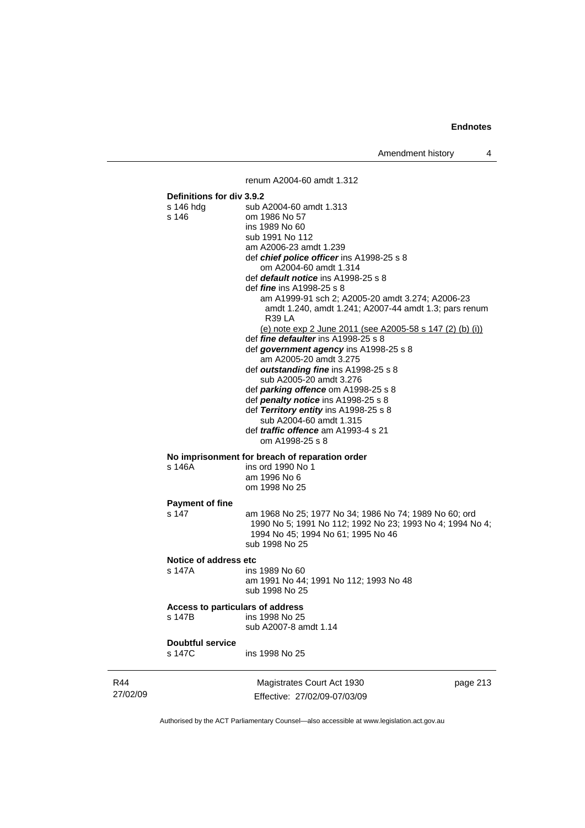Amendment history 4

renum A2004-60 amdt 1.312

|                 | Definitions for div 3.9.2<br>s 146 hdg<br>s 146 | sub A2004-60 amdt 1.313<br>om 1986 No 57<br>ins 1989 No 60<br>sub 1991 No 112<br>am A2006-23 amdt 1.239<br>def chief police officer ins A1998-25 s 8<br>om A2004-60 amdt 1.314<br>def default notice ins A1998-25 s 8<br>def <i>fine</i> ins A1998-25 s 8<br>am A1999-91 sch 2; A2005-20 amdt 3.274; A2006-23<br>amdt 1.240, amdt 1.241; A2007-44 amdt 1.3; pars renum<br><b>R39 LA</b><br>(e) note exp 2 June 2011 (see A2005-58 s 147 (2) (b) (i))<br>def fine defaulter ins A1998-25 s 8<br>def government agency ins A1998-25 s 8<br>am A2005-20 amdt 3.275<br>def outstanding fine ins A1998-25 s 8<br>sub A2005-20 amdt 3.276<br>def parking offence om A1998-25 s 8<br>def penalty notice ins A1998-25 s 8<br>def Territory entity ins A1998-25 s 8<br>sub A2004-60 amdt 1.315<br>def <i>traffic</i> offence am A1993-4 s 21<br>om A1998-25 s 8 |          |
|-----------------|-------------------------------------------------|--------------------------------------------------------------------------------------------------------------------------------------------------------------------------------------------------------------------------------------------------------------------------------------------------------------------------------------------------------------------------------------------------------------------------------------------------------------------------------------------------------------------------------------------------------------------------------------------------------------------------------------------------------------------------------------------------------------------------------------------------------------------------------------------------------------------------------------------------------|----------|
|                 | s 146A                                          | No imprisonment for breach of reparation order<br>ins ord 1990 No 1<br>am 1996 No 6<br>om 1998 No 25                                                                                                                                                                                                                                                                                                                                                                                                                                                                                                                                                                                                                                                                                                                                                   |          |
|                 | <b>Payment of fine</b><br>s 147                 | am 1968 No 25; 1977 No 34; 1986 No 74; 1989 No 60; ord<br>1990 No 5; 1991 No 112; 1992 No 23; 1993 No 4; 1994 No 4;<br>1994 No 45; 1994 No 61; 1995 No 46<br>sub 1998 No 25                                                                                                                                                                                                                                                                                                                                                                                                                                                                                                                                                                                                                                                                            |          |
|                 | Notice of address etc<br>s 147A                 | ins 1989 No 60<br>am 1991 No 44; 1991 No 112; 1993 No 48<br>sub 1998 No 25                                                                                                                                                                                                                                                                                                                                                                                                                                                                                                                                                                                                                                                                                                                                                                             |          |
|                 | Access to particulars of address<br>s 147B      | ins 1998 No 25<br>sub A2007-8 amdt 1.14                                                                                                                                                                                                                                                                                                                                                                                                                                                                                                                                                                                                                                                                                                                                                                                                                |          |
|                 | <b>Doubtful service</b><br>s 147C               | ins 1998 No 25                                                                                                                                                                                                                                                                                                                                                                                                                                                                                                                                                                                                                                                                                                                                                                                                                                         |          |
| R44<br>27/02/09 |                                                 | Magistrates Court Act 1930<br>Effective: 27/02/09-07/03/09                                                                                                                                                                                                                                                                                                                                                                                                                                                                                                                                                                                                                                                                                                                                                                                             | page 213 |

Authorised by the ACT Parliamentary Counsel—also accessible at www.legislation.act.gov.au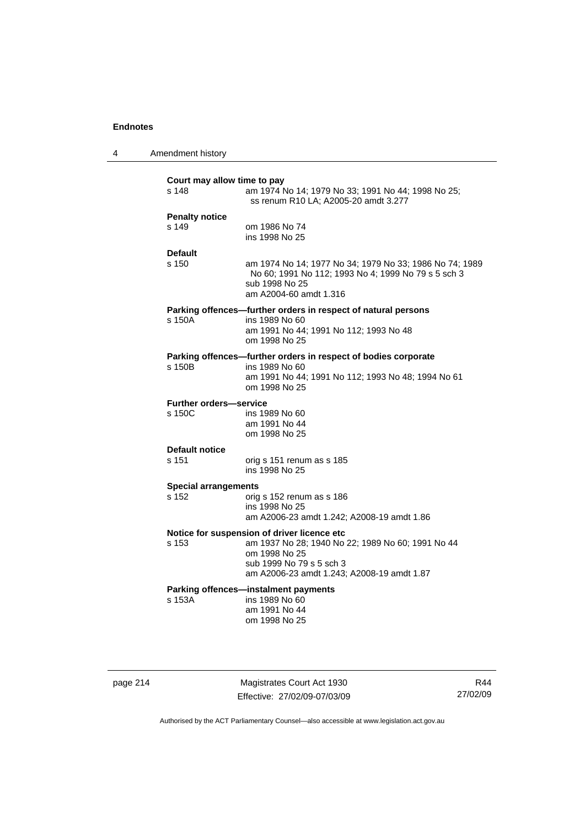| Amendment history |  |
|-------------------|--|
|                   |  |

| Court may allow time to pay<br>s 148    | am 1974 No 14; 1979 No 33; 1991 No 44; 1998 No 25;<br>ss renum R10 LA; A2005-20 amdt 3.277                                                                                                  |
|-----------------------------------------|---------------------------------------------------------------------------------------------------------------------------------------------------------------------------------------------|
| <b>Penalty notice</b><br>s 149          | om 1986 No 74<br>ins 1998 No 25                                                                                                                                                             |
| <b>Default</b><br>s 150                 | am 1974 No 14; 1977 No 34; 1979 No 33; 1986 No 74; 1989<br>No 60; 1991 No 112; 1993 No 4; 1999 No 79 s 5 sch 3<br>sub 1998 No 25<br>am A2004-60 amdt 1.316                                  |
| s 150A                                  | Parking offences-further orders in respect of natural persons<br>ins 1989 No 60<br>am 1991 No 44; 1991 No 112; 1993 No 48<br>om 1998 No 25                                                  |
| s 150B                                  | Parking offences-further orders in respect of bodies corporate<br>ins 1989 No 60<br>am 1991 No 44; 1991 No 112; 1993 No 48; 1994 No 61<br>om 1998 No 25                                     |
| <b>Further orders-service</b><br>s 150C | ins 1989 No 60<br>am 1991 No 44<br>om 1998 No 25                                                                                                                                            |
| <b>Default notice</b><br>s 151          | orig s 151 renum as s 185<br>ins 1998 No 25                                                                                                                                                 |
| <b>Special arrangements</b><br>s 152    | orig s 152 renum as s 186<br>ins 1998 No 25<br>am A2006-23 amdt 1.242; A2008-19 amdt 1.86                                                                                                   |
| s 153                                   | Notice for suspension of driver licence etc<br>am 1937 No 28; 1940 No 22; 1989 No 60; 1991 No 44<br>om 1998 No 25<br>sub 1999 No 79 s 5 sch 3<br>am A2006-23 amdt 1.243; A2008-19 amdt 1.87 |
| s 153A                                  | Parking offences-instalment payments<br>ins 1989 No 60<br>am 1991 No 44<br>om 1998 No 25                                                                                                    |

page 214 Magistrates Court Act 1930 Effective: 27/02/09-07/03/09

R44 27/02/09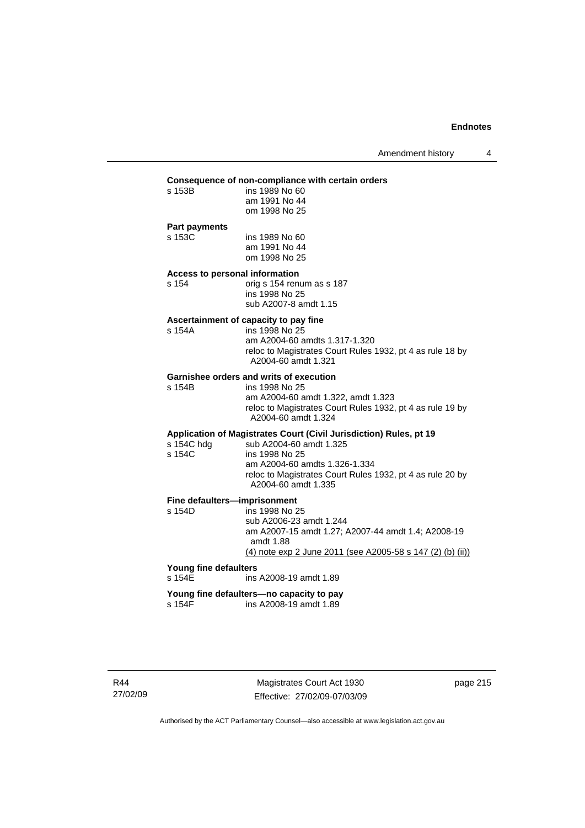# **Consequence of non-compliance with certain orders**

| .<br>s 153B | .<br>ins 1989 No 60 |
|-------------|---------------------|
|             | am 1991 No 44       |
|             | om 1998 No 25       |
|             |                     |

# **Part payments**

s 153B

s 153C ins 1989 No 60 am 1991 No 44 om 1998 No 25

# **Access to personal information**

s 154 orig s 154 renum as s 187 ins 1998 No 25 sub A2007-8 amdt 1.15

#### **Ascertainment of capacity to pay fine**

s 154A ins 1998 No 25 am A2004-60 amdts 1.317-1.320 reloc to Magistrates Court Rules 1932, pt 4 as rule 18 by A2004-60 amdt 1.321

# **Garnishee orders and writs of execution**<br>s 154B<br>ins 1998 No 25

ins 1998 No 25

 am A2004-60 amdt 1.322, amdt 1.323 reloc to Magistrates Court Rules 1932, pt 4 as rule 19 by A2004-60 amdt 1.324

# **Application of Magistrates Court (Civil Jurisdiction) Rules, pt 19**

| s 154C hdg | sub A2004-60 amdt 1.325                                                          |
|------------|----------------------------------------------------------------------------------|
| s 154C     | ins 1998 No 25                                                                   |
|            | am A2004-60 amdts 1.326-1.334                                                    |
|            | reloc to Magistrates Court Rules 1932, pt 4 as rule 20 by<br>A2004-60 amdt 1.335 |

# **Fine defaulters—imprisonment**<br>s 154D ins 1998 No 2

ins 1998 No 25 sub A2006-23 amdt 1.244 am A2007-15 amdt 1.27; A2007-44 amdt 1.4; A2008-19 amdt 1.88 (4) note exp 2 June 2011 (see A2005-58 s 147 (2) (b) (ii))

# **Young fine defaulters**

ins A2008-19 amdt 1.89

#### **Young fine defaulters—no capacity to pay**  s 154F ins A2008-19 amdt 1.89

page 215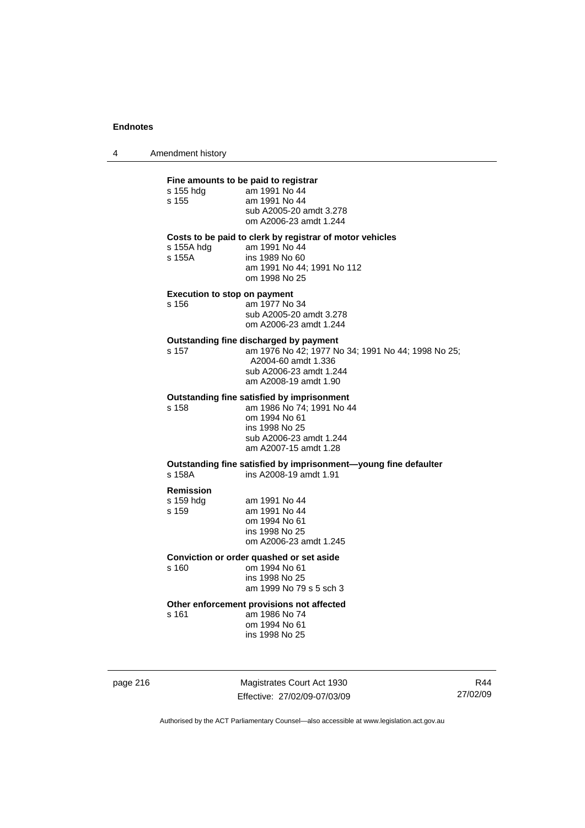4 Amendment history

### **Fine amounts to be paid to registrar**

| s 155 hdg | am 1991 No 44           |
|-----------|-------------------------|
| s 155     | am 1991 No 44           |
|           | sub A2005-20 amdt 3.278 |
|           | om A2006-23 amdt 1.244  |
|           |                         |

#### **Costs to be paid to clerk by registrar of motor vehicles**

s 155A hdg am 1991 No 44<br>s 155A ins 1989 No 60

| s 155A | ins 1989 No 60 |  |                            |  |
|--------|----------------|--|----------------------------|--|
|        |                |  | am 1991 No 44; 1991 No 112 |  |
|        | om 1998 No 25  |  |                            |  |

# **Execution to stop on payment**

s 156 am 1977 No 34 sub A2005-20 amdt 3.278 om A2006-23 amdt 1.244

# **Outstanding fine discharged by payment**<br>s 157 cm 1976 No 42; 1977 No

s 157 am 1976 No 42; 1977 No 34; 1991 No 44; 1998 No 25; A2004-60 amdt 1.336 sub A2006-23 amdt 1.244 am A2008-19 amdt 1.90

#### **Outstanding fine satisfied by imprisonment**

s 158 am 1986 No 74; 1991 No 44 om 1994 No 61 ins 1998 No 25 sub A2006-23 amdt 1.244 am A2007-15 amdt 1.28

### **Outstanding fine satisfied by imprisonment—young fine defaulter**  s 158A ins A2008-19 amdt 1.91

# **Remission**

| am 1991 No 44          |
|------------------------|
| am 1991 No 44          |
| om 1994 No 61          |
| ins 1998 No 25         |
| om A2006-23 amdt 1.245 |
|                        |

### **Conviction or order quashed or set aside**

s 160 om 1994 No 61 ins 1998 No 25 am 1999 No 79 s 5 sch 3

### **Other enforcement provisions not affected**

s 161 am 1986 No 74 om 1994 No 61 ins 1998 No 25

page 216 Magistrates Court Act 1930 Effective: 27/02/09-07/03/09

R44 27/02/09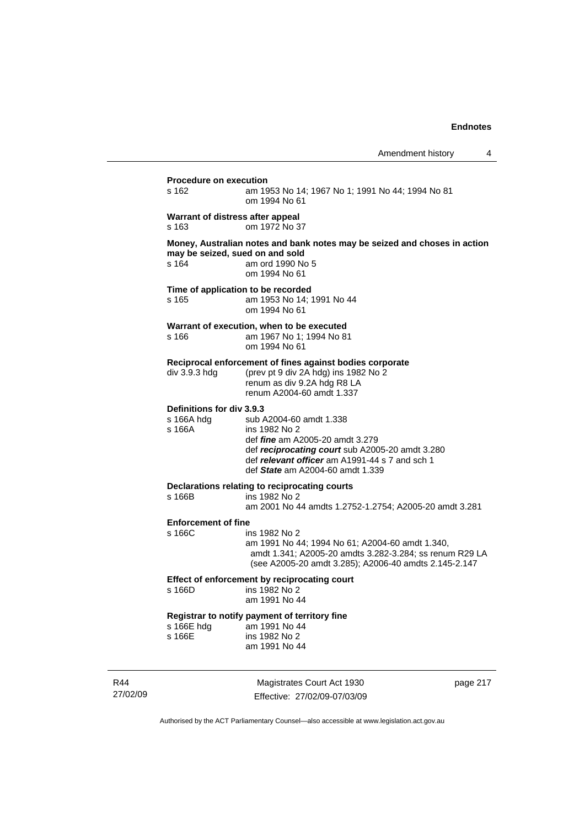| s 162                                             | am 1953 No 14; 1967 No 1; 1991 No 44; 1994 No 81<br>om 1994 No 61                                                                                                                                                           |
|---------------------------------------------------|-----------------------------------------------------------------------------------------------------------------------------------------------------------------------------------------------------------------------------|
| s 163                                             | Warrant of distress after appeal<br>om 1972 No 37                                                                                                                                                                           |
| s 164                                             | Money, Australian notes and bank notes may be seized and choses in action<br>may be seized, sued on and sold<br>am ord 1990 No 5<br>om 1994 No 61                                                                           |
| s 165                                             | Time of application to be recorded<br>am 1953 No 14; 1991 No 44<br>om 1994 No 61                                                                                                                                            |
| s 166                                             | Warrant of execution, when to be executed<br>am 1967 No 1; 1994 No 81<br>om 1994 No 61                                                                                                                                      |
| div 3.9.3 hdg                                     | Reciprocal enforcement of fines against bodies corporate<br>(prev pt 9 div 2A hdg) ins 1982 No 2<br>renum as div 9.2A hdg R8 LA<br>renum A2004-60 amdt 1.337                                                                |
| Definitions for div 3.9.3<br>s 166A hdg<br>s 166A | sub A2004-60 amdt 1.338<br>ins 1982 No 2<br>def <i>fine</i> am A2005-20 amdt 3.279<br>def reciprocating court sub A2005-20 amdt 3.280<br>def relevant officer am A1991-44 s 7 and sch 1<br>def State am A2004-60 amdt 1.339 |
| s 166B                                            | Declarations relating to reciprocating courts<br>ins 1982 No 2<br>am 2001 No 44 amdts 1.2752-1.2754; A2005-20 amdt 3.281                                                                                                    |
| <b>Enforcement of fine</b><br>s 166C              | ins 1982 No 2<br>am 1991 No 44; 1994 No 61; A2004-60 amdt 1.340,<br>amdt 1.341; A2005-20 amdts 3.282-3.284; ss renum R29 LA<br>(see A2005-20 amdt 3.285); A2006-40 amdts 2.145-2.147                                        |
| s 166D                                            | Effect of enforcement by reciprocating court<br>ins 1982 No 2<br>am 1991 No 44                                                                                                                                              |
| s 166E hdg<br>s 166E                              | Registrar to notify payment of territory fine<br>am 1991 No 44<br>ins 1982 No 2<br>am 1991 No 44                                                                                                                            |

R44 27/02/09

Magistrates Court Act 1930 Effective: 27/02/09-07/03/09 page 217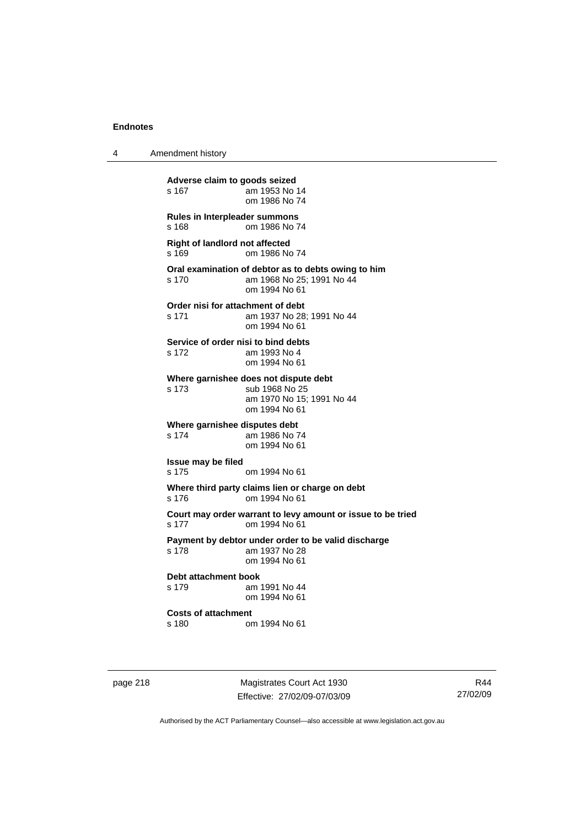4 Amendment history

**Adverse claim to goods seized**  s 167 am 1953 No 14 om 1986 No 74 **Rules in Interpleader summons**  s 168 om 1986 No 74 **Right of landlord not affected**  s 169 om 1986 No 74 **Oral examination of debtor as to debts owing to him**  s 170 am 1968 No 25; 1991 No 44 om 1994 No 61 **Order nisi for attachment of debt**  s 171 am 1937 No 28; 1991 No 44 om 1994 No 61 **Service of order nisi to bind debts**  s 172 am 1993 No 4 om 1994 No 61 **Where garnishee does not dispute debt**  s 173 sub 1968 No 25 am 1970 No 15; 1991 No 44 om 1994 No 61 **Where garnishee disputes debt**  s 174 am 1986 No 74 om 1994 No 61 **Issue may be filed**  s 175 om 1994 No 61 **Where third party claims lien or charge on debt**  s 176 om 1994 No 61 **Court may order warrant to levy amount or issue to be tried**  s 177 om 1994 No 61 **Payment by debtor under order to be valid discharge**  s 178 am 1937 No 28 om 1994 No 61 **Debt attachment book**  s 179 am 1991 No 44 om 1994 No 61 **Costs of attachment**  s 180 om 1994 No 61

page 218 Magistrates Court Act 1930 Effective: 27/02/09-07/03/09

R44 27/02/09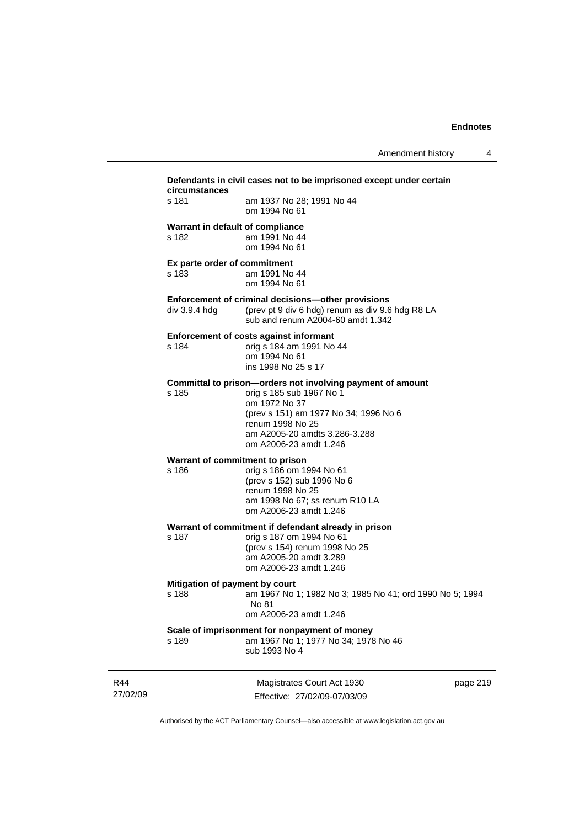| circumstances                             | Defendants in civil cases not to be imprisoned except under certain                                                                                                                                                             |
|-------------------------------------------|---------------------------------------------------------------------------------------------------------------------------------------------------------------------------------------------------------------------------------|
| s 181                                     | am 1937 No 28; 1991 No 44<br>om 1994 No 61                                                                                                                                                                                      |
| Warrant in default of compliance<br>s 182 | am 1991 No 44<br>om 1994 No 61                                                                                                                                                                                                  |
| Ex parte order of commitment<br>s 183     | am 1991 No 44<br>om 1994 No 61                                                                                                                                                                                                  |
| div 3.9.4 hdg                             | Enforcement of criminal decisions-other provisions<br>(prev pt 9 div 6 hdg) renum as div 9.6 hdg R8 LA<br>sub and renum A2004-60 amdt 1.342                                                                                     |
| s 184                                     | <b>Enforcement of costs against informant</b><br>orig s 184 am 1991 No 44<br>om 1994 No 61<br>ins 1998 No 25 s 17                                                                                                               |
| s 185                                     | Committal to prison-orders not involving payment of amount<br>orig s 185 sub 1967 No 1<br>om 1972 No 37<br>(prev s 151) am 1977 No 34; 1996 No 6<br>renum 1998 No 25<br>am A2005-20 amdts 3.286-3.288<br>om A2006-23 amdt 1.246 |
| Warrant of commitment to prison<br>s 186  | orig s 186 om 1994 No 61<br>(prev s 152) sub 1996 No 6<br>renum 1998 No 25<br>am 1998 No 67; ss renum R10 LA<br>om A2006-23 amdt 1.246                                                                                          |
| s 187                                     | Warrant of commitment if defendant already in prison<br>orig s 187 om 1994 No 61<br>(prev s 154) renum 1998 No 25<br>am A2005-20 amdt 3.289<br>om A2006-23 amdt 1.246                                                           |
| Mitigation of payment by court<br>s 188   | am 1967 No 1; 1982 No 3; 1985 No 41; ord 1990 No 5; 1994<br>No 81<br>om A2006-23 amdt 1.246                                                                                                                                     |
| s 189                                     | Scale of imprisonment for nonpayment of money<br>am 1967 No 1; 1977 No 34; 1978 No 46<br>sub 1993 No 4                                                                                                                          |

R44 27/02/09

Magistrates Court Act 1930 Effective: 27/02/09-07/03/09 page 219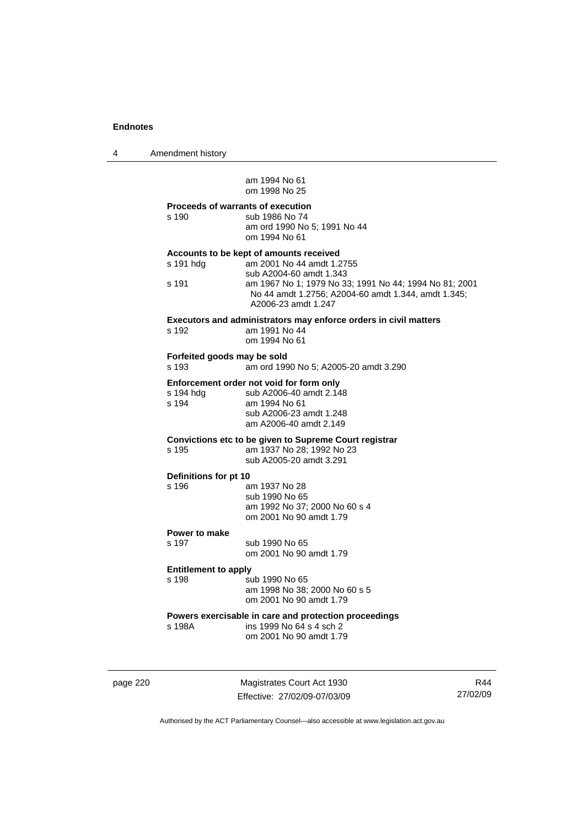4 Amendment history

 am 1994 No 61 om 1998 No 25

# **Proceeds of warrants of execution**  s 190 sub 1986 No 74 am ord 1990 No 5; 1991 No 44 om 1994 No 61 **Accounts to be kept of amounts received**  s 191 hdg am 2001 No 44 amdt 1.2755 sub A2004-60 amdt 1.343 s 191 am 1967 No 1; 1979 No 33; 1991 No 44; 1994 No 81; 2001 No 44 amdt 1.2756; A2004-60 amdt 1.344, amdt 1.345; A2006-23 amdt 1.247 **Executors and administrators may enforce orders in civil matters**  s 192 am 1991 No 44 om 1994 No 61 **Forfeited goods may be sold**  s 193 am ord 1990 No 5; A2005-20 amdt 3.290 **Enforcement order not void for form only**<br>s 194 hda sub A2006-40 amdt 2.14 s 194 hdg sub A2006-40 amdt 2.148<br>s 194 am 1994 No 61 am 1994 No 61 sub A2006-23 amdt 1.248 am A2006-40 amdt 2.149 **Convictions etc to be given to Supreme Court registrar**  s 195 am 1937 No 28; 1992 No 23 sub A2005-20 amdt 3.291 **Definitions for pt 10**  s 196 am 1937 No 28 sub 1990 No 65 am 1992 No 37; 2000 No 60 s 4 om 2001 No 90 amdt 1.79 **Power to make**  s 197 sub 1990 No 65 om 2001 No 90 amdt 1.79 **Entitlement to apply**  s 198 sub 1990 No 65 am 1998 No 38; 2000 No 60 s 5 om 2001 No 90 amdt 1.79 **Powers exercisable in care and protection proceedings**

s 198A ins 1999 No 64 s 4 sch 2 om 2001 No 90 amdt 1.79

page 220 Magistrates Court Act 1930 Effective: 27/02/09-07/03/09

R44 27/02/09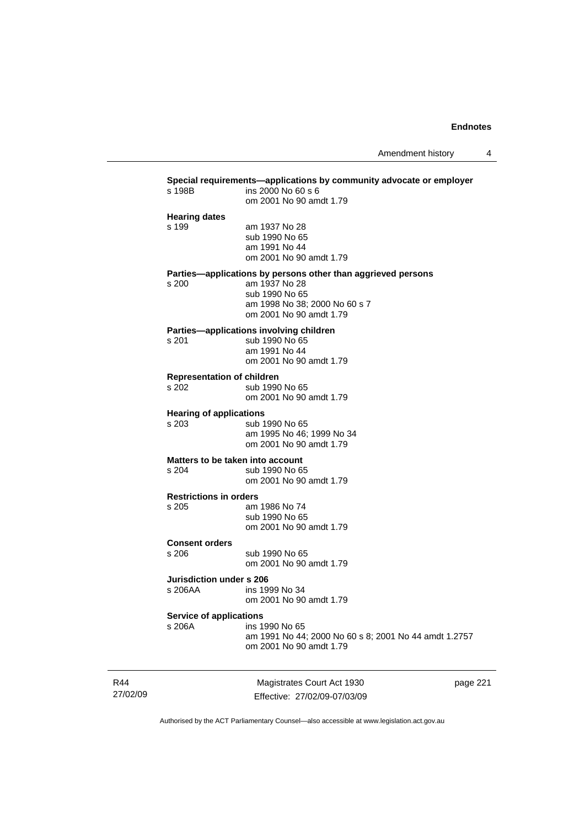| s 198B                                   | ins 2000 No 60 s 6                                           |
|------------------------------------------|--------------------------------------------------------------|
|                                          | om 2001 No 90 amdt 1.79                                      |
| <b>Hearing dates</b>                     |                                                              |
| s 199                                    | am 1937 No 28                                                |
|                                          | sub 1990 No 65                                               |
|                                          | am 1991 No 44                                                |
|                                          | om 2001 No 90 amdt 1.79                                      |
|                                          | Parties-applications by persons other than aggrieved persons |
| $s$ 200                                  | am 1937 No 28                                                |
|                                          | sub 1990 No 65                                               |
|                                          | am 1998 No 38; 2000 No 60 s 7                                |
|                                          | om 2001 No 90 amdt 1.79                                      |
|                                          | Parties-applications involving children                      |
| s 201                                    | sub 1990 No 65                                               |
|                                          | am 1991 No 44                                                |
|                                          | om 2001 No 90 amdt 1.79                                      |
| <b>Representation of children</b>        |                                                              |
| s 202                                    | sub 1990 No 65                                               |
|                                          | om 2001 No 90 amdt 1.79                                      |
| <b>Hearing of applications</b>           |                                                              |
| s 203                                    | sub 1990 No 65                                               |
|                                          | am 1995 No 46; 1999 No 34                                    |
|                                          | om 2001 No 90 amdt 1.79                                      |
|                                          | Matters to be taken into account                             |
| s 204                                    | sub 1990 No 65                                               |
|                                          | om 2001 No 90 amdt 1.79                                      |
| <b>Restrictions in orders</b>            |                                                              |
| s 205                                    | am 1986 No 74                                                |
|                                          | sub 1990 No 65                                               |
|                                          | om 2001 No 90 amdt 1.79                                      |
| <b>Consent orders</b>                    |                                                              |
| s 206                                    | sub 1990 No 65                                               |
|                                          | om 2001 No 90 amdt 1.79                                      |
| <b>Jurisdiction under s 206</b>          |                                                              |
| s 206AA                                  | ins 1999 No 34                                               |
|                                          | om 2001 No 90 amdt 1.79                                      |
|                                          |                                                              |
| <b>Service of applications</b><br>s 206A | ins 1990 No 65                                               |
|                                          | am 1991 No 44; 2000 No 60 s 8; 2001 No 44 amdt 1.2757        |
|                                          | om 2001 No 90 amdt 1.79                                      |

R44 27/02/09

Magistrates Court Act 1930 Effective: 27/02/09-07/03/09 page 221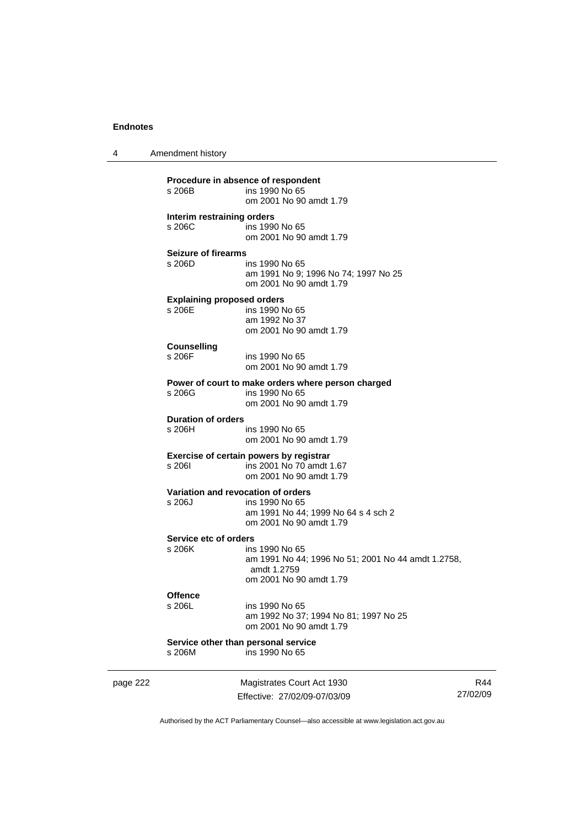4 Amendment history

|          | s 206B                                       | Procedure in absence of respondent<br>ins 1990 No 65<br>om 2001 No 90 amdt 1.79                                |
|----------|----------------------------------------------|----------------------------------------------------------------------------------------------------------------|
|          | Interim restraining orders<br>s 206C         | ins 1990 No 65<br>om 2001 No 90 amdt 1.79                                                                      |
|          | Seizure of firearms<br>s 206D                | ins 1990 No 65<br>am 1991 No 9; 1996 No 74; 1997 No 25<br>om 2001 No 90 amdt 1.79                              |
|          | <b>Explaining proposed orders</b><br>s 206E  | ins 1990 No 65<br>am 1992 No 37<br>om 2001 No 90 amdt 1.79                                                     |
|          | <b>Counselling</b><br>s 206F                 | ins 1990 No 65<br>om 2001 No 90 amdt 1.79                                                                      |
|          | s 206G                                       | Power of court to make orders where person charged<br>ins 1990 No 65<br>om 2001 No 90 amdt 1.79                |
|          | Duration of orders<br>s 206H                 | ins 1990 No 65<br>om 2001 No 90 amdt 1.79                                                                      |
|          | s 2061                                       | Exercise of certain powers by registrar<br>ins 2001 No 70 amdt 1.67<br>om 2001 No 90 amdt 1.79                 |
|          | Variation and revocation of orders<br>s 206J | ins 1990 No 65<br>am 1991 No 44; 1999 No 64 s 4 sch 2<br>om 2001 No 90 amdt 1.79                               |
|          | Service etc of orders<br>s 206K              | ins 1990 No 65<br>am 1991 No 44; 1996 No 51; 2001 No 44 amdt 1.2758,<br>amdt 1.2759<br>om 2001 No 90 amdt 1.79 |
|          | <b>Offence</b><br>s 206L                     | ins 1990 No 65<br>am 1992 No 37; 1994 No 81; 1997 No 25<br>om 2001 No 90 amdt 1.79                             |
|          | s 206M                                       | Service other than personal service<br>ins 1990 No 65                                                          |
| page 222 |                                              | Magistrates Court Act 1930                                                                                     |

Authorised by the ACT Parliamentary Counsel—also accessible at www.legislation.act.gov.au

R44 27/02/09

Effective: 27/02/09-07/03/09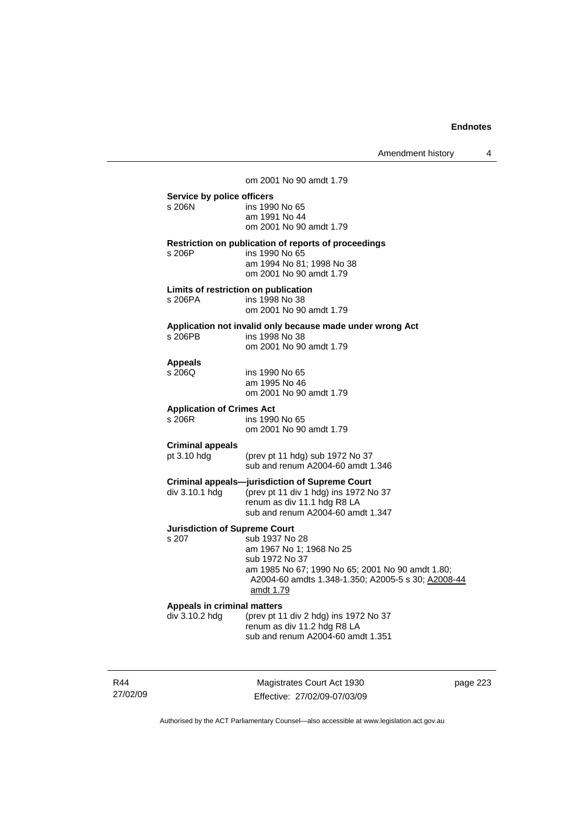|                                        | om 2001 No 90 amdt 1.79                                                |
|----------------------------------------|------------------------------------------------------------------------|
| Service by police officers<br>s 206N   | ins 1990 No 65<br>am 1991 No 44<br>om 2001 No 90 amdt 1.79             |
|                                        | Restriction on publication of reports of proceedings                   |
| s 206P                                 | ins 1990 No 65<br>am 1994 No 81: 1998 No 38<br>om 2001 No 90 amdt 1.79 |
| Limits of restriction on publication   |                                                                        |
| s 206PA                                | ins 1998 No 38<br>om 2001 No 90 amdt 1.79                              |
|                                        | Application not invalid only because made under wrong Act              |
| s 206PB                                | ins 1998 No 38<br>om 2001 No 90 amdt 1.79                              |
| <b>Appeals</b>                         |                                                                        |
| s 206Q                                 | ins 1990 No 65                                                         |
|                                        | am 1995 No 46                                                          |
|                                        | om 2001 No 90 amdt 1.79                                                |
| <b>Application of Crimes Act</b>       |                                                                        |
| s 206R                                 | ins 1990 No 65<br>om 2001 No 90 amdt 1.79                              |
|                                        |                                                                        |
| <b>Criminal appeals</b><br>pt 3.10 hdg |                                                                        |
|                                        | (prev pt 11 hdg) sub 1972 No 37<br>sub and renum A2004-60 amdt 1.346   |
|                                        | <b>Criminal appeals-jurisdiction of Supreme Court</b>                  |
| div 3.10.1 hdg                         | (prev pt 11 div 1 hdg) ins 1972 No 37                                  |
|                                        | renum as div 11.1 hdg R8 LA                                            |
|                                        | sub and renum A2004-60 amdt 1.347                                      |
| <b>Jurisdiction of Supreme Court</b>   |                                                                        |
| s 207                                  | sub 1937 No 28                                                         |
|                                        | am 1967 No 1: 1968 No 25<br>sub 1972 No 37                             |
|                                        | am 1985 No 67; 1990 No 65; 2001 No 90 amdt 1.80;                       |
|                                        | A2004-60 amdts 1.348-1.350; A2005-5 s 30; A2008-44<br>amdt 1.79        |
| Appeals in criminal matters            |                                                                        |
| div 3.10.2 hdg                         | (prev pt 11 div 2 hdg) ins 1972 No 37                                  |
|                                        | renum as div 11.2 hdg R8 LA                                            |
|                                        | sub and renum A2004-60 amdt 1.351                                      |
|                                        |                                                                        |

R44 27/02/09

Magistrates Court Act 1930 Effective: 27/02/09-07/03/09 page 223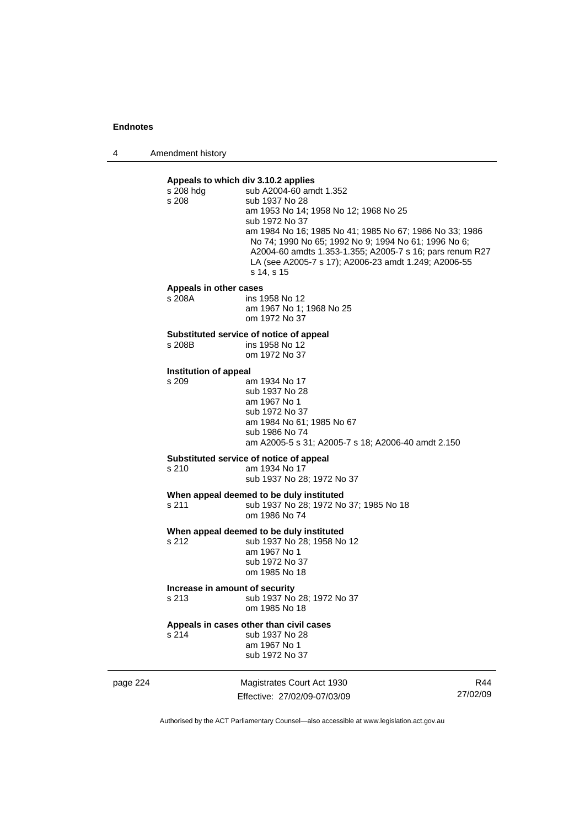4 Amendment history

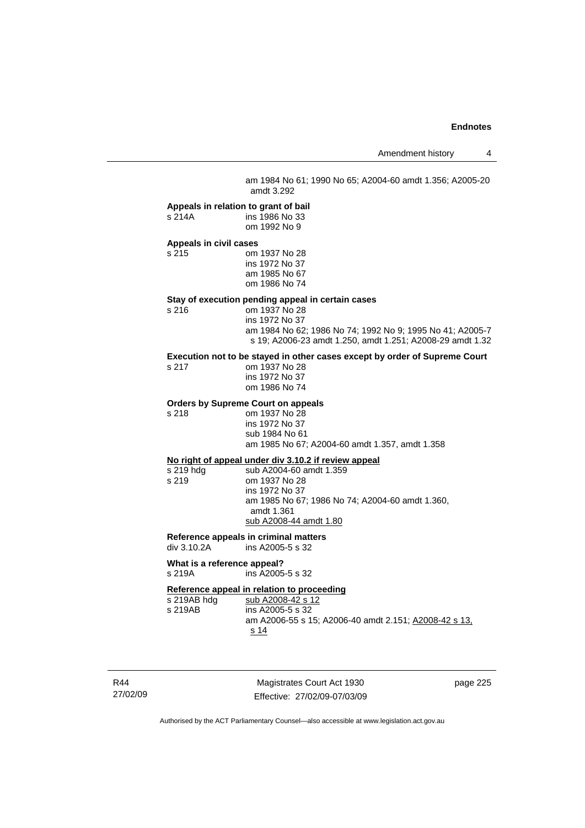am 1984 No 61; 1990 No 65; A2004-60 amdt 1.356; A2005-20 amdt 3.292

#### **Appeals in relation to grant of bail**

s 214A ins 1986 No 33 om 1992 No 9

# **Appeals in civil cases**

s 215 om 1937 No 28 ins 1972 No 37 am 1985 No 67 om 1986 No 74

# **Stay of execution pending appeal in certain cases**

om 1937 No 28 ins 1972 No 37

 am 1984 No 62; 1986 No 74; 1992 No 9; 1995 No 41; A2005-7 s 19; A2006-23 amdt 1.250, amdt 1.251; A2008-29 amdt 1.32

# **Execution not to be stayed in other cases except by order of Supreme Court**

| s 217 | om 1937 No 28  |
|-------|----------------|
|       | ins 1972 No 37 |
|       | om 1986 No 74  |

# **Orders by Supreme Court on appeals**

s 218 om 1937 No 28 ins 1972 No 37 sub 1984 No 61 am 1985 No 67; A2004-60 amdt 1.357, amdt 1.358

**No right of appeal under div 3.10.2 if review appeal** s 219 hdg sub A2004-60 amdt 1.359<br>s 219 om 1937 No 28 om 1937 No 28 ins 1972 No 37 am 1985 No 67; 1986 No 74; A2004-60 amdt 1.360, amdt 1.361 sub A2008-44 amdt 1.80

# **Reference appeals in criminal matters**

ins A2005-5 s 32

# **What is a reference appeal?**

s 219A ins A2005-5 s 32

# **Reference appeal in relation to proceeding**<br>s 219AB hdg sub A2008-42 s 12

s 219AB hdg sub A2008-42 s 12<br>s 219AB ins A2005-5 s 32 ins A2005-5 s 32 am A2006-55 s 15; A2006-40 amdt 2.151; A2008-42 s 13, s 14

R44 27/02/09

Magistrates Court Act 1930 Effective: 27/02/09-07/03/09 page 225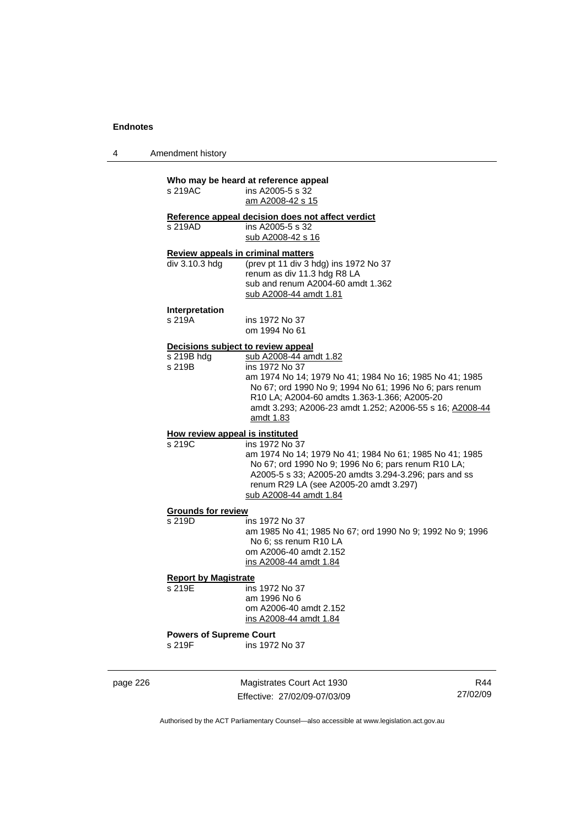4 Amendment history

#### **Who may be heard at reference appeal**   $ins$  A2005-5 s  $32$

|                                    | am A2008-42 s 15                                                 |
|------------------------------------|------------------------------------------------------------------|
|                                    | Reference appeal decision does not affect verdict                |
| s 219AD                            | ins A2005-5 s 32                                                 |
|                                    | sub A2008-42 s 16                                                |
| Review appeals in criminal matters |                                                                  |
| div 3.10.3 hdg                     | (prev pt 11 div 3 hdg) ins 1972 No 37                            |
|                                    | renum as div 11.3 hdg R8 LA<br>sub and renum A2004-60 amdt 1.362 |
|                                    |                                                                  |

 sub and renum A2004-60 amdt 1.362 sub A2008-44 amdt 1.81

**Interpretation** 

ins 1972 No 37 om 1994 No 61

# **Decisions subject to review appeal**

| s 219B hdg | sub A2008-44 amdt 1.82                                                             |
|------------|------------------------------------------------------------------------------------|
| s 219B     | ins 1972 No 37                                                                     |
|            | am 1974 No 14; 1979 No 41; 1984 No 16; 1985 No 41; 1985                            |
|            | No 67; ord 1990 No 9; 1994 No 61; 1996 No 6; pars renum                            |
|            | R <sub>10</sub> LA; A <sub>2004</sub> -60 amdts 1.363-1.366; A <sub>2005</sub> -20 |
|            | amdt 3.293; A2006-23 amdt 1.252; A2006-55 s 16; A2008-44                           |
|            | amdt 1.83                                                                          |

# **How review appeal is instituted**

s 219C ins 1972 No 37 am 1974 No 14; 1979 No 41; 1984 No 61; 1985 No 41; 1985 No 67; ord 1990 No 9; 1996 No 6; pars renum R10 LA; A2005-5 s 33; A2005-20 amdts 3.294-3.296; pars and ss renum R29 LA (see A2005-20 amdt 3.297) sub A2008-44 amdt 1.84

# **Grounds for review**

s 219D ins 1972 No 37

 am 1985 No 41; 1985 No 67; ord 1990 No 9; 1992 No 9; 1996 No 6; ss renum R10 LA om A2006-40 amdt 2.152

ins A2008-44 amdt 1.84

# **Report by Magistrate**<br>s 219E **ins**

 $\overline{\text{ins}}$  1972 No 37 am 1996 No 6 om A2006-40 amdt 2.152 ins A2008-44 amdt 1.84

# **Powers of Supreme Court**

ins 1972 No 37

page 226 Magistrates Court Act 1930 Effective: 27/02/09-07/03/09

R44 27/02/09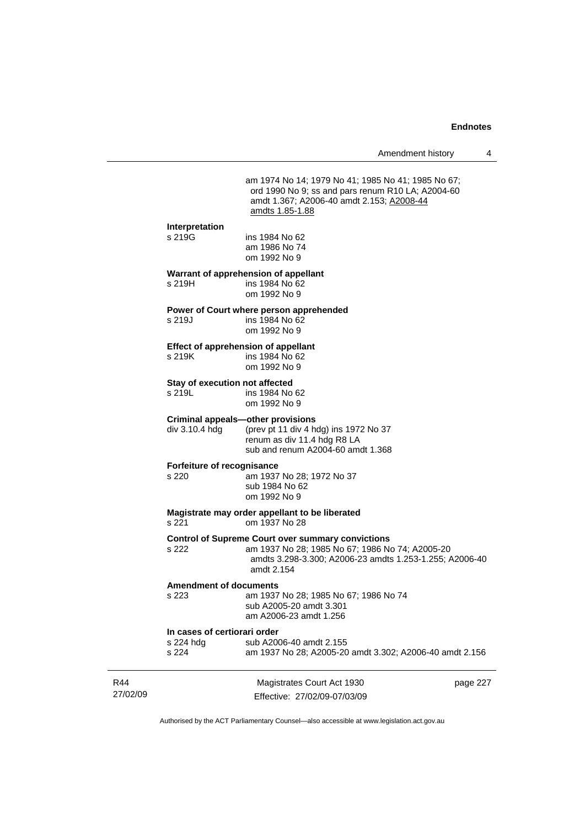am 1974 No 14; 1979 No 41; 1985 No 41; 1985 No 67; ord 1990 No 9; ss and pars renum R10 LA; A2004-60 amdt 1.367; A2006-40 amdt 2.153; A2008-44 amdts 1.85-1.88

### **Interpretation**

s 219G ins 1984 No 62 am 1986 No 74 om 1992 No 9

# **Warrant of apprehension of appellant**

s 219H ins 1984 No 62 om 1992 No 9

# **Power of Court where person apprehended**

s 219J ins 1984 No 62 om 1992 No 9

#### **Effect of apprehension of appellant**

s 219K ins 1984 No 62 om 1992 No 9

# **Stay of execution not affected**<br>s 219L **ins 1984** No

ins 1984 No 62 om 1992 No 9

#### **Criminal appeals—other provisions**

div 3.10.4 hdg (prev pt 11 div 4 hdg) ins 1972 No 37 renum as div 11.4 hdg R8 LA

sub and renum A2004-60 amdt 1.368

#### **Forfeiture of recognisance**

s 220 am 1937 No 28; 1972 No 37 sub 1984 No 62 om 1992 No 9

# **Magistrate may order appellant to be liberated**

om 1937 No 28

# **Control of Supreme Court over summary convictions**

s 222 am 1937 No 28; 1985 No 67; 1986 No 74; A2005-20 amdts 3.298-3.300; A2006-23 amdts 1.253-1.255; A2006-40 amdt 2.154

# **Amendment of documents**

s 223 am 1937 No 28; 1985 No 67; 1986 No 74 sub A2005-20 amdt 3.301 am A2006-23 amdt 1.256

#### **In cases of certiorari order**

| s 224 hdg | sub A2006-40 amdt 2.155                                 |
|-----------|---------------------------------------------------------|
| s 224     | am 1937 No 28; A2005-20 amdt 3.302; A2006-40 amdt 2.156 |

| R44      | Magistrates Court Act 1930   | page 227 |
|----------|------------------------------|----------|
| 27/02/09 | Effective: 27/02/09-07/03/09 |          |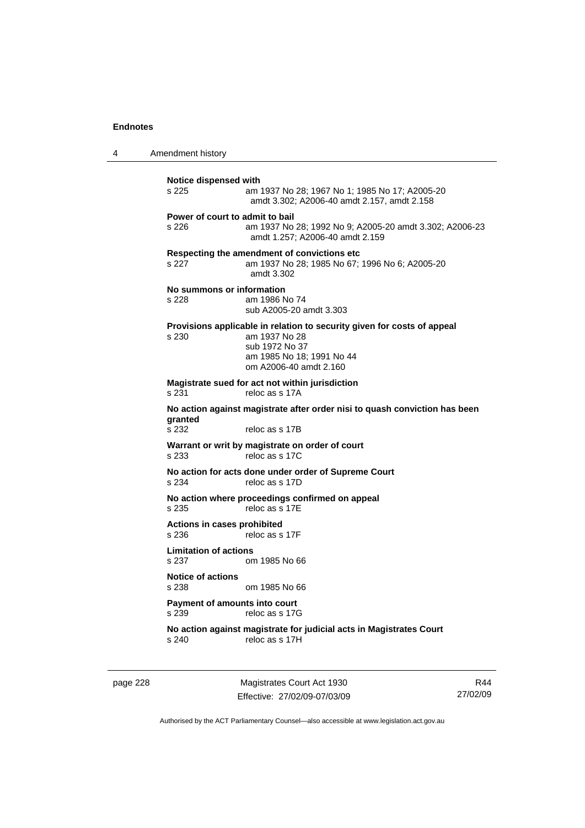4 Amendment history

**Notice dispensed with**  s 225 am 1937 No 28; 1967 No 1; 1985 No 17; A2005-20 amdt 3.302; A2006-40 amdt 2.157, amdt 2.158 **Power of court to admit to bail**  s 226 am 1937 No 28; 1992 No 9; A2005-20 amdt 3.302; A2006-23 amdt 1.257; A2006-40 amdt 2.159 **Respecting the amendment of convictions etc**  s 227 am 1937 No 28; 1985 No 67; 1996 No 6; A2005-20 amdt 3.302 **No summons or information**  s 228 am 1986 No 74 sub A2005-20 amdt 3.303 **Provisions applicable in relation to security given for costs of appeal**  s 230 am 1937 No 28 sub 1972 No 37 am 1985 No 18; 1991 No 44 om A2006-40 amdt 2.160 **Magistrate sued for act not within jurisdiction**  s 231 reloc as s 17A **No action against magistrate after order nisi to quash conviction has been granted**  s 232 reloc as s 17B **Warrant or writ by magistrate on order of court**  s 233 reloc as s 17C **No action for acts done under order of Supreme Court**  s 234 reloc as s 17D **No action where proceedings confirmed on appeal**  s 235 reloc as s 17E **Actions in cases prohibited**  s 236 reloc as s 17F **Limitation of actions**  s 237 om 1985 No 66 **Notice of actions**  s 238 om 1985 No 66 **Payment of amounts into court**  s 239 reloc as s 17G **No action against magistrate for judicial acts in Magistrates Court**  s 240 reloc as s 17H

page 228 Magistrates Court Act 1930 Effective: 27/02/09-07/03/09

R44 27/02/09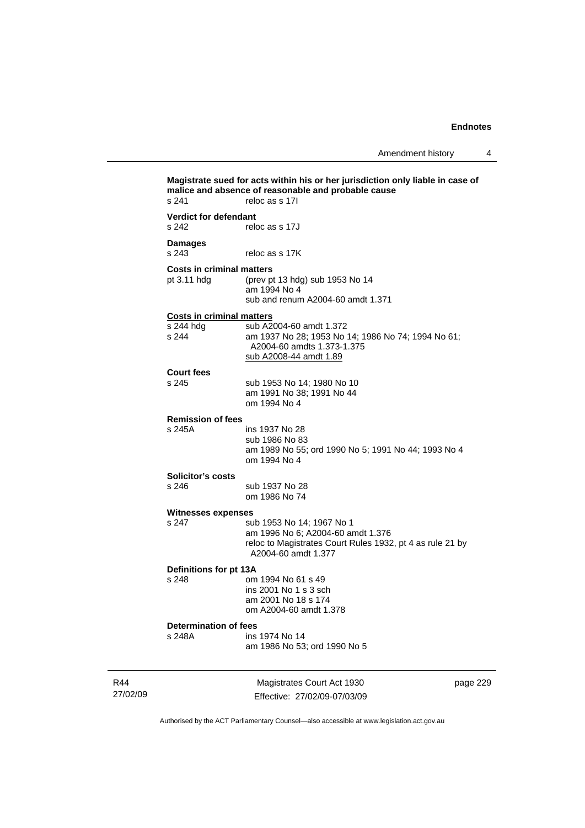**Magistrate sued for acts within his or her jurisdiction only liable in case of malice and absence of reasonable and probable cause**  s 241 reloc as s 17I **Verdict for defendant**  s 242 reloc as s 17J **Damages**  s 243 reloc as s 17K **Costs in criminal matters**<br>pt 3.11 hdg (prev p) (prev pt 13 hdg) sub 1953 No  $14$  am 1994 No 4 sub and renum A2004-60 amdt 1.371 **Costs in criminal matters** sub A2004-60 amdt 1.372 s 244 am 1937 No 28; 1953 No 14; 1986 No 74; 1994 No 61; A2004-60 amdts 1.373-1.375 sub A2008-44 amdt 1.89 **Court fees**  s 245 sub 1953 No 14; 1980 No 10 am 1991 No 38; 1991 No 44 om 1994 No 4 **Remission of fees**  ins 1937 No 28 sub 1986 No 83 am 1989 No 55; ord 1990 No 5; 1991 No 44; 1993 No 4 om 1994 No 4 **Solicitor's costs**  s 246 sub 1937 No 28 om 1986 No 74 **Witnesses expenses**<br>s 247 su sub 1953 No 14: 1967 No 1 am 1996 No 6; A2004-60 amdt 1.376 reloc to Magistrates Court Rules 1932, pt 4 as rule 21 by A2004-60 amdt 1.377 **Definitions for pt 13A**  s 248 om 1994 No 61 s 49 ins 2001 No 1 s 3 sch am 2001 No 18 s 174 om A2004-60 amdt 1.378 **Determination of fees**<br>s 248A ins ins 1974 No 14 am 1986 No 53; ord 1990 No 5

R44 27/02/09

Magistrates Court Act 1930 Effective: 27/02/09-07/03/09 page 229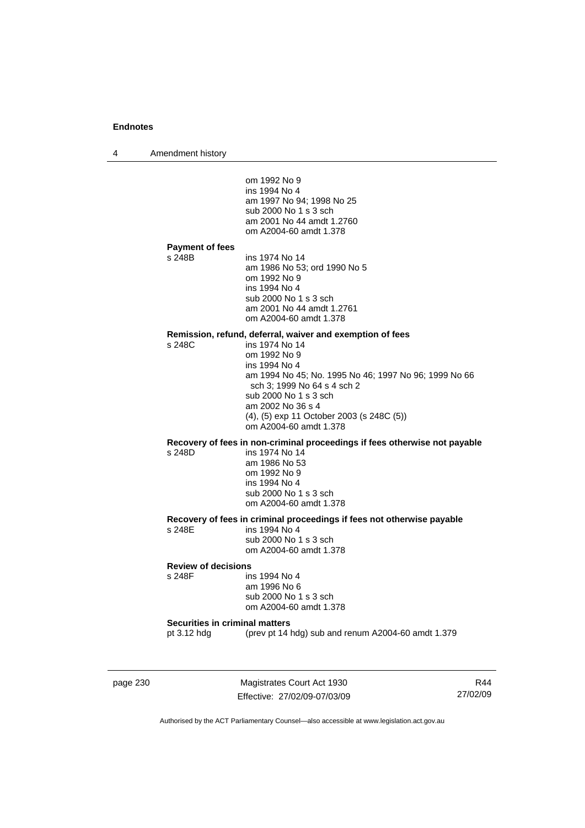4 Amendment history

 om 1992 No 9 ins 1994 No 4 am 1997 No 94; 1998 No 25 sub 2000 No 1 s 3 sch am 2001 No 44 amdt 1.2760 om A2004-60 amdt 1.378 **Payment of fees**  s 248B ins 1974 No 14 am 1986 No 53; ord 1990 No 5 om 1992 No 9 ins 1994 No 4 sub 2000 No 1 s 3 sch am 2001 No 44 amdt 1.2761 om A2004-60 amdt 1.378 **Remission, refund, deferral, waiver and exemption of fees**  s 248C ins 1974 No 14 om 1992 No 9 ins 1994 No 4 am 1994 No 45; No. 1995 No 46; 1997 No 96; 1999 No 66 sch 3; 1999 No 64 s 4 sch 2 sub 2000 No 1 s 3 sch am 2002 No 36 s 4 (4), (5) exp 11 October 2003 (s 248C (5)) om A2004-60 amdt 1.378 **Recovery of fees in non-criminal proceedings if fees otherwise not payable**  s 248D ins 1974 No 14 am 1986 No 53 om 1992 No 9 ins 1994 No 4 sub 2000 No 1 s 3 sch om A2004-60 amdt 1.378 **Recovery of fees in criminal proceedings if fees not otherwise payable**  s 248E ins 1994 No 4 sub 2000 No 1 s 3 sch om A2004-60 amdt 1.378 **Review of decisions**  s 248F ins 1994 No 4 am 1996 No 6 sub 2000 No 1 s 3 sch om A2004-60 amdt 1.378 **Securities in criminal matters**  pt 3.12 hdg (prev pt 14 hdg) sub and renum A2004-60 amdt 1.379

page 230 Magistrates Court Act 1930 Effective: 27/02/09-07/03/09

R44 27/02/09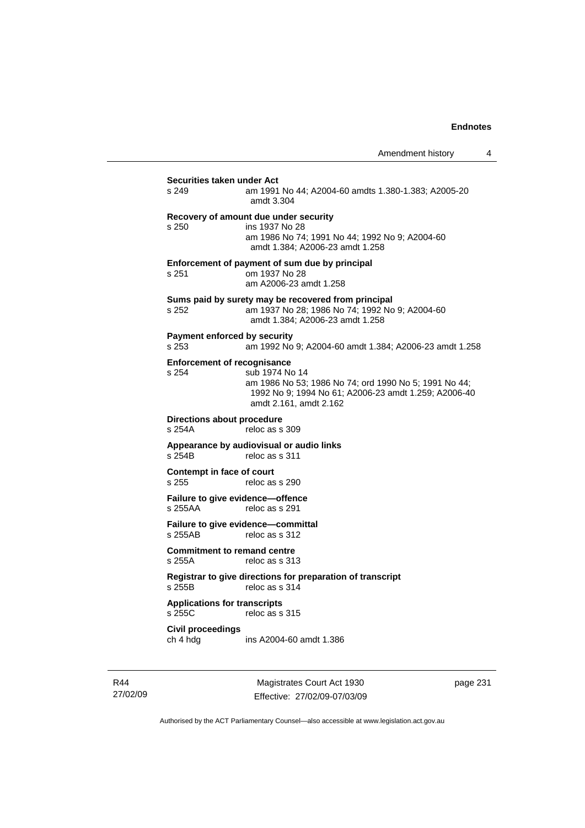| Securities taken under Act<br>s 249           | am 1991 No 44; A2004-60 amdts 1.380-1.383; A2005-20                                                                                                       |
|-----------------------------------------------|-----------------------------------------------------------------------------------------------------------------------------------------------------------|
|                                               | amdt 3.304                                                                                                                                                |
| s 250                                         | Recovery of amount due under security<br>ins 1937 No 28<br>am 1986 No 74; 1991 No 44; 1992 No 9; A2004-60<br>amdt 1.384; A2006-23 amdt 1.258              |
| s 251                                         | Enforcement of payment of sum due by principal<br>om 1937 No 28<br>am A2006-23 amdt 1.258                                                                 |
| s 252                                         | Sums paid by surety may be recovered from principal<br>am 1937 No 28; 1986 No 74; 1992 No 9; A2004-60<br>amdt 1.384; A2006-23 amdt 1.258                  |
| s 253                                         | Payment enforced by security<br>am 1992 No 9; A2004-60 amdt 1.384; A2006-23 amdt 1.258                                                                    |
|                                               | <b>Enforcement of recognisance</b>                                                                                                                        |
| s 254                                         | sub 1974 No 14<br>am 1986 No 53; 1986 No 74; ord 1990 No 5; 1991 No 44;<br>1992 No 9; 1994 No 61; A2006-23 amdt 1.259; A2006-40<br>amdt 2.161, amdt 2.162 |
| Directions about procedure<br>s 254A          | reloc as s 309                                                                                                                                            |
| s 254B                                        | Appearance by audiovisual or audio links<br>reloc as s 311                                                                                                |
| Contempt in face of court<br>s 255            | reloc as s 290                                                                                                                                            |
| s 255AA                                       | Failure to give evidence-offence<br>reloc as s 291                                                                                                        |
| s 255AB                                       | Failure to give evidence-committal<br>reloc as s 312                                                                                                      |
| s 255A                                        | <b>Commitment to remand centre</b><br>reloc as s 313                                                                                                      |
| s 255B                                        | Registrar to give directions for preparation of transcript<br>reloc as s 314                                                                              |
| <b>Applications for transcripts</b><br>s 255C | reloc as s 315                                                                                                                                            |
| Civil proceedings<br>ch 4 hdg                 | ins A2004-60 amdt 1.386                                                                                                                                   |

R44 27/02/09

Magistrates Court Act 1930 Effective: 27/02/09-07/03/09 page 231

Authorised by the ACT Parliamentary Counsel—also accessible at www.legislation.act.gov.au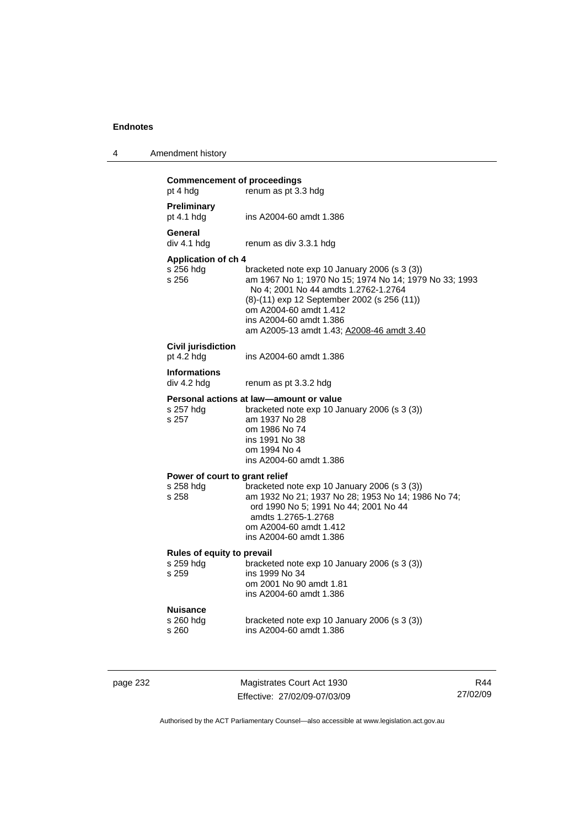4 Amendment history

| page 232 |                                                      | Magistrates Court Act 1930                                                                                                                                                                                                                                                                      | R |
|----------|------------------------------------------------------|-------------------------------------------------------------------------------------------------------------------------------------------------------------------------------------------------------------------------------------------------------------------------------------------------|---|
|          | Nuisance<br>s 260 hdg<br>s 260                       | bracketed note exp 10 January 2006 (s 3 (3))<br>ins A2004-60 amdt 1.386                                                                                                                                                                                                                         |   |
|          | Rules of equity to prevail<br>s 259 hdg<br>s 259     | bracketed note exp 10 January 2006 (s 3 (3))<br>ins 1999 No 34<br>om 2001 No 90 amdt 1.81<br>ins A2004-60 amdt 1.386                                                                                                                                                                            |   |
|          | Power of court to grant relief<br>s 258 hdg<br>s 258 | bracketed note exp 10 January 2006 (s 3 (3))<br>am 1932 No 21; 1937 No 28; 1953 No 14; 1986 No 74;<br>ord 1990 No 5; 1991 No 44; 2001 No 44<br>amdts 1.2765-1.2768<br>om A2004-60 amdt 1.412<br>ins A2004-60 amdt 1.386                                                                         |   |
|          | s 257 hdg<br>s 257                                   | Personal actions at law-amount or value<br>bracketed note exp 10 January 2006 (s 3 (3))<br>am 1937 No 28<br>om 1986 No 74<br>ins 1991 No 38<br>om 1994 No 4<br>ins A2004-60 amdt 1.386                                                                                                          |   |
|          | <b>Informations</b><br>div 4.2 hdg                   | renum as pt 3.3.2 hdg                                                                                                                                                                                                                                                                           |   |
|          | Civil jurisdiction<br>pt 4.2 hdg                     | ins A2004-60 amdt 1.386                                                                                                                                                                                                                                                                         |   |
|          | Application of ch 4<br>s 256 hdg<br>s 256            | bracketed note exp 10 January 2006 (s 3 (3))<br>am 1967 No 1; 1970 No 15; 1974 No 14; 1979 No 33; 1993<br>No 4; 2001 No 44 amdts 1.2762-1.2764<br>(8)-(11) exp 12 September 2002 (s 256 (11))<br>om A2004-60 amdt 1.412<br>ins A2004-60 amdt 1.386<br>am A2005-13 amdt 1.43; A2008-46 amdt 3.40 |   |
|          | General<br>div 4.1 hdg                               | renum as div 3.3.1 hdg                                                                                                                                                                                                                                                                          |   |
|          | Preliminary<br>pt $4.1$ hdg                          | ins A2004-60 amdt 1.386                                                                                                                                                                                                                                                                         |   |
|          | <b>Commencement of proceedings</b><br>pt 4 hdg       | renum as pt 3.3 hdg                                                                                                                                                                                                                                                                             |   |

Effective: 27/02/09-07/03/09

R44 27/02/09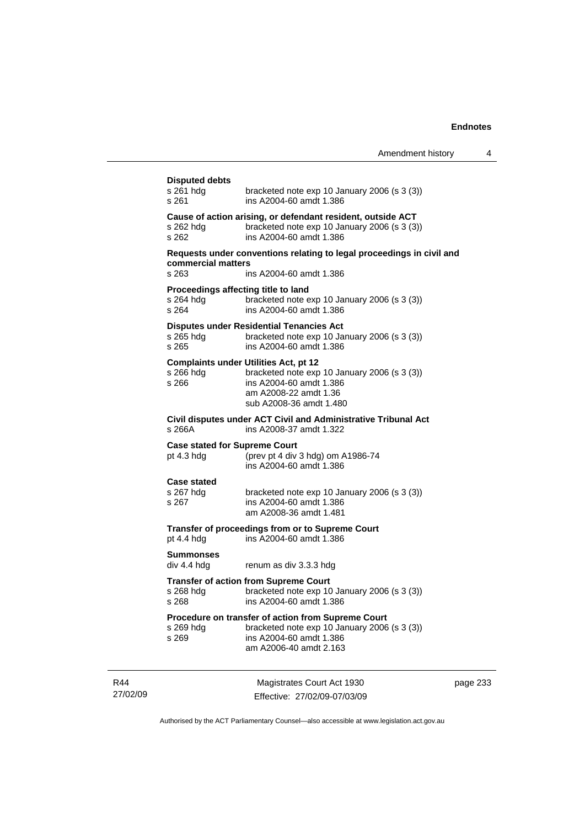| <b>Disputed debts</b><br>s 261 hdg<br>s 261               | bracketed note $exp 10$ January 2006 (s 3 (3))<br>ins A2004-60 amdt 1.386                                                                                                   |
|-----------------------------------------------------------|-----------------------------------------------------------------------------------------------------------------------------------------------------------------------------|
| s 262 hdg<br>s 262                                        | Cause of action arising, or defendant resident, outside ACT<br>bracketed note exp 10 January 2006 (s 3 (3))<br>ins A2004-60 amdt 1.386                                      |
| commercial matters                                        | Requests under conventions relating to legal proceedings in civil and                                                                                                       |
| s 263                                                     | ins A2004-60 amdt 1.386                                                                                                                                                     |
| Proceedings affecting title to land<br>s 264 hdg<br>s 264 | bracketed note exp 10 January 2006 (s 3 (3))<br>ins A2004-60 amdt 1.386                                                                                                     |
| s 265 hdg<br>s 265                                        | <b>Disputes under Residential Tenancies Act</b><br>bracketed note exp 10 January 2006 (s 3 (3))<br>ins A2004-60 amdt 1.386                                                  |
| s 266 hdg<br>s 266                                        | <b>Complaints under Utilities Act, pt 12</b><br>bracketed note exp 10 January 2006 (s 3 (3))<br>ins A2004-60 amdt 1.386<br>am A2008-22 amdt 1.36<br>sub A2008-36 amdt 1.480 |
| s 266A                                                    | Civil disputes under ACT Civil and Administrative Tribunal Act<br>ins A2008-37 amdt 1.322                                                                                   |
| <b>Case stated for Supreme Court</b><br>pt $4.3$ hdg      | (prev pt 4 div 3 hdg) om A1986-74<br>ins A2004-60 amdt 1.386                                                                                                                |
| <b>Case stated</b><br>s 267 hdg<br>s 267                  | bracketed note exp 10 January 2006 (s 3 (3))<br>ins A2004-60 amdt 1.386<br>am A2008-36 amdt 1.481                                                                           |
| pt 4.4 hdg                                                | Transfer of proceedings from or to Supreme Court<br>ins A2004-60 amdt 1.386                                                                                                 |
| <b>Summonses</b><br>div 4.4 hdg                           | renum as div 3.3.3 hdg                                                                                                                                                      |
| s 268 hdg<br>s 268                                        | <b>Transfer of action from Supreme Court</b><br>bracketed note exp 10 January 2006 (s 3 (3))<br>ins A2004-60 amdt 1.386                                                     |
| s 269 hdg<br>s 269                                        | Procedure on transfer of action from Supreme Court<br>bracketed note exp 10 January 2006 (s 3 (3))<br>ins A2004-60 amdt 1.386<br>am A2006-40 amdt 2.163                     |
|                                                           |                                                                                                                                                                             |

R44 27/02/09

Magistrates Court Act 1930 Effective: 27/02/09-07/03/09 page 233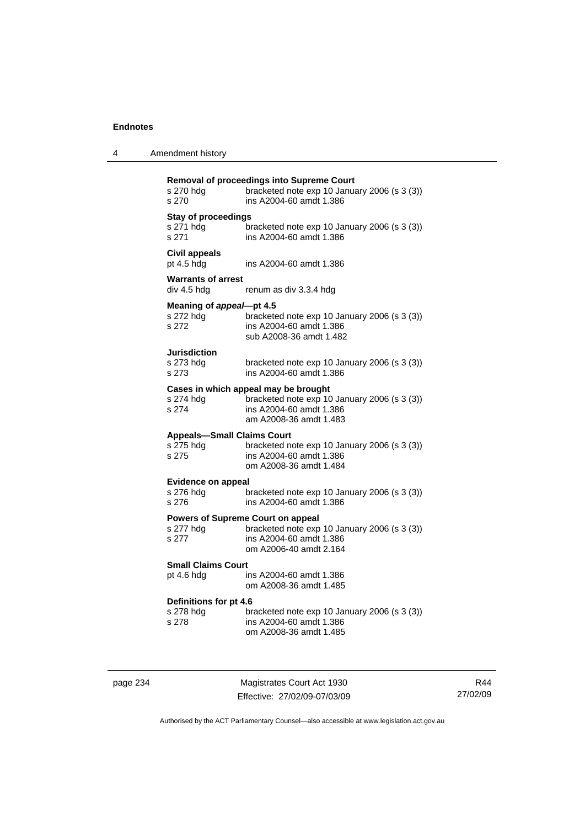| 4 | Amendment history |
|---|-------------------|
|---|-------------------|

| s 270 hdg<br>s 270                                      | Removal of proceedings into Supreme Court<br>bracketed note exp 10 January 2006 (s 3 (3))<br>ins A2004-60 amdt 1.386                      |
|---------------------------------------------------------|-------------------------------------------------------------------------------------------------------------------------------------------|
| <b>Stay of proceedings</b><br>s 271 hdg<br>s 271        | bracketed note exp 10 January 2006 (s 3 (3))<br>ins A2004-60 amdt 1.386                                                                   |
| Civil appeals<br>pt 4.5 hdg                             | ins A2004-60 amdt 1.386                                                                                                                   |
| <b>Warrants of arrest</b><br>div 4.5 hdg                | renum as div 3.3.4 hdg                                                                                                                    |
| Meaning of appeal-pt 4.5<br>s 272 hdg<br>s 272          | bracketed note exp 10 January 2006 (s 3 (3))<br>ins A2004-60 amdt 1.386<br>sub A2008-36 amdt 1.482                                        |
| <b>Jurisdiction</b><br>s 273 hdg<br>s 273               | bracketed note exp 10 January 2006 (s 3 (3))<br>ins A2004-60 amdt 1.386                                                                   |
| s 274 hdg<br>s 274                                      | Cases in which appeal may be brought<br>bracketed note exp 10 January 2006 (s 3 (3))<br>ins A2004-60 amdt 1.386<br>am A2008-36 amdt 1.483 |
| <b>Appeals-Small Claims Court</b><br>s 275 hdg<br>s 275 | bracketed note exp 10 January 2006 (s 3 (3))<br>ins A2004-60 amdt 1.386<br>om A2008-36 amdt 1.484                                         |
| <b>Evidence on appeal</b><br>s 276 hdg<br>s 276         | bracketed note exp 10 January 2006 (s 3 (3))<br>ins A2004-60 amdt 1.386                                                                   |
| s 277 hdg<br>s 277                                      | Powers of Supreme Court on appeal<br>bracketed note exp 10 January 2006 (s 3 (3))<br>ins A2004-60 amdt 1.386<br>om A2006-40 amdt 2.164    |
| Small Claims Court<br>pt 4.6 hdg                        | ins A2004-60 amdt 1.386<br>om A2008-36 amdt 1.485                                                                                         |
| Definitions for pt 4.6<br>s 278 hdg<br>s 278            | bracketed note exp 10 January 2006 (s 3 (3))<br>ins A2004-60 amdt 1.386<br>om A2008-36 amdt 1.485                                         |

page 234 Magistrates Court Act 1930 Effective: 27/02/09-07/03/09

R44 27/02/09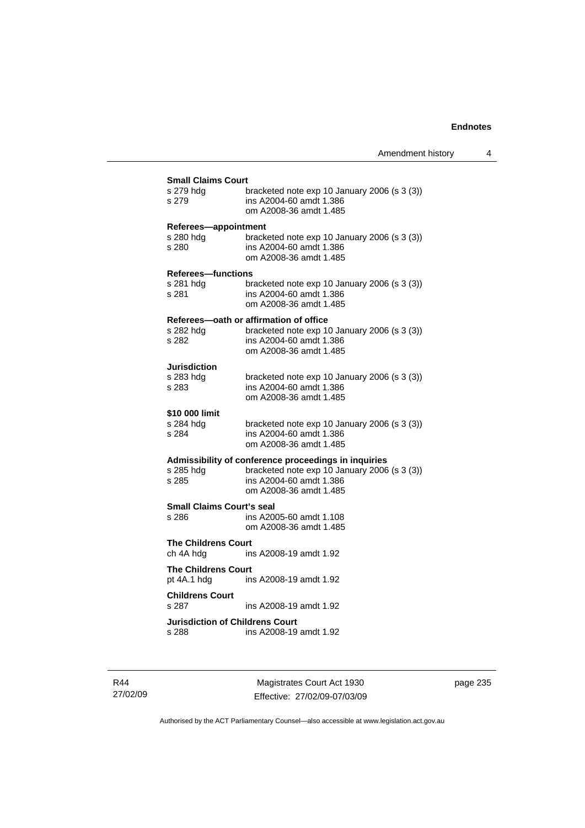| s 279 hdg                              | bracketed note $exp 10$ January 2006 (s 3 (3))       |
|----------------------------------------|------------------------------------------------------|
| s 279                                  | ins A2004-60 amdt 1.386<br>om A2008-36 amdt 1.485    |
| Referees-appointment                   |                                                      |
| s 280 hdq                              | bracketed note exp 10 January 2006 (s 3 (3))         |
| s 280                                  | ins A2004-60 amdt 1.386<br>om A2008-36 amdt 1.485    |
| <b>Referees-functions</b>              |                                                      |
| s 281 hdg                              | bracketed note exp 10 January 2006 (s 3 (3))         |
| s 281                                  | ins A2004-60 amdt 1.386<br>om A2008-36 amdt 1.485    |
|                                        | Referees-oath or affirmation of office               |
| s 282 hda                              | bracketed note exp 10 January 2006 (s 3 (3))         |
| s 282                                  | ins A2004-60 amdt 1.386<br>om A2008-36 amdt 1.485    |
| Jurisdiction                           |                                                      |
| s 283 hda                              | bracketed note $exp 10$ January 2006 (s 3 (3))       |
| s 283                                  | ins A2004-60 amdt 1.386<br>om A2008-36 amdt 1.485    |
| \$10 000 limit                         |                                                      |
| s 284 hda                              | bracketed note $\exp 10$ January 2006 (s 3 (3))      |
| s 284                                  | ins A2004-60 amdt 1.386<br>om A2008-36 amdt 1.485    |
|                                        | Admissibility of conference proceedings in inquiries |
| s 285 hdg                              | bracketed note exp 10 January 2006 (s 3 (3))         |
| s 285                                  | ins A2004-60 amdt 1.386                              |
|                                        | om A2008-36 amdt 1.485                               |
| <b>Small Claims Court's seal</b>       |                                                      |
| s 286                                  | ins A2005-60 amdt 1.108<br>om A2008-36 amdt 1.485    |
| <b>The Childrens Court</b>             |                                                      |
| ch 4A hdg                              | ins A2008-19 amdt 1.92                               |
| <b>The Childrens Court</b>             |                                                      |
| pt 4A.1 hdg                            | ins A2008-19 amdt 1.92                               |
| <b>Childrens Court</b>                 |                                                      |
| s 287                                  | ins A2008-19 amdt 1.92                               |
| <b>Jurisdiction of Childrens Court</b> |                                                      |
| s 288                                  | ins A2008-19 amdt 1.92                               |

R44 27/02/09

Magistrates Court Act 1930 Effective: 27/02/09-07/03/09 page 235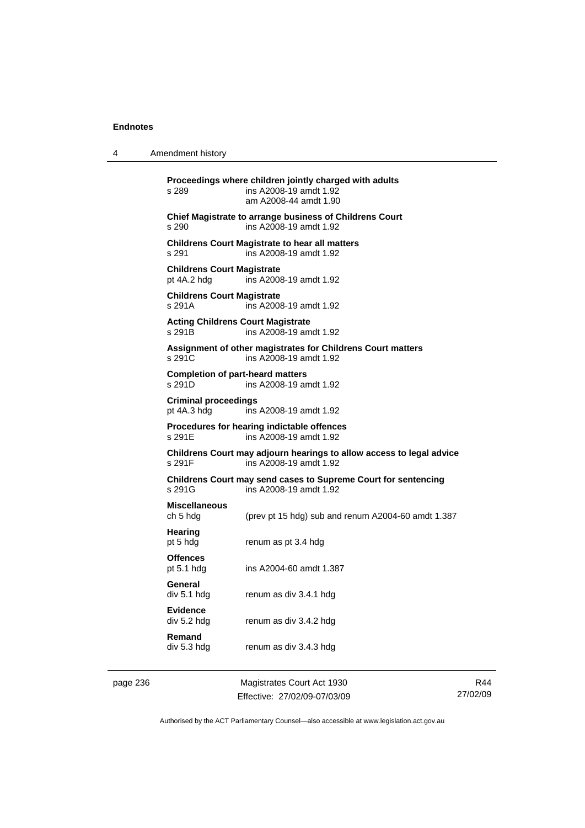4 Amendment history

page 236 Magistrates Court Act 1930 **Proceedings where children jointly charged with adults**  s 289 ins A2008-19 amdt 1.92 am A2008-44 amdt 1.90 **Chief Magistrate to arrange business of Childrens Court**  s 290 ins A2008-19 amdt 1.92 **Childrens Court Magistrate to hear all matters**  s 291 ins A2008-19 amdt 1.92 **Childrens Court Magistrate**  pt 4A.2 hdg ins A2008-19 amdt 1.92 **Childrens Court Magistrate**  s 291A ins A2008-19 amdt 1.92 **Acting Childrens Court Magistrate**  s 291B ins A2008-19 amdt 1.92 **Assignment of other magistrates for Childrens Court matters**  s 291C ins A2008-19 amdt 1.92 **Completion of part-heard matters**  s 291D ins A2008-19 amdt 1.92 **Criminal proceedings**  pt 4A.3 hdg ins A2008-19 amdt 1.92 **Procedures for hearing indictable offences**  ins A2008-19 amdt 1.92 **Childrens Court may adjourn hearings to allow access to legal advice**  s 291F ins A2008-19 amdt 1.92 **Childrens Court may send cases to Supreme Court for sentencing**  ins A2008-19 amdt 1.92 **Miscellaneous**  ch 5 hdg (prev pt 15 hdg) sub and renum A2004-60 amdt 1.387 **Hearing**  pt 5 hdg renum as pt 3.4 hdg **Offences**  pt 5.1 hdg ins A2004-60 amdt 1.387 **General**  div 5.1 hdg renum as div 3.4.1 hdg **Evidence**  div 5.2 hdg renum as div 3.4.2 hdg **Remand**  div 5.3 hdg renum as div 3.4.3 hdg

Effective: 27/02/09-07/03/09

R44 27/02/09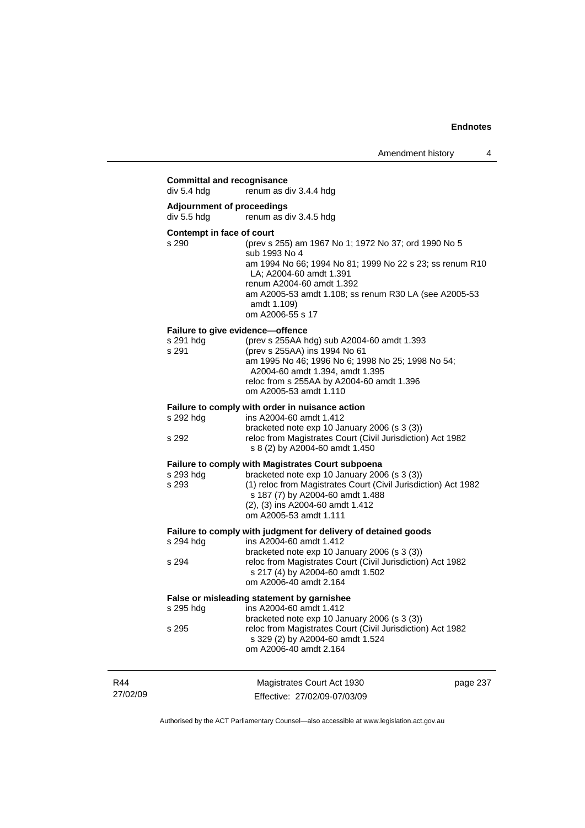|                 | <b>Committal and recognisance</b><br>div 5.4 hdg | renum as div 3.4.4 hdg                                                                                                                                                                                                                                                                |          |
|-----------------|--------------------------------------------------|---------------------------------------------------------------------------------------------------------------------------------------------------------------------------------------------------------------------------------------------------------------------------------------|----------|
|                 | <b>Adjournment of proceedings</b><br>div 5.5 hdg | renum as div 3.4.5 hdg                                                                                                                                                                                                                                                                |          |
|                 | Contempt in face of court<br>s 290               | (prev s 255) am 1967 No 1; 1972 No 37; ord 1990 No 5<br>sub 1993 No 4<br>am 1994 No 66; 1994 No 81; 1999 No 22 s 23; ss renum R10<br>LA: A2004-60 amdt 1.391<br>renum A2004-60 amdt 1.392<br>am A2005-53 amdt 1.108; ss renum R30 LA (see A2005-53<br>amdt 1.109)<br>om A2006-55 s 17 |          |
|                 | s 291 hdg<br>s 291                               | Failure to give evidence-offence<br>(prev s 255AA hdg) sub A2004-60 amdt 1.393<br>(prev s 255AA) ins 1994 No 61<br>am 1995 No 46; 1996 No 6; 1998 No 25; 1998 No 54;<br>A2004-60 amdt 1.394, amdt 1.395<br>reloc from s 255AA by A2004-60 amdt 1.396<br>om A2005-53 amdt 1.110        |          |
|                 | s 292 hdg<br>s 292                               | Failure to comply with order in nuisance action<br>ins A2004-60 amdt 1.412<br>bracketed note exp 10 January 2006 (s 3 (3))<br>reloc from Magistrates Court (Civil Jurisdiction) Act 1982<br>s 8 (2) by A2004-60 amdt 1.450                                                            |          |
|                 | s 293 hdg<br>s 293                               | <b>Failure to comply with Magistrates Court subpoena</b><br>bracketed note exp 10 January 2006 (s 3 (3))<br>(1) reloc from Magistrates Court (Civil Jurisdiction) Act 1982<br>s 187 (7) by A2004-60 amdt 1.488<br>(2), (3) ins A2004-60 amdt 1.412<br>om A2005-53 amdt 1.111          |          |
|                 | s 294 hdg<br>s 294                               | Failure to comply with judgment for delivery of detained goods<br>ins A2004-60 amdt 1.412<br>bracketed note exp 10 January 2006 (s 3 (3))<br>reloc from Magistrates Court (Civil Jurisdiction) Act 1982<br>s 217 (4) by A2004-60 amdt 1.502<br>om A2006-40 amdt 2.164                 |          |
|                 | s 295 hdg<br>s 295                               | False or misleading statement by garnishee<br>ins A2004-60 amdt 1.412<br>bracketed note exp 10 January 2006 (s 3 (3))<br>reloc from Magistrates Court (Civil Jurisdiction) Act 1982<br>s 329 (2) by A2004-60 amdt 1.524<br>om A2006-40 amdt 2.164                                     |          |
| R44<br>27/02/09 |                                                  | Magistrates Court Act 1930<br>Effective: 27/02/09-07/03/09                                                                                                                                                                                                                            | page 237 |

Authorised by the ACT Parliamentary Counsel—also accessible at www.legislation.act.gov.au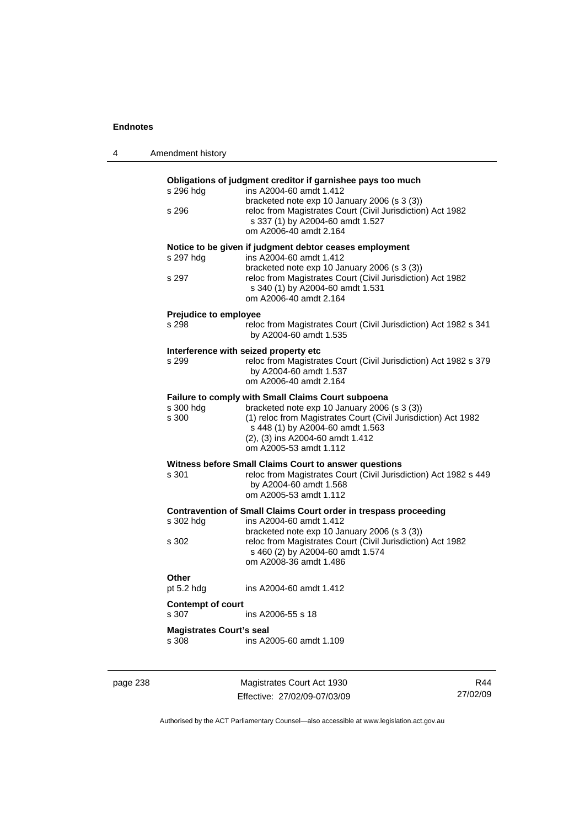| 4        | Amendment history                        |                                                                                                                                                                                                                                                                         |     |
|----------|------------------------------------------|-------------------------------------------------------------------------------------------------------------------------------------------------------------------------------------------------------------------------------------------------------------------------|-----|
|          | s 296 hdg<br>s 296                       | Obligations of judgment creditor if garnishee pays too much<br>ins A2004-60 amdt 1.412<br>bracketed note exp 10 January 2006 (s 3 (3))<br>reloc from Magistrates Court (Civil Jurisdiction) Act 1982<br>s 337 (1) by A2004-60 amdt 1.527<br>om A2006-40 amdt 2.164      |     |
|          | s 297 hdg<br>s 297                       | Notice to be given if judgment debtor ceases employment<br>ins A2004-60 amdt 1.412<br>bracketed note exp 10 January 2006 (s 3 (3))<br>reloc from Magistrates Court (Civil Jurisdiction) Act 1982<br>s 340 (1) by A2004-60 amdt 1.531<br>om A2006-40 amdt 2.164          |     |
|          | Prejudice to employee<br>s 298           | reloc from Magistrates Court (Civil Jurisdiction) Act 1982 s 341<br>by A2004-60 amdt 1.535                                                                                                                                                                              |     |
|          | s 299                                    | Interference with seized property etc<br>reloc from Magistrates Court (Civil Jurisdiction) Act 1982 s 379<br>by A2004-60 amdt 1.537<br>om A2006-40 amdt 2.164                                                                                                           |     |
|          | s 300 hdg<br>s 300                       | Failure to comply with Small Claims Court subpoena<br>bracketed note exp 10 January 2006 (s 3 (3))<br>(1) reloc from Magistrates Court (Civil Jurisdiction) Act 1982<br>s 448 (1) by A2004-60 amdt 1.563<br>(2), (3) ins A2004-60 amdt 1.412<br>om A2005-53 amdt 1.112  |     |
|          | s 301                                    | Witness before Small Claims Court to answer questions<br>reloc from Magistrates Court (Civil Jurisdiction) Act 1982 s 449<br>by A2004-60 amdt 1.568<br>om A2005-53 amdt 1.112                                                                                           |     |
|          | s 302 hdg<br>s 302                       | Contravention of Small Claims Court order in trespass proceeding<br>ins A2004-60 amdt 1.412<br>bracketed note exp 10 January 2006 (s 3 (3))<br>reloc from Magistrates Court (Civil Jurisdiction) Act 1982<br>s 460 (2) by A2004-60 amdt 1.574<br>om A2008-36 amdt 1.486 |     |
|          | Other<br>pt 5.2 hdg                      | ins A2004-60 amdt 1.412                                                                                                                                                                                                                                                 |     |
|          | <b>Contempt of court</b><br>s 307        | ins A2006-55 s 18                                                                                                                                                                                                                                                       |     |
|          | <b>Magistrates Court's seal</b><br>s 308 | ins A2005-60 amdt 1.109                                                                                                                                                                                                                                                 |     |
| page 238 |                                          | Magistrates Court Act 1930                                                                                                                                                                                                                                              | R44 |

Authorised by the ACT Parliamentary Counsel—also accessible at www.legislation.act.gov.au

27/02/09

Effective: 27/02/09-07/03/09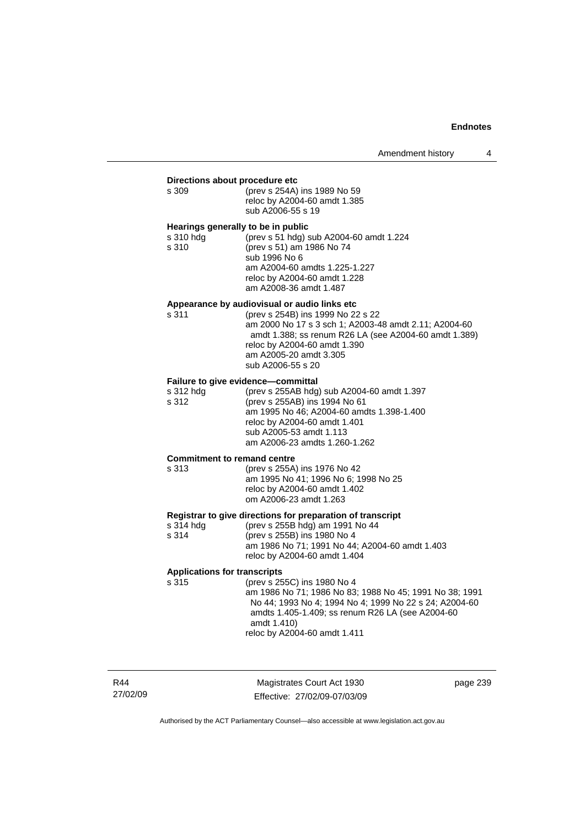#### **Directions about procedure etc**

| s 309 | (prev s 254A) ins 1989 No 59 |
|-------|------------------------------|
|       | reloc by A2004-60 amdt 1.385 |
|       | sub A2006-55 s 19            |

#### **Hearings generally to be in public**

| s 310 hda | (prev s 51 hdg) sub A2004-60 amdt 1.224 |
|-----------|-----------------------------------------|
| s 310     | (prev s 51) am 1986 No 74               |
|           | sub 1996 No 6                           |
|           | am A2004-60 amdts 1.225-1.227           |
|           | reloc by A2004-60 amdt 1.228            |
|           | am A2008-36 amdt 1.487                  |

#### **Appearance by audiovisual or audio links etc**

s 311 (prev s 254B) ins 1999 No 22 s 22 am 2000 No 17 s 3 sch 1; A2003-48 amdt 2.11; A2004-60 amdt 1.388; ss renum R26 LA (see A2004-60 amdt 1.389) reloc by A2004-60 amdt 1.390 am A2005-20 amdt 3.305 sub A2006-55 s 20

#### **Failure to give evidence—committal**

| s 312 hdg | (prev s 255AB hdg) sub A2004-60 amdt 1.397 |
|-----------|--------------------------------------------|
| s 312     | (prev s 255AB) ins 1994 No 61              |
|           | am 1995 No 46; A2004-60 amdts 1.398-1.400  |
|           | reloc by A2004-60 amdt 1.401               |
|           | sub A2005-53 amdt 1.113                    |
|           | am A2006-23 amdts 1.260-1.262              |
|           |                                            |

#### **Commitment to remand centre**

#### s 313 (prev s 255A) ins 1976 No 42 am 1995 No 41; 1996 No 6; 1998 No 25 reloc by A2004-60 amdt 1.402 om A2006-23 amdt 1.263

#### **Registrar to give directions for preparation of transcript**

| s 314 hdg | (prev s 255B hdg) am 1991 No 44                |
|-----------|------------------------------------------------|
| s 314     | (prev s 255B) ins 1980 No 4                    |
|           | am 1986 No 71; 1991 No 44; A2004-60 amdt 1.403 |
|           | reloc by A2004-60 amdt 1.404                   |

#### **Applications for transcripts**

s 315 (prev s 255C) ins 1980 No 4 am 1986 No 71; 1986 No 83; 1988 No 45; 1991 No 38; 1991 No 44; 1993 No 4; 1994 No 4; 1999 No 22 s 24; A2004-60 amdts 1.405-1.409; ss renum R26 LA (see A2004-60 amdt 1.410)

reloc by A2004-60 amdt 1.411

R44 27/02/09

Magistrates Court Act 1930 Effective: 27/02/09-07/03/09 page 239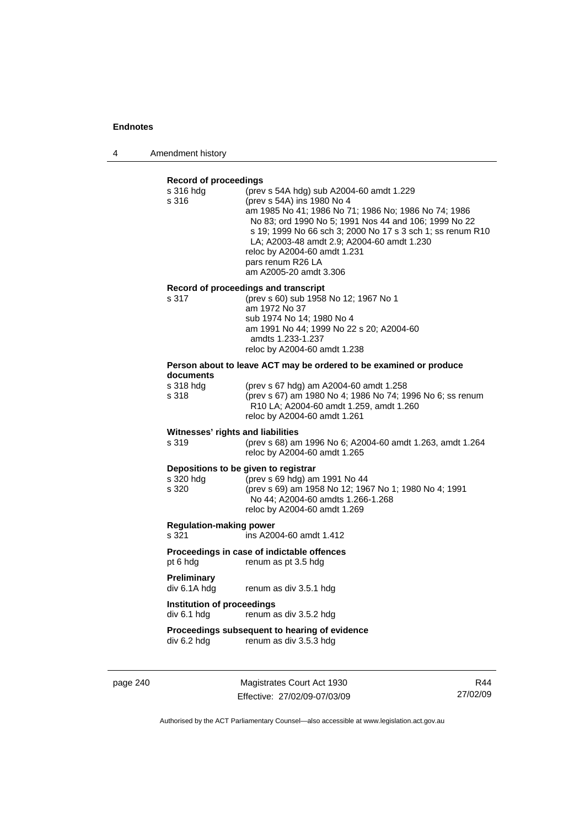4 Amendment history

#### **Record of proceedings**

| s 316 hdg<br>s 316                         | (prev s 54A hdg) sub A2004-60 amdt 1.229<br>(prev s 54A) ins 1980 No 4<br>am 1985 No 41; 1986 No 71; 1986 No; 1986 No 74; 1986<br>No 83; ord 1990 No 5; 1991 Nos 44 and 106; 1999 No 22<br>s 19; 1999 No 66 sch 3; 2000 No 17 s 3 sch 1; ss renum R10<br>LA; A2003-48 amdt 2.9; A2004-60 amdt 1.230<br>reloc by A2004-60 amdt 1.231<br>pars renum R26 LA<br>am A2005-20 amdt 3.306 |
|--------------------------------------------|------------------------------------------------------------------------------------------------------------------------------------------------------------------------------------------------------------------------------------------------------------------------------------------------------------------------------------------------------------------------------------|
|                                            | Record of proceedings and transcript                                                                                                                                                                                                                                                                                                                                               |
| s 317                                      | (prev s 60) sub 1958 No 12; 1967 No 1                                                                                                                                                                                                                                                                                                                                              |
|                                            | am 1972 No 37<br>sub 1974 No 14; 1980 No 4                                                                                                                                                                                                                                                                                                                                         |
|                                            | am 1991 No 44; 1999 No 22 s 20; A2004-60                                                                                                                                                                                                                                                                                                                                           |
|                                            | amdts 1.233-1.237                                                                                                                                                                                                                                                                                                                                                                  |
|                                            | reloc by A2004-60 amdt 1.238                                                                                                                                                                                                                                                                                                                                                       |
|                                            | Person about to leave ACT may be ordered to be examined or produce                                                                                                                                                                                                                                                                                                                 |
| documents<br>s 318 hdg                     | (prev s 67 hdg) am A2004-60 amdt 1.258                                                                                                                                                                                                                                                                                                                                             |
| s 318                                      | (prev s 67) am 1980 No 4; 1986 No 74; 1996 No 6; ss renum                                                                                                                                                                                                                                                                                                                          |
|                                            | R10 LA; A2004-60 amdt 1.259, amdt 1.260                                                                                                                                                                                                                                                                                                                                            |
|                                            | reloc by A2004-60 amdt 1.261                                                                                                                                                                                                                                                                                                                                                       |
| Witnesses' rights and liabilities<br>s 319 | (prev s 68) am 1996 No 6; A2004-60 amdt 1.263, amdt 1.264                                                                                                                                                                                                                                                                                                                          |
|                                            | reloc by A2004-60 amdt 1.265                                                                                                                                                                                                                                                                                                                                                       |
| Depositions to be given to registrar       |                                                                                                                                                                                                                                                                                                                                                                                    |
| s 320 hdg                                  | (prev s 69 hdg) am 1991 No 44                                                                                                                                                                                                                                                                                                                                                      |
| s 320                                      | (prev s 69) am 1958 No 12; 1967 No 1; 1980 No 4; 1991<br>No 44; A2004-60 amdts 1.266-1.268                                                                                                                                                                                                                                                                                         |
|                                            | reloc by A2004-60 amdt 1.269                                                                                                                                                                                                                                                                                                                                                       |
| <b>Regulation-making power</b>             |                                                                                                                                                                                                                                                                                                                                                                                    |
| s 321                                      | ins A2004-60 amdt 1.412                                                                                                                                                                                                                                                                                                                                                            |
|                                            | Proceedings in case of indictable offences                                                                                                                                                                                                                                                                                                                                         |
| pt 6 hdg                                   | renum as pt 3.5 hdg                                                                                                                                                                                                                                                                                                                                                                |
| Preliminary                                |                                                                                                                                                                                                                                                                                                                                                                                    |
| div 6.1A hdg                               | renum as div 3.5.1 hdg                                                                                                                                                                                                                                                                                                                                                             |
| Institution of proceedings                 |                                                                                                                                                                                                                                                                                                                                                                                    |
| div 6.1 hdg                                | renum as div 3.5.2 hdg                                                                                                                                                                                                                                                                                                                                                             |
|                                            | Proceedings subsequent to hearing of evidence                                                                                                                                                                                                                                                                                                                                      |
| div 6.2 hdg                                | renum as div 3.5.3 hdg                                                                                                                                                                                                                                                                                                                                                             |
|                                            |                                                                                                                                                                                                                                                                                                                                                                                    |

page 240 Magistrates Court Act 1930 Effective: 27/02/09-07/03/09

R44 27/02/09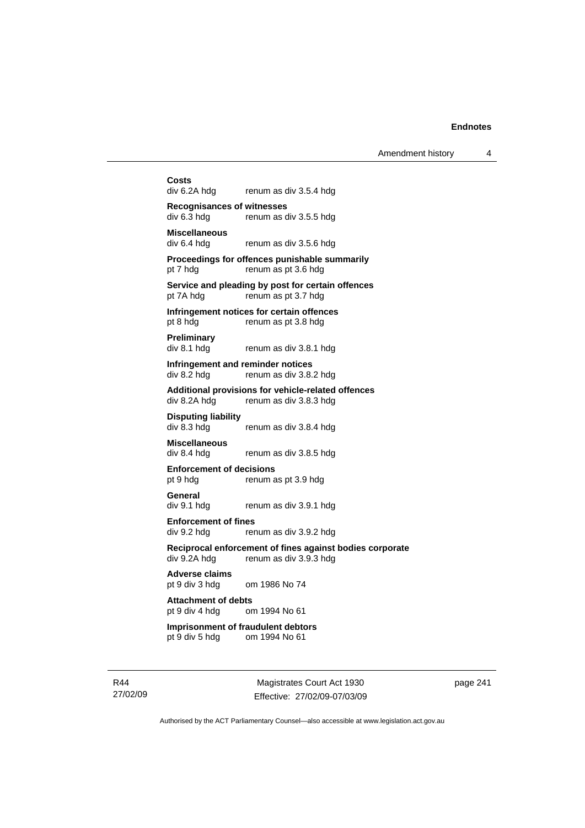Amendment history 4

**Costs**  renum as div 3.5.4 hdg **Recognisances of witnesses**  div 6.3 hdg renum as div 3.5.5 hdg **Miscellaneous**  renum as div 3.5.6 hdg **Proceedings for offences punishable summarily**  pt 7 hdg renum as pt 3.6 hdg **Service and pleading by post for certain offences**  pt 7A hdg renum as pt 3.7 hdg **Infringement notices for certain offences**  pt 8 hdg renum as pt 3.8 hdg **Preliminary**  div 8.1 hdg renum as div 3.8.1 hdg **Infringement and reminder notices**  div 8.2 hdg renum as div 3.8.2 hdg **Additional provisions for vehicle-related offences**  div 8.2A hdg renum as div 3.8.3 hdg **Disputing liability**  div 8.3 hdg renum as div 3.8.4 hdg **Miscellaneous**  div 8.4 hdg renum as div 3.8.5 hdg **Enforcement of decisions**  pt 9 hdg renum as pt 3.9 hdg **General**  div 9.1 hdg renum as div 3.9.1 hdg **Enforcement of fines**  div 9.2 hdg renum as div 3.9.2 hdg **Reciprocal enforcement of fines against bodies corporate div 9.2A hdg renum as div 3.9.3 hdg** renum as div  $3.9.3$  hdg **Adverse claims**  pt 9 div 3 hdg om 1986 No 74 **Attachment of debts**  pt 9 div 4 hdg om 1994 No 61 **Imprisonment of fraudulent debtors**  pt 9 div 5 hdg om 1994 No 61

R44 27/02/09

Magistrates Court Act 1930 Effective: 27/02/09-07/03/09 page 241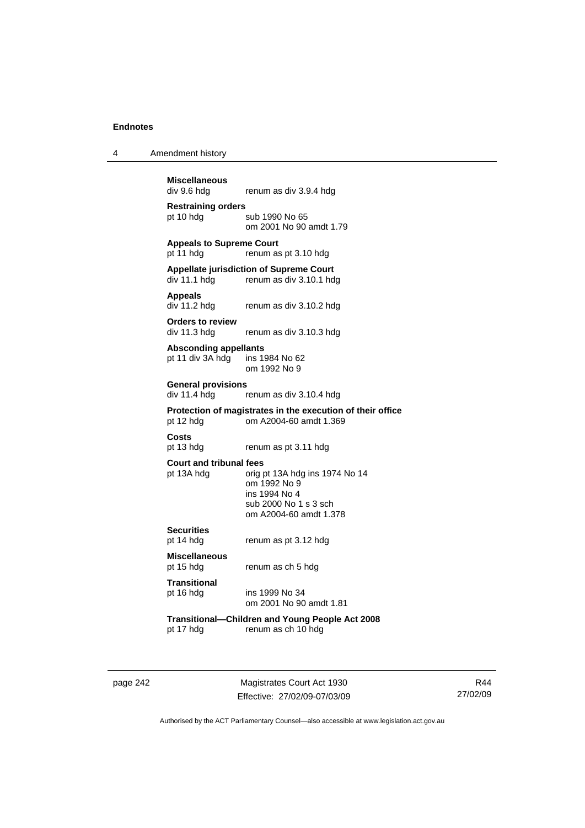4 Amendment history

**Miscellaneous**  renum as div 3.9.4 hdg **Restraining orders**  pt 10 hdg sub 1990 No 65 om 2001 No 90 amdt 1.79 **Appeals to Supreme Court**  pt 11 hdg renum as pt 3.10 hdg **Appellate jurisdiction of Supreme Court**  renum as div 3.10.1 hdg **Appeals**  div 11.2 hdg renum as div 3.10.2 hdg **Orders to review**  div 11.3 hdg renum as div 3.10.3 hdg **Absconding appellants**  pt 11 div 3A hdg ins 1984 No 62 om 1992 No 9 **General provisions**  div 11.4 hdg renum as div 3.10.4 hdg **Protection of magistrates in the execution of their office**  pt 12 hdg om A2004-60 amdt 1.369 **Costs**  renum as pt 3.11 hdg **Court and tribunal fees**  pt 13A hdg orig pt 13A hdg ins 1974 No 14 om 1992 No 9 ins 1994 No 4 sub 2000 No 1 s 3 sch om A2004-60 amdt 1.378 **Securities**  pt 14 hdg renum as pt 3.12 hdg **Miscellaneous**  renum as ch 5 hdg **Transitional**  pt 16 hdg ins 1999 No 34 om 2001 No 90 amdt 1.81 **Transitional—Children and Young People Act 2008**  renum as ch 10 hdg

page 242 Magistrates Court Act 1930 Effective: 27/02/09-07/03/09

R44 27/02/09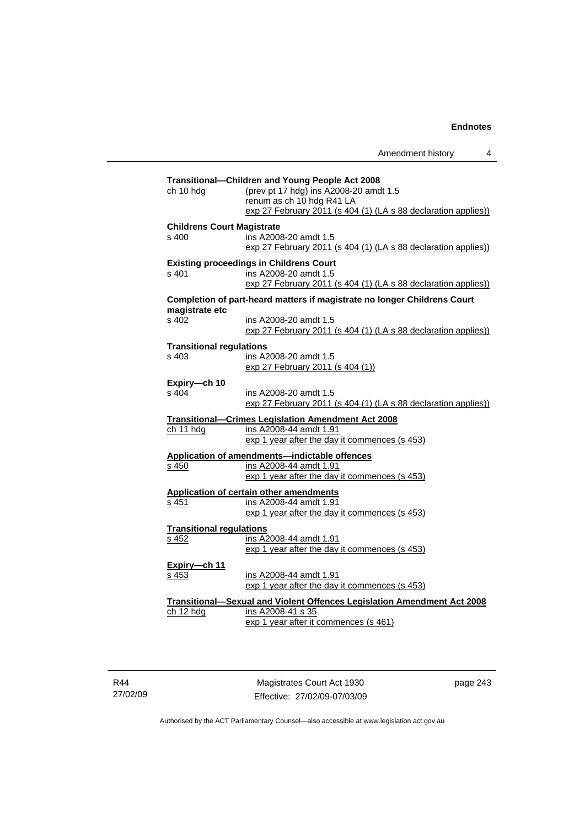|                                            | Amendment history                                                                                                                                                                        | 4 |
|--------------------------------------------|------------------------------------------------------------------------------------------------------------------------------------------------------------------------------------------|---|
| ch 10 hdg                                  | Transitional-Children and Young People Act 2008<br>(prev pt 17 hdg) ins A2008-20 amdt 1.5<br>renum as ch 10 hdg R41 LA<br>exp 27 February 2011 (s 404 (1) (LA s 88 declaration applies)) |   |
| <b>Childrens Court Magistrate</b><br>s 400 | ins A2008-20 amdt 1.5<br>exp 27 February 2011 (s 404 (1) (LA s 88 declaration applies))                                                                                                  |   |
| s 401                                      | <b>Existing proceedings in Childrens Court</b><br>ins A2008-20 amdt 1.5<br>exp 27 February 2011 (s 404 (1) (LA s 88 declaration applies))                                                |   |
|                                            | Completion of part-heard matters if magistrate no longer Childrens Court                                                                                                                 |   |
| magistrate etc<br>s 402                    | ins A2008-20 amdt 1.5<br>exp 27 February 2011 (s 404 (1) (LA s 88 declaration applies))                                                                                                  |   |
| <b>Transitional regulations</b><br>s, 403  | ins A2008-20 amdt 1.5<br>exp 27 February 2011 (s 404 (1))                                                                                                                                |   |
| Expiry-ch 10<br>s 404                      | ins A2008-20 amdt 1.5<br>exp 27 February 2011 (s 404 (1) (LA s 88 declaration applies))                                                                                                  |   |
| ch 11 hdg                                  | Transitional—Crimes Legislation Amendment Act 2008<br>ins A2008-44 amdt 1.91<br>exp 1 year after the day it commences (s 453)                                                            |   |
| s 450                                      | Application of amendments-indictable offences<br>ins A2008-44 amdt 1.91<br>exp 1 year after the day it commences (s 453)                                                                 |   |
| s 451                                      | Application of certain other amendments<br>ins A2008-44 amdt 1.91<br>exp 1 year after the day it commences (s 453)                                                                       |   |
| <b>Transitional regulations</b><br>s 452   | ins A2008-44 amdt 1.91<br>exp 1 year after the day it commences (s 453)                                                                                                                  |   |
| Expiry-ch 11<br>s 453                      | ins A2008-44 amdt 1.91<br>exp 1 year after the day it commences (s 453)                                                                                                                  |   |
| ch 12 hdg                                  | Transitional-Sexual and Violent Offences Legislation Amendment Act 2008<br>ins A2008-41 s 35<br>exp 1 year after it commences (s 461)                                                    |   |

R44 27/02/09

Magistrates Court Act 1930 Effective: 27/02/09-07/03/09 page 243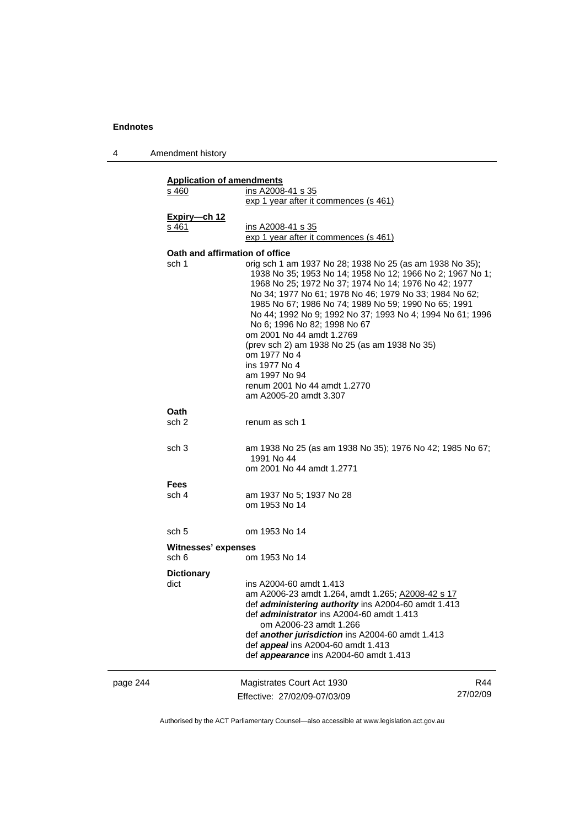4 Amendment history

|          | <b>Application of amendments</b><br>ins A2008-41 s 35<br>s 460<br>exp 1 year after it commences (s 461) |                                                                                                                                                                                                                                                                                                                                                                                                                                                                                                                                                                                        |                 |
|----------|---------------------------------------------------------------------------------------------------------|----------------------------------------------------------------------------------------------------------------------------------------------------------------------------------------------------------------------------------------------------------------------------------------------------------------------------------------------------------------------------------------------------------------------------------------------------------------------------------------------------------------------------------------------------------------------------------------|-----------------|
|          | Expiry-ch 12<br>s 461                                                                                   | ins A2008-41 s 35<br>exp 1 year after it commences (s 461)                                                                                                                                                                                                                                                                                                                                                                                                                                                                                                                             |                 |
|          | Oath and affirmation of office<br>sch 1                                                                 | orig sch 1 am 1937 No 28; 1938 No 25 (as am 1938 No 35);<br>1938 No 35; 1953 No 14; 1958 No 12; 1966 No 2; 1967 No 1;<br>1968 No 25; 1972 No 37; 1974 No 14; 1976 No 42; 1977<br>No 34; 1977 No 61; 1978 No 46; 1979 No 33; 1984 No 62;<br>1985 No 67; 1986 No 74; 1989 No 59; 1990 No 65; 1991<br>No 44; 1992 No 9; 1992 No 37; 1993 No 4; 1994 No 61; 1996<br>No 6; 1996 No 82; 1998 No 67<br>om 2001 No 44 amdt 1.2769<br>(prev sch 2) am 1938 No 25 (as am 1938 No 35)<br>om 1977 No 4<br>ins 1977 No 4<br>am 1997 No 94<br>renum 2001 No 44 amdt 1.2770<br>am A2005-20 amdt 3.307 |                 |
|          | Oath<br>sch 2                                                                                           | renum as sch 1                                                                                                                                                                                                                                                                                                                                                                                                                                                                                                                                                                         |                 |
|          | sch <sub>3</sub>                                                                                        | am 1938 No 25 (as am 1938 No 35); 1976 No 42; 1985 No 67;<br>1991 No 44<br>om 2001 No 44 amdt 1.2771                                                                                                                                                                                                                                                                                                                                                                                                                                                                                   |                 |
|          | <b>Fees</b><br>sch 4                                                                                    | am 1937 No 5; 1937 No 28<br>om 1953 No 14                                                                                                                                                                                                                                                                                                                                                                                                                                                                                                                                              |                 |
|          | sch 5                                                                                                   | om 1953 No 14                                                                                                                                                                                                                                                                                                                                                                                                                                                                                                                                                                          |                 |
|          | Witnesses' expenses                                                                                     |                                                                                                                                                                                                                                                                                                                                                                                                                                                                                                                                                                                        |                 |
|          | sch 6                                                                                                   | om 1953 No 14                                                                                                                                                                                                                                                                                                                                                                                                                                                                                                                                                                          |                 |
|          | <b>Dictionary</b><br>dict                                                                               | ins A2004-60 amdt 1.413<br>am A2006-23 amdt 1.264, amdt 1.265; A2008-42 s 17<br>def administering authority ins A2004-60 amdt 1.413<br>def <i>administrator</i> ins A2004-60 amdt 1.413<br>om A2006-23 amdt 1.266<br>def another jurisdiction ins A2004-60 amdt 1.413<br>def <i>appeal</i> ins A2004-60 amdt 1.413<br>def <i>appearance</i> ins A2004-60 amdt 1.413                                                                                                                                                                                                                    |                 |
| page 244 |                                                                                                         | Magistrates Court Act 1930<br>Effective: 27/02/09-07/03/09                                                                                                                                                                                                                                                                                                                                                                                                                                                                                                                             | R44<br>27/02/09 |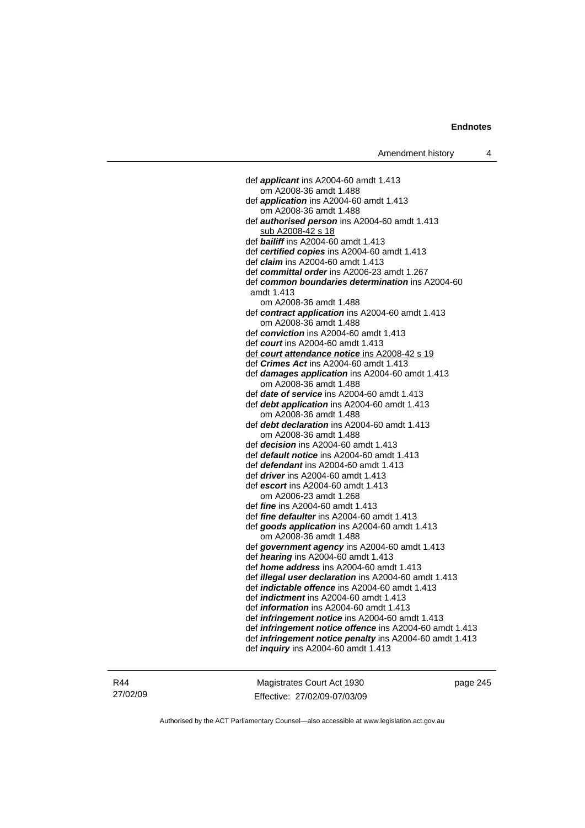def *applicant* ins A2004-60 amdt 1.413 om A2008-36 amdt 1.488 def *application* ins A2004-60 amdt 1.413 om A2008-36 amdt 1.488 def *authorised person* ins A2004-60 amdt 1.413 sub A2008-42 s 18 def *bailiff* ins A2004-60 amdt 1.413 def *certified copies* ins A2004-60 amdt 1.413 def *claim* ins A2004-60 amdt 1.413 def *committal order* ins A2006-23 amdt 1.267 def *common boundaries determination* ins A2004-60 amdt 1.413 om A2008-36 amdt 1.488 def *contract application* ins A2004-60 amdt 1.413 om A2008-36 amdt 1.488 def *conviction* ins A2004-60 amdt 1.413 def *court* ins A2004-60 amdt 1.413 def *court attendance notice* ins A2008-42 s 19 def *Crimes Act* ins A2004-60 amdt 1.413 def *damages application* ins A2004-60 amdt 1.413 om A2008-36 amdt 1.488 def *date of service* ins A2004-60 amdt 1.413 def *debt application* ins A2004-60 amdt 1.413 om A2008-36 amdt 1.488 def *debt declaration* ins A2004-60 amdt 1.413 om A2008-36 amdt 1.488 def *decision* ins A2004-60 amdt 1.413 def *default notice* ins A2004-60 amdt 1.413 def *defendant* ins A2004-60 amdt 1.413 def *driver* ins A2004-60 amdt 1.413 def *escort* ins A2004-60 amdt 1.413 om A2006-23 amdt 1.268 def *fine* ins A2004-60 amdt 1.413 def *fine defaulter* ins A2004-60 amdt 1.413 def *goods application* ins A2004-60 amdt 1.413 om A2008-36 amdt 1.488 def *government agency* ins A2004-60 amdt 1.413 def *hearing* ins A2004-60 amdt 1.413 def *home address* ins A2004-60 amdt 1.413 def *illegal user declaration* ins A2004-60 amdt 1.413 def *indictable offence* ins A2004-60 amdt 1.413 def *indictment* ins A2004-60 amdt 1.413 def *information* ins A2004-60 amdt 1.413 def *infringement notice* ins A2004-60 amdt 1.413 def *infringement notice offence* ins A2004-60 amdt 1.413 def *infringement notice penalty* ins A2004-60 amdt 1.413 def *inquiry* ins A2004-60 amdt 1.413

R44 27/02/09

Magistrates Court Act 1930 Effective: 27/02/09-07/03/09 page 245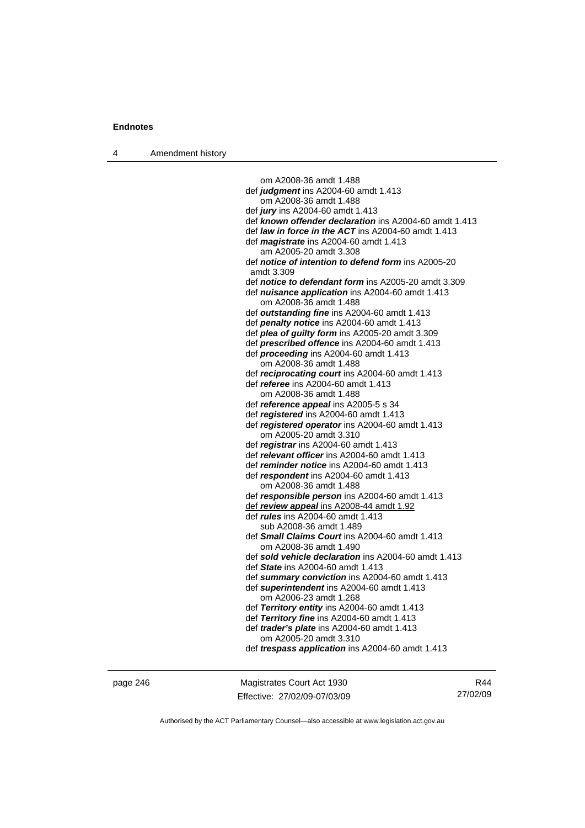4 Amendment history

 om A2008-36 amdt 1.488 def *judgment* ins A2004-60 amdt 1.413 om A2008-36 amdt 1.488 def *jury* ins A2004-60 amdt 1.413 def *known offender declaration* ins A2004-60 amdt 1.413 def *law in force in the ACT* ins A2004-60 amdt 1.413 def *magistrate* ins A2004-60 amdt 1.413 am A2005-20 amdt 3.308 def *notice of intention to defend form* ins A2005-20 amdt 3.309 def *notice to defendant form* ins A2005-20 amdt 3.309 def *nuisance application* ins A2004-60 amdt 1.413 om A2008-36 amdt 1.488 def *outstanding fine* ins A2004-60 amdt 1.413 def *penalty notice* ins A2004-60 amdt 1.413 def *plea of guilty form* ins A2005-20 amdt 3.309 def *prescribed offence* ins A2004-60 amdt 1.413 def *proceeding* ins A2004-60 amdt 1.413 om A2008-36 amdt 1.488 def *reciprocating court* ins A2004-60 amdt 1.413 def *referee* ins A2004-60 amdt 1.413 om A2008-36 amdt 1.488 def *reference appeal* ins A2005-5 s 34 def *registered* ins A2004-60 amdt 1.413 def *registered operator* ins A2004-60 amdt 1.413 om A2005-20 amdt 3.310 def *registrar* ins A2004-60 amdt 1.413 def *relevant officer* ins A2004-60 amdt 1.413 def *reminder notice* ins A2004-60 amdt 1.413 def *respondent* ins A2004-60 amdt 1.413 om A2008-36 amdt 1.488 def *responsible person* ins A2004-60 amdt 1.413 def *review appeal* ins A2008-44 amdt 1.92 def *rules* ins A2004-60 amdt 1.413 sub A2008-36 amdt 1.489 def *Small Claims Court* ins A2004-60 amdt 1.413 om A2008-36 amdt 1.490 def *sold vehicle declaration* ins A2004-60 amdt 1.413 def *State* ins A2004-60 amdt 1.413 def *summary conviction* ins A2004-60 amdt 1.413 def *superintendent* ins A2004-60 amdt 1.413 om A2006-23 amdt 1.268 def *Territory entity* ins A2004-60 amdt 1.413 def *Territory fine* ins A2004-60 amdt 1.413 def *trader's plate* ins A2004-60 amdt 1.413 om A2005-20 amdt 3.310 def *trespass application* ins A2004-60 amdt 1.413

page 246 Magistrates Court Act 1930 Effective: 27/02/09-07/03/09

R44 27/02/09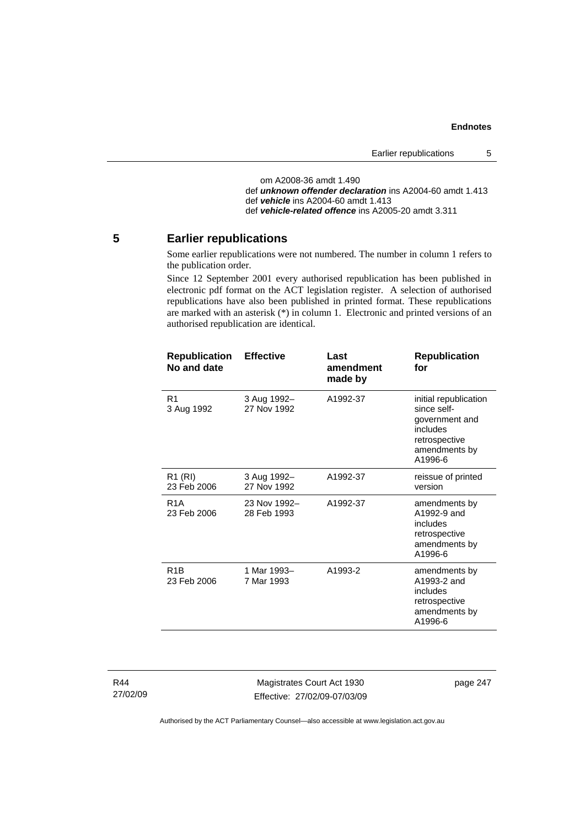```
 om A2008-36 amdt 1.490 
def unknown offender declaration ins A2004-60 amdt 1.413 
def vehicle ins A2004-60 amdt 1.413 
def vehicle-related offence ins A2005-20 amdt 3.311
```
### **5 Earlier republications**

Some earlier republications were not numbered. The number in column 1 refers to the publication order.

Since 12 September 2001 every authorised republication has been published in electronic pdf format on the ACT legislation register. A selection of authorised republications have also been published in printed format. These republications are marked with an asterisk (\*) in column 1. Electronic and printed versions of an authorised republication are identical.

| <b>Republication</b><br>No and date | <b>Effective</b>            | Last<br>amendment<br>made by | <b>Republication</b><br>for                                                                                     |
|-------------------------------------|-----------------------------|------------------------------|-----------------------------------------------------------------------------------------------------------------|
| R <sub>1</sub><br>3 Aug 1992        | 3 Aug 1992-<br>27 Nov 1992  | A1992-37                     | initial republication<br>since self-<br>government and<br>includes<br>retrospective<br>amendments by<br>A1996-6 |
| R <sub>1</sub> (RI)<br>23 Feb 2006  | 3 Aug 1992-<br>27 Nov 1992  | A1992-37                     | reissue of printed<br>version                                                                                   |
| R <sub>1</sub> A<br>23 Feb 2006     | 23 Nov 1992-<br>28 Feb 1993 | A1992-37                     | amendments by<br>A1992-9 and<br>includes<br>retrospective<br>amendments by<br>A1996-6                           |
| R <sub>1</sub> B<br>23 Feb 2006     | 1 Mar 1993-<br>7 Mar 1993   | A1993-2                      | amendments by<br>A1993-2 and<br>includes<br>retrospective<br>amendments by<br>A1996-6                           |
|                                     |                             |                              |                                                                                                                 |

R44 27/02/09

Magistrates Court Act 1930 Effective: 27/02/09-07/03/09 page 247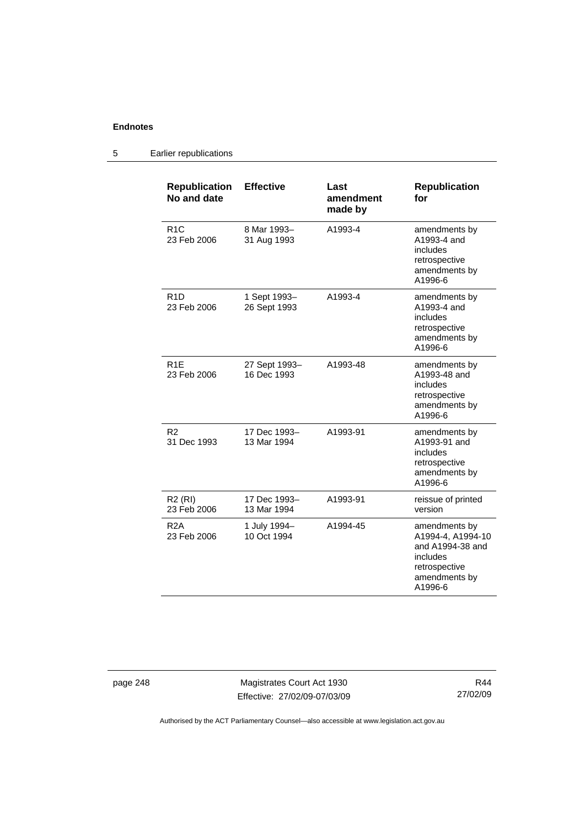#### **Republication No and date Effective Last amendment made by Republication for**  R1C 23 Feb 2006 8 Mar 1993– 31 Aug 1993 A1993-4 amendments by A1993-4 and includes retrospective amendments by A1996-6 R1D 23 Feb 2006 1 Sept 1993– 26 Sept 1993 A1993-4 amendments by A1993-4 and includes retrospective amendments by A1996-6 R1E 23 Feb 2006 27 Sept 1993– 16 Dec 1993 A1993-48 amendments by A1993-48 and includes retrospective amendments by A1996-6 R2 31 Dec 1993 17 Dec 1993– 13 Mar 1994 A1993-91 amendments by A1993-91 and includes retrospective amendments by A1996-6 R2 (RI) 23 Feb 2006 17 Dec 1993– 13 Mar 1994 A1993-91 reissue of printed version R2A 23 Feb 2006 1 July 1994– 10 Oct 1994 A1994-45 amendments by A1994-4, A1994-10 and A1994-38 and includes retrospective amendments by A1996-6

#### 5 Earlier republications

page 248 Magistrates Court Act 1930 Effective: 27/02/09-07/03/09

R44 27/02/09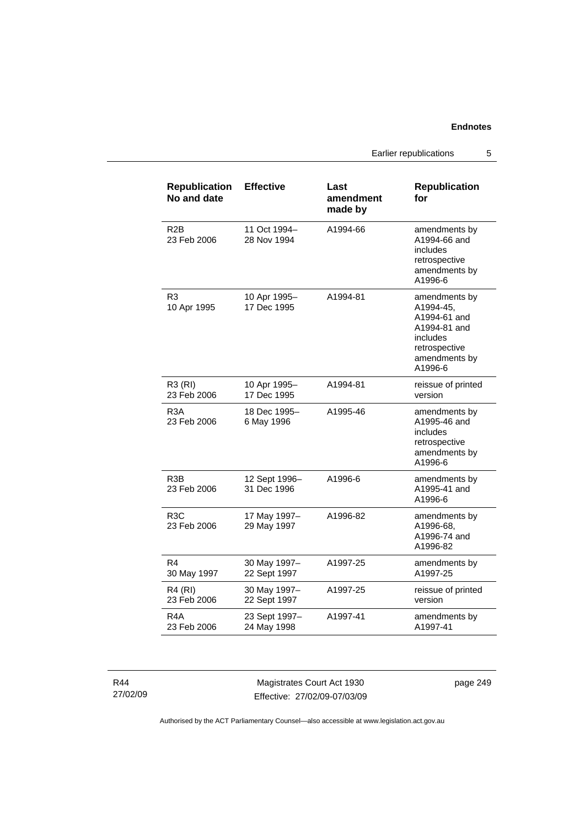Earlier republications 5

| <b>Republication</b><br>No and date | <b>Effective</b>             | Last<br>amendment<br>made by | <b>Republication</b><br>for                                                                                         |
|-------------------------------------|------------------------------|------------------------------|---------------------------------------------------------------------------------------------------------------------|
| R <sub>2</sub> B<br>23 Feb 2006     | 11 Oct 1994–<br>28 Nov 1994  | A1994-66                     | amendments by<br>A1994-66 and<br>includes<br>retrospective<br>amendments by<br>A1996-6                              |
| R <sub>3</sub><br>10 Apr 1995       | 10 Apr 1995-<br>17 Dec 1995  | A1994-81                     | amendments by<br>A1994-45,<br>A1994-61 and<br>A1994-81 and<br>includes<br>retrospective<br>amendments by<br>A1996-6 |
| R3 (RI)<br>23 Feb 2006              | 10 Apr 1995-<br>17 Dec 1995  | A1994-81                     | reissue of printed<br>version                                                                                       |
| R <sub>3</sub> A<br>23 Feb 2006     | 18 Dec 1995-<br>6 May 1996   | A1995-46                     | amendments by<br>A1995-46 and<br>includes<br>retrospective<br>amendments by<br>A1996-6                              |
| R3B<br>23 Feb 2006                  | 12 Sept 1996-<br>31 Dec 1996 | A1996-6                      | amendments by<br>A1995-41 and<br>A1996-6                                                                            |
| R <sub>3</sub> C<br>23 Feb 2006     | 17 May 1997-<br>29 May 1997  | A1996-82                     | amendments by<br>A1996-68,<br>A1996-74 and<br>A1996-82                                                              |
| R4<br>30 May 1997                   | 30 May 1997-<br>22 Sept 1997 | A1997-25                     | amendments by<br>A1997-25                                                                                           |
| R4 (RI)<br>23 Feb 2006              | 30 May 1997-<br>22 Sept 1997 | A1997-25                     | reissue of printed<br>version                                                                                       |
| R4A<br>23 Feb 2006                  | 23 Sept 1997-<br>24 May 1998 | A1997-41                     | amendments by<br>A1997-41                                                                                           |

R44 27/02/09

Magistrates Court Act 1930 Effective: 27/02/09-07/03/09 page 249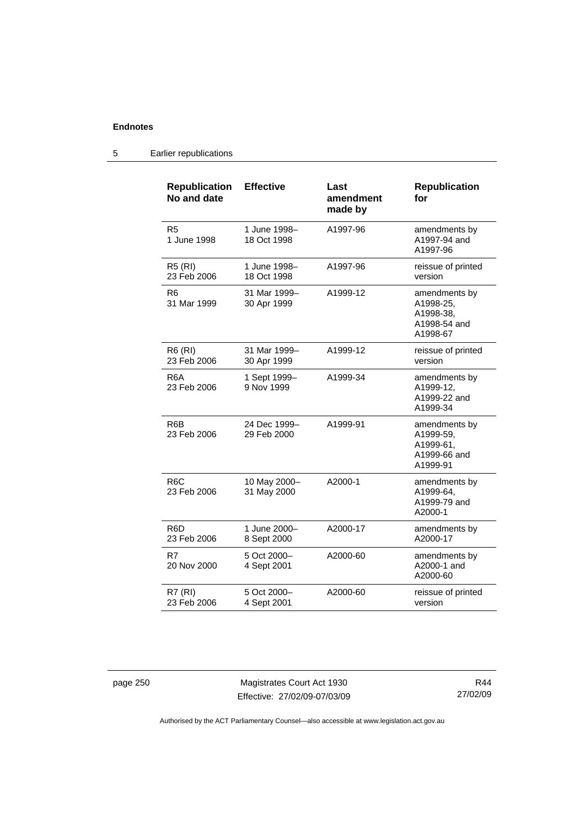# 5 Earlier republications

| <b>Republication</b><br>No and date | <b>Effective</b>            | Last<br>amendment<br>made by | <b>Republication</b><br>for                                         |
|-------------------------------------|-----------------------------|------------------------------|---------------------------------------------------------------------|
| R <sub>5</sub><br>1 June 1998       | 1 June 1998-<br>18 Oct 1998 | A1997-96                     | amendments by<br>A1997-94 and<br>A1997-96                           |
| <b>R5 (RI)</b><br>23 Feb 2006       | 1 June 1998-<br>18 Oct 1998 | A1997-96                     | reissue of printed<br>version                                       |
| R6<br>31 Mar 1999                   | 31 Mar 1999-<br>30 Apr 1999 | A1999-12                     | amendments by<br>A1998-25,<br>A1998-38,<br>A1998-54 and<br>A1998-67 |
| R6 (RI)<br>23 Feb 2006              | 31 Mar 1999-<br>30 Apr 1999 | A1999-12                     | reissue of printed<br>version                                       |
| R <sub>6</sub> A<br>23 Feb 2006     | 1 Sept 1999-<br>9 Nov 1999  | A1999-34                     | amendments by<br>A1999-12,<br>A1999-22 and<br>A1999-34              |
| R6B<br>23 Feb 2006                  | 24 Dec 1999-<br>29 Feb 2000 | A1999-91                     | amendments by<br>A1999-59,<br>A1999-61,<br>A1999-66 and<br>A1999-91 |
| R <sub>6</sub> C<br>23 Feb 2006     | 10 May 2000-<br>31 May 2000 | A2000-1                      | amendments by<br>A1999-64,<br>A1999-79 and<br>A2000-1               |
| R6D<br>23 Feb 2006                  | 1 June 2000-<br>8 Sept 2000 | A2000-17                     | amendments by<br>A2000-17                                           |
| R7<br>20 Nov 2000                   | 5 Oct 2000-<br>4 Sept 2001  | A2000-60                     | amendments by<br>A2000-1 and<br>A2000-60                            |
| <b>R7 (RI)</b><br>23 Feb 2006       | 5 Oct 2000-<br>4 Sept 2001  | A2000-60                     | reissue of printed<br>version                                       |

page 250 Magistrates Court Act 1930 Effective: 27/02/09-07/03/09

R44 27/02/09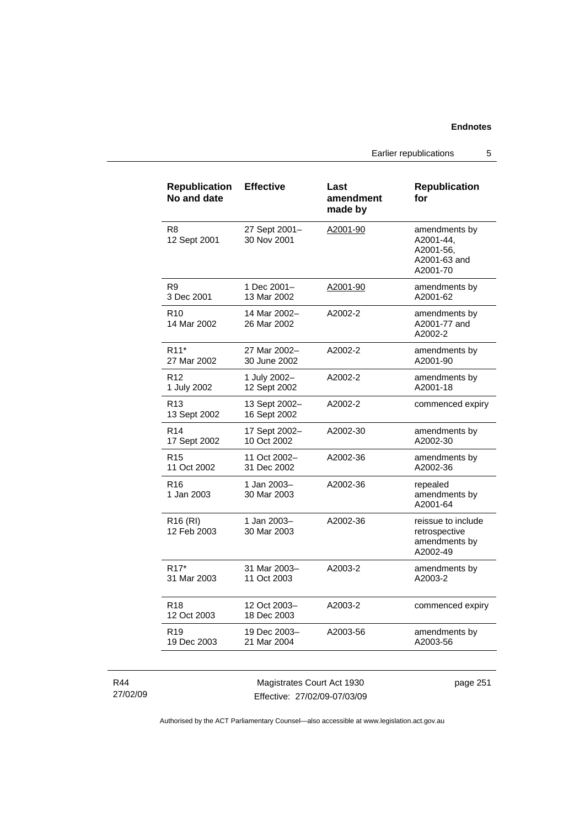Earlier republications 5

| <b>Republication</b><br>No and date | <b>Effective</b>              | Last<br>amendment<br>made by | <b>Republication</b><br>for                                         |
|-------------------------------------|-------------------------------|------------------------------|---------------------------------------------------------------------|
| R8<br>12 Sept 2001                  | 27 Sept 2001-<br>30 Nov 2001  | A2001-90                     | amendments by<br>A2001-44,<br>A2001-56,<br>A2001-63 and<br>A2001-70 |
| R <sub>9</sub>                      | 1 Dec 2001-                   | A2001-90                     | amendments by                                                       |
| 3 Dec 2001                          | 13 Mar 2002                   |                              | A2001-62                                                            |
| R <sub>10</sub><br>14 Mar 2002      | 14 Mar 2002-<br>26 Mar 2002   | A2002-2                      | amendments by<br>A2001-77 and<br>A2002-2                            |
| R <sub>11</sub> *                   | 27 Mar 2002-                  | A2002-2                      | amendments by                                                       |
| 27 Mar 2002                         | 30 June 2002                  |                              | A2001-90                                                            |
| R <sub>12</sub>                     | 1 July 2002-                  | A2002-2                      | amendments by                                                       |
| 1 July 2002                         | 12 Sept 2002                  |                              | A2001-18                                                            |
| R <sub>13</sub><br>13 Sept 2002     | 13 Sept 2002-<br>16 Sept 2002 | A2002-2                      | commenced expiry                                                    |
| R <sub>14</sub>                     | 17 Sept 2002-                 | A2002-30                     | amendments by                                                       |
| 17 Sept 2002                        | 10 Oct 2002                   |                              | A2002-30                                                            |
| R <sub>15</sub>                     | 11 Oct 2002-                  | A2002-36                     | amendments by                                                       |
| 11 Oct 2002                         | 31 Dec 2002                   |                              | A2002-36                                                            |
| R <sub>16</sub><br>1 Jan 2003       | 1 Jan 2003-<br>30 Mar 2003    | A2002-36                     | repealed<br>amendments by<br>A2001-64                               |
| R <sub>16</sub> (RI)<br>12 Feb 2003 | 1 Jan 2003-<br>30 Mar 2003    | A2002-36                     | reissue to include<br>retrospective<br>amendments by<br>A2002-49    |
| R <sub>17</sub> *                   | 31 Mar 2003-                  | A2003-2                      | amendments by                                                       |
| 31 Mar 2003                         | 11 Oct 2003                   |                              | A2003-2                                                             |
| <b>R18</b><br>12 Oct 2003           | 12 Oct 2003-<br>18 Dec 2003   | A2003-2                      | commenced expiry                                                    |
| R <sub>19</sub>                     | 19 Dec 2003-                  | A2003-56                     | amendments by                                                       |
| 19 Dec 2003                         | 21 Mar 2004                   |                              | A2003-56                                                            |

R44 27/02/09

Magistrates Court Act 1930 Effective: 27/02/09-07/03/09 page 251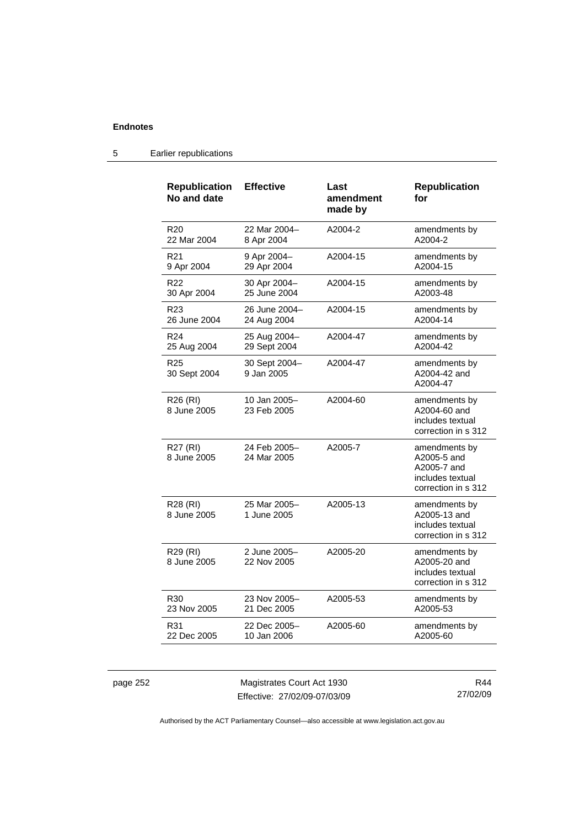| <b>Republication</b><br>No and date | <b>Effective</b>            | Last<br>amendment<br>made by | <b>Republication</b><br>for                                                            |
|-------------------------------------|-----------------------------|------------------------------|----------------------------------------------------------------------------------------|
| R <sub>20</sub>                     | 22 Mar 2004-                | A2004-2                      | amendments by                                                                          |
| 22 Mar 2004                         | 8 Apr 2004                  |                              | A2004-2                                                                                |
| R21                                 | 9 Apr 2004-                 | A2004-15                     | amendments by                                                                          |
| 9 Apr 2004                          | 29 Apr 2004                 |                              | A2004-15                                                                               |
| R22                                 | 30 Apr 2004-                | A2004-15                     | amendments by                                                                          |
| 30 Apr 2004                         | 25 June 2004                |                              | A2003-48                                                                               |
| R23                                 | 26 June 2004-               | A2004-15                     | amendments by                                                                          |
| 26 June 2004                        | 24 Aug 2004                 |                              | A2004-14                                                                               |
| R24                                 | 25 Aug 2004-                | A2004-47                     | amendments by                                                                          |
| 25 Aug 2004                         | 29 Sept 2004                |                              | A2004-42                                                                               |
| R <sub>25</sub><br>30 Sept 2004     | 30 Sept 2004-<br>9 Jan 2005 | A2004-47                     | amendments by<br>A2004-42 and<br>A2004-47                                              |
| R <sub>26</sub> (RI)<br>8 June 2005 | 10 Jan 2005-<br>23 Feb 2005 | A2004-60                     | amendments by<br>A2004-60 and<br>includes textual<br>correction in s 312               |
| R27 (RI)<br>8 June 2005             | 24 Feb 2005–<br>24 Mar 2005 | A2005-7                      | amendments by<br>A2005-5 and<br>A2005-7 and<br>includes textual<br>correction in s 312 |
| R28 (RI)<br>8 June 2005             | 25 Mar 2005-<br>1 June 2005 | A2005-13                     | amendments by<br>A2005-13 and<br>includes textual<br>correction in s 312               |
| R29 (RI)<br>8 June 2005             | 2 June 2005-<br>22 Nov 2005 | A2005-20                     | amendments by<br>A2005-20 and<br>includes textual<br>correction in s 312               |
| R <sub>30</sub>                     | 23 Nov 2005-                | A2005-53                     | amendments by                                                                          |
| 23 Nov 2005                         | 21 Dec 2005                 |                              | A2005-53                                                                               |
| R31                                 | 22 Dec 2005-                | A2005-60                     | amendments by                                                                          |
| 22 Dec 2005                         | 10 Jan 2006                 |                              | A2005-60                                                                               |

### 5 Earlier republications

page 252 Magistrates Court Act 1930 Effective: 27/02/09-07/03/09

R44 27/02/09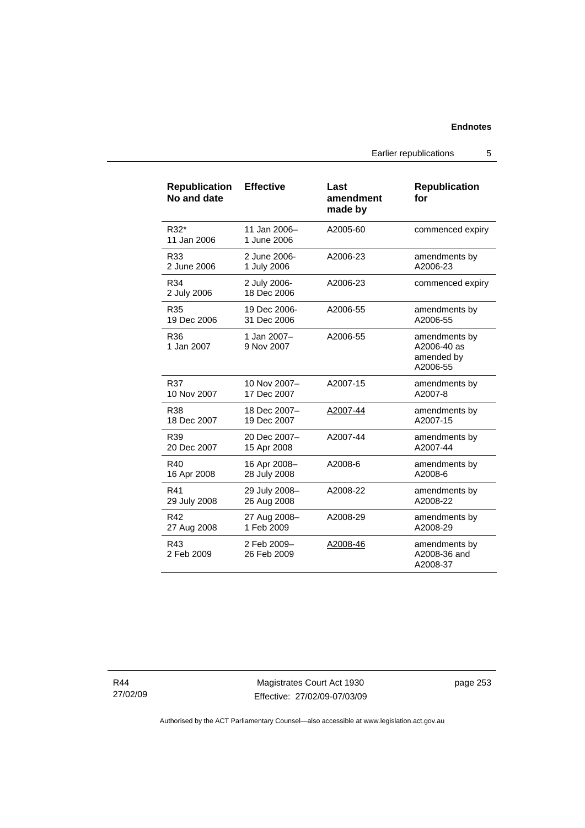Earlier republications 5

| <b>Republication</b><br>No and date | <b>Effective</b>            | Last<br>amendment<br>made by | <b>Republication</b><br>for                            |
|-------------------------------------|-----------------------------|------------------------------|--------------------------------------------------------|
| R32*<br>11 Jan 2006                 | 11 Jan 2006-<br>1 June 2006 | A2005-60                     | commenced expiry                                       |
| R33                                 | 2 June 2006-                | A2006-23                     | amendments by                                          |
| 2 June 2006                         | 1 July 2006                 |                              | A2006-23                                               |
| R34<br>2 July 2006                  | 2 July 2006-<br>18 Dec 2006 | A2006-23                     | commenced expiry                                       |
| R35                                 | 19 Dec 2006-                | A2006-55                     | amendments by                                          |
| 19 Dec 2006                         | 31 Dec 2006                 |                              | A2006-55                                               |
| R36<br>1 Jan 2007                   | 1 Jan 2007-<br>9 Nov 2007   | A2006-55                     | amendments by<br>A2006-40 as<br>amended by<br>A2006-55 |
| R37                                 | 10 Nov 2007-                | A2007-15                     | amendments by                                          |
| 10 Nov 2007                         | 17 Dec 2007                 |                              | A2007-8                                                |
| R38                                 | 18 Dec 2007-                | A2007-44                     | amendments by                                          |
| 18 Dec 2007                         | 19 Dec 2007                 |                              | A2007-15                                               |
| R39                                 | 20 Dec 2007-                | A2007-44                     | amendments by                                          |
| 20 Dec 2007                         | 15 Apr 2008                 |                              | A2007-44                                               |
| R40                                 | 16 Apr 2008-                | A2008-6                      | amendments by                                          |
| 16 Apr 2008                         | 28 July 2008                |                              | A2008-6                                                |
| R41                                 | 29 July 2008-               | A2008-22                     | amendments by                                          |
| 29 July 2008                        | 26 Aug 2008                 |                              | A2008-22                                               |
| R42                                 | 27 Aug 2008-                | A2008-29                     | amendments by                                          |
| 27 Aug 2008                         | 1 Feb 2009                  |                              | A2008-29                                               |
| R43<br>2 Feb 2009                   | 2 Feb 2009-<br>26 Feb 2009  | A2008-46                     | amendments by<br>A2008-36 and<br>A2008-37              |

R44 27/02/09

Magistrates Court Act 1930 Effective: 27/02/09-07/03/09 page 253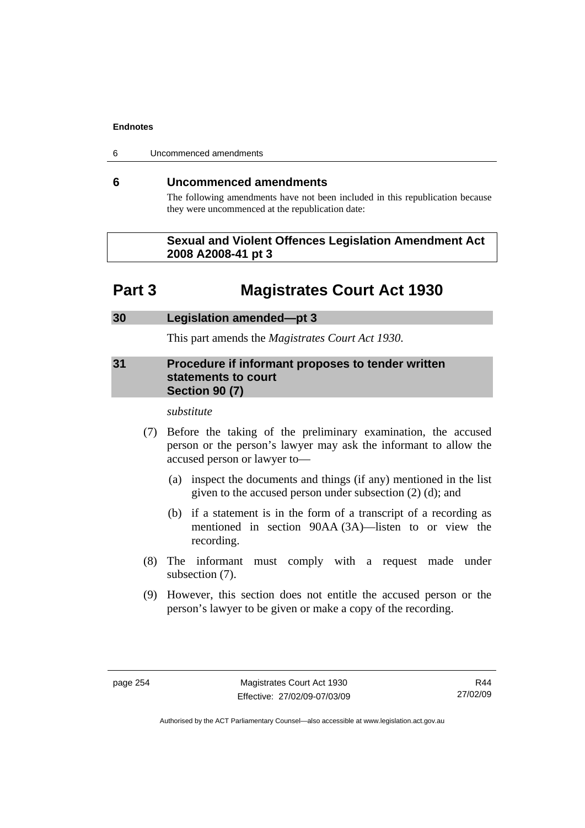6 Uncommenced amendments

### **6 Uncommenced amendments**

The following amendments have not been included in this republication because they were uncommenced at the republication date:

### **Sexual and Violent Offences Legislation Amendment Act 2008 A2008-41 pt 3**

# **Part 3 Magistrates Court Act 1930**

### **30 Legislation amended—pt 3**

This part amends the *Magistrates Court Act 1930*.

### **31 Procedure if informant proposes to tender written statements to court Section 90 (7)**

#### *substitute*

- (7) Before the taking of the preliminary examination, the accused person or the person's lawyer may ask the informant to allow the accused person or lawyer to—
	- (a) inspect the documents and things (if any) mentioned in the list given to the accused person under subsection (2) (d); and
	- (b) if a statement is in the form of a transcript of a recording as mentioned in section 90AA (3A)—listen to or view the recording.
- (8) The informant must comply with a request made under subsection (7).
- (9) However, this section does not entitle the accused person or the person's lawyer to be given or make a copy of the recording.

R44 27/02/09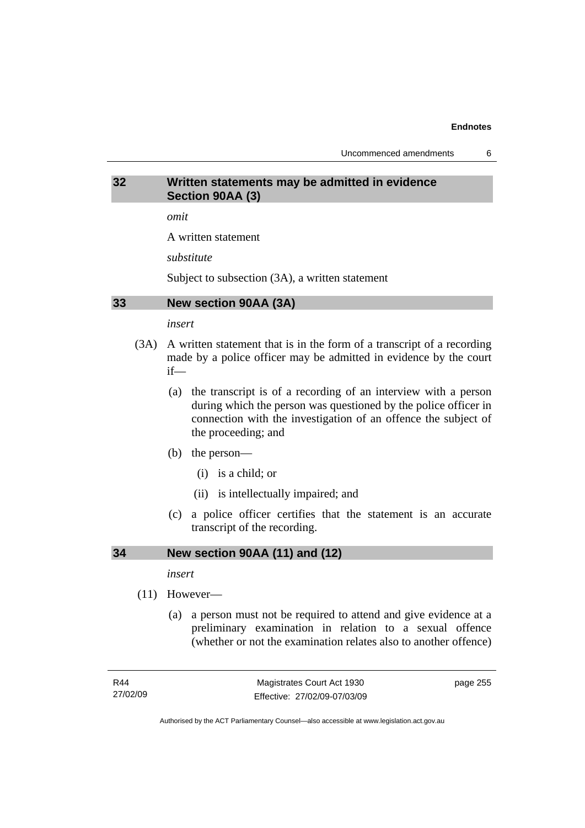Uncommenced amendments 6

### **32 Written statements may be admitted in evidence Section 90AA (3)**

*omit* 

A written statement

*substitute* 

Subject to subsection (3A), a written statement

### **33 New section 90AA (3A)**

### *insert*

- (3A) A written statement that is in the form of a transcript of a recording made by a police officer may be admitted in evidence by the court if—
	- (a) the transcript is of a recording of an interview with a person during which the person was questioned by the police officer in connection with the investigation of an offence the subject of the proceeding; and
	- (b) the person—
		- (i) is a child; or
		- (ii) is intellectually impaired; and
	- (c) a police officer certifies that the statement is an accurate transcript of the recording.

### **34 New section 90AA (11) and (12)**

*insert* 

- (11) However—
	- (a) a person must not be required to attend and give evidence at a preliminary examination in relation to a sexual offence (whether or not the examination relates also to another offence)

page 255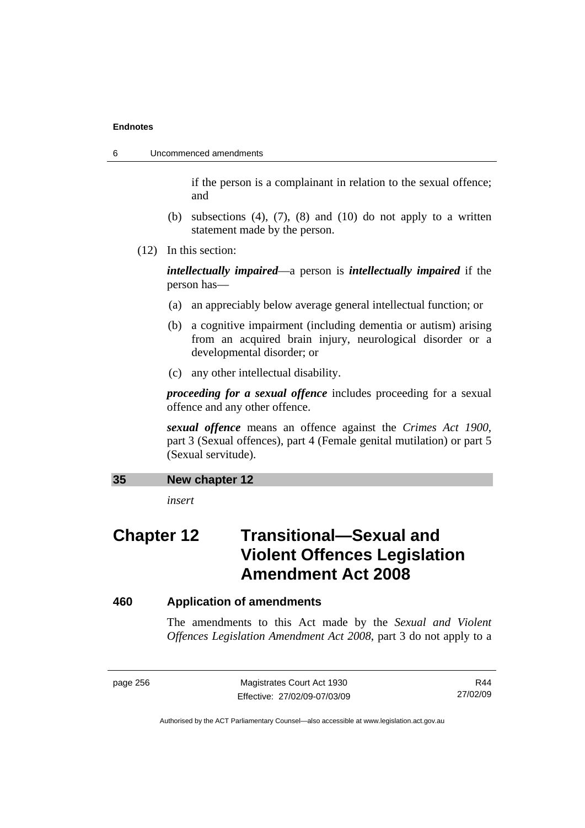6 Uncommenced amendments

if the person is a complainant in relation to the sexual offence; and

- (b) subsections  $(4)$ ,  $(7)$ ,  $(8)$  and  $(10)$  do not apply to a written statement made by the person.
- (12) In this section:

*intellectually impaired*—a person is *intellectually impaired* if the person has—

- (a) an appreciably below average general intellectual function; or
- (b) a cognitive impairment (including dementia or autism) arising from an acquired brain injury, neurological disorder or a developmental disorder; or
- (c) any other intellectual disability.

*proceeding for a sexual offence* includes proceeding for a sexual offence and any other offence.

*sexual offence* means an offence against the *Crimes Act 1900*, part 3 (Sexual offences), part 4 (Female genital mutilation) or part 5 (Sexual servitude).

| 35 | New chapter 12 |
|----|----------------|
|    |                |

*insert* 

# **Chapter 12 Transitional—Sexual and Violent Offences Legislation Amendment Act 2008**

### **460 Application of amendments**

The amendments to this Act made by the *Sexual and Violent Offences Legislation Amendment Act 2008*, part 3 do not apply to a

page 256 Magistrates Court Act 1930 Effective: 27/02/09-07/03/09

R44 27/02/09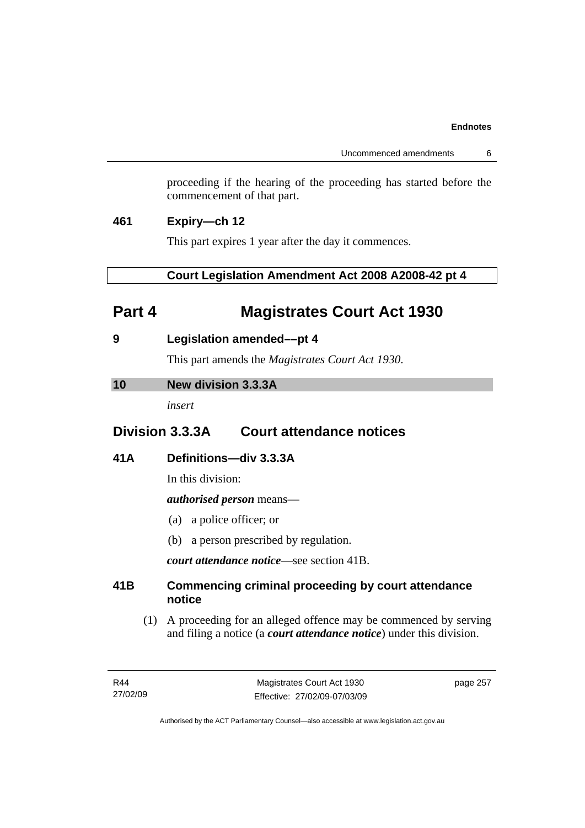Uncommenced amendments 6

proceeding if the hearing of the proceeding has started before the commencement of that part.

### **461 Expiry—ch 12**

This part expires 1 year after the day it commences.

 **Court Legislation Amendment Act 2008 A2008-42 pt 4** 

# **Part 4 Magistrates Court Act 1930**

**9 Legislation amended––pt 4** 

This part amends the *Magistrates Court Act 1930*.

### **10 New division 3.3.3A**

*insert* 

# **Division 3.3.3A Court attendance notices**

### **41A Definitions—div 3.3.3A**

In this division:

### *authorised person* means—

- (a) a police officer; or
- (b) a person prescribed by regulation.

*court attendance notice*—see section 41B.

### **41B Commencing criminal proceeding by court attendance notice**

 (1) A proceeding for an alleged offence may be commenced by serving and filing a notice (a *court attendance notice*) under this division.

page 257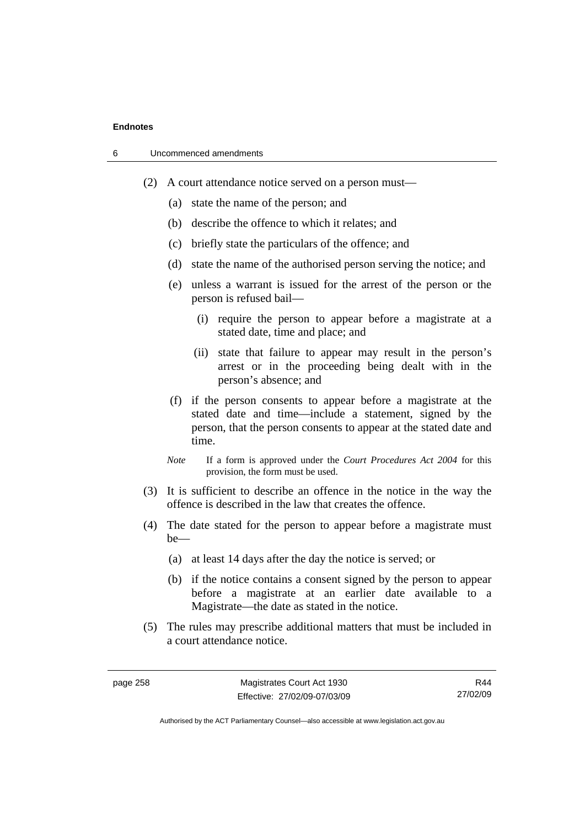| 6 | Uncommenced amendments |
|---|------------------------|
|---|------------------------|

- (2) A court attendance notice served on a person must––
	- (a) state the name of the person; and
	- (b) describe the offence to which it relates; and
	- (c) briefly state the particulars of the offence; and
	- (d) state the name of the authorised person serving the notice; and
	- (e) unless a warrant is issued for the arrest of the person or the person is refused bail—
		- (i) require the person to appear before a magistrate at a stated date, time and place; and
		- (ii) state that failure to appear may result in the person's arrest or in the proceeding being dealt with in the person's absence; and
	- (f) if the person consents to appear before a magistrate at the stated date and time—include a statement, signed by the person, that the person consents to appear at the stated date and time.
	- *Note* If a form is approved under the *Court Procedures Act 2004* for this provision, the form must be used.
- (3) It is sufficient to describe an offence in the notice in the way the offence is described in the law that creates the offence.
- (4) The date stated for the person to appear before a magistrate must be—
	- (a) at least 14 days after the day the notice is served; or
	- (b) if the notice contains a consent signed by the person to appear before a magistrate at an earlier date available to a Magistrate—the date as stated in the notice.
- (5) The rules may prescribe additional matters that must be included in a court attendance notice.

R44 27/02/09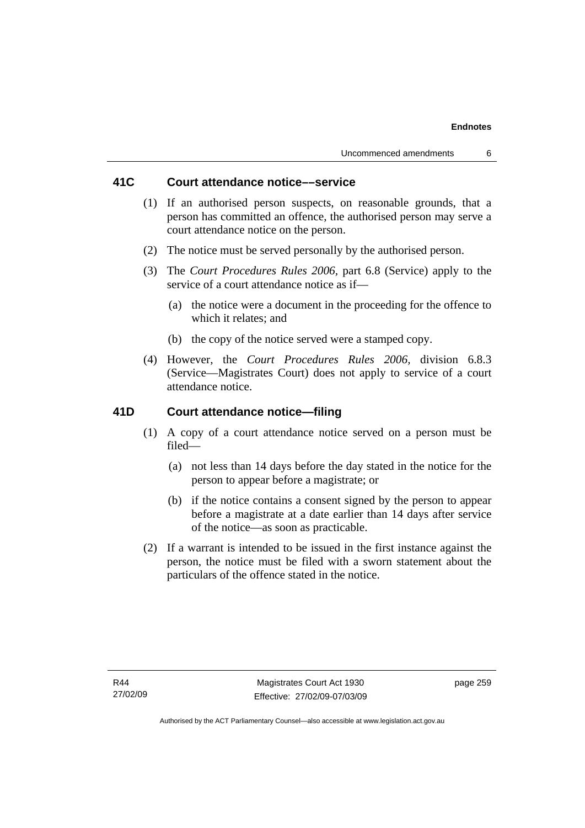### **41C Court attendance notice––service**

- (1) If an authorised person suspects, on reasonable grounds, that a person has committed an offence, the authorised person may serve a court attendance notice on the person.
- (2) The notice must be served personally by the authorised person.
- (3) The *Court Procedures Rules 2006,* part 6.8 (Service) apply to the service of a court attendance notice as if—
	- (a) the notice were a document in the proceeding for the offence to which it relates; and
	- (b) the copy of the notice served were a stamped copy.
- (4) However, the *Court Procedures Rules 2006,* division 6.8.3 (Service—Magistrates Court) does not apply to service of a court attendance notice.

### **41D Court attendance notice—filing**

- (1) A copy of a court attendance notice served on a person must be filed—
	- (a) not less than 14 days before the day stated in the notice for the person to appear before a magistrate; or
	- (b) if the notice contains a consent signed by the person to appear before a magistrate at a date earlier than 14 days after service of the notice—as soon as practicable.
- (2) If a warrant is intended to be issued in the first instance against the person, the notice must be filed with a sworn statement about the particulars of the offence stated in the notice.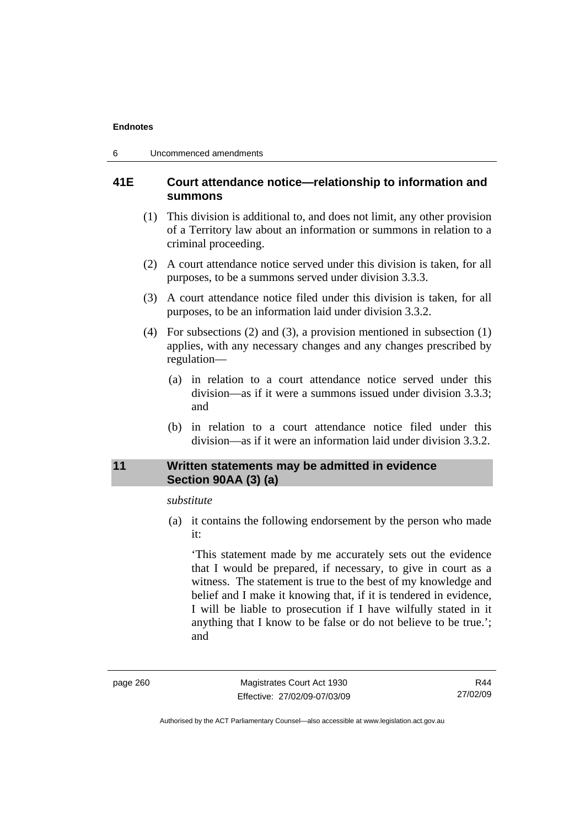### **41E Court attendance notice—relationship to information and summons**

- (1) This division is additional to, and does not limit, any other provision of a Territory law about an information or summons in relation to a criminal proceeding.
- (2) A court attendance notice served under this division is taken, for all purposes, to be a summons served under division 3.3.3.
- (3) A court attendance notice filed under this division is taken, for all purposes, to be an information laid under division 3.3.2.
- (4) For subsections (2) and (3), a provision mentioned in subsection (1) applies, with any necessary changes and any changes prescribed by regulation—
	- (a) in relation to a court attendance notice served under this division—as if it were a summons issued under division 3.3.3; and
	- (b) in relation to a court attendance notice filed under this division—as if it were an information laid under division 3.3.2.

### **11 Written statements may be admitted in evidence Section 90AA (3) (a)**

### *substitute*

 (a) it contains the following endorsement by the person who made it:

'This statement made by me accurately sets out the evidence that I would be prepared, if necessary, to give in court as a witness. The statement is true to the best of my knowledge and belief and I make it knowing that, if it is tendered in evidence, I will be liable to prosecution if I have wilfully stated in it anything that I know to be false or do not believe to be true.'; and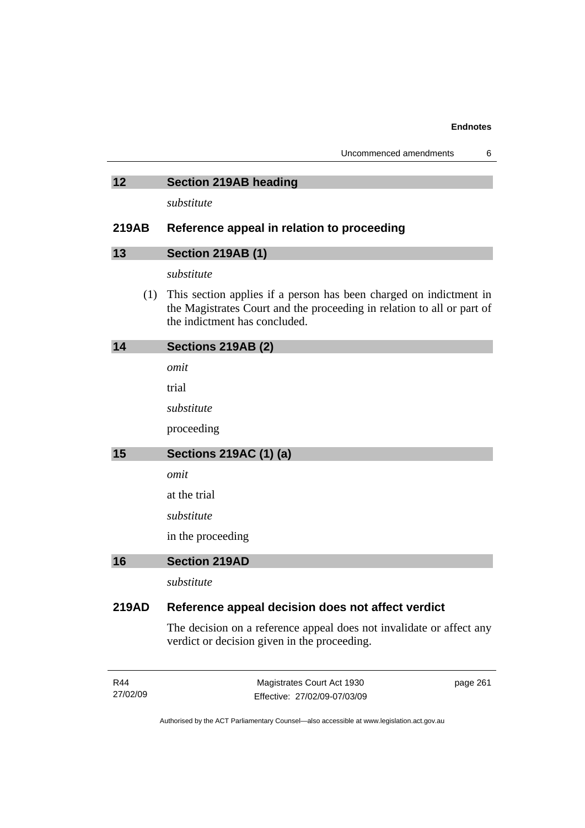| Uncommenced amendments |  |
|------------------------|--|
|------------------------|--|

### **12 Section 219AB heading**

*substitute* 

### **219AB Reference appeal in relation to proceeding**

| 13 | <b>Section 219AB (1)</b> |  |
|----|--------------------------|--|
|    |                          |  |

*substitute* 

 (1) This section applies if a person has been charged on indictment in the Magistrates Court and the proceeding in relation to all or part of the indictment has concluded.

| 14 | Sections 219AB (2)            |
|----|-------------------------------|
|    | omit                          |
|    | trial                         |
|    | substitute                    |
|    | proceeding                    |
| 15 | <b>Sections 219AC (1) (a)</b> |
|    | omit                          |
|    | at the trial                  |
|    | substitute                    |
|    | in the proceeding             |
| 16 | <b>Section 219AD</b>          |
|    | substitute                    |

### **219AD Reference appeal decision does not affect verdict**

The decision on a reference appeal does not invalidate or affect any verdict or decision given in the proceeding.

| R44      | Magistrates Court Act 1930   | page 261 |
|----------|------------------------------|----------|
| 27/02/09 | Effective: 27/02/09-07/03/09 |          |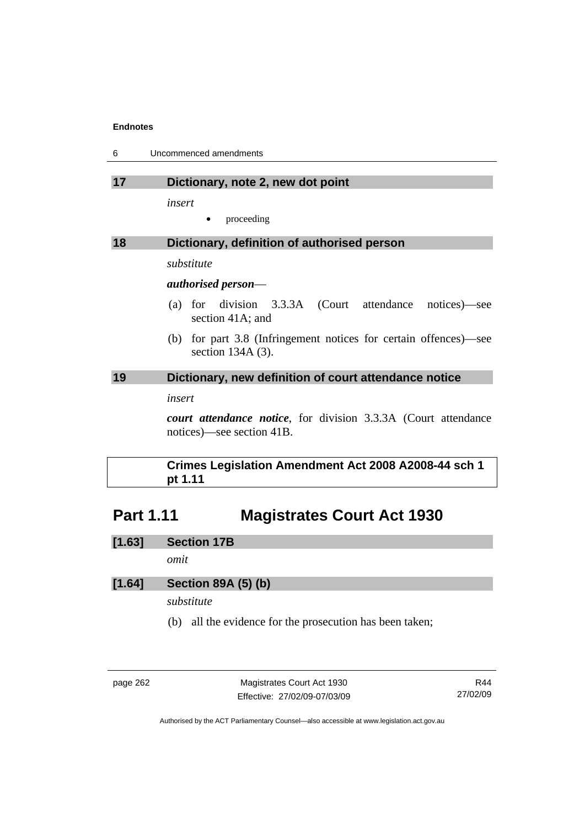| -6 | Uncommenced amendments |
|----|------------------------|
|----|------------------------|

### **17 Dictionary, note 2, new dot point**

*insert* 

proceeding

### **18 Dictionary, definition of authorised person**

*substitute* 

### *authorised person*—

- (a) for division 3.3.3A (Court attendance notices)—see section 41A; and
- (b) for part 3.8 (Infringement notices for certain offences)—see section 134A (3).

### **19 Dictionary, new definition of court attendance notice**

*insert* 

*court attendance notice*, for division 3.3.3A (Court attendance notices)—see section 41B.

### **Crimes Legislation Amendment Act 2008 A2008-44 sch 1 pt 1.11**

# **Part 1.11 Magistrates Court Act 1930**

**[1.63] Section 17B** 

*omit* 

### **[1.64] Section 89A (5) (b)**

*substitute* 

(b) all the evidence for the prosecution has been taken;

page 262 Magistrates Court Act 1930 Effective: 27/02/09-07/03/09

R44 27/02/09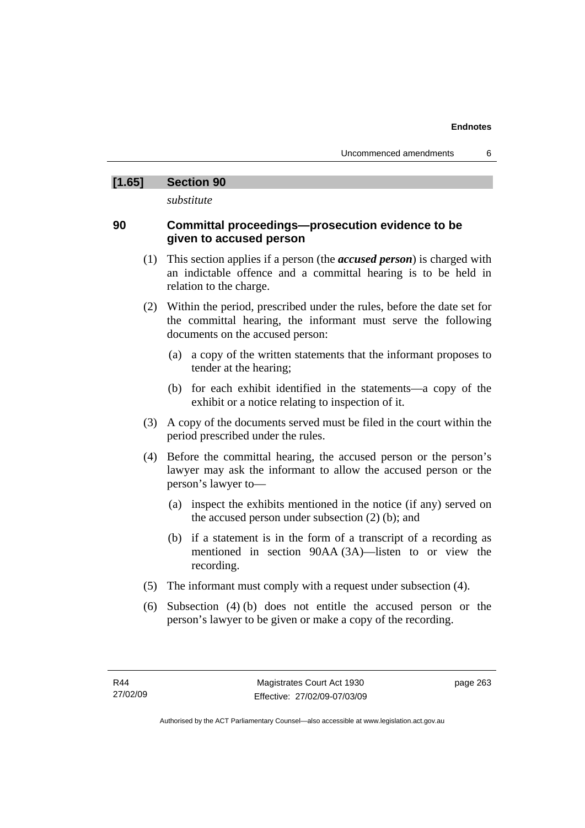### **[1.65] Section 90**

*substitute* 

### **90 Committal proceedings—prosecution evidence to be given to accused person**

- (1) This section applies if a person (the *accused person*) is charged with an indictable offence and a committal hearing is to be held in relation to the charge.
- (2) Within the period, prescribed under the rules, before the date set for the committal hearing, the informant must serve the following documents on the accused person:
	- (a) a copy of the written statements that the informant proposes to tender at the hearing;
	- (b) for each exhibit identified in the statements—a copy of the exhibit or a notice relating to inspection of it.
- (3) A copy of the documents served must be filed in the court within the period prescribed under the rules.
- (4) Before the committal hearing, the accused person or the person's lawyer may ask the informant to allow the accused person or the person's lawyer to—
	- (a) inspect the exhibits mentioned in the notice (if any) served on the accused person under subsection (2) (b); and
	- (b) if a statement is in the form of a transcript of a recording as mentioned in section 90AA (3A)—listen to or view the recording.
- (5) The informant must comply with a request under subsection (4).
- (6) Subsection (4) (b) does not entitle the accused person or the person's lawyer to be given or make a copy of the recording.

page 263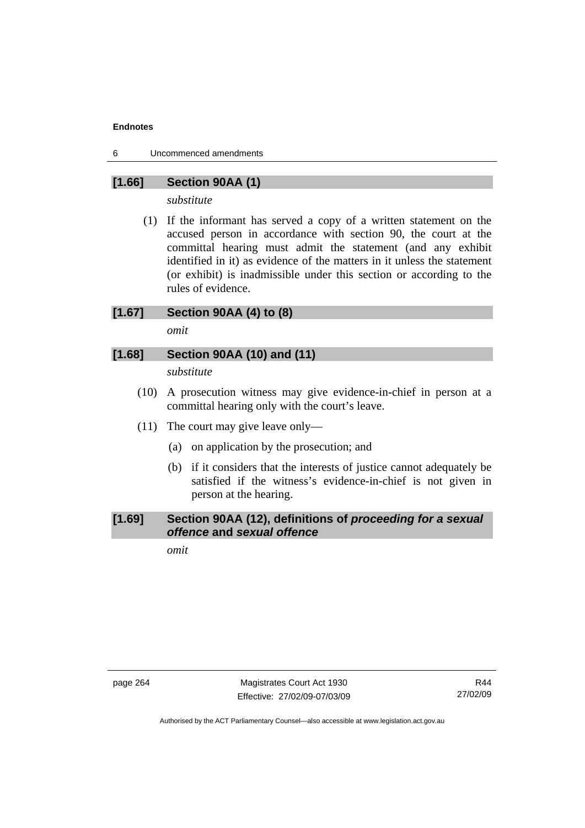6 Uncommenced amendments

### **[1.66] Section 90AA (1)**

*substitute* 

 (1) If the informant has served a copy of a written statement on the accused person in accordance with section 90, the court at the committal hearing must admit the statement (and any exhibit identified in it) as evidence of the matters in it unless the statement (or exhibit) is inadmissible under this section or according to the rules of evidence.

### **[1.67] Section 90AA (4) to (8)**

*omit* 

### **[1.68] Section 90AA (10) and (11)**

*substitute* 

- (10) A prosecution witness may give evidence-in-chief in person at a committal hearing only with the court's leave.
- (11) The court may give leave only—
	- (a) on application by the prosecution; and
	- (b) if it considers that the interests of justice cannot adequately be satisfied if the witness's evidence-in-chief is not given in person at the hearing.

### **[1.69] Section 90AA (12), definitions of** *proceeding for a sexual offence* **and** *sexual offence*

*omit* 

page 264 Magistrates Court Act 1930 Effective: 27/02/09-07/03/09

R44 27/02/09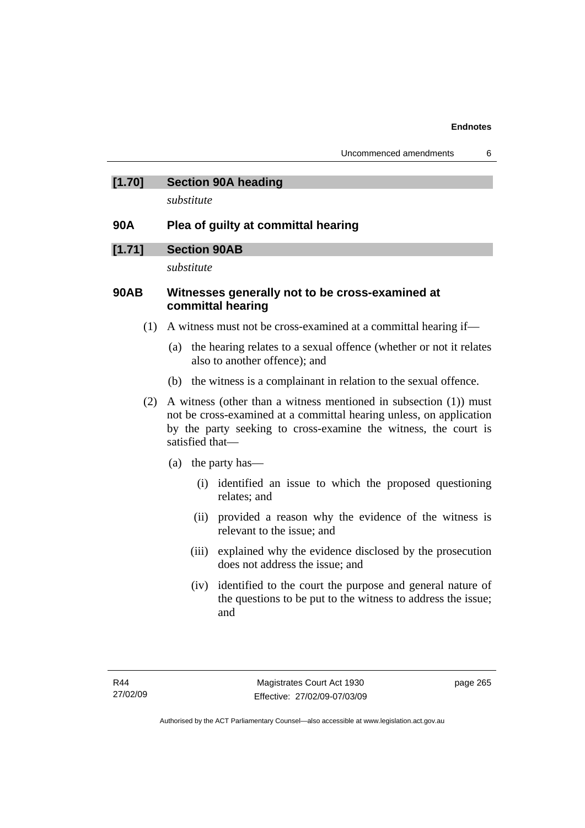### **[1.70] Section 90A heading**

*substitute* 

### **90A Plea of guilty at committal hearing**

### **[1.71] Section 90AB**

*substitute* 

### **90AB Witnesses generally not to be cross-examined at committal hearing**

- (1) A witness must not be cross-examined at a committal hearing if—
	- (a) the hearing relates to a sexual offence (whether or not it relates also to another offence); and
	- (b) the witness is a complainant in relation to the sexual offence.
- (2) A witness (other than a witness mentioned in subsection (1)) must not be cross-examined at a committal hearing unless, on application by the party seeking to cross-examine the witness, the court is satisfied that—
	- (a) the party has—
		- (i) identified an issue to which the proposed questioning relates; and
		- (ii) provided a reason why the evidence of the witness is relevant to the issue; and
		- (iii) explained why the evidence disclosed by the prosecution does not address the issue; and
		- (iv) identified to the court the purpose and general nature of the questions to be put to the witness to address the issue; and

page 265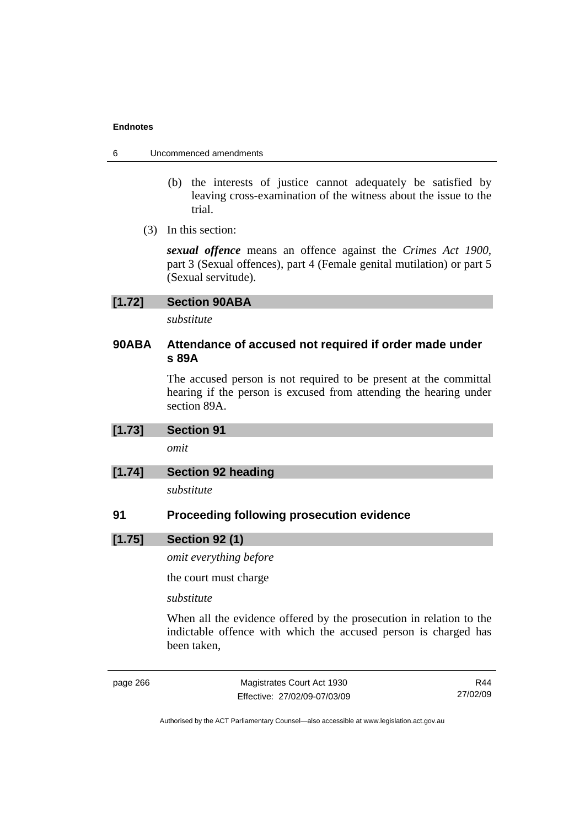- 6 Uncommenced amendments
	- (b) the interests of justice cannot adequately be satisfied by leaving cross-examination of the witness about the issue to the trial.
	- (3) In this section:

*sexual offence* means an offence against the *Crimes Act 1900*, part 3 (Sexual offences), part 4 (Female genital mutilation) or part 5 (Sexual servitude).

| <b>Section 90ABA</b><br>[1.72] |
|--------------------------------|
|--------------------------------|

*substitute* 

### **90ABA Attendance of accused not required if order made under s 89A**

The accused person is not required to be present at the committal hearing if the person is excused from attending the hearing under section 89A.

| [1.73] | Section 91                |  |
|--------|---------------------------|--|
|        | omit                      |  |
| [1.74] | <b>Section 92 heading</b> |  |

*substitute* 

### **91 Proceeding following prosecution evidence**

### **[1.75] Section 92 (1)**

*omit everything before* 

the court must charge

### *substitute*

When all the evidence offered by the prosecution in relation to the indictable offence with which the accused person is charged has been taken,

page 266 Magistrates Court Act 1930 Effective: 27/02/09-07/03/09

R44 27/02/09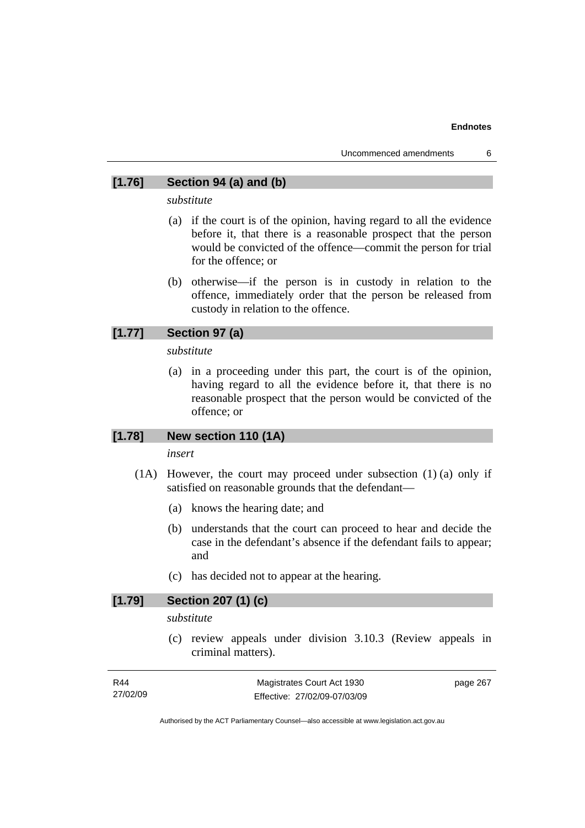### **[1.76] Section 94 (a) and (b)**

*substitute* 

- (a) if the court is of the opinion, having regard to all the evidence before it, that there is a reasonable prospect that the person would be convicted of the offence—commit the person for trial for the offence; or
- (b) otherwise—if the person is in custody in relation to the offence, immediately order that the person be released from custody in relation to the offence.

### **[1.77] Section 97 (a)**

*substitute* 

 (a) in a proceeding under this part, the court is of the opinion, having regard to all the evidence before it, that there is no reasonable prospect that the person would be convicted of the offence; or

### **[1.78] New section 110 (1A)**

#### *insert*

- (1A) However, the court may proceed under subsection (1) (a) only if satisfied on reasonable grounds that the defendant—
	- (a) knows the hearing date; and
	- (b) understands that the court can proceed to hear and decide the case in the defendant's absence if the defendant fails to appear; and
	- (c) has decided not to appear at the hearing.

### **[1.79] Section 207 (1) (c)**

*substitute* 

 (c) review appeals under division 3.10.3 (Review appeals in criminal matters).

| R44      | Magistrates Court Act 1930   | page 267 |
|----------|------------------------------|----------|
| 27/02/09 | Effective: 27/02/09-07/03/09 |          |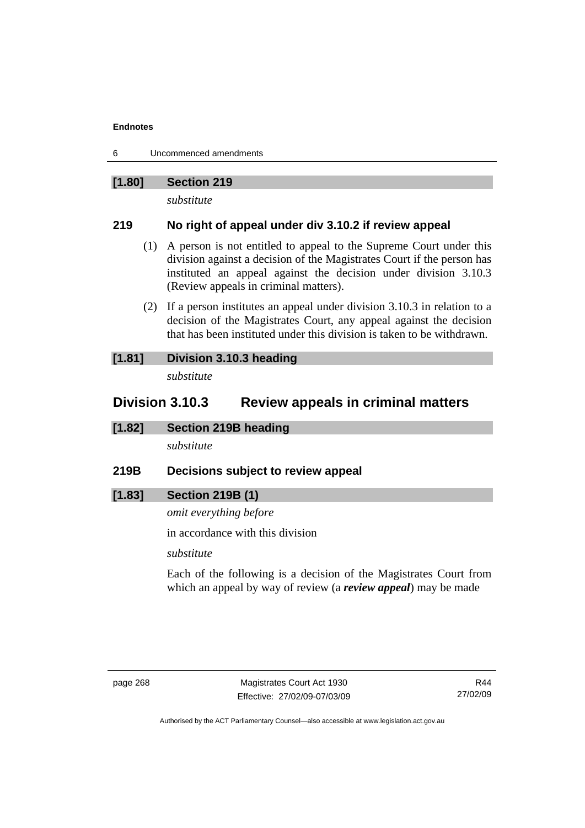6 Uncommenced amendments

### **[1.80] Section 219**

*substitute* 

### **219 No right of appeal under div 3.10.2 if review appeal**

- (1) A person is not entitled to appeal to the Supreme Court under this division against a decision of the Magistrates Court if the person has instituted an appeal against the decision under division 3.10.3 (Review appeals in criminal matters).
- (2) If a person institutes an appeal under division 3.10.3 in relation to a decision of the Magistrates Court, any appeal against the decision that has been instituted under this division is taken to be withdrawn.

### **[1.81] Division 3.10.3 heading**  *substitute*

### **Division 3.10.3 Review appeals in criminal matters**

**[1.82] Section 219B heading** 

*substitute* 

**219B Decisions subject to review appeal** 

### **[1.83] Section 219B (1)**

*omit everything before* 

in accordance with this division

*substitute* 

Each of the following is a decision of the Magistrates Court from which an appeal by way of review (a *review appeal*) may be made

R44 27/02/09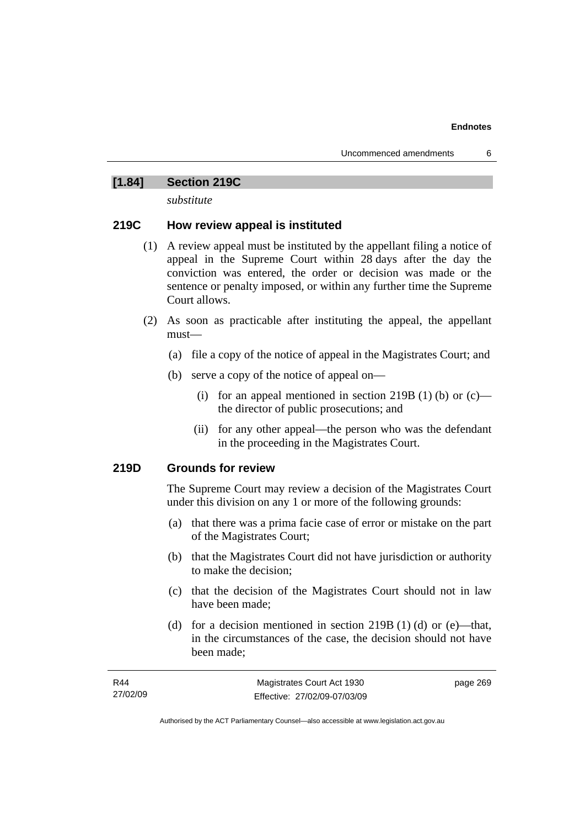### **[1.84] Section 219C**

*substitute* 

### **219C How review appeal is instituted**

- (1) A review appeal must be instituted by the appellant filing a notice of appeal in the Supreme Court within 28 days after the day the conviction was entered, the order or decision was made or the sentence or penalty imposed, or within any further time the Supreme Court allows.
- (2) As soon as practicable after instituting the appeal, the appellant must—
	- (a) file a copy of the notice of appeal in the Magistrates Court; and
	- (b) serve a copy of the notice of appeal on—
		- (i) for an appeal mentioned in section 219B (1) (b) or  $(c)$  the director of public prosecutions; and
		- (ii) for any other appeal—the person who was the defendant in the proceeding in the Magistrates Court.

### **219D Grounds for review**

The Supreme Court may review a decision of the Magistrates Court under this division on any 1 or more of the following grounds:

- (a) that there was a prima facie case of error or mistake on the part of the Magistrates Court;
- (b) that the Magistrates Court did not have jurisdiction or authority to make the decision;
- (c) that the decision of the Magistrates Court should not in law have been made;
- (d) for a decision mentioned in section 219B (1) (d) or (e)—that, in the circumstances of the case, the decision should not have been made;

| R44      | Magistrates Court Act 1930   | page 269 |
|----------|------------------------------|----------|
| 27/02/09 | Effective: 27/02/09-07/03/09 |          |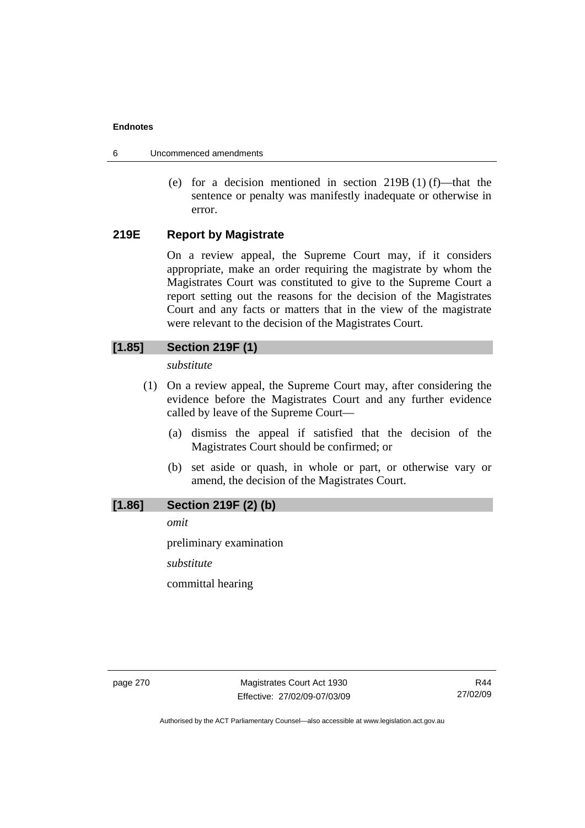- 6 Uncommenced amendments
	- (e) for a decision mentioned in section  $219B(1)$  (f)—that the sentence or penalty was manifestly inadequate or otherwise in error.

### **219E Report by Magistrate**

On a review appeal, the Supreme Court may, if it considers appropriate, make an order requiring the magistrate by whom the Magistrates Court was constituted to give to the Supreme Court a report setting out the reasons for the decision of the Magistrates Court and any facts or matters that in the view of the magistrate were relevant to the decision of the Magistrates Court.

### **[1.85] Section 219F (1)**

*substitute* 

- (1) On a review appeal, the Supreme Court may, after considering the evidence before the Magistrates Court and any further evidence called by leave of the Supreme Court—
	- (a) dismiss the appeal if satisfied that the decision of the Magistrates Court should be confirmed; or
	- (b) set aside or quash, in whole or part, or otherwise vary or amend, the decision of the Magistrates Court.

### **[1.86] Section 219F (2) (b)**

*omit* 

preliminary examination

*substitute* 

committal hearing

page 270 Magistrates Court Act 1930 Effective: 27/02/09-07/03/09

R44 27/02/09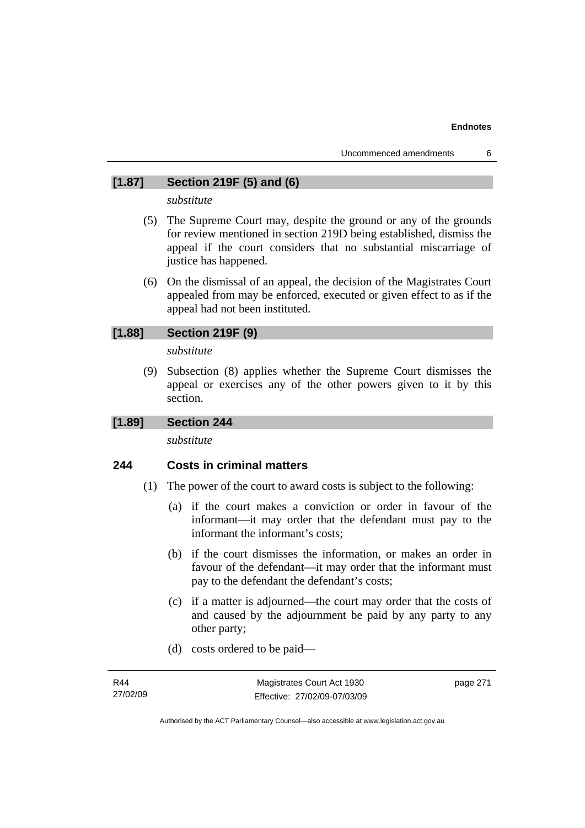### **[1.87] Section 219F (5) and (6)**

*substitute* 

- (5) The Supreme Court may, despite the ground or any of the grounds for review mentioned in section 219D being established, dismiss the appeal if the court considers that no substantial miscarriage of justice has happened.
- (6) On the dismissal of an appeal, the decision of the Magistrates Court appealed from may be enforced, executed or given effect to as if the appeal had not been instituted.

### **[1.88] Section 219F (9)**

*substitute* 

 (9) Subsection (8) applies whether the Supreme Court dismisses the appeal or exercises any of the other powers given to it by this section.

### **[1.89] Section 244**

*substitute* 

### **244 Costs in criminal matters**

- (1) The power of the court to award costs is subject to the following:
	- (a) if the court makes a conviction or order in favour of the informant—it may order that the defendant must pay to the informant the informant's costs;
	- (b) if the court dismisses the information, or makes an order in favour of the defendant—it may order that the informant must pay to the defendant the defendant's costs;
	- (c) if a matter is adjourned—the court may order that the costs of and caused by the adjournment be paid by any party to any other party;
	- (d) costs ordered to be paid—

| R44      | Magistrates Court Act 1930   | page 271 |
|----------|------------------------------|----------|
| 27/02/09 | Effective: 27/02/09-07/03/09 |          |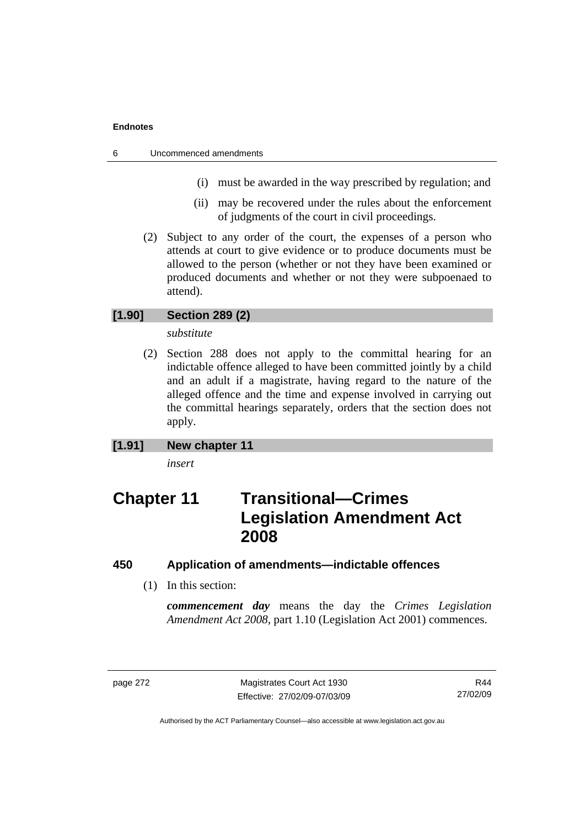- 6 Uncommenced amendments
	- (i) must be awarded in the way prescribed by regulation; and
	- (ii) may be recovered under the rules about the enforcement of judgments of the court in civil proceedings.
	- (2) Subject to any order of the court, the expenses of a person who attends at court to give evidence or to produce documents must be allowed to the person (whether or not they have been examined or produced documents and whether or not they were subpoenaed to attend).

### **[1.90] Section 289 (2)**

*substitute* 

 (2) Section 288 does not apply to the committal hearing for an indictable offence alleged to have been committed jointly by a child and an adult if a magistrate, having regard to the nature of the alleged offence and the time and expense involved in carrying out the committal hearings separately, orders that the section does not apply.

### **[1.91] New chapter 11**

*insert* 

# **Chapter 11 Transitional—Crimes Legislation Amendment Act 2008**

### **450 Application of amendments—indictable offences**

(1) In this section:

*commencement day* means the day the *Crimes Legislation Amendment Act 2008*, part 1.10 (Legislation Act 2001) commences.

page 272 Magistrates Court Act 1930 Effective: 27/02/09-07/03/09

R44 27/02/09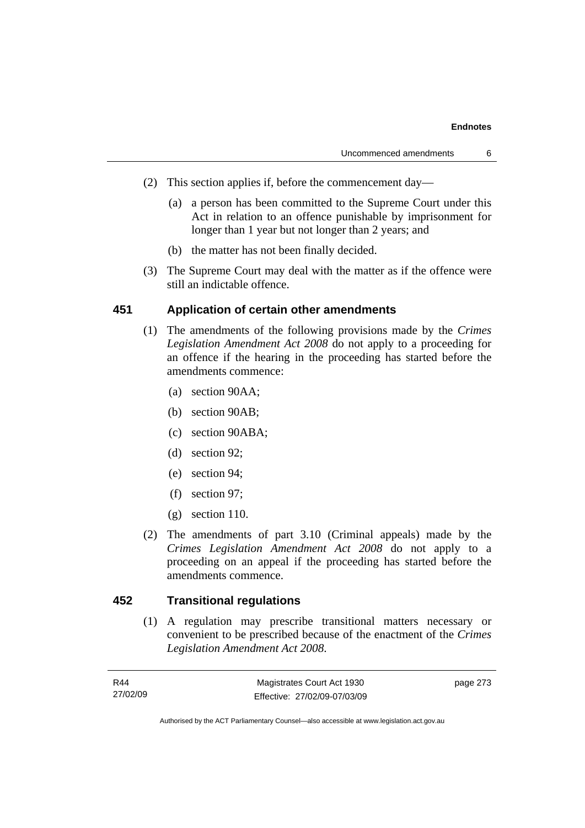#### **Endnotes**

- (2) This section applies if, before the commencement day—
	- (a) a person has been committed to the Supreme Court under this Act in relation to an offence punishable by imprisonment for longer than 1 year but not longer than 2 years; and
	- (b) the matter has not been finally decided.
- (3) The Supreme Court may deal with the matter as if the offence were still an indictable offence.

### **451 Application of certain other amendments**

- (1) The amendments of the following provisions made by the *Crimes Legislation Amendment Act 2008* do not apply to a proceeding for an offence if the hearing in the proceeding has started before the amendments commence:
	- (a) section 90AA;
	- (b) section 90AB;
	- (c) section 90ABA;
	- (d) section 92;
	- (e) section 94;
	- (f) section 97;
	- (g) section 110.
- (2) The amendments of part 3.10 (Criminal appeals) made by the *Crimes Legislation Amendment Act 2008* do not apply to a proceeding on an appeal if the proceeding has started before the amendments commence.

# **452 Transitional regulations**

 (1) A regulation may prescribe transitional matters necessary or convenient to be prescribed because of the enactment of the *Crimes Legislation Amendment Act 2008*.

| R44      | Magistrates Court Act 1930   | page 273 |
|----------|------------------------------|----------|
| 27/02/09 | Effective: 27/02/09-07/03/09 |          |